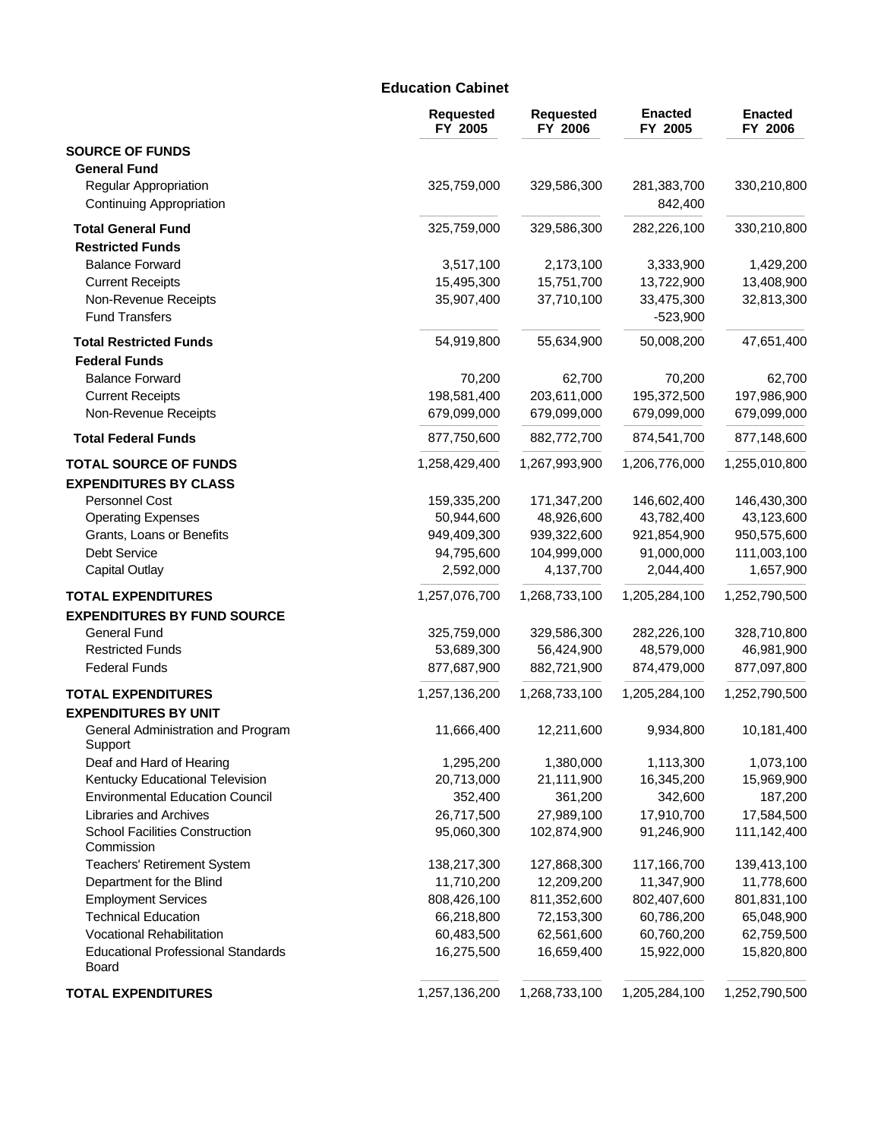### **Education Cabinet**

|                                                                 | <b>Requested</b><br>FY 2005 | <b>Requested</b><br>FY 2006 | <b>Enacted</b><br>FY 2005 | <b>Enacted</b><br>FY 2006 |
|-----------------------------------------------------------------|-----------------------------|-----------------------------|---------------------------|---------------------------|
| <b>SOURCE OF FUNDS</b>                                          |                             |                             |                           |                           |
| <b>General Fund</b>                                             |                             |                             |                           |                           |
| <b>Regular Appropriation</b><br><b>Continuing Appropriation</b> | 325,759,000                 | 329,586,300                 | 281,383,700<br>842,400    | 330,210,800               |
| <b>Total General Fund</b>                                       | 325,759,000                 | 329,586,300                 | 282,226,100               | 330,210,800               |
| <b>Restricted Funds</b>                                         |                             |                             |                           |                           |
| <b>Balance Forward</b>                                          | 3,517,100                   | 2,173,100                   | 3,333,900                 | 1,429,200                 |
| <b>Current Receipts</b>                                         | 15,495,300                  | 15,751,700                  | 13,722,900                | 13,408,900                |
| Non-Revenue Receipts<br><b>Fund Transfers</b>                   | 35,907,400                  | 37,710,100                  | 33,475,300<br>$-523,900$  | 32,813,300                |
| <b>Total Restricted Funds</b>                                   | 54,919,800                  | 55,634,900                  | 50,008,200                | 47,651,400                |
| <b>Federal Funds</b>                                            |                             |                             |                           |                           |
| <b>Balance Forward</b>                                          | 70,200                      | 62,700                      | 70,200                    | 62,700                    |
| <b>Current Receipts</b>                                         | 198,581,400                 | 203,611,000                 | 195,372,500               | 197,986,900               |
| Non-Revenue Receipts                                            | 679,099,000                 | 679,099,000                 | 679,099,000               | 679,099,000               |
| <b>Total Federal Funds</b>                                      | 877,750,600                 | 882,772,700                 | 874,541,700               | 877,148,600               |
| <b>TOTAL SOURCE OF FUNDS</b>                                    | 1,258,429,400               | 1,267,993,900               | 1,206,776,000             | 1,255,010,800             |
| <b>EXPENDITURES BY CLASS</b>                                    |                             |                             |                           |                           |
| Personnel Cost                                                  | 159,335,200                 | 171,347,200                 | 146,602,400               | 146,430,300               |
| <b>Operating Expenses</b>                                       | 50,944,600                  | 48,926,600                  | 43,782,400                | 43,123,600                |
| Grants, Loans or Benefits                                       | 949,409,300                 | 939,322,600                 | 921,854,900               | 950,575,600               |
| <b>Debt Service</b>                                             | 94,795,600                  | 104,999,000                 | 91,000,000                | 111,003,100               |
| <b>Capital Outlay</b>                                           | 2,592,000                   | 4,137,700                   | 2,044,400                 | 1,657,900                 |
| <b>TOTAL EXPENDITURES</b>                                       | 1,257,076,700               | 1,268,733,100               | 1,205,284,100             | 1,252,790,500             |
| <b>EXPENDITURES BY FUND SOURCE</b>                              |                             |                             |                           |                           |
| <b>General Fund</b>                                             | 325,759,000                 | 329,586,300                 | 282,226,100               | 328,710,800               |
| <b>Restricted Funds</b>                                         | 53,689,300                  | 56,424,900                  | 48,579,000                | 46,981,900                |
| <b>Federal Funds</b>                                            | 877,687,900                 | 882,721,900                 | 874,479,000               | 877,097,800               |
| <b>TOTAL EXPENDITURES</b>                                       | 1,257,136,200               | 1,268,733,100               | 1,205,284,100             | 1,252,790,500             |
| <b>EXPENDITURES BY UNIT</b>                                     |                             |                             |                           |                           |
| General Administration and Program<br>Support                   | 11,666,400                  | 12,211,600                  | 9,934,800                 | 10,181,400                |
| Deaf and Hard of Hearing                                        | 1,295,200                   | 1,380,000                   | 1,113,300                 | 1,073,100                 |
| Kentucky Educational Television                                 | 20,713,000                  | 21,111,900                  | 16,345,200                | 15,969,900                |
| <b>Environmental Education Council</b>                          | 352,400                     | 361,200                     | 342,600                   | 187,200                   |
| Libraries and Archives                                          | 26,717,500                  | 27,989,100                  | 17,910,700                | 17,584,500                |
| <b>School Facilities Construction</b><br>Commission             | 95,060,300                  | 102,874,900                 | 91,246,900                | 111,142,400               |
| <b>Teachers' Retirement System</b>                              | 138,217,300                 | 127,868,300                 | 117,166,700               | 139,413,100               |
| Department for the Blind                                        | 11,710,200                  | 12,209,200                  | 11,347,900                | 11,778,600                |
| <b>Employment Services</b>                                      | 808,426,100                 | 811,352,600                 | 802,407,600               | 801,831,100               |
| <b>Technical Education</b>                                      | 66,218,800                  | 72,153,300                  | 60,786,200                | 65,048,900                |
| Vocational Rehabilitation                                       | 60,483,500                  | 62,561,600                  | 60,760,200                | 62,759,500                |
| <b>Educational Professional Standards</b><br>Board              | 16,275,500                  | 16,659,400                  | 15,922,000                | 15,820,800                |
| <b>TOTAL EXPENDITURES</b>                                       | 1,257,136,200               | 1,268,733,100               | 1,205,284,100             | 1,252,790,500             |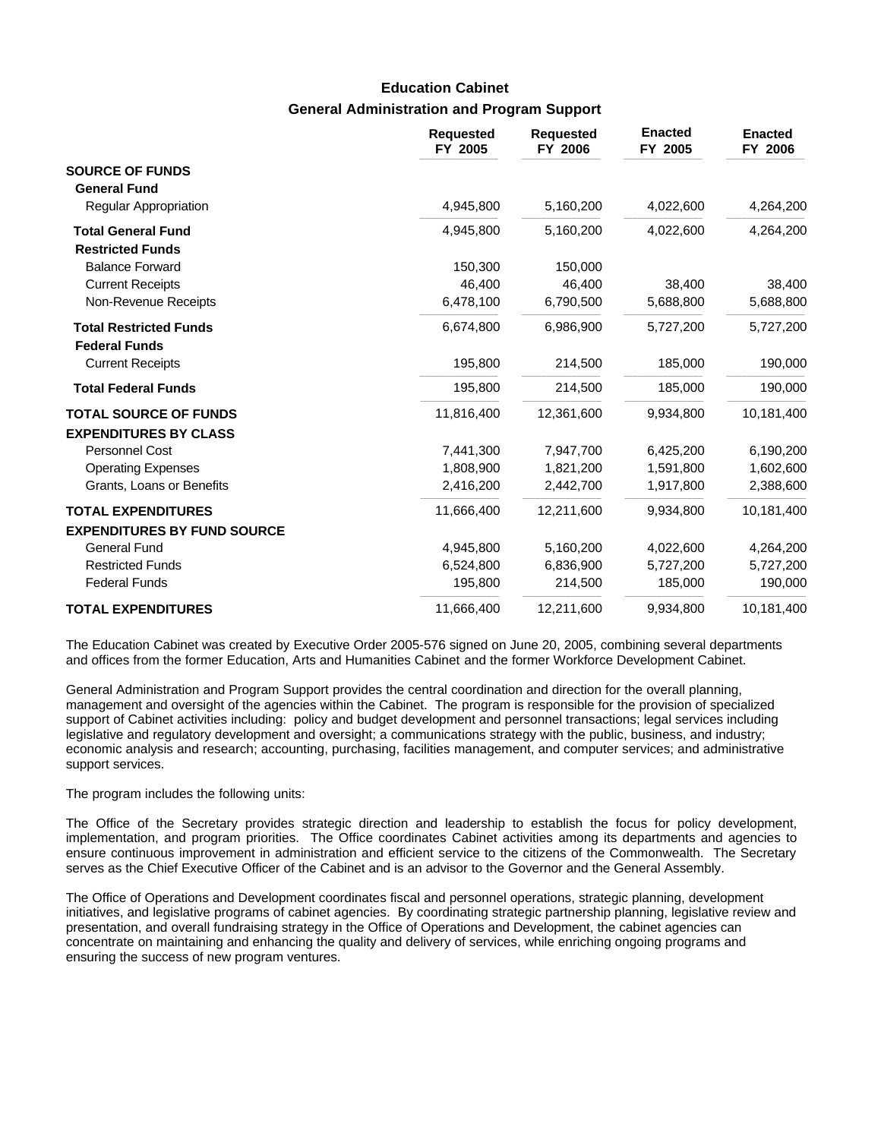## **General Administration and Program Support Education Cabinet**

|                                                       | <b>Requested</b><br>FY 2005 | <b>Requested</b><br>FY 2006 | <b>Enacted</b><br>FY 2005 | <b>Enacted</b><br>FY 2006 |
|-------------------------------------------------------|-----------------------------|-----------------------------|---------------------------|---------------------------|
| <b>SOURCE OF FUNDS</b><br><b>General Fund</b>         |                             |                             |                           |                           |
| Regular Appropriation                                 | 4,945,800                   | 5,160,200                   | 4,022,600                 | 4,264,200                 |
| <b>Total General Fund</b><br><b>Restricted Funds</b>  | 4,945,800                   | 5,160,200                   | 4,022,600                 | 4,264,200                 |
| <b>Balance Forward</b>                                | 150,300                     | 150,000                     |                           |                           |
| <b>Current Receipts</b>                               | 46,400                      | 46,400                      | 38,400                    | 38,400                    |
| Non-Revenue Receipts                                  | 6,478,100                   | 6,790,500                   | 5,688,800                 | 5,688,800                 |
| <b>Total Restricted Funds</b><br><b>Federal Funds</b> | 6,674,800                   | 6,986,900                   | 5,727,200                 | 5,727,200                 |
| <b>Current Receipts</b>                               | 195,800                     | 214,500                     | 185,000                   | 190,000                   |
| <b>Total Federal Funds</b>                            | 195,800                     | 214,500                     | 185,000                   | 190,000                   |
| <b>TOTAL SOURCE OF FUNDS</b>                          | 11,816,400                  | 12,361,600                  | 9,934,800                 | 10,181,400                |
| <b>EXPENDITURES BY CLASS</b>                          |                             |                             |                           |                           |
| Personnel Cost                                        | 7,441,300                   | 7,947,700                   | 6,425,200                 | 6,190,200                 |
| <b>Operating Expenses</b>                             | 1,808,900                   | 1,821,200                   | 1,591,800                 | 1,602,600                 |
| Grants, Loans or Benefits                             | 2,416,200                   | 2,442,700                   | 1,917,800                 | 2,388,600                 |
| <b>TOTAL EXPENDITURES</b>                             | 11,666,400                  | 12,211,600                  | 9,934,800                 | 10,181,400                |
| <b>EXPENDITURES BY FUND SOURCE</b>                    |                             |                             |                           |                           |
| <b>General Fund</b>                                   | 4,945,800                   | 5,160,200                   | 4,022,600                 | 4,264,200                 |
| <b>Restricted Funds</b>                               | 6,524,800                   | 6,836,900                   | 5,727,200                 | 5,727,200                 |
| <b>Federal Funds</b>                                  | 195,800                     | 214,500                     | 185,000                   | 190,000                   |
| <b>TOTAL EXPENDITURES</b>                             | 11,666,400                  | 12,211,600                  | 9,934,800                 | 10,181,400                |

The Education Cabinet was created by Executive Order 2005-576 signed on June 20, 2005, combining several departments and offices from the former Education, Arts and Humanities Cabinet and the former Workforce Development Cabinet.

General Administration and Program Support provides the central coordination and direction for the overall planning, management and oversight of the agencies within the Cabinet. The program is responsible for the provision of specialized support of Cabinet activities including: policy and budget development and personnel transactions; legal services including legislative and regulatory development and oversight; a communications strategy with the public, business, and industry; economic analysis and research; accounting, purchasing, facilities management, and computer services; and administrative support services.

The program includes the following units:

The Office of the Secretary provides strategic direction and leadership to establish the focus for policy development, implementation, and program priorities. The Office coordinates Cabinet activities among its departments and agencies to ensure continuous improvement in administration and efficient service to the citizens of the Commonwealth. The Secretary serves as the Chief Executive Officer of the Cabinet and is an advisor to the Governor and the General Assembly.

The Office of Operations and Development coordinates fiscal and personnel operations, strategic planning, development initiatives, and legislative programs of cabinet agencies. By coordinating strategic partnership planning, legislative review and presentation, and overall fundraising strategy in the Office of Operations and Development, the cabinet agencies can concentrate on maintaining and enhancing the quality and delivery of services, while enriching ongoing programs and ensuring the success of new program ventures.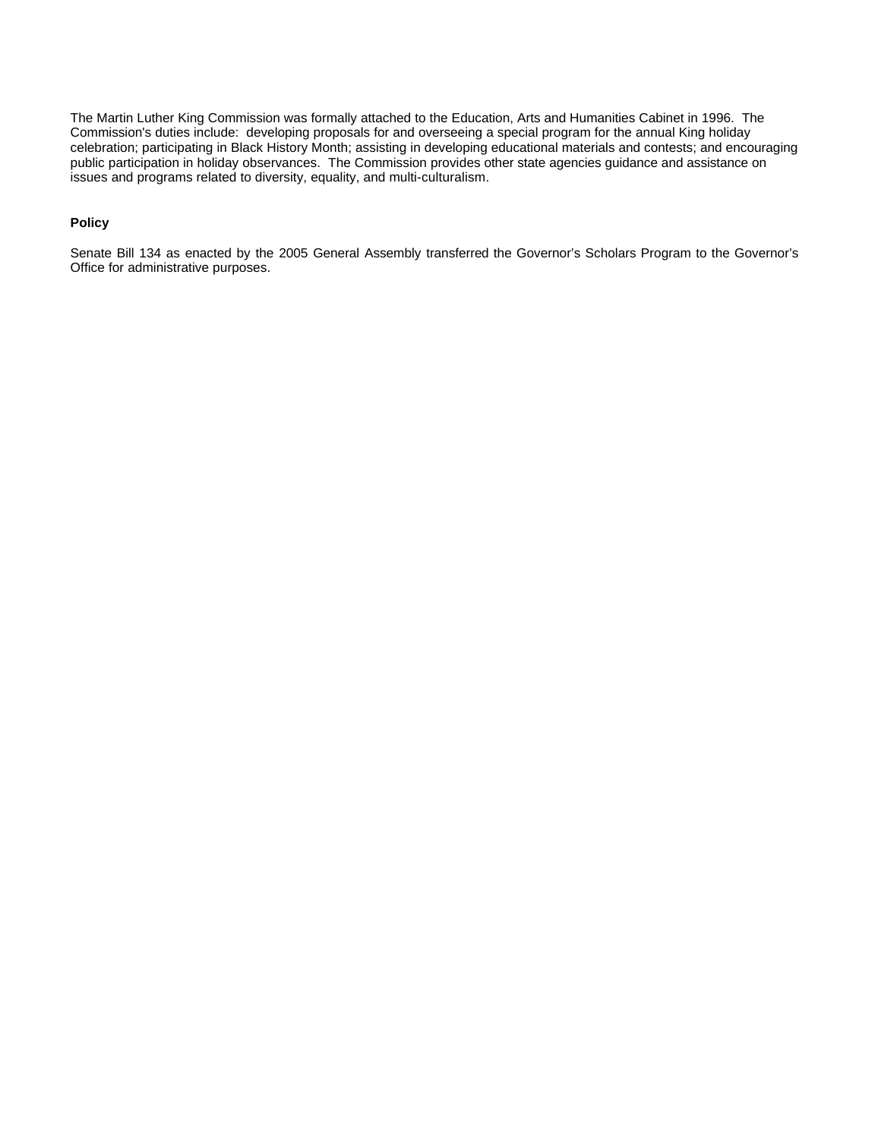The Martin Luther King Commission was formally attached to the Education, Arts and Humanities Cabinet in 1996. The Commission's duties include: developing proposals for and overseeing a special program for the annual King holiday celebration; participating in Black History Month; assisting in developing educational materials and contests; and encouraging public participation in holiday observances. The Commission provides other state agencies guidance and assistance on issues and programs related to diversity, equality, and multi-culturalism.

### **Policy**

Senate Bill 134 as enacted by the 2005 General Assembly transferred the Governor's Scholars Program to the Governor's Office for administrative purposes.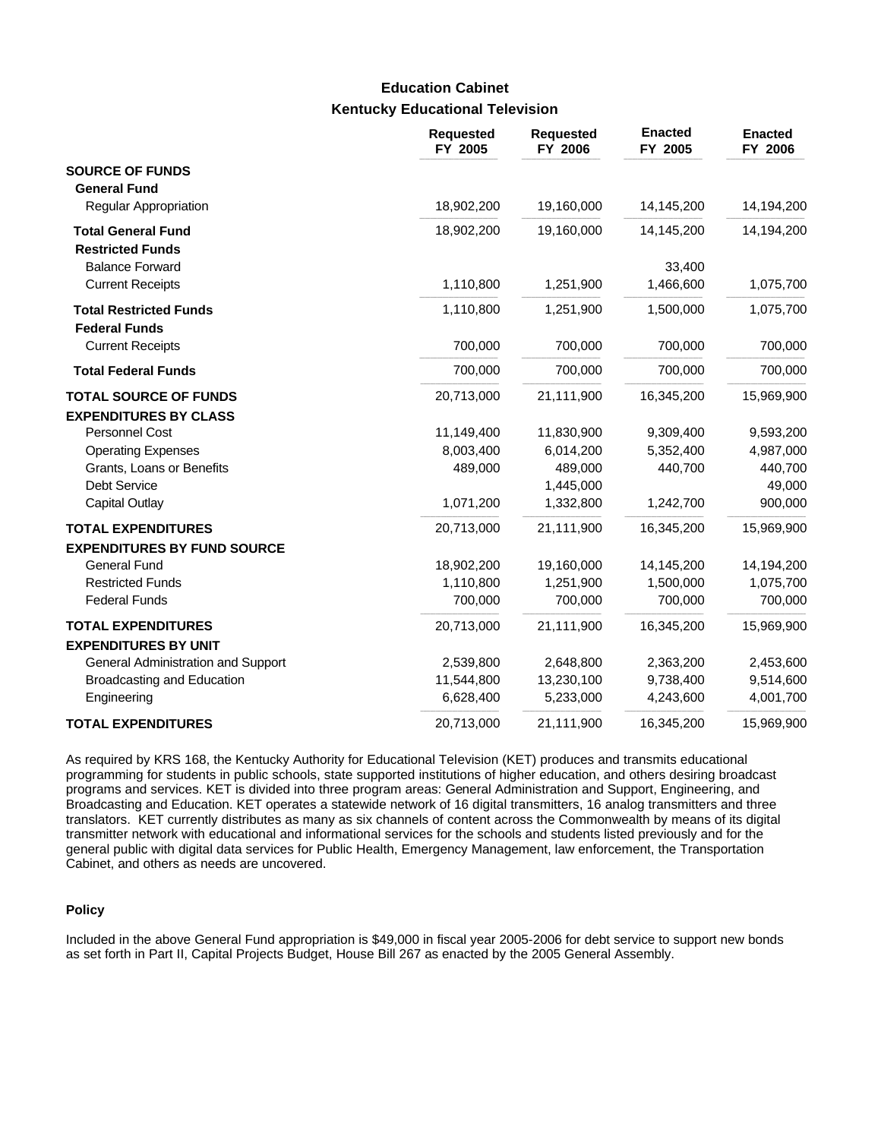# **Kentucky Educational Television Education Cabinet**

|                                    | <b>Requested</b><br>FY 2005 | <b>Requested</b><br>FY 2006 | <b>Enacted</b><br>FY 2005 | <b>Enacted</b><br>FY 2006 |
|------------------------------------|-----------------------------|-----------------------------|---------------------------|---------------------------|
| <b>SOURCE OF FUNDS</b>             |                             |                             |                           |                           |
| <b>General Fund</b>                |                             |                             |                           |                           |
| Regular Appropriation              | 18,902,200                  | 19,160,000                  | 14,145,200                | 14,194,200                |
| <b>Total General Fund</b>          | 18,902,200                  | 19,160,000                  | 14,145,200                | 14,194,200                |
| <b>Restricted Funds</b>            |                             |                             |                           |                           |
| <b>Balance Forward</b>             |                             |                             | 33,400                    |                           |
| <b>Current Receipts</b>            | 1,110,800                   | 1,251,900                   | 1,466,600                 | 1,075,700                 |
| <b>Total Restricted Funds</b>      | 1,110,800                   | 1,251,900                   | 1,500,000                 | 1,075,700                 |
| <b>Federal Funds</b>               |                             |                             |                           |                           |
| <b>Current Receipts</b>            | 700,000                     | 700,000                     | 700,000                   | 700,000                   |
| <b>Total Federal Funds</b>         | 700,000                     | 700,000                     | 700,000                   | 700,000                   |
| <b>TOTAL SOURCE OF FUNDS</b>       | 20,713,000                  | 21,111,900                  | 16,345,200                | 15,969,900                |
| <b>EXPENDITURES BY CLASS</b>       |                             |                             |                           |                           |
| Personnel Cost                     | 11,149,400                  | 11,830,900                  | 9,309,400                 | 9,593,200                 |
| <b>Operating Expenses</b>          | 8,003,400                   | 6,014,200                   | 5,352,400                 | 4,987,000                 |
| Grants, Loans or Benefits          | 489,000                     | 489,000                     | 440,700                   | 440,700                   |
| Debt Service                       |                             | 1,445,000                   |                           | 49,000                    |
| <b>Capital Outlay</b>              | 1,071,200                   | 1,332,800                   | 1,242,700                 | 900,000                   |
| <b>TOTAL EXPENDITURES</b>          | 20,713,000                  | 21,111,900                  | 16,345,200                | 15,969,900                |
| <b>EXPENDITURES BY FUND SOURCE</b> |                             |                             |                           |                           |
| <b>General Fund</b>                | 18,902,200                  | 19,160,000                  | 14,145,200                | 14,194,200                |
| <b>Restricted Funds</b>            | 1,110,800                   | 1,251,900                   | 1,500,000                 | 1,075,700                 |
| <b>Federal Funds</b>               | 700,000                     | 700,000                     | 700,000                   | 700,000                   |
| <b>TOTAL EXPENDITURES</b>          | 20,713,000                  | 21,111,900                  | 16,345,200                | 15,969,900                |
| <b>EXPENDITURES BY UNIT</b>        |                             |                             |                           |                           |
| General Administration and Support | 2,539,800                   | 2,648,800                   | 2,363,200                 | 2,453,600                 |
| Broadcasting and Education         | 11,544,800                  | 13,230,100                  | 9,738,400                 | 9,514,600                 |
| Engineering                        | 6,628,400                   | 5,233,000                   | 4,243,600                 | 4,001,700                 |
| <b>TOTAL EXPENDITURES</b>          | 20,713,000                  | 21,111,900                  | 16,345,200                | 15,969,900                |

As required by KRS 168, the Kentucky Authority for Educational Television (KET) produces and transmits educational programming for students in public schools, state supported institutions of higher education, and others desiring broadcast programs and services. KET is divided into three program areas: General Administration and Support, Engineering, and Broadcasting and Education. KET operates a statewide network of 16 digital transmitters, 16 analog transmitters and three translators. KET currently distributes as many as six channels of content across the Commonwealth by means of its digital transmitter network with educational and informational services for the schools and students listed previously and for the general public with digital data services for Public Health, Emergency Management, law enforcement, the Transportation Cabinet, and others as needs are uncovered.

### **Policy**

Included in the above General Fund appropriation is \$49,000 in fiscal year 2005-2006 for debt service to support new bonds as set forth in Part II, Capital Projects Budget, House Bill 267 as enacted by the 2005 General Assembly.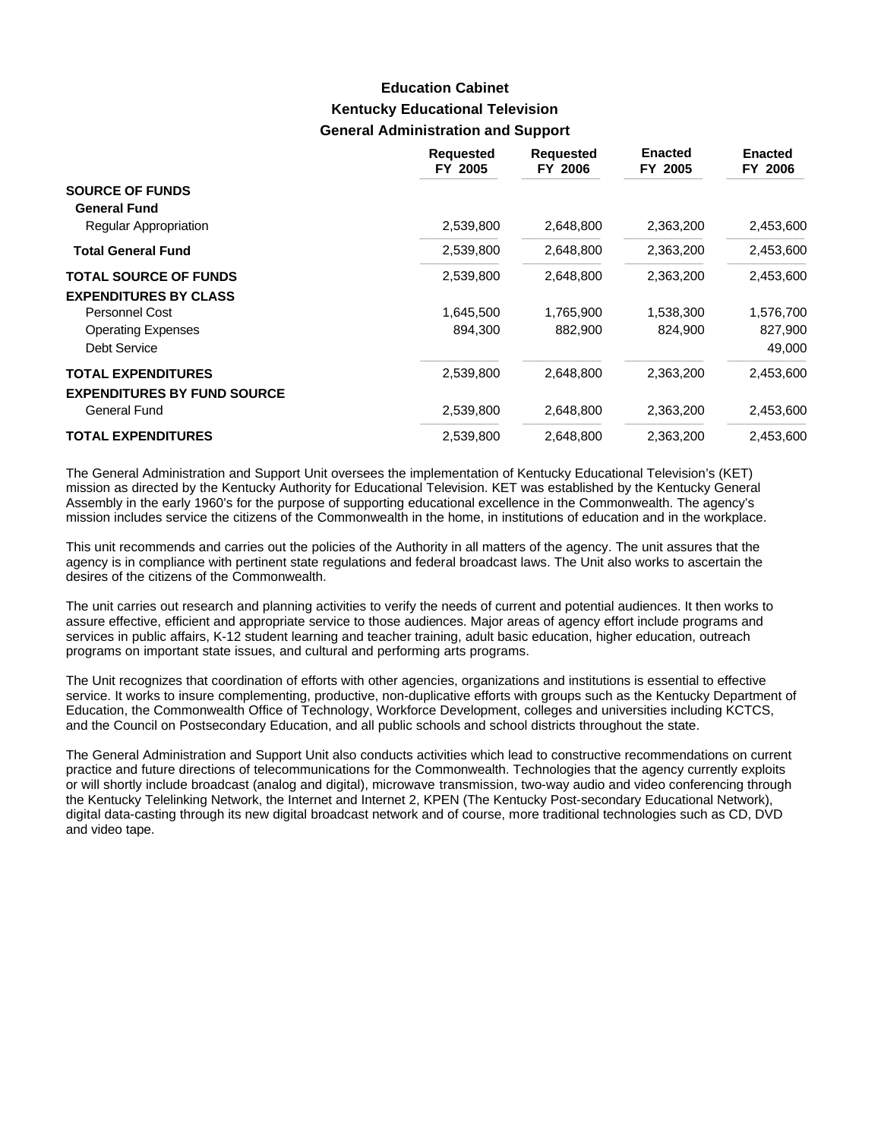# **Kentucky Educational Television General Administration and Support Education Cabinet**

|                                    | <b>Requested</b><br>FY 2005 | <b>Requested</b><br>FY 2006 | <b>Enacted</b><br>FY 2005 | <b>Enacted</b><br>FY 2006 |
|------------------------------------|-----------------------------|-----------------------------|---------------------------|---------------------------|
| <b>SOURCE OF FUNDS</b>             |                             |                             |                           |                           |
| <b>General Fund</b>                |                             |                             |                           |                           |
| <b>Regular Appropriation</b>       | 2,539,800                   | 2,648,800                   | 2,363,200                 | 2,453,600                 |
| <b>Total General Fund</b>          | 2,539,800                   | 2,648,800                   | 2,363,200                 | 2,453,600                 |
| <b>TOTAL SOURCE OF FUNDS</b>       | 2,539,800                   | 2,648,800                   | 2,363,200                 | 2,453,600                 |
| <b>EXPENDITURES BY CLASS</b>       |                             |                             |                           |                           |
| Personnel Cost                     | 1,645,500                   | 1,765,900                   | 1,538,300                 | 1,576,700                 |
| <b>Operating Expenses</b>          | 894,300                     | 882,900                     | 824,900                   | 827,900                   |
| Debt Service                       |                             |                             |                           | 49,000                    |
| <b>TOTAL EXPENDITURES</b>          | 2,539,800                   | 2,648,800                   | 2,363,200                 | 2,453,600                 |
| <b>EXPENDITURES BY FUND SOURCE</b> |                             |                             |                           |                           |
| General Fund                       | 2,539,800                   | 2,648,800                   | 2,363,200                 | 2,453,600                 |
| <b>TOTAL EXPENDITURES</b>          | 2,539,800                   | 2,648,800                   | 2,363,200                 | 2,453,600                 |

The General Administration and Support Unit oversees the implementation of Kentucky Educational Television's (KET) mission as directed by the Kentucky Authority for Educational Television. KET was established by the Kentucky General Assembly in the early 1960's for the purpose of supporting educational excellence in the Commonwealth. The agency's mission includes service the citizens of the Commonwealth in the home, in institutions of education and in the workplace.

This unit recommends and carries out the policies of the Authority in all matters of the agency. The unit assures that the agency is in compliance with pertinent state regulations and federal broadcast laws. The Unit also works to ascertain the desires of the citizens of the Commonwealth.

The unit carries out research and planning activities to verify the needs of current and potential audiences. It then works to assure effective, efficient and appropriate service to those audiences. Major areas of agency effort include programs and services in public affairs, K-12 student learning and teacher training, adult basic education, higher education, outreach programs on important state issues, and cultural and performing arts programs.

The Unit recognizes that coordination of efforts with other agencies, organizations and institutions is essential to effective service. It works to insure complementing, productive, non-duplicative efforts with groups such as the Kentucky Department of Education, the Commonwealth Office of Technology, Workforce Development, colleges and universities including KCTCS, and the Council on Postsecondary Education, and all public schools and school districts throughout the state.

The General Administration and Support Unit also conducts activities which lead to constructive recommendations on current practice and future directions of telecommunications for the Commonwealth. Technologies that the agency currently exploits or will shortly include broadcast (analog and digital), microwave transmission, two-way audio and video conferencing through the Kentucky Telelinking Network, the Internet and Internet 2, KPEN (The Kentucky Post-secondary Educational Network), digital data-casting through its new digital broadcast network and of course, more traditional technologies such as CD, DVD and video tape.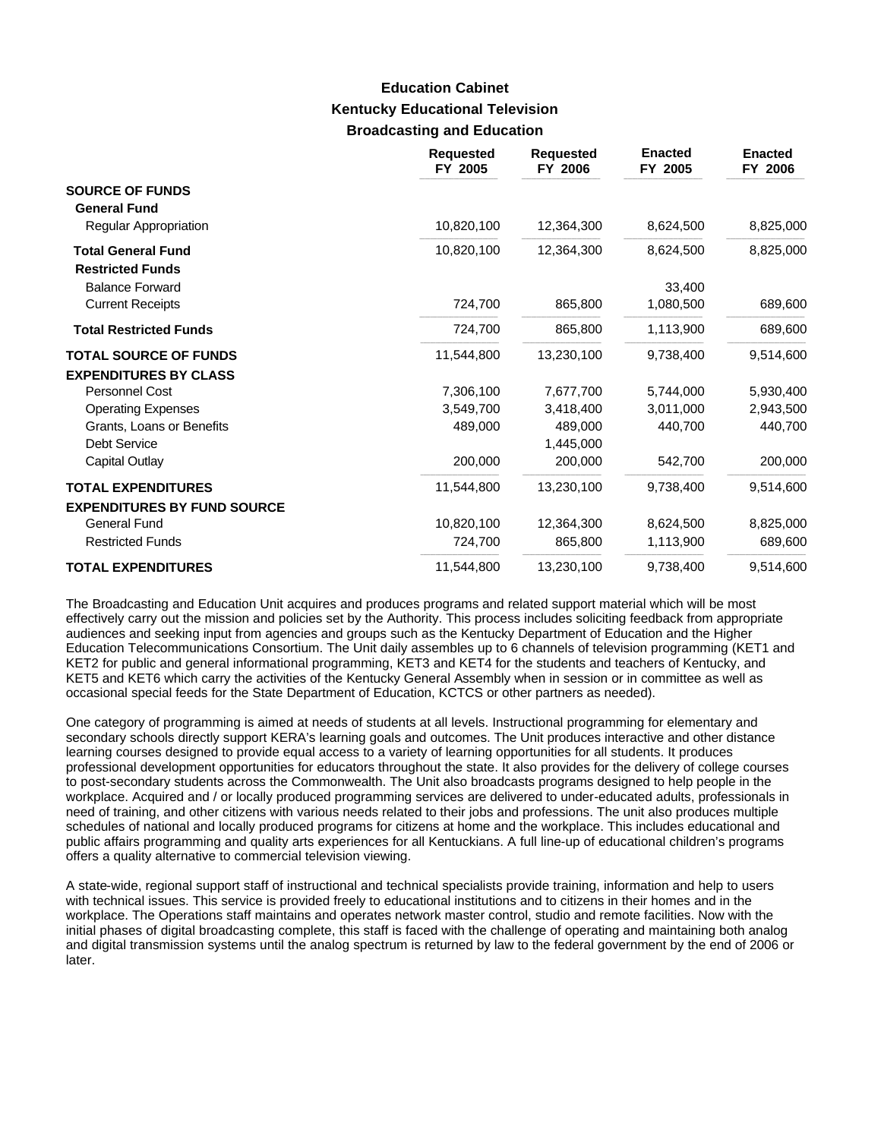## **Kentucky Educational Television Broadcasting and Education Education Cabinet**

|                                                                 | <b>Requested</b><br>FY 2005 | <b>Requested</b><br>FY 2006 | <b>Enacted</b><br>FY 2005 | <b>Enacted</b><br>FY 2006 |
|-----------------------------------------------------------------|-----------------------------|-----------------------------|---------------------------|---------------------------|
| <b>SOURCE OF FUNDS</b><br><b>General Fund</b>                   |                             |                             |                           |                           |
| <b>Regular Appropriation</b>                                    | 10,820,100                  | 12,364,300                  | 8,624,500                 | 8,825,000                 |
| <b>Total General Fund</b><br><b>Restricted Funds</b>            | 10,820,100                  | 12,364,300                  | 8,624,500                 | 8,825,000                 |
| <b>Balance Forward</b>                                          |                             |                             | 33,400                    |                           |
| <b>Current Receipts</b>                                         | 724,700                     | 865,800                     | 1,080,500                 | 689,600                   |
| <b>Total Restricted Funds</b>                                   | 724,700                     | 865,800                     | 1,113,900                 | 689,600                   |
| <b>TOTAL SOURCE OF FUNDS</b>                                    | 11,544,800                  | 13,230,100                  | 9,738,400                 | 9,514,600                 |
| <b>EXPENDITURES BY CLASS</b>                                    |                             |                             |                           |                           |
| Personnel Cost                                                  | 7,306,100                   | 7,677,700                   | 5,744,000                 | 5,930,400                 |
| <b>Operating Expenses</b>                                       | 3,549,700                   | 3,418,400                   | 3,011,000                 | 2,943,500                 |
| Grants, Loans or Benefits                                       | 489.000                     | 489.000                     | 440.700                   | 440,700                   |
| <b>Debt Service</b>                                             |                             | 1,445,000                   |                           |                           |
| Capital Outlay                                                  | 200,000                     | 200,000                     | 542,700                   | 200,000                   |
| <b>TOTAL EXPENDITURES</b><br><b>EXPENDITURES BY FUND SOURCE</b> | 11,544,800                  | 13,230,100                  | 9,738,400                 | 9,514,600                 |
| <b>General Fund</b>                                             | 10,820,100                  | 12,364,300                  | 8,624,500                 | 8,825,000                 |
| <b>Restricted Funds</b>                                         | 724,700                     | 865,800                     | 1,113,900                 | 689,600                   |
| <b>TOTAL EXPENDITURES</b>                                       | 11,544,800                  | 13,230,100                  | 9,738,400                 | 9,514,600                 |

The Broadcasting and Education Unit acquires and produces programs and related support material which will be most effectively carry out the mission and policies set by the Authority. This process includes soliciting feedback from appropriate audiences and seeking input from agencies and groups such as the Kentucky Department of Education and the Higher Education Telecommunications Consortium. The Unit daily assembles up to 6 channels of television programming (KET1 and KET2 for public and general informational programming, KET3 and KET4 for the students and teachers of Kentucky, and KET5 and KET6 which carry the activities of the Kentucky General Assembly when in session or in committee as well as occasional special feeds for the State Department of Education, KCTCS or other partners as needed).

One category of programming is aimed at needs of students at all levels. Instructional programming for elementary and secondary schools directly support KERA's learning goals and outcomes. The Unit produces interactive and other distance learning courses designed to provide equal access to a variety of learning opportunities for all students. It produces professional development opportunities for educators throughout the state. It also provides for the delivery of college courses to post-secondary students across the Commonwealth. The Unit also broadcasts programs designed to help people in the workplace. Acquired and / or locally produced programming services are delivered to under-educated adults, professionals in need of training, and other citizens with various needs related to their jobs and professions. The unit also produces multiple schedules of national and locally produced programs for citizens at home and the workplace. This includes educational and public affairs programming and quality arts experiences for all Kentuckians. A full line-up of educational children's programs offers a quality alternative to commercial television viewing.

A state-wide, regional support staff of instructional and technical specialists provide training, information and help to users with technical issues. This service is provided freely to educational institutions and to citizens in their homes and in the workplace. The Operations staff maintains and operates network master control, studio and remote facilities. Now with the initial phases of digital broadcasting complete, this staff is faced with the challenge of operating and maintaining both analog and digital transmission systems until the analog spectrum is returned by law to the federal government by the end of 2006 or later.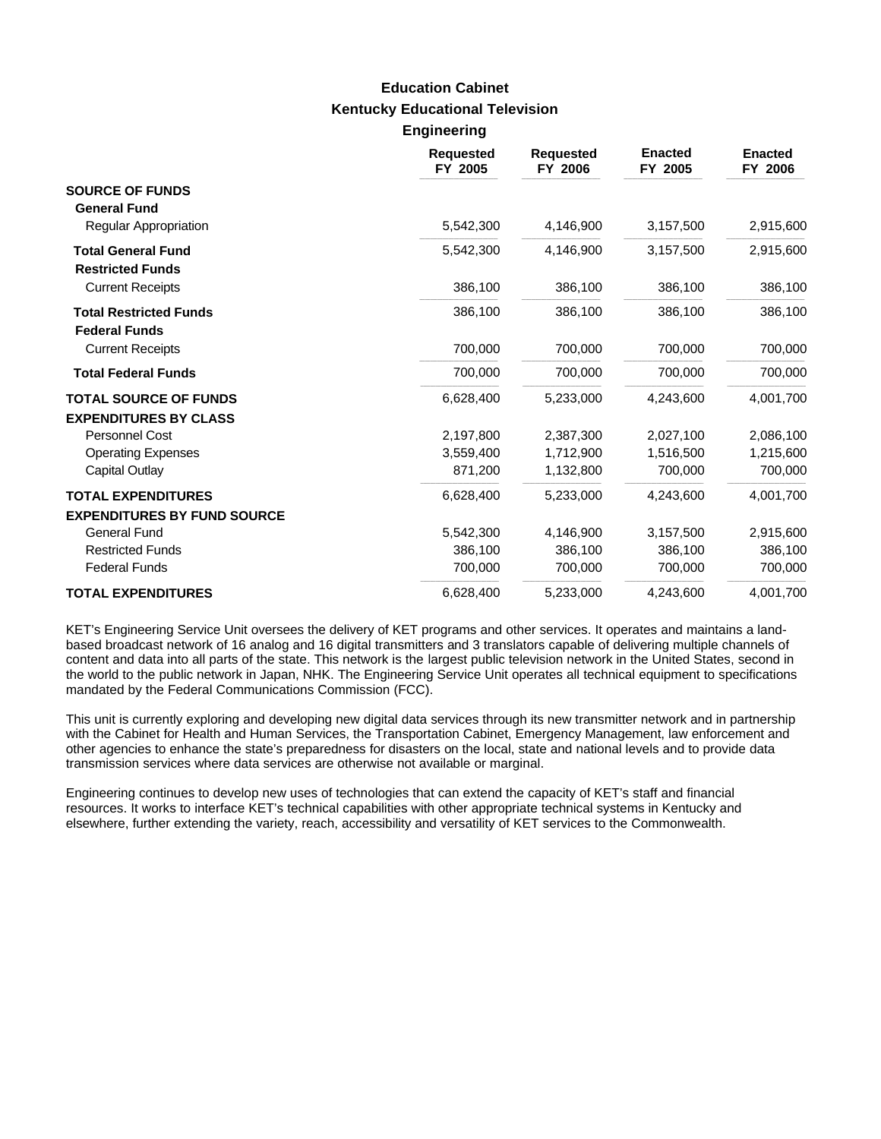### **Kentucky Educational Television Engineering Education Cabinet**

|                                                              | <b>Requested</b><br>FY 2005 | <b>Requested</b><br>FY 2006 | <b>Enacted</b><br>FY 2005 | <b>Enacted</b><br>FY 2006 |
|--------------------------------------------------------------|-----------------------------|-----------------------------|---------------------------|---------------------------|
| <b>SOURCE OF FUNDS</b><br><b>General Fund</b>                |                             |                             |                           |                           |
| Regular Appropriation                                        | 5,542,300                   | 4,146,900                   | 3,157,500                 | 2,915,600                 |
| <b>Total General Fund</b><br><b>Restricted Funds</b>         | 5,542,300                   | 4,146,900                   | 3,157,500                 | 2,915,600                 |
| <b>Current Receipts</b>                                      | 386,100                     | 386,100                     | 386,100                   | 386,100                   |
| <b>Total Restricted Funds</b><br><b>Federal Funds</b>        | 386,100                     | 386,100                     | 386,100                   | 386,100                   |
| <b>Current Receipts</b>                                      | 700,000                     | 700,000                     | 700,000                   | 700,000                   |
| <b>Total Federal Funds</b>                                   | 700,000                     | 700,000                     | 700,000                   | 700,000                   |
| <b>TOTAL SOURCE OF FUNDS</b><br><b>EXPENDITURES BY CLASS</b> | 6,628,400                   | 5,233,000                   | 4,243,600                 | 4,001,700                 |
| Personnel Cost                                               | 2,197,800                   | 2.387.300                   | 2,027,100                 | 2,086,100                 |
| <b>Operating Expenses</b>                                    | 3,559,400                   | 1,712,900                   | 1,516,500                 | 1,215,600                 |
| Capital Outlay                                               | 871,200                     | 1,132,800                   | 700,000                   | 700,000                   |
| <b>TOTAL EXPENDITURES</b>                                    | 6,628,400                   | 5,233,000                   | 4,243,600                 | 4,001,700                 |
| <b>EXPENDITURES BY FUND SOURCE</b>                           |                             |                             |                           |                           |
| <b>General Fund</b>                                          | 5,542,300                   | 4,146,900                   | 3,157,500                 | 2,915,600                 |
| <b>Restricted Funds</b>                                      | 386,100                     | 386,100                     | 386,100                   | 386,100                   |
| <b>Federal Funds</b>                                         | 700,000                     | 700,000                     | 700,000                   | 700,000                   |
| <b>TOTAL EXPENDITURES</b>                                    | 6,628,400                   | 5,233,000                   | 4,243,600                 | 4,001,700                 |

KET's Engineering Service Unit oversees the delivery of KET programs and other services. It operates and maintains a landbased broadcast network of 16 analog and 16 digital transmitters and 3 translators capable of delivering multiple channels of content and data into all parts of the state. This network is the largest public television network in the United States, second in the world to the public network in Japan, NHK. The Engineering Service Unit operates all technical equipment to specifications mandated by the Federal Communications Commission (FCC).

This unit is currently exploring and developing new digital data services through its new transmitter network and in partnership with the Cabinet for Health and Human Services, the Transportation Cabinet, Emergency Management, law enforcement and other agencies to enhance the state's preparedness for disasters on the local, state and national levels and to provide data transmission services where data services are otherwise not available or marginal.

Engineering continues to develop new uses of technologies that can extend the capacity of KET's staff and financial resources. It works to interface KET's technical capabilities with other appropriate technical systems in Kentucky and elsewhere, further extending the variety, reach, accessibility and versatility of KET services to the Commonwealth.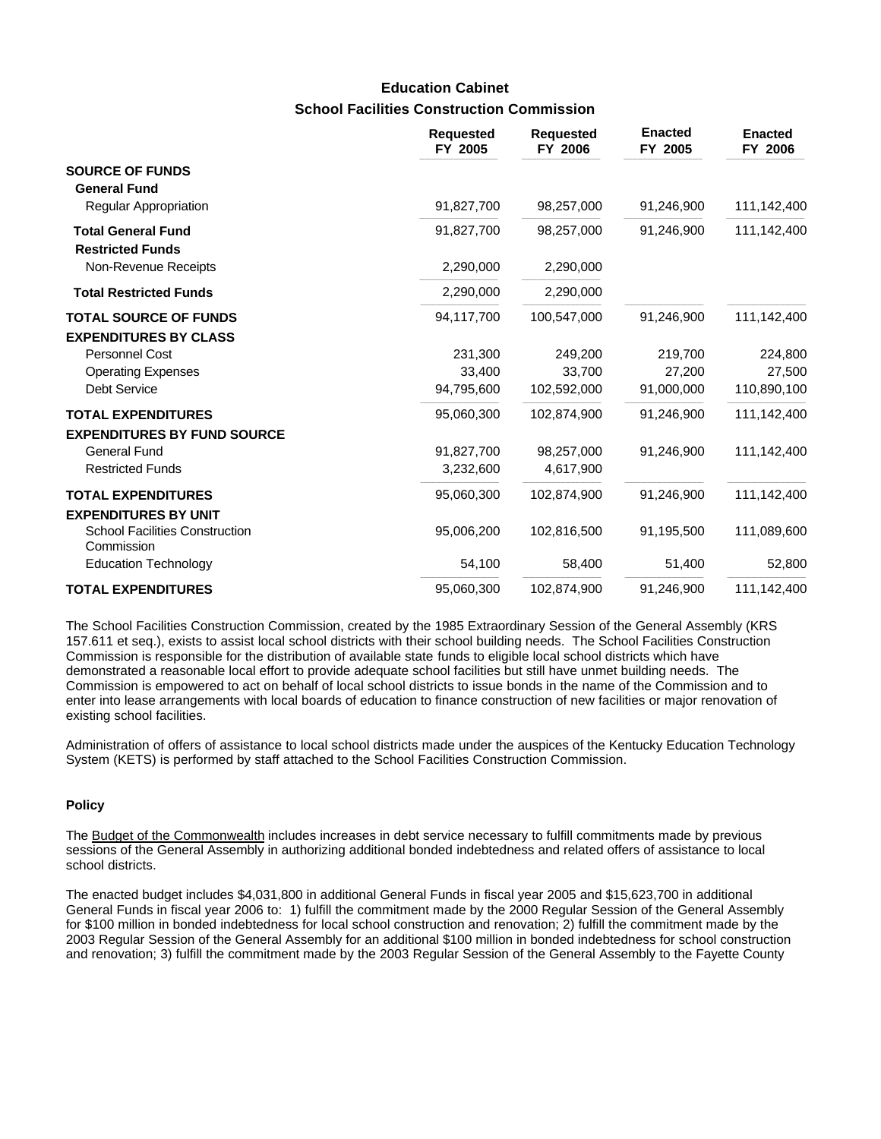## **School Facilities Construction Commission Education Cabinet**

|                                                              | <b>Requested</b><br>FY 2005 | <b>Requested</b><br>FY 2006 | <b>Enacted</b><br>FY 2005 | <b>Enacted</b><br>FY 2006 |
|--------------------------------------------------------------|-----------------------------|-----------------------------|---------------------------|---------------------------|
| <b>SOURCE OF FUNDS</b><br><b>General Fund</b>                |                             |                             |                           |                           |
| Regular Appropriation                                        | 91,827,700                  | 98,257,000                  | 91,246,900                | 111,142,400               |
| <b>Total General Fund</b><br><b>Restricted Funds</b>         | 91,827,700                  | 98,257,000                  | 91,246,900                | 111,142,400               |
| Non-Revenue Receipts                                         | 2,290,000                   | 2,290,000                   |                           |                           |
| <b>Total Restricted Funds</b>                                | 2,290,000                   | 2,290,000                   |                           |                           |
| <b>TOTAL SOURCE OF FUNDS</b><br><b>EXPENDITURES BY CLASS</b> | 94,117,700                  | 100,547,000                 | 91,246,900                | 111,142,400               |
| Personnel Cost                                               | 231,300                     | 249,200                     | 219,700                   | 224,800                   |
| <b>Operating Expenses</b>                                    | 33,400                      | 33,700                      | 27,200                    | 27,500                    |
| <b>Debt Service</b>                                          | 94,795,600                  | 102,592,000                 | 91,000,000                | 110,890,100               |
| <b>TOTAL EXPENDITURES</b>                                    | 95,060,300                  | 102,874,900                 | 91,246,900                | 111,142,400               |
| <b>EXPENDITURES BY FUND SOURCE</b>                           |                             |                             |                           |                           |
| <b>General Fund</b>                                          | 91,827,700                  | 98,257,000                  | 91,246,900                | 111,142,400               |
| <b>Restricted Funds</b>                                      | 3,232,600                   | 4,617,900                   |                           |                           |
| <b>TOTAL EXPENDITURES</b>                                    | 95,060,300                  | 102,874,900                 | 91,246,900                | 111,142,400               |
| <b>EXPENDITURES BY UNIT</b>                                  |                             |                             |                           |                           |
| <b>School Facilities Construction</b><br>Commission          | 95,006,200                  | 102,816,500                 | 91,195,500                | 111,089,600               |
| <b>Education Technology</b>                                  | 54,100                      | 58,400                      | 51,400                    | 52,800                    |
| <b>TOTAL EXPENDITURES</b>                                    | 95,060,300                  | 102,874,900                 | 91,246,900                | 111,142,400               |

The School Facilities Construction Commission, created by the 1985 Extraordinary Session of the General Assembly (KRS 157.611 et seq.), exists to assist local school districts with their school building needs. The School Facilities Construction Commission is responsible for the distribution of available state funds to eligible local school districts which have demonstrated a reasonable local effort to provide adequate school facilities but still have unmet building needs. The Commission is empowered to act on behalf of local school districts to issue bonds in the name of the Commission and to enter into lease arrangements with local boards of education to finance construction of new facilities or major renovation of existing school facilities.

Administration of offers of assistance to local school districts made under the auspices of the Kentucky Education Technology System (KETS) is performed by staff attached to the School Facilities Construction Commission.

### **Policy**

The Budget of the Commonwealth includes increases in debt service necessary to fulfill commitments made by previous sessions of the General Assembly in authorizing additional bonded indebtedness and related offers of assistance to local school districts.

The enacted budget includes \$4,031,800 in additional General Funds in fiscal year 2005 and \$15,623,700 in additional General Funds in fiscal year 2006 to: 1) fulfill the commitment made by the 2000 Regular Session of the General Assembly for \$100 million in bonded indebtedness for local school construction and renovation; 2) fulfill the commitment made by the 2003 Regular Session of the General Assembly for an additional \$100 million in bonded indebtedness for school construction and renovation; 3) fulfill the commitment made by the 2003 Regular Session of the General Assembly to the Fayette County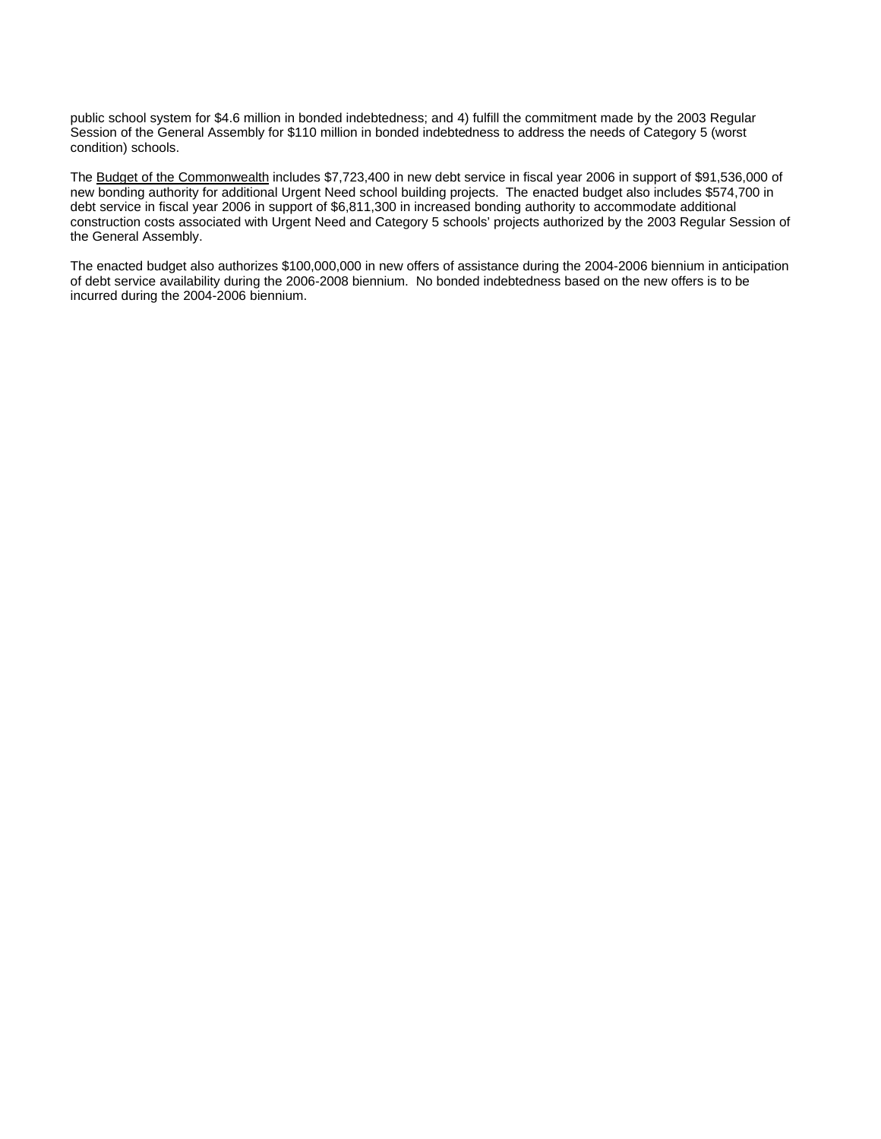public school system for \$4.6 million in bonded indebtedness; and 4) fulfill the commitment made by the 2003 Regular Session of the General Assembly for \$110 million in bonded indebtedness to address the needs of Category 5 (worst condition) schools.

The Budget of the Commonwealth includes \$7,723,400 in new debt service in fiscal year 2006 in support of \$91,536,000 of new bonding authority for additional Urgent Need school building projects. The enacted budget also includes \$574,700 in debt service in fiscal year 2006 in support of \$6,811,300 in increased bonding authority to accommodate additional construction costs associated with Urgent Need and Category 5 schools' projects authorized by the 2003 Regular Session of the General Assembly.

The enacted budget also authorizes \$100,000,000 in new offers of assistance during the 2004-2006 biennium in anticipation of debt service availability during the 2006-2008 biennium. No bonded indebtedness based on the new offers is to be incurred during the 2004-2006 biennium.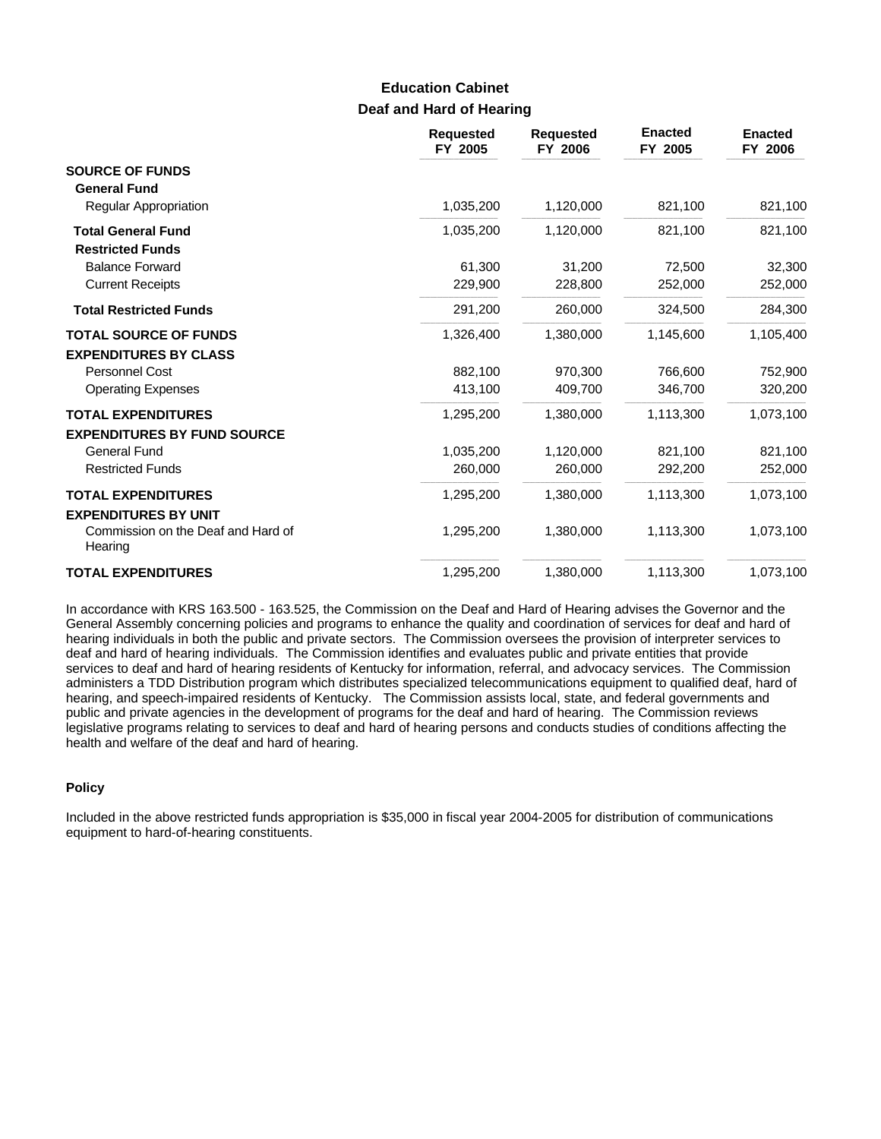## **Deaf and Hard of Hearing Education Cabinet**

|                                               | <b>Requested</b><br>FY 2005 | <b>Requested</b><br>FY 2006 | <b>Enacted</b><br>FY 2005 | <b>Enacted</b><br>FY 2006 |
|-----------------------------------------------|-----------------------------|-----------------------------|---------------------------|---------------------------|
| <b>SOURCE OF FUNDS</b>                        |                             |                             |                           |                           |
| <b>General Fund</b>                           |                             |                             |                           |                           |
| <b>Regular Appropriation</b>                  | 1,035,200                   | 1,120,000                   | 821,100                   | 821,100                   |
| <b>Total General Fund</b>                     | 1,035,200                   | 1,120,000                   | 821,100                   | 821,100                   |
| <b>Restricted Funds</b>                       |                             |                             |                           |                           |
| <b>Balance Forward</b>                        | 61,300                      | 31,200                      | 72,500                    | 32,300                    |
| <b>Current Receipts</b>                       | 229,900                     | 228,800                     | 252,000                   | 252,000                   |
| <b>Total Restricted Funds</b>                 | 291,200                     | 260,000                     | 324,500                   | 284,300                   |
| <b>TOTAL SOURCE OF FUNDS</b>                  | 1,326,400                   | 1,380,000                   | 1,145,600                 | 1,105,400                 |
| <b>EXPENDITURES BY CLASS</b>                  |                             |                             |                           |                           |
| Personnel Cost                                | 882,100                     | 970.300                     | 766,600                   | 752,900                   |
| <b>Operating Expenses</b>                     | 413,100                     | 409,700                     | 346,700                   | 320,200                   |
| <b>TOTAL EXPENDITURES</b>                     | 1,295,200                   | 1,380,000                   | 1,113,300                 | 1,073,100                 |
| <b>EXPENDITURES BY FUND SOURCE</b>            |                             |                             |                           |                           |
| <b>General Fund</b>                           | 1,035,200                   | 1,120,000                   | 821,100                   | 821,100                   |
| <b>Restricted Funds</b>                       | 260,000                     | 260,000                     | 292,200                   | 252,000                   |
| <b>TOTAL EXPENDITURES</b>                     | 1,295,200                   | 1,380,000                   | 1,113,300                 | 1,073,100                 |
| <b>EXPENDITURES BY UNIT</b>                   |                             |                             |                           |                           |
| Commission on the Deaf and Hard of<br>Hearing | 1,295,200                   | 1,380,000                   | 1,113,300                 | 1,073,100                 |
| <b>TOTAL EXPENDITURES</b>                     | 1,295,200                   | 1,380,000                   | 1,113,300                 | 1,073,100                 |

In accordance with KRS 163.500 - 163.525, the Commission on the Deaf and Hard of Hearing advises the Governor and the General Assembly concerning policies and programs to enhance the quality and coordination of services for deaf and hard of hearing individuals in both the public and private sectors. The Commission oversees the provision of interpreter services to deaf and hard of hearing individuals. The Commission identifies and evaluates public and private entities that provide services to deaf and hard of hearing residents of Kentucky for information, referral, and advocacy services. The Commission administers a TDD Distribution program which distributes specialized telecommunications equipment to qualified deaf, hard of hearing, and speech-impaired residents of Kentucky. The Commission assists local, state, and federal governments and public and private agencies in the development of programs for the deaf and hard of hearing. The Commission reviews legislative programs relating to services to deaf and hard of hearing persons and conducts studies of conditions affecting the health and welfare of the deaf and hard of hearing.

#### **Policy**

Included in the above restricted funds appropriation is \$35,000 in fiscal year 2004-2005 for distribution of communications equipment to hard-of-hearing constituents.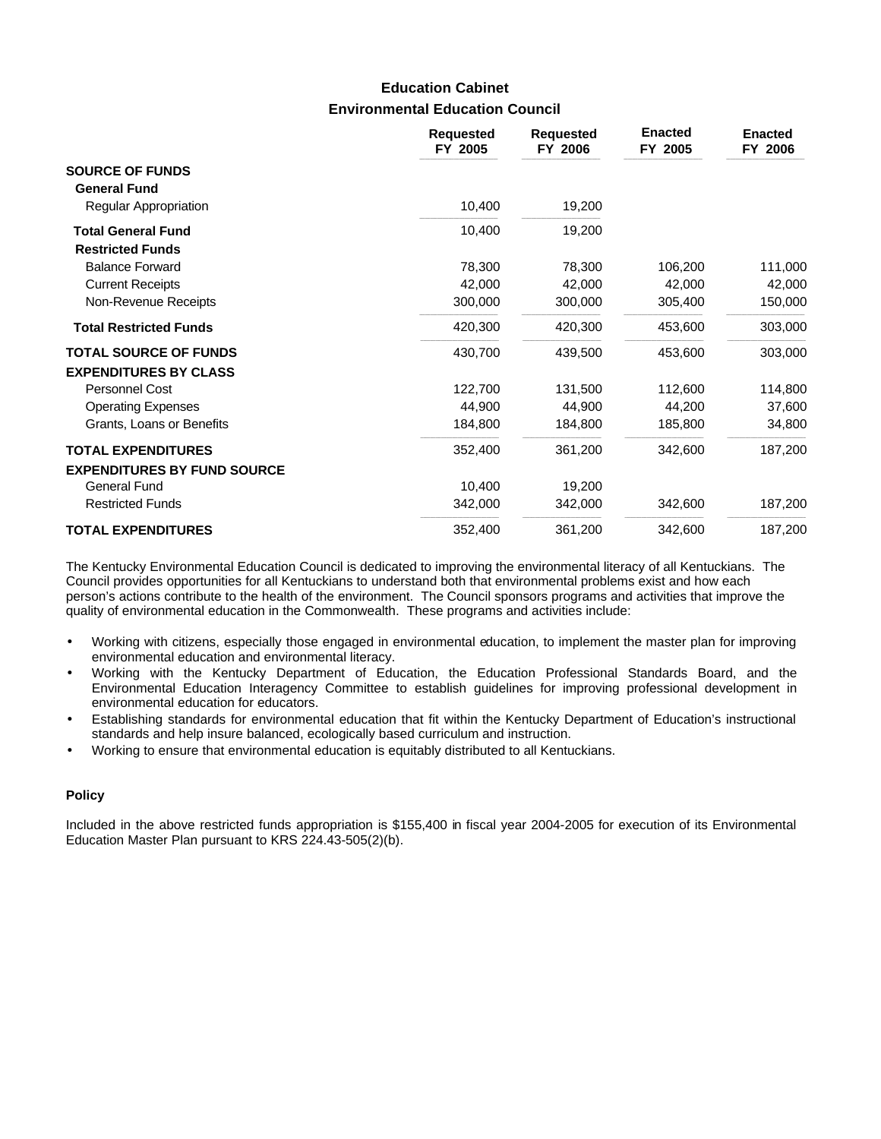# **Environmental Education Council Education Cabinet**

|                                    | <b>Requested</b><br>FY 2005 | <b>Requested</b><br>FY 2006 | <b>Enacted</b><br>FY 2005 | <b>Enacted</b><br>FY 2006 |
|------------------------------------|-----------------------------|-----------------------------|---------------------------|---------------------------|
| <b>SOURCE OF FUNDS</b>             |                             |                             |                           |                           |
| <b>General Fund</b>                |                             |                             |                           |                           |
| Regular Appropriation              | 10,400                      | 19,200                      |                           |                           |
| <b>Total General Fund</b>          | 10,400                      | 19,200                      |                           |                           |
| <b>Restricted Funds</b>            |                             |                             |                           |                           |
| <b>Balance Forward</b>             | 78,300                      | 78,300                      | 106,200                   | 111,000                   |
| <b>Current Receipts</b>            | 42,000                      | 42,000                      | 42,000                    | 42,000                    |
| Non-Revenue Receipts               | 300,000                     | 300,000                     | 305,400                   | 150,000                   |
| <b>Total Restricted Funds</b>      | 420,300                     | 420,300                     | 453,600                   | 303,000                   |
| <b>TOTAL SOURCE OF FUNDS</b>       | 430,700                     | 439,500                     | 453,600                   | 303,000                   |
| <b>EXPENDITURES BY CLASS</b>       |                             |                             |                           |                           |
| Personnel Cost                     | 122,700                     | 131,500                     | 112,600                   | 114,800                   |
| <b>Operating Expenses</b>          | 44,900                      | 44,900                      | 44,200                    | 37,600                    |
| Grants, Loans or Benefits          | 184,800                     | 184,800                     | 185,800                   | 34,800                    |
| <b>TOTAL EXPENDITURES</b>          | 352,400                     | 361,200                     | 342,600                   | 187,200                   |
| <b>EXPENDITURES BY FUND SOURCE</b> |                             |                             |                           |                           |
| <b>General Fund</b>                | 10,400                      | 19,200                      |                           |                           |
| <b>Restricted Funds</b>            | 342,000                     | 342,000                     | 342,600                   | 187,200                   |
| <b>TOTAL EXPENDITURES</b>          | 352,400                     | 361,200                     | 342,600                   | 187,200                   |

The Kentucky Environmental Education Council is dedicated to improving the environmental literacy of all Kentuckians. The Council provides opportunities for all Kentuckians to understand both that environmental problems exist and how each person's actions contribute to the health of the environment. The Council sponsors programs and activities that improve the quality of environmental education in the Commonwealth. These programs and activities include:

- Working with citizens, especially those engaged in environmental education, to implement the master plan for improving environmental education and environmental literacy.
- Working with the Kentucky Department of Education, the Education Professional Standards Board, and the Environmental Education Interagency Committee to establish guidelines for improving professional development in environmental education for educators.
- Establishing standards for environmental education that fit within the Kentucky Department of Education's instructional standards and help insure balanced, ecologically based curriculum and instruction.
- Working to ensure that environmental education is equitably distributed to all Kentuckians.

#### **Policy**

Included in the above restricted funds appropriation is \$155,400 in fiscal year 2004-2005 for execution of its Environmental Education Master Plan pursuant to KRS 224.43-505(2)(b).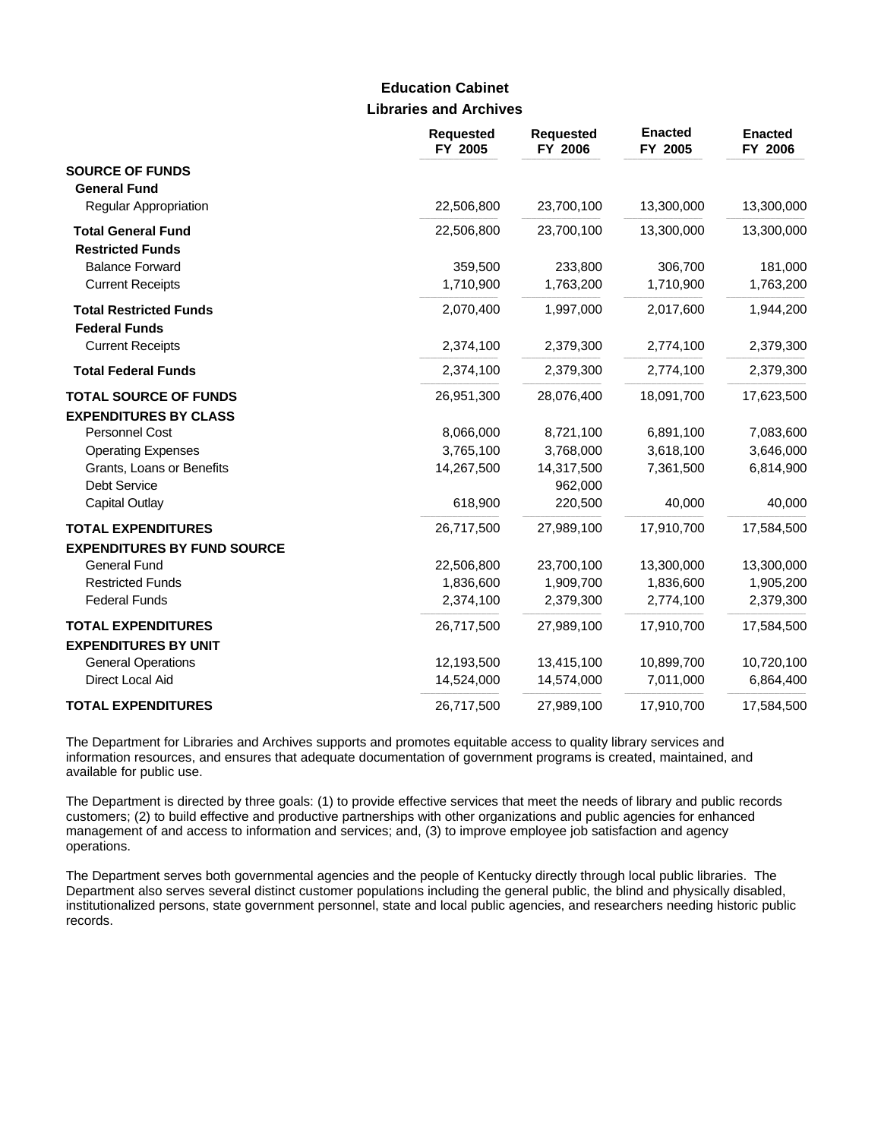### **Libraries and Archives Education Cabinet**

|                                                              | Requested<br>FY 2005 | <b>Requested</b><br>FY 2006 | <b>Enacted</b><br>FY 2005 | <b>Enacted</b><br>FY 2006 |
|--------------------------------------------------------------|----------------------|-----------------------------|---------------------------|---------------------------|
| <b>SOURCE OF FUNDS</b><br><b>General Fund</b>                |                      |                             |                           |                           |
| Regular Appropriation                                        | 22,506,800           | 23,700,100                  | 13,300,000                | 13,300,000                |
| <b>Total General Fund</b><br><b>Restricted Funds</b>         | 22,506,800           | 23,700,100                  | 13,300,000                | 13,300,000                |
| <b>Balance Forward</b>                                       | 359,500              | 233,800                     | 306,700                   | 181,000                   |
| <b>Current Receipts</b>                                      | 1,710,900            | 1,763,200                   | 1,710,900                 | 1,763,200                 |
| <b>Total Restricted Funds</b><br><b>Federal Funds</b>        | 2,070,400            | 1,997,000                   | 2,017,600                 | 1,944,200                 |
| <b>Current Receipts</b>                                      | 2,374,100            | 2,379,300                   | 2,774,100                 | 2,379,300                 |
| <b>Total Federal Funds</b>                                   | 2,374,100            | 2,379,300                   | 2,774,100                 | 2,379,300                 |
| <b>TOTAL SOURCE OF FUNDS</b><br><b>EXPENDITURES BY CLASS</b> | 26,951,300           | 28,076,400                  | 18,091,700                | 17,623,500                |
| Personnel Cost                                               | 8,066,000            | 8,721,100                   | 6,891,100                 | 7,083,600                 |
| <b>Operating Expenses</b>                                    | 3,765,100            | 3,768,000                   | 3,618,100                 | 3,646,000                 |
| Grants, Loans or Benefits                                    | 14,267,500           | 14,317,500                  | 7,361,500                 | 6,814,900                 |
| <b>Debt Service</b>                                          |                      | 962,000                     |                           |                           |
| <b>Capital Outlay</b>                                        | 618,900              | 220,500                     | 40,000                    | 40,000                    |
| <b>TOTAL EXPENDITURES</b>                                    | 26,717,500           | 27,989,100                  | 17,910,700                | 17,584,500                |
| <b>EXPENDITURES BY FUND SOURCE</b>                           |                      |                             |                           |                           |
| <b>General Fund</b>                                          | 22,506,800           | 23,700,100                  | 13,300,000                | 13,300,000                |
| <b>Restricted Funds</b>                                      | 1,836,600            | 1,909,700                   | 1,836,600                 | 1,905,200                 |
| <b>Federal Funds</b>                                         | 2,374,100            | 2,379,300                   | 2,774,100                 | 2,379,300                 |
| <b>TOTAL EXPENDITURES</b>                                    | 26,717,500           | 27,989,100                  | 17,910,700                | 17,584,500                |
| <b>EXPENDITURES BY UNIT</b><br><b>General Operations</b>     | 12,193,500           | 13,415,100                  | 10,899,700                | 10,720,100                |
| Direct Local Aid                                             | 14,524,000           | 14,574,000                  | 7,011,000                 | 6,864,400                 |
| <b>TOTAL EXPENDITURES</b>                                    | 26,717,500           | 27,989,100                  | 17,910,700                | 17,584,500                |

The Department for Libraries and Archives supports and promotes equitable access to quality library services and information resources, and ensures that adequate documentation of government programs is created, maintained, and available for public use.

The Department is directed by three goals: (1) to provide effective services that meet the needs of library and public records customers; (2) to build effective and productive partnerships with other organizations and public agencies for enhanced management of and access to information and services; and, (3) to improve employee job satisfaction and agency operations.

The Department serves both governmental agencies and the people of Kentucky directly through local public libraries. The Department also serves several distinct customer populations including the general public, the blind and physically disabled, institutionalized persons, state government personnel, state and local public agencies, and researchers needing historic public records.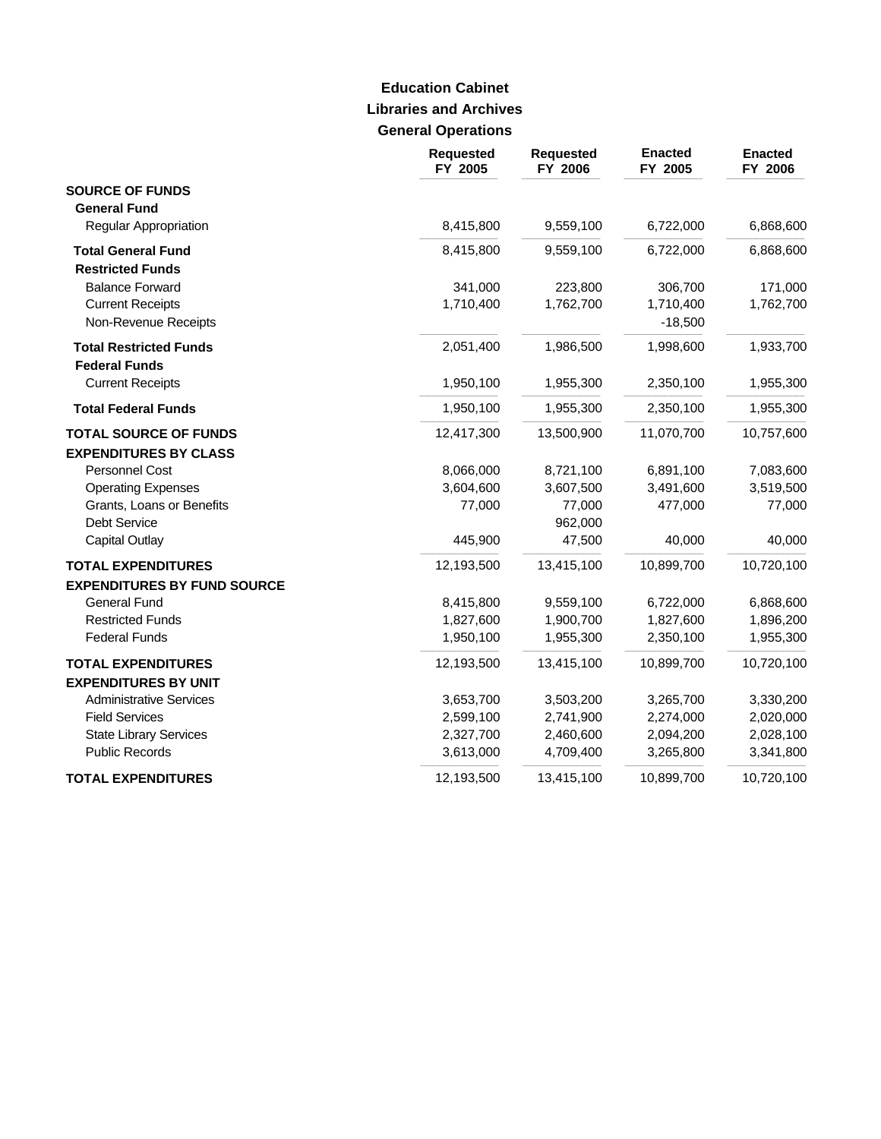# **Libraries and Archives General Operations Education Cabinet**

|                                    | Requested<br>FY 2005 | <b>Requested</b><br>FY 2006 | <b>Enacted</b><br>FY 2005 | <b>Enacted</b><br>FY 2006 |
|------------------------------------|----------------------|-----------------------------|---------------------------|---------------------------|
| <b>SOURCE OF FUNDS</b>             |                      |                             |                           |                           |
| <b>General Fund</b>                |                      |                             |                           |                           |
| Regular Appropriation              | 8,415,800            | 9,559,100                   | 6,722,000                 | 6,868,600                 |
| <b>Total General Fund</b>          | 8,415,800            | 9,559,100                   | 6,722,000                 | 6,868,600                 |
| <b>Restricted Funds</b>            |                      |                             |                           |                           |
| <b>Balance Forward</b>             | 341,000              | 223,800                     | 306,700                   | 171,000                   |
| <b>Current Receipts</b>            | 1,710,400            | 1,762,700                   | 1,710,400                 | 1,762,700                 |
| Non-Revenue Receipts               |                      |                             | $-18,500$                 |                           |
| <b>Total Restricted Funds</b>      | 2,051,400            | 1,986,500                   | 1,998,600                 | 1,933,700                 |
| <b>Federal Funds</b>               |                      |                             |                           |                           |
| <b>Current Receipts</b>            | 1,950,100            | 1,955,300                   | 2,350,100                 | 1,955,300                 |
| <b>Total Federal Funds</b>         | 1,950,100            | 1,955,300                   | 2,350,100                 | 1,955,300                 |
| <b>TOTAL SOURCE OF FUNDS</b>       | 12,417,300           | 13,500,900                  | 11,070,700                | 10,757,600                |
| <b>EXPENDITURES BY CLASS</b>       |                      |                             |                           |                           |
| Personnel Cost                     | 8,066,000            | 8,721,100                   | 6,891,100                 | 7,083,600                 |
| <b>Operating Expenses</b>          | 3,604,600            | 3,607,500                   | 3,491,600                 | 3,519,500                 |
| Grants, Loans or Benefits          | 77,000               | 77,000                      | 477,000                   | 77,000                    |
| Debt Service                       |                      | 962,000                     |                           |                           |
| <b>Capital Outlay</b>              | 445,900              | 47,500                      | 40,000                    | 40,000                    |
| <b>TOTAL EXPENDITURES</b>          | 12,193,500           | 13,415,100                  | 10,899,700                | 10,720,100                |
| <b>EXPENDITURES BY FUND SOURCE</b> |                      |                             |                           |                           |
| <b>General Fund</b>                | 8,415,800            | 9,559,100                   | 6,722,000                 | 6,868,600                 |
| <b>Restricted Funds</b>            | 1,827,600            | 1,900,700                   | 1,827,600                 | 1,896,200                 |
| <b>Federal Funds</b>               | 1,950,100            | 1,955,300                   | 2,350,100                 | 1,955,300                 |
| <b>TOTAL EXPENDITURES</b>          | 12,193,500           | 13,415,100                  | 10,899,700                | 10,720,100                |
| <b>EXPENDITURES BY UNIT</b>        |                      |                             |                           |                           |
| <b>Administrative Services</b>     | 3,653,700            | 3,503,200                   | 3,265,700                 | 3,330,200                 |
| <b>Field Services</b>              | 2,599,100            | 2,741,900                   | 2,274,000                 | 2,020,000                 |
| <b>State Library Services</b>      | 2,327,700            | 2,460,600                   | 2,094,200                 | 2,028,100                 |
| <b>Public Records</b>              | 3,613,000            | 4,709,400                   | 3,265,800                 | 3,341,800                 |
| <b>TOTAL EXPENDITURES</b>          | 12,193,500           | 13,415,100                  | 10,899,700                | 10,720,100                |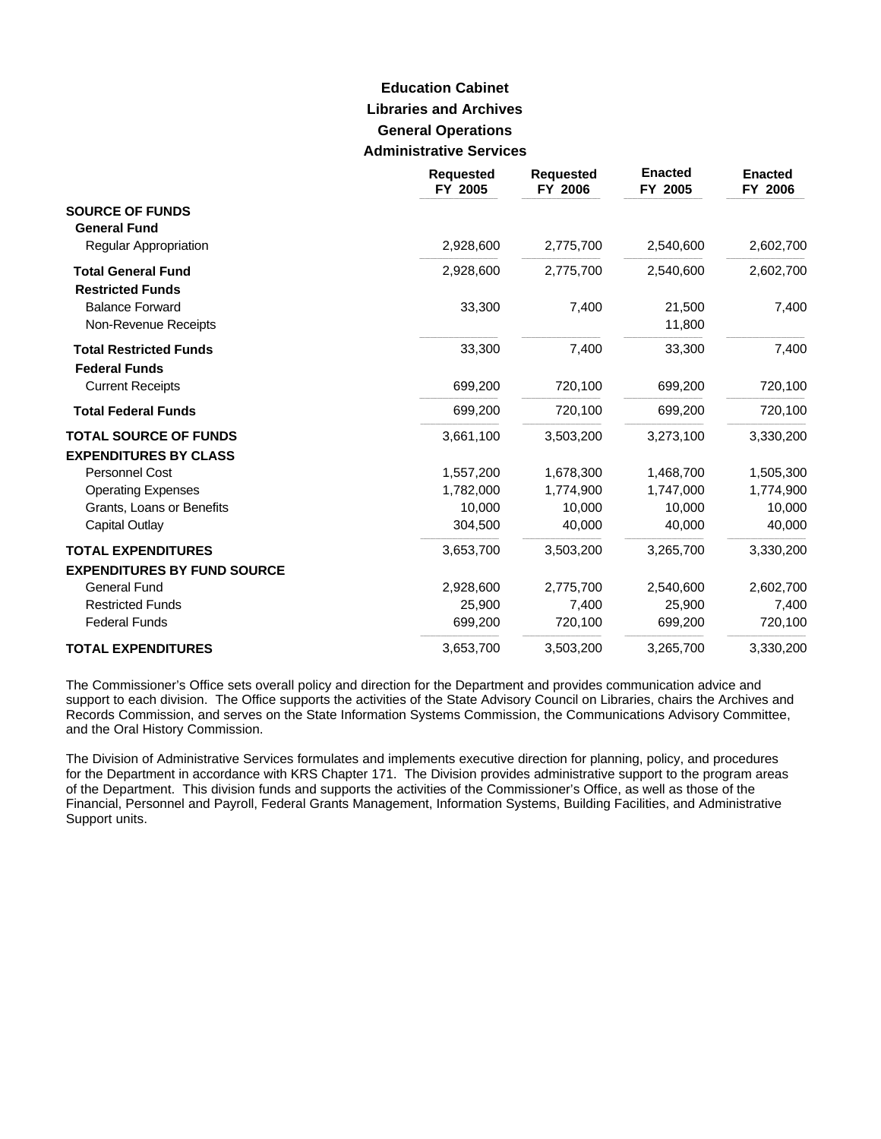# **Libraries and Archives General Operations Administrative Services Education Cabinet**

|                                                              | <b>Requested</b><br>FY 2005 | <b>Requested</b><br>FY 2006 | <b>Enacted</b><br>FY 2005 | <b>Enacted</b><br>FY 2006 |
|--------------------------------------------------------------|-----------------------------|-----------------------------|---------------------------|---------------------------|
| <b>SOURCE OF FUNDS</b><br><b>General Fund</b>                |                             |                             |                           |                           |
| Regular Appropriation                                        | 2,928,600                   | 2,775,700                   | 2,540,600                 | 2,602,700                 |
| <b>Total General Fund</b><br><b>Restricted Funds</b>         | 2,928,600                   | 2,775,700                   | 2,540,600                 | 2,602,700                 |
| <b>Balance Forward</b><br>Non-Revenue Receipts               | 33,300                      | 7,400                       | 21,500<br>11,800          | 7,400                     |
| <b>Total Restricted Funds</b><br><b>Federal Funds</b>        | 33,300                      | 7,400                       | 33,300                    | 7,400                     |
| <b>Current Receipts</b>                                      | 699,200                     | 720,100                     | 699,200                   | 720,100                   |
| <b>Total Federal Funds</b>                                   | 699,200                     | 720,100                     | 699,200                   | 720,100                   |
| <b>TOTAL SOURCE OF FUNDS</b><br><b>EXPENDITURES BY CLASS</b> | 3,661,100                   | 3,503,200                   | 3,273,100                 | 3,330,200                 |
| <b>Personnel Cost</b>                                        | 1,557,200                   | 1,678,300                   | 1,468,700                 | 1,505,300                 |
| <b>Operating Expenses</b>                                    | 1,782,000                   | 1,774,900                   | 1,747,000                 | 1,774,900                 |
| Grants, Loans or Benefits                                    | 10.000                      | 10,000                      | 10,000                    | 10,000                    |
| <b>Capital Outlay</b>                                        | 304,500                     | 40,000                      | 40,000                    | 40,000                    |
| <b>TOTAL EXPENDITURES</b>                                    | 3,653,700                   | 3,503,200                   | 3,265,700                 | 3,330,200                 |
| <b>EXPENDITURES BY FUND SOURCE</b>                           |                             |                             |                           |                           |
| <b>General Fund</b>                                          | 2,928,600                   | 2,775,700                   | 2,540,600                 | 2,602,700                 |
| <b>Restricted Funds</b>                                      | 25,900                      | 7,400                       | 25,900                    | 7,400                     |
| <b>Federal Funds</b>                                         | 699,200                     | 720,100                     | 699,200                   | 720,100                   |
| <b>TOTAL EXPENDITURES</b>                                    | 3,653,700                   | 3,503,200                   | 3,265,700                 | 3,330,200                 |

The Commissioner's Office sets overall policy and direction for the Department and provides communication advice and support to each division. The Office supports the activities of the State Advisory Council on Libraries, chairs the Archives and Records Commission, and serves on the State Information Systems Commission, the Communications Advisory Committee, and the Oral History Commission.

The Division of Administrative Services formulates and implements executive direction for planning, policy, and procedures for the Department in accordance with KRS Chapter 171. The Division provides administrative support to the program areas of the Department. This division funds and supports the activities of the Commissioner's Office, as well as those of the Financial, Personnel and Payroll, Federal Grants Management, Information Systems, Building Facilities, and Administrative Support units.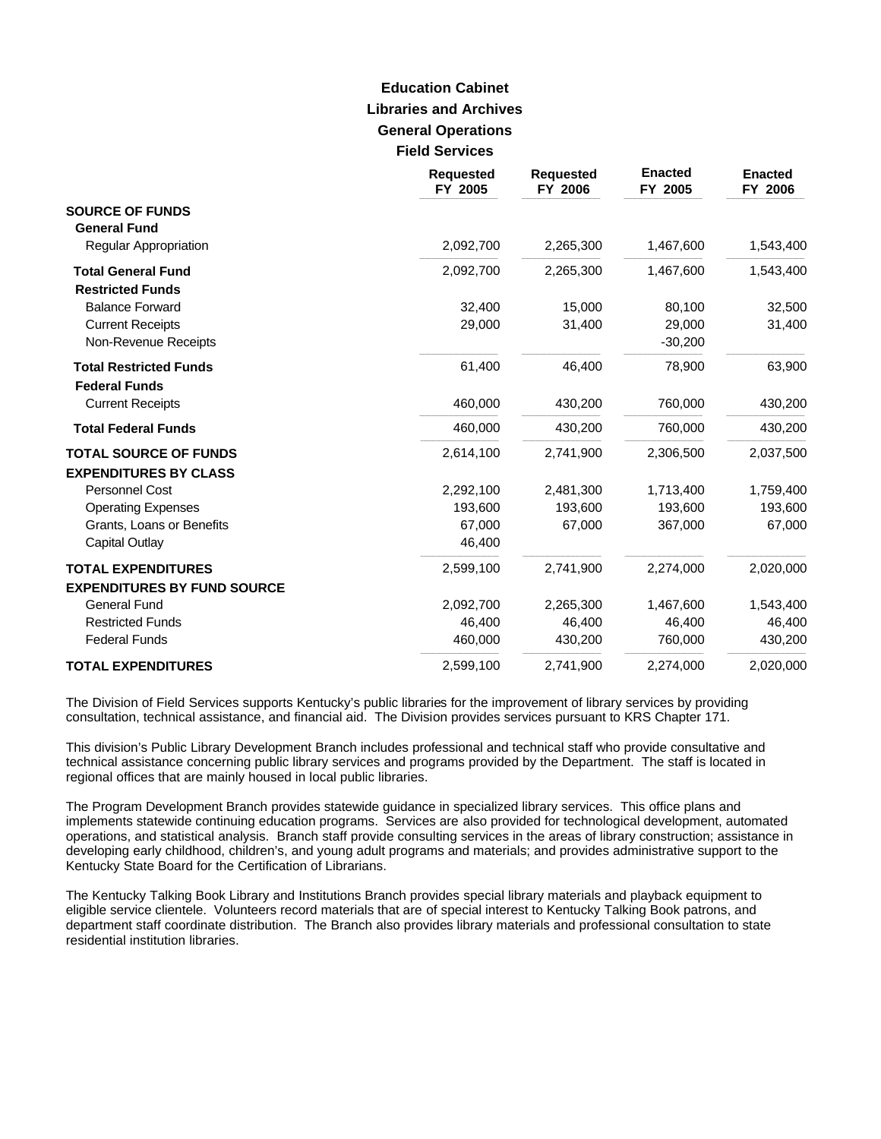# **Libraries and Archives General Operations Field Services Education Cabinet**

|                                                       | <b>Requested</b><br>FY 2005 | <b>Requested</b><br>FY 2006 | <b>Enacted</b><br>FY 2005 | <b>Enacted</b><br>FY 2006 |
|-------------------------------------------------------|-----------------------------|-----------------------------|---------------------------|---------------------------|
| <b>SOURCE OF FUNDS</b><br><b>General Fund</b>         |                             |                             |                           |                           |
| Regular Appropriation                                 | 2,092,700                   | 2,265,300                   | 1,467,600                 | 1,543,400                 |
| <b>Total General Fund</b><br><b>Restricted Funds</b>  | 2,092,700                   | 2,265,300                   | 1,467,600                 | 1,543,400                 |
| <b>Balance Forward</b>                                | 32,400                      | 15,000                      | 80,100                    | 32,500                    |
| <b>Current Receipts</b><br>Non-Revenue Receipts       | 29,000                      | 31,400                      | 29,000<br>$-30,200$       | 31,400                    |
| <b>Total Restricted Funds</b><br><b>Federal Funds</b> | 61,400                      | 46,400                      | 78,900                    | 63,900                    |
| <b>Current Receipts</b>                               | 460,000                     | 430,200                     | 760,000                   | 430,200                   |
| <b>Total Federal Funds</b>                            | 460,000                     | 430,200                     | 760,000                   | 430,200                   |
| <b>TOTAL SOURCE OF FUNDS</b>                          | 2,614,100                   | 2,741,900                   | 2,306,500                 | 2,037,500                 |
| <b>EXPENDITURES BY CLASS</b>                          |                             |                             |                           |                           |
| Personnel Cost                                        | 2,292,100                   | 2,481,300                   | 1,713,400                 | 1,759,400                 |
| <b>Operating Expenses</b>                             | 193,600                     | 193,600                     | 193,600                   | 193,600                   |
| Grants, Loans or Benefits                             | 67,000                      | 67,000                      | 367,000                   | 67,000                    |
| Capital Outlay                                        | 46,400                      |                             |                           |                           |
| <b>TOTAL EXPENDITURES</b>                             | 2,599,100                   | 2,741,900                   | 2,274,000                 | 2,020,000                 |
| <b>EXPENDITURES BY FUND SOURCE</b>                    |                             |                             |                           |                           |
| <b>General Fund</b>                                   | 2,092,700                   | 2,265,300                   | 1,467,600                 | 1,543,400                 |
| <b>Restricted Funds</b>                               | 46,400                      | 46,400                      | 46,400                    | 46,400                    |
| <b>Federal Funds</b>                                  | 460,000                     | 430,200                     | 760,000                   | 430,200                   |
| <b>TOTAL EXPENDITURES</b>                             | 2,599,100                   | 2,741,900                   | 2,274,000                 | 2,020,000                 |

The Division of Field Services supports Kentucky's public libraries for the improvement of library services by providing consultation, technical assistance, and financial aid. The Division provides services pursuant to KRS Chapter 171.

This division's Public Library Development Branch includes professional and technical staff who provide consultative and technical assistance concerning public library services and programs provided by the Department. The staff is located in regional offices that are mainly housed in local public libraries.

The Program Development Branch provides statewide guidance in specialized library services. This office plans and implements statewide continuing education programs. Services are also provided for technological development, automated operations, and statistical analysis. Branch staff provide consulting services in the areas of library construction; assistance in developing early childhood, children's, and young adult programs and materials; and provides administrative support to the Kentucky State Board for the Certification of Librarians.

The Kentucky Talking Book Library and Institutions Branch provides special library materials and playback equipment to eligible service clientele. Volunteers record materials that are of special interest to Kentucky Talking Book patrons, and department staff coordinate distribution. The Branch also provides library materials and professional consultation to state residential institution libraries.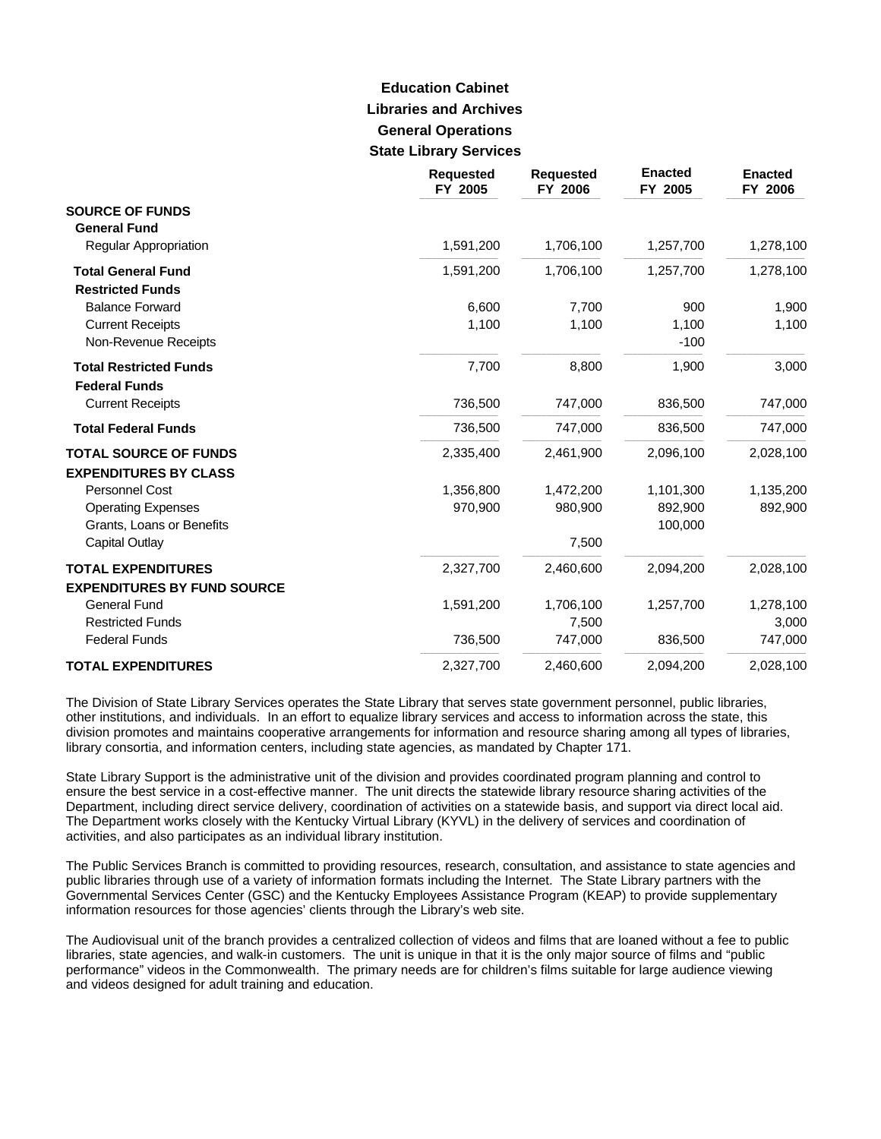# **Libraries and Archives General Operations State Library Services Education Cabinet**

|                                                                 | <b>Requested</b><br>FY 2005 | <b>Requested</b><br>FY 2006 | <b>Enacted</b><br>FY 2005 | <b>Enacted</b><br>FY 2006 |
|-----------------------------------------------------------------|-----------------------------|-----------------------------|---------------------------|---------------------------|
| <b>SOURCE OF FUNDS</b><br><b>General Fund</b>                   |                             |                             |                           |                           |
| Regular Appropriation                                           | 1,591,200                   | 1,706,100                   | 1,257,700                 | 1,278,100                 |
| <b>Total General Fund</b><br><b>Restricted Funds</b>            | 1,591,200                   | 1,706,100                   | 1,257,700                 | 1,278,100                 |
| <b>Balance Forward</b>                                          | 6,600                       | 7,700                       | 900                       | 1,900                     |
| <b>Current Receipts</b><br>Non-Revenue Receipts                 | 1,100                       | 1,100                       | 1,100<br>$-100$           | 1,100                     |
| <b>Total Restricted Funds</b><br><b>Federal Funds</b>           | 7,700                       | 8,800                       | 1,900                     | 3,000                     |
| <b>Current Receipts</b>                                         | 736,500                     | 747,000                     | 836,500                   | 747,000                   |
| <b>Total Federal Funds</b>                                      | 736,500                     | 747,000                     | 836,500                   | 747,000                   |
| <b>TOTAL SOURCE OF FUNDS</b>                                    | 2,335,400                   | 2,461,900                   | 2,096,100                 | 2,028,100                 |
| <b>EXPENDITURES BY CLASS</b>                                    |                             |                             |                           |                           |
| <b>Personnel Cost</b>                                           | 1,356,800                   | 1,472,200                   | 1,101,300                 | 1,135,200                 |
| <b>Operating Expenses</b><br>Grants, Loans or Benefits          | 970,900                     | 980,900                     | 892,900<br>100,000        | 892,900                   |
| <b>Capital Outlay</b>                                           |                             | 7,500                       |                           |                           |
| <b>TOTAL EXPENDITURES</b><br><b>EXPENDITURES BY FUND SOURCE</b> | 2,327,700                   | 2,460,600                   | 2,094,200                 | 2,028,100                 |
| <b>General Fund</b><br><b>Restricted Funds</b>                  | 1,591,200                   | 1,706,100<br>7,500          | 1,257,700                 | 1,278,100<br>3,000        |
| <b>Federal Funds</b>                                            | 736,500                     | 747,000                     | 836,500                   | 747,000                   |
| <b>TOTAL EXPENDITURES</b>                                       | 2,327,700                   | 2,460,600                   | 2,094,200                 | 2,028,100                 |

The Division of State Library Services operates the State Library that serves state government personnel, public libraries, other institutions, and individuals. In an effort to equalize library services and access to information across the state, this division promotes and maintains cooperative arrangements for information and resource sharing among all types of libraries, library consortia, and information centers, including state agencies, as mandated by Chapter 171.

State Library Support is the administrative unit of the division and provides coordinated program planning and control to ensure the best service in a cost-effective manner. The unit directs the statewide library resource sharing activities of the Department, including direct service delivery, coordination of activities on a statewide basis, and support via direct local aid. The Department works closely with the Kentucky Virtual Library (KYVL) in the delivery of services and coordination of activities, and also participates as an individual library institution.

The Public Services Branch is committed to providing resources, research, consultation, and assistance to state agencies and public libraries through use of a variety of information formats including the Internet. The State Library partners with the Governmental Services Center (GSC) and the Kentucky Employees Assistance Program (KEAP) to provide supplementary information resources for those agencies' clients through the Library's web site.

The Audiovisual unit of the branch provides a centralized collection of videos and films that are loaned without a fee to public libraries, state agencies, and walk-in customers. The unit is unique in that it is the only major source of films and "public performance" videos in the Commonwealth. The primary needs are for children's films suitable for large audience viewing and videos designed for adult training and education.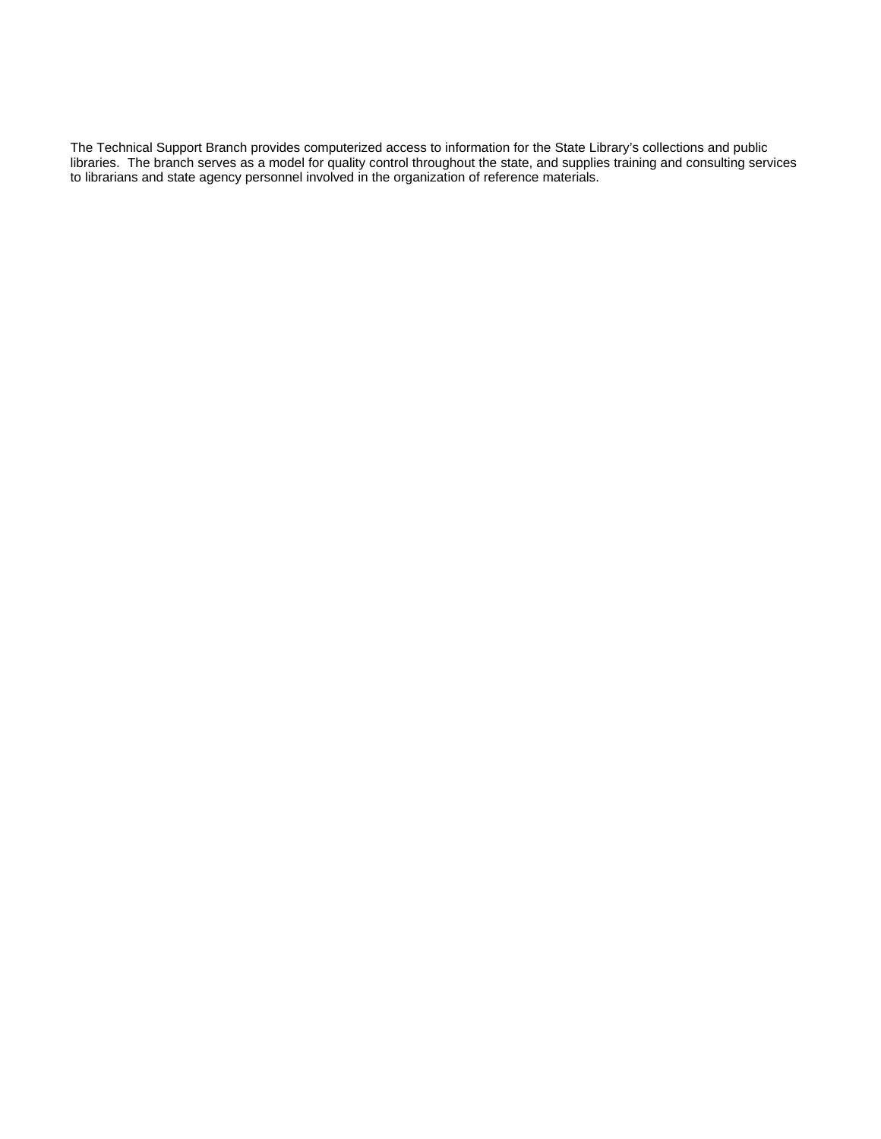The Technical Support Branch provides computerized access to information for the State Library's collections and public libraries. The branch serves as a model for quality control throughout the state, and supplies training and consulting services to librarians and state agency personnel involved in the organization of reference materials.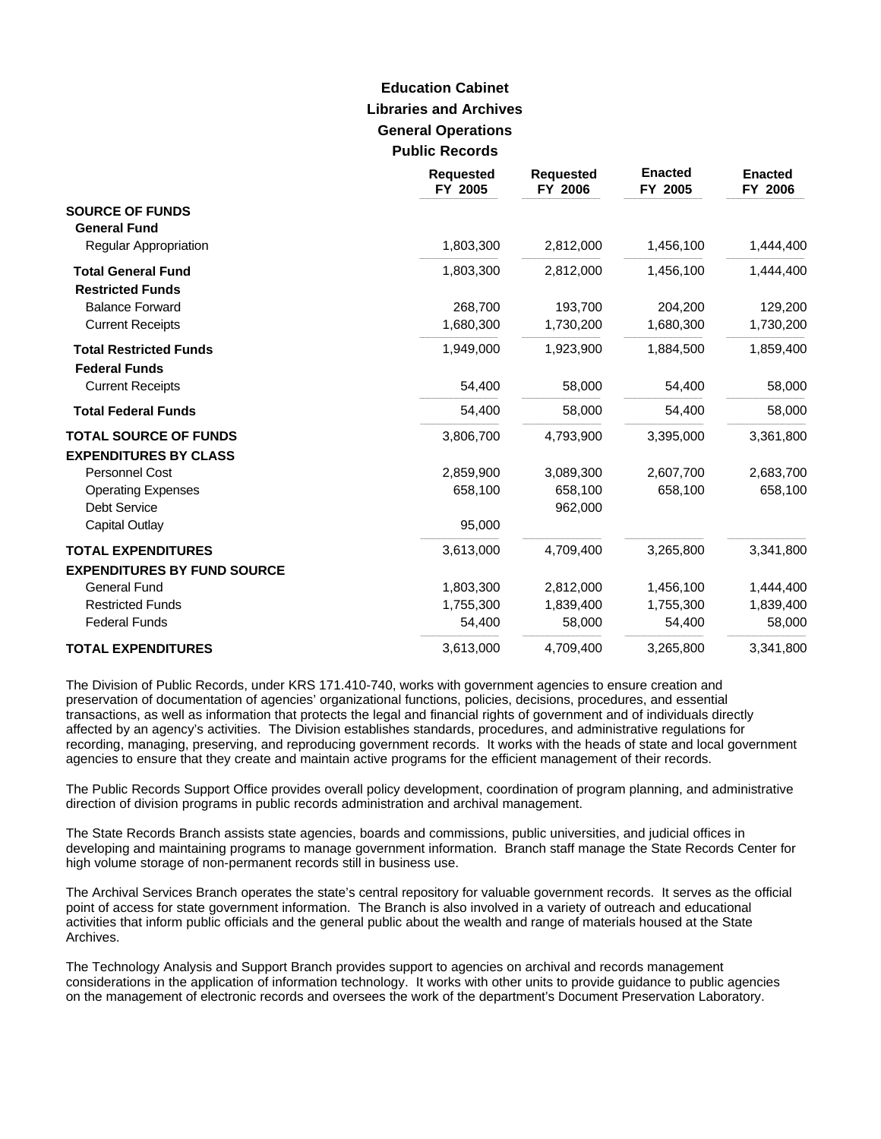# **Libraries and Archives General Operations Public Records Education Cabinet**

|                                                       | <b>Requested</b><br>FY 2005 | <b>Requested</b><br>FY 2006 | <b>Enacted</b><br>FY 2005 | <b>Enacted</b><br>FY 2006 |
|-------------------------------------------------------|-----------------------------|-----------------------------|---------------------------|---------------------------|
| <b>SOURCE OF FUNDS</b>                                |                             |                             |                           |                           |
| <b>General Fund</b><br>Regular Appropriation          | 1,803,300                   | 2,812,000                   | 1,456,100                 | 1,444,400                 |
|                                                       |                             |                             |                           |                           |
| <b>Total General Fund</b><br><b>Restricted Funds</b>  | 1,803,300                   | 2,812,000                   | 1,456,100                 | 1,444,400                 |
| <b>Balance Forward</b>                                | 268,700                     | 193,700                     | 204,200                   | 129,200                   |
| <b>Current Receipts</b>                               | 1,680,300                   | 1,730,200                   | 1,680,300                 | 1,730,200                 |
| <b>Total Restricted Funds</b><br><b>Federal Funds</b> | 1,949,000                   | 1,923,900                   | 1,884,500                 | 1,859,400                 |
| <b>Current Receipts</b>                               | 54,400                      | 58,000                      | 54,400                    | 58,000                    |
| <b>Total Federal Funds</b>                            | 54,400                      | 58,000                      | 54,400                    | 58,000                    |
| <b>TOTAL SOURCE OF FUNDS</b>                          | 3,806,700                   | 4,793,900                   | 3,395,000                 | 3,361,800                 |
| <b>EXPENDITURES BY CLASS</b>                          |                             |                             |                           |                           |
| <b>Personnel Cost</b>                                 | 2,859,900                   | 3,089,300                   | 2,607,700                 | 2,683,700                 |
| <b>Operating Expenses</b>                             | 658,100                     | 658,100                     | 658,100                   | 658,100                   |
| <b>Debt Service</b>                                   |                             | 962,000                     |                           |                           |
| <b>Capital Outlay</b>                                 | 95,000                      |                             |                           |                           |
| <b>TOTAL EXPENDITURES</b>                             | 3,613,000                   | 4,709,400                   | 3,265,800                 | 3,341,800                 |
| <b>EXPENDITURES BY FUND SOURCE</b>                    |                             |                             |                           |                           |
| <b>General Fund</b>                                   | 1,803,300                   | 2,812,000                   | 1,456,100                 | 1,444,400                 |
| <b>Restricted Funds</b>                               | 1,755,300                   | 1,839,400                   | 1,755,300                 | 1,839,400                 |
| <b>Federal Funds</b>                                  | 54,400                      | 58,000                      | 54,400                    | 58,000                    |
| <b>TOTAL EXPENDITURES</b>                             | 3,613,000                   | 4,709,400                   | 3,265,800                 | 3,341,800                 |

The Division of Public Records, under KRS 171.410-740, works with government agencies to ensure creation and preservation of documentation of agencies' organizational functions, policies, decisions, procedures, and essential transactions, as well as information that protects the legal and financial rights of government and of individuals directly affected by an agency's activities. The Division establishes standards, procedures, and administrative regulations for recording, managing, preserving, and reproducing government records. It works with the heads of state and local government agencies to ensure that they create and maintain active programs for the efficient management of their records.

The Public Records Support Office provides overall policy development, coordination of program planning, and administrative direction of division programs in public records administration and archival management.

The State Records Branch assists state agencies, boards and commissions, public universities, and judicial offices in developing and maintaining programs to manage government information. Branch staff manage the State Records Center for high volume storage of non-permanent records still in business use.

The Archival Services Branch operates the state's central repository for valuable government records. It serves as the official point of access for state government information. The Branch is also involved in a variety of outreach and educational activities that inform public officials and the general public about the wealth and range of materials housed at the State Archives.

The Technology Analysis and Support Branch provides support to agencies on archival and records management considerations in the application of information technology. It works with other units to provide guidance to public agencies on the management of electronic records and oversees the work of the department's Document Preservation Laboratory.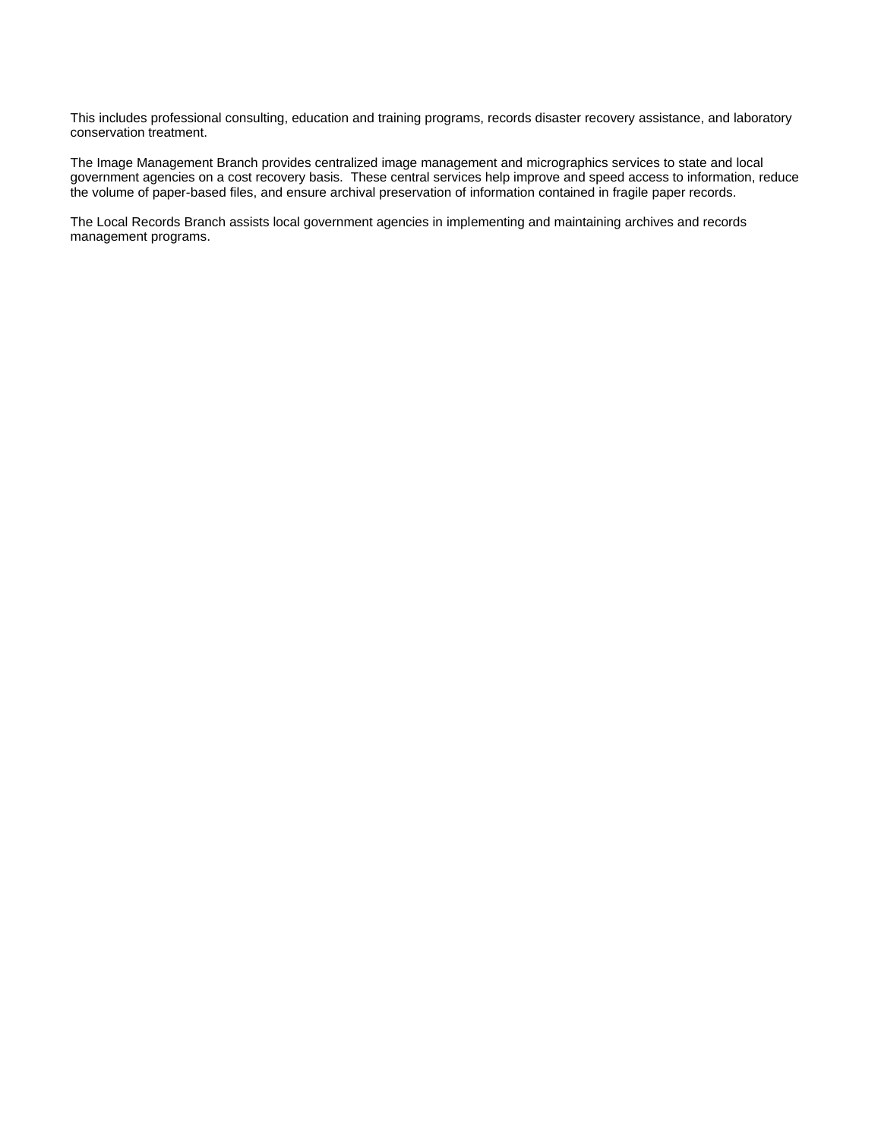This includes professional consulting, education and training programs, records disaster recovery assistance, and laboratory conservation treatment.

The Image Management Branch provides centralized image management and micrographics services to state and local government agencies on a cost recovery basis. These central services help improve and speed access to information, reduce the volume of paper-based files, and ensure archival preservation of information contained in fragile paper records.

The Local Records Branch assists local government agencies in implementing and maintaining archives and records management programs.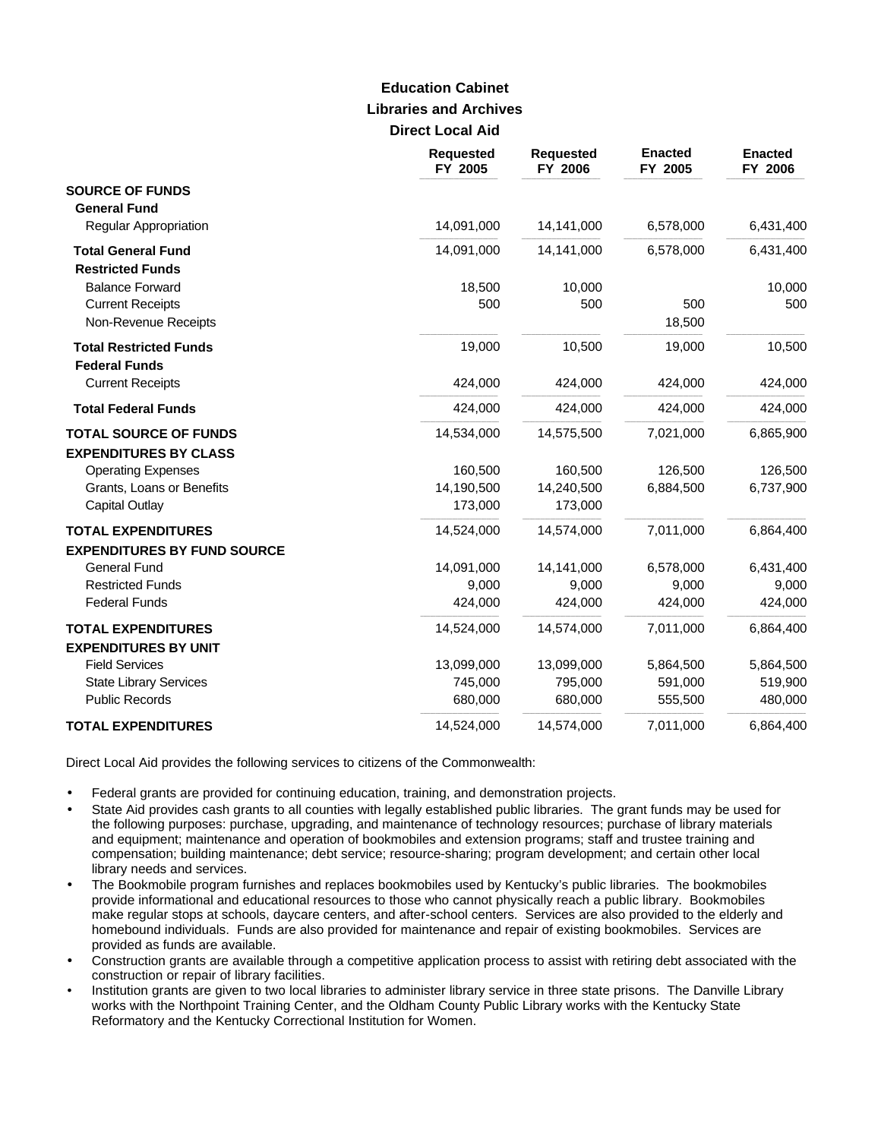# **Libraries and Archives Direct Local Aid Education Cabinet**

|                                                                 | <b>Requested</b><br>FY 2005 | <b>Requested</b><br>FY 2006 | <b>Enacted</b><br>FY 2005 | <b>Enacted</b><br>FY 2006 |
|-----------------------------------------------------------------|-----------------------------|-----------------------------|---------------------------|---------------------------|
| <b>SOURCE OF FUNDS</b><br><b>General Fund</b>                   |                             |                             |                           |                           |
| <b>Regular Appropriation</b>                                    | 14,091,000                  | 14,141,000                  | 6,578,000                 | 6,431,400                 |
| <b>Total General Fund</b><br><b>Restricted Funds</b>            | 14,091,000                  | 14,141,000                  | 6,578,000                 | 6,431,400                 |
| <b>Balance Forward</b>                                          | 18,500                      | 10,000                      |                           | 10,000                    |
| <b>Current Receipts</b><br>Non-Revenue Receipts                 | 500                         | 500                         | 500<br>18,500             | 500                       |
| <b>Total Restricted Funds</b><br><b>Federal Funds</b>           | 19,000                      | 10,500                      | 19,000                    | 10,500                    |
| <b>Current Receipts</b>                                         | 424,000                     | 424,000                     | 424,000                   | 424,000                   |
| <b>Total Federal Funds</b>                                      | 424,000                     | 424,000                     | 424,000                   | 424,000                   |
| <b>TOTAL SOURCE OF FUNDS</b><br><b>EXPENDITURES BY CLASS</b>    | 14,534,000                  | 14,575,500                  | 7,021,000                 | 6,865,900                 |
| <b>Operating Expenses</b>                                       | 160,500                     | 160,500                     | 126,500                   | 126,500                   |
| Grants, Loans or Benefits                                       | 14,190,500                  | 14,240,500                  | 6,884,500                 | 6,737,900                 |
| <b>Capital Outlay</b>                                           | 173,000                     | 173,000                     |                           |                           |
| <b>TOTAL EXPENDITURES</b><br><b>EXPENDITURES BY FUND SOURCE</b> | 14,524,000                  | 14,574,000                  | 7,011,000                 | 6,864,400                 |
| <b>General Fund</b>                                             | 14,091,000                  | 14,141,000                  | 6,578,000                 | 6,431,400                 |
| <b>Restricted Funds</b>                                         | 9,000                       | 9,000                       | 9,000                     | 9,000                     |
| <b>Federal Funds</b>                                            | 424,000                     | 424,000                     | 424,000                   | 424,000                   |
| <b>TOTAL EXPENDITURES</b><br><b>EXPENDITURES BY UNIT</b>        | 14,524,000                  | 14,574,000                  | 7,011,000                 | 6,864,400                 |
| <b>Field Services</b>                                           | 13,099,000                  | 13,099,000                  | 5,864,500                 | 5,864,500                 |
| <b>State Library Services</b>                                   | 745,000                     | 795,000                     | 591,000                   | 519,900                   |
| <b>Public Records</b>                                           | 680,000                     | 680,000                     | 555,500                   | 480,000                   |
| <b>TOTAL EXPENDITURES</b>                                       | 14,524,000                  | 14,574,000                  | 7,011,000                 | 6,864,400                 |

Direct Local Aid provides the following services to citizens of the Commonwealth:

- Federal grants are provided for continuing education, training, and demonstration projects.
- State Aid provides cash grants to all counties with legally established public libraries. The grant funds may be used for the following purposes: purchase, upgrading, and maintenance of technology resources; purchase of library materials and equipment; maintenance and operation of bookmobiles and extension programs; staff and trustee training and compensation; building maintenance; debt service; resource-sharing; program development; and certain other local library needs and services.
- The Bookmobile program furnishes and replaces bookmobiles used by Kentucky's public libraries. The bookmobiles provide informational and educational resources to those who cannot physically reach a public library. Bookmobiles make regular stops at schools, daycare centers, and after-school centers. Services are also provided to the elderly and homebound individuals. Funds are also provided for maintenance and repair of existing bookmobiles. Services are provided as funds are available.
- Construction grants are available through a competitive application process to assist with retiring debt associated with the construction or repair of library facilities.
- Institution grants are given to two local libraries to administer library service in three state prisons. The Danville Library works with the Northpoint Training Center, and the Oldham County Public Library works with the Kentucky State Reformatory and the Kentucky Correctional Institution for Women.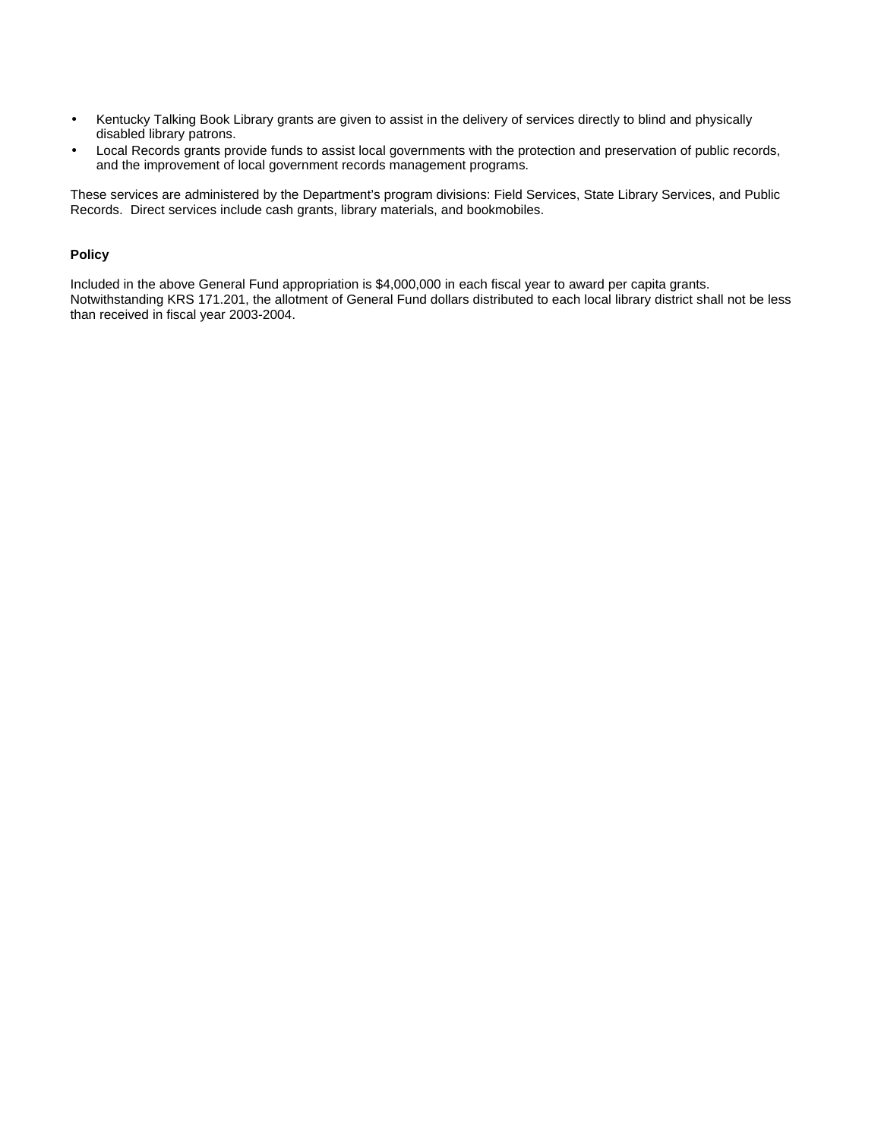- Kentucky Talking Book Library grants are given to assist in the delivery of services directly to blind and physically disabled library patrons.
- Local Records grants provide funds to assist local governments with the protection and preservation of public records, and the improvement of local government records management programs.

These services are administered by the Department's program divisions: Field Services, State Library Services, and Public Records. Direct services include cash grants, library materials, and bookmobiles.

### **Policy**

Included in the above General Fund appropriation is \$4,000,000 in each fiscal year to award per capita grants. Notwithstanding KRS 171.201, the allotment of General Fund dollars distributed to each local library district shall not be less than received in fiscal year 2003-2004.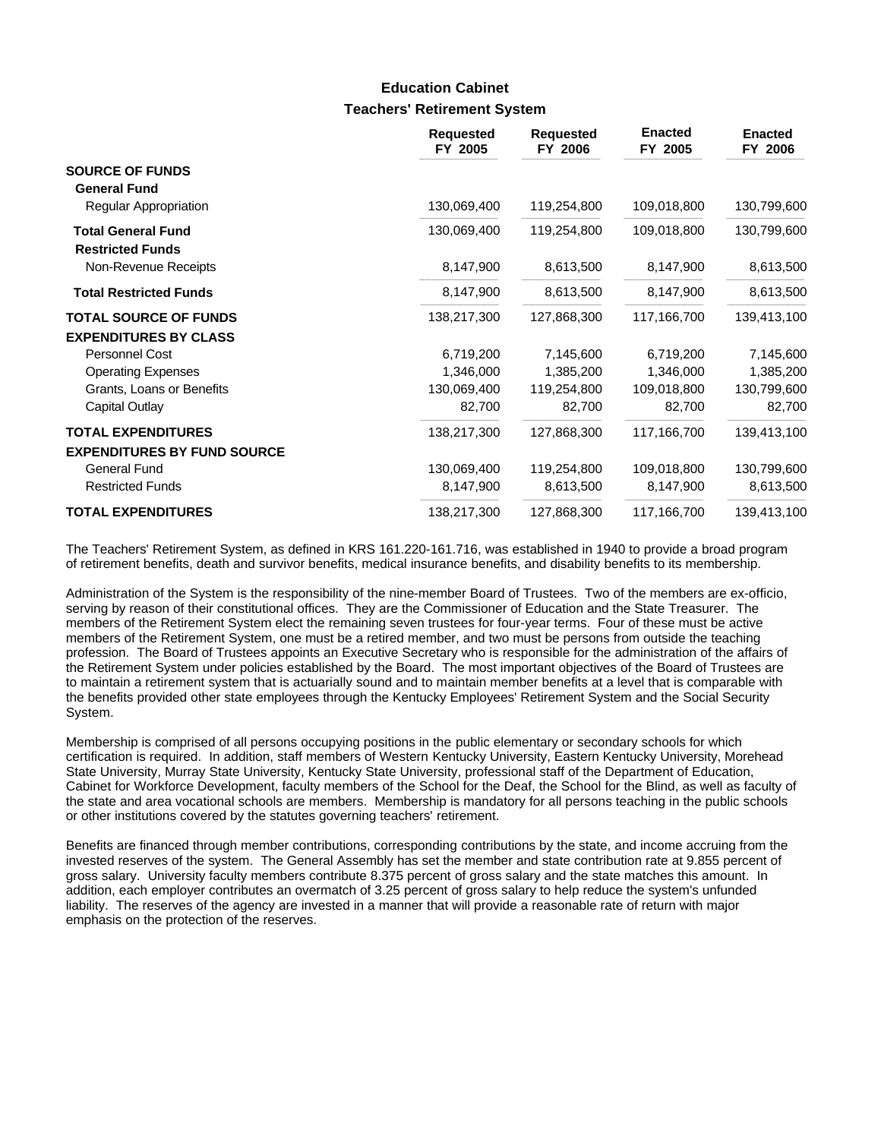### **Teachers' Retirement System Education Cabinet**

|                                                      | <b>Requested</b><br>FY 2005 | <b>Requested</b><br>FY 2006 | <b>Enacted</b><br>FY 2005 | <b>Enacted</b><br>FY 2006 |
|------------------------------------------------------|-----------------------------|-----------------------------|---------------------------|---------------------------|
| <b>SOURCE OF FUNDS</b><br><b>General Fund</b>        |                             |                             |                           |                           |
| Regular Appropriation                                | 130,069,400                 | 119,254,800                 | 109,018,800               | 130,799,600               |
| <b>Total General Fund</b><br><b>Restricted Funds</b> | 130,069,400                 | 119,254,800                 | 109,018,800               | 130,799,600               |
| Non-Revenue Receipts                                 | 8,147,900                   | 8,613,500                   | 8,147,900                 | 8,613,500                 |
| <b>Total Restricted Funds</b>                        | 8,147,900                   | 8,613,500                   | 8,147,900                 | 8,613,500                 |
| <b>TOTAL SOURCE OF FUNDS</b>                         | 138,217,300                 | 127,868,300                 | 117,166,700               | 139,413,100               |
| <b>EXPENDITURES BY CLASS</b>                         |                             |                             |                           |                           |
| Personnel Cost                                       | 6,719,200                   | 7,145,600                   | 6,719,200                 | 7,145,600                 |
| <b>Operating Expenses</b>                            | 1,346,000                   | 1,385,200                   | 1,346,000                 | 1,385,200                 |
| Grants, Loans or Benefits                            | 130,069,400                 | 119,254,800                 | 109,018,800               | 130,799,600               |
| Capital Outlay                                       | 82,700                      | 82,700                      | 82,700                    | 82,700                    |
| <b>TOTAL EXPENDITURES</b>                            | 138,217,300                 | 127,868,300                 | 117,166,700               | 139,413,100               |
| <b>EXPENDITURES BY FUND SOURCE</b>                   |                             |                             |                           |                           |
| <b>General Fund</b>                                  | 130,069,400                 | 119,254,800                 | 109,018,800               | 130,799,600               |
| <b>Restricted Funds</b>                              | 8,147,900                   | 8,613,500                   | 8,147,900                 | 8,613,500                 |
| <b>TOTAL EXPENDITURES</b>                            | 138,217,300                 | 127,868,300                 | 117,166,700               | 139,413,100               |

The Teachers' Retirement System, as defined in KRS 161.220-161.716, was established in 1940 to provide a broad program of retirement benefits, death and survivor benefits, medical insurance benefits, and disability benefits to its membership.

Administration of the System is the responsibility of the nine-member Board of Trustees. Two of the members are ex-officio, serving by reason of their constitutional offices. They are the Commissioner of Education and the State Treasurer. The members of the Retirement System elect the remaining seven trustees for four-year terms. Four of these must be active members of the Retirement System, one must be a retired member, and two must be persons from outside the teaching profession. The Board of Trustees appoints an Executive Secretary who is responsible for the administration of the affairs of the Retirement System under policies established by the Board. The most important objectives of the Board of Trustees are to maintain a retirement system that is actuarially sound and to maintain member benefits at a level that is comparable with the benefits provided other state employees through the Kentucky Employees' Retirement System and the Social Security System.

Membership is comprised of all persons occupying positions in the public elementary or secondary schools for which certification is required. In addition, staff members of Western Kentucky University, Eastern Kentucky University, Morehead State University, Murray State University, Kentucky State University, professional staff of the Department of Education, Cabinet for Workforce Development, faculty members of the School for the Deaf, the School for the Blind, as well as faculty of the state and area vocational schools are members. Membership is mandatory for all persons teaching in the public schools or other institutions covered by the statutes governing teachers' retirement.

Benefits are financed through member contributions, corresponding contributions by the state, and income accruing from the invested reserves of the system. The General Assembly has set the member and state contribution rate at 9.855 percent of gross salary. University faculty members contribute 8.375 percent of gross salary and the state matches this amount. In addition, each employer contributes an overmatch of 3.25 percent of gross salary to help reduce the system's unfunded liability. The reserves of the agency are invested in a manner that will provide a reasonable rate of return with major emphasis on the protection of the reserves.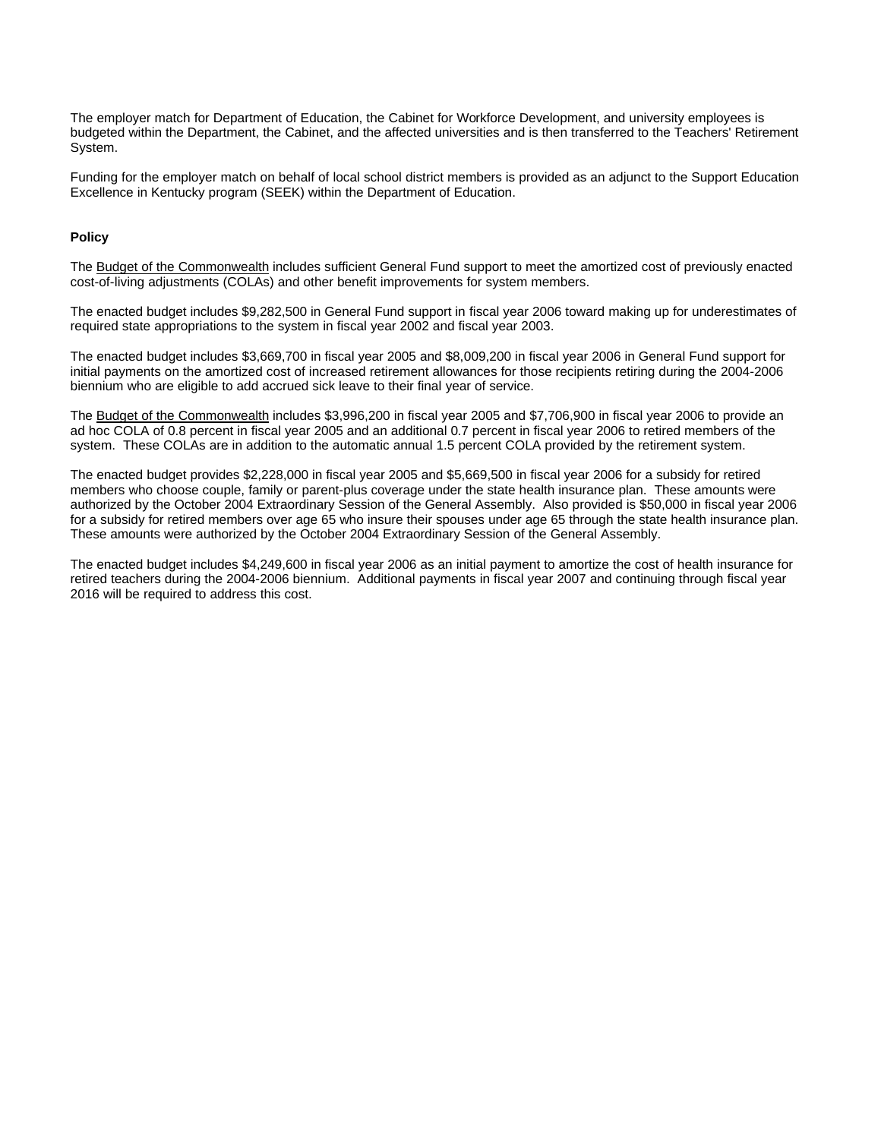The employer match for Department of Education, the Cabinet for Workforce Development, and university employees is budgeted within the Department, the Cabinet, and the affected universities and is then transferred to the Teachers' Retirement System.

Funding for the employer match on behalf of local school district members is provided as an adjunct to the Support Education Excellence in Kentucky program (SEEK) within the Department of Education.

### **Policy**

The Budget of the Commonwealth includes sufficient General Fund support to meet the amortized cost of previously enacted cost-of-living adjustments (COLAs) and other benefit improvements for system members.

The enacted budget includes \$9,282,500 in General Fund support in fiscal year 2006 toward making up for underestimates of required state appropriations to the system in fiscal year 2002 and fiscal year 2003.

The enacted budget includes \$3,669,700 in fiscal year 2005 and \$8,009,200 in fiscal year 2006 in General Fund support for initial payments on the amortized cost of increased retirement allowances for those recipients retiring during the 2004-2006 biennium who are eligible to add accrued sick leave to their final year of service.

The Budget of the Commonwealth includes \$3,996,200 in fiscal year 2005 and \$7,706,900 in fiscal year 2006 to provide an ad hoc COLA of 0.8 percent in fiscal year 2005 and an additional 0.7 percent in fiscal year 2006 to retired members of the system. These COLAs are in addition to the automatic annual 1.5 percent COLA provided by the retirement system.

The enacted budget provides \$2,228,000 in fiscal year 2005 and \$5,669,500 in fiscal year 2006 for a subsidy for retired members who choose couple, family or parent-plus coverage under the state health insurance plan. These amounts were authorized by the October 2004 Extraordinary Session of the General Assembly. Also provided is \$50,000 in fiscal year 2006 for a subsidy for retired members over age 65 who insure their spouses under age 65 through the state health insurance plan. These amounts were authorized by the October 2004 Extraordinary Session of the General Assembly.

The enacted budget includes \$4,249,600 in fiscal year 2006 as an initial payment to amortize the cost of health insurance for retired teachers during the 2004-2006 biennium. Additional payments in fiscal year 2007 and continuing through fiscal year 2016 will be required to address this cost.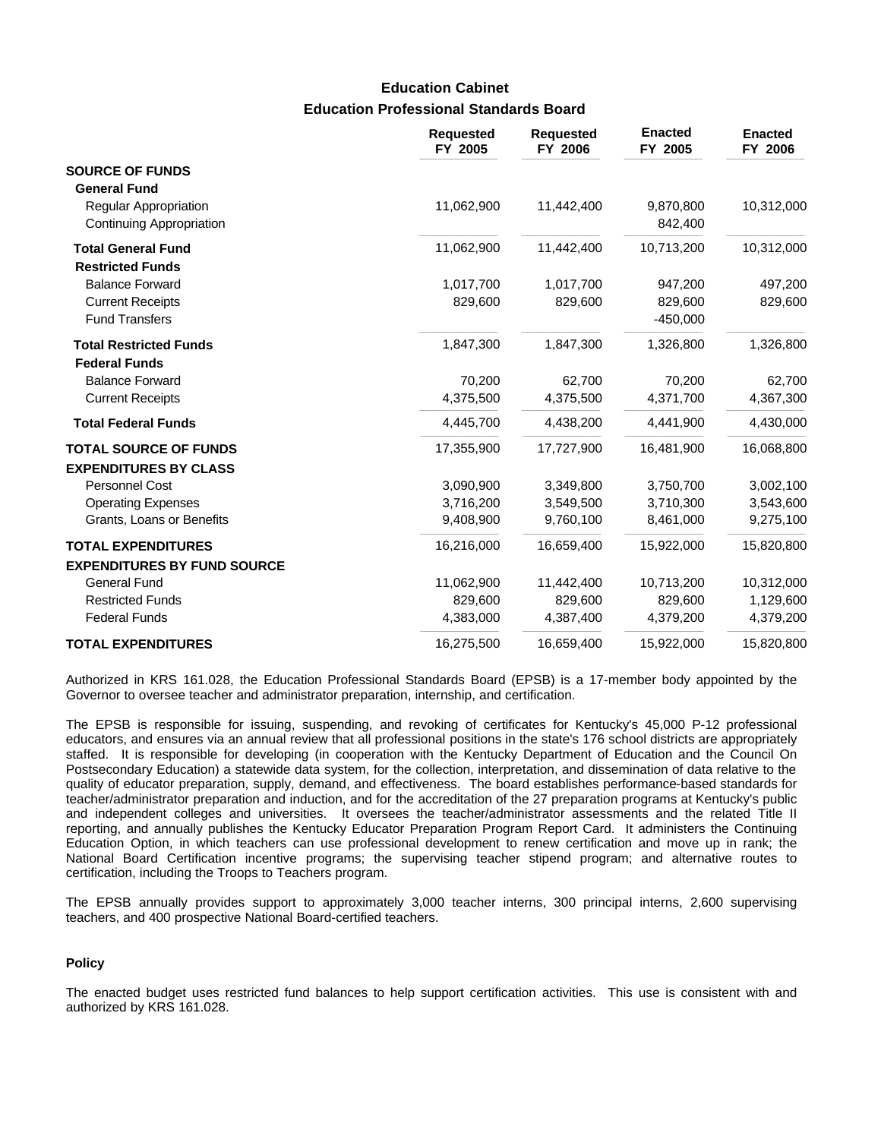## **Education Professional Standards Board Education Cabinet**

|                                                                 | <b>Requested</b><br>FY 2005 | <b>Requested</b><br>FY 2006 | <b>Enacted</b><br>FY 2005 | <b>Enacted</b><br>FY 2006 |
|-----------------------------------------------------------------|-----------------------------|-----------------------------|---------------------------|---------------------------|
| <b>SOURCE OF FUNDS</b><br><b>General Fund</b>                   |                             |                             |                           |                           |
| Regular Appropriation<br>Continuing Appropriation               | 11,062,900                  | 11,442,400                  | 9,870,800<br>842,400      | 10,312,000                |
| <b>Total General Fund</b><br><b>Restricted Funds</b>            | 11,062,900                  | 11,442,400                  | 10,713,200                | 10,312,000                |
| <b>Balance Forward</b>                                          | 1,017,700                   | 1,017,700                   | 947,200                   | 497,200                   |
| <b>Current Receipts</b><br><b>Fund Transfers</b>                | 829,600                     | 829,600                     | 829,600<br>$-450,000$     | 829,600                   |
| <b>Total Restricted Funds</b><br><b>Federal Funds</b>           | 1,847,300                   | 1,847,300                   | 1,326,800                 | 1,326,800                 |
| <b>Balance Forward</b>                                          | 70,200                      | 62,700                      | 70,200                    | 62,700                    |
| <b>Current Receipts</b>                                         | 4,375,500                   | 4,375,500                   | 4,371,700                 | 4,367,300                 |
| <b>Total Federal Funds</b>                                      | 4,445,700                   | 4,438,200                   | 4,441,900                 | 4,430,000                 |
| <b>TOTAL SOURCE OF FUNDS</b><br><b>EXPENDITURES BY CLASS</b>    | 17,355,900                  | 17,727,900                  | 16,481,900                | 16,068,800                |
| Personnel Cost                                                  | 3,090,900                   | 3,349,800                   | 3,750,700                 | 3,002,100                 |
| <b>Operating Expenses</b>                                       | 3,716,200                   | 3,549,500                   | 3,710,300                 | 3,543,600                 |
| Grants, Loans or Benefits                                       | 9,408,900                   | 9,760,100                   | 8,461,000                 | 9,275,100                 |
| <b>TOTAL EXPENDITURES</b><br><b>EXPENDITURES BY FUND SOURCE</b> | 16,216,000                  | 16,659,400                  | 15,922,000                | 15,820,800                |
| <b>General Fund</b>                                             | 11,062,900                  | 11,442,400                  | 10,713,200                | 10,312,000                |
| <b>Restricted Funds</b>                                         | 829,600                     | 829,600                     | 829,600                   | 1,129,600                 |
| <b>Federal Funds</b>                                            | 4,383,000                   | 4,387,400                   | 4,379,200                 | 4,379,200                 |
| <b>TOTAL EXPENDITURES</b>                                       | 16,275,500                  | 16,659,400                  | 15,922,000                | 15,820,800                |

Authorized in KRS 161.028, the Education Professional Standards Board (EPSB) is a 17-member body appointed by the Governor to oversee teacher and administrator preparation, internship, and certification.

The EPSB is responsible for issuing, suspending, and revoking of certificates for Kentucky's 45,000 P-12 professional educators, and ensures via an annual review that all professional positions in the state's 176 school districts are appropriately staffed. It is responsible for developing (in cooperation with the Kentucky Department of Education and the Council On Postsecondary Education) a statewide data system, for the collection, interpretation, and dissemination of data relative to the quality of educator preparation, supply, demand, and effectiveness. The board establishes performance-based standards for teacher/administrator preparation and induction, and for the accreditation of the 27 preparation programs at Kentucky's public and independent colleges and universities. It oversees the teacher/administrator assessments and the related Title II reporting, and annually publishes the Kentucky Educator Preparation Program Report Card. It administers the Continuing Education Option, in which teachers can use professional development to renew certification and move up in rank; the National Board Certification incentive programs; the supervising teacher stipend program; and alternative routes to certification, including the Troops to Teachers program.

The EPSB annually provides support to approximately 3,000 teacher interns, 300 principal interns, 2,600 supervising teachers, and 400 prospective National Board-certified teachers.

#### **Policy**

The enacted budget uses restricted fund balances to help support certification activities. This use is consistent with and authorized by KRS 161.028.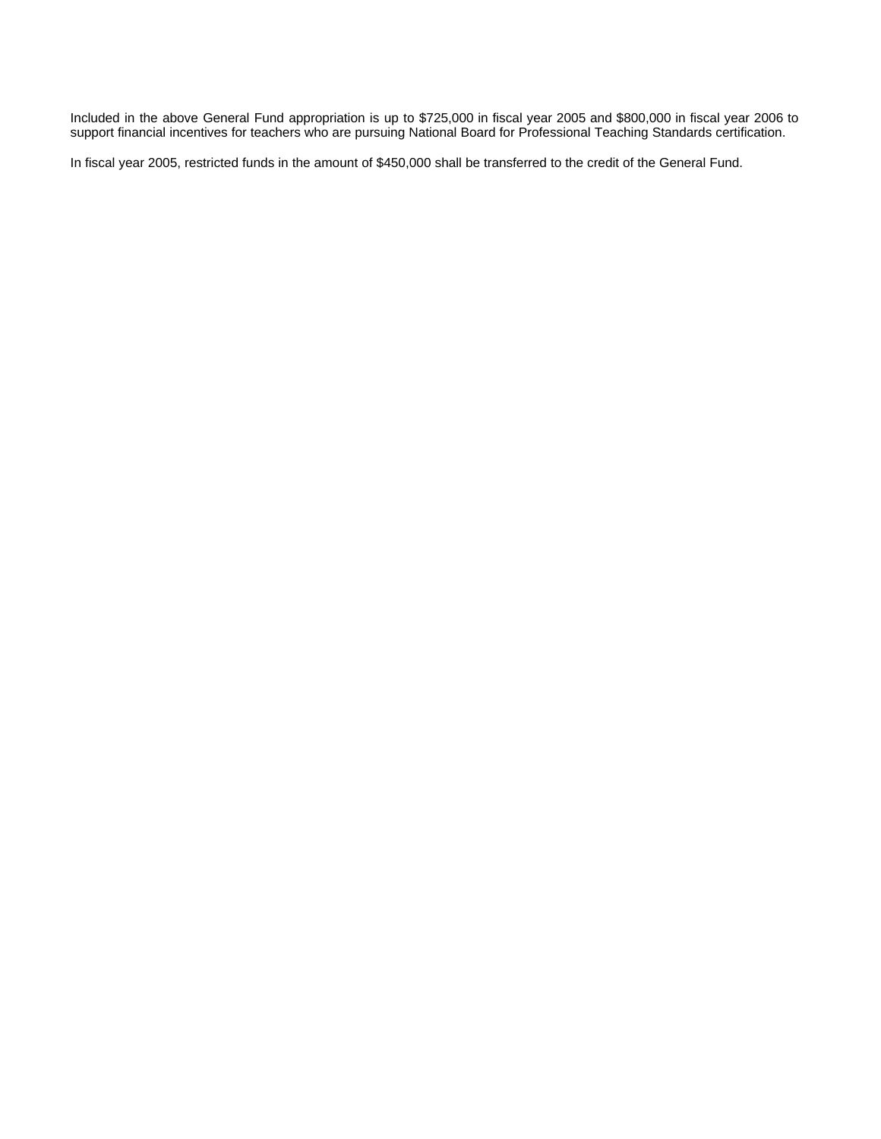Included in the above General Fund appropriation is up to \$725,000 in fiscal year 2005 and \$800,000 in fiscal year 2006 to support financial incentives for teachers who are pursuing National Board for Professional Teaching Standards certification.

In fiscal year 2005, restricted funds in the amount of \$450,000 shall be transferred to the credit of the General Fund.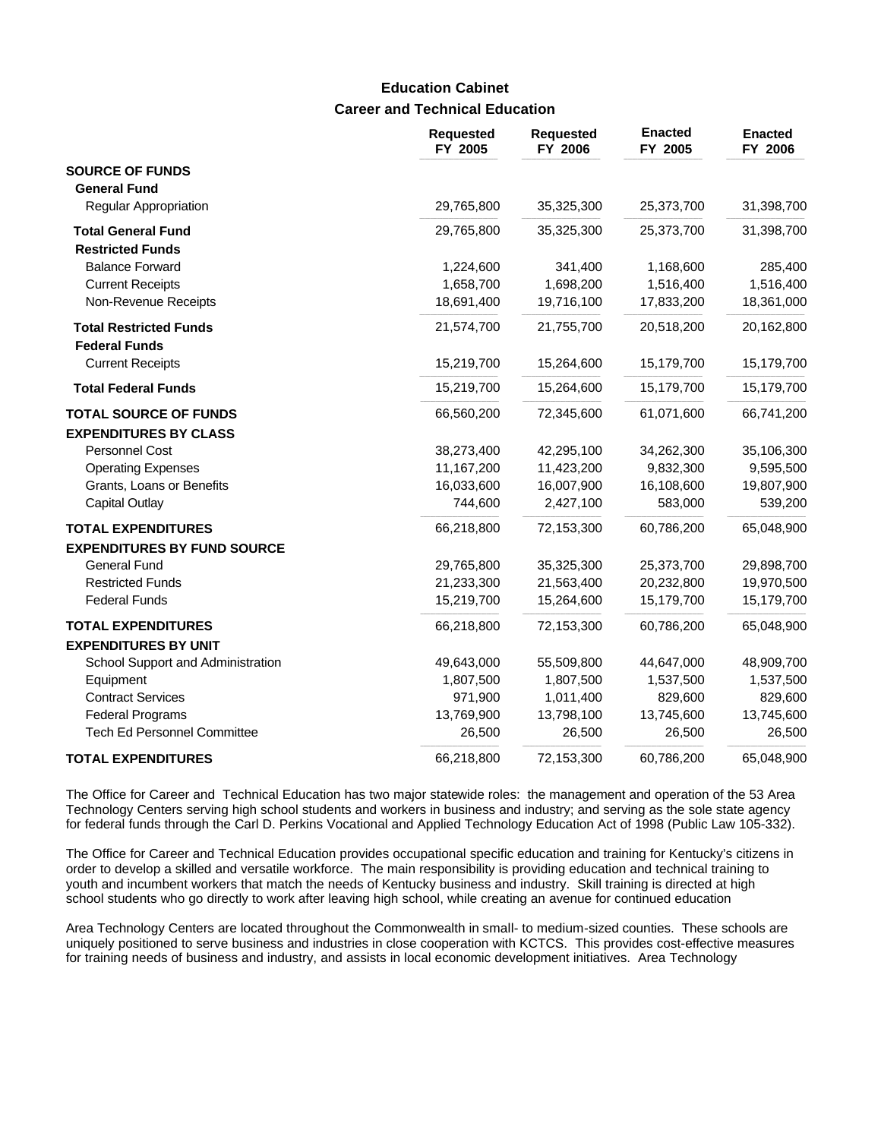# **Career and Technical Education Education Cabinet**

|                                                       | <b>Requested</b><br>FY 2005 | <b>Requested</b><br>FY 2006 | <b>Enacted</b><br>FY 2005 | <b>Enacted</b><br>FY 2006 |
|-------------------------------------------------------|-----------------------------|-----------------------------|---------------------------|---------------------------|
| <b>SOURCE OF FUNDS</b>                                |                             |                             |                           |                           |
| <b>General Fund</b>                                   |                             |                             |                           |                           |
| <b>Regular Appropriation</b>                          | 29,765,800                  | 35,325,300                  | 25,373,700                | 31,398,700                |
| <b>Total General Fund</b>                             | 29,765,800                  | 35,325,300                  | 25,373,700                | 31,398,700                |
| <b>Restricted Funds</b>                               |                             |                             |                           |                           |
| <b>Balance Forward</b>                                | 1,224,600                   | 341,400                     | 1,168,600                 | 285,400                   |
| <b>Current Receipts</b>                               | 1,658,700                   | 1,698,200                   | 1,516,400                 | 1,516,400                 |
| Non-Revenue Receipts                                  | 18,691,400                  | 19,716,100                  | 17,833,200                | 18,361,000                |
| <b>Total Restricted Funds</b><br><b>Federal Funds</b> | 21,574,700                  | 21,755,700                  | 20,518,200                | 20,162,800                |
| <b>Current Receipts</b>                               | 15,219,700                  | 15,264,600                  | 15,179,700                | 15,179,700                |
| <b>Total Federal Funds</b>                            | 15,219,700                  | 15,264,600                  | 15,179,700                | 15,179,700                |
| <b>TOTAL SOURCE OF FUNDS</b>                          | 66,560,200                  | 72,345,600                  | 61,071,600                | 66,741,200                |
| <b>EXPENDITURES BY CLASS</b>                          |                             |                             |                           |                           |
| Personnel Cost                                        | 38,273,400                  | 42,295,100                  | 34,262,300                | 35,106,300                |
| <b>Operating Expenses</b>                             | 11,167,200                  | 11,423,200                  | 9,832,300                 | 9,595,500                 |
| Grants, Loans or Benefits                             | 16,033,600                  | 16,007,900                  | 16,108,600                | 19,807,900                |
| <b>Capital Outlay</b>                                 | 744,600                     | 2,427,100                   | 583,000                   | 539,200                   |
| <b>TOTAL EXPENDITURES</b>                             | 66,218,800                  | 72,153,300                  | 60,786,200                | 65,048,900                |
| <b>EXPENDITURES BY FUND SOURCE</b>                    |                             |                             |                           |                           |
| <b>General Fund</b>                                   | 29,765,800                  | 35,325,300                  | 25,373,700                | 29,898,700                |
| <b>Restricted Funds</b>                               | 21,233,300                  | 21,563,400                  | 20,232,800                | 19,970,500                |
| <b>Federal Funds</b>                                  | 15,219,700                  | 15,264,600                  | 15,179,700                | 15,179,700                |
| <b>TOTAL EXPENDITURES</b>                             | 66,218,800                  | 72,153,300                  | 60,786,200                | 65,048,900                |
| <b>EXPENDITURES BY UNIT</b>                           |                             |                             |                           |                           |
| School Support and Administration                     | 49,643,000                  | 55,509,800                  | 44,647,000                | 48,909,700                |
| Equipment                                             | 1,807,500                   | 1,807,500                   | 1,537,500                 | 1,537,500                 |
| <b>Contract Services</b>                              | 971,900                     | 1,011,400                   | 829,600                   | 829,600                   |
| <b>Federal Programs</b>                               | 13,769,900                  | 13,798,100                  | 13,745,600                | 13,745,600                |
| <b>Tech Ed Personnel Committee</b>                    | 26,500                      | 26,500                      | 26,500                    | 26,500                    |
| <b>TOTAL EXPENDITURES</b>                             | 66,218,800                  | 72,153,300                  | 60,786,200                | 65,048,900                |

The Office for Career and Technical Education has two major statewide roles: the management and operation of the 53 Area Technology Centers serving high school students and workers in business and industry; and serving as the sole state agency for federal funds through the Carl D. Perkins Vocational and Applied Technology Education Act of 1998 (Public Law 105-332).

The Office for Career and Technical Education provides occupational specific education and training for Kentucky's citizens in order to develop a skilled and versatile workforce. The main responsibility is providing education and technical training to youth and incumbent workers that match the needs of Kentucky business and industry. Skill training is directed at high school students who go directly to work after leaving high school, while creating an avenue for continued education

Area Technology Centers are located throughout the Commonwealth in small- to medium-sized counties. These schools are uniquely positioned to serve business and industries in close cooperation with KCTCS. This provides cost-effective measures for training needs of business and industry, and assists in local economic development initiatives. Area Technology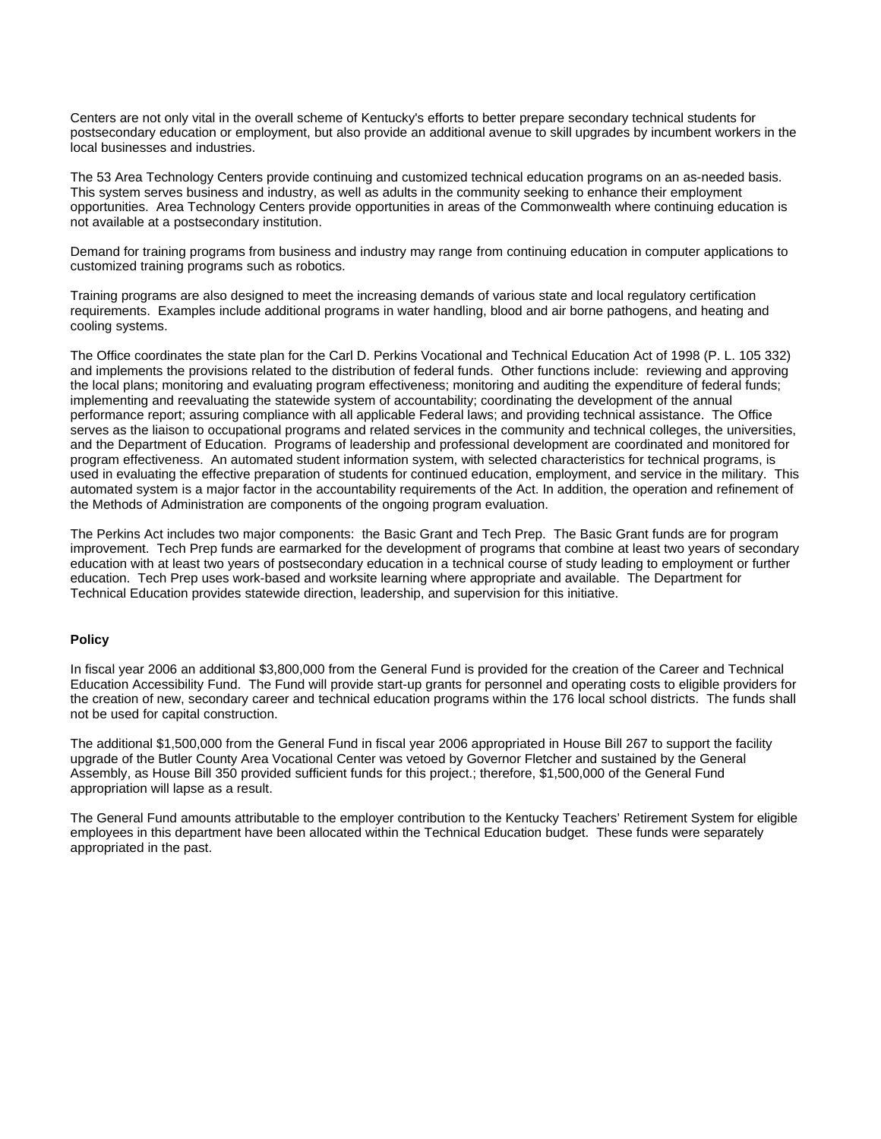Centers are not only vital in the overall scheme of Kentucky's efforts to better prepare secondary technical students for postsecondary education or employment, but also provide an additional avenue to skill upgrades by incumbent workers in the local businesses and industries.

The 53 Area Technology Centers provide continuing and customized technical education programs on an as-needed basis. This system serves business and industry, as well as adults in the community seeking to enhance their employment opportunities. Area Technology Centers provide opportunities in areas of the Commonwealth where continuing education is not available at a postsecondary institution.

Demand for training programs from business and industry may range from continuing education in computer applications to customized training programs such as robotics.

Training programs are also designed to meet the increasing demands of various state and local regulatory certification requirements. Examples include additional programs in water handling, blood and air borne pathogens, and heating and cooling systems.

The Office coordinates the state plan for the Carl D. Perkins Vocational and Technical Education Act of 1998 (P. L. 105 332) and implements the provisions related to the distribution of federal funds. Other functions include: reviewing and approving the local plans; monitoring and evaluating program effectiveness; monitoring and auditing the expenditure of federal funds; implementing and reevaluating the statewide system of accountability; coordinating the development of the annual performance report; assuring compliance with all applicable Federal laws; and providing technical assistance. The Office serves as the liaison to occupational programs and related services in the community and technical colleges, the universities, and the Department of Education. Programs of leadership and professional development are coordinated and monitored for program effectiveness. An automated student information system, with selected characteristics for technical programs, is used in evaluating the effective preparation of students for continued education, employment, and service in the military. This automated system is a major factor in the accountability requirements of the Act. In addition, the operation and refinement of the Methods of Administration are components of the ongoing program evaluation.

The Perkins Act includes two major components: the Basic Grant and Tech Prep. The Basic Grant funds are for program improvement. Tech Prep funds are earmarked for the development of programs that combine at least two years of secondary education with at least two years of postsecondary education in a technical course of study leading to employment or further education. Tech Prep uses work-based and worksite learning where appropriate and available. The Department for Technical Education provides statewide direction, leadership, and supervision for this initiative.

#### **Policy**

In fiscal year 2006 an additional \$3,800,000 from the General Fund is provided for the creation of the Career and Technical Education Accessibility Fund. The Fund will provide start-up grants for personnel and operating costs to eligible providers for the creation of new, secondary career and technical education programs within the 176 local school districts. The funds shall not be used for capital construction.

The additional \$1,500,000 from the General Fund in fiscal year 2006 appropriated in House Bill 267 to support the facility upgrade of the Butler County Area Vocational Center was vetoed by Governor Fletcher and sustained by the General Assembly, as House Bill 350 provided sufficient funds for this project.; therefore, \$1,500,000 of the General Fund appropriation will lapse as a result.

The General Fund amounts attributable to the employer contribution to the Kentucky Teachers' Retirement System for eligible employees in this department have been allocated within the Technical Education budget. These funds were separately appropriated in the past.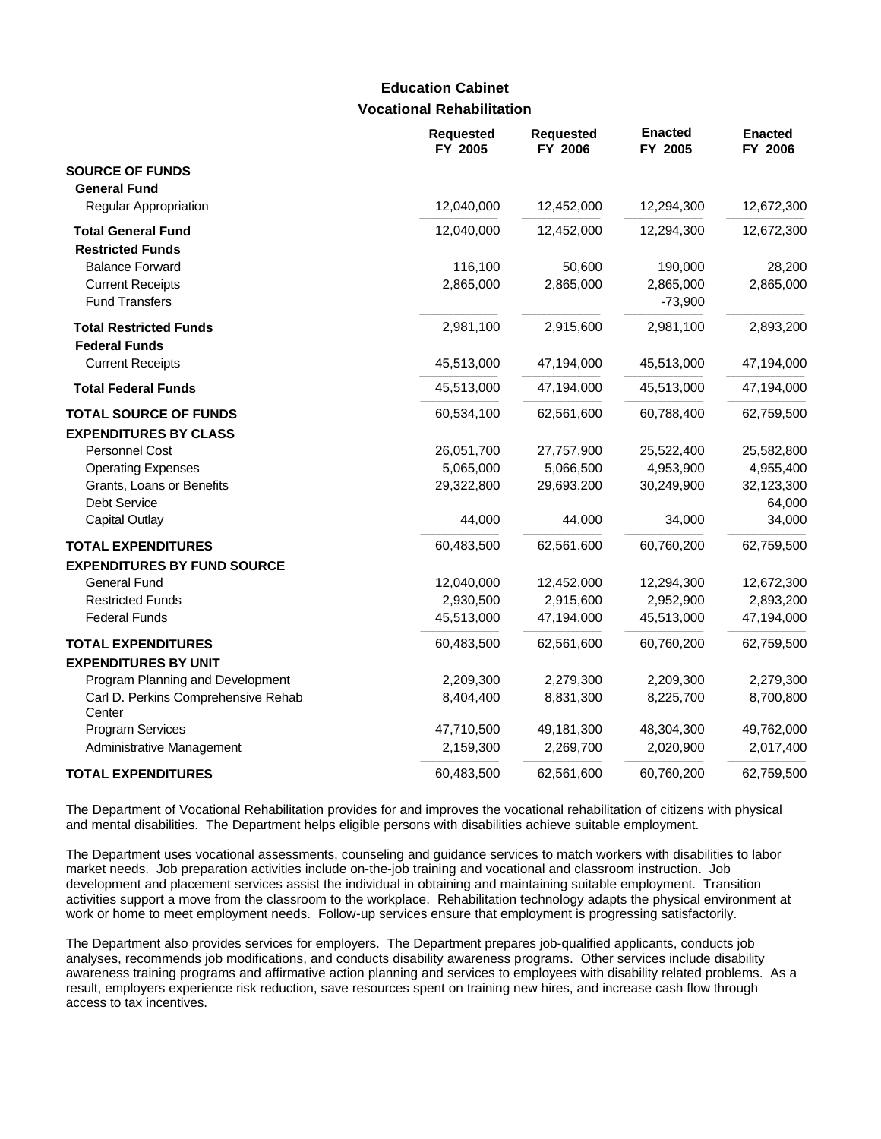### **Vocational Rehabilitation Education Cabinet**

|                                               | <b>Requested</b><br>FY 2005 | <b>Requested</b><br>FY 2006 | <b>Enacted</b><br>FY 2005 | <b>Enacted</b><br>FY 2006 |
|-----------------------------------------------|-----------------------------|-----------------------------|---------------------------|---------------------------|
| <b>SOURCE OF FUNDS</b>                        |                             |                             |                           |                           |
| <b>General Fund</b>                           |                             |                             |                           |                           |
| <b>Regular Appropriation</b>                  | 12,040,000                  | 12,452,000                  | 12,294,300                | 12,672,300                |
| <b>Total General Fund</b>                     | 12,040,000                  | 12,452,000                  | 12,294,300                | 12,672,300                |
| <b>Restricted Funds</b>                       |                             |                             |                           |                           |
| <b>Balance Forward</b>                        | 116,100                     | 50,600                      | 190,000                   | 28,200                    |
| <b>Current Receipts</b>                       | 2,865,000                   | 2,865,000                   | 2,865,000                 | 2,865,000                 |
| <b>Fund Transfers</b>                         |                             |                             | $-73,900$                 |                           |
| <b>Total Restricted Funds</b>                 | 2,981,100                   | 2,915,600                   | 2,981,100                 | 2,893,200                 |
| <b>Federal Funds</b>                          |                             |                             |                           |                           |
| <b>Current Receipts</b>                       | 45,513,000                  | 47,194,000                  | 45,513,000                | 47,194,000                |
| <b>Total Federal Funds</b>                    | 45,513,000                  | 47,194,000                  | 45,513,000                | 47,194,000                |
| <b>TOTAL SOURCE OF FUNDS</b>                  | 60,534,100                  | 62,561,600                  | 60,788,400                | 62,759,500                |
| <b>EXPENDITURES BY CLASS</b>                  |                             |                             |                           |                           |
| Personnel Cost                                | 26,051,700                  | 27,757,900                  | 25,522,400                | 25,582,800                |
| <b>Operating Expenses</b>                     | 5,065,000                   | 5,066,500                   | 4,953,900                 | 4,955,400                 |
| Grants, Loans or Benefits                     | 29,322,800                  | 29,693,200                  | 30,249,900                | 32,123,300                |
| Debt Service                                  |                             |                             |                           | 64,000                    |
| <b>Capital Outlay</b>                         | 44,000                      | 44,000                      | 34,000                    | 34,000                    |
| <b>TOTAL EXPENDITURES</b>                     | 60,483,500                  | 62,561,600                  | 60,760,200                | 62,759,500                |
| <b>EXPENDITURES BY FUND SOURCE</b>            |                             |                             |                           |                           |
| <b>General Fund</b>                           | 12,040,000                  | 12,452,000                  | 12,294,300                | 12,672,300                |
| <b>Restricted Funds</b>                       | 2,930,500                   | 2,915,600                   | 2,952,900                 | 2,893,200                 |
| <b>Federal Funds</b>                          | 45,513,000                  | 47,194,000                  | 45,513,000                | 47,194,000                |
| <b>TOTAL EXPENDITURES</b>                     | 60,483,500                  | 62,561,600                  | 60,760,200                | 62,759,500                |
| <b>EXPENDITURES BY UNIT</b>                   |                             |                             |                           |                           |
| Program Planning and Development              | 2,209,300                   | 2,279,300                   | 2,209,300                 | 2,279,300                 |
| Carl D. Perkins Comprehensive Rehab<br>Center | 8,404,400                   | 8,831,300                   | 8,225,700                 | 8,700,800                 |
| Program Services                              | 47,710,500                  | 49,181,300                  | 48,304,300                | 49,762,000                |
| Administrative Management                     | 2,159,300                   | 2,269,700                   | 2,020,900                 | 2,017,400                 |
| <b>TOTAL EXPENDITURES</b>                     | 60,483,500                  | 62,561,600                  | 60,760,200                | 62,759,500                |

The Department of Vocational Rehabilitation provides for and improves the vocational rehabilitation of citizens with physical and mental disabilities. The Department helps eligible persons with disabilities achieve suitable employment.

The Department uses vocational assessments, counseling and guidance services to match workers with disabilities to labor market needs. Job preparation activities include on-the-job training and vocational and classroom instruction. Job development and placement services assist the individual in obtaining and maintaining suitable employment. Transition activities support a move from the classroom to the workplace. Rehabilitation technology adapts the physical environment at work or home to meet employment needs. Follow-up services ensure that employment is progressing satisfactorily.

The Department also provides services for employers. The Department prepares job-qualified applicants, conducts job analyses, recommends job modifications, and conducts disability awareness programs. Other services include disability awareness training programs and affirmative action planning and services to employees with disability related problems. As a result, employers experience risk reduction, save resources spent on training new hires, and increase cash flow through access to tax incentives.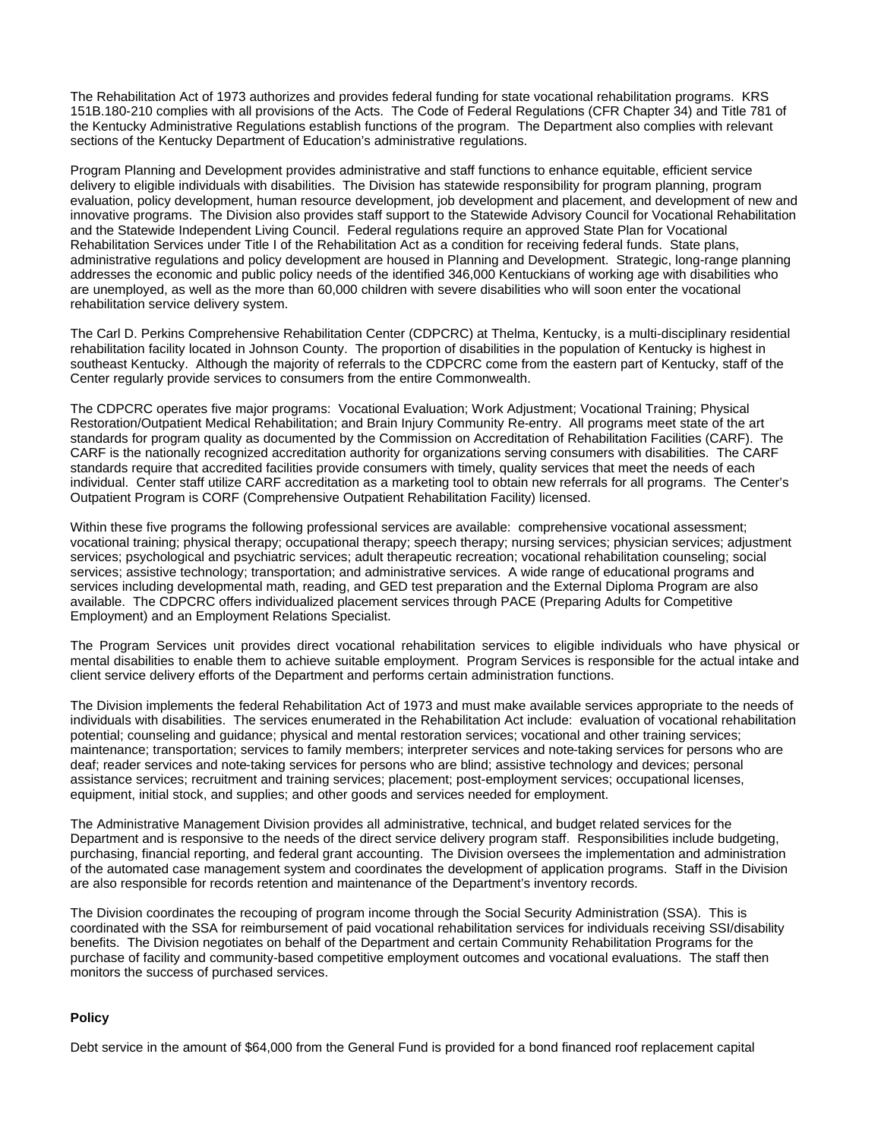The Rehabilitation Act of 1973 authorizes and provides federal funding for state vocational rehabilitation programs. KRS 151B.180-210 complies with all provisions of the Acts. The Code of Federal Regulations (CFR Chapter 34) and Title 781 of the Kentucky Administrative Regulations establish functions of the program. The Department also complies with relevant sections of the Kentucky Department of Education's administrative regulations.

Program Planning and Development provides administrative and staff functions to enhance equitable, efficient service delivery to eligible individuals with disabilities. The Division has statewide responsibility for program planning, program evaluation, policy development, human resource development, job development and placement, and development of new and innovative programs. The Division also provides staff support to the Statewide Advisory Council for Vocational Rehabilitation and the Statewide Independent Living Council. Federal regulations require an approved State Plan for Vocational Rehabilitation Services under Title I of the Rehabilitation Act as a condition for receiving federal funds. State plans, administrative regulations and policy development are housed in Planning and Development. Strategic, long-range planning addresses the economic and public policy needs of the identified 346,000 Kentuckians of working age with disabilities who are unemployed, as well as the more than 60,000 children with severe disabilities who will soon enter the vocational rehabilitation service delivery system.

The Carl D. Perkins Comprehensive Rehabilitation Center (CDPCRC) at Thelma, Kentucky, is a multi-disciplinary residential rehabilitation facility located in Johnson County. The proportion of disabilities in the population of Kentucky is highest in southeast Kentucky. Although the majority of referrals to the CDPCRC come from the eastern part of Kentucky, staff of the Center regularly provide services to consumers from the entire Commonwealth.

The CDPCRC operates five major programs: Vocational Evaluation; Work Adjustment; Vocational Training; Physical Restoration/Outpatient Medical Rehabilitation; and Brain Injury Community Re-entry. All programs meet state of the art standards for program quality as documented by the Commission on Accreditation of Rehabilitation Facilities (CARF). The CARF is the nationally recognized accreditation authority for organizations serving consumers with disabilities. The CARF standards require that accredited facilities provide consumers with timely, quality services that meet the needs of each individual. Center staff utilize CARF accreditation as a marketing tool to obtain new referrals for all programs. The Center's Outpatient Program is CORF (Comprehensive Outpatient Rehabilitation Facility) licensed.

Within these five programs the following professional services are available: comprehensive vocational assessment; vocational training; physical therapy; occupational therapy; speech therapy; nursing services; physician services; adjustment services; psychological and psychiatric services; adult therapeutic recreation; vocational rehabilitation counseling; social services; assistive technology; transportation; and administrative services. A wide range of educational programs and services including developmental math, reading, and GED test preparation and the External Diploma Program are also available. The CDPCRC offers individualized placement services through PACE (Preparing Adults for Competitive Employment) and an Employment Relations Specialist.

The Program Services unit provides direct vocational rehabilitation services to eligible individuals who have physical or mental disabilities to enable them to achieve suitable employment. Program Services is responsible for the actual intake and client service delivery efforts of the Department and performs certain administration functions.

The Division implements the federal Rehabilitation Act of 1973 and must make available services appropriate to the needs of individuals with disabilities. The services enumerated in the Rehabilitation Act include: evaluation of vocational rehabilitation potential; counseling and guidance; physical and mental restoration services; vocational and other training services; maintenance; transportation; services to family members; interpreter services and note-taking services for persons who are deaf; reader services and note-taking services for persons who are blind; assistive technology and devices; personal assistance services; recruitment and training services; placement; post-employment services; occupational licenses, equipment, initial stock, and supplies; and other goods and services needed for employment.

The Administrative Management Division provides all administrative, technical, and budget related services for the Department and is responsive to the needs of the direct service delivery program staff. Responsibilities include budgeting, purchasing, financial reporting, and federal grant accounting. The Division oversees the implementation and administration of the automated case management system and coordinates the development of application programs. Staff in the Division are also responsible for records retention and maintenance of the Department's inventory records.

The Division coordinates the recouping of program income through the Social Security Administration (SSA). This is coordinated with the SSA for reimbursement of paid vocational rehabilitation services for individuals receiving SSI/disability benefits. The Division negotiates on behalf of the Department and certain Community Rehabilitation Programs for the purchase of facility and community-based competitive employment outcomes and vocational evaluations. The staff then monitors the success of purchased services.

#### **Policy**

Debt service in the amount of \$64,000 from the General Fund is provided for a bond financed roof replacement capital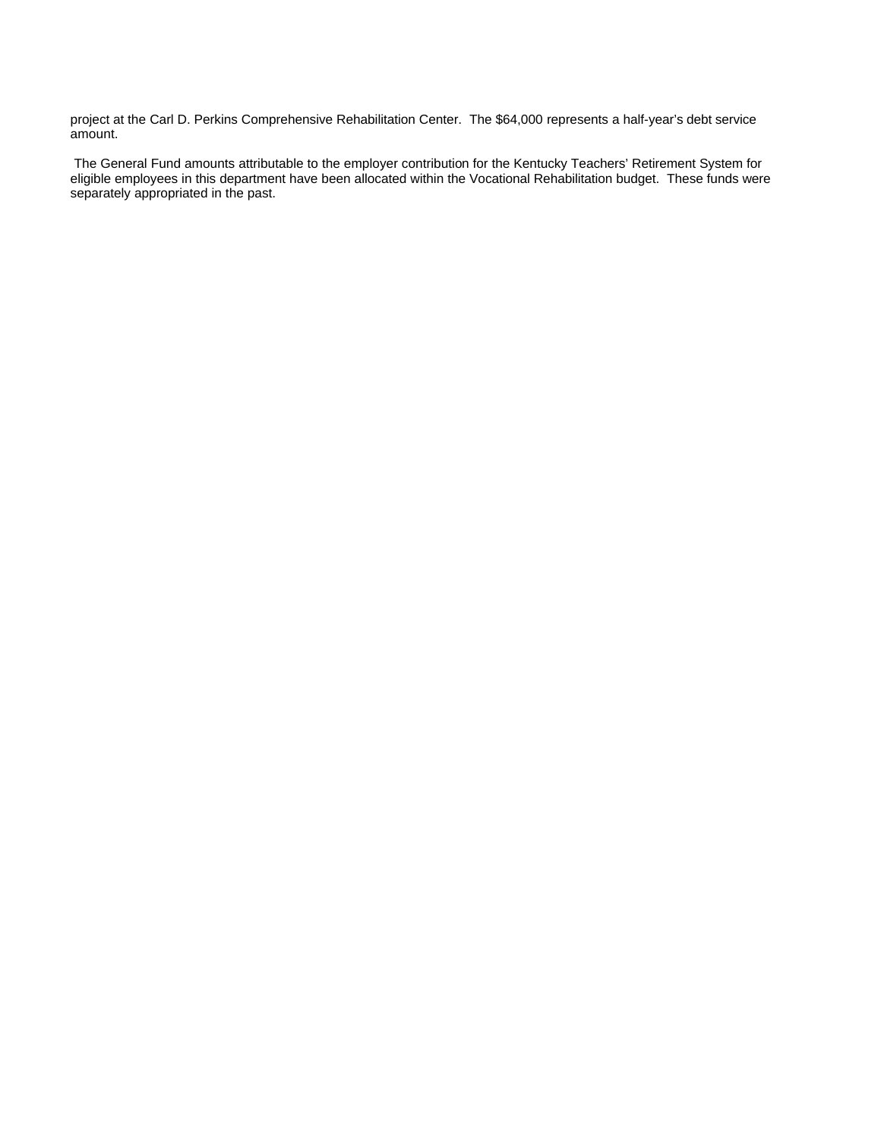project at the Carl D. Perkins Comprehensive Rehabilitation Center. The \$64,000 represents a half-year's debt service amount.

 The General Fund amounts attributable to the employer contribution for the Kentucky Teachers' Retirement System for eligible employees in this department have been allocated within the Vocational Rehabilitation budget. These funds were separately appropriated in the past.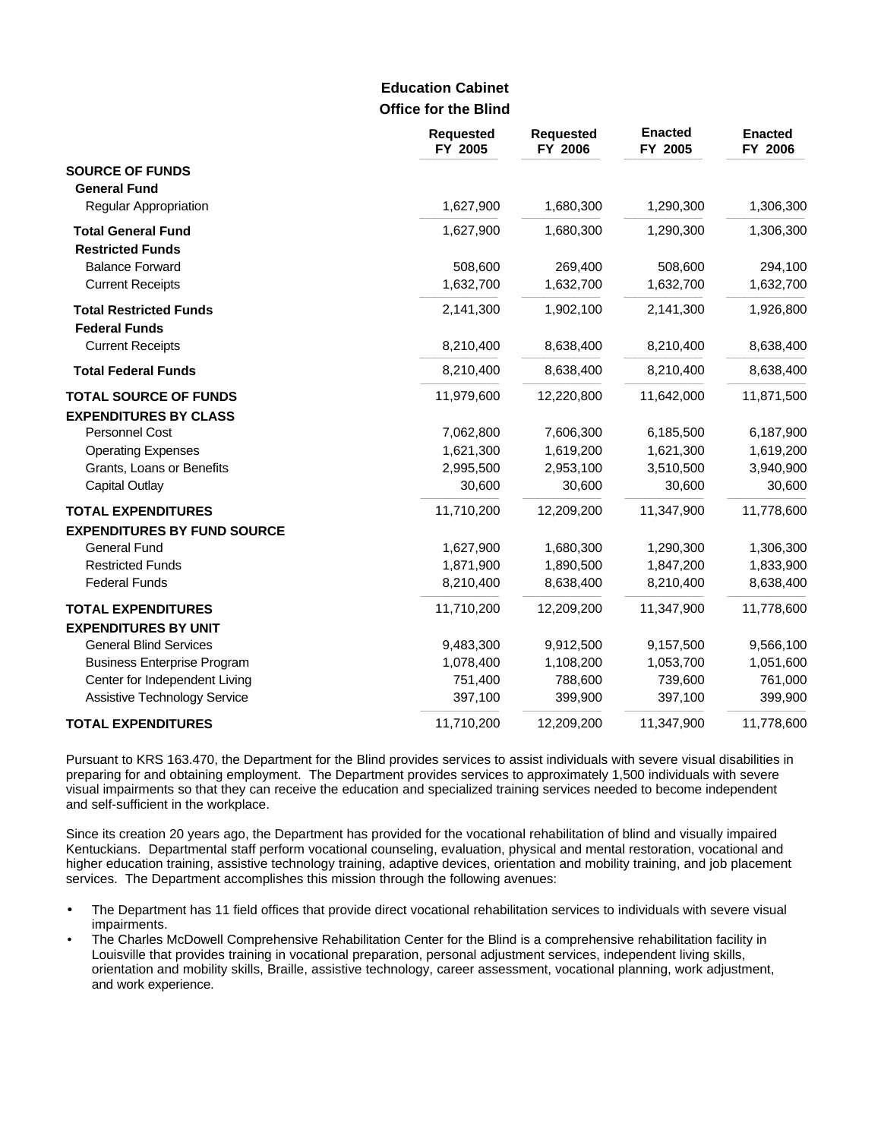### **Office for the Blind Education Cabinet**

|                                    | <b>Requested</b><br>FY 2005 | <b>Requested</b><br>FY 2006 | <b>Enacted</b><br>FY 2005 | <b>Enacted</b><br>FY 2006 |
|------------------------------------|-----------------------------|-----------------------------|---------------------------|---------------------------|
| <b>SOURCE OF FUNDS</b>             |                             |                             |                           |                           |
| <b>General Fund</b>                |                             |                             |                           |                           |
| <b>Regular Appropriation</b>       | 1,627,900                   | 1,680,300                   | 1,290,300                 | 1,306,300                 |
| <b>Total General Fund</b>          | 1,627,900                   | 1,680,300                   | 1,290,300                 | 1,306,300                 |
| <b>Restricted Funds</b>            |                             |                             |                           |                           |
| <b>Balance Forward</b>             | 508,600                     | 269,400                     | 508,600                   | 294,100                   |
| <b>Current Receipts</b>            | 1,632,700                   | 1,632,700                   | 1,632,700                 | 1,632,700                 |
| <b>Total Restricted Funds</b>      | 2,141,300                   | 1,902,100                   | 2,141,300                 | 1,926,800                 |
| <b>Federal Funds</b>               |                             |                             |                           |                           |
| <b>Current Receipts</b>            | 8,210,400                   | 8,638,400                   | 8,210,400                 | 8,638,400                 |
| <b>Total Federal Funds</b>         | 8,210,400                   | 8,638,400                   | 8,210,400                 | 8,638,400                 |
| <b>TOTAL SOURCE OF FUNDS</b>       | 11,979,600                  | 12,220,800                  | 11,642,000                | 11,871,500                |
| <b>EXPENDITURES BY CLASS</b>       |                             |                             |                           |                           |
| Personnel Cost                     | 7,062,800                   | 7,606,300                   | 6,185,500                 | 6,187,900                 |
| <b>Operating Expenses</b>          | 1,621,300                   | 1,619,200                   | 1,621,300                 | 1,619,200                 |
| Grants, Loans or Benefits          | 2,995,500                   | 2,953,100                   | 3,510,500                 | 3,940,900                 |
| <b>Capital Outlay</b>              | 30,600                      | 30,600                      | 30,600                    | 30,600                    |
| <b>TOTAL EXPENDITURES</b>          | 11,710,200                  | 12,209,200                  | 11,347,900                | 11,778,600                |
| <b>EXPENDITURES BY FUND SOURCE</b> |                             |                             |                           |                           |
| <b>General Fund</b>                | 1,627,900                   | 1,680,300                   | 1,290,300                 | 1,306,300                 |
| <b>Restricted Funds</b>            | 1,871,900                   | 1,890,500                   | 1,847,200                 | 1,833,900                 |
| <b>Federal Funds</b>               | 8,210,400                   | 8,638,400                   | 8,210,400                 | 8,638,400                 |
| <b>TOTAL EXPENDITURES</b>          | 11,710,200                  | 12,209,200                  | 11,347,900                | 11,778,600                |
| <b>EXPENDITURES BY UNIT</b>        |                             |                             |                           |                           |
| <b>General Blind Services</b>      | 9,483,300                   | 9,912,500                   | 9,157,500                 | 9,566,100                 |
| <b>Business Enterprise Program</b> | 1,078,400                   | 1,108,200                   | 1,053,700                 | 1,051,600                 |
| Center for Independent Living      | 751,400                     | 788,600                     | 739,600                   | 761,000                   |
| Assistive Technology Service       | 397,100                     | 399,900                     | 397,100                   | 399,900                   |
| <b>TOTAL EXPENDITURES</b>          | 11,710,200                  | 12,209,200                  | 11,347,900                | 11,778,600                |

Pursuant to KRS 163.470, the Department for the Blind provides services to assist individuals with severe visual disabilities in preparing for and obtaining employment. The Department provides services to approximately 1,500 individuals with severe visual impairments so that they can receive the education and specialized training services needed to become independent and self-sufficient in the workplace.

Since its creation 20 years ago, the Department has provided for the vocational rehabilitation of blind and visually impaired Kentuckians. Departmental staff perform vocational counseling, evaluation, physical and mental restoration, vocational and higher education training, assistive technology training, adaptive devices, orientation and mobility training, and job placement services. The Department accomplishes this mission through the following avenues:

- The Department has 11 field offices that provide direct vocational rehabilitation services to individuals with severe visual impairments.
- The Charles McDowell Comprehensive Rehabilitation Center for the Blind is a comprehensive rehabilitation facility in Louisville that provides training in vocational preparation, personal adjustment services, independent living skills, orientation and mobility skills, Braille, assistive technology, career assessment, vocational planning, work adjustment, and work experience.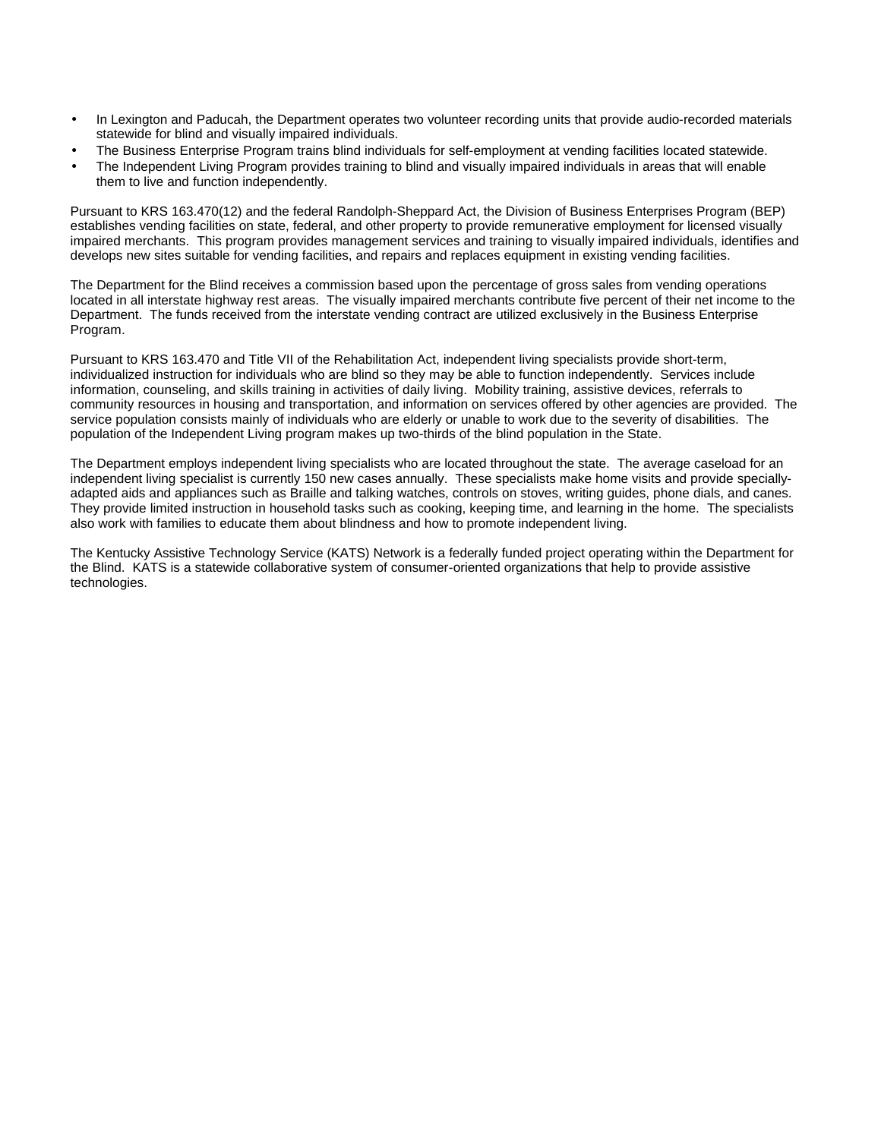- In Lexington and Paducah, the Department operates two volunteer recording units that provide audio-recorded materials statewide for blind and visually impaired individuals.
- The Business Enterprise Program trains blind individuals for self-employment at vending facilities located statewide.
- The Independent Living Program provides training to blind and visually impaired individuals in areas that will enable them to live and function independently.

Pursuant to KRS 163.470(12) and the federal Randolph-Sheppard Act, the Division of Business Enterprises Program (BEP) establishes vending facilities on state, federal, and other property to provide remunerative employment for licensed visually impaired merchants. This program provides management services and training to visually impaired individuals, identifies and develops new sites suitable for vending facilities, and repairs and replaces equipment in existing vending facilities.

The Department for the Blind receives a commission based upon the percentage of gross sales from vending operations located in all interstate highway rest areas. The visually impaired merchants contribute five percent of their net income to the Department. The funds received from the interstate vending contract are utilized exclusively in the Business Enterprise Program.

Pursuant to KRS 163.470 and Title VII of the Rehabilitation Act, independent living specialists provide short-term, individualized instruction for individuals who are blind so they may be able to function independently. Services include information, counseling, and skills training in activities of daily living. Mobility training, assistive devices, referrals to community resources in housing and transportation, and information on services offered by other agencies are provided. The service population consists mainly of individuals who are elderly or unable to work due to the severity of disabilities. The population of the Independent Living program makes up two-thirds of the blind population in the State.

The Department employs independent living specialists who are located throughout the state. The average caseload for an independent living specialist is currently 150 new cases annually. These specialists make home visits and provide speciallyadapted aids and appliances such as Braille and talking watches, controls on stoves, writing guides, phone dials, and canes. They provide limited instruction in household tasks such as cooking, keeping time, and learning in the home. The specialists also work with families to educate them about blindness and how to promote independent living.

The Kentucky Assistive Technology Service (KATS) Network is a federally funded project operating within the Department for the Blind. KATS is a statewide collaborative system of consumer-oriented organizations that help to provide assistive technologies.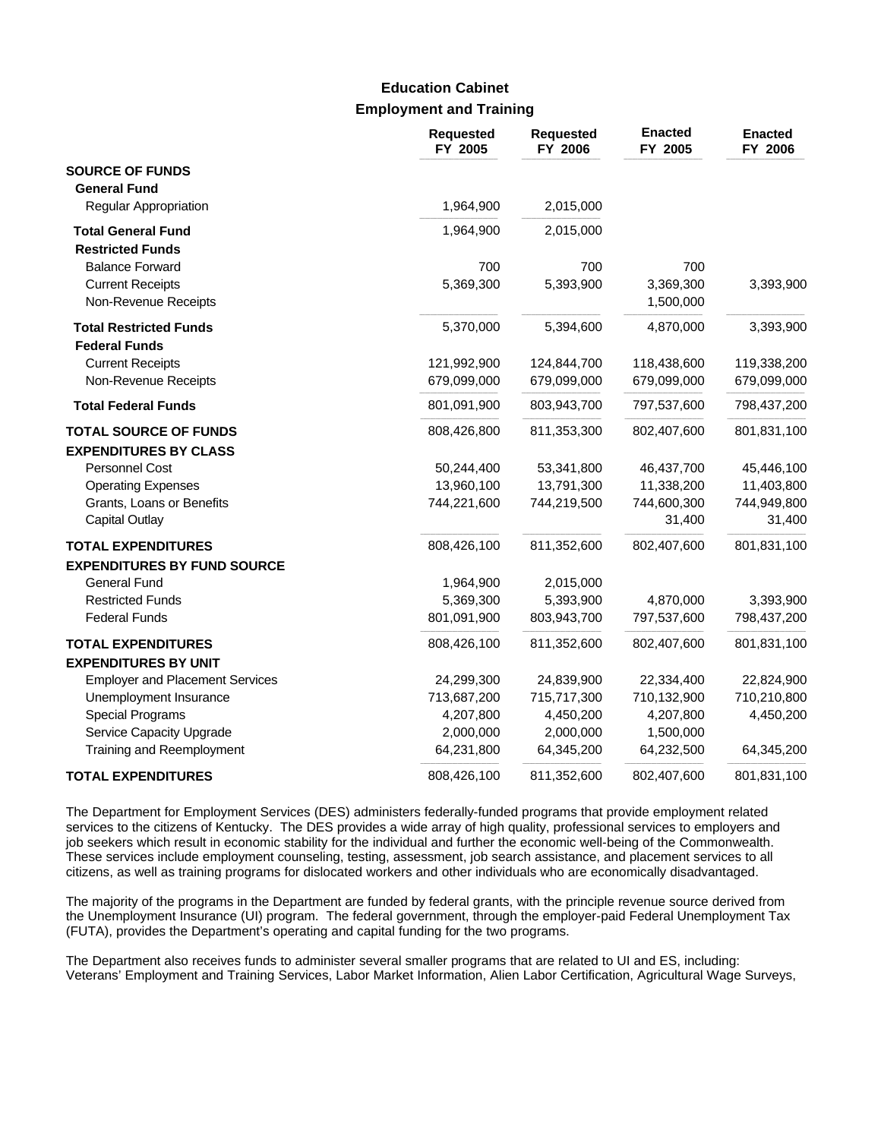### **Employment and Training Education Cabinet**

|                                        | <b>Requested</b><br>FY 2005 | <b>Requested</b><br>FY 2006 | <b>Enacted</b><br>FY 2005 | <b>Enacted</b><br>FY 2006 |
|----------------------------------------|-----------------------------|-----------------------------|---------------------------|---------------------------|
| <b>SOURCE OF FUNDS</b>                 |                             |                             |                           |                           |
| <b>General Fund</b>                    |                             |                             |                           |                           |
| Regular Appropriation                  | 1,964,900                   | 2,015,000                   |                           |                           |
| <b>Total General Fund</b>              | 1,964,900                   | 2,015,000                   |                           |                           |
| <b>Restricted Funds</b>                |                             |                             |                           |                           |
| <b>Balance Forward</b>                 | 700                         | 700                         | 700                       |                           |
| <b>Current Receipts</b>                | 5,369,300                   | 5,393,900                   | 3,369,300                 | 3,393,900                 |
| Non-Revenue Receipts                   |                             |                             | 1,500,000                 |                           |
| <b>Total Restricted Funds</b>          | 5,370,000                   | 5,394,600                   | 4,870,000                 | 3,393,900                 |
| <b>Federal Funds</b>                   |                             |                             |                           |                           |
| <b>Current Receipts</b>                | 121,992,900                 | 124,844,700                 | 118,438,600               | 119,338,200               |
| Non-Revenue Receipts                   | 679,099,000                 | 679,099,000                 | 679,099,000               | 679,099,000               |
| <b>Total Federal Funds</b>             | 801,091,900                 | 803,943,700                 | 797,537,600               | 798,437,200               |
| <b>TOTAL SOURCE OF FUNDS</b>           | 808,426,800                 | 811,353,300                 | 802,407,600               | 801,831,100               |
| <b>EXPENDITURES BY CLASS</b>           |                             |                             |                           |                           |
| Personnel Cost                         | 50,244,400                  | 53,341,800                  | 46,437,700                | 45,446,100                |
| <b>Operating Expenses</b>              | 13,960,100                  | 13,791,300                  | 11,338,200                | 11,403,800                |
| Grants, Loans or Benefits              | 744,221,600                 | 744,219,500                 | 744,600,300               | 744,949,800               |
| <b>Capital Outlay</b>                  |                             |                             | 31,400                    | 31,400                    |
| <b>TOTAL EXPENDITURES</b>              | 808,426,100                 | 811,352,600                 | 802,407,600               | 801,831,100               |
| <b>EXPENDITURES BY FUND SOURCE</b>     |                             |                             |                           |                           |
| <b>General Fund</b>                    | 1,964,900                   | 2,015,000                   |                           |                           |
| <b>Restricted Funds</b>                | 5,369,300                   | 5,393,900                   | 4,870,000                 | 3,393,900                 |
| <b>Federal Funds</b>                   | 801,091,900                 | 803,943,700                 | 797,537,600               | 798,437,200               |
| <b>TOTAL EXPENDITURES</b>              | 808,426,100                 | 811,352,600                 | 802,407,600               | 801,831,100               |
| <b>EXPENDITURES BY UNIT</b>            |                             |                             |                           |                           |
| <b>Employer and Placement Services</b> | 24,299,300                  | 24,839,900                  | 22,334,400                | 22,824,900                |
| Unemployment Insurance                 | 713,687,200                 | 715,717,300                 | 710,132,900               | 710,210,800               |
| <b>Special Programs</b>                | 4,207,800                   | 4,450,200                   | 4,207,800                 | 4,450,200                 |
| Service Capacity Upgrade               | 2,000,000                   | 2,000,000                   | 1,500,000                 |                           |
| Training and Reemployment              | 64,231,800                  | 64,345,200                  | 64,232,500                | 64,345,200                |
| <b>TOTAL EXPENDITURES</b>              | 808,426,100                 | 811,352,600                 | 802,407,600               | 801,831,100               |

The Department for Employment Services (DES) administers federally-funded programs that provide employment related services to the citizens of Kentucky. The DES provides a wide array of high quality, professional services to employers and job seekers which result in economic stability for the individual and further the economic well-being of the Commonwealth. These services include employment counseling, testing, assessment, job search assistance, and placement services to all citizens, as well as training programs for dislocated workers and other individuals who are economically disadvantaged.

The majority of the programs in the Department are funded by federal grants, with the principle revenue source derived from the Unemployment Insurance (UI) program. The federal government, through the employer-paid Federal Unemployment Tax (FUTA), provides the Department's operating and capital funding for the two programs.

The Department also receives funds to administer several smaller programs that are related to UI and ES, including: Veterans' Employment and Training Services, Labor Market Information, Alien Labor Certification, Agricultural Wage Surveys,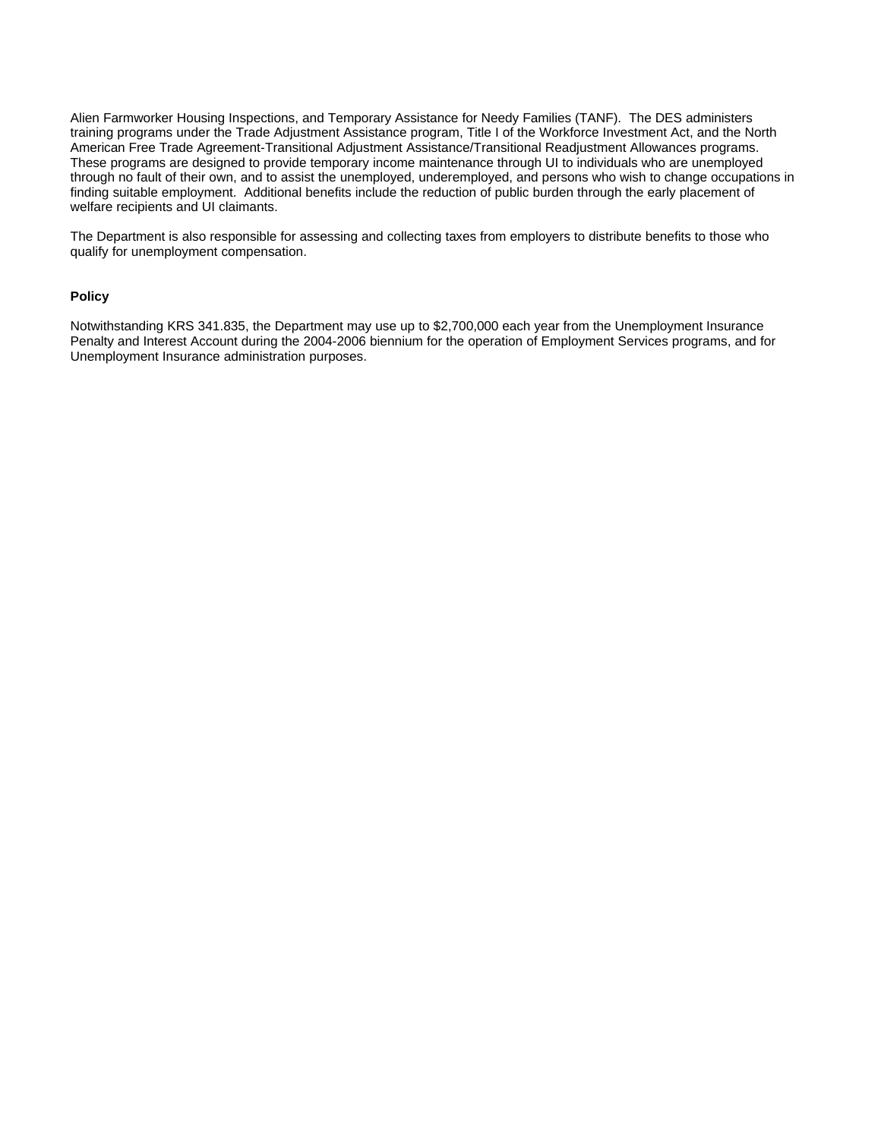Alien Farmworker Housing Inspections, and Temporary Assistance for Needy Families (TANF). The DES administers training programs under the Trade Adjustment Assistance program, Title I of the Workforce Investment Act, and the North American Free Trade Agreement-Transitional Adjustment Assistance/Transitional Readjustment Allowances programs. These programs are designed to provide temporary income maintenance through UI to individuals who are unemployed through no fault of their own, and to assist the unemployed, underemployed, and persons who wish to change occupations in finding suitable employment. Additional benefits include the reduction of public burden through the early placement of welfare recipients and UI claimants.

The Department is also responsible for assessing and collecting taxes from employers to distribute benefits to those who qualify for unemployment compensation.

#### **Policy**

Notwithstanding KRS 341.835, the Department may use up to \$2,700,000 each year from the Unemployment Insurance Penalty and Interest Account during the 2004-2006 biennium for the operation of Employment Services programs, and for Unemployment Insurance administration purposes.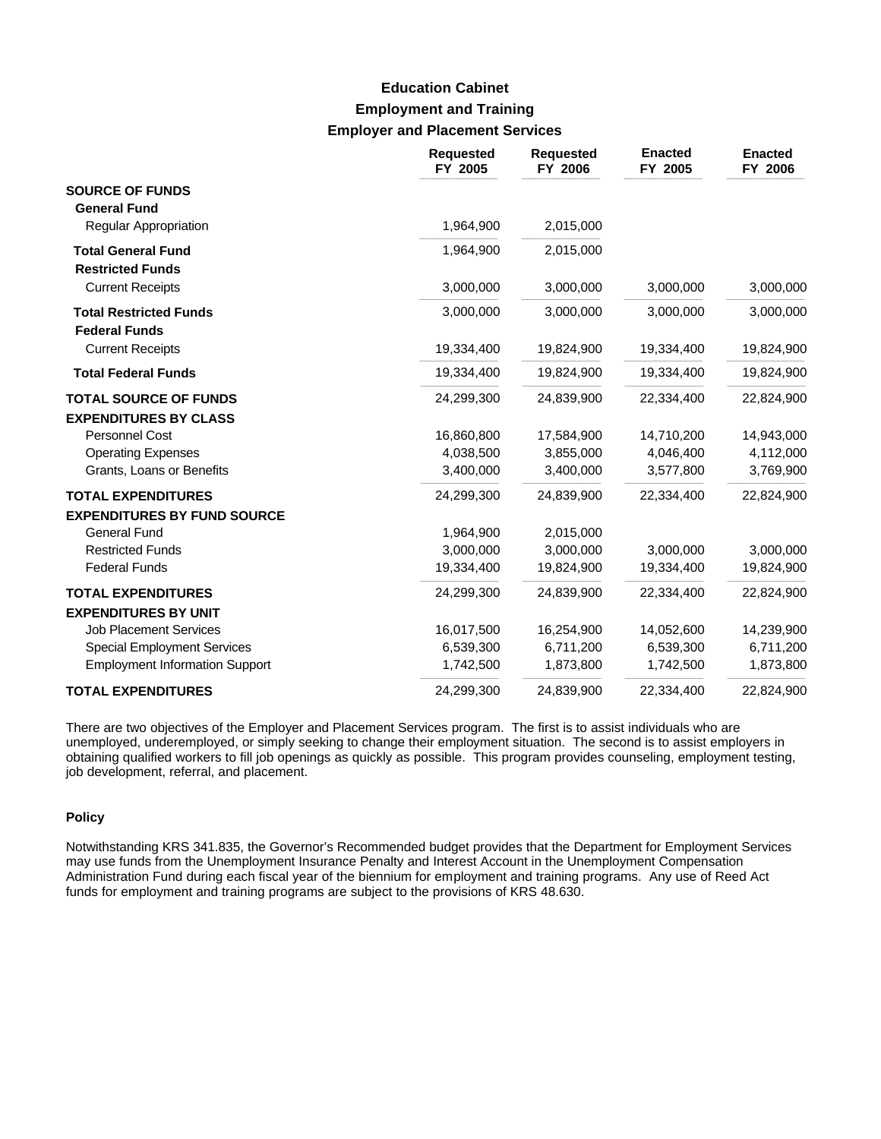# **Employment and Training Employer and Placement Services Education Cabinet**

|                                                                 | <b>Requested</b><br>FY 2005 | <b>Requested</b><br>FY 2006 | <b>Enacted</b><br>FY 2005 | <b>Enacted</b><br>FY 2006 |
|-----------------------------------------------------------------|-----------------------------|-----------------------------|---------------------------|---------------------------|
| <b>SOURCE OF FUNDS</b><br><b>General Fund</b>                   |                             |                             |                           |                           |
| <b>Regular Appropriation</b>                                    | 1,964,900                   | 2,015,000                   |                           |                           |
| <b>Total General Fund</b><br><b>Restricted Funds</b>            | 1,964,900                   | 2,015,000                   |                           |                           |
| <b>Current Receipts</b>                                         | 3,000,000                   | 3,000,000                   | 3,000,000                 | 3,000,000                 |
| <b>Total Restricted Funds</b><br><b>Federal Funds</b>           | 3,000,000                   | 3,000,000                   | 3,000,000                 | 3,000,000                 |
| <b>Current Receipts</b>                                         | 19,334,400                  | 19,824,900                  | 19,334,400                | 19,824,900                |
| <b>Total Federal Funds</b>                                      | 19,334,400                  | 19,824,900                  | 19,334,400                | 19,824,900                |
| <b>TOTAL SOURCE OF FUNDS</b><br><b>EXPENDITURES BY CLASS</b>    | 24,299,300                  | 24,839,900                  | 22,334,400                | 22,824,900                |
| Personnel Cost                                                  | 16,860,800                  | 17,584,900                  | 14,710,200                | 14,943,000                |
| <b>Operating Expenses</b>                                       | 4,038,500                   | 3,855,000                   | 4,046,400                 | 4,112,000                 |
| Grants, Loans or Benefits                                       | 3,400,000                   | 3,400,000                   | 3,577,800                 | 3,769,900                 |
| <b>TOTAL EXPENDITURES</b><br><b>EXPENDITURES BY FUND SOURCE</b> | 24,299,300                  | 24,839,900                  | 22,334,400                | 22,824,900                |
| <b>General Fund</b>                                             | 1,964,900                   | 2,015,000                   |                           |                           |
| <b>Restricted Funds</b>                                         | 3,000,000                   | 3,000,000                   | 3,000,000                 | 3,000,000                 |
| <b>Federal Funds</b>                                            | 19,334,400                  | 19,824,900                  | 19,334,400                | 19,824,900                |
| <b>TOTAL EXPENDITURES</b><br><b>EXPENDITURES BY UNIT</b>        | 24,299,300                  | 24,839,900                  | 22,334,400                | 22,824,900                |
| <b>Job Placement Services</b>                                   | 16,017,500                  | 16,254,900                  | 14,052,600                | 14,239,900                |
| <b>Special Employment Services</b>                              | 6,539,300                   | 6,711,200                   | 6,539,300                 | 6,711,200                 |
| <b>Employment Information Support</b>                           | 1,742,500                   | 1,873,800                   | 1,742,500                 | 1,873,800                 |
| <b>TOTAL EXPENDITURES</b>                                       | 24,299,300                  | 24,839,900                  | 22,334,400                | 22,824,900                |

There are two objectives of the Employer and Placement Services program. The first is to assist individuals who are unemployed, underemployed, or simply seeking to change their employment situation. The second is to assist employers in obtaining qualified workers to fill job openings as quickly as possible. This program provides counseling, employment testing, job development, referral, and placement.

#### **Policy**

Notwithstanding KRS 341.835, the Governor's Recommended budget provides that the Department for Employment Services may use funds from the Unemployment Insurance Penalty and Interest Account in the Unemployment Compensation Administration Fund during each fiscal year of the biennium for employment and training programs. Any use of Reed Act funds for employment and training programs are subject to the provisions of KRS 48.630.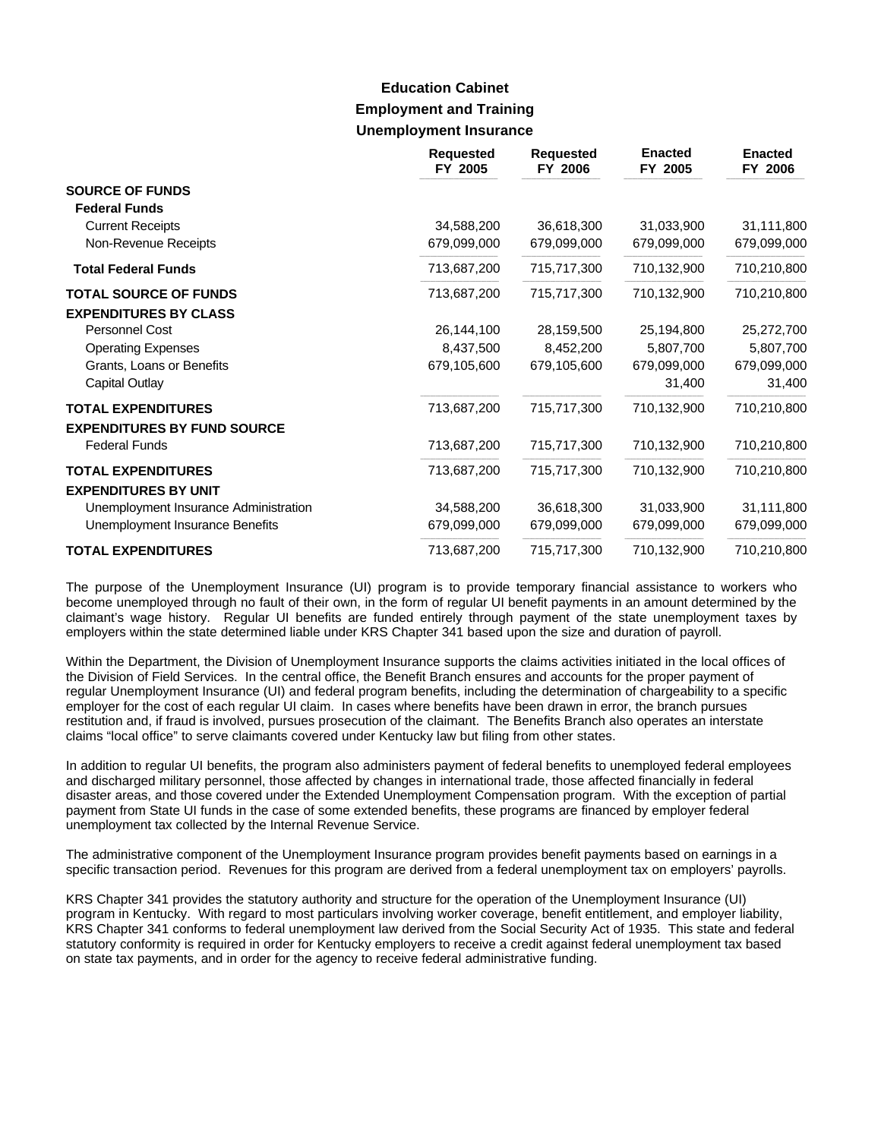# **Employment and Training Unemployment Insurance Education Cabinet**

|                                                          | <b>Requested</b><br>FY 2005 | <b>Requested</b><br>FY 2006 | <b>Enacted</b><br>FY 2005 | <b>Enacted</b><br>FY 2006 |
|----------------------------------------------------------|-----------------------------|-----------------------------|---------------------------|---------------------------|
| <b>SOURCE OF FUNDS</b>                                   |                             |                             |                           |                           |
| <b>Federal Funds</b>                                     |                             |                             |                           |                           |
| <b>Current Receipts</b>                                  | 34,588,200                  | 36,618,300                  | 31,033,900                | 31,111,800                |
| Non-Revenue Receipts                                     | 679,099,000                 | 679,099,000                 | 679,099,000               | 679,099,000               |
| <b>Total Federal Funds</b>                               | 713,687,200                 | 715,717,300                 | 710,132,900               | 710,210,800               |
| <b>TOTAL SOURCE OF FUNDS</b>                             | 713,687,200                 | 715,717,300                 | 710,132,900               | 710,210,800               |
| <b>EXPENDITURES BY CLASS</b>                             |                             |                             |                           |                           |
| Personnel Cost                                           | 26,144,100                  | 28,159,500                  | 25,194,800                | 25,272,700                |
| <b>Operating Expenses</b>                                | 8,437,500                   | 8,452,200                   | 5,807,700                 | 5,807,700                 |
| Grants, Loans or Benefits                                | 679,105,600                 | 679,105,600                 | 679,099,000               | 679,099,000               |
| Capital Outlay                                           |                             |                             | 31,400                    | 31,400                    |
| <b>TOTAL EXPENDITURES</b>                                | 713,687,200                 | 715,717,300                 | 710,132,900               | 710,210,800               |
| <b>EXPENDITURES BY FUND SOURCE</b>                       |                             |                             |                           |                           |
| <b>Federal Funds</b>                                     | 713,687,200                 | 715,717,300                 | 710,132,900               | 710,210,800               |
| <b>TOTAL EXPENDITURES</b><br><b>EXPENDITURES BY UNIT</b> | 713,687,200                 | 715,717,300                 | 710,132,900               | 710,210,800               |
| Unemployment Insurance Administration                    | 34,588,200                  | 36,618,300                  | 31,033,900                | 31,111,800                |
| Unemployment Insurance Benefits                          | 679,099,000                 | 679,099,000                 | 679,099,000               | 679,099,000               |
| <b>TOTAL EXPENDITURES</b>                                | 713,687,200                 | 715,717,300                 | 710,132,900               | 710,210,800               |

The purpose of the Unemployment Insurance (UI) program is to provide temporary financial assistance to workers who become unemployed through no fault of their own, in the form of regular UI benefit payments in an amount determined by the claimant's wage history. Regular UI benefits are funded entirely through payment of the state unemployment taxes by employers within the state determined liable under KRS Chapter 341 based upon the size and duration of payroll.

Within the Department, the Division of Unemployment Insurance supports the claims activities initiated in the local offices of the Division of Field Services. In the central office, the Benefit Branch ensures and accounts for the proper payment of regular Unemployment Insurance (UI) and federal program benefits, including the determination of chargeability to a specific employer for the cost of each regular UI claim. In cases where benefits have been drawn in error, the branch pursues restitution and, if fraud is involved, pursues prosecution of the claimant. The Benefits Branch also operates an interstate claims "local office" to serve claimants covered under Kentucky law but filing from other states.

In addition to regular UI benefits, the program also administers payment of federal benefits to unemployed federal employees and discharged military personnel, those affected by changes in international trade, those affected financially in federal disaster areas, and those covered under the Extended Unemployment Compensation program. With the exception of partial payment from State UI funds in the case of some extended benefits, these programs are financed by employer federal unemployment tax collected by the Internal Revenue Service.

The administrative component of the Unemployment Insurance program provides benefit payments based on earnings in a specific transaction period. Revenues for this program are derived from a federal unemployment tax on employers' payrolls.

KRS Chapter 341 provides the statutory authority and structure for the operation of the Unemployment Insurance (UI) program in Kentucky. With regard to most particulars involving worker coverage, benefit entitlement, and employer liability, KRS Chapter 341 conforms to federal unemployment law derived from the Social Security Act of 1935. This state and federal statutory conformity is required in order for Kentucky employers to receive a credit against federal unemployment tax based on state tax payments, and in order for the agency to receive federal administrative funding.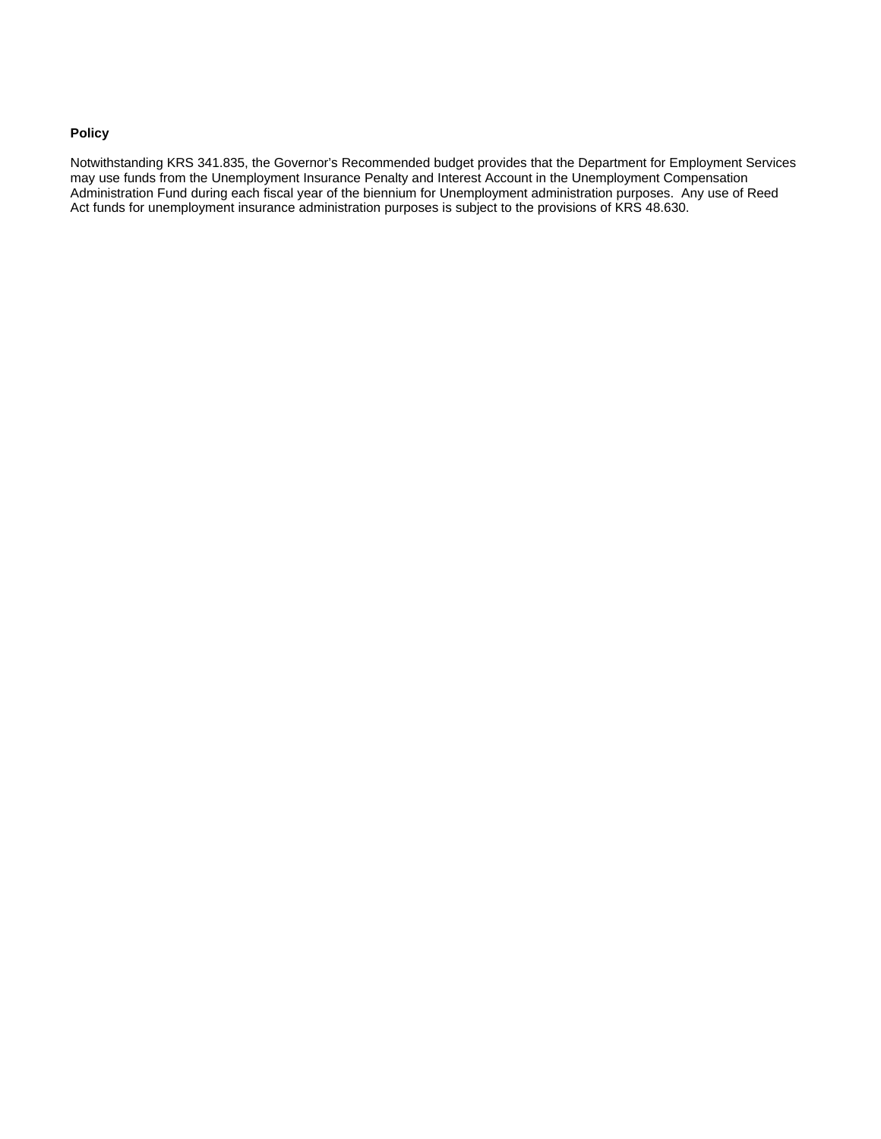#### **Policy**

Notwithstanding KRS 341.835, the Governor's Recommended budget provides that the Department for Employment Services may use funds from the Unemployment Insurance Penalty and Interest Account in the Unemployment Compensation Administration Fund during each fiscal year of the biennium for Unemployment administration purposes. Any use of Reed Act funds for unemployment insurance administration purposes is subject to the provisions of KRS 48.630.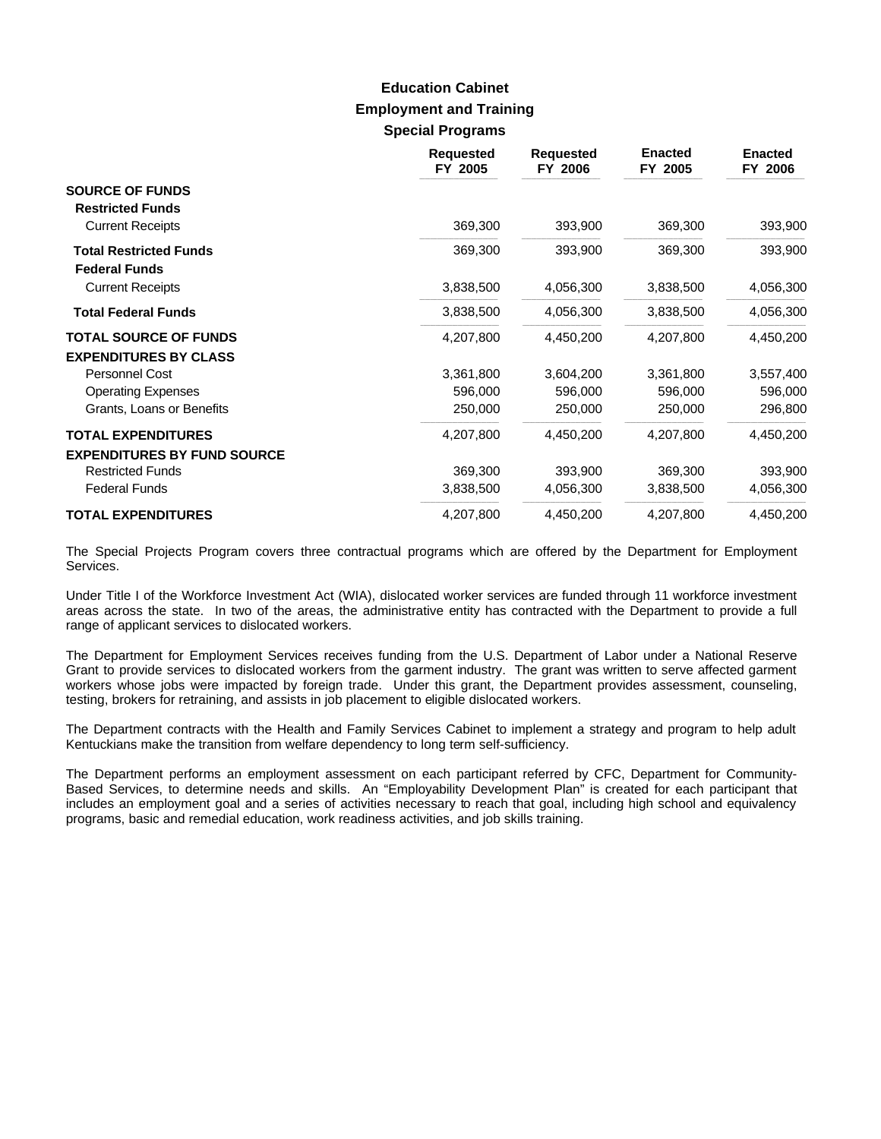## **Employment and Training Special Programs Education Cabinet**

|                                                       | <b>Requested</b><br>FY 2005 | <b>Requested</b><br>FY 2006 | <b>Enacted</b><br>FY 2005 | <b>Enacted</b><br>FY 2006 |
|-------------------------------------------------------|-----------------------------|-----------------------------|---------------------------|---------------------------|
| <b>SOURCE OF FUNDS</b><br><b>Restricted Funds</b>     |                             |                             |                           |                           |
| <b>Current Receipts</b>                               | 369,300                     | 393,900                     | 369,300                   | 393,900                   |
| <b>Total Restricted Funds</b><br><b>Federal Funds</b> | 369,300                     | 393,900                     | 369,300                   | 393,900                   |
| <b>Current Receipts</b>                               | 3,838,500                   | 4,056,300                   | 3,838,500                 | 4,056,300                 |
| <b>Total Federal Funds</b>                            | 3,838,500                   | 4,056,300                   | 3,838,500                 | 4,056,300                 |
| <b>TOTAL SOURCE OF FUNDS</b>                          | 4,207,800                   | 4,450,200                   | 4,207,800                 | 4,450,200                 |
| <b>EXPENDITURES BY CLASS</b>                          |                             |                             |                           |                           |
| Personnel Cost                                        | 3,361,800                   | 3,604,200                   | 3,361,800                 | 3,557,400                 |
| <b>Operating Expenses</b>                             | 596,000                     | 596,000                     | 596,000                   | 596,000                   |
| Grants, Loans or Benefits                             | 250,000                     | 250,000                     | 250,000                   | 296,800                   |
| <b>TOTAL EXPENDITURES</b>                             | 4,207,800                   | 4,450,200                   | 4,207,800                 | 4,450,200                 |
| <b>EXPENDITURES BY FUND SOURCE</b>                    |                             |                             |                           |                           |
| <b>Restricted Funds</b>                               | 369,300                     | 393,900                     | 369,300                   | 393,900                   |
| <b>Federal Funds</b>                                  | 3,838,500                   | 4,056,300                   | 3,838,500                 | 4,056,300                 |
| <b>TOTAL EXPENDITURES</b>                             | 4,207,800                   | 4,450,200                   | 4,207,800                 | 4,450,200                 |

The Special Projects Program covers three contractual programs which are offered by the Department for Employment Services.

Under Title I of the Workforce Investment Act (WIA), dislocated worker services are funded through 11 workforce investment areas across the state. In two of the areas, the administrative entity has contracted with the Department to provide a full range of applicant services to dislocated workers.

The Department for Employment Services receives funding from the U.S. Department of Labor under a National Reserve Grant to provide services to dislocated workers from the garment industry. The grant was written to serve affected garment workers whose jobs were impacted by foreign trade. Under this grant, the Department provides assessment, counseling, testing, brokers for retraining, and assists in job placement to eligible dislocated workers.

The Department contracts with the Health and Family Services Cabinet to implement a strategy and program to help adult Kentuckians make the transition from welfare dependency to long term self-sufficiency.

The Department performs an employment assessment on each participant referred by CFC, Department for Community-Based Services, to determine needs and skills. An "Employability Development Plan" is created for each participant that includes an employment goal and a series of activities necessary to reach that goal, including high school and equivalency programs, basic and remedial education, work readiness activities, and job skills training.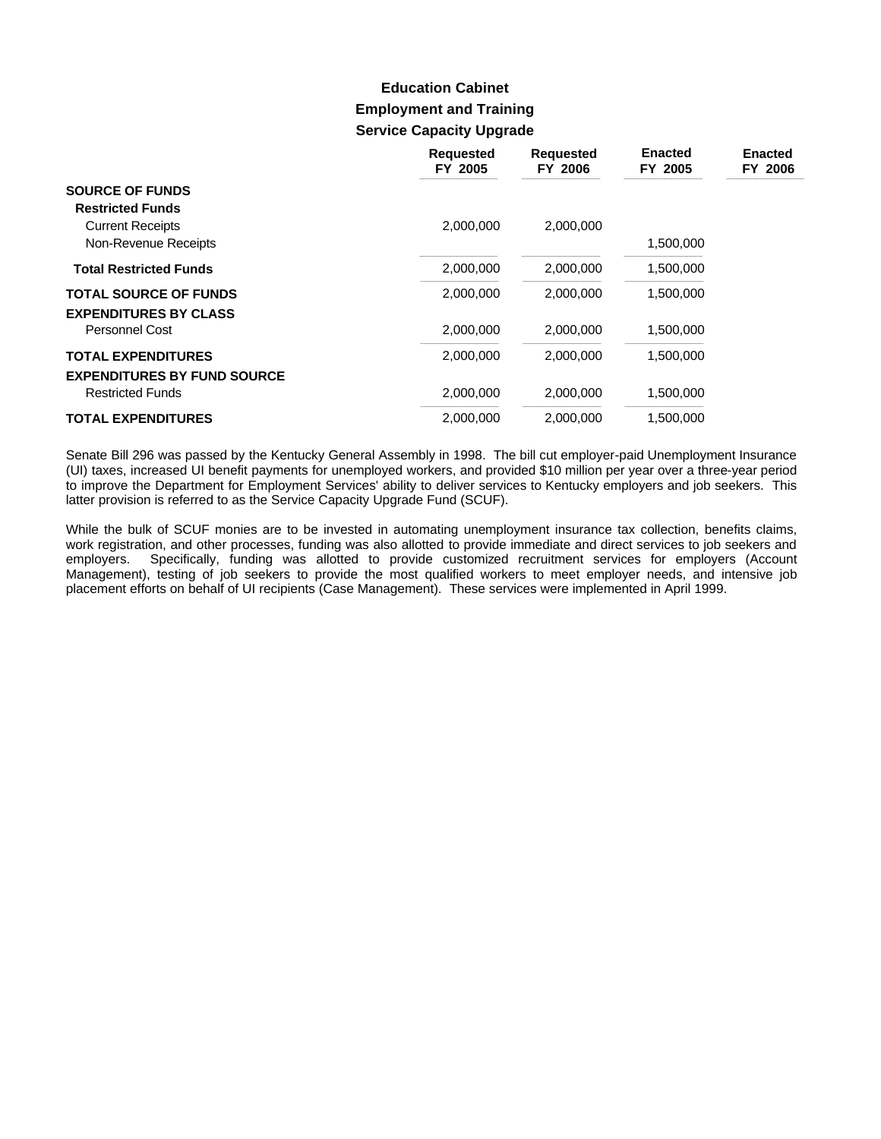# **Employment and Training Service Capacity Upgrade Education Cabinet**

|                                    | <b>Requested</b><br>FY 2005 | <b>Requested</b><br>FY 2006 | <b>Enacted</b><br>FY 2005 | <b>Enacted</b><br>FY 2006 |
|------------------------------------|-----------------------------|-----------------------------|---------------------------|---------------------------|
| <b>SOURCE OF FUNDS</b>             |                             |                             |                           |                           |
| <b>Restricted Funds</b>            |                             |                             |                           |                           |
| <b>Current Receipts</b>            | 2,000,000                   | 2,000,000                   |                           |                           |
| Non-Revenue Receipts               |                             |                             | 1,500,000                 |                           |
| <b>Total Restricted Funds</b>      | 2,000,000                   | 2,000,000                   | 1,500,000                 |                           |
| <b>TOTAL SOURCE OF FUNDS</b>       | 2,000,000                   | 2,000,000                   | 1,500,000                 |                           |
| <b>EXPENDITURES BY CLASS</b>       |                             |                             |                           |                           |
| <b>Personnel Cost</b>              | 2,000,000                   | 2,000,000                   | 1,500,000                 |                           |
| <b>TOTAL EXPENDITURES</b>          | 2,000,000                   | 2,000,000                   | 1,500,000                 |                           |
| <b>EXPENDITURES BY FUND SOURCE</b> |                             |                             |                           |                           |
| <b>Restricted Funds</b>            | 2,000,000                   | 2,000,000                   | 1,500,000                 |                           |
| <b>TOTAL EXPENDITURES</b>          | 2,000,000                   | 2,000,000                   | 1,500,000                 |                           |

Senate Bill 296 was passed by the Kentucky General Assembly in 1998. The bill cut employer-paid Unemployment Insurance (UI) taxes, increased UI benefit payments for unemployed workers, and provided \$10 million per year over a three-year period to improve the Department for Employment Services' ability to deliver services to Kentucky employers and job seekers. This latter provision is referred to as the Service Capacity Upgrade Fund (SCUF).

While the bulk of SCUF monies are to be invested in automating unemployment insurance tax collection, benefits claims, work registration, and other processes, funding was also allotted to provide immediate and direct services to job seekers and employers. Specifically, funding was allotted to provide customized recruitment services for employers (Account Management), testing of job seekers to provide the most qualified workers to meet employer needs, and intensive job placement efforts on behalf of UI recipients (Case Management). These services were implemented in April 1999.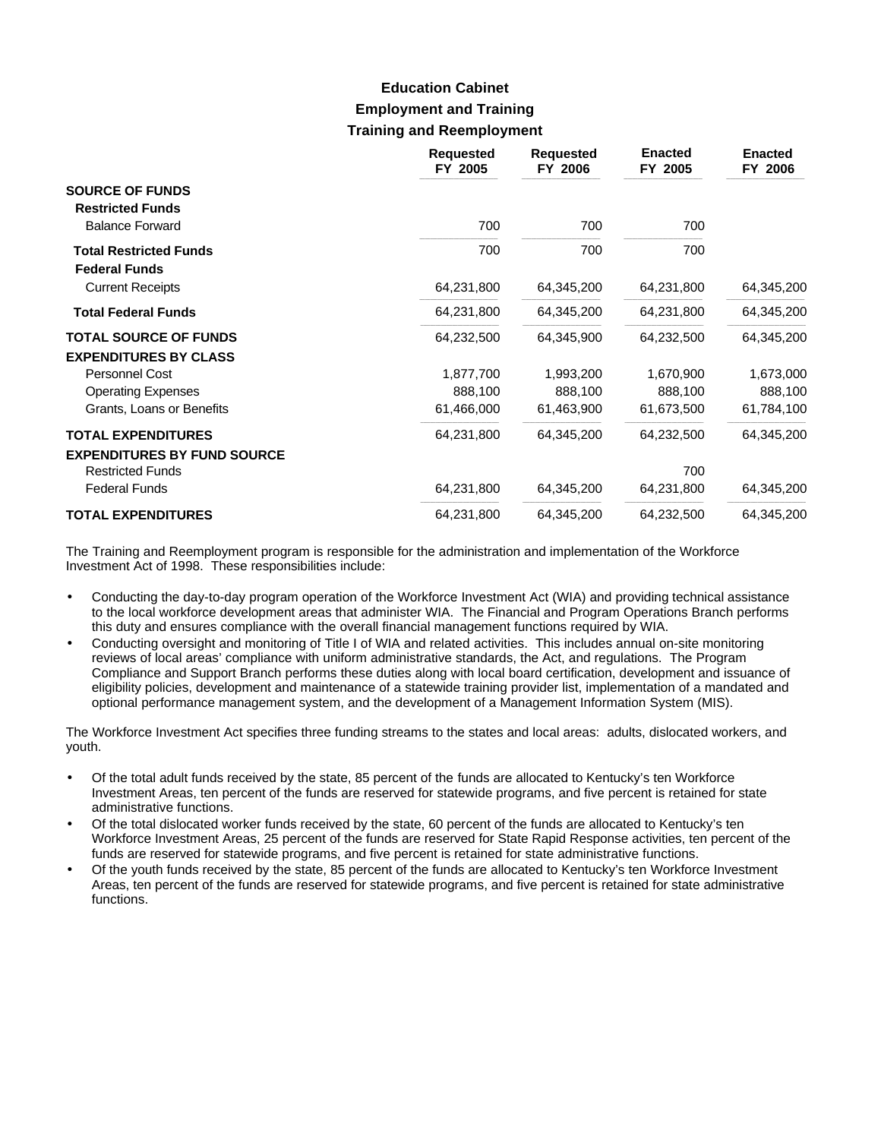# **Employment and Training Training and Reemployment Education Cabinet**

|                                                       | <b>Requested</b><br>FY 2005 | <b>Requested</b><br>FY 2006 | <b>Enacted</b><br>FY 2005 | <b>Enacted</b><br>FY 2006 |
|-------------------------------------------------------|-----------------------------|-----------------------------|---------------------------|---------------------------|
| <b>SOURCE OF FUNDS</b><br><b>Restricted Funds</b>     |                             |                             |                           |                           |
| <b>Balance Forward</b>                                | 700                         | 700                         | 700                       |                           |
| <b>Total Restricted Funds</b><br><b>Federal Funds</b> | 700                         | 700                         | 700                       |                           |
| <b>Current Receipts</b>                               | 64,231,800                  | 64,345,200                  | 64,231,800                | 64,345,200                |
| <b>Total Federal Funds</b>                            | 64,231,800                  | 64,345,200                  | 64,231,800                | 64,345,200                |
| <b>TOTAL SOURCE OF FUNDS</b>                          | 64,232,500                  | 64,345,900                  | 64,232,500                | 64,345,200                |
| <b>EXPENDITURES BY CLASS</b>                          |                             |                             |                           |                           |
| Personnel Cost                                        | 1,877,700                   | 1,993,200                   | 1,670,900                 | 1,673,000                 |
| <b>Operating Expenses</b>                             | 888,100                     | 888,100                     | 888,100                   | 888,100                   |
| Grants, Loans or Benefits                             | 61,466,000                  | 61,463,900                  | 61,673,500                | 61,784,100                |
| <b>TOTAL EXPENDITURES</b>                             | 64,231,800                  | 64,345,200                  | 64,232,500                | 64,345,200                |
| <b>EXPENDITURES BY FUND SOURCE</b>                    |                             |                             |                           |                           |
| <b>Restricted Funds</b>                               |                             |                             | 700                       |                           |
| <b>Federal Funds</b>                                  | 64,231,800                  | 64,345,200                  | 64,231,800                | 64,345,200                |
| <b>TOTAL EXPENDITURES</b>                             | 64,231,800                  | 64,345,200                  | 64,232,500                | 64,345,200                |

The Training and Reemployment program is responsible for the administration and implementation of the Workforce Investment Act of 1998. These responsibilities include:

- Conducting the day-to-day program operation of the Workforce Investment Act (WIA) and providing technical assistance to the local workforce development areas that administer WIA. The Financial and Program Operations Branch performs this duty and ensures compliance with the overall financial management functions required by WIA.
- Conducting oversight and monitoring of Title I of WIA and related activities. This includes annual on-site monitoring reviews of local areas' compliance with uniform administrative standards, the Act, and regulations. The Program Compliance and Support Branch performs these duties along with local board certification, development and issuance of eligibility policies, development and maintenance of a statewide training provider list, implementation of a mandated and optional performance management system, and the development of a Management Information System (MIS).

The Workforce Investment Act specifies three funding streams to the states and local areas: adults, dislocated workers, and youth.

- Of the total adult funds received by the state, 85 percent of the funds are allocated to Kentucky's ten Workforce Investment Areas, ten percent of the funds are reserved for statewide programs, and five percent is retained for state administrative functions.
- Of the total dislocated worker funds received by the state, 60 percent of the funds are allocated to Kentucky's ten Workforce Investment Areas, 25 percent of the funds are reserved for State Rapid Response activities, ten percent of the funds are reserved for statewide programs, and five percent is retained for state administrative functions.
- Of the youth funds received by the state, 85 percent of the funds are allocated to Kentucky's ten Workforce Investment Areas, ten percent of the funds are reserved for statewide programs, and five percent is retained for state administrative functions.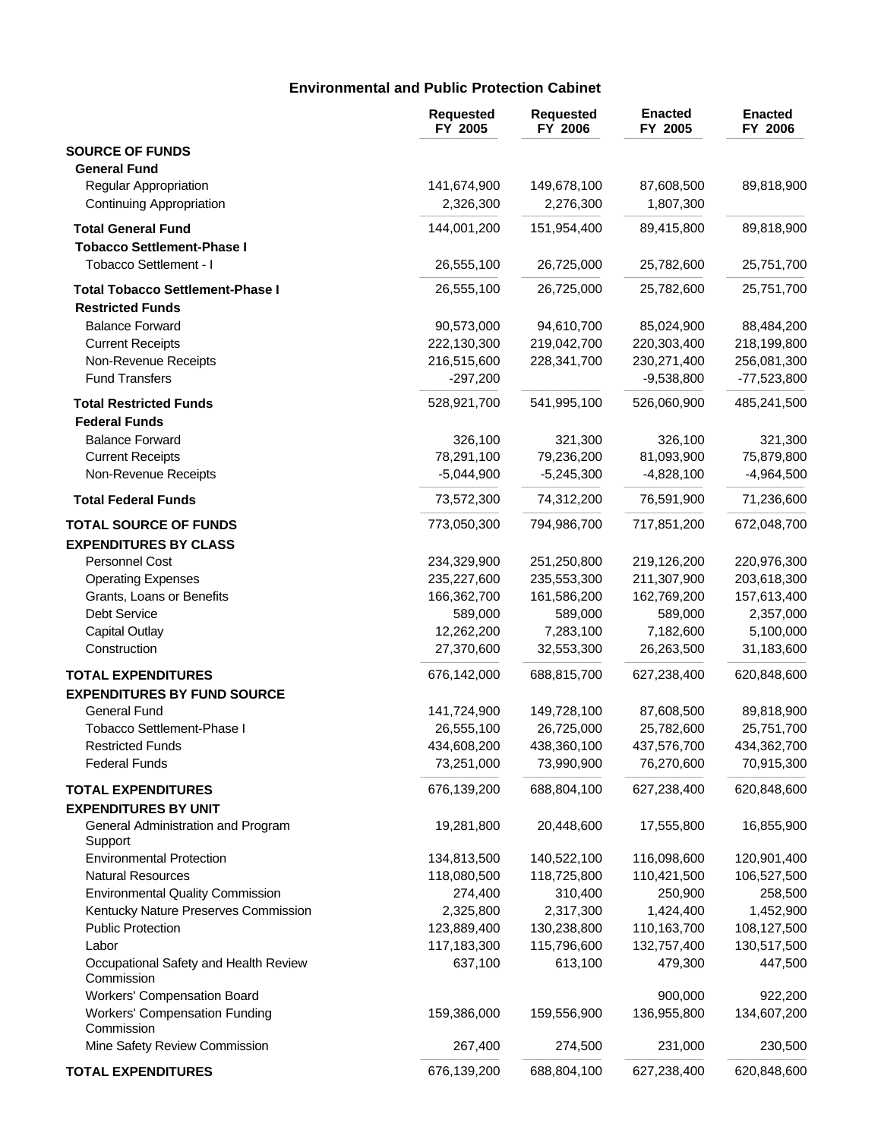## **Environmental and Public Protection Cabinet**

|                                                                | <b>Requested</b><br>FY 2005 | <b>Requested</b><br>FY 2006 | <b>Enacted</b><br>FY 2005 | <b>Enacted</b><br>FY 2006 |
|----------------------------------------------------------------|-----------------------------|-----------------------------|---------------------------|---------------------------|
| <b>SOURCE OF FUNDS</b>                                         |                             |                             |                           |                           |
| <b>General Fund</b>                                            |                             |                             |                           |                           |
| Regular Appropriation                                          | 141,674,900                 | 149,678,100                 | 87,608,500                | 89,818,900                |
| Continuing Appropriation                                       | 2,326,300                   | 2,276,300                   | 1,807,300                 |                           |
| <b>Total General Fund</b><br><b>Tobacco Settlement-Phase I</b> | 144,001,200                 | 151,954,400                 | 89,415,800                | 89,818,900                |
| Tobacco Settlement - I                                         | 26,555,100                  | 26,725,000                  | 25,782,600                | 25,751,700                |
| <b>Total Tobacco Settlement-Phase I</b>                        | 26,555,100                  | 26,725,000                  | 25,782,600                | 25,751,700                |
| <b>Restricted Funds</b>                                        |                             |                             |                           |                           |
| <b>Balance Forward</b>                                         | 90,573,000                  | 94,610,700                  | 85,024,900                | 88,484,200                |
| <b>Current Receipts</b>                                        | 222,130,300                 | 219,042,700                 | 220,303,400               | 218,199,800               |
| Non-Revenue Receipts                                           | 216,515,600                 | 228,341,700                 | 230,271,400               | 256,081,300               |
| <b>Fund Transfers</b>                                          | $-297,200$                  |                             | $-9,538,800$              | -77,523,800               |
| <b>Total Restricted Funds</b>                                  | 528,921,700                 | 541,995,100                 | 526,060,900               | 485,241,500               |
| <b>Federal Funds</b>                                           |                             |                             |                           |                           |
| <b>Balance Forward</b>                                         | 326,100                     | 321,300                     | 326,100                   | 321,300                   |
| <b>Current Receipts</b>                                        | 78,291,100                  | 79,236,200                  | 81,093,900                | 75,879,800                |
| Non-Revenue Receipts                                           | $-5,044,900$                | $-5,245,300$                | $-4,828,100$              | $-4,964,500$              |
| <b>Total Federal Funds</b>                                     | 73,572,300                  | 74,312,200                  | 76,591,900                | 71,236,600                |
| <b>TOTAL SOURCE OF FUNDS</b>                                   | 773,050,300                 | 794,986,700                 | 717,851,200               | 672,048,700               |
| <b>EXPENDITURES BY CLASS</b>                                   |                             |                             |                           |                           |
| Personnel Cost                                                 | 234,329,900                 | 251,250,800                 | 219,126,200               | 220,976,300               |
| <b>Operating Expenses</b>                                      | 235,227,600                 | 235,553,300                 | 211,307,900               | 203,618,300               |
| Grants, Loans or Benefits                                      | 166,362,700                 | 161,586,200                 | 162,769,200               | 157,613,400               |
| Debt Service                                                   | 589,000                     | 589,000                     | 589,000                   | 2,357,000                 |
| <b>Capital Outlay</b>                                          | 12,262,200                  | 7,283,100                   | 7,182,600                 | 5,100,000                 |
| Construction                                                   | 27,370,600                  | 32,553,300                  | 26,263,500                | 31,183,600                |
| <b>TOTAL EXPENDITURES</b>                                      | 676,142,000                 | 688,815,700                 | 627,238,400               | 620,848,600               |
| <b>EXPENDITURES BY FUND SOURCE</b>                             |                             |                             |                           |                           |
| <b>General Fund</b>                                            | 141,724,900                 | 149,728,100                 | 87,608,500                | 89,818,900                |
| Tobacco Settlement-Phase I                                     | 26,555,100                  | 26,725,000                  | 25,782,600                | 25,751,700                |
| Restricted Funds                                               | 434,608,200                 | 438,360,100                 | 437,576,700               | 434,362,700               |
| <b>Federal Funds</b>                                           | 73,251,000                  | 73,990,900                  | 76,270,600                | 70,915,300                |
| <b>TOTAL EXPENDITURES</b>                                      | 676,139,200                 | 688,804,100                 | 627,238,400               | 620,848,600               |
| <b>EXPENDITURES BY UNIT</b>                                    |                             |                             |                           |                           |
| General Administration and Program<br>Support                  | 19,281,800                  | 20,448,600                  | 17,555,800                | 16,855,900                |
| <b>Environmental Protection</b>                                | 134,813,500                 | 140,522,100                 | 116,098,600               | 120,901,400               |
| <b>Natural Resources</b>                                       | 118,080,500                 | 118,725,800                 | 110,421,500               | 106,527,500               |
| <b>Environmental Quality Commission</b>                        | 274,400                     | 310,400                     | 250,900                   | 258,500                   |
| Kentucky Nature Preserves Commission                           | 2,325,800                   | 2,317,300                   | 1,424,400                 | 1,452,900                 |
| <b>Public Protection</b>                                       | 123,889,400                 | 130,238,800                 | 110,163,700               | 108,127,500               |
| Labor                                                          | 117,183,300                 | 115,796,600                 | 132,757,400               | 130,517,500               |
| Occupational Safety and Health Review<br>Commission            | 637,100                     | 613,100                     | 479,300                   | 447,500                   |
| <b>Workers' Compensation Board</b>                             |                             |                             | 900,000                   | 922,200                   |
| <b>Workers' Compensation Funding</b><br>Commission             | 159,386,000                 | 159,556,900                 | 136,955,800               | 134,607,200               |
| Mine Safety Review Commission                                  | 267,400                     | 274,500                     | 231,000                   | 230,500                   |
| <b>TOTAL EXPENDITURES</b>                                      | 676,139,200                 | 688,804,100                 | 627,238,400               | 620,848,600               |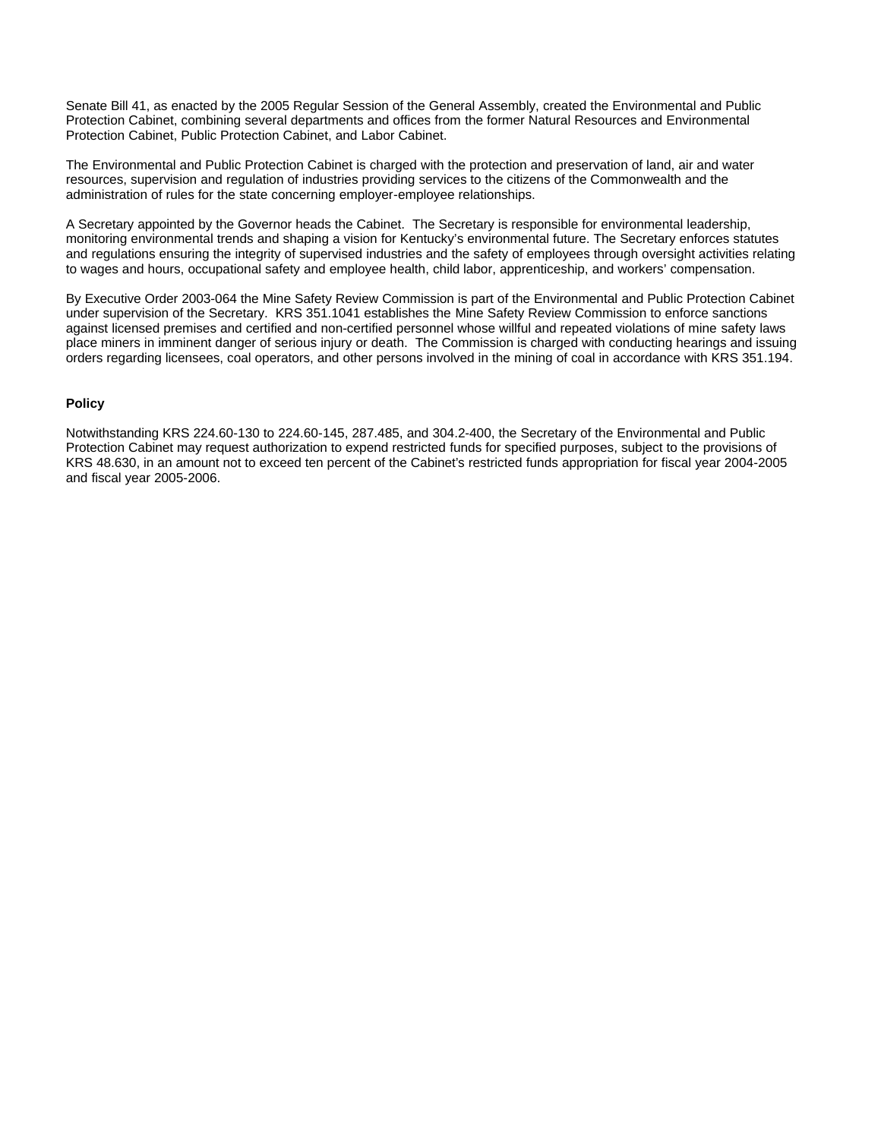Senate Bill 41, as enacted by the 2005 Regular Session of the General Assembly, created the Environmental and Public Protection Cabinet, combining several departments and offices from the former Natural Resources and Environmental Protection Cabinet, Public Protection Cabinet, and Labor Cabinet.

The Environmental and Public Protection Cabinet is charged with the protection and preservation of land, air and water resources, supervision and regulation of industries providing services to the citizens of the Commonwealth and the administration of rules for the state concerning employer-employee relationships.

A Secretary appointed by the Governor heads the Cabinet. The Secretary is responsible for environmental leadership, monitoring environmental trends and shaping a vision for Kentucky's environmental future. The Secretary enforces statutes and regulations ensuring the integrity of supervised industries and the safety of employees through oversight activities relating to wages and hours, occupational safety and employee health, child labor, apprenticeship, and workers' compensation.

By Executive Order 2003-064 the Mine Safety Review Commission is part of the Environmental and Public Protection Cabinet under supervision of the Secretary. KRS 351.1041 establishes the Mine Safety Review Commission to enforce sanctions against licensed premises and certified and non-certified personnel whose willful and repeated violations of mine safety laws place miners in imminent danger of serious injury or death. The Commission is charged with conducting hearings and issuing orders regarding licensees, coal operators, and other persons involved in the mining of coal in accordance with KRS 351.194.

#### **Policy**

Notwithstanding KRS 224.60-130 to 224.60-145, 287.485, and 304.2-400, the Secretary of the Environmental and Public Protection Cabinet may request authorization to expend restricted funds for specified purposes, subject to the provisions of KRS 48.630, in an amount not to exceed ten percent of the Cabinet's restricted funds appropriation for fiscal year 2004-2005 and fiscal year 2005-2006.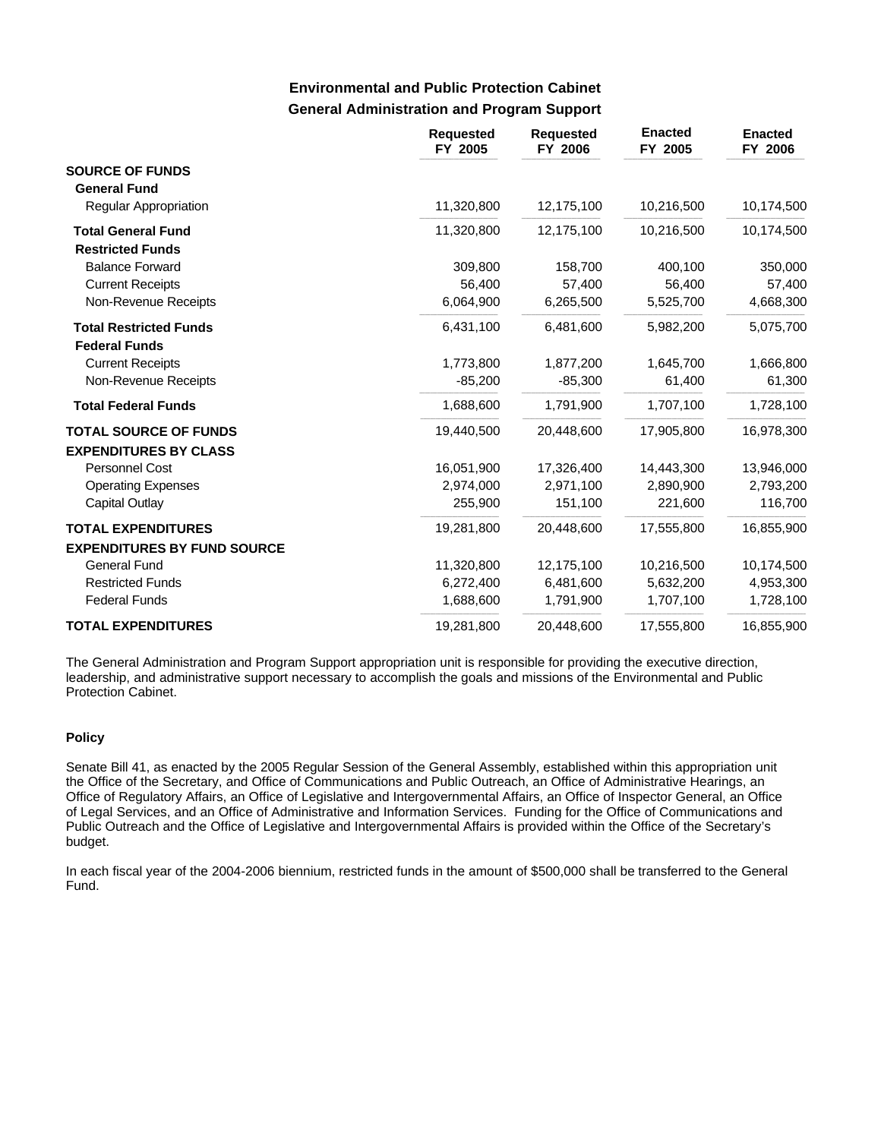### **General Administration and Program Support Environmental and Public Protection Cabinet**

|                                                       | <b>Requested</b><br>FY 2005 | <b>Requested</b><br>FY 2006 | <b>Enacted</b><br>FY 2005 | <b>Enacted</b><br>FY 2006 |
|-------------------------------------------------------|-----------------------------|-----------------------------|---------------------------|---------------------------|
| <b>SOURCE OF FUNDS</b><br><b>General Fund</b>         |                             |                             |                           |                           |
| Regular Appropriation                                 | 11,320,800                  | 12,175,100                  | 10,216,500                | 10,174,500                |
| <b>Total General Fund</b><br><b>Restricted Funds</b>  | 11,320,800                  | 12,175,100                  | 10,216,500                | 10,174,500                |
| <b>Balance Forward</b>                                | 309,800                     | 158,700                     | 400,100                   | 350,000                   |
| <b>Current Receipts</b>                               | 56,400                      | 57,400                      | 56,400                    | 57,400                    |
| Non-Revenue Receipts                                  | 6,064,900                   | 6,265,500                   | 5,525,700                 | 4,668,300                 |
| <b>Total Restricted Funds</b><br><b>Federal Funds</b> | 6,431,100                   | 6,481,600                   | 5,982,200                 | 5,075,700                 |
| <b>Current Receipts</b>                               | 1,773,800                   | 1,877,200                   | 1,645,700                 | 1,666,800                 |
| Non-Revenue Receipts                                  | $-85,200$                   | $-85,300$                   | 61,400                    | 61,300                    |
| <b>Total Federal Funds</b>                            | 1,688,600                   | 1,791,900                   | 1,707,100                 | 1,728,100                 |
| <b>TOTAL SOURCE OF FUNDS</b>                          | 19,440,500                  | 20,448,600                  | 17,905,800                | 16,978,300                |
| <b>EXPENDITURES BY CLASS</b>                          |                             |                             |                           |                           |
| Personnel Cost                                        | 16,051,900                  | 17,326,400                  | 14,443,300                | 13,946,000                |
| <b>Operating Expenses</b>                             | 2,974,000                   | 2,971,100                   | 2,890,900                 | 2,793,200                 |
| Capital Outlay                                        | 255,900                     | 151,100                     | 221,600                   | 116,700                   |
| <b>TOTAL EXPENDITURES</b>                             | 19,281,800                  | 20,448,600                  | 17,555,800                | 16,855,900                |
| <b>EXPENDITURES BY FUND SOURCE</b>                    |                             |                             |                           |                           |
| <b>General Fund</b>                                   | 11,320,800                  | 12,175,100                  | 10,216,500                | 10,174,500                |
| <b>Restricted Funds</b>                               | 6,272,400                   | 6,481,600                   | 5,632,200                 | 4,953,300                 |
| <b>Federal Funds</b>                                  | 1,688,600                   | 1,791,900                   | 1,707,100                 | 1,728,100                 |
| <b>TOTAL EXPENDITURES</b>                             | 19,281,800                  | 20,448,600                  | 17,555,800                | 16,855,900                |

The General Administration and Program Support appropriation unit is responsible for providing the executive direction, leadership, and administrative support necessary to accomplish the goals and missions of the Environmental and Public Protection Cabinet.

#### **Policy**

Senate Bill 41, as enacted by the 2005 Regular Session of the General Assembly, established within this appropriation unit the Office of the Secretary, and Office of Communications and Public Outreach, an Office of Administrative Hearings, an Office of Regulatory Affairs, an Office of Legislative and Intergovernmental Affairs, an Office of Inspector General, an Office of Legal Services, and an Office of Administrative and Information Services. Funding for the Office of Communications and Public Outreach and the Office of Legislative and Intergovernmental Affairs is provided within the Office of the Secretary's budget.

In each fiscal year of the 2004-2006 biennium, restricted funds in the amount of \$500,000 shall be transferred to the General Fund.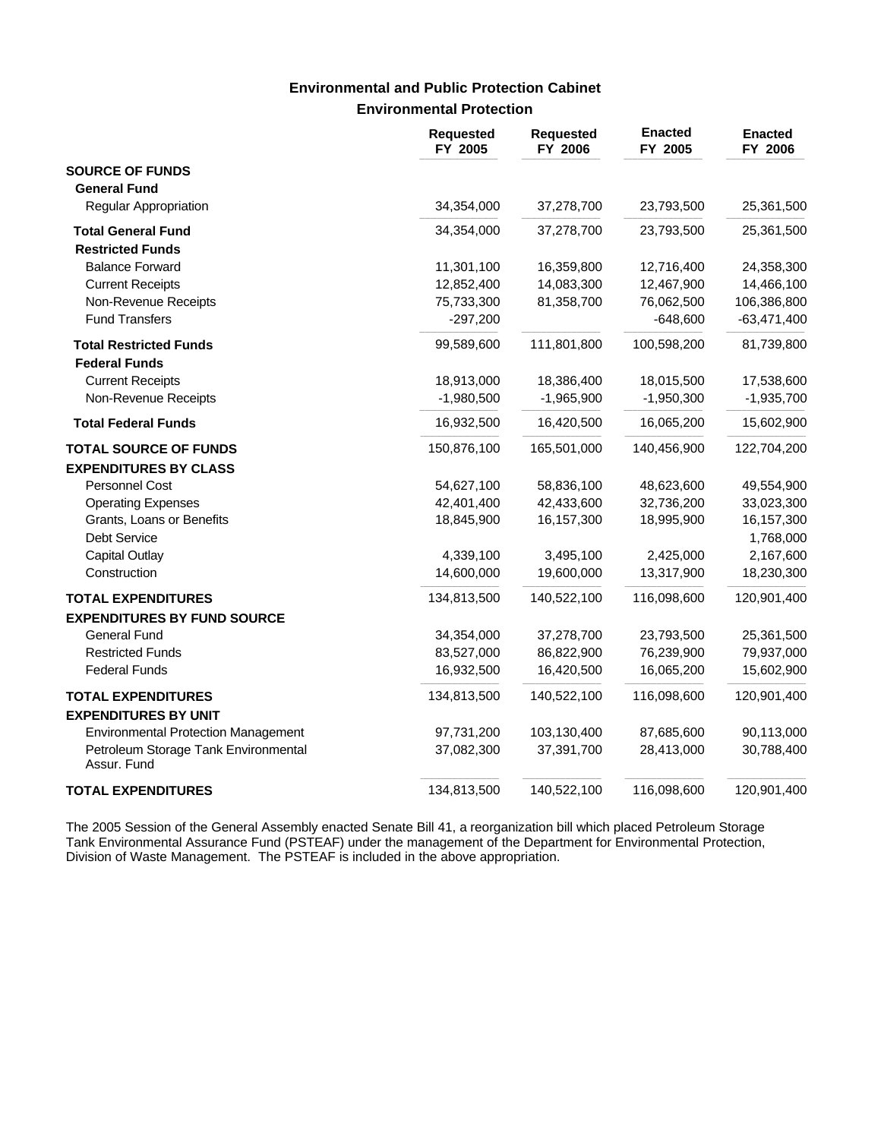### **Environmental Protection Environmental and Public Protection Cabinet**

|                                                          | <b>Requested</b><br>FY 2005 | <b>Requested</b><br>FY 2006 | <b>Enacted</b><br>FY 2005 | <b>Enacted</b><br>FY 2006 |
|----------------------------------------------------------|-----------------------------|-----------------------------|---------------------------|---------------------------|
| <b>SOURCE OF FUNDS</b>                                   |                             |                             |                           |                           |
| <b>General Fund</b>                                      |                             |                             |                           |                           |
| <b>Regular Appropriation</b>                             | 34,354,000                  | 37,278,700                  | 23,793,500                | 25,361,500                |
| <b>Total General Fund</b>                                | 34,354,000                  | 37,278,700                  | 23,793,500                | 25,361,500                |
| <b>Restricted Funds</b>                                  |                             |                             |                           |                           |
| <b>Balance Forward</b>                                   | 11,301,100                  | 16,359,800                  | 12,716,400                | 24,358,300                |
| <b>Current Receipts</b>                                  | 12,852,400                  | 14,083,300                  | 12,467,900                | 14,466,100                |
| Non-Revenue Receipts                                     | 75,733,300                  | 81,358,700                  | 76,062,500                | 106,386,800               |
| <b>Fund Transfers</b>                                    | $-297,200$                  |                             | $-648,600$                | $-63,471,400$             |
| <b>Total Restricted Funds</b>                            | 99,589,600                  | 111,801,800                 | 100,598,200               | 81,739,800                |
| <b>Federal Funds</b>                                     |                             |                             |                           |                           |
| <b>Current Receipts</b>                                  | 18,913,000                  | 18,386,400                  | 18,015,500                | 17,538,600                |
| Non-Revenue Receipts                                     | $-1,980,500$                | $-1,965,900$                | $-1,950,300$              | $-1,935,700$              |
| <b>Total Federal Funds</b>                               | 16,932,500                  | 16,420,500                  | 16,065,200                | 15,602,900                |
| <b>TOTAL SOURCE OF FUNDS</b>                             | 150,876,100                 | 165,501,000                 | 140,456,900               | 122,704,200               |
| <b>EXPENDITURES BY CLASS</b>                             |                             |                             |                           |                           |
| Personnel Cost                                           | 54,627,100                  | 58,836,100                  | 48,623,600                | 49,554,900                |
| <b>Operating Expenses</b>                                | 42,401,400                  | 42,433,600                  | 32,736,200                | 33,023,300                |
| Grants, Loans or Benefits                                | 18,845,900                  | 16,157,300                  | 18,995,900                | 16, 157, 300              |
| Debt Service                                             |                             |                             |                           | 1,768,000                 |
| <b>Capital Outlay</b>                                    | 4,339,100                   | 3,495,100                   | 2,425,000                 | 2,167,600                 |
| Construction                                             | 14,600,000                  | 19,600,000                  | 13,317,900                | 18,230,300                |
| <b>TOTAL EXPENDITURES</b>                                | 134,813,500                 | 140,522,100                 | 116,098,600               | 120,901,400               |
| <b>EXPENDITURES BY FUND SOURCE</b>                       |                             |                             |                           |                           |
| <b>General Fund</b>                                      | 34,354,000                  | 37,278,700                  | 23,793,500                | 25,361,500                |
| <b>Restricted Funds</b>                                  | 83,527,000                  | 86,822,900                  | 76,239,900                | 79,937,000                |
| <b>Federal Funds</b>                                     | 16,932,500                  | 16,420,500                  | 16,065,200                | 15,602,900                |
| <b>TOTAL EXPENDITURES</b><br><b>EXPENDITURES BY UNIT</b> | 134,813,500                 | 140,522,100                 | 116,098,600               | 120,901,400               |
| <b>Environmental Protection Management</b>               | 97,731,200                  | 103,130,400                 | 87,685,600                | 90,113,000                |
| Petroleum Storage Tank Environmental<br>Assur. Fund      | 37,082,300                  | 37,391,700                  | 28,413,000                | 30,788,400                |
| <b>TOTAL EXPENDITURES</b>                                | 134,813,500                 | 140,522,100                 | 116,098,600               | 120,901,400               |

The 2005 Session of the General Assembly enacted Senate Bill 41, a reorganization bill which placed Petroleum Storage Tank Environmental Assurance Fund (PSTEAF) under the management of the Department for Environmental Protection, Division of Waste Management. The PSTEAF is included in the above appropriation.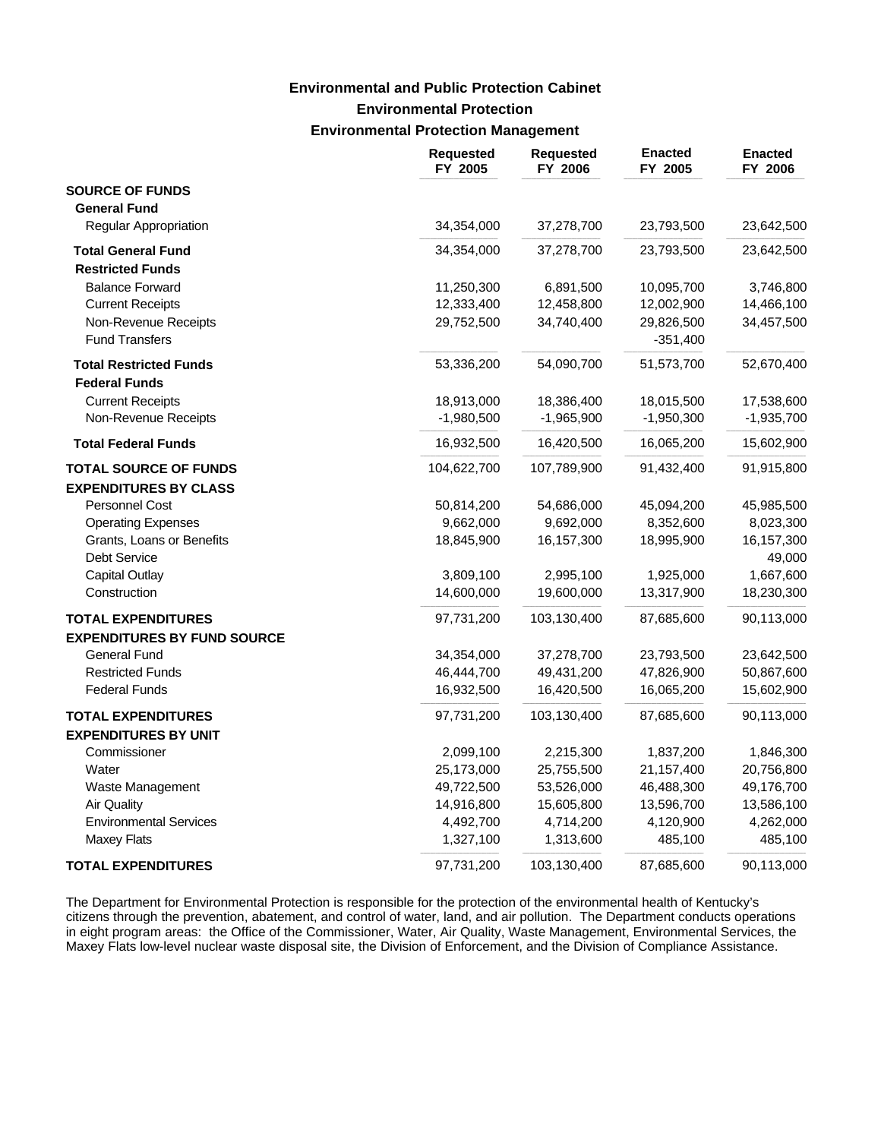# **Environmental Protection Environmental Protection Management Environmental and Public Protection Cabinet**

|                                    | <b>Requested</b><br>FY 2005 | <b>Requested</b><br>FY 2006 | <b>Enacted</b><br>FY 2005 | <b>Enacted</b><br>FY 2006 |
|------------------------------------|-----------------------------|-----------------------------|---------------------------|---------------------------|
| <b>SOURCE OF FUNDS</b>             |                             |                             |                           |                           |
| <b>General Fund</b>                |                             |                             |                           |                           |
| <b>Regular Appropriation</b>       | 34,354,000                  | 37,278,700                  | 23,793,500                | 23,642,500                |
| <b>Total General Fund</b>          | 34,354,000                  | 37,278,700                  | 23,793,500                | 23,642,500                |
| <b>Restricted Funds</b>            |                             |                             |                           |                           |
| <b>Balance Forward</b>             | 11,250,300                  | 6,891,500                   | 10,095,700                | 3,746,800                 |
| <b>Current Receipts</b>            | 12,333,400                  | 12,458,800                  | 12,002,900                | 14,466,100                |
| Non-Revenue Receipts               | 29,752,500                  | 34,740,400                  | 29,826,500                | 34,457,500                |
| <b>Fund Transfers</b>              |                             |                             | $-351,400$                |                           |
| <b>Total Restricted Funds</b>      | 53,336,200                  | 54,090,700                  | 51,573,700                | 52,670,400                |
| <b>Federal Funds</b>               |                             |                             |                           |                           |
| <b>Current Receipts</b>            | 18,913,000                  | 18,386,400                  | 18,015,500                | 17,538,600                |
| Non-Revenue Receipts               | $-1,980,500$                | $-1,965,900$                | $-1,950,300$              | $-1,935,700$              |
| <b>Total Federal Funds</b>         | 16,932,500                  | 16,420,500                  | 16,065,200                | 15,602,900                |
| <b>TOTAL SOURCE OF FUNDS</b>       | 104,622,700                 | 107,789,900                 | 91,432,400                | 91,915,800                |
| <b>EXPENDITURES BY CLASS</b>       |                             |                             |                           |                           |
| Personnel Cost                     | 50,814,200                  | 54,686,000                  | 45,094,200                | 45,985,500                |
| <b>Operating Expenses</b>          | 9,662,000                   | 9,692,000                   | 8,352,600                 | 8,023,300                 |
| Grants, Loans or Benefits          | 18,845,900                  | 16,157,300                  | 18,995,900                | 16,157,300                |
| Debt Service                       |                             |                             |                           | 49,000                    |
| <b>Capital Outlay</b>              | 3,809,100                   | 2,995,100                   | 1,925,000                 | 1,667,600                 |
| Construction                       | 14,600,000                  | 19,600,000                  | 13,317,900                | 18,230,300                |
| <b>TOTAL EXPENDITURES</b>          | 97,731,200                  | 103,130,400                 | 87,685,600                | 90,113,000                |
| <b>EXPENDITURES BY FUND SOURCE</b> |                             |                             |                           |                           |
| <b>General Fund</b>                | 34,354,000                  | 37,278,700                  | 23,793,500                | 23,642,500                |
| <b>Restricted Funds</b>            | 46,444,700                  | 49,431,200                  | 47,826,900                | 50,867,600                |
| <b>Federal Funds</b>               | 16,932,500                  | 16,420,500                  | 16,065,200                | 15,602,900                |
| <b>TOTAL EXPENDITURES</b>          | 97,731,200                  | 103,130,400                 | 87,685,600                | 90,113,000                |
| <b>EXPENDITURES BY UNIT</b>        |                             |                             |                           |                           |
| Commissioner                       | 2,099,100                   | 2,215,300                   | 1,837,200                 | 1,846,300                 |
| Water                              | 25,173,000                  | 25,755,500                  | 21,157,400                | 20,756,800                |
| Waste Management                   | 49,722,500                  | 53,526,000                  | 46,488,300                | 49,176,700                |
| <b>Air Quality</b>                 | 14,916,800                  | 15,605,800                  | 13,596,700                | 13,586,100                |
| <b>Environmental Services</b>      | 4,492,700                   | 4,714,200                   | 4,120,900                 | 4,262,000                 |
| <b>Maxey Flats</b>                 | 1,327,100                   | 1,313,600                   | 485,100                   | 485,100                   |
| <b>TOTAL EXPENDITURES</b>          | 97,731,200                  | 103,130,400                 | 87,685,600                | 90,113,000                |

The Department for Environmental Protection is responsible for the protection of the environmental health of Kentucky's citizens through the prevention, abatement, and control of water, land, and air pollution. The Department conducts operations in eight program areas: the Office of the Commissioner, Water, Air Quality, Waste Management, Environmental Services, the Maxey Flats low-level nuclear waste disposal site, the Division of Enforcement, and the Division of Compliance Assistance.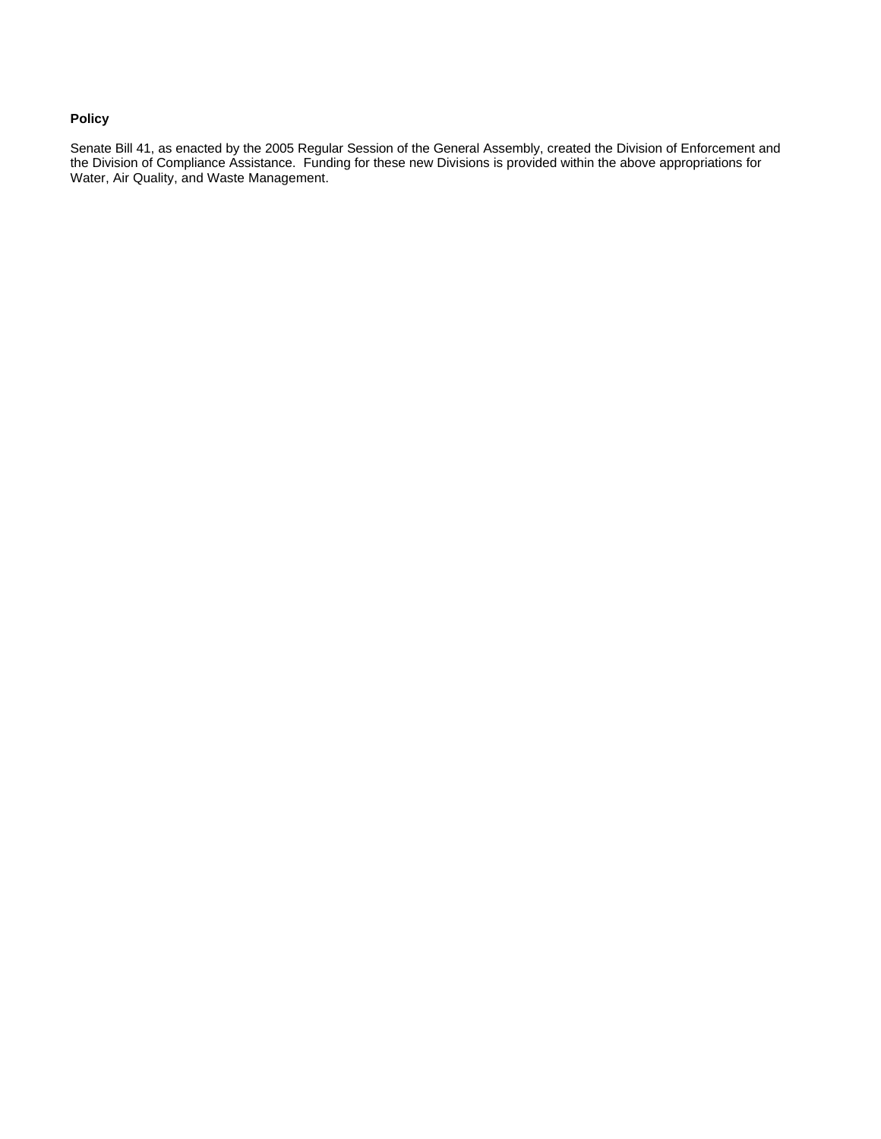### **Policy**

Senate Bill 41, as enacted by the 2005 Regular Session of the General Assembly, created the Division of Enforcement and the Division of Compliance Assistance. Funding for these new Divisions is provided within the above appropriations for Water, Air Quality, and Waste Management.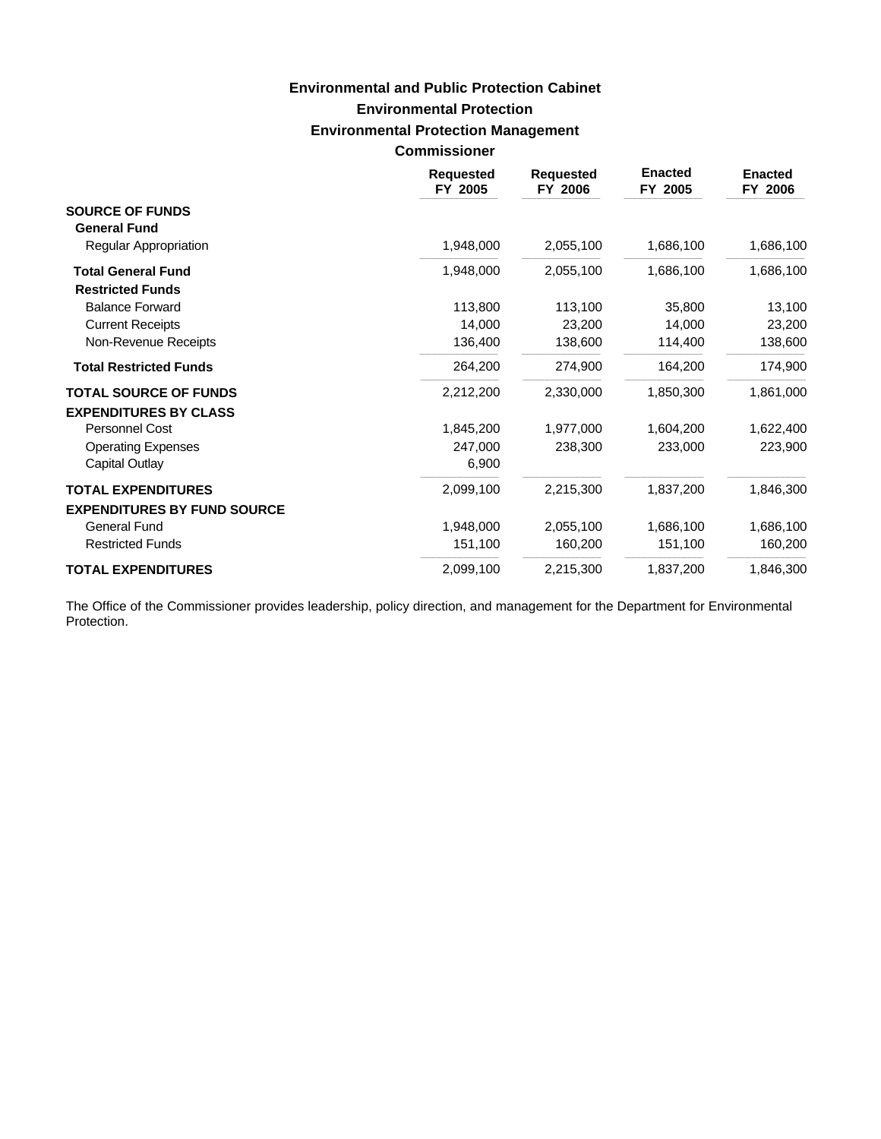# **Environmental Protection Environmental Protection Management Commissioner Environmental and Public Protection Cabinet**

|                                                           | <b>Requested</b><br>FY 2005 | <b>Requested</b><br>FY 2006 | <b>Enacted</b><br>FY 2005 | <b>Enacted</b><br>FY 2006 |
|-----------------------------------------------------------|-----------------------------|-----------------------------|---------------------------|---------------------------|
| <b>SOURCE OF FUNDS</b><br><b>General Fund</b>             |                             |                             |                           |                           |
| <b>Regular Appropriation</b>                              | 1,948,000                   | 2,055,100                   | 1,686,100                 | 1,686,100                 |
| <b>Total General Fund</b><br><b>Restricted Funds</b>      | 1,948,000                   | 2,055,100                   | 1,686,100                 | 1,686,100                 |
| <b>Balance Forward</b>                                    | 113,800                     | 113,100                     | 35,800                    | 13,100                    |
| <b>Current Receipts</b>                                   | 14,000                      | 23,200                      | 14,000                    | 23,200                    |
| Non-Revenue Receipts                                      | 136,400                     | 138,600                     | 114,400                   | 138,600                   |
| <b>Total Restricted Funds</b>                             | 264,200                     | 274,900                     | 164,200                   | 174,900                   |
| <b>TOTAL SOURCE OF FUNDS</b>                              | 2,212,200                   | 2,330,000                   | 1,850,300                 | 1,861,000                 |
| <b>EXPENDITURES BY CLASS</b>                              |                             |                             |                           |                           |
| Personnel Cost                                            | 1,845,200                   | 1,977,000                   | 1,604,200                 | 1,622,400                 |
| <b>Operating Expenses</b><br>Capital Outlay               | 247,000<br>6,900            | 238,300                     | 233,000                   | 223,900                   |
| <b>TOTAL EXPENDITURES</b>                                 | 2,099,100                   | 2,215,300                   | 1,837,200                 | 1,846,300                 |
| <b>EXPENDITURES BY FUND SOURCE</b><br><b>General Fund</b> | 1,948,000                   | 2,055,100                   | 1,686,100                 | 1,686,100                 |
| <b>Restricted Funds</b>                                   | 151,100                     | 160,200                     | 151,100                   | 160,200                   |
| <b>TOTAL EXPENDITURES</b>                                 | 2,099,100                   | 2,215,300                   | 1,837,200                 | 1,846,300                 |

The Office of the Commissioner provides leadership, policy direction, and management for the Department for Environmental Protection.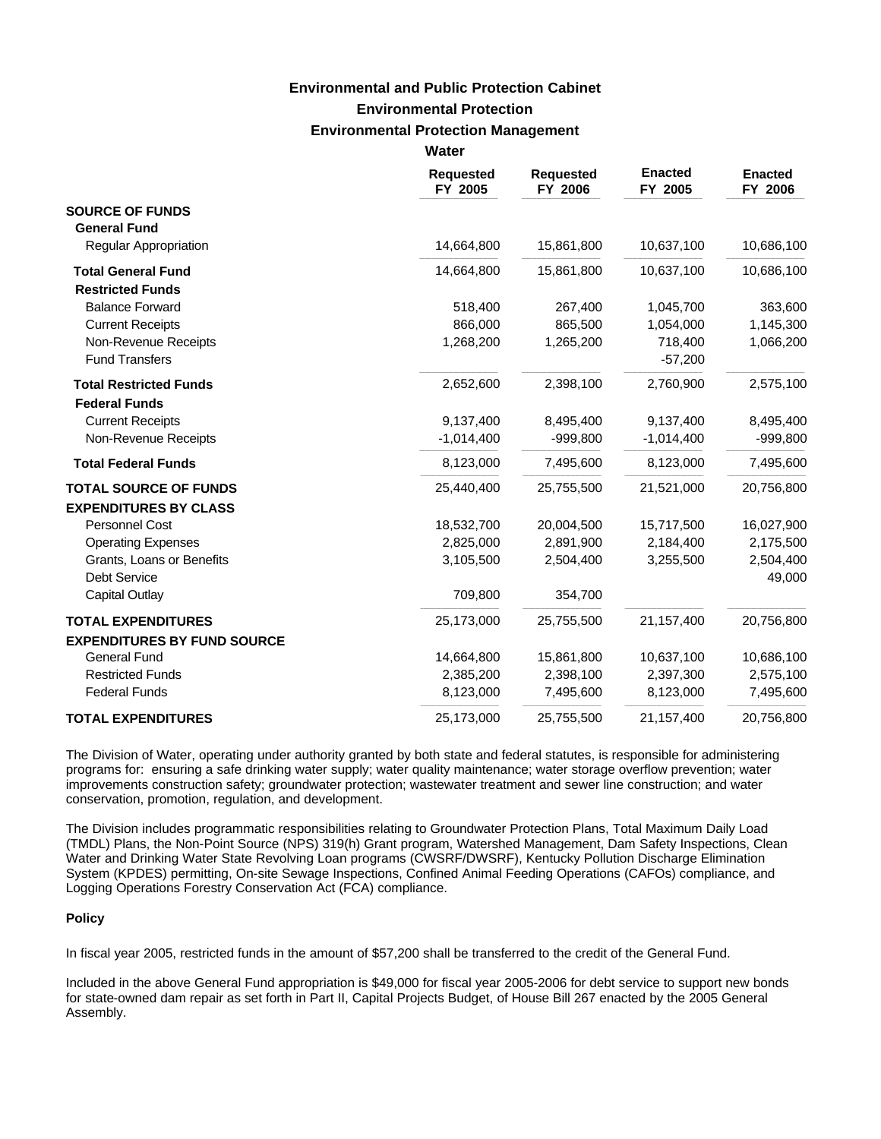# **Environmental Protection Environmental Protection Management Environmental and Public Protection Cabinet**

|                                    | Water                       |                             |                           |                           |
|------------------------------------|-----------------------------|-----------------------------|---------------------------|---------------------------|
|                                    | <b>Requested</b><br>FY 2005 | <b>Requested</b><br>FY 2006 | <b>Enacted</b><br>FY 2005 | <b>Enacted</b><br>FY 2006 |
| <b>SOURCE OF FUNDS</b>             |                             |                             |                           |                           |
| <b>General Fund</b>                |                             |                             |                           |                           |
| <b>Regular Appropriation</b>       | 14,664,800                  | 15,861,800                  | 10,637,100                | 10,686,100                |
| <b>Total General Fund</b>          | 14,664,800                  | 15,861,800                  | 10,637,100                | 10,686,100                |
| <b>Restricted Funds</b>            |                             |                             |                           |                           |
| <b>Balance Forward</b>             | 518,400                     | 267,400                     | 1,045,700                 | 363,600                   |
| <b>Current Receipts</b>            | 866,000                     | 865,500                     | 1,054,000                 | 1,145,300                 |
| Non-Revenue Receipts               | 1,268,200                   | 1,265,200                   | 718,400                   | 1,066,200                 |
| <b>Fund Transfers</b>              |                             |                             | $-57,200$                 |                           |
| <b>Total Restricted Funds</b>      | 2,652,600                   | 2,398,100                   | 2,760,900                 | 2,575,100                 |
| <b>Federal Funds</b>               |                             |                             |                           |                           |
| <b>Current Receipts</b>            | 9,137,400                   | 8,495,400                   | 9,137,400                 | 8,495,400                 |
| Non-Revenue Receipts               | $-1,014,400$                | $-999,800$                  | $-1,014,400$              | $-999,800$                |
| <b>Total Federal Funds</b>         | 8,123,000                   | 7,495,600                   | 8,123,000                 | 7,495,600                 |
| <b>TOTAL SOURCE OF FUNDS</b>       | 25,440,400                  | 25,755,500                  | 21,521,000                | 20,756,800                |
| <b>EXPENDITURES BY CLASS</b>       |                             |                             |                           |                           |
| Personnel Cost                     | 18,532,700                  | 20,004,500                  | 15,717,500                | 16,027,900                |
| <b>Operating Expenses</b>          | 2,825,000                   | 2,891,900                   | 2,184,400                 | 2,175,500                 |
| Grants, Loans or Benefits          | 3,105,500                   | 2,504,400                   | 3,255,500                 | 2,504,400                 |
| <b>Debt Service</b>                |                             |                             |                           | 49,000                    |
| <b>Capital Outlay</b>              | 709,800                     | 354,700                     |                           |                           |
| <b>TOTAL EXPENDITURES</b>          | 25,173,000                  | 25,755,500                  | 21,157,400                | 20,756,800                |
| <b>EXPENDITURES BY FUND SOURCE</b> |                             |                             |                           |                           |
| <b>General Fund</b>                | 14,664,800                  | 15,861,800                  | 10,637,100                | 10,686,100                |
| <b>Restricted Funds</b>            | 2,385,200                   | 2,398,100                   | 2,397,300                 | 2,575,100                 |
| <b>Federal Funds</b>               | 8,123,000                   | 7,495,600                   | 8,123,000                 | 7,495,600                 |
| <b>TOTAL EXPENDITURES</b>          | 25,173,000                  | 25,755,500                  | 21,157,400                | 20,756,800                |

The Division of Water, operating under authority granted by both state and federal statutes, is responsible for administering programs for: ensuring a safe drinking water supply; water quality maintenance; water storage overflow prevention; water improvements construction safety; groundwater protection; wastewater treatment and sewer line construction; and water conservation, promotion, regulation, and development.

The Division includes programmatic responsibilities relating to Groundwater Protection Plans, Total Maximum Daily Load (TMDL) Plans, the Non-Point Source (NPS) 319(h) Grant program, Watershed Management, Dam Safety Inspections, Clean Water and Drinking Water State Revolving Loan programs (CWSRF/DWSRF), Kentucky Pollution Discharge Elimination System (KPDES) permitting, On-site Sewage Inspections, Confined Animal Feeding Operations (CAFOs) compliance, and Logging Operations Forestry Conservation Act (FCA) compliance.

#### **Policy**

In fiscal year 2005, restricted funds in the amount of \$57,200 shall be transferred to the credit of the General Fund.

Included in the above General Fund appropriation is \$49,000 for fiscal year 2005-2006 for debt service to support new bonds for state-owned dam repair as set forth in Part II, Capital Projects Budget, of House Bill 267 enacted by the 2005 General Assembly.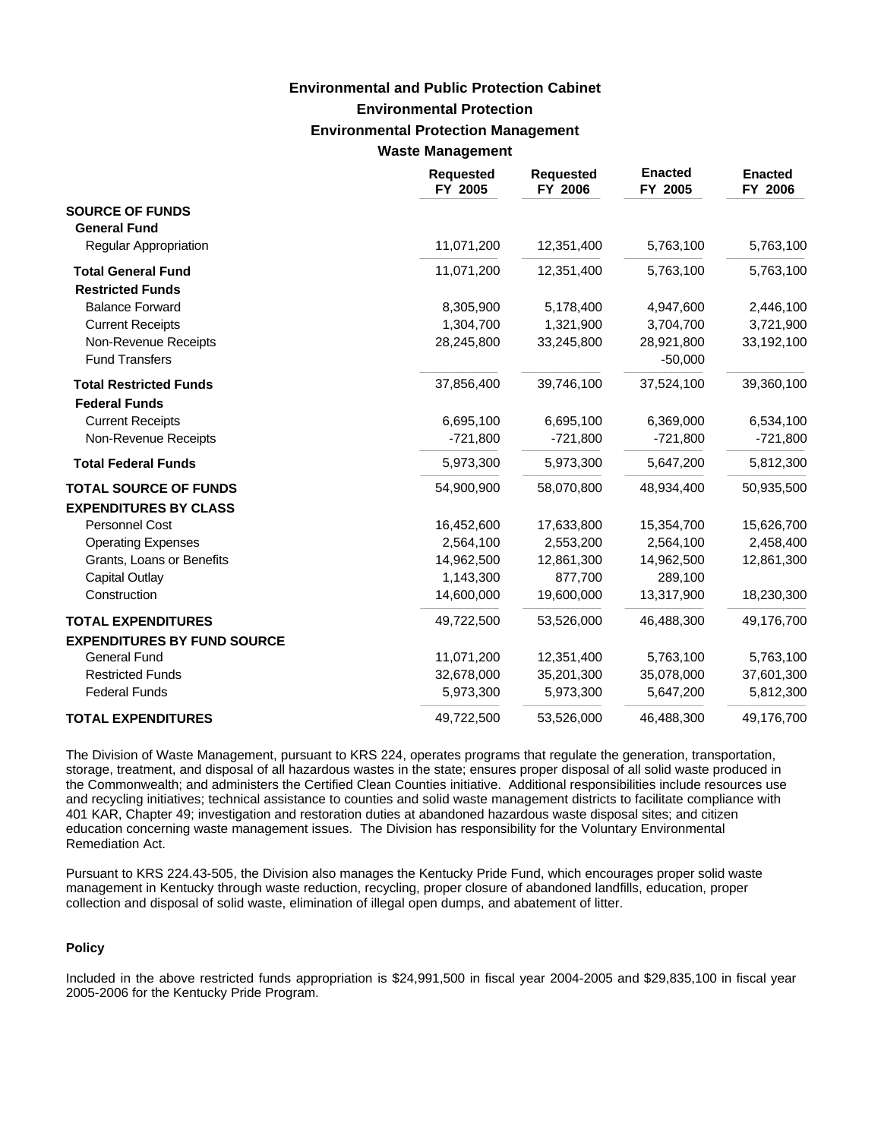## **Environmental Protection Environmental Protection Management Waste Management Environmental and Public Protection Cabinet**

| <b>Requested</b><br>FY 2005 | <b>Requested</b><br>FY 2006 | <b>Enacted</b><br>FY 2005 | <b>Enacted</b><br>FY 2006 |
|-----------------------------|-----------------------------|---------------------------|---------------------------|
|                             |                             |                           |                           |
|                             |                             |                           |                           |
|                             |                             |                           | 5,763,100                 |
| 11,071,200                  | 12,351,400                  | 5,763,100                 | 5,763,100                 |
|                             |                             |                           |                           |
| 8,305,900                   | 5,178,400                   | 4,947,600                 | 2,446,100                 |
| 1,304,700                   | 1,321,900                   | 3,704,700                 | 3,721,900                 |
| 28,245,800                  | 33,245,800                  | 28,921,800                | 33,192,100                |
|                             |                             | $-50,000$                 |                           |
| 37,856,400                  | 39,746,100                  | 37,524,100                | 39,360,100                |
|                             |                             |                           |                           |
| 6,695,100                   | 6,695,100                   | 6,369,000                 | 6,534,100                 |
| $-721,800$                  | $-721,800$                  | $-721,800$                | $-721,800$                |
| 5,973,300                   | 5,973,300                   | 5,647,200                 | 5,812,300                 |
| 54,900,900                  | 58,070,800                  | 48,934,400                | 50,935,500                |
|                             |                             |                           |                           |
| 16,452,600                  | 17,633,800                  | 15,354,700                | 15,626,700                |
| 2,564,100                   | 2,553,200                   | 2,564,100                 | 2,458,400                 |
| 14,962,500                  | 12,861,300                  | 14,962,500                | 12,861,300                |
| 1,143,300                   | 877,700                     | 289,100                   |                           |
| 14,600,000                  | 19,600,000                  | 13,317,900                | 18,230,300                |
| 49,722,500                  | 53,526,000                  | 46,488,300                | 49,176,700                |
|                             |                             |                           |                           |
| 11,071,200                  | 12,351,400                  | 5,763,100                 | 5,763,100                 |
| 32,678,000                  | 35,201,300                  | 35,078,000                | 37,601,300                |
| 5,973,300                   | 5,973,300                   | 5,647,200                 | 5,812,300                 |
| 49,722,500                  | 53,526,000                  | 46,488,300                | 49,176,700                |
|                             | 11,071,200                  | 12,351,400                | 5,763,100                 |

The Division of Waste Management, pursuant to KRS 224, operates programs that regulate the generation, transportation, storage, treatment, and disposal of all hazardous wastes in the state; ensures proper disposal of all solid waste produced in the Commonwealth; and administers the Certified Clean Counties initiative. Additional responsibilities include resources use and recycling initiatives; technical assistance to counties and solid waste management districts to facilitate compliance with 401 KAR, Chapter 49; investigation and restoration duties at abandoned hazardous waste disposal sites; and citizen education concerning waste management issues. The Division has responsibility for the Voluntary Environmental Remediation Act.

Pursuant to KRS 224.43-505, the Division also manages the Kentucky Pride Fund, which encourages proper solid waste management in Kentucky through waste reduction, recycling, proper closure of abandoned landfills, education, proper collection and disposal of solid waste, elimination of illegal open dumps, and abatement of litter.

### **Policy**

Included in the above restricted funds appropriation is \$24,991,500 in fiscal year 2004-2005 and \$29,835,100 in fiscal year 2005-2006 for the Kentucky Pride Program.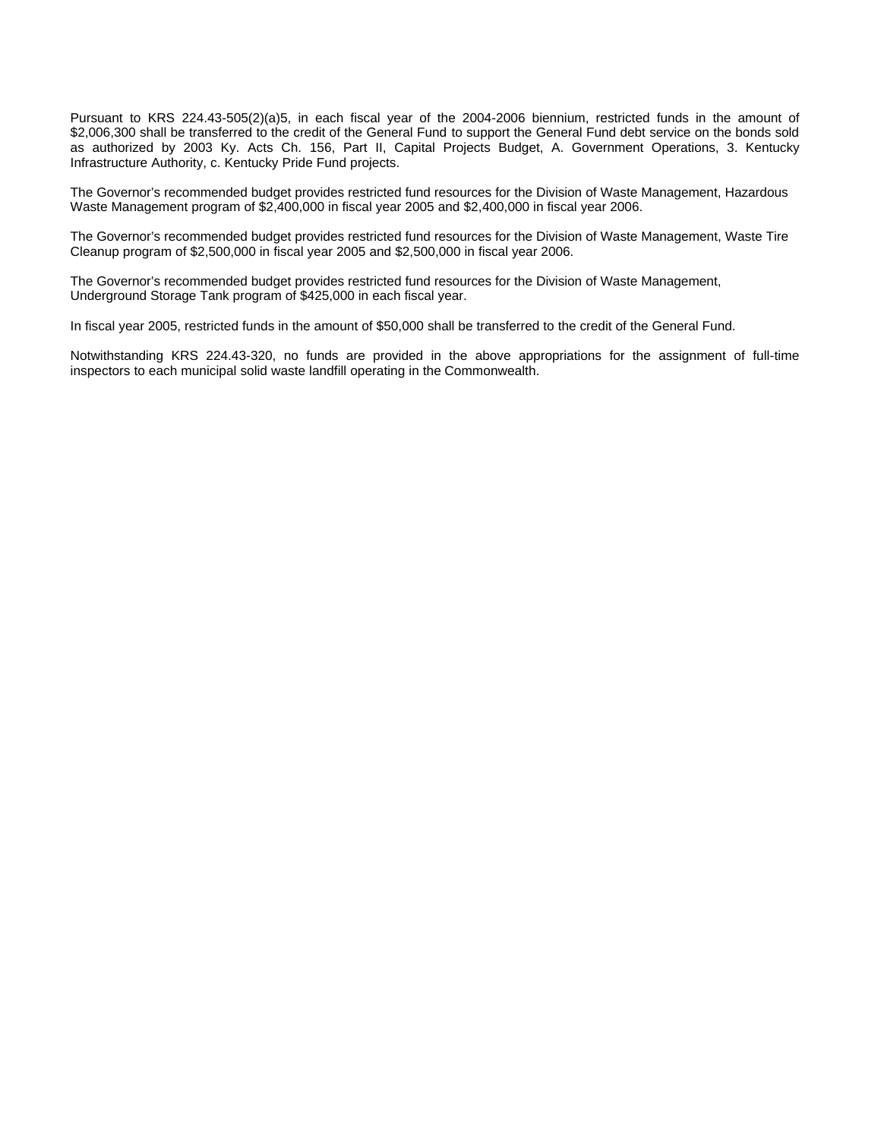Pursuant to KRS 224.43-505(2)(a)5, in each fiscal year of the 2004-2006 biennium, restricted funds in the amount of \$2,006,300 shall be transferred to the credit of the General Fund to support the General Fund debt service on the bonds sold as authorized by 2003 Ky. Acts Ch. 156, Part II, Capital Projects Budget, A. Government Operations, 3. Kentucky Infrastructure Authority, c. Kentucky Pride Fund projects.

The Governor's recommended budget provides restricted fund resources for the Division of Waste Management, Hazardous Waste Management program of \$2,400,000 in fiscal year 2005 and \$2,400,000 in fiscal year 2006.

The Governor's recommended budget provides restricted fund resources for the Division of Waste Management, Waste Tire Cleanup program of \$2,500,000 in fiscal year 2005 and \$2,500,000 in fiscal year 2006.

The Governor's recommended budget provides restricted fund resources for the Division of Waste Management, Underground Storage Tank program of \$425,000 in each fiscal year.

In fiscal year 2005, restricted funds in the amount of \$50,000 shall be transferred to the credit of the General Fund.

Notwithstanding KRS 224.43-320, no funds are provided in the above appropriations for the assignment of full-time inspectors to each municipal solid waste landfill operating in the Commonwealth.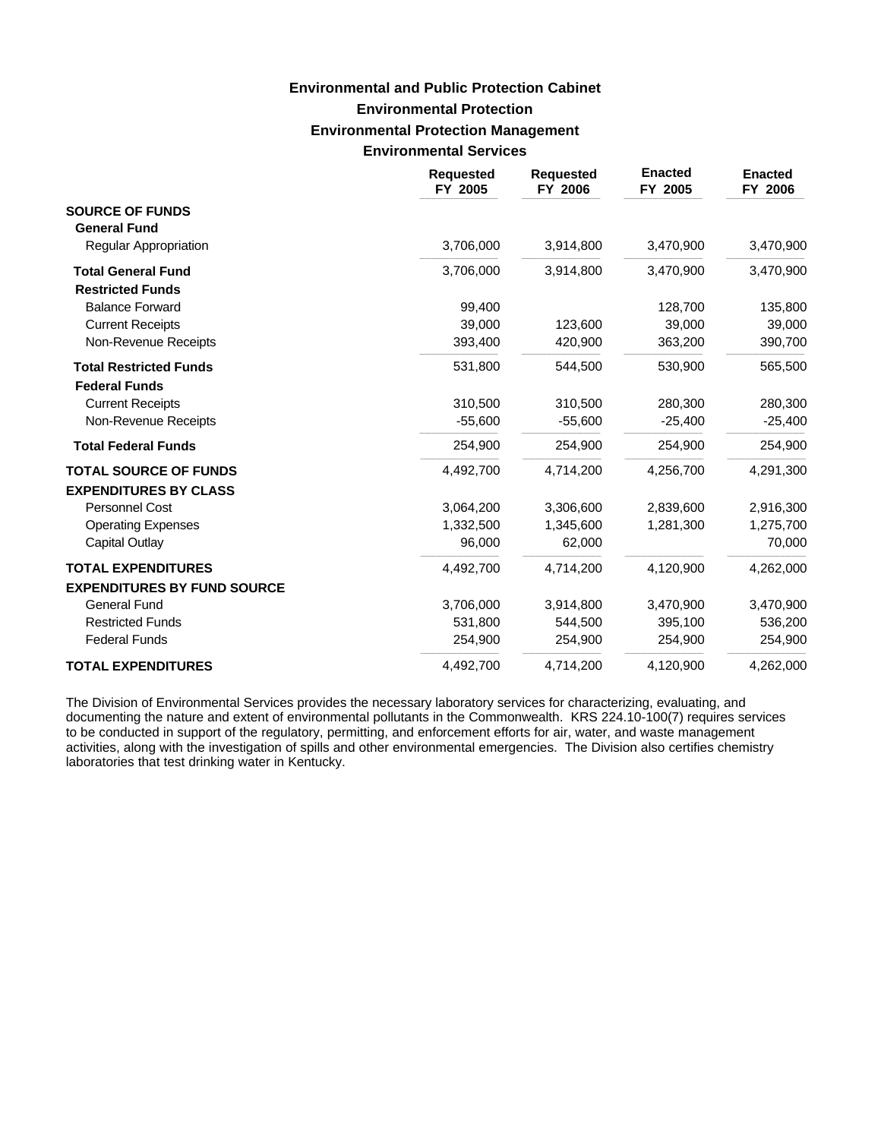# **Environmental Protection Environmental Protection Management Environmental Services Environmental and Public Protection Cabinet**

|                                    | <b>Requested</b><br>FY 2005 | <b>Requested</b><br>FY 2006 | <b>Enacted</b><br>FY 2005 | <b>Enacted</b><br>FY 2006 |
|------------------------------------|-----------------------------|-----------------------------|---------------------------|---------------------------|
| <b>SOURCE OF FUNDS</b>             |                             |                             |                           |                           |
| <b>General Fund</b>                |                             |                             |                           |                           |
| <b>Regular Appropriation</b>       | 3,706,000                   | 3,914,800                   | 3,470,900                 | 3,470,900                 |
| <b>Total General Fund</b>          | 3,706,000                   | 3,914,800                   | 3,470,900                 | 3,470,900                 |
| <b>Restricted Funds</b>            |                             |                             |                           |                           |
| <b>Balance Forward</b>             | 99,400                      |                             | 128,700                   | 135,800                   |
| <b>Current Receipts</b>            | 39,000                      | 123,600                     | 39,000                    | 39,000                    |
| Non-Revenue Receipts               | 393,400                     | 420,900                     | 363,200                   | 390,700                   |
| <b>Total Restricted Funds</b>      | 531,800                     | 544,500                     | 530,900                   | 565,500                   |
| <b>Federal Funds</b>               |                             |                             |                           |                           |
| <b>Current Receipts</b>            | 310,500                     | 310,500                     | 280,300                   | 280,300                   |
| Non-Revenue Receipts               | $-55,600$                   | $-55,600$                   | $-25,400$                 | $-25,400$                 |
| <b>Total Federal Funds</b>         | 254,900                     | 254,900                     | 254,900                   | 254,900                   |
| <b>TOTAL SOURCE OF FUNDS</b>       | 4,492,700                   | 4,714,200                   | 4,256,700                 | 4,291,300                 |
| <b>EXPENDITURES BY CLASS</b>       |                             |                             |                           |                           |
| Personnel Cost                     | 3,064,200                   | 3,306,600                   | 2,839,600                 | 2,916,300                 |
| <b>Operating Expenses</b>          | 1,332,500                   | 1,345,600                   | 1,281,300                 | 1,275,700                 |
| Capital Outlay                     | 96,000                      | 62,000                      |                           | 70,000                    |
| <b>TOTAL EXPENDITURES</b>          | 4,492,700                   | 4,714,200                   | 4,120,900                 | 4,262,000                 |
| <b>EXPENDITURES BY FUND SOURCE</b> |                             |                             |                           |                           |
| <b>General Fund</b>                | 3,706,000                   | 3,914,800                   | 3,470,900                 | 3,470,900                 |
| <b>Restricted Funds</b>            | 531,800                     | 544,500                     | 395,100                   | 536,200                   |
| <b>Federal Funds</b>               | 254,900                     | 254,900                     | 254,900                   | 254,900                   |
| <b>TOTAL EXPENDITURES</b>          | 4,492,700                   | 4,714,200                   | 4,120,900                 | 4,262,000                 |

The Division of Environmental Services provides the necessary laboratory services for characterizing, evaluating, and documenting the nature and extent of environmental pollutants in the Commonwealth. KRS 224.10-100(7) requires services to be conducted in support of the regulatory, permitting, and enforcement efforts for air, water, and waste management activities, along with the investigation of spills and other environmental emergencies. The Division also certifies chemistry laboratories that test drinking water in Kentucky.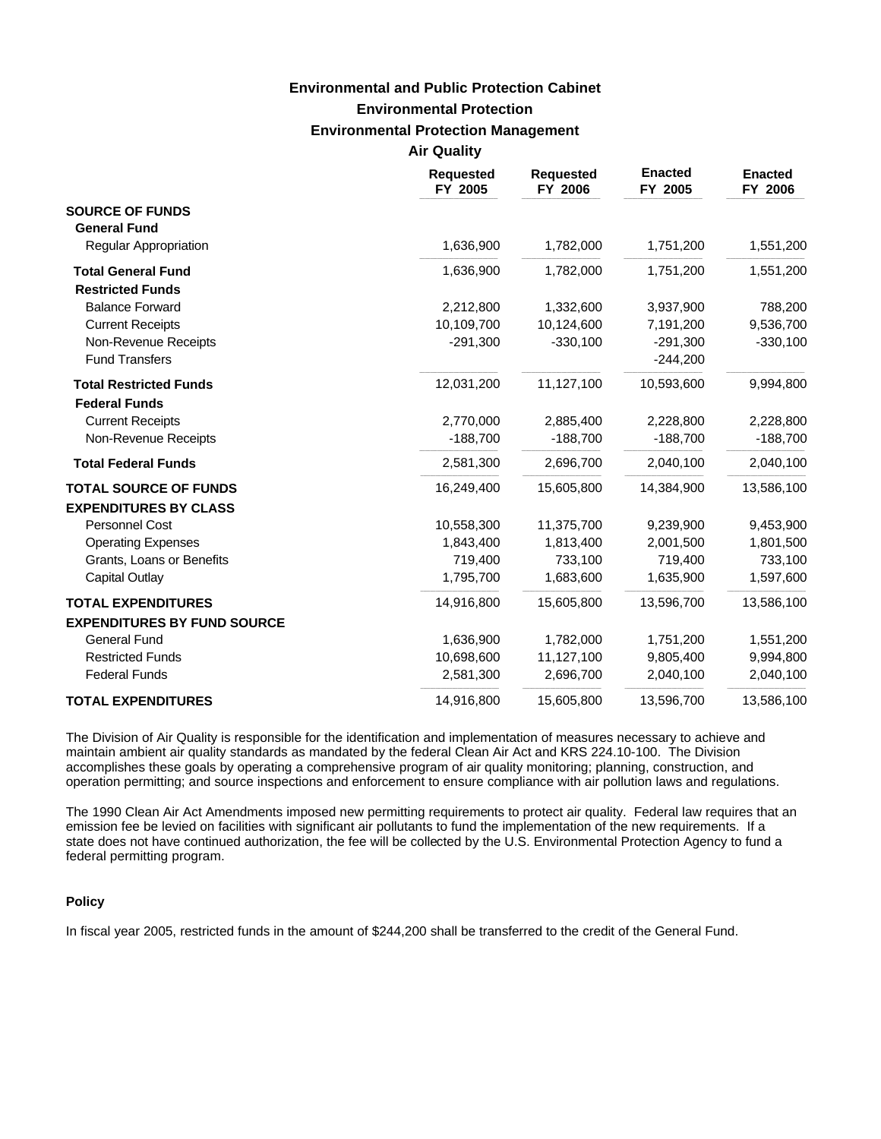### **Environmental Protection Environmental Protection Management Air Quality Environmental and Public Protection Cabinet**

| <b>Requested</b><br>FY 2005 | <b>Requested</b><br>FY 2006          | <b>Enacted</b><br>FY 2005 | <b>Enacted</b><br>FY 2006 |
|-----------------------------|--------------------------------------|---------------------------|---------------------------|
|                             |                                      |                           |                           |
|                             |                                      |                           |                           |
| 1,636,900                   | 1,782,000                            | 1,751,200                 | 1,551,200                 |
| 1,636,900                   | 1,782,000                            | 1,751,200                 | 1,551,200                 |
|                             |                                      |                           |                           |
| 2,212,800                   | 1,332,600                            | 3,937,900                 | 788,200                   |
| 10,109,700                  | 10,124,600                           | 7,191,200                 | 9,536,700                 |
| $-291,300$                  | $-330,100$                           | $-291,300$                | $-330,100$                |
|                             |                                      | $-244,200$                |                           |
| 12,031,200                  | 11,127,100                           | 10,593,600                | 9,994,800                 |
|                             |                                      |                           | 2,228,800                 |
|                             |                                      |                           | $-188,700$                |
|                             |                                      |                           |                           |
| 2,581,300                   | 2,696,700                            | 2,040,100                 | 2,040,100                 |
| 16,249,400                  | 15,605,800                           | 14,384,900                | 13,586,100                |
|                             |                                      |                           |                           |
| 10,558,300                  | 11,375,700                           | 9,239,900                 | 9,453,900                 |
| 1,843,400                   | 1,813,400                            | 2,001,500                 | 1,801,500                 |
| 719,400                     | 733,100                              | 719,400                   | 733,100                   |
| 1,795,700                   | 1,683,600                            | 1,635,900                 | 1,597,600                 |
| 14,916,800                  | 15,605,800                           | 13,596,700                | 13,586,100                |
|                             |                                      |                           |                           |
| 1,636,900                   | 1,782,000                            | 1,751,200                 | 1,551,200                 |
| 10,698,600                  | 11,127,100                           | 9,805,400                 | 9,994,800                 |
| 2,581,300                   | 2,696,700                            | 2,040,100                 | 2,040,100                 |
| 14,916,800                  | 15,605,800                           | 13,596,700                | 13,586,100                |
|                             | An wuunty<br>2,770,000<br>$-188,700$ | 2,885,400<br>$-188,700$   | 2,228,800<br>$-188,700$   |

The Division of Air Quality is responsible for the identification and implementation of measures necessary to achieve and maintain ambient air quality standards as mandated by the federal Clean Air Act and KRS 224.10-100. The Division accomplishes these goals by operating a comprehensive program of air quality monitoring; planning, construction, and operation permitting; and source inspections and enforcement to ensure compliance with air pollution laws and regulations.

The 1990 Clean Air Act Amendments imposed new permitting requirements to protect air quality. Federal law requires that an emission fee be levied on facilities with significant air pollutants to fund the implementation of the new requirements. If a state does not have continued authorization, the fee will be collected by the U.S. Environmental Protection Agency to fund a federal permitting program.

#### **Policy**

In fiscal year 2005, restricted funds in the amount of \$244,200 shall be transferred to the credit of the General Fund.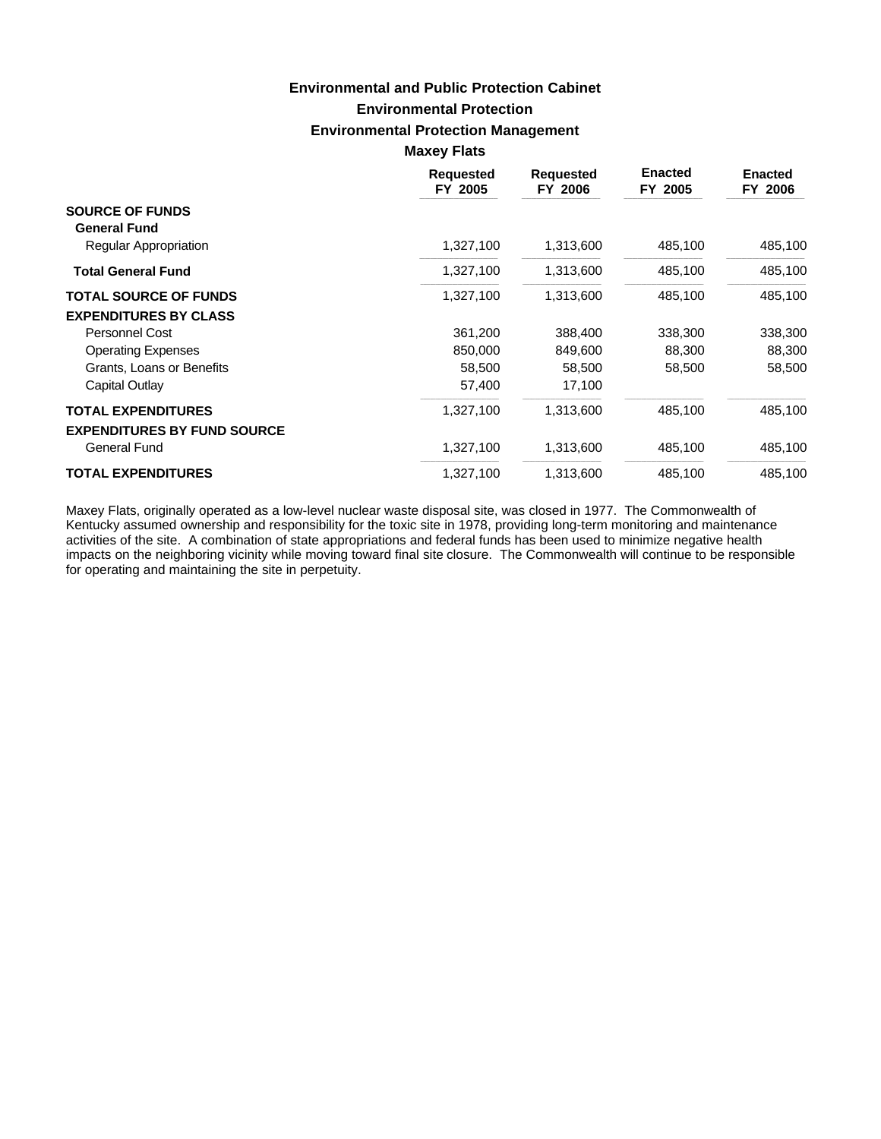## **Environmental Protection Environmental Protection Management Maxey Flats Environmental and Public Protection Cabinet**

|                                                           | <b>Requested</b><br>FY 2005 | <b>Requested</b><br>FY 2006 | <b>Enacted</b><br>FY 2005 | <b>Enacted</b><br>FY 2006 |
|-----------------------------------------------------------|-----------------------------|-----------------------------|---------------------------|---------------------------|
| <b>SOURCE OF FUNDS</b><br><b>General Fund</b>             |                             |                             |                           |                           |
| Regular Appropriation                                     | 1,327,100                   | 1,313,600                   | 485,100                   | 485,100                   |
| <b>Total General Fund</b>                                 | 1,327,100                   | 1,313,600                   | 485,100                   | 485,100                   |
| <b>TOTAL SOURCE OF FUNDS</b>                              | 1,327,100                   | 1,313,600                   | 485,100                   | 485,100                   |
| <b>EXPENDITURES BY CLASS</b>                              |                             |                             |                           |                           |
| <b>Personnel Cost</b>                                     | 361,200                     | 388,400                     | 338,300                   | 338,300                   |
| <b>Operating Expenses</b>                                 | 850,000                     | 849,600                     | 88,300                    | 88,300                    |
| Grants, Loans or Benefits                                 | 58,500                      | 58,500                      | 58,500                    | 58,500                    |
| Capital Outlay                                            | 57,400                      | 17,100                      |                           |                           |
| <b>TOTAL EXPENDITURES</b>                                 | 1,327,100                   | 1,313,600                   | 485,100                   | 485,100                   |
| <b>EXPENDITURES BY FUND SOURCE</b><br><b>General Fund</b> | 1,327,100                   | 1,313,600                   | 485,100                   | 485,100                   |
| <b>TOTAL EXPENDITURES</b>                                 | 1,327,100                   | 1,313,600                   | 485,100                   | 485,100                   |

Maxey Flats, originally operated as a low-level nuclear waste disposal site, was closed in 1977. The Commonwealth of Kentucky assumed ownership and responsibility for the toxic site in 1978, providing long-term monitoring and maintenance activities of the site. A combination of state appropriations and federal funds has been used to minimize negative health impacts on the neighboring vicinity while moving toward final site closure. The Commonwealth will continue to be responsible for operating and maintaining the site in perpetuity.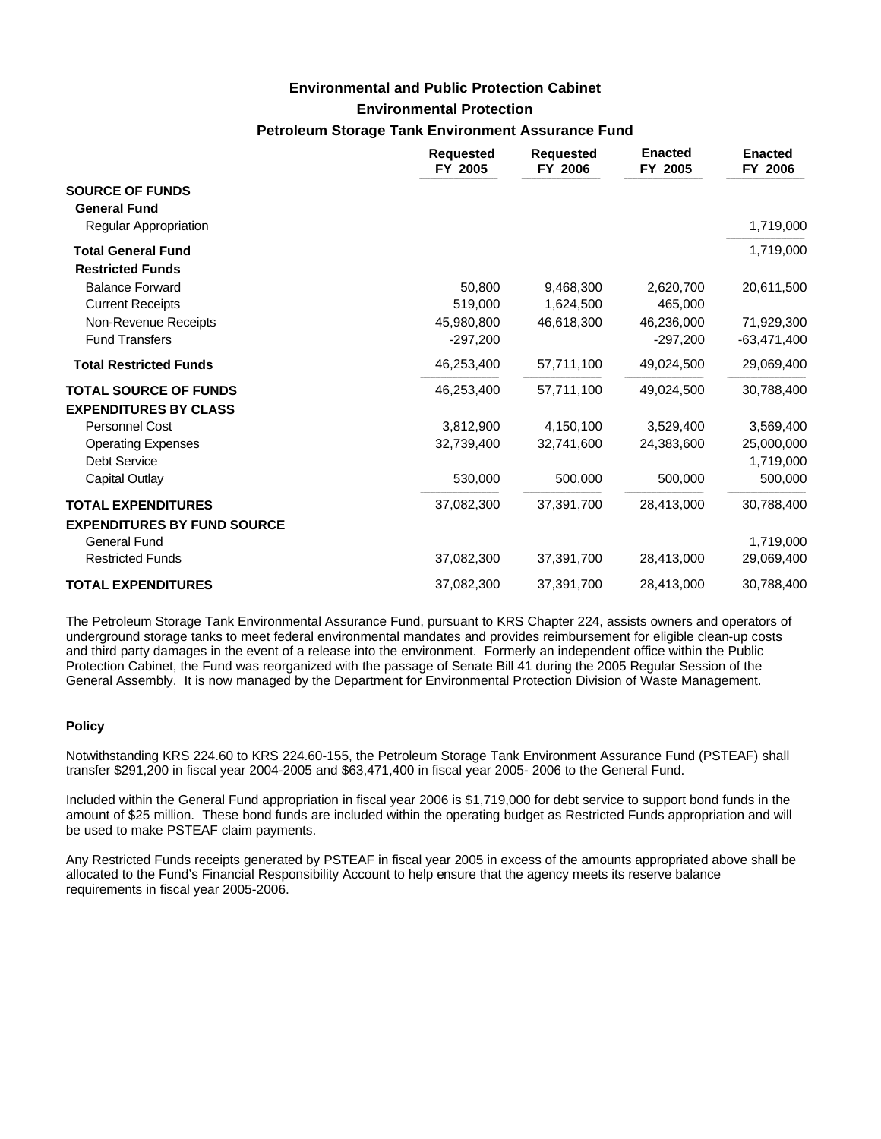### **Environmental and Public Protection Cabinet**

### **Environmental Protection**

### **Petroleum Storage Tank Environment Assurance Fund**

|                                                      | <b>Requested</b><br>FY 2005 | <b>Requested</b><br>FY 2006 | <b>Enacted</b><br>FY 2005 | <b>Enacted</b><br>FY 2006 |
|------------------------------------------------------|-----------------------------|-----------------------------|---------------------------|---------------------------|
| <b>SOURCE OF FUNDS</b><br><b>General Fund</b>        |                             |                             |                           |                           |
| <b>Regular Appropriation</b>                         |                             |                             |                           | 1,719,000                 |
| <b>Total General Fund</b><br><b>Restricted Funds</b> |                             |                             |                           | 1,719,000                 |
| <b>Balance Forward</b>                               | 50,800                      | 9,468,300                   | 2,620,700                 | 20,611,500                |
| <b>Current Receipts</b>                              | 519.000                     | 1,624,500                   | 465.000                   |                           |
| Non-Revenue Receipts                                 | 45,980,800                  | 46,618,300                  | 46,236,000                | 71,929,300                |
| <b>Fund Transfers</b>                                | $-297,200$                  |                             | $-297,200$                | $-63,471,400$             |
| <b>Total Restricted Funds</b>                        | 46,253,400                  | 57,711,100                  | 49,024,500                | 29,069,400                |
| <b>TOTAL SOURCE OF FUNDS</b>                         | 46,253,400                  | 57.711.100                  | 49.024.500                | 30,788,400                |
| <b>EXPENDITURES BY CLASS</b>                         |                             |                             |                           |                           |
| <b>Personnel Cost</b>                                | 3,812,900                   | 4,150,100                   | 3,529,400                 | 3,569,400                 |
| <b>Operating Expenses</b>                            | 32,739,400                  | 32,741,600                  | 24,383,600                | 25,000,000                |
| <b>Debt Service</b>                                  |                             |                             |                           | 1,719,000                 |
| Capital Outlay                                       | 530,000                     | 500,000                     | 500,000                   | 500,000                   |
| <b>TOTAL EXPENDITURES</b>                            | 37,082,300                  | 37,391,700                  | 28,413,000                | 30,788,400                |
| <b>EXPENDITURES BY FUND SOURCE</b><br>General Fund   |                             |                             |                           | 1,719,000                 |
| <b>Restricted Funds</b>                              | 37,082,300                  | 37,391,700                  | 28,413,000                | 29,069,400                |
| <b>TOTAL EXPENDITURES</b>                            | 37,082,300                  | 37,391,700                  | 28,413,000                | 30,788,400                |

The Petroleum Storage Tank Environmental Assurance Fund, pursuant to KRS Chapter 224, assists owners and operators of underground storage tanks to meet federal environmental mandates and provides reimbursement for eligible clean-up costs and third party damages in the event of a release into the environment. Formerly an independent office within the Public Protection Cabinet, the Fund was reorganized with the passage of Senate Bill 41 during the 2005 Regular Session of the General Assembly. It is now managed by the Department for Environmental Protection Division of Waste Management.

#### **Policy**

Notwithstanding KRS 224.60 to KRS 224.60-155, the Petroleum Storage Tank Environment Assurance Fund (PSTEAF) shall transfer \$291,200 in fiscal year 2004-2005 and \$63,471,400 in fiscal year 2005- 2006 to the General Fund.

Included within the General Fund appropriation in fiscal year 2006 is \$1,719,000 for debt service to support bond funds in the amount of \$25 million. These bond funds are included within the operating budget as Restricted Funds appropriation and will be used to make PSTEAF claim payments.

Any Restricted Funds receipts generated by PSTEAF in fiscal year 2005 in excess of the amounts appropriated above shall be allocated to the Fund's Financial Responsibility Account to help ensure that the agency meets its reserve balance requirements in fiscal year 2005-2006.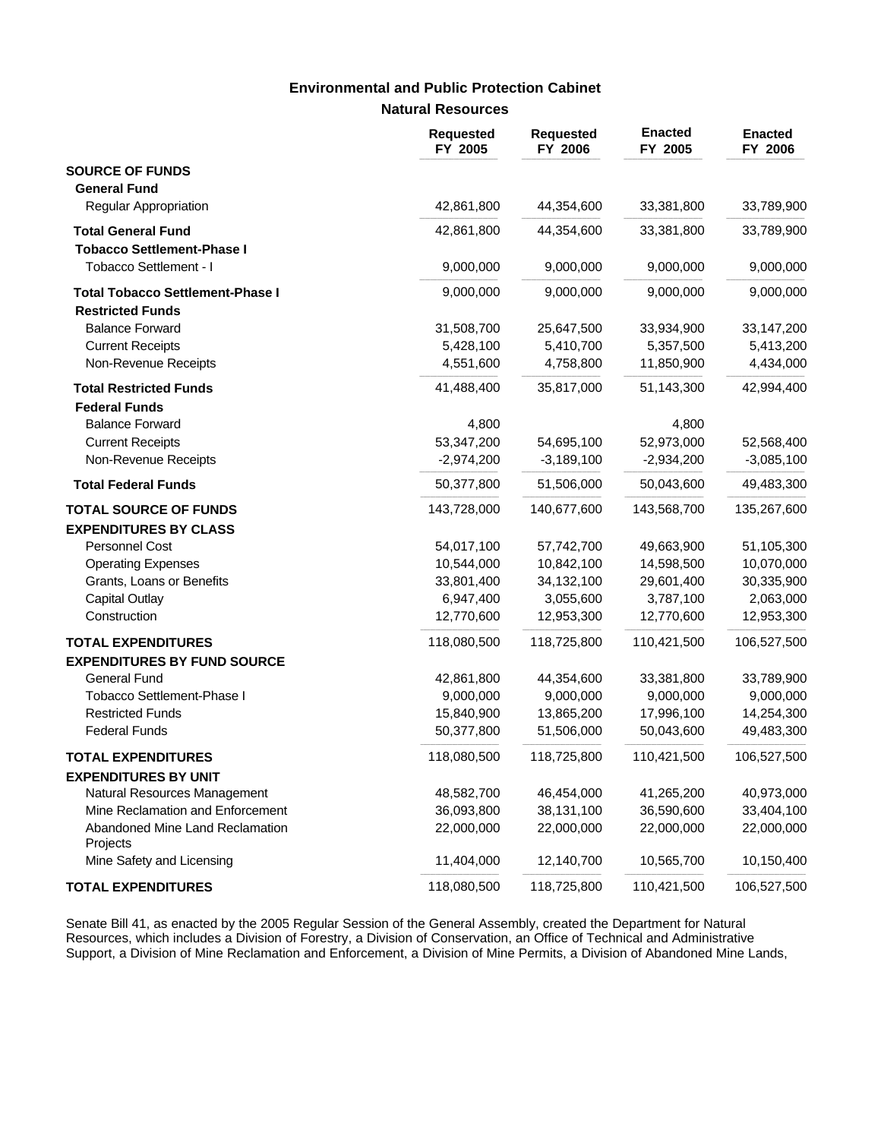# **Environmental and Public Protection Cabinet**

### **Natural Resources**

|                                             | <b>Requested</b><br>FY 2005 | <b>Requested</b><br>FY 2006 | <b>Enacted</b><br>FY 2005 | <b>Enacted</b><br>FY 2006 |
|---------------------------------------------|-----------------------------|-----------------------------|---------------------------|---------------------------|
| <b>SOURCE OF FUNDS</b>                      |                             |                             |                           |                           |
| <b>General Fund</b>                         |                             |                             |                           |                           |
| Regular Appropriation                       | 42,861,800                  | 44,354,600                  | 33,381,800                | 33,789,900                |
| <b>Total General Fund</b>                   | 42,861,800                  | 44,354,600                  | 33,381,800                | 33,789,900                |
| <b>Tobacco Settlement-Phase I</b>           |                             |                             |                           |                           |
| Tobacco Settlement - I                      | 9,000,000                   | 9,000,000                   | 9,000,000                 | 9,000,000                 |
| <b>Total Tobacco Settlement-Phase I</b>     | 9,000,000                   | 9,000,000                   | 9,000,000                 | 9,000,000                 |
| <b>Restricted Funds</b>                     |                             |                             |                           |                           |
| <b>Balance Forward</b>                      | 31,508,700                  | 25,647,500                  | 33,934,900                | 33, 147, 200              |
| <b>Current Receipts</b>                     | 5,428,100                   | 5,410,700                   | 5,357,500                 | 5,413,200                 |
| Non-Revenue Receipts                        | 4,551,600                   | 4,758,800                   | 11,850,900                | 4,434,000                 |
| <b>Total Restricted Funds</b>               | 41,488,400                  | 35,817,000                  | 51,143,300                | 42,994,400                |
| <b>Federal Funds</b>                        |                             |                             |                           |                           |
| <b>Balance Forward</b>                      | 4,800                       |                             | 4,800                     |                           |
| <b>Current Receipts</b>                     | 53,347,200                  | 54,695,100                  | 52,973,000                | 52,568,400                |
| Non-Revenue Receipts                        | $-2,974,200$                | $-3,189,100$                | $-2,934,200$              | $-3,085,100$              |
| <b>Total Federal Funds</b>                  | 50,377,800                  | 51,506,000                  | 50,043,600                | 49,483,300                |
| <b>TOTAL SOURCE OF FUNDS</b>                | 143,728,000                 | 140,677,600                 | 143,568,700               | 135,267,600               |
| <b>EXPENDITURES BY CLASS</b>                |                             |                             |                           |                           |
| Personnel Cost                              | 54,017,100                  | 57,742,700                  | 49,663,900                | 51,105,300                |
| <b>Operating Expenses</b>                   | 10,544,000                  | 10,842,100                  | 14,598,500                | 10,070,000                |
| Grants, Loans or Benefits                   | 33,801,400                  | 34,132,100                  | 29,601,400                | 30,335,900                |
| <b>Capital Outlay</b>                       | 6,947,400                   | 3,055,600                   | 3,787,100                 | 2,063,000                 |
| Construction                                | 12,770,600                  | 12,953,300                  | 12,770,600                | 12,953,300                |
| <b>TOTAL EXPENDITURES</b>                   | 118,080,500                 | 118,725,800                 | 110,421,500               | 106,527,500               |
| <b>EXPENDITURES BY FUND SOURCE</b>          |                             |                             |                           |                           |
| <b>General Fund</b>                         | 42,861,800                  | 44,354,600                  | 33,381,800                | 33,789,900                |
| Tobacco Settlement-Phase I                  | 9,000,000                   | 9,000,000                   | 9,000,000                 | 9,000,000                 |
| <b>Restricted Funds</b>                     | 15,840,900                  | 13,865,200                  | 17,996,100                | 14,254,300                |
| <b>Federal Funds</b>                        | 50,377,800                  | 51,506,000                  | 50,043,600                | 49,483,300                |
| <b>TOTAL EXPENDITURES</b>                   | 118,080,500                 | 118,725,800                 | 110,421,500               | 106,527,500               |
| <b>EXPENDITURES BY UNIT</b>                 |                             |                             |                           |                           |
| Natural Resources Management                | 48,582,700                  | 46,454,000                  | 41,265,200                | 40,973,000                |
| Mine Reclamation and Enforcement            | 36,093,800                  | 38,131,100                  | 36,590,600                | 33,404,100                |
| Abandoned Mine Land Reclamation<br>Projects | 22,000,000                  | 22,000,000                  | 22,000,000                | 22,000,000                |
| Mine Safety and Licensing                   | 11,404,000                  | 12,140,700                  | 10,565,700                | 10,150,400                |
| <b>TOTAL EXPENDITURES</b>                   | 118,080,500                 | 118,725,800                 | 110,421,500               | 106,527,500               |

Senate Bill 41, as enacted by the 2005 Regular Session of the General Assembly, created the Department for Natural Resources, which includes a Division of Forestry, a Division of Conservation, an Office of Technical and Administrative Support, a Division of Mine Reclamation and Enforcement, a Division of Mine Permits, a Division of Abandoned Mine Lands,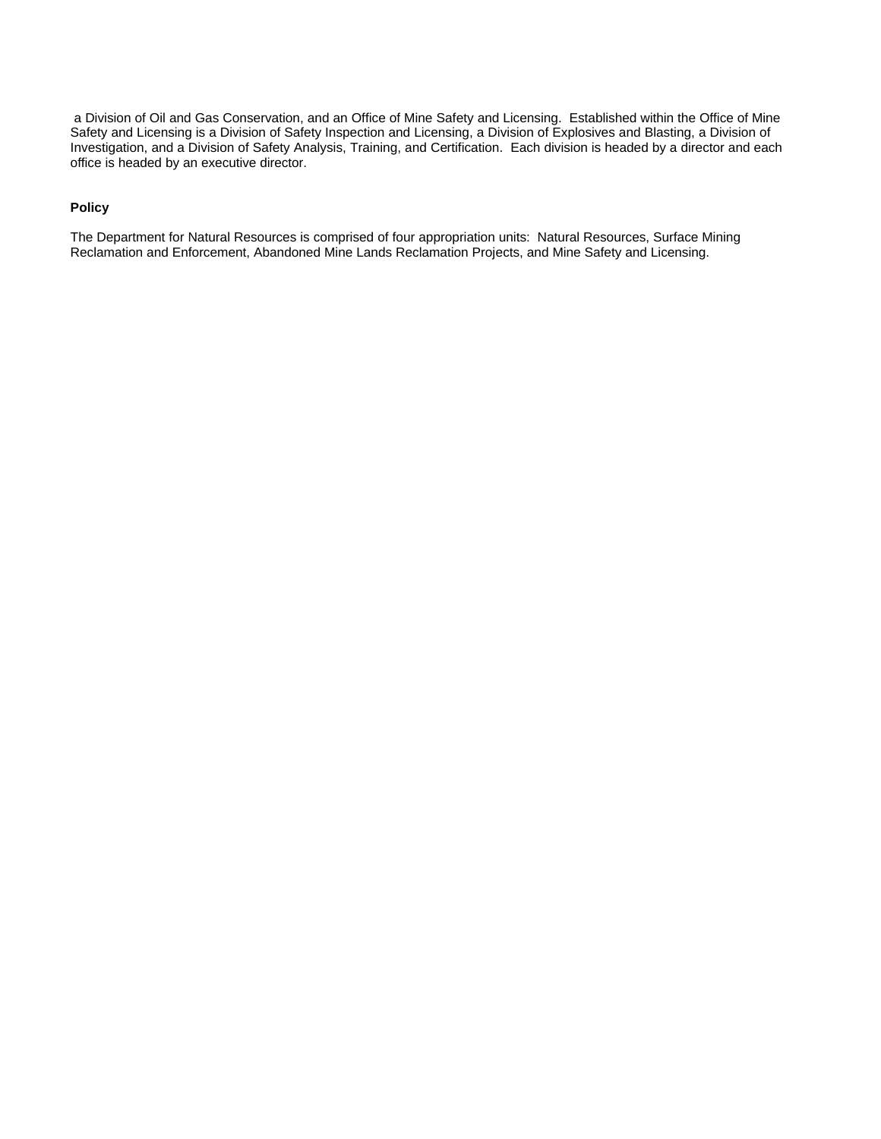a Division of Oil and Gas Conservation, and an Office of Mine Safety and Licensing. Established within the Office of Mine Safety and Licensing is a Division of Safety Inspection and Licensing, a Division of Explosives and Blasting, a Division of Investigation, and a Division of Safety Analysis, Training, and Certification. Each division is headed by a director and each office is headed by an executive director.

#### **Policy**

The Department for Natural Resources is comprised of four appropriation units: Natural Resources, Surface Mining Reclamation and Enforcement, Abandoned Mine Lands Reclamation Projects, and Mine Safety and Licensing.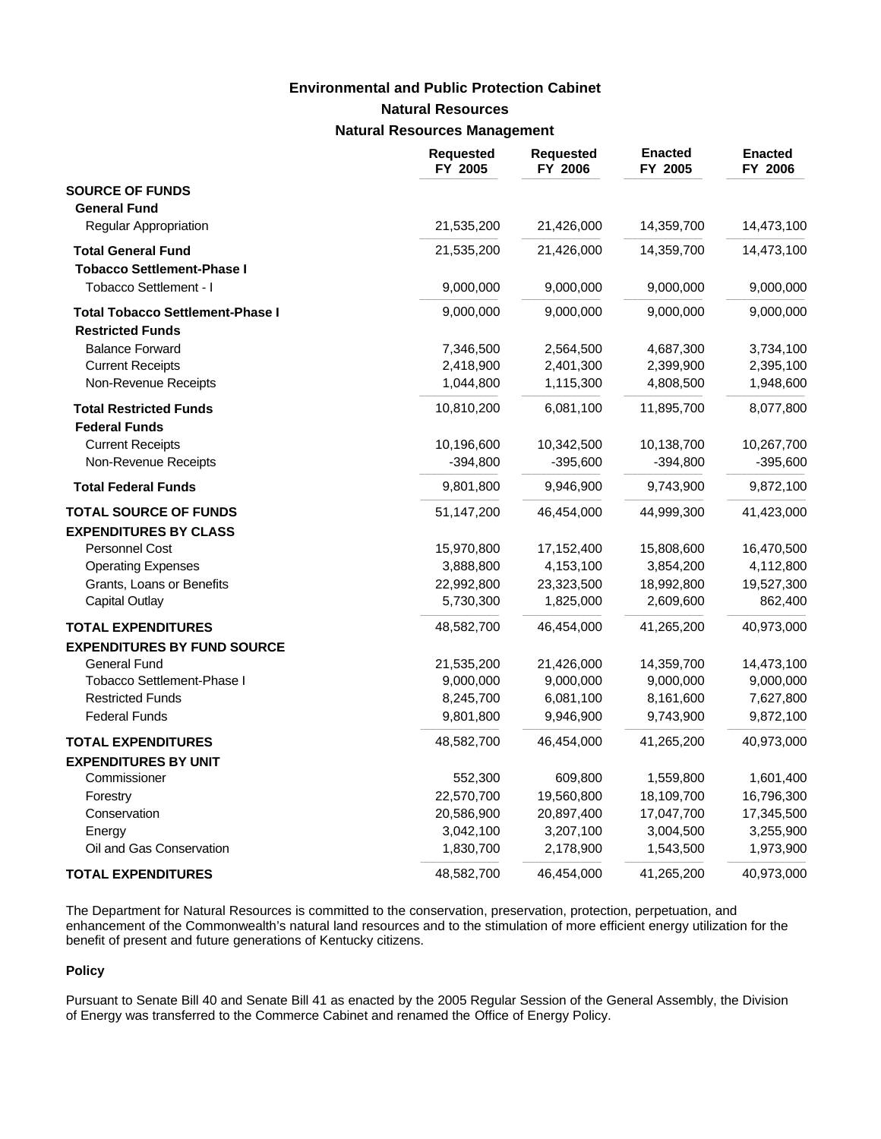# **Environmental and Public Protection Cabinet**

# **Natural Resources**

### **Natural Resources Management**

|                                         | <b>Requested</b><br>FY 2005 | <b>Requested</b><br>FY 2006 | <b>Enacted</b><br>FY 2005 | <b>Enacted</b><br>FY 2006 |
|-----------------------------------------|-----------------------------|-----------------------------|---------------------------|---------------------------|
| <b>SOURCE OF FUNDS</b>                  |                             |                             |                           |                           |
| <b>General Fund</b>                     |                             |                             |                           |                           |
| Regular Appropriation                   | 21,535,200                  | 21,426,000                  | 14,359,700                | 14,473,100                |
| <b>Total General Fund</b>               | 21,535,200                  | 21,426,000                  | 14,359,700                | 14,473,100                |
| <b>Tobacco Settlement-Phase I</b>       |                             |                             |                           |                           |
| Tobacco Settlement - I                  | 9,000,000                   | 9,000,000                   | 9,000,000                 | 9,000,000                 |
| <b>Total Tobacco Settlement-Phase I</b> | 9,000,000                   | 9,000,000                   | 9,000,000                 | 9,000,000                 |
| <b>Restricted Funds</b>                 |                             |                             |                           |                           |
| <b>Balance Forward</b>                  | 7,346,500                   | 2,564,500                   | 4,687,300                 | 3,734,100                 |
| <b>Current Receipts</b>                 | 2,418,900                   | 2,401,300                   | 2,399,900                 | 2,395,100                 |
| Non-Revenue Receipts                    | 1,044,800                   | 1,115,300                   | 4,808,500                 | 1,948,600                 |
| <b>Total Restricted Funds</b>           | 10,810,200                  | 6,081,100                   | 11,895,700                | 8,077,800                 |
| <b>Federal Funds</b>                    |                             |                             |                           |                           |
| <b>Current Receipts</b>                 | 10,196,600                  | 10,342,500                  | 10,138,700                | 10,267,700                |
| Non-Revenue Receipts                    | $-394,800$                  | $-395,600$                  | $-394,800$                | $-395,600$                |
| <b>Total Federal Funds</b>              | 9,801,800                   | 9,946,900                   | 9,743,900                 | 9,872,100                 |
| <b>TOTAL SOURCE OF FUNDS</b>            | 51,147,200                  | 46,454,000                  | 44,999,300                | 41,423,000                |
| <b>EXPENDITURES BY CLASS</b>            |                             |                             |                           |                           |
| Personnel Cost                          | 15,970,800                  | 17,152,400                  | 15,808,600                | 16,470,500                |
| <b>Operating Expenses</b>               | 3,888,800                   | 4,153,100                   | 3,854,200                 | 4,112,800                 |
| Grants, Loans or Benefits               | 22,992,800                  | 23,323,500                  | 18,992,800                | 19,527,300                |
| <b>Capital Outlay</b>                   | 5,730,300                   | 1,825,000                   | 2,609,600                 | 862,400                   |
| <b>TOTAL EXPENDITURES</b>               | 48,582,700                  | 46,454,000                  | 41,265,200                | 40,973,000                |
| <b>EXPENDITURES BY FUND SOURCE</b>      |                             |                             |                           |                           |
| <b>General Fund</b>                     | 21,535,200                  | 21,426,000                  | 14,359,700                | 14,473,100                |
| Tobacco Settlement-Phase I              | 9,000,000                   | 9,000,000                   | 9,000,000                 | 9,000,000                 |
| <b>Restricted Funds</b>                 | 8,245,700                   | 6,081,100                   | 8,161,600                 | 7,627,800                 |
| <b>Federal Funds</b>                    | 9,801,800                   | 9,946,900                   | 9,743,900                 | 9,872,100                 |
| <b>TOTAL EXPENDITURES</b>               | 48,582,700                  | 46,454,000                  | 41,265,200                | 40,973,000                |
| <b>EXPENDITURES BY UNIT</b>             |                             |                             |                           |                           |
| Commissioner                            | 552,300                     | 609,800                     | 1,559,800                 | 1,601,400                 |
| Forestry                                | 22,570,700                  | 19,560,800                  | 18,109,700                | 16,796,300                |
| Conservation                            | 20,586,900                  | 20,897,400                  | 17,047,700                | 17,345,500                |
| Energy                                  | 3,042,100                   | 3,207,100                   | 3,004,500                 | 3,255,900                 |
| Oil and Gas Conservation                | 1,830,700                   | 2,178,900                   | 1,543,500                 | 1,973,900                 |
| <b>TOTAL EXPENDITURES</b>               | 48,582,700                  | 46,454,000                  | 41,265,200                | 40,973,000                |

The Department for Natural Resources is committed to the conservation, preservation, protection, perpetuation, and enhancement of the Commonwealth's natural land resources and to the stimulation of more efficient energy utilization for the benefit of present and future generations of Kentucky citizens.

#### **Policy**

Pursuant to Senate Bill 40 and Senate Bill 41 as enacted by the 2005 Regular Session of the General Assembly, the Division of Energy was transferred to the Commerce Cabinet and renamed the Office of Energy Policy.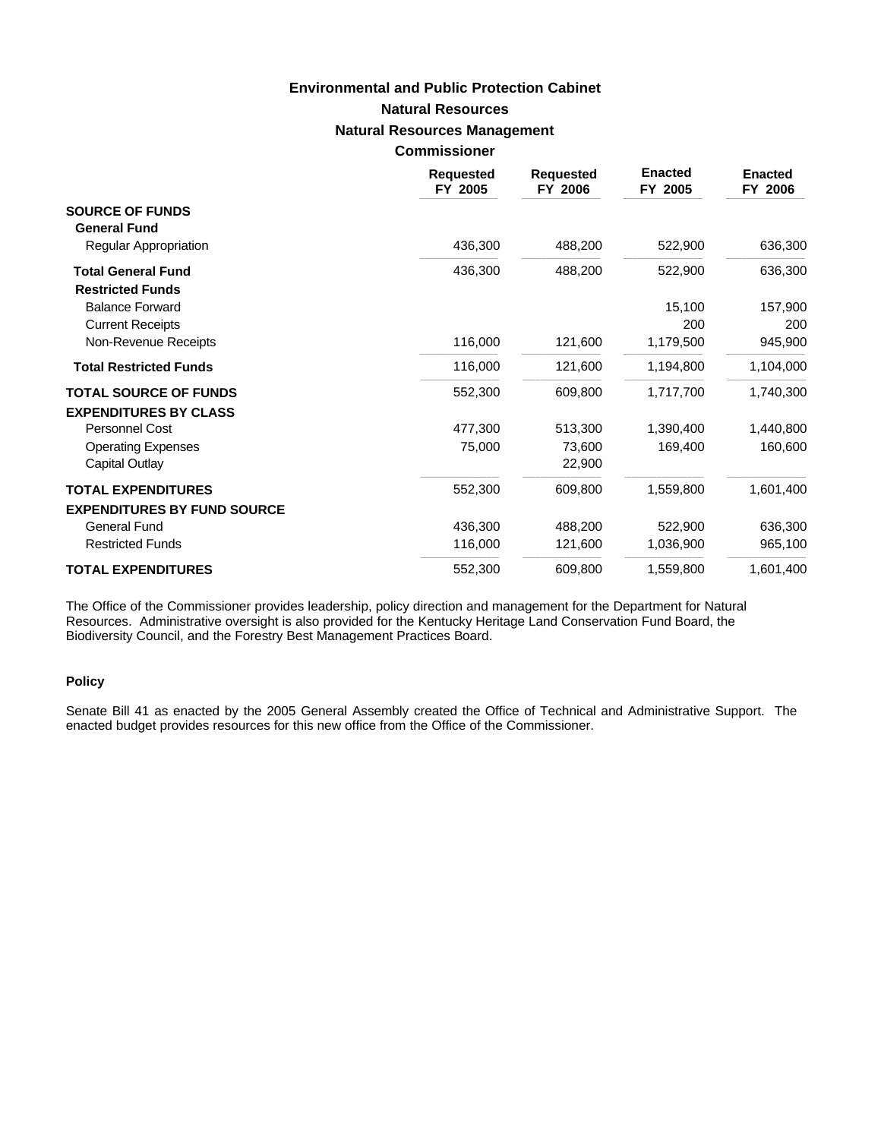#### **Commissioner**

|                                                      | <b>Requested</b><br>FY 2005 | <b>Requested</b><br>FY 2006 | <b>Enacted</b><br>FY 2005 | <b>Enacted</b><br>FY 2006 |
|------------------------------------------------------|-----------------------------|-----------------------------|---------------------------|---------------------------|
| <b>SOURCE OF FUNDS</b><br><b>General Fund</b>        |                             |                             |                           |                           |
| Regular Appropriation                                | 436,300                     | 488,200                     | 522,900                   | 636,300                   |
| <b>Total General Fund</b><br><b>Restricted Funds</b> | 436,300                     | 488,200                     | 522,900                   | 636,300                   |
| <b>Balance Forward</b>                               |                             |                             | 15,100                    | 157,900                   |
| <b>Current Receipts</b>                              |                             |                             | 200                       | 200                       |
| Non-Revenue Receipts                                 | 116,000                     | 121,600                     | 1,179,500                 | 945,900                   |
| <b>Total Restricted Funds</b>                        | 116,000                     | 121,600                     | 1,194,800                 | 1,104,000                 |
| <b>TOTAL SOURCE OF FUNDS</b>                         | 552,300                     | 609,800                     | 1,717,700                 | 1,740,300                 |
| <b>EXPENDITURES BY CLASS</b>                         |                             |                             |                           |                           |
| Personnel Cost                                       | 477,300                     | 513,300                     | 1,390,400                 | 1,440,800                 |
| <b>Operating Expenses</b><br>Capital Outlay          | 75,000                      | 73,600<br>22,900            | 169,400                   | 160,600                   |
| <b>TOTAL EXPENDITURES</b>                            | 552,300                     | 609,800                     | 1,559,800                 | 1,601,400                 |
| <b>EXPENDITURES BY FUND SOURCE</b>                   |                             |                             |                           |                           |
| <b>General Fund</b>                                  | 436,300                     | 488,200                     | 522,900                   | 636,300                   |
| <b>Restricted Funds</b>                              | 116,000                     | 121,600                     | 1,036,900                 | 965,100                   |
| <b>TOTAL EXPENDITURES</b>                            | 552,300                     | 609,800                     | 1,559,800                 | 1,601,400                 |

The Office of the Commissioner provides leadership, policy direction and management for the Department for Natural Resources. Administrative oversight is also provided for the Kentucky Heritage Land Conservation Fund Board, the Biodiversity Council, and the Forestry Best Management Practices Board.

### **Policy**

Senate Bill 41 as enacted by the 2005 General Assembly created the Office of Technical and Administrative Support. The enacted budget provides resources for this new office from the Office of the Commissioner.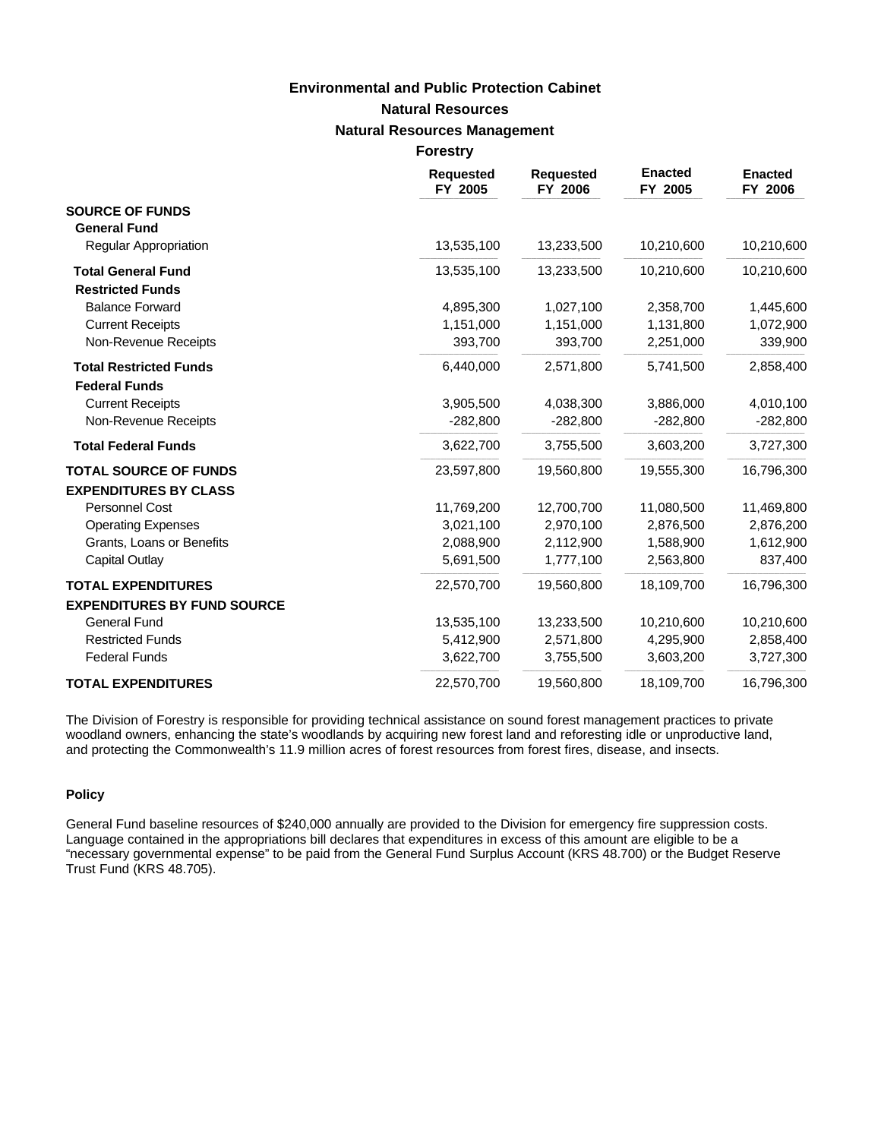|                                                       | <b>Requested</b><br>FY 2005 | <b>Requested</b><br>FY 2006 | <b>Enacted</b><br>FY 2005 | <b>Enacted</b><br>FY 2006 |
|-------------------------------------------------------|-----------------------------|-----------------------------|---------------------------|---------------------------|
| <b>SOURCE OF FUNDS</b><br><b>General Fund</b>         |                             |                             |                           |                           |
| Regular Appropriation                                 | 13,535,100                  | 13,233,500                  | 10,210,600                | 10,210,600                |
| <b>Total General Fund</b><br><b>Restricted Funds</b>  | 13,535,100                  | 13,233,500                  | 10,210,600                | 10,210,600                |
| <b>Balance Forward</b>                                | 4,895,300                   | 1,027,100                   | 2,358,700                 | 1,445,600                 |
| <b>Current Receipts</b>                               | 1,151,000                   | 1,151,000                   | 1,131,800                 | 1,072,900                 |
| Non-Revenue Receipts                                  | 393,700                     | 393,700                     | 2,251,000                 | 339,900                   |
| <b>Total Restricted Funds</b><br><b>Federal Funds</b> | 6,440,000                   | 2,571,800                   | 5,741,500                 | 2,858,400                 |
| <b>Current Receipts</b>                               | 3,905,500                   | 4,038,300                   | 3,886,000                 | 4,010,100                 |
| Non-Revenue Receipts                                  | $-282,800$                  | $-282,800$                  | $-282,800$                | $-282,800$                |
| <b>Total Federal Funds</b>                            | 3,622,700                   | 3,755,500                   | 3,603,200                 | 3,727,300                 |
| <b>TOTAL SOURCE OF FUNDS</b>                          | 23,597,800                  | 19,560,800                  | 19,555,300                | 16,796,300                |
| <b>EXPENDITURES BY CLASS</b>                          |                             |                             |                           |                           |
| <b>Personnel Cost</b>                                 | 11,769,200                  | 12,700,700                  | 11,080,500                | 11,469,800                |
| <b>Operating Expenses</b>                             | 3,021,100                   | 2,970,100                   | 2,876,500                 | 2,876,200                 |
| Grants, Loans or Benefits                             | 2,088,900                   | 2,112,900                   | 1,588,900                 | 1,612,900                 |
| <b>Capital Outlay</b>                                 | 5,691,500                   | 1,777,100                   | 2,563,800                 | 837,400                   |
| <b>TOTAL EXPENDITURES</b>                             | 22,570,700                  | 19,560,800                  | 18,109,700                | 16,796,300                |
| <b>EXPENDITURES BY FUND SOURCE</b>                    |                             |                             |                           |                           |
| <b>General Fund</b>                                   | 13,535,100                  | 13,233,500                  | 10,210,600                | 10,210,600                |
| <b>Restricted Funds</b>                               | 5,412,900                   | 2,571,800                   | 4,295,900                 | 2,858,400                 |
| <b>Federal Funds</b>                                  | 3,622,700                   | 3,755,500                   | 3,603,200                 | 3,727,300                 |
| <b>TOTAL EXPENDITURES</b>                             | 22,570,700                  | 19,560,800                  | 18,109,700                | 16,796,300                |

The Division of Forestry is responsible for providing technical assistance on sound forest management practices to private woodland owners, enhancing the state's woodlands by acquiring new forest land and reforesting idle or unproductive land, and protecting the Commonwealth's 11.9 million acres of forest resources from forest fires, disease, and insects.

#### **Policy**

General Fund baseline resources of \$240,000 annually are provided to the Division for emergency fire suppression costs. Language contained in the appropriations bill declares that expenditures in excess of this amount are eligible to be a "necessary governmental expense" to be paid from the General Fund Surplus Account (KRS 48.700) or the Budget Reserve Trust Fund (KRS 48.705).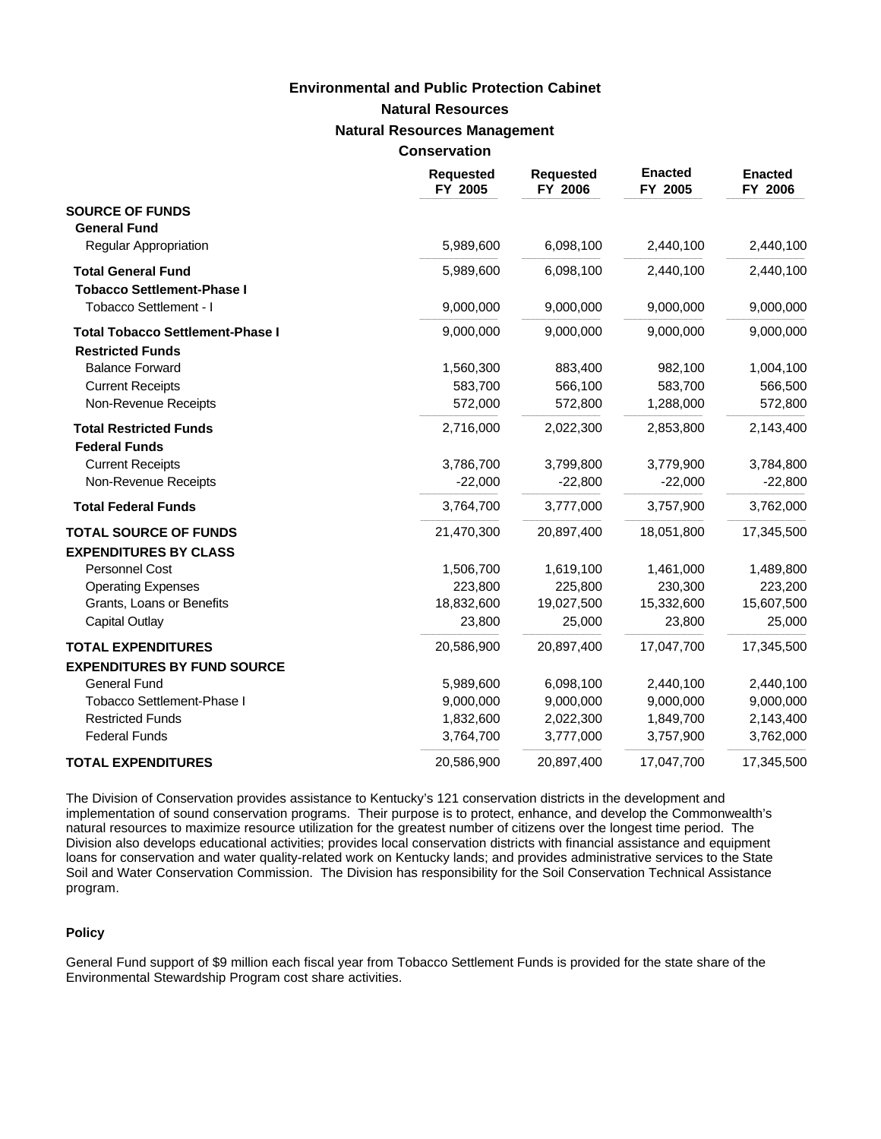| <b>Conservation</b> |
|---------------------|
|---------------------|

|                                         | <b>Requested</b><br>FY 2005 | <b>Requested</b><br>FY 2006 | <b>Enacted</b><br>FY 2005 | <b>Enacted</b><br>FY 2006 |
|-----------------------------------------|-----------------------------|-----------------------------|---------------------------|---------------------------|
| <b>SOURCE OF FUNDS</b>                  |                             |                             |                           |                           |
| <b>General Fund</b>                     |                             |                             |                           |                           |
| <b>Regular Appropriation</b>            | 5,989,600                   | 6,098,100                   | 2,440,100                 | 2,440,100                 |
| <b>Total General Fund</b>               | 5,989,600                   | 6,098,100                   | 2,440,100                 | 2,440,100                 |
| <b>Tobacco Settlement-Phase I</b>       |                             |                             |                           |                           |
| Tobacco Settlement - I                  | 9,000,000                   | 9,000,000                   | 9,000,000                 | 9,000,000                 |
| <b>Total Tobacco Settlement-Phase I</b> | 9,000,000                   | 9,000,000                   | 9.000.000                 | 9,000,000                 |
| <b>Restricted Funds</b>                 |                             |                             |                           |                           |
| <b>Balance Forward</b>                  | 1,560,300                   | 883,400                     | 982,100                   | 1,004,100                 |
| <b>Current Receipts</b>                 | 583,700                     | 566,100                     | 583,700                   | 566,500                   |
| Non-Revenue Receipts                    | 572,000                     | 572,800                     | 1,288,000                 | 572,800                   |
| <b>Total Restricted Funds</b>           | 2,716,000                   | 2,022,300                   | 2,853,800                 | 2,143,400                 |
| <b>Federal Funds</b>                    |                             |                             |                           |                           |
| <b>Current Receipts</b>                 | 3,786,700                   | 3,799,800                   | 3,779,900                 | 3,784,800                 |
| Non-Revenue Receipts                    | $-22,000$                   | $-22,800$                   | $-22,000$                 | $-22,800$                 |
| <b>Total Federal Funds</b>              | 3,764,700                   | 3,777,000                   | 3,757,900                 | 3,762,000                 |
| <b>TOTAL SOURCE OF FUNDS</b>            | 21,470,300                  | 20,897,400                  | 18,051,800                | 17,345,500                |
| <b>EXPENDITURES BY CLASS</b>            |                             |                             |                           |                           |
| <b>Personnel Cost</b>                   | 1,506,700                   | 1,619,100                   | 1,461,000                 | 1,489,800                 |
| <b>Operating Expenses</b>               | 223,800                     | 225,800                     | 230,300                   | 223,200                   |
| Grants, Loans or Benefits               | 18,832,600                  | 19,027,500                  | 15,332,600                | 15,607,500                |
| <b>Capital Outlay</b>                   | 23,800                      | 25,000                      | 23,800                    | 25,000                    |
| <b>TOTAL EXPENDITURES</b>               | 20,586,900                  | 20,897,400                  | 17,047,700                | 17,345,500                |
| <b>EXPENDITURES BY FUND SOURCE</b>      |                             |                             |                           |                           |
| <b>General Fund</b>                     | 5,989,600                   | 6,098,100                   | 2,440,100                 | 2,440,100                 |
| Tobacco Settlement-Phase I              | 9,000,000                   | 9,000,000                   | 9,000,000                 | 9,000,000                 |
| <b>Restricted Funds</b>                 | 1,832,600                   | 2,022,300                   | 1,849,700                 | 2,143,400                 |
| <b>Federal Funds</b>                    | 3,764,700                   | 3,777,000                   | 3,757,900                 | 3,762,000                 |
| <b>TOTAL EXPENDITURES</b>               | 20,586,900                  | 20,897,400                  | 17,047,700                | 17,345,500                |

The Division of Conservation provides assistance to Kentucky's 121 conservation districts in the development and implementation of sound conservation programs. Their purpose is to protect, enhance, and develop the Commonwealth's natural resources to maximize resource utilization for the greatest number of citizens over the longest time period. The Division also develops educational activities; provides local conservation districts with financial assistance and equipment loans for conservation and water quality-related work on Kentucky lands; and provides administrative services to the State Soil and Water Conservation Commission. The Division has responsibility for the Soil Conservation Technical Assistance program.

#### **Policy**

General Fund support of \$9 million each fiscal year from Tobacco Settlement Funds is provided for the state share of the Environmental Stewardship Program cost share activities.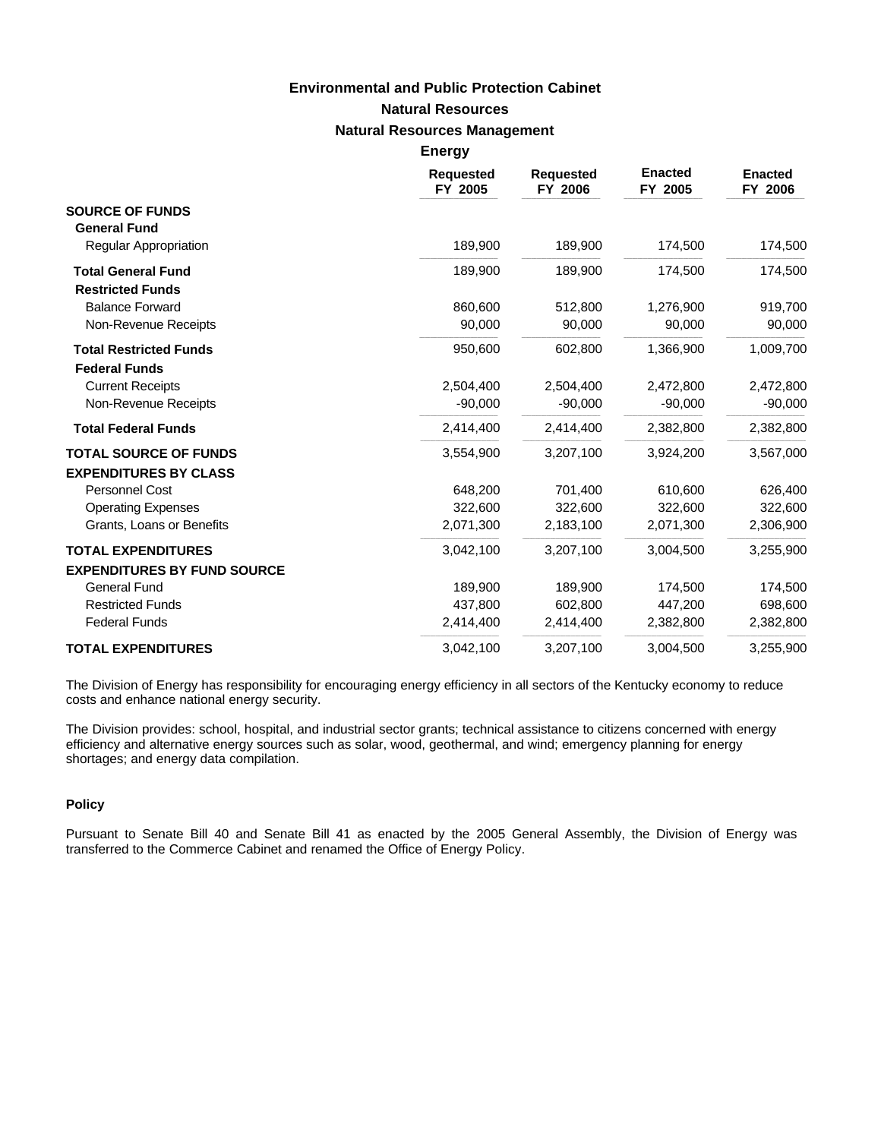**Energy**

|                                    | <b>Requested</b><br>FY 2005 | <b>Requested</b><br>FY 2006 | <b>Enacted</b><br>FY 2005 | <b>Enacted</b><br>FY 2006 |
|------------------------------------|-----------------------------|-----------------------------|---------------------------|---------------------------|
| <b>SOURCE OF FUNDS</b>             |                             |                             |                           |                           |
| <b>General Fund</b>                |                             |                             |                           |                           |
| Regular Appropriation              | 189,900                     | 189,900                     | 174,500                   | 174,500                   |
| <b>Total General Fund</b>          | 189,900                     | 189,900                     | 174,500                   | 174,500                   |
| <b>Restricted Funds</b>            |                             |                             |                           |                           |
| <b>Balance Forward</b>             | 860,600                     | 512,800                     | 1,276,900                 | 919,700                   |
| Non-Revenue Receipts               | 90,000                      | 90,000                      | 90,000                    | 90,000                    |
| <b>Total Restricted Funds</b>      | 950.600                     | 602,800                     | 1,366,900                 | 1,009,700                 |
| <b>Federal Funds</b>               |                             |                             |                           |                           |
| <b>Current Receipts</b>            | 2,504,400                   | 2,504,400                   | 2,472,800                 | 2,472,800                 |
| Non-Revenue Receipts               | $-90,000$                   | $-90,000$                   | $-90,000$                 | $-90,000$                 |
| <b>Total Federal Funds</b>         | 2,414,400                   | 2,414,400                   | 2,382,800                 | 2,382,800                 |
| <b>TOTAL SOURCE OF FUNDS</b>       | 3,554,900                   | 3,207,100                   | 3,924,200                 | 3,567,000                 |
| <b>EXPENDITURES BY CLASS</b>       |                             |                             |                           |                           |
| <b>Personnel Cost</b>              | 648,200                     | 701,400                     | 610,600                   | 626,400                   |
| <b>Operating Expenses</b>          | 322,600                     | 322,600                     | 322,600                   | 322,600                   |
| Grants, Loans or Benefits          | 2,071,300                   | 2,183,100                   | 2,071,300                 | 2,306,900                 |
| <b>TOTAL EXPENDITURES</b>          | 3,042,100                   | 3,207,100                   | 3,004,500                 | 3,255,900                 |
| <b>EXPENDITURES BY FUND SOURCE</b> |                             |                             |                           |                           |
| <b>General Fund</b>                | 189,900                     | 189,900                     | 174,500                   | 174,500                   |
| <b>Restricted Funds</b>            | 437,800                     | 602,800                     | 447,200                   | 698,600                   |
| <b>Federal Funds</b>               | 2,414,400                   | 2,414,400                   | 2,382,800                 | 2,382,800                 |
| <b>TOTAL EXPENDITURES</b>          | 3,042,100                   | 3,207,100                   | 3,004,500                 | 3,255,900                 |

The Division of Energy has responsibility for encouraging energy efficiency in all sectors of the Kentucky economy to reduce costs and enhance national energy security.

The Division provides: school, hospital, and industrial sector grants; technical assistance to citizens concerned with energy efficiency and alternative energy sources such as solar, wood, geothermal, and wind; emergency planning for energy shortages; and energy data compilation.

#### **Policy**

Pursuant to Senate Bill 40 and Senate Bill 41 as enacted by the 2005 General Assembly, the Division of Energy was transferred to the Commerce Cabinet and renamed the Office of Energy Policy.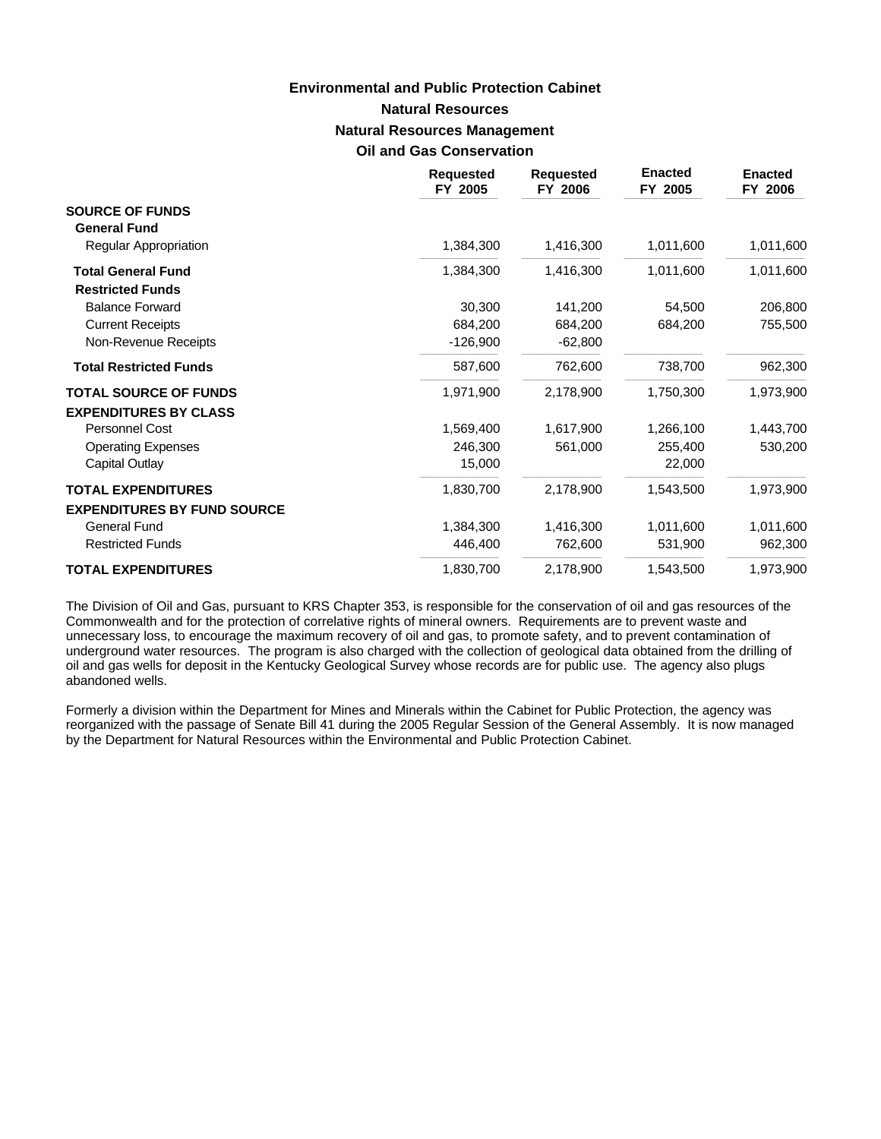# **Natural Resources Natural Resources Management Oil and Gas Conservation Environmental and Public Protection Cabinet**

|                                                      | <b>Requested</b><br>FY 2005 | <b>Requested</b><br>FY 2006 | <b>Enacted</b><br>FY 2005 | <b>Enacted</b><br>FY 2006 |
|------------------------------------------------------|-----------------------------|-----------------------------|---------------------------|---------------------------|
| <b>SOURCE OF FUNDS</b><br><b>General Fund</b>        |                             |                             |                           |                           |
| <b>Regular Appropriation</b>                         | 1,384,300                   | 1,416,300                   | 1,011,600                 | 1,011,600                 |
| <b>Total General Fund</b><br><b>Restricted Funds</b> | 1,384,300                   | 1,416,300                   | 1,011,600                 | 1,011,600                 |
| <b>Balance Forward</b>                               | 30,300                      | 141,200                     | 54,500                    | 206,800                   |
| <b>Current Receipts</b>                              | 684,200                     | 684,200                     | 684,200                   | 755,500                   |
| Non-Revenue Receipts                                 | $-126,900$                  | $-62,800$                   |                           |                           |
| <b>Total Restricted Funds</b>                        | 587,600                     | 762,600                     | 738,700                   | 962,300                   |
| <b>TOTAL SOURCE OF FUNDS</b>                         | 1,971,900                   | 2,178,900                   | 1,750,300                 | 1,973,900                 |
| <b>EXPENDITURES BY CLASS</b>                         |                             |                             |                           |                           |
| Personnel Cost                                       | 1,569,400                   | 1,617,900                   | 1,266,100                 | 1,443,700                 |
| <b>Operating Expenses</b>                            | 246,300                     | 561,000                     | 255,400                   | 530,200                   |
| Capital Outlay                                       | 15,000                      |                             | 22,000                    |                           |
| <b>TOTAL EXPENDITURES</b>                            | 1,830,700                   | 2,178,900                   | 1,543,500                 | 1,973,900                 |
| <b>EXPENDITURES BY FUND SOURCE</b>                   |                             |                             |                           |                           |
| General Fund                                         | 1,384,300                   | 1,416,300                   | 1,011,600                 | 1,011,600                 |
| <b>Restricted Funds</b>                              | 446,400                     | 762,600                     | 531,900                   | 962,300                   |
| <b>TOTAL EXPENDITURES</b>                            | 1,830,700                   | 2,178,900                   | 1,543,500                 | 1,973,900                 |

The Division of Oil and Gas, pursuant to KRS Chapter 353, is responsible for the conservation of oil and gas resources of the Commonwealth and for the protection of correlative rights of mineral owners. Requirements are to prevent waste and unnecessary loss, to encourage the maximum recovery of oil and gas, to promote safety, and to prevent contamination of underground water resources. The program is also charged with the collection of geological data obtained from the drilling of oil and gas wells for deposit in the Kentucky Geological Survey whose records are for public use. The agency also plugs abandoned wells.

Formerly a division within the Department for Mines and Minerals within the Cabinet for Public Protection, the agency was reorganized with the passage of Senate Bill 41 during the 2005 Regular Session of the General Assembly. It is now managed by the Department for Natural Resources within the Environmental and Public Protection Cabinet.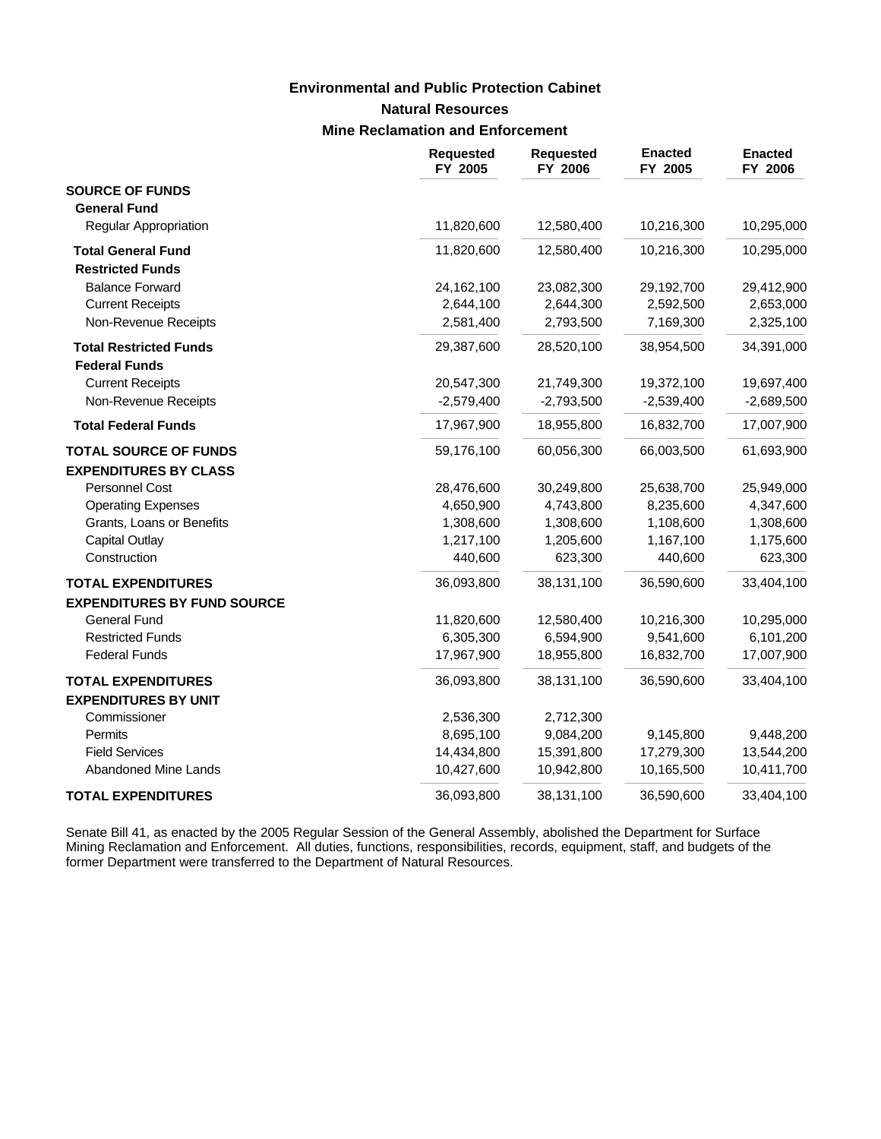### **Environmental and Public Protection Cabinet**

### **Natural Resources**

### **Mine Reclamation and Enforcement**

|                                    | <b>Requested</b><br>FY 2005 | <b>Requested</b><br>FY 2006 | <b>Enacted</b><br>FY 2005 | <b>Enacted</b><br>FY 2006 |
|------------------------------------|-----------------------------|-----------------------------|---------------------------|---------------------------|
| <b>SOURCE OF FUNDS</b>             |                             |                             |                           |                           |
| <b>General Fund</b>                |                             |                             |                           |                           |
| <b>Regular Appropriation</b>       | 11,820,600                  | 12,580,400                  | 10,216,300                | 10,295,000                |
| <b>Total General Fund</b>          | 11,820,600                  | 12,580,400                  | 10,216,300                | 10,295,000                |
| <b>Restricted Funds</b>            |                             |                             |                           |                           |
| <b>Balance Forward</b>             | 24,162,100                  | 23,082,300                  | 29,192,700                | 29,412,900                |
| <b>Current Receipts</b>            | 2,644,100                   | 2,644,300                   | 2,592,500                 | 2,653,000                 |
| Non-Revenue Receipts               | 2,581,400                   | 2,793,500                   | 7,169,300                 | 2,325,100                 |
| <b>Total Restricted Funds</b>      | 29,387,600                  | 28,520,100                  | 38,954,500                | 34,391,000                |
| <b>Federal Funds</b>               |                             |                             |                           |                           |
| <b>Current Receipts</b>            | 20,547,300                  | 21,749,300                  | 19,372,100                | 19,697,400                |
| Non-Revenue Receipts               | $-2,579,400$                | $-2,793,500$                | $-2,539,400$              | $-2,689,500$              |
| <b>Total Federal Funds</b>         | 17,967,900                  | 18,955,800                  | 16,832,700                | 17,007,900                |
| <b>TOTAL SOURCE OF FUNDS</b>       | 59,176,100                  | 60,056,300                  | 66,003,500                | 61,693,900                |
| <b>EXPENDITURES BY CLASS</b>       |                             |                             |                           |                           |
| Personnel Cost                     | 28,476,600                  | 30,249,800                  | 25,638,700                | 25,949,000                |
| <b>Operating Expenses</b>          | 4,650,900                   | 4,743,800                   | 8,235,600                 | 4,347,600                 |
| Grants, Loans or Benefits          | 1,308,600                   | 1,308,600                   | 1,108,600                 | 1,308,600                 |
| <b>Capital Outlay</b>              | 1,217,100                   | 1,205,600                   | 1,167,100                 | 1,175,600                 |
| Construction                       | 440,600                     | 623,300                     | 440,600                   | 623,300                   |
| <b>TOTAL EXPENDITURES</b>          | 36,093,800                  | 38,131,100                  | 36,590,600                | 33,404,100                |
| <b>EXPENDITURES BY FUND SOURCE</b> |                             |                             |                           |                           |
| <b>General Fund</b>                | 11,820,600                  | 12,580,400                  | 10,216,300                | 10,295,000                |
| <b>Restricted Funds</b>            | 6,305,300                   | 6,594,900                   | 9,541,600                 | 6,101,200                 |
| <b>Federal Funds</b>               | 17,967,900                  | 18,955,800                  | 16,832,700                | 17,007,900                |
| <b>TOTAL EXPENDITURES</b>          | 36,093,800                  | 38,131,100                  | 36,590,600                | 33,404,100                |
| <b>EXPENDITURES BY UNIT</b>        |                             |                             |                           |                           |
| Commissioner                       | 2,536,300                   | 2,712,300                   |                           |                           |
| Permits                            | 8,695,100                   | 9,084,200                   | 9,145,800                 | 9,448,200                 |
| <b>Field Services</b>              | 14,434,800                  | 15,391,800                  | 17,279,300                | 13,544,200                |
| Abandoned Mine Lands               | 10,427,600                  | 10,942,800                  | 10,165,500                | 10,411,700                |
| <b>TOTAL EXPENDITURES</b>          | 36,093,800                  | 38,131,100                  | 36,590,600                | 33,404,100                |

Senate Bill 41, as enacted by the 2005 Regular Session of the General Assembly, abolished the Department for Surface Mining Reclamation and Enforcement. All duties, functions, responsibilities, records, equipment, staff, and budgets of the former Department were transferred to the Department of Natural Resources.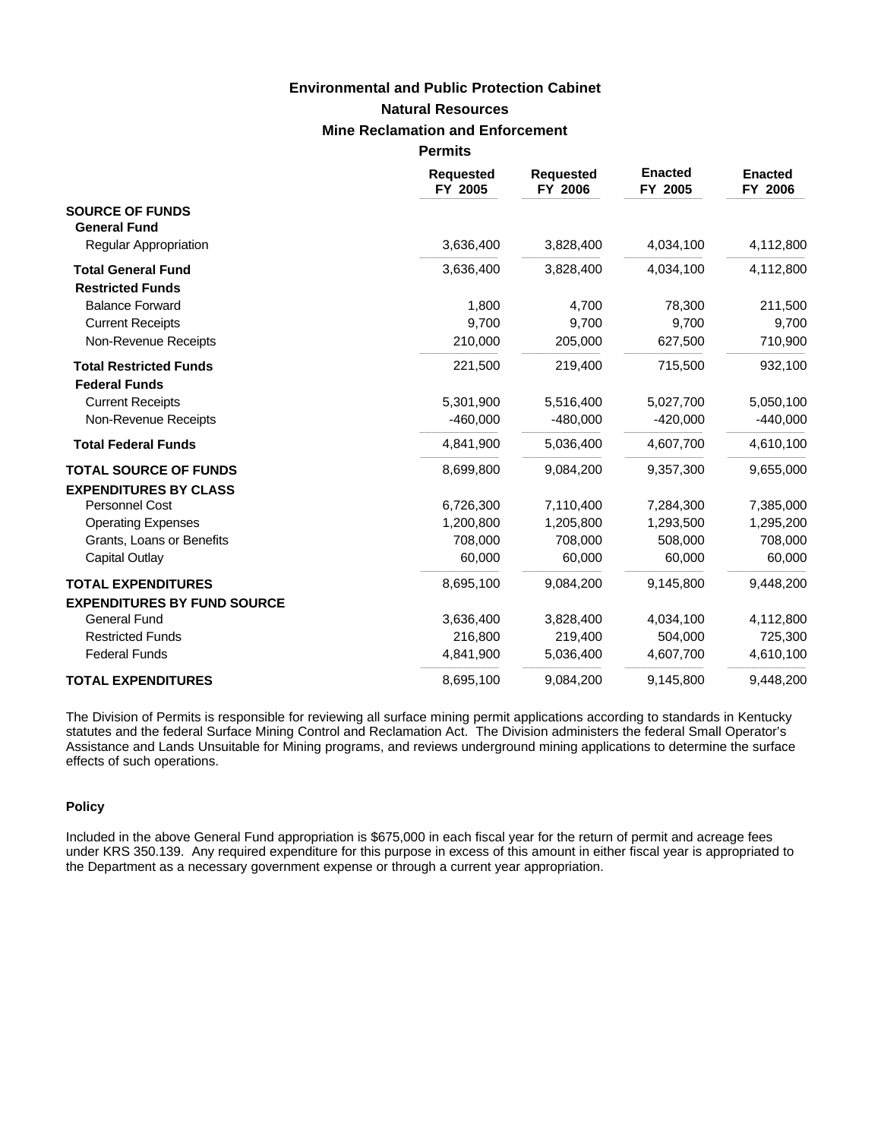### **Natural Resources Mine Reclamation and Enforcement Environmental and Public Protection Cabinet**

**Permits**

|                                                              | <b>Requested</b><br>FY 2005 | <b>Requested</b><br>FY 2006 | <b>Enacted</b><br>FY 2005 | <b>Enacted</b><br>FY 2006 |
|--------------------------------------------------------------|-----------------------------|-----------------------------|---------------------------|---------------------------|
| <b>SOURCE OF FUNDS</b><br><b>General Fund</b>                |                             |                             |                           |                           |
| <b>Regular Appropriation</b>                                 | 3,636,400                   | 3,828,400                   | 4,034,100                 | 4,112,800                 |
| <b>Total General Fund</b><br><b>Restricted Funds</b>         | 3,636,400                   | 3,828,400                   | 4,034,100                 | 4,112,800                 |
| <b>Balance Forward</b>                                       | 1,800                       | 4,700                       | 78,300                    | 211,500                   |
| <b>Current Receipts</b>                                      | 9,700                       | 9,700                       | 9,700                     | 9,700                     |
| Non-Revenue Receipts                                         | 210,000                     | 205,000                     | 627,500                   | 710,900                   |
| <b>Total Restricted Funds</b><br><b>Federal Funds</b>        | 221,500                     | 219,400                     | 715,500                   | 932,100                   |
| <b>Current Receipts</b>                                      | 5,301,900                   | 5,516,400                   | 5,027,700                 | 5,050,100                 |
| Non-Revenue Receipts                                         | $-460,000$                  | $-480,000$                  | $-420,000$                | $-440,000$                |
| <b>Total Federal Funds</b>                                   | 4,841,900                   | 5,036,400                   | 4,607,700                 | 4,610,100                 |
| <b>TOTAL SOURCE OF FUNDS</b><br><b>EXPENDITURES BY CLASS</b> | 8,699,800                   | 9,084,200                   | 9,357,300                 | 9,655,000                 |
| Personnel Cost                                               | 6,726,300                   | 7,110,400                   | 7,284,300                 | 7,385,000                 |
| <b>Operating Expenses</b>                                    | 1,200,800                   | 1,205,800                   | 1,293,500                 | 1,295,200                 |
| Grants, Loans or Benefits                                    | 708,000                     | 708,000                     | 508,000                   | 708,000                   |
| Capital Outlay                                               | 60,000                      | 60,000                      | 60,000                    | 60,000                    |
| <b>TOTAL EXPENDITURES</b>                                    | 8,695,100                   | 9,084,200                   | 9,145,800                 | 9,448,200                 |
| <b>EXPENDITURES BY FUND SOURCE</b>                           |                             |                             |                           |                           |
| <b>General Fund</b>                                          | 3,636,400                   | 3,828,400                   | 4,034,100                 | 4,112,800                 |
| <b>Restricted Funds</b>                                      | 216,800                     | 219,400                     | 504,000                   | 725,300                   |
| <b>Federal Funds</b>                                         | 4,841,900                   | 5,036,400                   | 4,607,700                 | 4,610,100                 |
| <b>TOTAL EXPENDITURES</b>                                    | 8,695,100                   | 9,084,200                   | 9,145,800                 | 9,448,200                 |

The Division of Permits is responsible for reviewing all surface mining permit applications according to standards in Kentucky statutes and the federal Surface Mining Control and Reclamation Act. The Division administers the federal Small Operator's Assistance and Lands Unsuitable for Mining programs, and reviews underground mining applications to determine the surface effects of such operations.

### **Policy**

Included in the above General Fund appropriation is \$675,000 in each fiscal year for the return of permit and acreage fees under KRS 350.139. Any required expenditure for this purpose in excess of this amount in either fiscal year is appropriated to the Department as a necessary government expense or through a current year appropriation.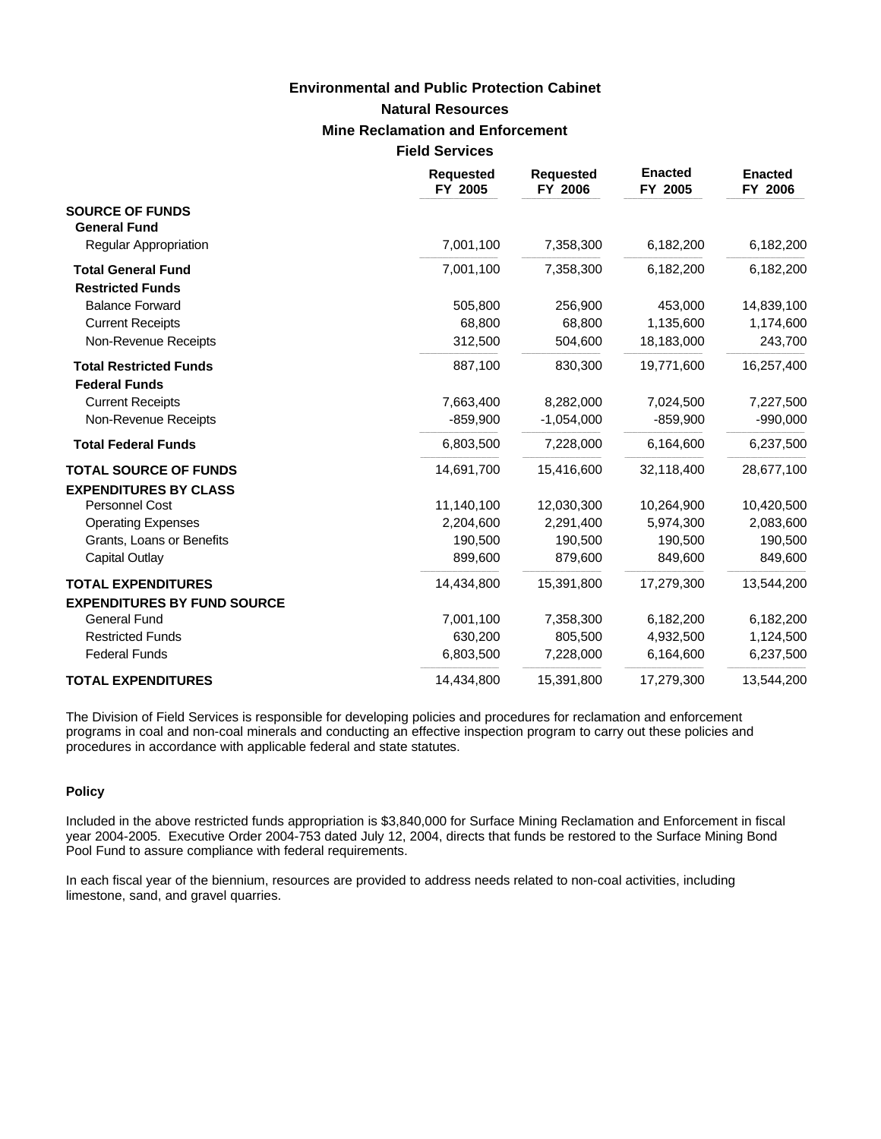# **Natural Resources Mine Reclamation and Enforcement Field Services Environmental and Public Protection Cabinet**

|                                                       | <b>Requested</b><br>FY 2005 | <b>Requested</b><br>FY 2006 | <b>Enacted</b><br>FY 2005 | <b>Enacted</b><br>FY 2006 |
|-------------------------------------------------------|-----------------------------|-----------------------------|---------------------------|---------------------------|
| <b>SOURCE OF FUNDS</b><br><b>General Fund</b>         |                             |                             |                           |                           |
| <b>Regular Appropriation</b>                          | 7,001,100                   | 7,358,300                   | 6,182,200                 | 6,182,200                 |
| <b>Total General Fund</b><br><b>Restricted Funds</b>  | 7,001,100                   | 7,358,300                   | 6,182,200                 | 6,182,200                 |
| <b>Balance Forward</b>                                | 505,800                     | 256,900                     | 453,000                   | 14,839,100                |
| <b>Current Receipts</b>                               | 68,800                      | 68,800                      | 1,135,600                 | 1,174,600                 |
| Non-Revenue Receipts                                  | 312,500                     | 504,600                     | 18,183,000                | 243,700                   |
| <b>Total Restricted Funds</b><br><b>Federal Funds</b> | 887,100                     | 830,300                     | 19,771,600                | 16,257,400                |
| <b>Current Receipts</b>                               | 7,663,400                   | 8,282,000                   | 7,024,500                 | 7,227,500                 |
| Non-Revenue Receipts                                  | $-859,900$                  | $-1,054,000$                | $-859,900$                | $-990,000$                |
| <b>Total Federal Funds</b>                            | 6,803,500                   | 7,228,000                   | 6,164,600                 | 6,237,500                 |
| <b>TOTAL SOURCE OF FUNDS</b>                          | 14,691,700                  | 15,416,600                  | 32,118,400                | 28,677,100                |
| <b>EXPENDITURES BY CLASS</b>                          |                             |                             |                           |                           |
| <b>Personnel Cost</b>                                 | 11,140,100                  | 12,030,300                  | 10,264,900                | 10,420,500                |
| <b>Operating Expenses</b>                             | 2,204,600                   | 2,291,400                   | 5,974,300                 | 2,083,600                 |
| Grants, Loans or Benefits                             | 190,500                     | 190,500                     | 190,500                   | 190,500                   |
| Capital Outlay                                        | 899,600                     | 879,600                     | 849,600                   | 849,600                   |
| <b>TOTAL EXPENDITURES</b>                             | 14,434,800                  | 15,391,800                  | 17,279,300                | 13,544,200                |
| <b>EXPENDITURES BY FUND SOURCE</b>                    |                             |                             |                           |                           |
| <b>General Fund</b>                                   | 7,001,100                   | 7,358,300                   | 6,182,200                 | 6,182,200                 |
| <b>Restricted Funds</b>                               | 630,200                     | 805,500                     | 4,932,500                 | 1,124,500                 |
| <b>Federal Funds</b>                                  | 6,803,500                   | 7,228,000                   | 6,164,600                 | 6,237,500                 |
| <b>TOTAL EXPENDITURES</b>                             | 14,434,800                  | 15,391,800                  | 17,279,300                | 13,544,200                |

The Division of Field Services is responsible for developing policies and procedures for reclamation and enforcement programs in coal and non-coal minerals and conducting an effective inspection program to carry out these policies and procedures in accordance with applicable federal and state statutes.

### **Policy**

Included in the above restricted funds appropriation is \$3,840,000 for Surface Mining Reclamation and Enforcement in fiscal year 2004-2005. Executive Order 2004-753 dated July 12, 2004, directs that funds be restored to the Surface Mining Bond Pool Fund to assure compliance with federal requirements.

In each fiscal year of the biennium, resources are provided to address needs related to non-coal activities, including limestone, sand, and gravel quarries.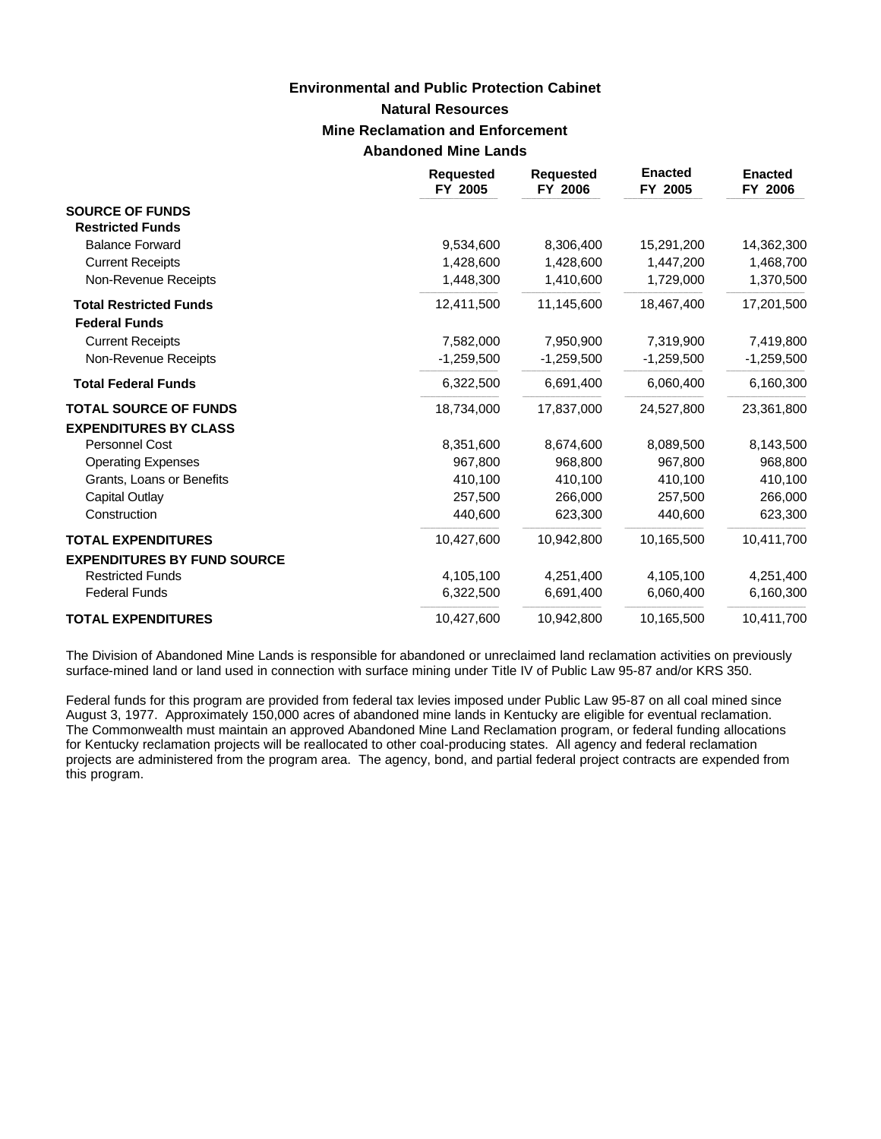# **Natural Resources Mine Reclamation and Enforcement Abandoned Mine Lands Environmental and Public Protection Cabinet**

|                                    | <b>Requested</b><br>FY 2005 | <b>Requested</b><br>FY 2006 | <b>Enacted</b><br>FY 2005 | <b>Enacted</b><br>FY 2006 |
|------------------------------------|-----------------------------|-----------------------------|---------------------------|---------------------------|
| <b>SOURCE OF FUNDS</b>             |                             |                             |                           |                           |
| <b>Restricted Funds</b>            |                             |                             |                           |                           |
| <b>Balance Forward</b>             | 9,534,600                   | 8,306,400                   | 15,291,200                | 14,362,300                |
| <b>Current Receipts</b>            | 1,428,600                   | 1,428,600                   | 1,447,200                 | 1,468,700                 |
| Non-Revenue Receipts               | 1,448,300                   | 1,410,600                   | 1,729,000                 | 1,370,500                 |
| <b>Total Restricted Funds</b>      | 12,411,500                  | 11,145,600                  | 18,467,400                | 17,201,500                |
| <b>Federal Funds</b>               |                             |                             |                           |                           |
| <b>Current Receipts</b>            | 7,582,000                   | 7,950,900                   | 7,319,900                 | 7,419,800                 |
| Non-Revenue Receipts               | $-1,259,500$                | $-1,259,500$                | $-1,259,500$              | $-1,259,500$              |
| <b>Total Federal Funds</b>         | 6,322,500                   | 6,691,400                   | 6,060,400                 | 6,160,300                 |
| <b>TOTAL SOURCE OF FUNDS</b>       | 18,734,000                  | 17,837,000                  | 24,527,800                | 23,361,800                |
| <b>EXPENDITURES BY CLASS</b>       |                             |                             |                           |                           |
| Personnel Cost                     | 8,351,600                   | 8,674,600                   | 8,089,500                 | 8,143,500                 |
| <b>Operating Expenses</b>          | 967,800                     | 968,800                     | 967,800                   | 968,800                   |
| Grants, Loans or Benefits          | 410,100                     | 410,100                     | 410,100                   | 410,100                   |
| Capital Outlay                     | 257,500                     | 266,000                     | 257,500                   | 266,000                   |
| Construction                       | 440,600                     | 623,300                     | 440,600                   | 623,300                   |
| <b>TOTAL EXPENDITURES</b>          | 10,427,600                  | 10.942.800                  | 10,165,500                | 10,411,700                |
| <b>EXPENDITURES BY FUND SOURCE</b> |                             |                             |                           |                           |
| <b>Restricted Funds</b>            | 4,105,100                   | 4,251,400                   | 4,105,100                 | 4,251,400                 |
| <b>Federal Funds</b>               | 6,322,500                   | 6,691,400                   | 6,060,400                 | 6,160,300                 |
| <b>TOTAL EXPENDITURES</b>          | 10,427,600                  | 10,942,800                  | 10,165,500                | 10,411,700                |

The Division of Abandoned Mine Lands is responsible for abandoned or unreclaimed land reclamation activities on previously surface-mined land or land used in connection with surface mining under Title IV of Public Law 95-87 and/or KRS 350.

Federal funds for this program are provided from federal tax levies imposed under Public Law 95-87 on all coal mined since August 3, 1977. Approximately 150,000 acres of abandoned mine lands in Kentucky are eligible for eventual reclamation. The Commonwealth must maintain an approved Abandoned Mine Land Reclamation program, or federal funding allocations for Kentucky reclamation projects will be reallocated to other coal-producing states. All agency and federal reclamation projects are administered from the program area. The agency, bond, and partial federal project contracts are expended from this program.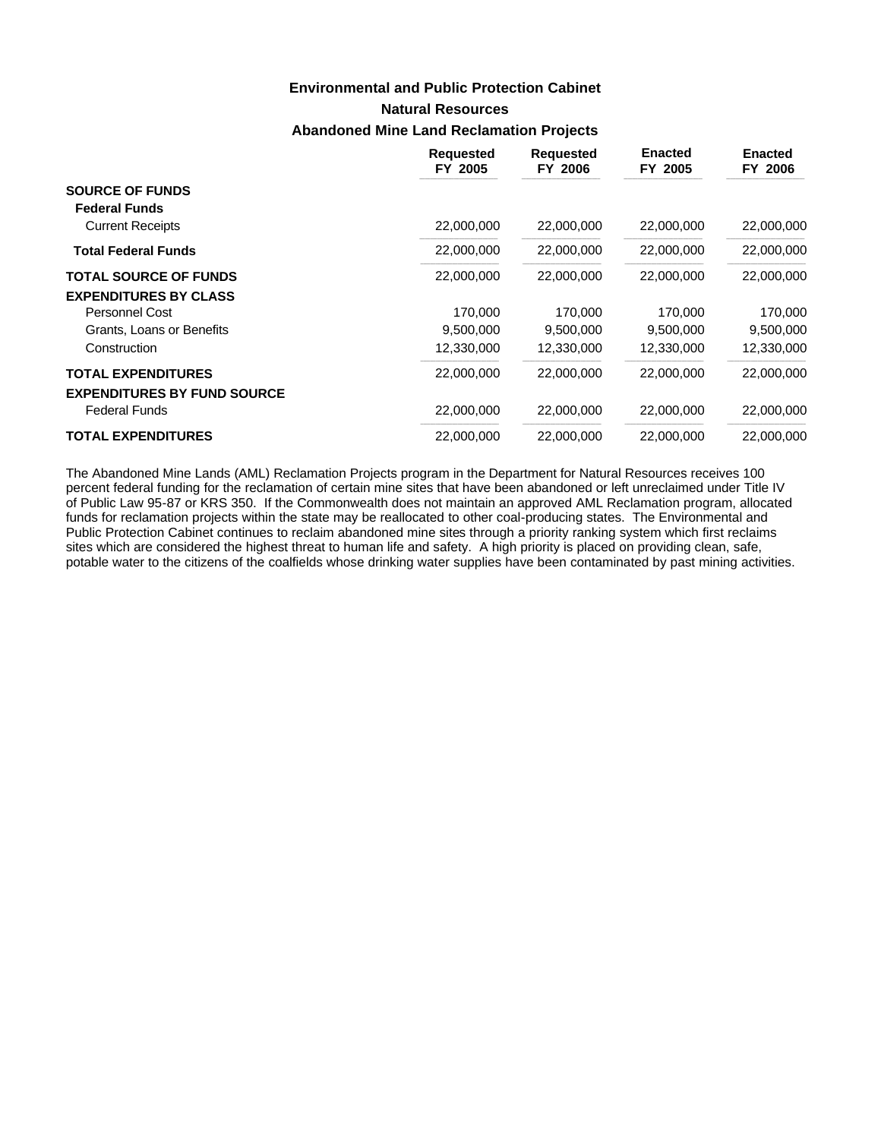### **Environmental and Public Protection Cabinet**

**Natural Resources**

### **Abandoned Mine Land Reclamation Projects**

|                                                | <b>Requested</b><br>FY 2005 | <b>Requested</b><br>FY 2006 | <b>Enacted</b><br>FY 2005 | <b>Enacted</b><br>FY 2006 |
|------------------------------------------------|-----------------------------|-----------------------------|---------------------------|---------------------------|
| <b>SOURCE OF FUNDS</b><br><b>Federal Funds</b> |                             |                             |                           |                           |
| <b>Current Receipts</b>                        | 22,000,000                  | 22,000,000                  | 22,000,000                | 22,000,000                |
| <b>Total Federal Funds</b>                     | 22,000,000                  | 22,000,000                  | 22,000,000                | 22,000,000                |
| <b>TOTAL SOURCE OF FUNDS</b>                   | 22,000,000                  | 22,000,000                  | 22,000,000                | 22,000,000                |
| <b>EXPENDITURES BY CLASS</b>                   |                             |                             |                           |                           |
| <b>Personnel Cost</b>                          | 170.000                     | 170,000                     | 170,000                   | 170,000                   |
| Grants, Loans or Benefits                      | 9,500,000                   | 9,500,000                   | 9,500,000                 | 9,500,000                 |
| Construction                                   | 12,330,000                  | 12,330,000                  | 12,330,000                | 12,330,000                |
| <b>TOTAL EXPENDITURES</b>                      | 22,000,000                  | 22,000,000                  | 22,000,000                | 22,000,000                |
| <b>EXPENDITURES BY FUND SOURCE</b>             |                             |                             |                           |                           |
| <b>Federal Funds</b>                           | 22,000,000                  | 22,000,000                  | 22,000,000                | 22,000,000                |
| <b>TOTAL EXPENDITURES</b>                      | 22,000,000                  | 22,000,000                  | 22,000,000                | 22,000,000                |

The Abandoned Mine Lands (AML) Reclamation Projects program in the Department for Natural Resources receives 100 percent federal funding for the reclamation of certain mine sites that have been abandoned or left unreclaimed under Title IV of Public Law 95-87 or KRS 350. If the Commonwealth does not maintain an approved AML Reclamation program, allocated funds for reclamation projects within the state may be reallocated to other coal-producing states. The Environmental and Public Protection Cabinet continues to reclaim abandoned mine sites through a priority ranking system which first reclaims sites which are considered the highest threat to human life and safety. A high priority is placed on providing clean, safe, potable water to the citizens of the coalfields whose drinking water supplies have been contaminated by past mining activities.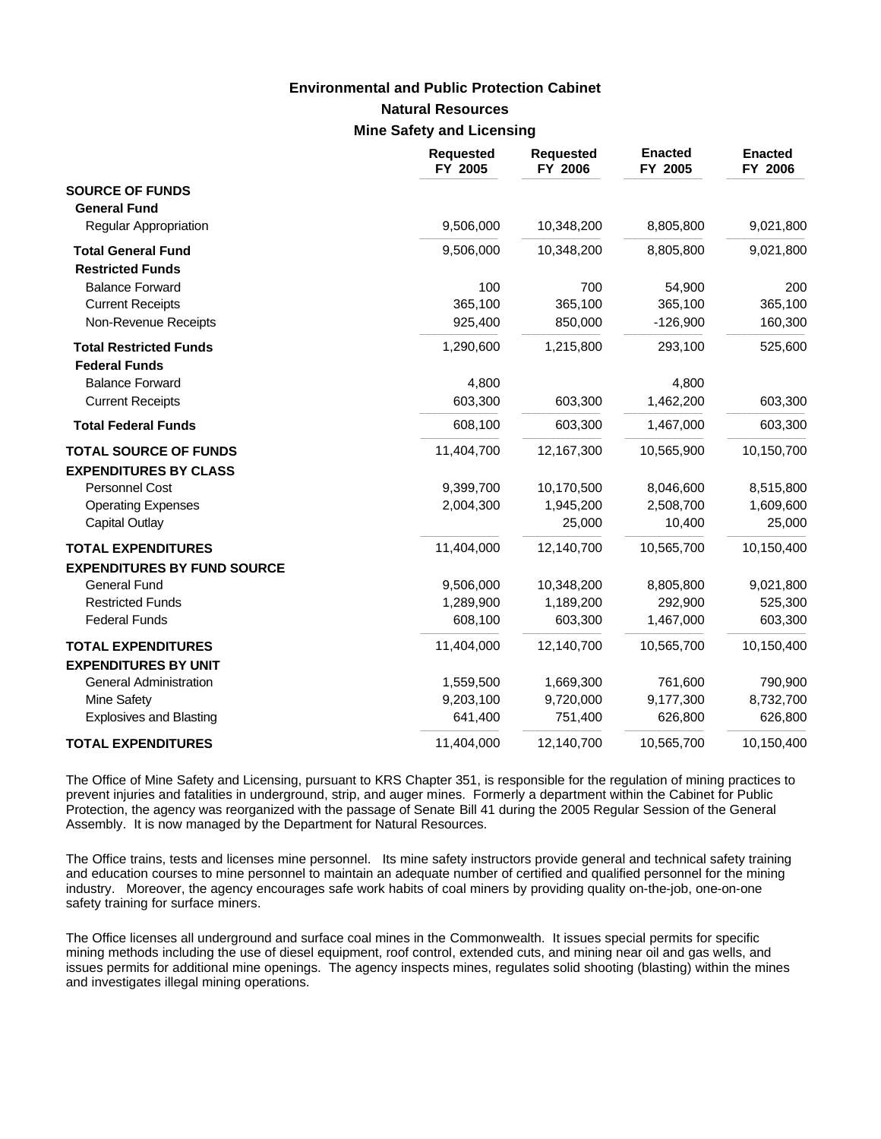### **Natural Resources Mine Safety and Licensing Environmental and Public Protection Cabinet**

|                                    | <b>Requested</b><br>FY 2005 | <b>Requested</b><br>FY 2006 | <b>Enacted</b><br>FY 2005 | <b>Enacted</b><br>FY 2006 |
|------------------------------------|-----------------------------|-----------------------------|---------------------------|---------------------------|
| <b>SOURCE OF FUNDS</b>             |                             |                             |                           |                           |
| <b>General Fund</b>                |                             |                             |                           |                           |
| <b>Regular Appropriation</b>       | 9,506,000                   | 10,348,200                  | 8,805,800                 | 9,021,800                 |
| <b>Total General Fund</b>          | 9,506,000                   | 10,348,200                  | 8,805,800                 | 9,021,800                 |
| <b>Restricted Funds</b>            |                             |                             |                           |                           |
| <b>Balance Forward</b>             | 100                         | 700                         | 54,900                    | 200                       |
| <b>Current Receipts</b>            | 365,100                     | 365,100                     | 365,100                   | 365,100                   |
| Non-Revenue Receipts               | 925,400                     | 850,000                     | $-126,900$                | 160,300                   |
| <b>Total Restricted Funds</b>      | 1,290,600                   | 1,215,800                   | 293,100                   | 525,600                   |
| <b>Federal Funds</b>               |                             |                             |                           |                           |
| <b>Balance Forward</b>             | 4,800                       |                             | 4,800                     |                           |
| <b>Current Receipts</b>            | 603,300                     | 603,300                     | 1,462,200                 | 603,300                   |
| <b>Total Federal Funds</b>         | 608,100                     | 603,300                     | 1,467,000                 | 603,300                   |
| <b>TOTAL SOURCE OF FUNDS</b>       | 11,404,700                  | 12,167,300                  | 10,565,900                | 10,150,700                |
| <b>EXPENDITURES BY CLASS</b>       |                             |                             |                           |                           |
| Personnel Cost                     | 9,399,700                   | 10,170,500                  | 8,046,600                 | 8,515,800                 |
| <b>Operating Expenses</b>          | 2,004,300                   | 1,945,200                   | 2,508,700                 | 1,609,600                 |
| <b>Capital Outlay</b>              |                             | 25,000                      | 10,400                    | 25,000                    |
| <b>TOTAL EXPENDITURES</b>          | 11,404,000                  | 12,140,700                  | 10,565,700                | 10,150,400                |
| <b>EXPENDITURES BY FUND SOURCE</b> |                             |                             |                           |                           |
| <b>General Fund</b>                | 9,506,000                   | 10,348,200                  | 8,805,800                 | 9,021,800                 |
| <b>Restricted Funds</b>            | 1,289,900                   | 1,189,200                   | 292,900                   | 525,300                   |
| <b>Federal Funds</b>               | 608,100                     | 603,300                     | 1,467,000                 | 603,300                   |
| <b>TOTAL EXPENDITURES</b>          | 11,404,000                  | 12,140,700                  | 10,565,700                | 10,150,400                |
| <b>EXPENDITURES BY UNIT</b>        |                             |                             |                           |                           |
| <b>General Administration</b>      | 1,559,500                   | 1,669,300                   | 761,600                   | 790,900                   |
| Mine Safety                        | 9,203,100                   | 9,720,000                   | 9,177,300                 | 8,732,700                 |
| <b>Explosives and Blasting</b>     | 641,400                     | 751,400                     | 626,800                   | 626,800                   |
| <b>TOTAL EXPENDITURES</b>          | 11,404,000                  | 12,140,700                  | 10,565,700                | 10,150,400                |

The Office of Mine Safety and Licensing, pursuant to KRS Chapter 351, is responsible for the regulation of mining practices to prevent injuries and fatalities in underground, strip, and auger mines. Formerly a department within the Cabinet for Public Protection, the agency was reorganized with the passage of Senate Bill 41 during the 2005 Regular Session of the General Assembly. It is now managed by the Department for Natural Resources.

The Office trains, tests and licenses mine personnel. Its mine safety instructors provide general and technical safety training and education courses to mine personnel to maintain an adequate number of certified and qualified personnel for the mining industry. Moreover, the agency encourages safe work habits of coal miners by providing quality on-the-job, one-on-one safety training for surface miners.

The Office licenses all underground and surface coal mines in the Commonwealth. It issues special permits for specific mining methods including the use of diesel equipment, roof control, extended cuts, and mining near oil and gas wells, and issues permits for additional mine openings. The agency inspects mines, regulates solid shooting (blasting) within the mines and investigates illegal mining operations.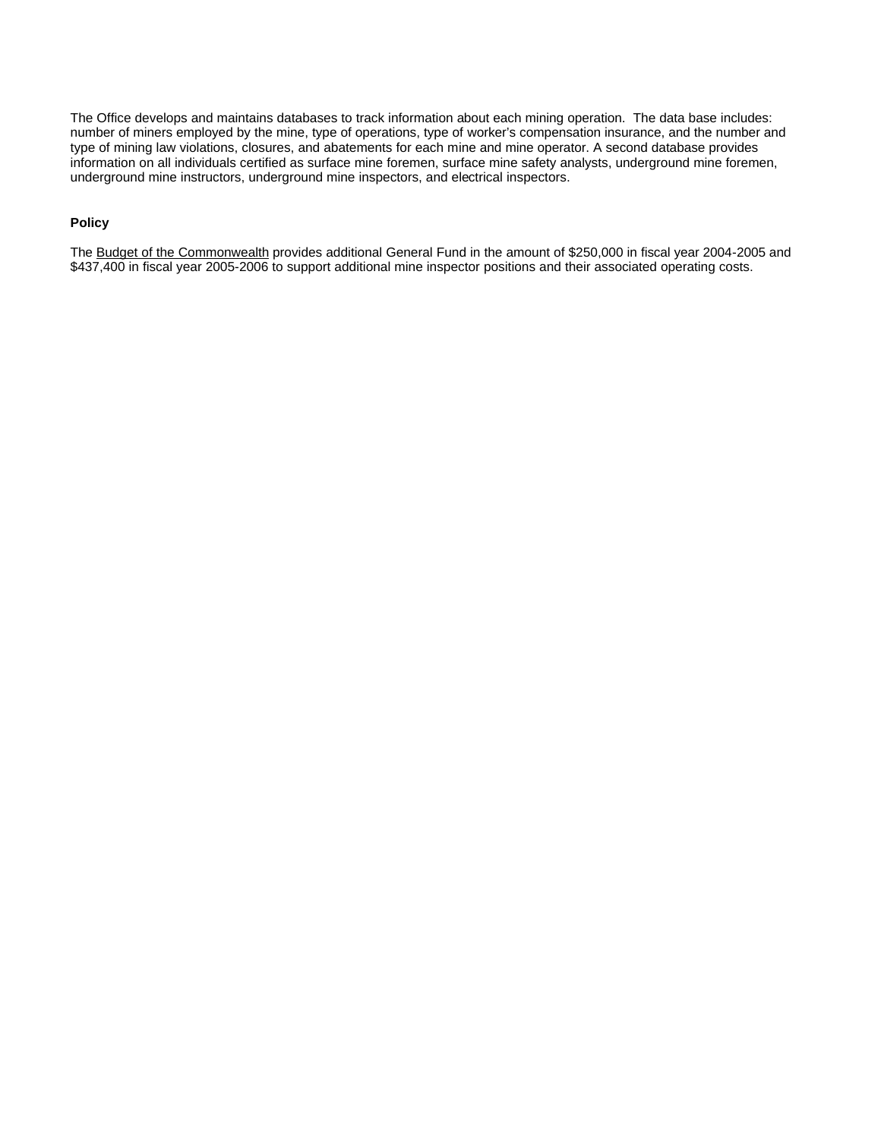The Office develops and maintains databases to track information about each mining operation. The data base includes: number of miners employed by the mine, type of operations, type of worker's compensation insurance, and the number and type of mining law violations, closures, and abatements for each mine and mine operator. A second database provides information on all individuals certified as surface mine foremen, surface mine safety analysts, underground mine foremen, underground mine instructors, underground mine inspectors, and electrical inspectors.

#### **Policy**

The Budget of the Commonwealth provides additional General Fund in the amount of \$250,000 in fiscal year 2004-2005 and \$437,400 in fiscal year 2005-2006 to support additional mine inspector positions and their associated operating costs.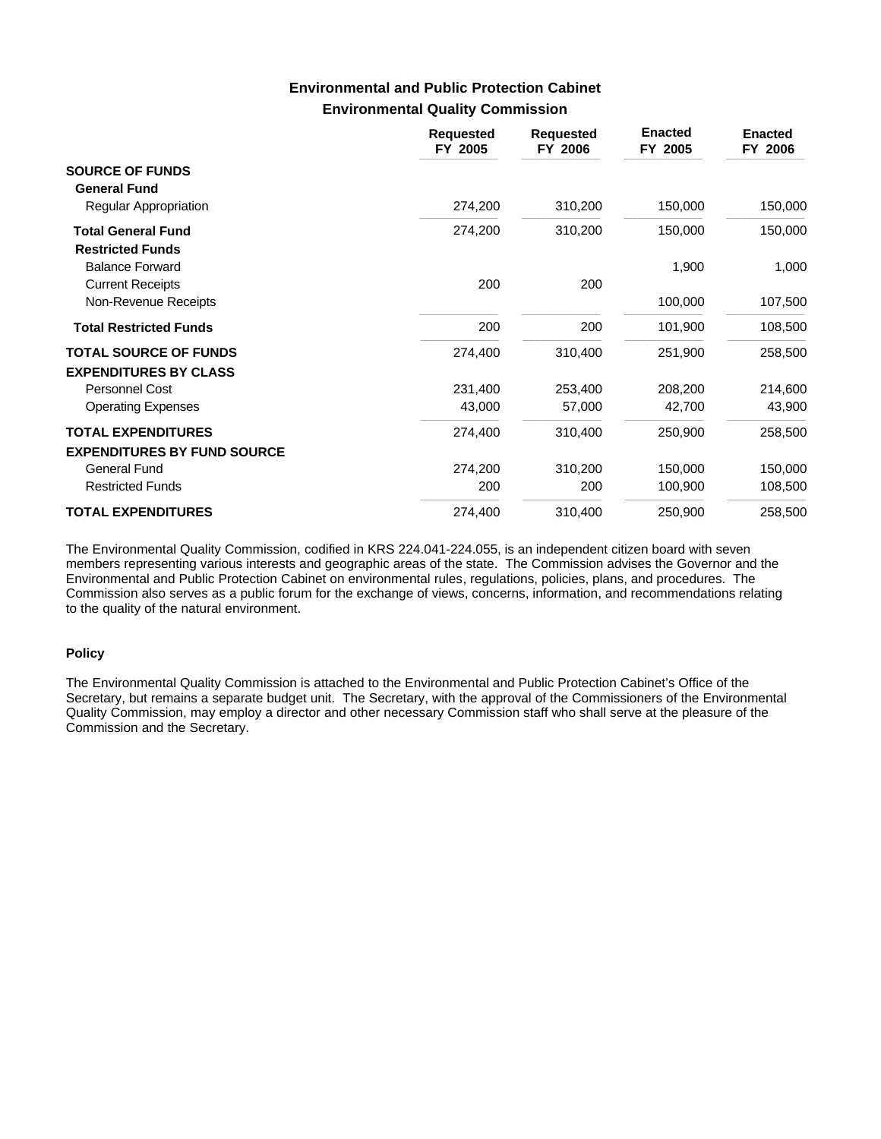### **Environmental Quality Commission Environmental and Public Protection Cabinet**

|                                                              | <b>Requested</b><br>FY 2005 | <b>Requested</b><br>FY 2006 | <b>Enacted</b><br>FY 2005 | <b>Enacted</b><br>FY 2006 |
|--------------------------------------------------------------|-----------------------------|-----------------------------|---------------------------|---------------------------|
| <b>SOURCE OF FUNDS</b><br><b>General Fund</b>                |                             |                             |                           |                           |
| Regular Appropriation                                        | 274,200                     | 310,200                     | 150,000                   | 150,000                   |
| <b>Total General Fund</b><br><b>Restricted Funds</b>         | 274,200                     | 310,200                     | 150,000                   | 150,000                   |
| <b>Balance Forward</b>                                       |                             |                             | 1,900                     | 1,000                     |
| <b>Current Receipts</b>                                      | 200                         | 200                         |                           |                           |
| Non-Revenue Receipts                                         |                             |                             | 100,000                   | 107,500                   |
| <b>Total Restricted Funds</b>                                | 200                         | 200                         | 101,900                   | 108,500                   |
| <b>TOTAL SOURCE OF FUNDS</b><br><b>EXPENDITURES BY CLASS</b> | 274,400                     | 310,400                     | 251,900                   | 258,500                   |
| Personnel Cost                                               | 231,400                     | 253,400                     | 208,200                   | 214,600                   |
| <b>Operating Expenses</b>                                    | 43,000                      | 57,000                      | 42,700                    | 43,900                    |
| <b>TOTAL EXPENDITURES</b>                                    | 274,400                     | 310,400                     | 250,900                   | 258,500                   |
| <b>EXPENDITURES BY FUND SOURCE</b>                           |                             |                             |                           |                           |
| <b>General Fund</b>                                          | 274,200                     | 310,200                     | 150,000                   | 150,000                   |
| <b>Restricted Funds</b>                                      | 200                         | 200                         | 100,900                   | 108,500                   |
| <b>TOTAL EXPENDITURES</b>                                    | 274,400                     | 310,400                     | 250,900                   | 258,500                   |

The Environmental Quality Commission, codified in KRS 224.041-224.055, is an independent citizen board with seven members representing various interests and geographic areas of the state. The Commission advises the Governor and the Environmental and Public Protection Cabinet on environmental rules, regulations, policies, plans, and procedures. The Commission also serves as a public forum for the exchange of views, concerns, information, and recommendations relating to the quality of the natural environment.

#### **Policy**

The Environmental Quality Commission is attached to the Environmental and Public Protection Cabinet's Office of the Secretary, but remains a separate budget unit. The Secretary, with the approval of the Commissioners of the Environmental Quality Commission, may employ a director and other necessary Commission staff who shall serve at the pleasure of the Commission and the Secretary.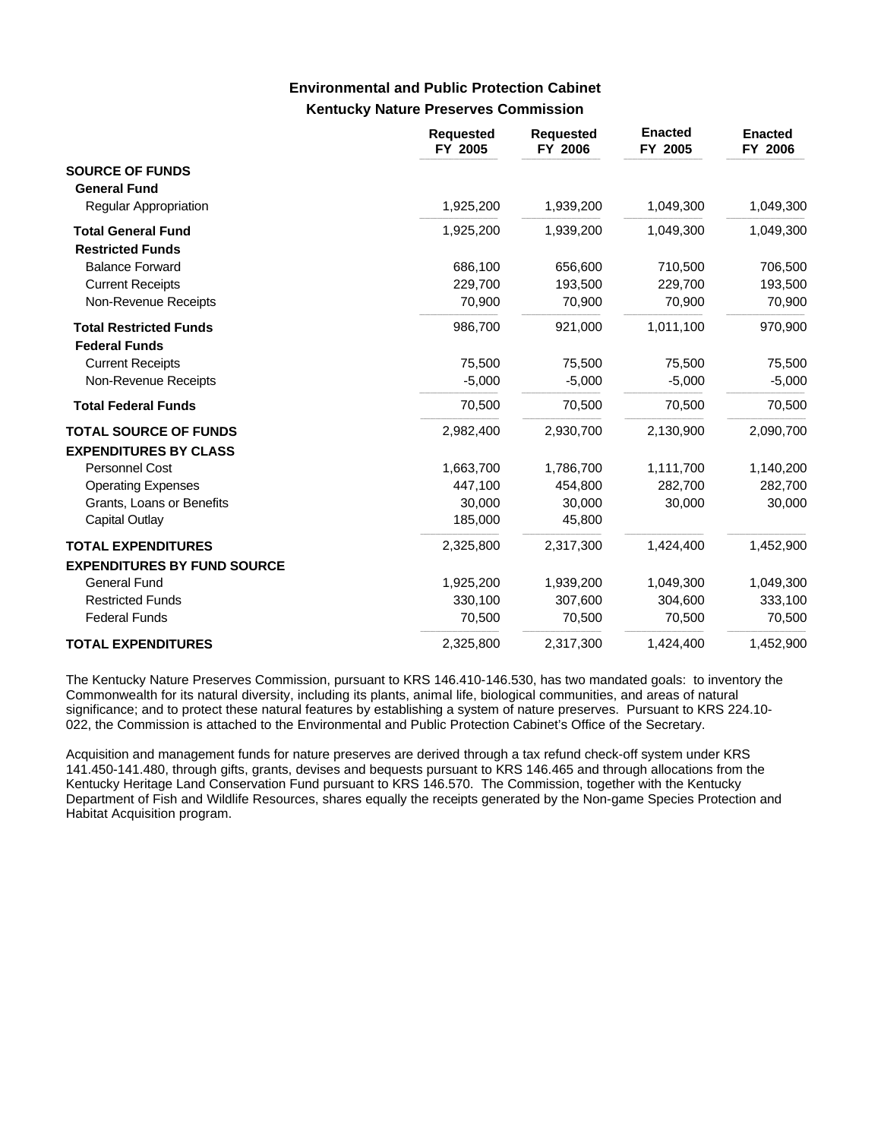### **Kentucky Nature Preserves Commission Environmental and Public Protection Cabinet**

|                                                       | <b>Requested</b><br>FY 2005 | <b>Requested</b><br>FY 2006 | <b>Enacted</b><br>FY 2005 | <b>Enacted</b><br>FY 2006 |
|-------------------------------------------------------|-----------------------------|-----------------------------|---------------------------|---------------------------|
| <b>SOURCE OF FUNDS</b><br><b>General Fund</b>         |                             |                             |                           |                           |
| <b>Regular Appropriation</b>                          | 1,925,200                   | 1,939,200                   | 1,049,300                 | 1,049,300                 |
| <b>Total General Fund</b><br><b>Restricted Funds</b>  | 1,925,200                   | 1,939,200                   | 1,049,300                 | 1,049,300                 |
| <b>Balance Forward</b>                                | 686,100                     | 656,600                     | 710,500                   | 706,500                   |
| <b>Current Receipts</b>                               | 229,700                     | 193,500                     | 229,700                   | 193,500                   |
| Non-Revenue Receipts                                  | 70,900                      | 70,900                      | 70,900                    | 70,900                    |
| <b>Total Restricted Funds</b><br><b>Federal Funds</b> | 986,700                     | 921,000                     | 1,011,100                 | 970,900                   |
| <b>Current Receipts</b>                               | 75,500                      | 75,500                      | 75,500                    | 75,500                    |
| Non-Revenue Receipts                                  | $-5,000$                    | $-5,000$                    | $-5,000$                  | $-5,000$                  |
| <b>Total Federal Funds</b>                            | 70,500                      | 70,500                      | 70,500                    | 70,500                    |
| <b>TOTAL SOURCE OF FUNDS</b>                          | 2,982,400                   | 2,930,700                   | 2,130,900                 | 2,090,700                 |
| <b>EXPENDITURES BY CLASS</b>                          |                             |                             |                           |                           |
| Personnel Cost                                        | 1,663,700                   | 1,786,700                   | 1,111,700                 | 1,140,200                 |
| <b>Operating Expenses</b>                             | 447,100                     | 454,800                     | 282,700                   | 282,700                   |
| Grants, Loans or Benefits                             | 30,000                      | 30,000                      | 30,000                    | 30,000                    |
| Capital Outlay                                        | 185,000                     | 45,800                      |                           |                           |
| <b>TOTAL EXPENDITURES</b>                             | 2,325,800                   | 2,317,300                   | 1,424,400                 | 1,452,900                 |
| <b>EXPENDITURES BY FUND SOURCE</b>                    |                             |                             |                           |                           |
| <b>General Fund</b>                                   | 1,925,200                   | 1,939,200                   | 1,049,300                 | 1,049,300                 |
| <b>Restricted Funds</b>                               | 330,100                     | 307,600                     | 304,600                   | 333,100                   |
| <b>Federal Funds</b>                                  | 70,500                      | 70,500                      | 70,500                    | 70,500                    |
| <b>TOTAL EXPENDITURES</b>                             | 2,325,800                   | 2,317,300                   | 1,424,400                 | 1,452,900                 |

The Kentucky Nature Preserves Commission, pursuant to KRS 146.410-146.530, has two mandated goals: to inventory the Commonwealth for its natural diversity, including its plants, animal life, biological communities, and areas of natural significance; and to protect these natural features by establishing a system of nature preserves. Pursuant to KRS 224.10- 022, the Commission is attached to the Environmental and Public Protection Cabinet's Office of the Secretary.

Acquisition and management funds for nature preserves are derived through a tax refund check-off system under KRS 141.450-141.480, through gifts, grants, devises and bequests pursuant to KRS 146.465 and through allocations from the Kentucky Heritage Land Conservation Fund pursuant to KRS 146.570. The Commission, together with the Kentucky Department of Fish and Wildlife Resources, shares equally the receipts generated by the Non-game Species Protection and Habitat Acquisition program.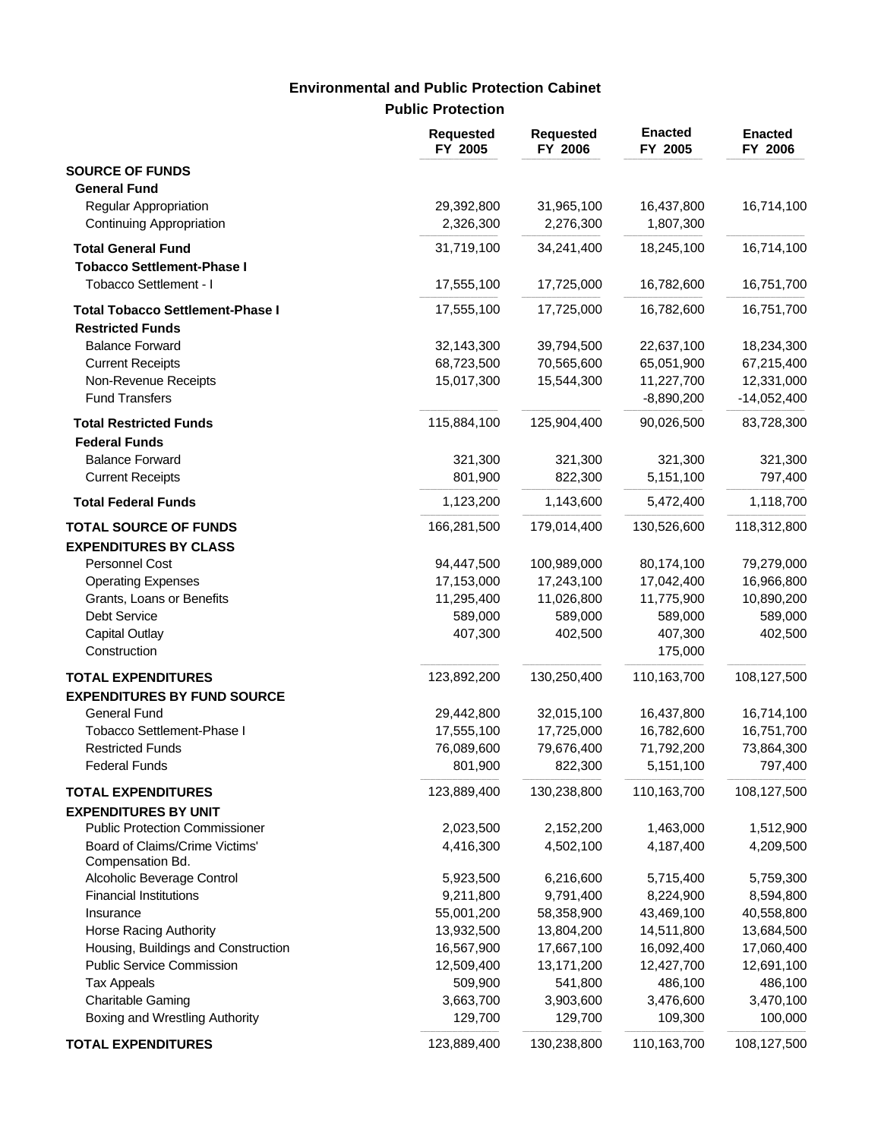# **Public Protection Environmental and Public Protection Cabinet**

|                                                             | <b>Requested</b><br>FY 2005 | <b>Requested</b><br>FY 2006 | <b>Enacted</b><br>FY 2005  | <b>Enacted</b><br>FY 2006   |
|-------------------------------------------------------------|-----------------------------|-----------------------------|----------------------------|-----------------------------|
| <b>SOURCE OF FUNDS</b><br><b>General Fund</b>               |                             |                             |                            |                             |
| Regular Appropriation<br>Continuing Appropriation           | 29,392,800<br>2,326,300     | 31,965,100<br>2,276,300     | 16,437,800<br>1,807,300    | 16,714,100                  |
| <b>Total General Fund</b>                                   | 31,719,100                  | 34,241,400                  | 18,245,100                 | 16,714,100                  |
| <b>Tobacco Settlement-Phase I</b><br>Tobacco Settlement - I | 17,555,100                  | 17,725,000                  | 16,782,600                 | 16,751,700                  |
| <b>Total Tobacco Settlement-Phase I</b>                     | 17,555,100                  | 17,725,000                  | 16,782,600                 | 16,751,700                  |
| <b>Restricted Funds</b>                                     |                             |                             |                            |                             |
| <b>Balance Forward</b>                                      | 32,143,300                  | 39,794,500                  | 22,637,100                 | 18,234,300                  |
| <b>Current Receipts</b>                                     | 68,723,500                  | 70,565,600                  | 65,051,900                 | 67,215,400                  |
| Non-Revenue Receipts<br><b>Fund Transfers</b>               | 15,017,300                  | 15,544,300                  | 11,227,700<br>$-8,890,200$ | 12,331,000<br>$-14,052,400$ |
| <b>Total Restricted Funds</b>                               | 115,884,100                 | 125,904,400                 | 90,026,500                 | 83,728,300                  |
| <b>Federal Funds</b>                                        |                             |                             |                            |                             |
| <b>Balance Forward</b>                                      | 321,300                     | 321,300                     | 321,300                    | 321,300                     |
| <b>Current Receipts</b>                                     | 801,900                     | 822,300                     | 5,151,100                  | 797,400                     |
| <b>Total Federal Funds</b>                                  | 1,123,200                   | 1,143,600                   | 5,472,400                  | 1,118,700                   |
| <b>TOTAL SOURCE OF FUNDS</b>                                | 166,281,500                 | 179,014,400                 | 130,526,600                | 118,312,800                 |
| <b>EXPENDITURES BY CLASS</b>                                |                             |                             |                            |                             |
| Personnel Cost                                              | 94,447,500<br>17,153,000    | 100,989,000<br>17,243,100   | 80,174,100<br>17,042,400   | 79,279,000<br>16,966,800    |
| <b>Operating Expenses</b><br>Grants, Loans or Benefits      | 11,295,400                  | 11,026,800                  | 11,775,900                 | 10,890,200                  |
| Debt Service                                                | 589,000                     | 589,000                     | 589,000                    | 589,000                     |
| <b>Capital Outlay</b>                                       | 407,300                     | 402,500                     | 407,300                    | 402,500                     |
| Construction                                                |                             |                             | 175,000                    |                             |
| <b>TOTAL EXPENDITURES</b>                                   | 123,892,200                 | 130,250,400                 | 110,163,700                | 108,127,500                 |
| <b>EXPENDITURES BY FUND SOURCE</b>                          |                             |                             |                            |                             |
| <b>General Fund</b>                                         | 29,442,800                  | 32,015,100                  | 16,437,800                 | 16,714,100                  |
| Tobacco Settlement-Phase I                                  | 17,555,100                  | 17,725,000                  | 16,782,600                 | 16,751,700                  |
| <b>Restricted Funds</b>                                     | 76,089,600                  | 79,676,400                  | 71,792,200                 | 73,864,300                  |
| <b>Federal Funds</b>                                        | 801,900                     | 822,300                     | 5,151,100                  | 797,400                     |
| <b>TOTAL EXPENDITURES</b>                                   | 123,889,400                 | 130,238,800                 | 110,163,700                | 108,127,500                 |
| <b>EXPENDITURES BY UNIT</b>                                 |                             |                             |                            |                             |
| <b>Public Protection Commissioner</b>                       | 2,023,500                   | 2,152,200                   | 1,463,000                  | 1,512,900                   |
| Board of Claims/Crime Victims'<br>Compensation Bd.          | 4,416,300                   | 4,502,100                   | 4,187,400                  | 4,209,500                   |
| Alcoholic Beverage Control                                  | 5,923,500                   | 6,216,600                   | 5,715,400                  | 5,759,300                   |
| <b>Financial Institutions</b>                               | 9,211,800                   | 9,791,400                   | 8,224,900                  | 8,594,800                   |
| Insurance                                                   | 55,001,200                  | 58,358,900                  | 43,469,100                 | 40,558,800                  |
| Horse Racing Authority                                      | 13,932,500                  | 13,804,200                  | 14,511,800                 | 13,684,500                  |
| Housing, Buildings and Construction                         | 16,567,900                  | 17,667,100                  | 16,092,400                 | 17,060,400                  |
| <b>Public Service Commission</b>                            | 12,509,400                  | 13,171,200                  | 12,427,700                 | 12,691,100                  |
| <b>Tax Appeals</b>                                          | 509,900                     | 541,800                     | 486,100                    | 486,100                     |
| Charitable Gaming<br>Boxing and Wrestling Authority         | 3,663,700<br>129,700        | 3,903,600<br>129,700        | 3,476,600<br>109,300       | 3,470,100<br>100,000        |
| <b>TOTAL EXPENDITURES</b>                                   | 123,889,400                 | 130,238,800                 | 110,163,700                | 108,127,500                 |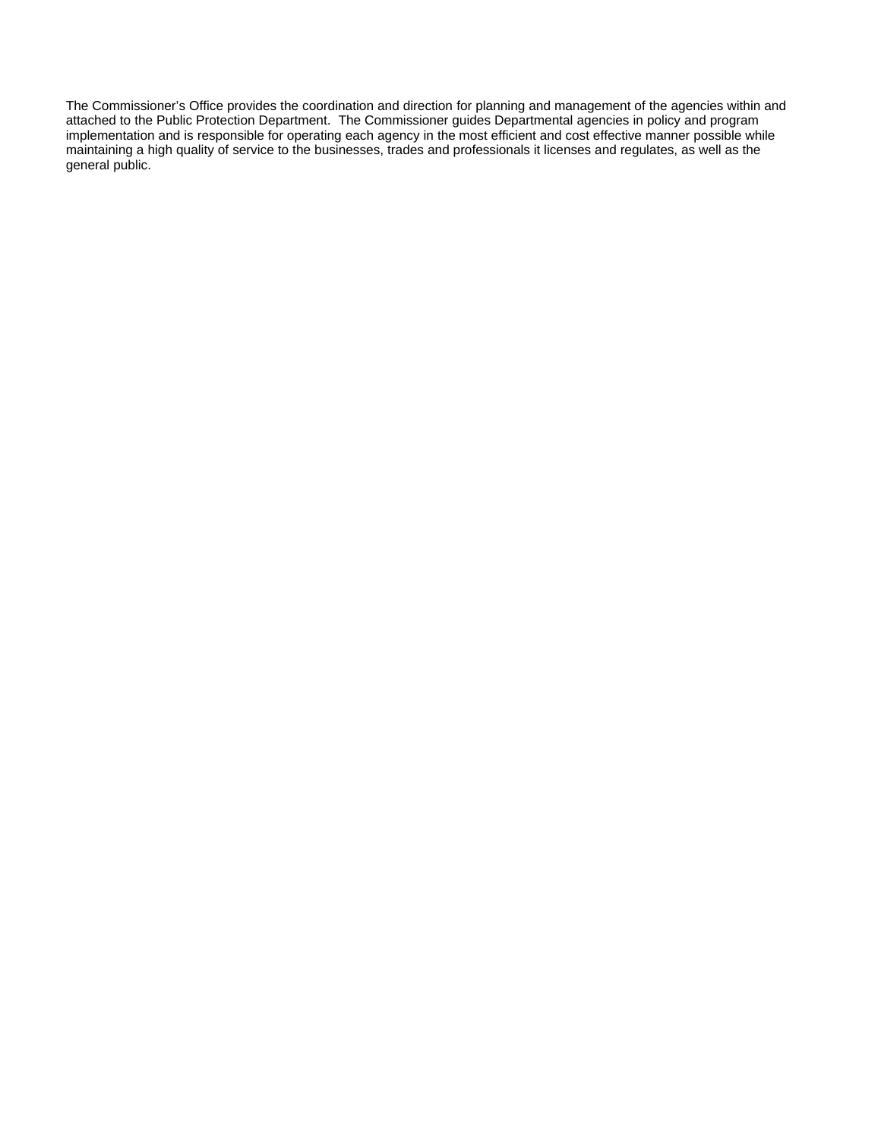The Commissioner's Office provides the coordination and direction for planning and management of the agencies within and attached to the Public Protection Department. The Commissioner guides Departmental agencies in policy and program implementation and is responsible for operating each agency in the most efficient and cost effective manner possible while maintaining a high quality of service to the businesses, trades and professionals it licenses and regulates, as well as the general public.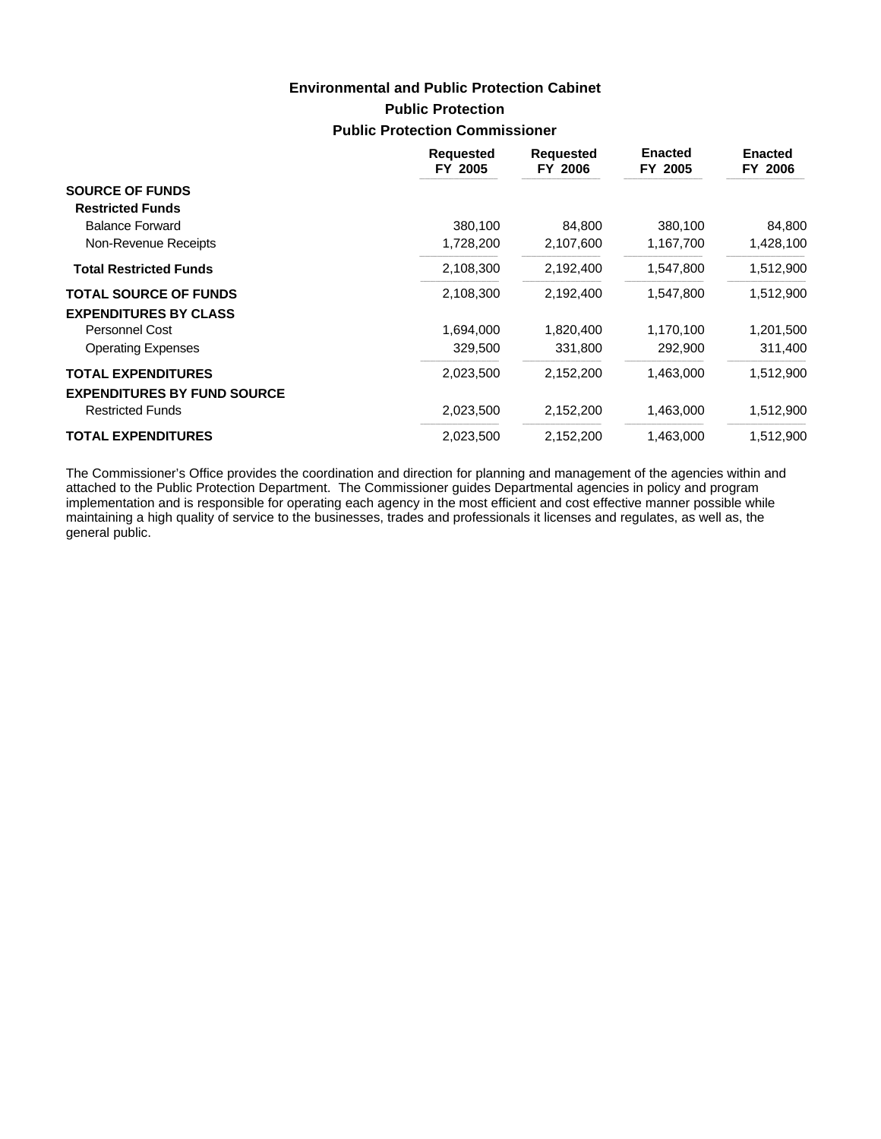# **Public Protection Public Protection Commissioner Environmental and Public Protection Cabinet**

|                                    | <b>Requested</b><br>FY 2005 | <b>Requested</b><br>FY 2006 | <b>Enacted</b><br>FY 2005 | <b>Enacted</b><br>FY 2006 |
|------------------------------------|-----------------------------|-----------------------------|---------------------------|---------------------------|
| <b>SOURCE OF FUNDS</b>             |                             |                             |                           |                           |
| <b>Restricted Funds</b>            |                             |                             |                           |                           |
| <b>Balance Forward</b>             | 380,100                     | 84.800                      | 380,100                   | 84,800                    |
| Non-Revenue Receipts               | 1,728,200                   | 2,107,600                   | 1,167,700                 | 1,428,100                 |
| <b>Total Restricted Funds</b>      | 2,108,300                   | 2,192,400                   | 1,547,800                 | 1,512,900                 |
| <b>TOTAL SOURCE OF FUNDS</b>       | 2,108,300                   | 2,192,400                   | 1,547,800                 | 1,512,900                 |
| <b>EXPENDITURES BY CLASS</b>       |                             |                             |                           |                           |
| <b>Personnel Cost</b>              | 1,694,000                   | 1,820,400                   | 1,170,100                 | 1,201,500                 |
| <b>Operating Expenses</b>          | 329,500                     | 331,800                     | 292,900                   | 311,400                   |
| <b>TOTAL EXPENDITURES</b>          | 2,023,500                   | 2,152,200                   | 1,463,000                 | 1,512,900                 |
| <b>EXPENDITURES BY FUND SOURCE</b> |                             |                             |                           |                           |
| <b>Restricted Funds</b>            | 2,023,500                   | 2,152,200                   | 1,463,000                 | 1,512,900                 |
| <b>TOTAL EXPENDITURES</b>          | 2,023,500                   | 2,152,200                   | 1,463,000                 | 1,512,900                 |

The Commissioner's Office provides the coordination and direction for planning and management of the agencies within and attached to the Public Protection Department. The Commissioner guides Departmental agencies in policy and program implementation and is responsible for operating each agency in the most efficient and cost effective manner possible while maintaining a high quality of service to the businesses, trades and professionals it licenses and regulates, as well as, the general public.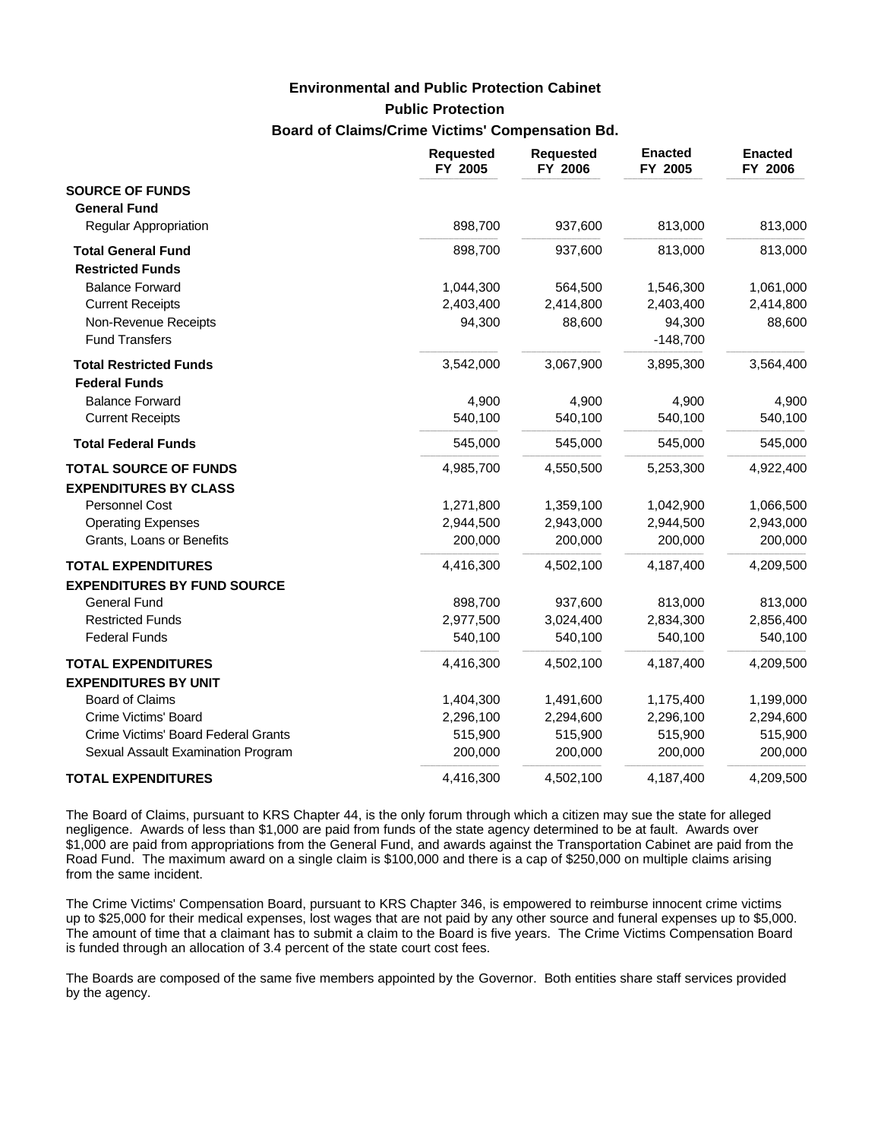**Public Protection**

### **Board of Claims/Crime Victims' Compensation Bd.**

|                                                       | <b>Requested</b><br>FY 2005 | <b>Requested</b><br>FY 2006 | <b>Enacted</b><br>FY 2005 | <b>Enacted</b><br>FY 2006 |
|-------------------------------------------------------|-----------------------------|-----------------------------|---------------------------|---------------------------|
| <b>SOURCE OF FUNDS</b>                                |                             |                             |                           |                           |
| <b>General Fund</b>                                   |                             |                             |                           |                           |
| Regular Appropriation                                 | 898,700                     | 937,600                     | 813,000                   | 813,000                   |
| <b>Total General Fund</b>                             | 898,700                     | 937,600                     | 813,000                   | 813,000                   |
| <b>Restricted Funds</b>                               |                             |                             |                           |                           |
| <b>Balance Forward</b>                                | 1,044,300                   | 564,500                     | 1,546,300                 | 1,061,000                 |
| <b>Current Receipts</b>                               | 2,403,400                   | 2,414,800                   | 2,403,400                 | 2,414,800                 |
| Non-Revenue Receipts                                  | 94,300                      | 88,600                      | 94,300                    | 88,600                    |
| <b>Fund Transfers</b>                                 |                             |                             | $-148,700$                |                           |
| <b>Total Restricted Funds</b><br><b>Federal Funds</b> | 3,542,000                   | 3,067,900                   | 3,895,300                 | 3,564,400                 |
| <b>Balance Forward</b>                                | 4,900                       | 4,900                       | 4,900                     | 4,900                     |
| <b>Current Receipts</b>                               | 540,100                     | 540,100                     | 540,100                   | 540,100                   |
| <b>Total Federal Funds</b>                            | 545,000                     | 545,000                     | 545,000                   | 545,000                   |
| <b>TOTAL SOURCE OF FUNDS</b>                          | 4,985,700                   | 4,550,500                   | 5,253,300                 | 4,922,400                 |
| <b>EXPENDITURES BY CLASS</b>                          |                             |                             |                           |                           |
| Personnel Cost                                        | 1,271,800                   | 1,359,100                   | 1,042,900                 | 1,066,500                 |
| <b>Operating Expenses</b>                             | 2,944,500                   | 2,943,000                   | 2,944,500                 | 2,943,000                 |
| Grants, Loans or Benefits                             | 200,000                     | 200,000                     | 200,000                   | 200,000                   |
| <b>TOTAL EXPENDITURES</b>                             | 4,416,300                   | 4,502,100                   | 4,187,400                 | 4,209,500                 |
| <b>EXPENDITURES BY FUND SOURCE</b>                    |                             |                             |                           |                           |
| <b>General Fund</b>                                   | 898,700                     | 937,600                     | 813,000                   | 813,000                   |
| <b>Restricted Funds</b>                               | 2,977,500                   | 3,024,400                   | 2,834,300                 | 2,856,400                 |
| <b>Federal Funds</b>                                  | 540,100                     | 540,100                     | 540,100                   | 540,100                   |
| <b>TOTAL EXPENDITURES</b>                             | 4,416,300                   | 4,502,100                   | 4,187,400                 | 4,209,500                 |
| <b>EXPENDITURES BY UNIT</b>                           |                             |                             |                           |                           |
| <b>Board of Claims</b>                                | 1,404,300                   | 1,491,600                   | 1,175,400                 | 1,199,000                 |
| Crime Victims' Board                                  | 2,296,100                   | 2,294,600                   | 2,296,100                 | 2,294,600                 |
| Crime Victims' Board Federal Grants                   | 515,900                     | 515,900                     | 515,900                   | 515,900                   |
| Sexual Assault Examination Program                    | 200,000                     | 200,000                     | 200,000                   | 200,000                   |
| <b>TOTAL EXPENDITURES</b>                             | 4,416,300                   | 4,502,100                   | 4,187,400                 | 4,209,500                 |

The Board of Claims, pursuant to KRS Chapter 44, is the only forum through which a citizen may sue the state for alleged negligence. Awards of less than \$1,000 are paid from funds of the state agency determined to be at fault. Awards over \$1,000 are paid from appropriations from the General Fund, and awards against the Transportation Cabinet are paid from the Road Fund. The maximum award on a single claim is \$100,000 and there is a cap of \$250,000 on multiple claims arising from the same incident.

The Crime Victims' Compensation Board, pursuant to KRS Chapter 346, is empowered to reimburse innocent crime victims up to \$25,000 for their medical expenses, lost wages that are not paid by any other source and funeral expenses up to \$5,000. The amount of time that a claimant has to submit a claim to the Board is five years. The Crime Victims Compensation Board is funded through an allocation of 3.4 percent of the state court cost fees.

The Boards are composed of the same five members appointed by the Governor. Both entities share staff services provided by the agency.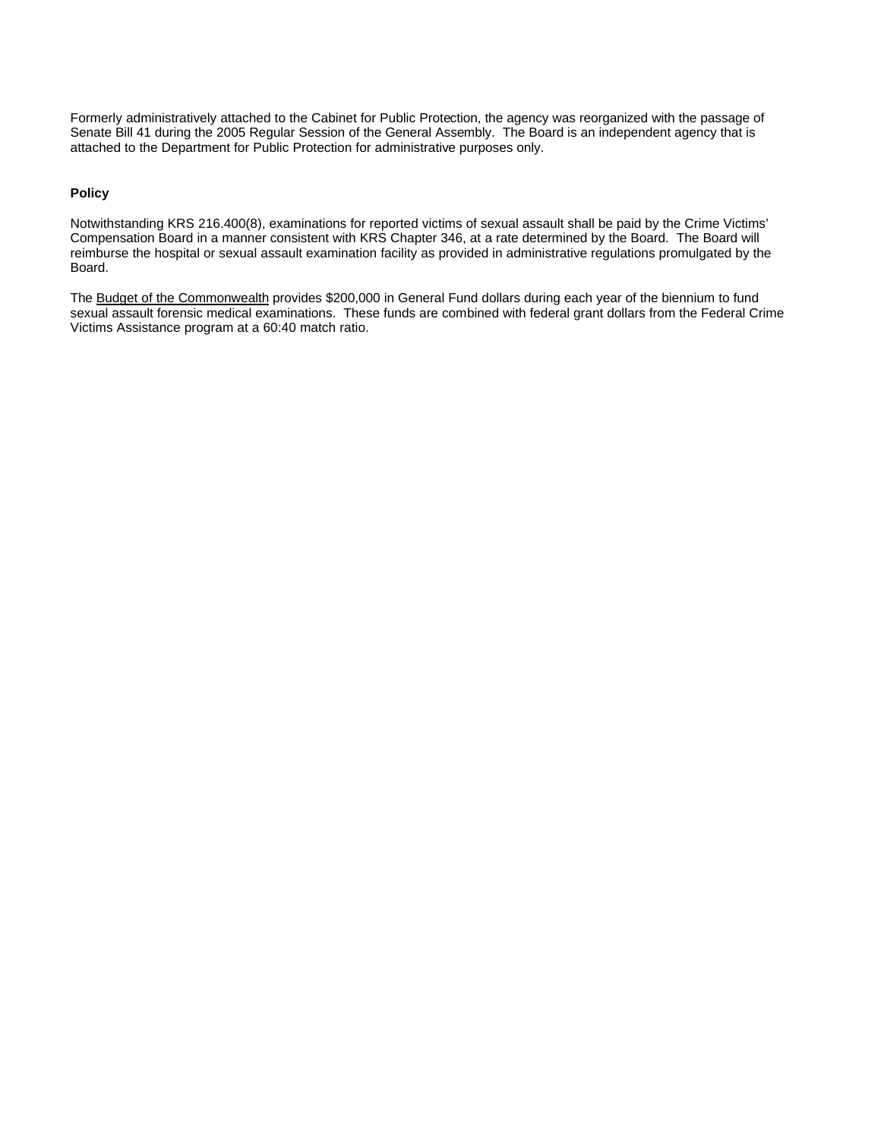Formerly administratively attached to the Cabinet for Public Protection, the agency was reorganized with the passage of Senate Bill 41 during the 2005 Regular Session of the General Assembly. The Board is an independent agency that is attached to the Department for Public Protection for administrative purposes only.

#### **Policy**

Notwithstanding KRS 216.400(8), examinations for reported victims of sexual assault shall be paid by the Crime Victims' Compensation Board in a manner consistent with KRS Chapter 346, at a rate determined by the Board. The Board will reimburse the hospital or sexual assault examination facility as provided in administrative regulations promulgated by the Board.

The Budget of the Commonwealth provides \$200,000 in General Fund dollars during each year of the biennium to fund sexual assault forensic medical examinations. These funds are combined with federal grant dollars from the Federal Crime Victims Assistance program at a 60:40 match ratio.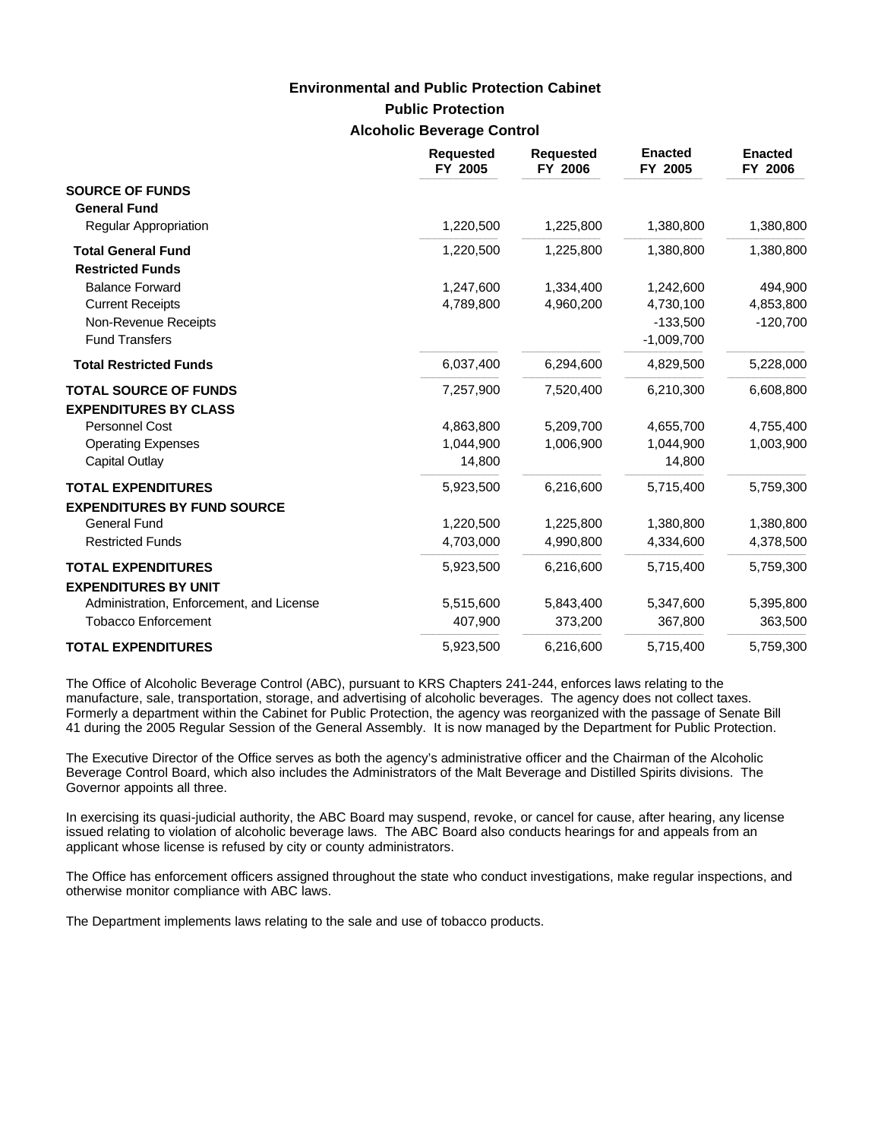## **Public Protection Alcoholic Beverage Control Environmental and Public Protection Cabinet**

|                                                      | <b>Requested</b><br>FY 2005 | <b>Requested</b><br>FY 2006 | <b>Enacted</b><br>FY 2005 | <b>Enacted</b><br>FY 2006 |
|------------------------------------------------------|-----------------------------|-----------------------------|---------------------------|---------------------------|
| <b>SOURCE OF FUNDS</b><br><b>General Fund</b>        |                             |                             |                           |                           |
| Regular Appropriation                                | 1,220,500                   | 1,225,800                   | 1,380,800                 | 1,380,800                 |
| <b>Total General Fund</b><br><b>Restricted Funds</b> | 1,220,500                   | 1,225,800                   | 1,380,800                 | 1,380,800                 |
| <b>Balance Forward</b>                               | 1,247,600                   | 1,334,400                   | 1,242,600                 | 494,900                   |
| <b>Current Receipts</b>                              | 4,789,800                   | 4,960,200                   | 4,730,100                 | 4,853,800                 |
| Non-Revenue Receipts                                 |                             |                             | $-133,500$                | $-120,700$                |
| <b>Fund Transfers</b>                                |                             |                             | $-1,009,700$              |                           |
| <b>Total Restricted Funds</b>                        | 6,037,400                   | 6,294,600                   | 4,829,500                 | 5,228,000                 |
| <b>TOTAL SOURCE OF FUNDS</b>                         | 7,257,900                   | 7,520,400                   | 6,210,300                 | 6,608,800                 |
| <b>EXPENDITURES BY CLASS</b>                         |                             |                             |                           |                           |
| Personnel Cost                                       | 4,863,800                   | 5,209,700                   | 4,655,700                 | 4,755,400                 |
| <b>Operating Expenses</b>                            | 1,044,900                   | 1,006,900                   | 1,044,900                 | 1,003,900                 |
| Capital Outlay                                       | 14,800                      |                             | 14,800                    |                           |
| <b>TOTAL EXPENDITURES</b>                            | 5,923,500                   | 6,216,600                   | 5,715,400                 | 5,759,300                 |
| <b>EXPENDITURES BY FUND SOURCE</b>                   |                             |                             |                           |                           |
| <b>General Fund</b>                                  | 1,220,500                   | 1,225,800                   | 1,380,800                 | 1,380,800                 |
| <b>Restricted Funds</b>                              | 4,703,000                   | 4,990,800                   | 4,334,600                 | 4,378,500                 |
| <b>TOTAL EXPENDITURES</b>                            | 5,923,500                   | 6,216,600                   | 5,715,400                 | 5,759,300                 |
| <b>EXPENDITURES BY UNIT</b>                          |                             |                             |                           |                           |
| Administration, Enforcement, and License             | 5,515,600                   | 5,843,400                   | 5,347,600                 | 5,395,800                 |
| <b>Tobacco Enforcement</b>                           | 407,900                     | 373,200                     | 367,800                   | 363,500                   |
| <b>TOTAL EXPENDITURES</b>                            | 5,923,500                   | 6,216,600                   | 5,715,400                 | 5,759,300                 |

The Office of Alcoholic Beverage Control (ABC), pursuant to KRS Chapters 241-244, enforces laws relating to the manufacture, sale, transportation, storage, and advertising of alcoholic beverages. The agency does not collect taxes. Formerly a department within the Cabinet for Public Protection, the agency was reorganized with the passage of Senate Bill 41 during the 2005 Regular Session of the General Assembly. It is now managed by the Department for Public Protection.

The Executive Director of the Office serves as both the agency's administrative officer and the Chairman of the Alcoholic Beverage Control Board, which also includes the Administrators of the Malt Beverage and Distilled Spirits divisions. The Governor appoints all three.

In exercising its quasi-judicial authority, the ABC Board may suspend, revoke, or cancel for cause, after hearing, any license issued relating to violation of alcoholic beverage laws. The ABC Board also conducts hearings for and appeals from an applicant whose license is refused by city or county administrators.

The Office has enforcement officers assigned throughout the state who conduct investigations, make regular inspections, and otherwise monitor compliance with ABC laws.

The Department implements laws relating to the sale and use of tobacco products.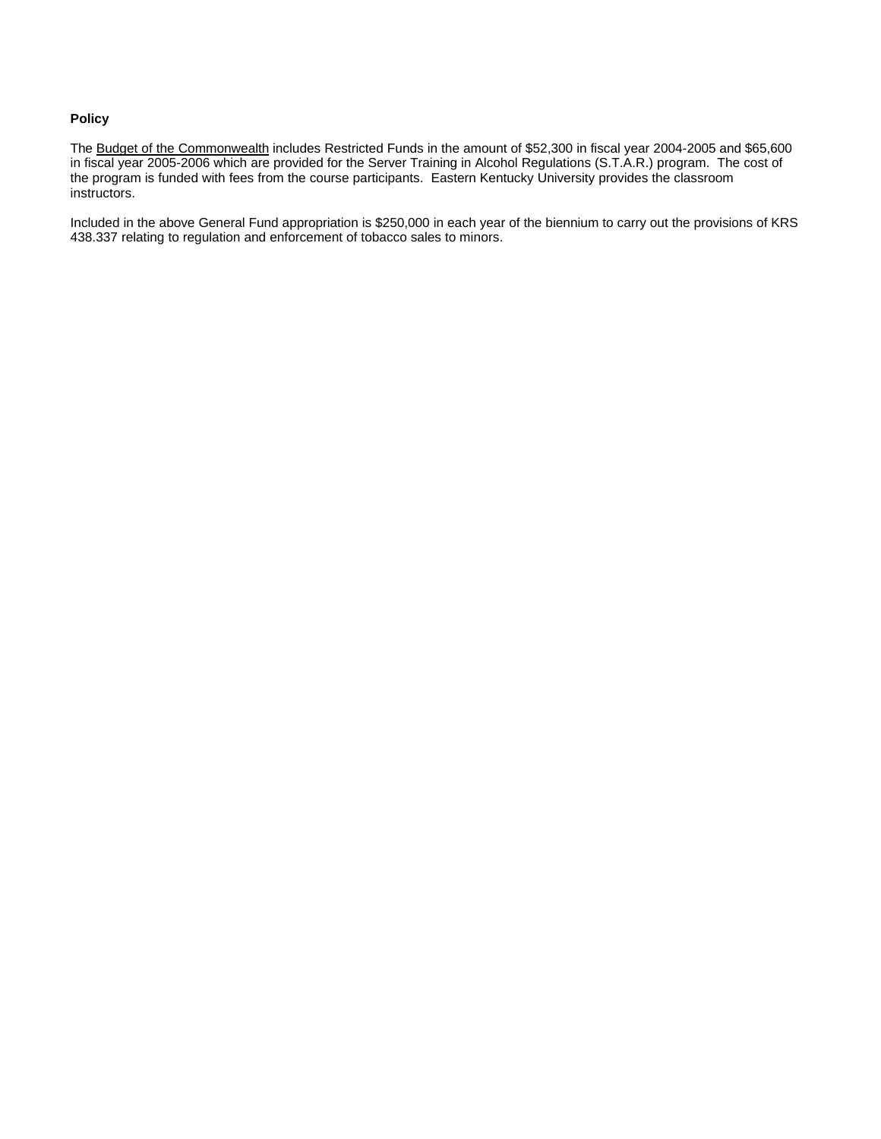## **Policy**

The Budget of the Commonwealth includes Restricted Funds in the amount of \$52,300 in fiscal year 2004-2005 and \$65,600 in fiscal year 2005-2006 which are provided for the Server Training in Alcohol Regulations (S.T.A.R.) program. The cost of the program is funded with fees from the course participants. Eastern Kentucky University provides the classroom instructors.

Included in the above General Fund appropriation is \$250,000 in each year of the biennium to carry out the provisions of KRS 438.337 relating to regulation and enforcement of tobacco sales to minors.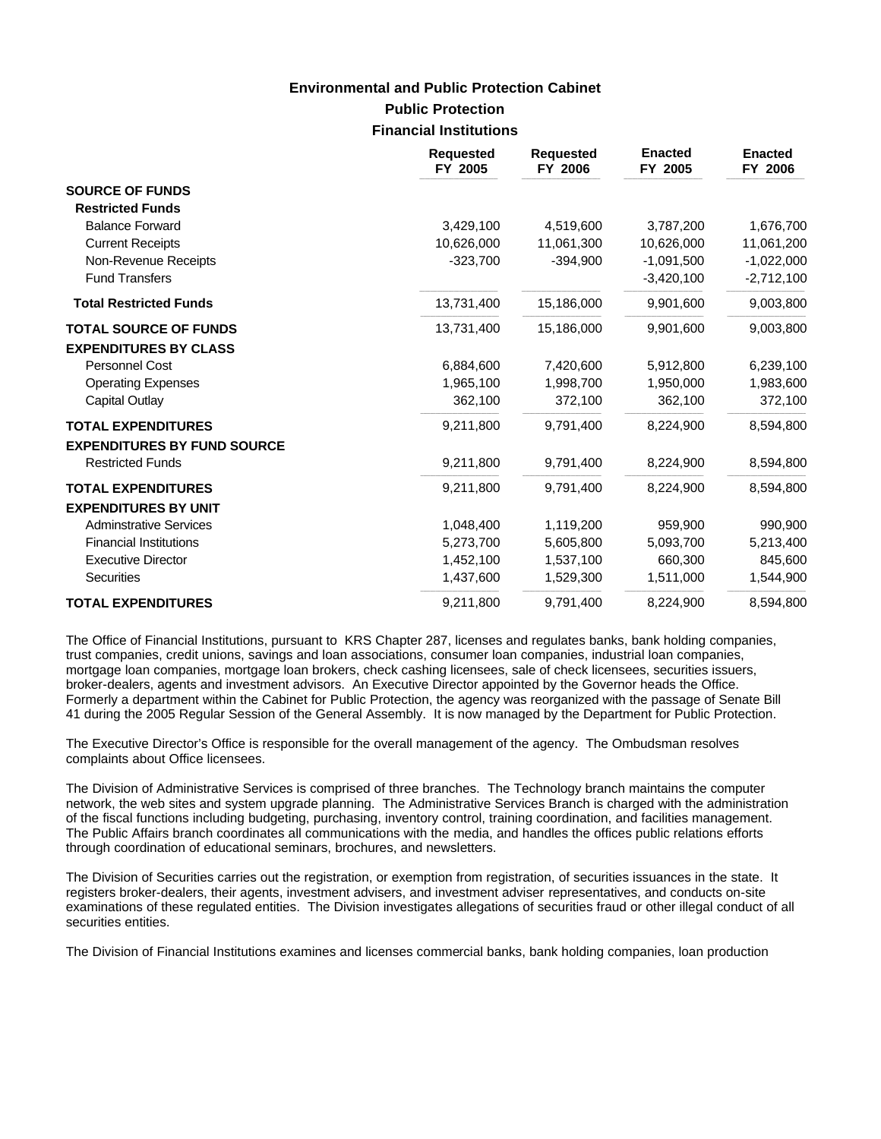### **Public Protection Financial Institutions**

|                                    | <b>Requested</b><br>FY 2005 | <b>Requested</b><br>FY 2006 | <b>Enacted</b><br>FY 2005 | <b>Enacted</b><br>FY 2006 |
|------------------------------------|-----------------------------|-----------------------------|---------------------------|---------------------------|
| <b>SOURCE OF FUNDS</b>             |                             |                             |                           |                           |
| <b>Restricted Funds</b>            |                             |                             |                           |                           |
| <b>Balance Forward</b>             | 3,429,100                   | 4,519,600                   | 3,787,200                 | 1,676,700                 |
| <b>Current Receipts</b>            | 10,626,000                  | 11,061,300                  | 10,626,000                | 11,061,200                |
| Non-Revenue Receipts               | $-323,700$                  | $-394,900$                  | $-1,091,500$              | $-1,022,000$              |
| <b>Fund Transfers</b>              |                             |                             | $-3,420,100$              | $-2,712,100$              |
| <b>Total Restricted Funds</b>      | 13,731,400                  | 15,186,000                  | 9,901,600                 | 9,003,800                 |
| <b>TOTAL SOURCE OF FUNDS</b>       | 13,731,400                  | 15,186,000                  | 9,901,600                 | 9,003,800                 |
| <b>EXPENDITURES BY CLASS</b>       |                             |                             |                           |                           |
| Personnel Cost                     | 6,884,600                   | 7,420,600                   | 5,912,800                 | 6,239,100                 |
| <b>Operating Expenses</b>          | 1,965,100                   | 1,998,700                   | 1,950,000                 | 1,983,600                 |
| Capital Outlay                     | 362,100                     | 372,100                     | 362,100                   | 372,100                   |
| <b>TOTAL EXPENDITURES</b>          | 9,211,800                   | 9,791,400                   | 8,224,900                 | 8,594,800                 |
| <b>EXPENDITURES BY FUND SOURCE</b> |                             |                             |                           |                           |
| <b>Restricted Funds</b>            | 9,211,800                   | 9,791,400                   | 8,224,900                 | 8,594,800                 |
| <b>TOTAL EXPENDITURES</b>          | 9,211,800                   | 9,791,400                   | 8,224,900                 | 8,594,800                 |
| <b>EXPENDITURES BY UNIT</b>        |                             |                             |                           |                           |
| <b>Adminstrative Services</b>      | 1,048,400                   | 1,119,200                   | 959,900                   | 990,900                   |
| <b>Financial Institutions</b>      | 5,273,700                   | 5,605,800                   | 5,093,700                 | 5,213,400                 |
| <b>Executive Director</b>          | 1,452,100                   | 1,537,100                   | 660,300                   | 845,600                   |
| <b>Securities</b>                  | 1,437,600                   | 1,529,300                   | 1,511,000                 | 1,544,900                 |
| <b>TOTAL EXPENDITURES</b>          | 9,211,800                   | 9,791,400                   | 8,224,900                 | 8,594,800                 |

The Office of Financial Institutions, pursuant to KRS Chapter 287, licenses and regulates banks, bank holding companies, trust companies, credit unions, savings and loan associations, consumer loan companies, industrial loan companies, mortgage loan companies, mortgage loan brokers, check cashing licensees, sale of check licensees, securities issuers, broker-dealers, agents and investment advisors. An Executive Director appointed by the Governor heads the Office. Formerly a department within the Cabinet for Public Protection, the agency was reorganized with the passage of Senate Bill 41 during the 2005 Regular Session of the General Assembly. It is now managed by the Department for Public Protection.

The Executive Director's Office is responsible for the overall management of the agency. The Ombudsman resolves complaints about Office licensees.

The Division of Administrative Services is comprised of three branches. The Technology branch maintains the computer network, the web sites and system upgrade planning. The Administrative Services Branch is charged with the administration of the fiscal functions including budgeting, purchasing, inventory control, training coordination, and facilities management. The Public Affairs branch coordinates all communications with the media, and handles the offices public relations efforts through coordination of educational seminars, brochures, and newsletters.

The Division of Securities carries out the registration, or exemption from registration, of securities issuances in the state. It registers broker-dealers, their agents, investment advisers, and investment adviser representatives, and conducts on-site examinations of these regulated entities. The Division investigates allegations of securities fraud or other illegal conduct of all securities entities.

The Division of Financial Institutions examines and licenses commercial banks, bank holding companies, loan production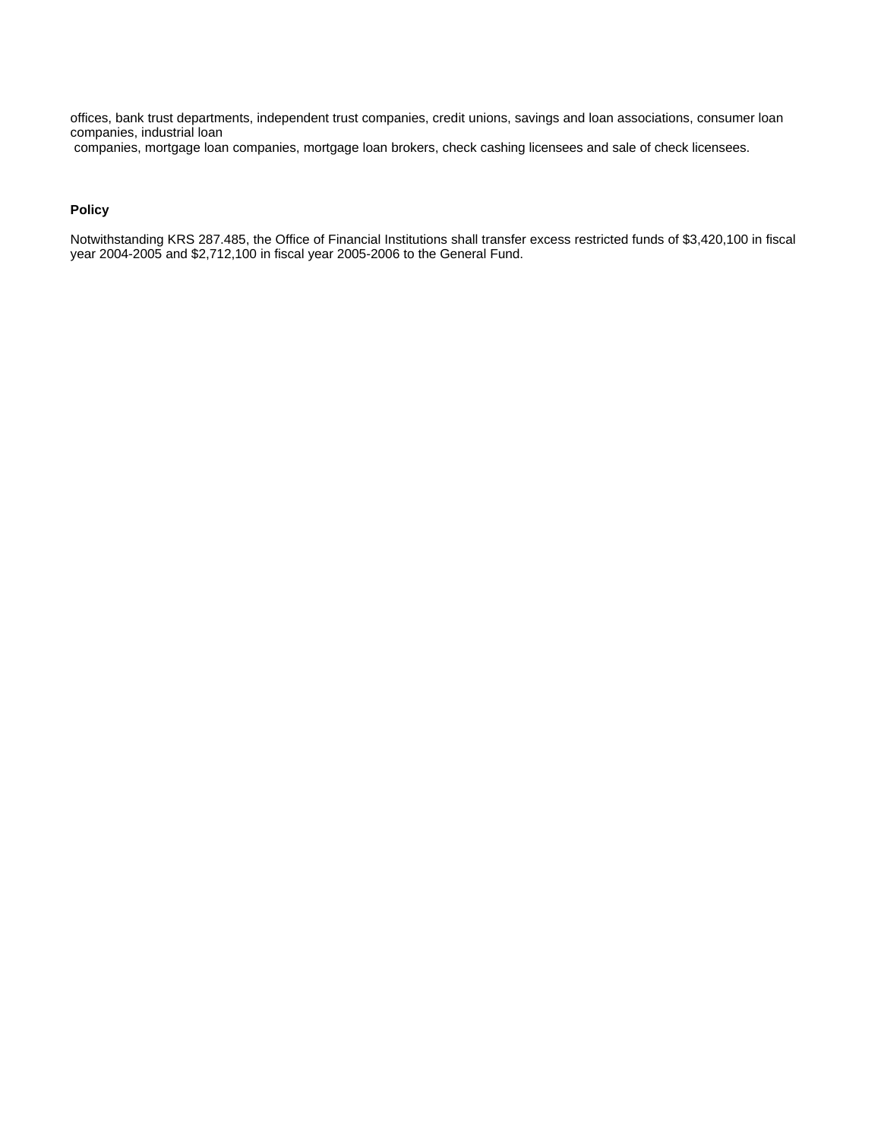offices, bank trust departments, independent trust companies, credit unions, savings and loan associations, consumer loan companies, industrial loan

companies, mortgage loan companies, mortgage loan brokers, check cashing licensees and sale of check licensees.

### **Policy**

Notwithstanding KRS 287.485, the Office of Financial Institutions shall transfer excess restricted funds of \$3,420,100 in fiscal year 2004-2005 and \$2,712,100 in fiscal year 2005-2006 to the General Fund.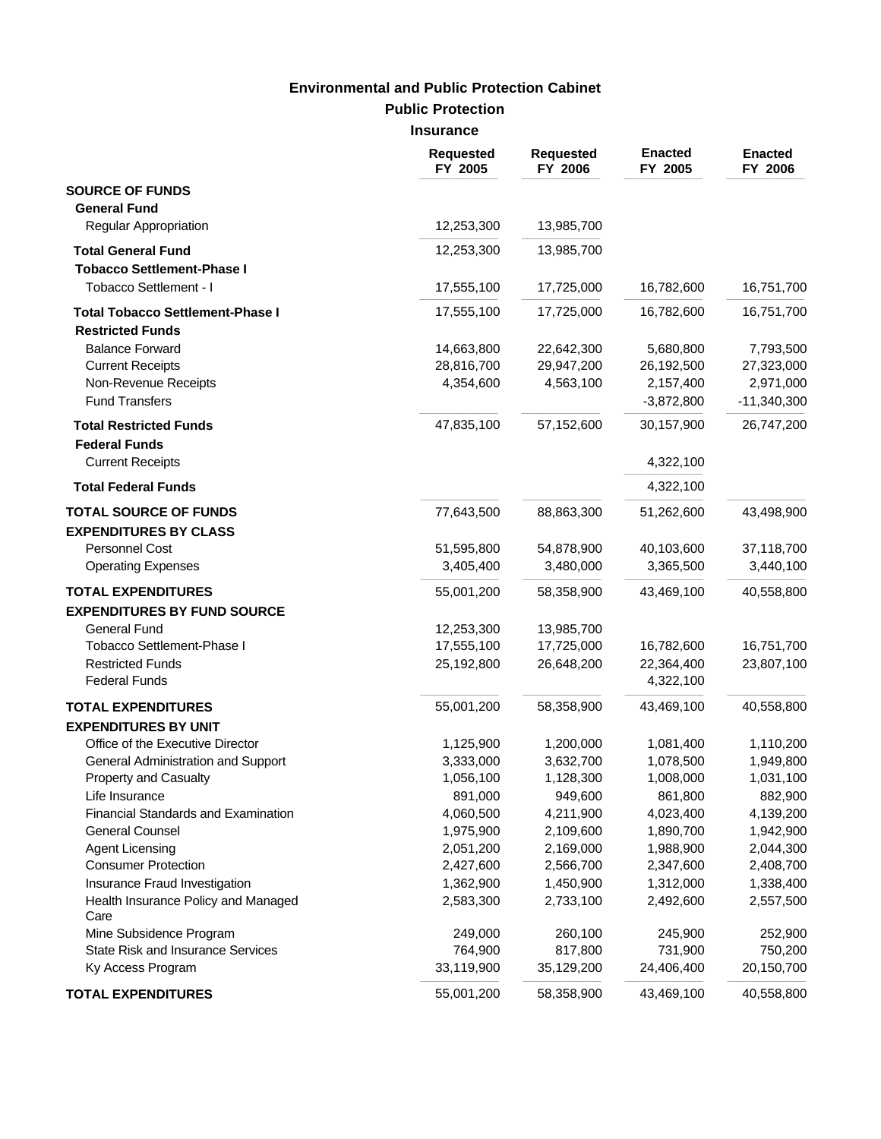**Public Protection**

**Insurance**

|                                                                    | <b>Requested</b><br>FY 2005 | <b>Requested</b><br>FY 2006 | <b>Enacted</b><br>FY 2005 | <b>Enacted</b><br>FY 2006 |
|--------------------------------------------------------------------|-----------------------------|-----------------------------|---------------------------|---------------------------|
| <b>SOURCE OF FUNDS</b><br><b>General Fund</b>                      |                             |                             |                           |                           |
| Regular Appropriation                                              | 12,253,300                  | 13,985,700                  |                           |                           |
| <b>Total General Fund</b><br><b>Tobacco Settlement-Phase I</b>     | 12,253,300                  | 13,985,700                  |                           |                           |
| Tobacco Settlement - I                                             | 17,555,100                  | 17,725,000                  | 16,782,600                | 16,751,700                |
| <b>Total Tobacco Settlement-Phase I</b><br><b>Restricted Funds</b> | 17,555,100                  | 17,725,000                  | 16,782,600                | 16,751,700                |
| <b>Balance Forward</b>                                             | 14,663,800                  | 22,642,300                  | 5,680,800                 | 7,793,500                 |
| <b>Current Receipts</b>                                            | 28,816,700                  | 29,947,200                  | 26,192,500                | 27,323,000                |
| Non-Revenue Receipts                                               | 4,354,600                   | 4,563,100                   | 2,157,400                 | 2,971,000                 |
| <b>Fund Transfers</b>                                              |                             |                             | $-3,872,800$              | $-11,340,300$             |
| <b>Total Restricted Funds</b><br><b>Federal Funds</b>              | 47,835,100                  | 57,152,600                  | 30,157,900                | 26,747,200                |
| <b>Current Receipts</b>                                            |                             |                             | 4,322,100                 |                           |
| <b>Total Federal Funds</b>                                         |                             |                             | 4,322,100                 |                           |
| <b>TOTAL SOURCE OF FUNDS</b><br><b>EXPENDITURES BY CLASS</b>       | 77,643,500                  | 88,863,300                  | 51,262,600                | 43,498,900                |
| Personnel Cost                                                     | 51,595,800                  | 54,878,900                  | 40,103,600                | 37,118,700                |
| <b>Operating Expenses</b>                                          | 3,405,400                   | 3,480,000                   | 3,365,500                 | 3,440,100                 |
| <b>TOTAL EXPENDITURES</b><br><b>EXPENDITURES BY FUND SOURCE</b>    | 55,001,200                  | 58,358,900                  | 43,469,100                | 40,558,800                |
| <b>General Fund</b>                                                | 12,253,300                  | 13,985,700                  |                           |                           |
| Tobacco Settlement-Phase I                                         | 17,555,100                  | 17,725,000                  | 16,782,600                | 16,751,700                |
| <b>Restricted Funds</b><br><b>Federal Funds</b>                    | 25,192,800                  | 26,648,200                  | 22,364,400<br>4,322,100   | 23,807,100                |
| <b>TOTAL EXPENDITURES</b>                                          | 55,001,200                  | 58,358,900                  | 43,469,100                | 40,558,800                |
| <b>EXPENDITURES BY UNIT</b>                                        |                             |                             |                           |                           |
| Office of the Executive Director                                   | 1,125,900                   | 1,200,000                   | 1,081,400                 | 1,110,200                 |
| General Administration and Support                                 | 3,333,000                   | 3,632,700                   | 1,078,500                 | 1,949,800                 |
| Property and Casualty                                              | 1,056,100                   | 1,128,300                   | 1,008,000                 | 1,031,100                 |
| Life Insurance                                                     | 891,000                     | 949,600                     | 861,800                   | 882,900                   |
| Financial Standards and Examination                                | 4,060,500                   | 4,211,900                   | 4,023,400                 | 4,139,200                 |
| <b>General Counsel</b>                                             | 1,975,900                   | 2,109,600                   | 1,890,700                 | 1,942,900                 |
| <b>Agent Licensing</b>                                             | 2,051,200                   | 2,169,000                   | 1,988,900                 | 2,044,300                 |
| <b>Consumer Protection</b>                                         | 2,427,600                   | 2,566,700                   | 2,347,600                 | 2,408,700                 |
| Insurance Fraud Investigation                                      | 1,362,900                   | 1,450,900                   | 1,312,000                 | 1,338,400                 |
| Health Insurance Policy and Managed<br>Care                        | 2,583,300                   | 2,733,100                   | 2,492,600                 | 2,557,500                 |
| Mine Subsidence Program                                            | 249,000                     | 260,100                     | 245,900                   | 252,900                   |
| State Risk and Insurance Services<br>Ky Access Program             | 764,900<br>33,119,900       | 817,800<br>35,129,200       | 731,900<br>24,406,400     | 750,200<br>20,150,700     |
| <b>TOTAL EXPENDITURES</b>                                          | 55,001,200                  | 58,358,900                  | 43,469,100                | 40,558,800                |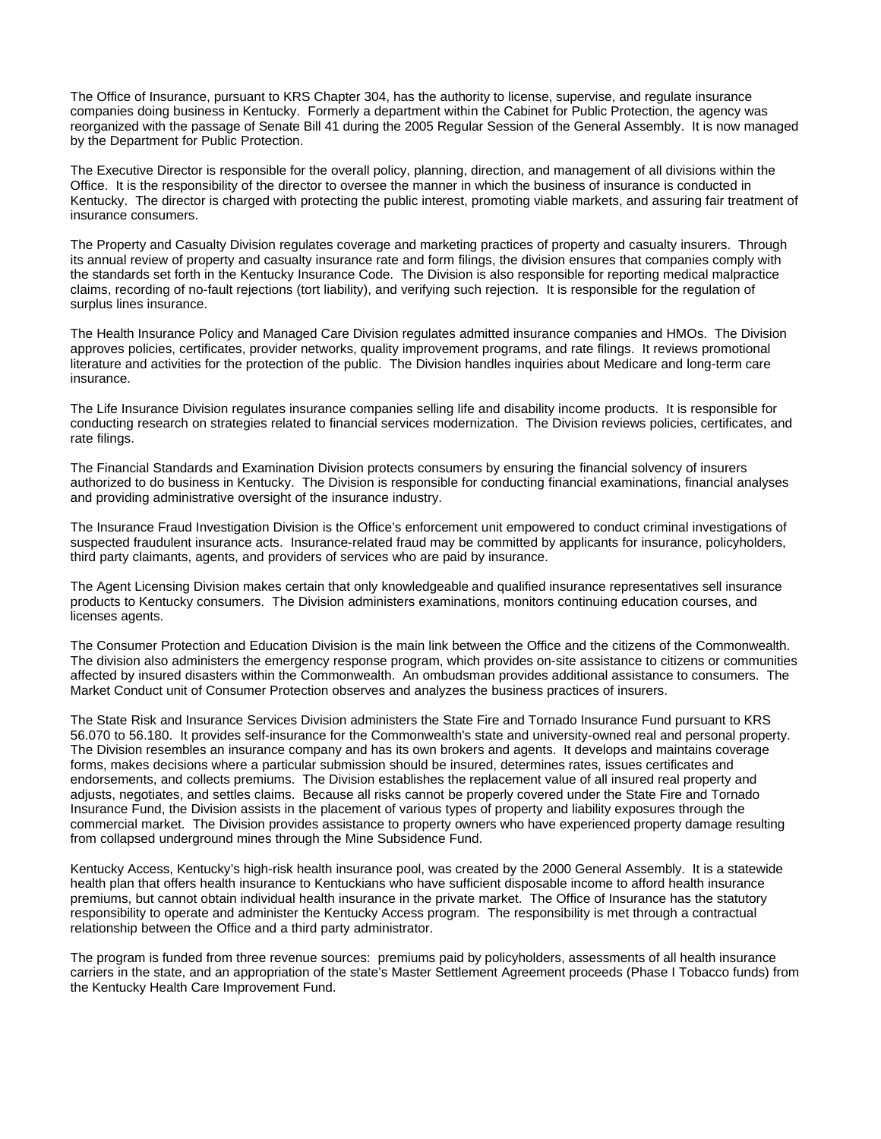The Office of Insurance, pursuant to KRS Chapter 304, has the authority to license, supervise, and regulate insurance companies doing business in Kentucky. Formerly a department within the Cabinet for Public Protection, the agency was reorganized with the passage of Senate Bill 41 during the 2005 Regular Session of the General Assembly. It is now managed by the Department for Public Protection.

The Executive Director is responsible for the overall policy, planning, direction, and management of all divisions within the Office. It is the responsibility of the director to oversee the manner in which the business of insurance is conducted in Kentucky. The director is charged with protecting the public interest, promoting viable markets, and assuring fair treatment of insurance consumers.

The Property and Casualty Division regulates coverage and marketing practices of property and casualty insurers. Through its annual review of property and casualty insurance rate and form filings, the division ensures that companies comply with the standards set forth in the Kentucky Insurance Code. The Division is also responsible for reporting medical malpractice claims, recording of no-fault rejections (tort liability), and verifying such rejection. It is responsible for the regulation of surplus lines insurance.

The Health Insurance Policy and Managed Care Division regulates admitted insurance companies and HMOs. The Division approves policies, certificates, provider networks, quality improvement programs, and rate filings. It reviews promotional literature and activities for the protection of the public. The Division handles inquiries about Medicare and long-term care insurance.

The Life Insurance Division regulates insurance companies selling life and disability income products. It is responsible for conducting research on strategies related to financial services modernization. The Division reviews policies, certificates, and rate filings.

The Financial Standards and Examination Division protects consumers by ensuring the financial solvency of insurers authorized to do business in Kentucky. The Division is responsible for conducting financial examinations, financial analyses and providing administrative oversight of the insurance industry.

The Insurance Fraud Investigation Division is the Office's enforcement unit empowered to conduct criminal investigations of suspected fraudulent insurance acts. Insurance-related fraud may be committed by applicants for insurance, policyholders, third party claimants, agents, and providers of services who are paid by insurance.

The Agent Licensing Division makes certain that only knowledgeable and qualified insurance representatives sell insurance products to Kentucky consumers. The Division administers examinations, monitors continuing education courses, and licenses agents.

The Consumer Protection and Education Division is the main link between the Office and the citizens of the Commonwealth. The division also administers the emergency response program, which provides on-site assistance to citizens or communities affected by insured disasters within the Commonwealth. An ombudsman provides additional assistance to consumers. The Market Conduct unit of Consumer Protection observes and analyzes the business practices of insurers.

The State Risk and Insurance Services Division administers the State Fire and Tornado Insurance Fund pursuant to KRS 56.070 to 56.180. It provides self-insurance for the Commonwealth's state and university-owned real and personal property. The Division resembles an insurance company and has its own brokers and agents. It develops and maintains coverage forms, makes decisions where a particular submission should be insured, determines rates, issues certificates and endorsements, and collects premiums. The Division establishes the replacement value of all insured real property and adjusts, negotiates, and settles claims. Because all risks cannot be properly covered under the State Fire and Tornado Insurance Fund, the Division assists in the placement of various types of property and liability exposures through the commercial market. The Division provides assistance to property owners who have experienced property damage resulting from collapsed underground mines through the Mine Subsidence Fund.

Kentucky Access, Kentucky's high-risk health insurance pool, was created by the 2000 General Assembly. It is a statewide health plan that offers health insurance to Kentuckians who have sufficient disposable income to afford health insurance premiums, but cannot obtain individual health insurance in the private market. The Office of Insurance has the statutory responsibility to operate and administer the Kentucky Access program. The responsibility is met through a contractual relationship between the Office and a third party administrator.

The program is funded from three revenue sources: premiums paid by policyholders, assessments of all health insurance carriers in the state, and an appropriation of the state's Master Settlement Agreement proceeds (Phase I Tobacco funds) from the Kentucky Health Care Improvement Fund.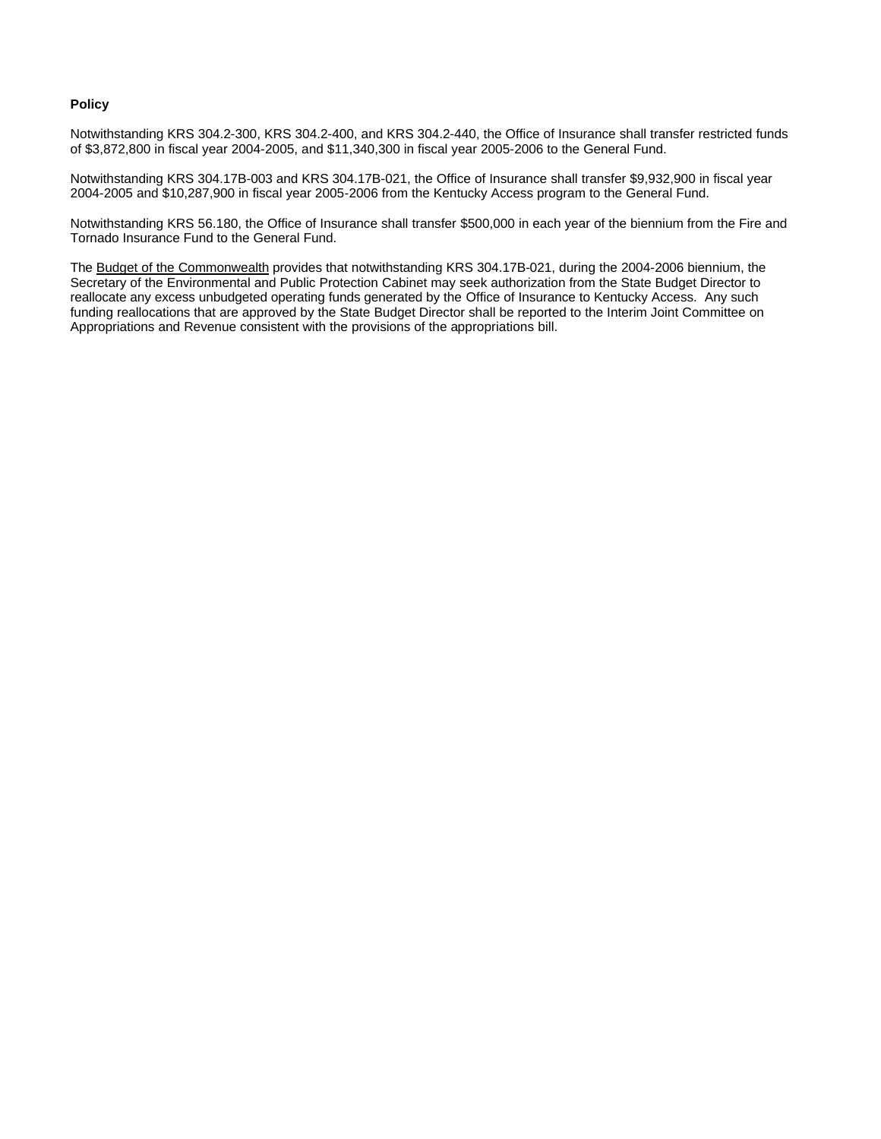#### **Policy**

Notwithstanding KRS 304.2-300, KRS 304.2-400, and KRS 304.2-440, the Office of Insurance shall transfer restricted funds of \$3,872,800 in fiscal year 2004-2005, and \$11,340,300 in fiscal year 2005-2006 to the General Fund.

Notwithstanding KRS 304.17B-003 and KRS 304.17B-021, the Office of Insurance shall transfer \$9,932,900 in fiscal year 2004-2005 and \$10,287,900 in fiscal year 2005-2006 from the Kentucky Access program to the General Fund.

Notwithstanding KRS 56.180, the Office of Insurance shall transfer \$500,000 in each year of the biennium from the Fire and Tornado Insurance Fund to the General Fund.

The Budget of the Commonwealth provides that notwithstanding KRS 304.17B-021, during the 2004-2006 biennium, the Secretary of the Environmental and Public Protection Cabinet may seek authorization from the State Budget Director to reallocate any excess unbudgeted operating funds generated by the Office of Insurance to Kentucky Access. Any such funding reallocations that are approved by the State Budget Director shall be reported to the Interim Joint Committee on Appropriations and Revenue consistent with the provisions of the appropriations bill.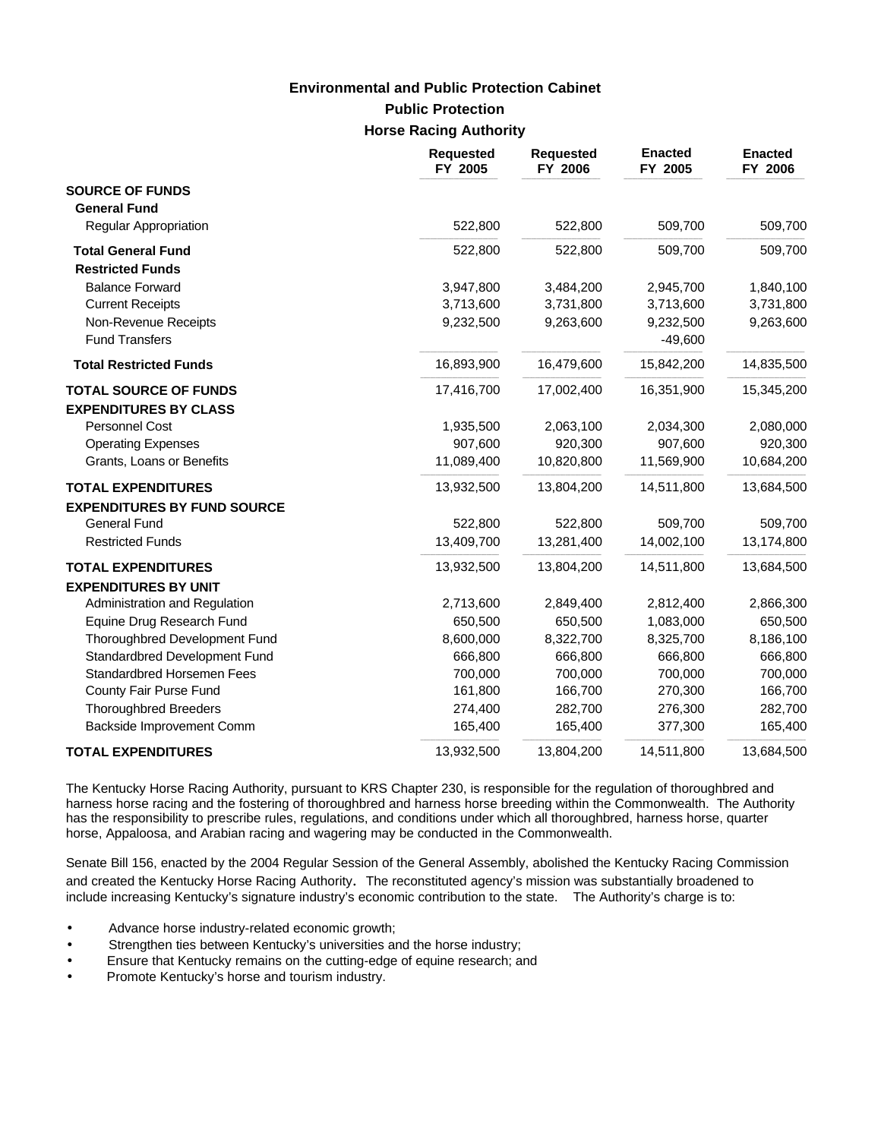# **Public Protection Horse Racing Authority Environmental and Public Protection Cabinet**

|                                    | <b>Requested</b><br>FY 2005 | <b>Requested</b><br>FY 2006 | <b>Enacted</b><br>FY 2005 | <b>Enacted</b><br>FY 2006 |
|------------------------------------|-----------------------------|-----------------------------|---------------------------|---------------------------|
| <b>SOURCE OF FUNDS</b>             |                             |                             |                           |                           |
| <b>General Fund</b>                |                             |                             |                           |                           |
| Regular Appropriation              | 522,800                     | 522,800                     | 509,700                   | 509,700                   |
| <b>Total General Fund</b>          | 522,800                     | 522,800                     | 509,700                   | 509,700                   |
| <b>Restricted Funds</b>            |                             |                             |                           |                           |
| <b>Balance Forward</b>             | 3,947,800                   | 3,484,200                   | 2,945,700                 | 1,840,100                 |
| <b>Current Receipts</b>            | 3,713,600                   | 3,731,800                   | 3,713,600                 | 3,731,800                 |
| Non-Revenue Receipts               | 9,232,500                   | 9,263,600                   | 9,232,500                 | 9,263,600                 |
| <b>Fund Transfers</b>              |                             |                             | $-49,600$                 |                           |
| <b>Total Restricted Funds</b>      | 16,893,900                  | 16,479,600                  | 15,842,200                | 14,835,500                |
| <b>TOTAL SOURCE OF FUNDS</b>       | 17,416,700                  | 17,002,400                  | 16,351,900                | 15,345,200                |
| <b>EXPENDITURES BY CLASS</b>       |                             |                             |                           |                           |
| Personnel Cost                     | 1,935,500                   | 2,063,100                   | 2,034,300                 | 2,080,000                 |
| <b>Operating Expenses</b>          | 907,600                     | 920,300                     | 907,600                   | 920,300                   |
| Grants, Loans or Benefits          | 11,089,400                  | 10,820,800                  | 11,569,900                | 10,684,200                |
| <b>TOTAL EXPENDITURES</b>          | 13,932,500                  | 13,804,200                  | 14,511,800                | 13,684,500                |
| <b>EXPENDITURES BY FUND SOURCE</b> |                             |                             |                           |                           |
| <b>General Fund</b>                | 522,800                     | 522,800                     | 509,700                   | 509,700                   |
| <b>Restricted Funds</b>            | 13,409,700                  | 13,281,400                  | 14,002,100                | 13,174,800                |
| <b>TOTAL EXPENDITURES</b>          | 13,932,500                  | 13,804,200                  | 14,511,800                | 13,684,500                |
| <b>EXPENDITURES BY UNIT</b>        |                             |                             |                           |                           |
| Administration and Regulation      | 2,713,600                   | 2,849,400                   | 2,812,400                 | 2,866,300                 |
| Equine Drug Research Fund          | 650,500                     | 650,500                     | 1,083,000                 | 650,500                   |
| Thoroughbred Development Fund      | 8,600,000                   | 8,322,700                   | 8,325,700                 | 8,186,100                 |
| Standardbred Development Fund      | 666,800                     | 666,800                     | 666,800                   | 666,800                   |
| <b>Standardbred Horsemen Fees</b>  | 700,000                     | 700,000                     | 700,000                   | 700,000                   |
| County Fair Purse Fund             | 161,800                     | 166,700                     | 270,300                   | 166,700                   |
| <b>Thoroughbred Breeders</b>       | 274,400                     | 282,700                     | 276,300                   | 282,700                   |
| Backside Improvement Comm          | 165,400                     | 165,400                     | 377,300                   | 165,400                   |
| <b>TOTAL EXPENDITURES</b>          | 13,932,500                  | 13,804,200                  | 14,511,800                | 13,684,500                |

The Kentucky Horse Racing Authority, pursuant to KRS Chapter 230, is responsible for the regulation of thoroughbred and harness horse racing and the fostering of thoroughbred and harness horse breeding within the Commonwealth. The Authority has the responsibility to prescribe rules, regulations, and conditions under which all thoroughbred, harness horse, quarter horse, Appaloosa, and Arabian racing and wagering may be conducted in the Commonwealth.

Senate Bill 156, enacted by the 2004 Regular Session of the General Assembly, abolished the Kentucky Racing Commission and created the Kentucky Horse Racing Authority. The reconstituted agency's mission was substantially broadened to include increasing Kentucky's signature industry's economic contribution to the state. The Authority's charge is to:

- Advance horse industry-related economic growth;
- Strengthen ties between Kentucky's universities and the horse industry;
- Ensure that Kentucky remains on the cutting-edge of equine research; and
- Promote Kentucky's horse and tourism industry.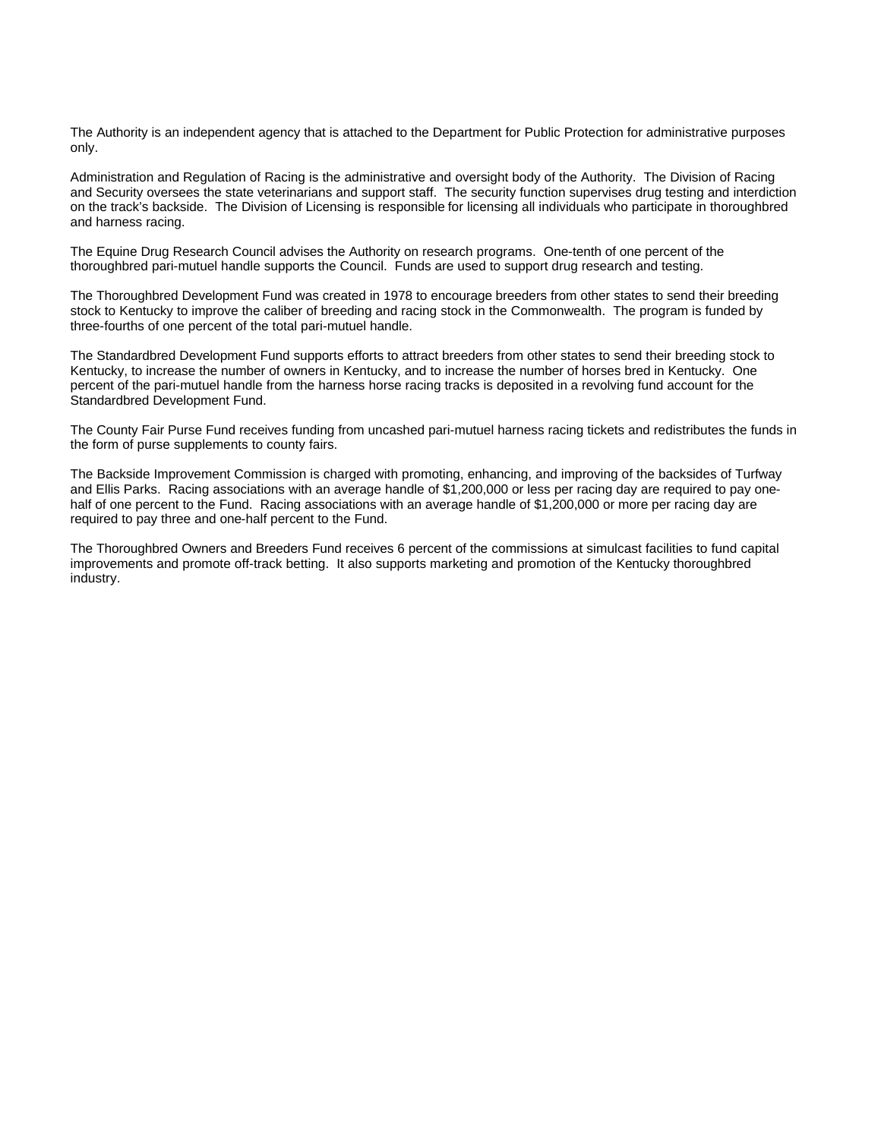The Authority is an independent agency that is attached to the Department for Public Protection for administrative purposes only.

Administration and Regulation of Racing is the administrative and oversight body of the Authority. The Division of Racing and Security oversees the state veterinarians and support staff. The security function supervises drug testing and interdiction on the track's backside. The Division of Licensing is responsible for licensing all individuals who participate in thoroughbred and harness racing.

The Equine Drug Research Council advises the Authority on research programs. One-tenth of one percent of the thoroughbred pari-mutuel handle supports the Council. Funds are used to support drug research and testing.

The Thoroughbred Development Fund was created in 1978 to encourage breeders from other states to send their breeding stock to Kentucky to improve the caliber of breeding and racing stock in the Commonwealth. The program is funded by three-fourths of one percent of the total pari-mutuel handle.

The Standardbred Development Fund supports efforts to attract breeders from other states to send their breeding stock to Kentucky, to increase the number of owners in Kentucky, and to increase the number of horses bred in Kentucky. One percent of the pari-mutuel handle from the harness horse racing tracks is deposited in a revolving fund account for the Standardbred Development Fund.

The County Fair Purse Fund receives funding from uncashed pari-mutuel harness racing tickets and redistributes the funds in the form of purse supplements to county fairs.

The Backside Improvement Commission is charged with promoting, enhancing, and improving of the backsides of Turfway and Ellis Parks. Racing associations with an average handle of \$1,200,000 or less per racing day are required to pay onehalf of one percent to the Fund. Racing associations with an average handle of \$1,200,000 or more per racing day are required to pay three and one-half percent to the Fund.

The Thoroughbred Owners and Breeders Fund receives 6 percent of the commissions at simulcast facilities to fund capital improvements and promote off-track betting. It also supports marketing and promotion of the Kentucky thoroughbred industry.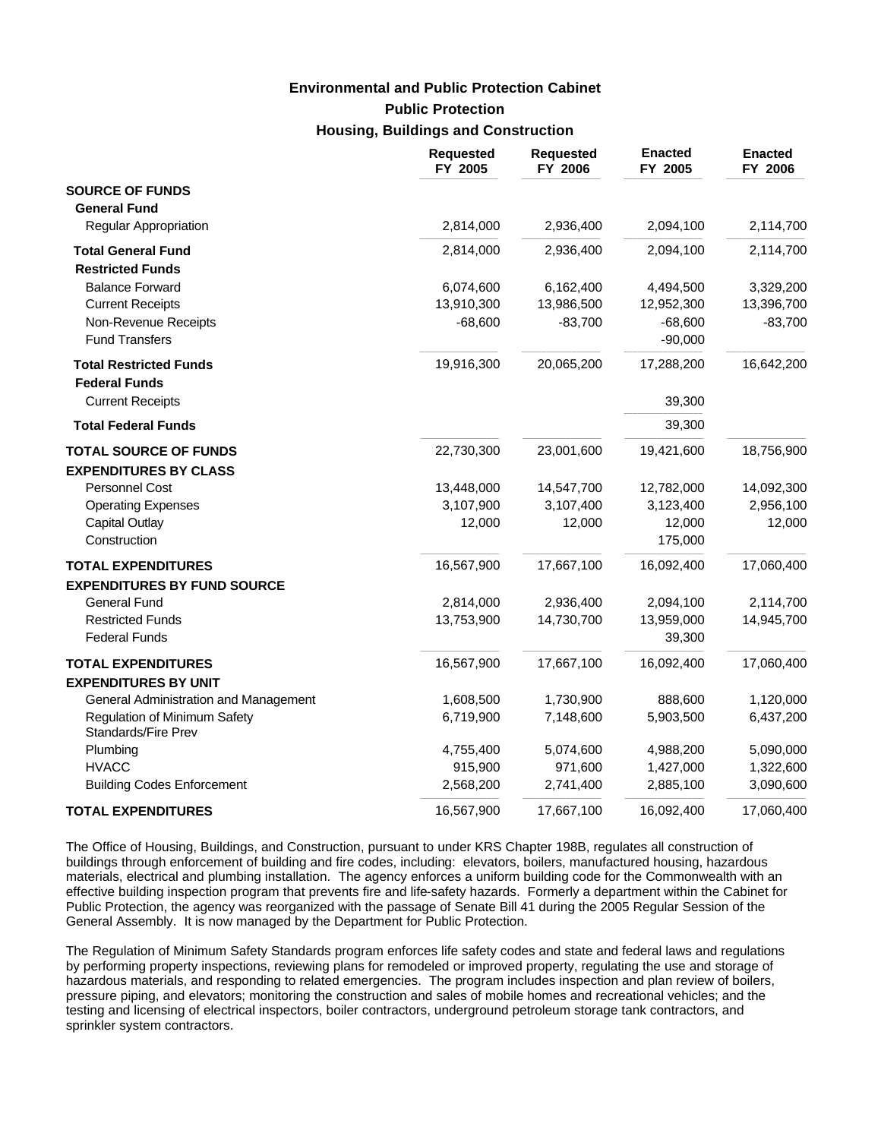# **Public Protection Housing, Buildings and Construction Environmental and Public Protection Cabinet**

|                                                            | Requested<br>FY 2005 | <b>Requested</b><br>FY 2006 | <b>Enacted</b><br>FY 2005 | <b>Enacted</b><br>FY 2006 |
|------------------------------------------------------------|----------------------|-----------------------------|---------------------------|---------------------------|
| <b>SOURCE OF FUNDS</b>                                     |                      |                             |                           |                           |
| <b>General Fund</b>                                        |                      |                             |                           |                           |
| Regular Appropriation                                      | 2,814,000            | 2,936,400                   | 2,094,100                 | 2,114,700                 |
| <b>Total General Fund</b>                                  | 2,814,000            | 2,936,400                   | 2,094,100                 | 2,114,700                 |
| <b>Restricted Funds</b>                                    |                      |                             |                           |                           |
| <b>Balance Forward</b>                                     | 6,074,600            | 6,162,400                   | 4,494,500                 | 3,329,200                 |
| <b>Current Receipts</b>                                    | 13,910,300           | 13,986,500                  | 12,952,300                | 13,396,700                |
| Non-Revenue Receipts                                       | $-68,600$            | $-83,700$                   | $-68,600$                 | $-83,700$                 |
| <b>Fund Transfers</b>                                      |                      |                             | $-90,000$                 |                           |
| <b>Total Restricted Funds</b>                              | 19,916,300           | 20,065,200                  | 17,288,200                | 16,642,200                |
| <b>Federal Funds</b>                                       |                      |                             |                           |                           |
| <b>Current Receipts</b>                                    |                      |                             | 39,300                    |                           |
| <b>Total Federal Funds</b>                                 |                      |                             | 39,300                    |                           |
| <b>TOTAL SOURCE OF FUNDS</b>                               | 22,730,300           | 23,001,600                  | 19,421,600                | 18,756,900                |
| <b>EXPENDITURES BY CLASS</b>                               |                      |                             |                           |                           |
| Personnel Cost                                             | 13,448,000           | 14,547,700                  | 12,782,000                | 14,092,300                |
| <b>Operating Expenses</b>                                  | 3,107,900            | 3,107,400                   | 3,123,400                 | 2,956,100                 |
| <b>Capital Outlay</b>                                      | 12,000               | 12,000                      | 12,000                    | 12,000                    |
| Construction                                               |                      |                             | 175,000                   |                           |
| <b>TOTAL EXPENDITURES</b>                                  | 16,567,900           | 17,667,100                  | 16,092,400                | 17,060,400                |
| <b>EXPENDITURES BY FUND SOURCE</b>                         |                      |                             |                           |                           |
| <b>General Fund</b>                                        | 2,814,000            | 2,936,400                   | 2,094,100                 | 2,114,700                 |
| <b>Restricted Funds</b>                                    | 13,753,900           | 14,730,700                  | 13,959,000                | 14,945,700                |
| <b>Federal Funds</b>                                       |                      |                             | 39,300                    |                           |
| <b>TOTAL EXPENDITURES</b>                                  | 16,567,900           | 17,667,100                  | 16,092,400                | 17,060,400                |
| <b>EXPENDITURES BY UNIT</b>                                |                      |                             |                           |                           |
| General Administration and Management                      | 1,608,500            | 1,730,900                   | 888,600                   | 1,120,000                 |
| <b>Regulation of Minimum Safety</b><br>Standards/Fire Prev | 6,719,900            | 7,148,600                   | 5,903,500                 | 6,437,200                 |
| Plumbing                                                   | 4,755,400            | 5,074,600                   | 4,988,200                 | 5,090,000                 |
| <b>HVACC</b>                                               | 915,900              | 971,600                     | 1,427,000                 | 1,322,600                 |
| <b>Building Codes Enforcement</b>                          | 2,568,200            | 2,741,400                   | 2,885,100                 | 3,090,600                 |
| <b>TOTAL EXPENDITURES</b>                                  | 16,567,900           | 17,667,100                  | 16.092.400                | 17,060,400                |

The Office of Housing, Buildings, and Construction, pursuant to under KRS Chapter 198B, regulates all construction of buildings through enforcement of building and fire codes, including: elevators, boilers, manufactured housing, hazardous materials, electrical and plumbing installation. The agency enforces a uniform building code for the Commonwealth with an effective building inspection program that prevents fire and life-safety hazards. Formerly a department within the Cabinet for Public Protection, the agency was reorganized with the passage of Senate Bill 41 during the 2005 Regular Session of the General Assembly. It is now managed by the Department for Public Protection.

The Regulation of Minimum Safety Standards program enforces life safety codes and state and federal laws and regulations by performing property inspections, reviewing plans for remodeled or improved property, regulating the use and storage of hazardous materials, and responding to related emergencies. The program includes inspection and plan review of boilers, pressure piping, and elevators; monitoring the construction and sales of mobile homes and recreational vehicles; and the testing and licensing of electrical inspectors, boiler contractors, underground petroleum storage tank contractors, and sprinkler system contractors.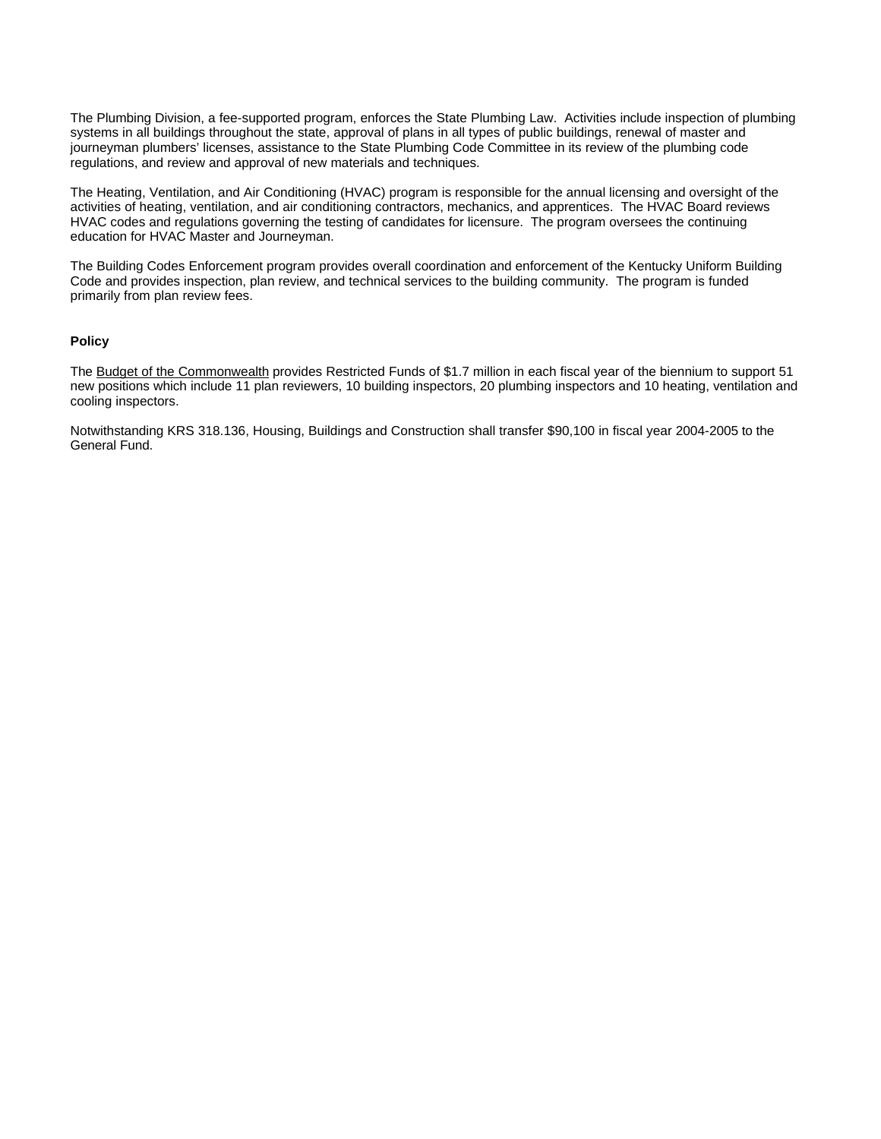The Plumbing Division, a fee-supported program, enforces the State Plumbing Law. Activities include inspection of plumbing systems in all buildings throughout the state, approval of plans in all types of public buildings, renewal of master and journeyman plumbers' licenses, assistance to the State Plumbing Code Committee in its review of the plumbing code regulations, and review and approval of new materials and techniques.

The Heating, Ventilation, and Air Conditioning (HVAC) program is responsible for the annual licensing and oversight of the activities of heating, ventilation, and air conditioning contractors, mechanics, and apprentices. The HVAC Board reviews HVAC codes and regulations governing the testing of candidates for licensure. The program oversees the continuing education for HVAC Master and Journeyman.

The Building Codes Enforcement program provides overall coordination and enforcement of the Kentucky Uniform Building Code and provides inspection, plan review, and technical services to the building community. The program is funded primarily from plan review fees.

#### **Policy**

The Budget of the Commonwealth provides Restricted Funds of \$1.7 million in each fiscal year of the biennium to support 51 new positions which include 11 plan reviewers, 10 building inspectors, 20 plumbing inspectors and 10 heating, ventilation and cooling inspectors.

Notwithstanding KRS 318.136, Housing, Buildings and Construction shall transfer \$90,100 in fiscal year 2004-2005 to the General Fund.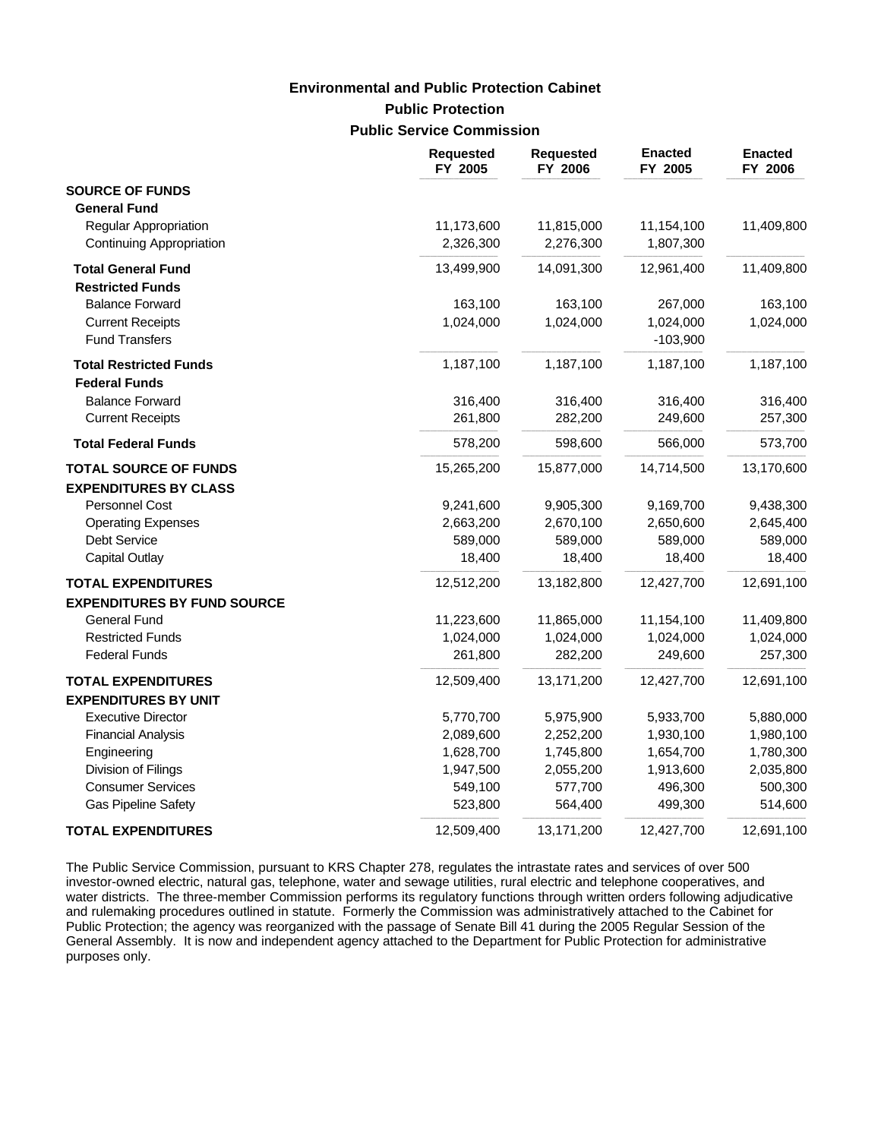# **Public Protection Public Service Commission Environmental and Public Protection Cabinet**

|                                                           | <b>Requested</b><br>FY 2005 | <b>Requested</b><br>FY 2006 | <b>Enacted</b><br>FY 2005 | <b>Enacted</b><br>FY 2006 |
|-----------------------------------------------------------|-----------------------------|-----------------------------|---------------------------|---------------------------|
| <b>SOURCE OF FUNDS</b>                                    |                             |                             |                           |                           |
| <b>General Fund</b>                                       |                             |                             |                           |                           |
| <b>Regular Appropriation</b>                              | 11,173,600                  | 11,815,000                  | 11,154,100                | 11,409,800                |
| <b>Continuing Appropriation</b>                           | 2,326,300                   | 2,276,300                   | 1,807,300                 |                           |
| <b>Total General Fund</b>                                 | 13,499,900                  | 14,091,300                  | 12,961,400                | 11,409,800                |
| <b>Restricted Funds</b>                                   |                             |                             |                           |                           |
| <b>Balance Forward</b>                                    | 163,100                     | 163,100                     | 267,000                   | 163,100                   |
| <b>Current Receipts</b>                                   | 1,024,000                   | 1,024,000                   | 1,024,000                 | 1,024,000                 |
| <b>Fund Transfers</b>                                     |                             |                             | $-103,900$                |                           |
| <b>Total Restricted Funds</b>                             | 1,187,100                   | 1,187,100                   | 1,187,100                 | 1,187,100                 |
| <b>Federal Funds</b>                                      |                             |                             |                           |                           |
| <b>Balance Forward</b>                                    | 316,400                     | 316,400                     | 316,400                   | 316,400                   |
| <b>Current Receipts</b>                                   | 261,800                     | 282,200                     | 249,600                   | 257,300                   |
| <b>Total Federal Funds</b>                                | 578,200                     | 598,600                     | 566,000                   | 573,700                   |
| <b>TOTAL SOURCE OF FUNDS</b>                              | 15,265,200                  | 15,877,000                  | 14,714,500                | 13,170,600                |
| <b>EXPENDITURES BY CLASS</b>                              |                             |                             |                           |                           |
| Personnel Cost                                            | 9,241,600                   | 9,905,300                   | 9,169,700                 | 9,438,300                 |
| <b>Operating Expenses</b>                                 | 2,663,200                   | 2,670,100                   | 2,650,600                 | 2,645,400                 |
| <b>Debt Service</b>                                       | 589,000                     | 589,000                     | 589,000                   | 589,000                   |
| <b>Capital Outlay</b>                                     | 18,400                      | 18,400                      | 18,400                    | 18,400                    |
| <b>TOTAL EXPENDITURES</b>                                 | 12,512,200                  | 13,182,800                  | 12,427,700                | 12,691,100                |
| <b>EXPENDITURES BY FUND SOURCE</b><br><b>General Fund</b> | 11,223,600                  | 11,865,000                  | 11,154,100                | 11,409,800                |
| <b>Restricted Funds</b>                                   | 1,024,000                   | 1,024,000                   | 1,024,000                 | 1,024,000                 |
| <b>Federal Funds</b>                                      | 261,800                     | 282,200                     | 249,600                   | 257,300                   |
| <b>TOTAL EXPENDITURES</b>                                 | 12,509,400                  | 13,171,200                  | 12,427,700                | 12,691,100                |
| <b>EXPENDITURES BY UNIT</b>                               |                             |                             |                           |                           |
| <b>Executive Director</b>                                 | 5,770,700                   | 5,975,900                   | 5,933,700                 | 5,880,000                 |
| <b>Financial Analysis</b>                                 | 2,089,600                   | 2,252,200                   | 1,930,100                 | 1,980,100                 |
| Engineering                                               | 1,628,700                   | 1,745,800                   | 1,654,700                 | 1,780,300                 |
| Division of Filings                                       | 1,947,500                   | 2,055,200                   | 1,913,600                 | 2,035,800                 |
| <b>Consumer Services</b>                                  | 549,100                     | 577,700                     | 496,300                   | 500,300                   |
| <b>Gas Pipeline Safety</b>                                | 523,800                     | 564,400                     | 499,300                   | 514,600                   |
| <b>TOTAL EXPENDITURES</b>                                 | 12,509,400                  | 13,171,200                  | 12,427,700                | 12,691,100                |

The Public Service Commission, pursuant to KRS Chapter 278, regulates the intrastate rates and services of over 500 investor-owned electric, natural gas, telephone, water and sewage utilities, rural electric and telephone cooperatives, and water districts. The three-member Commission performs its regulatory functions through written orders following adjudicative and rulemaking procedures outlined in statute. Formerly the Commission was administratively attached to the Cabinet for Public Protection; the agency was reorganized with the passage of Senate Bill 41 during the 2005 Regular Session of the General Assembly. It is now and independent agency attached to the Department for Public Protection for administrative purposes only.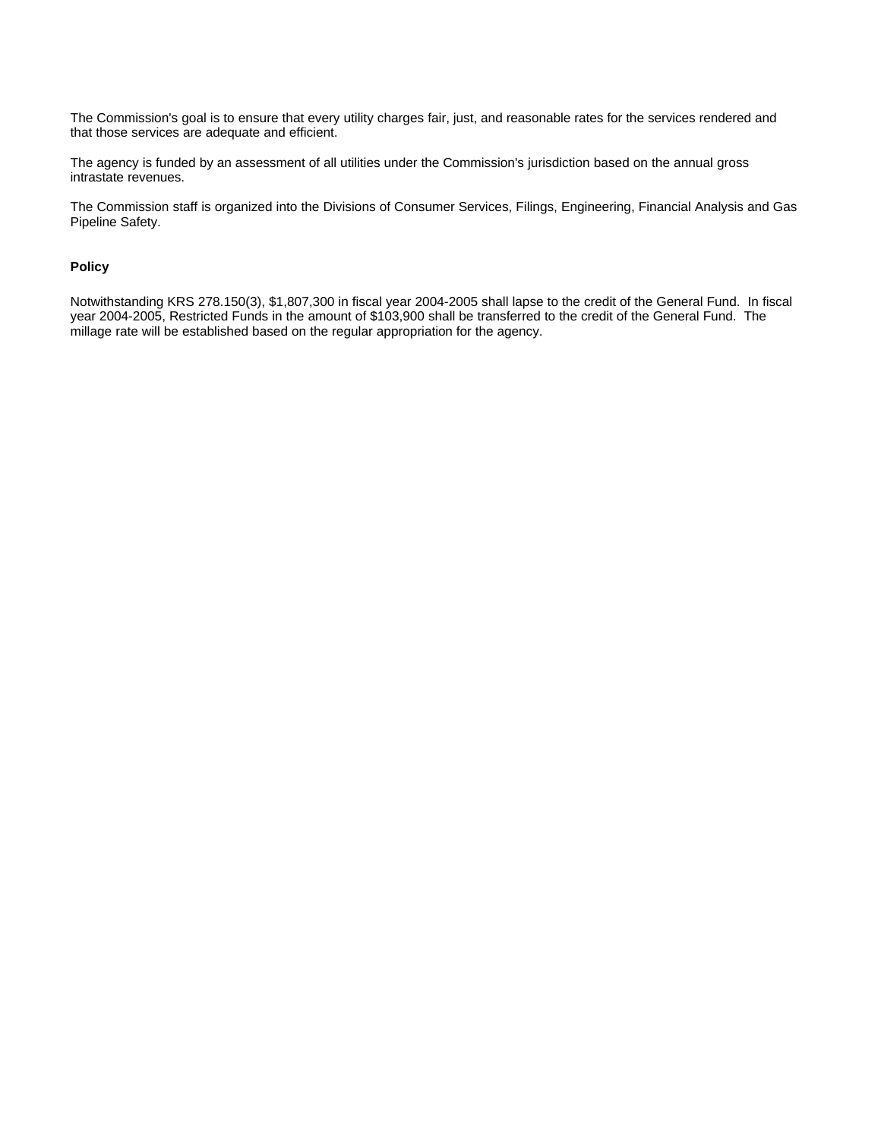The Commission's goal is to ensure that every utility charges fair, just, and reasonable rates for the services rendered and that those services are adequate and efficient.

The agency is funded by an assessment of all utilities under the Commission's jurisdiction based on the annual gross intrastate revenues.

The Commission staff is organized into the Divisions of Consumer Services, Filings, Engineering, Financial Analysis and Gas Pipeline Safety.

#### **Policy**

Notwithstanding KRS 278.150(3), \$1,807,300 in fiscal year 2004-2005 shall lapse to the credit of the General Fund. In fiscal year 2004-2005, Restricted Funds in the amount of \$103,900 shall be transferred to the credit of the General Fund. The millage rate will be established based on the regular appropriation for the agency.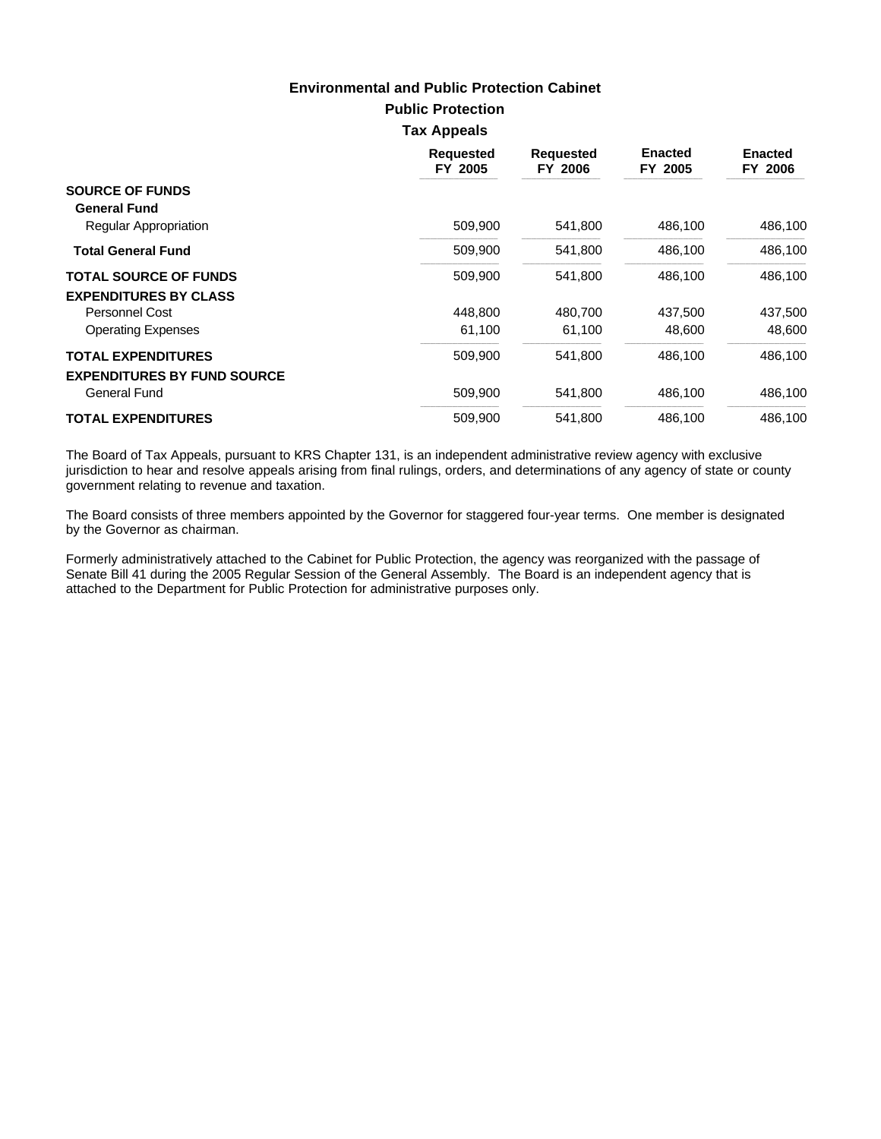**Public Protection**

**Tax Appeals**

|                                    | <b>Requested</b><br>FY 2005 | <b>Requested</b><br>FY 2006 | <b>Enacted</b><br>FY 2005 | <b>Enacted</b><br><b>FY 2006</b> |
|------------------------------------|-----------------------------|-----------------------------|---------------------------|----------------------------------|
| <b>SOURCE OF FUNDS</b>             |                             |                             |                           |                                  |
| <b>General Fund</b>                |                             |                             |                           |                                  |
| Regular Appropriation              | 509,900                     | 541,800                     | 486,100                   | 486,100                          |
| <b>Total General Fund</b>          | 509,900                     | 541,800                     | 486.100                   | 486,100                          |
| <b>TOTAL SOURCE OF FUNDS</b>       | 509,900                     | 541,800                     | 486,100                   | 486,100                          |
| <b>EXPENDITURES BY CLASS</b>       |                             |                             |                           |                                  |
| Personnel Cost                     | 448.800                     | 480.700                     | 437,500                   | 437,500                          |
| <b>Operating Expenses</b>          | 61,100                      | 61,100                      | 48.600                    | 48.600                           |
| <b>TOTAL EXPENDITURES</b>          | 509,900                     | 541,800                     | 486.100                   | 486.100                          |
| <b>EXPENDITURES BY FUND SOURCE</b> |                             |                             |                           |                                  |
| General Fund                       | 509,900                     | 541,800                     | 486,100                   | 486,100                          |
| <b>TOTAL EXPENDITURES</b>          | 509.900                     | 541.800                     | 486.100                   | 486.100                          |

The Board of Tax Appeals, pursuant to KRS Chapter 131, is an independent administrative review agency with exclusive jurisdiction to hear and resolve appeals arising from final rulings, orders, and determinations of any agency of state or county government relating to revenue and taxation.

The Board consists of three members appointed by the Governor for staggered four-year terms. One member is designated by the Governor as chairman.

Formerly administratively attached to the Cabinet for Public Protection, the agency was reorganized with the passage of Senate Bill 41 during the 2005 Regular Session of the General Assembly. The Board is an independent agency that is attached to the Department for Public Protection for administrative purposes only.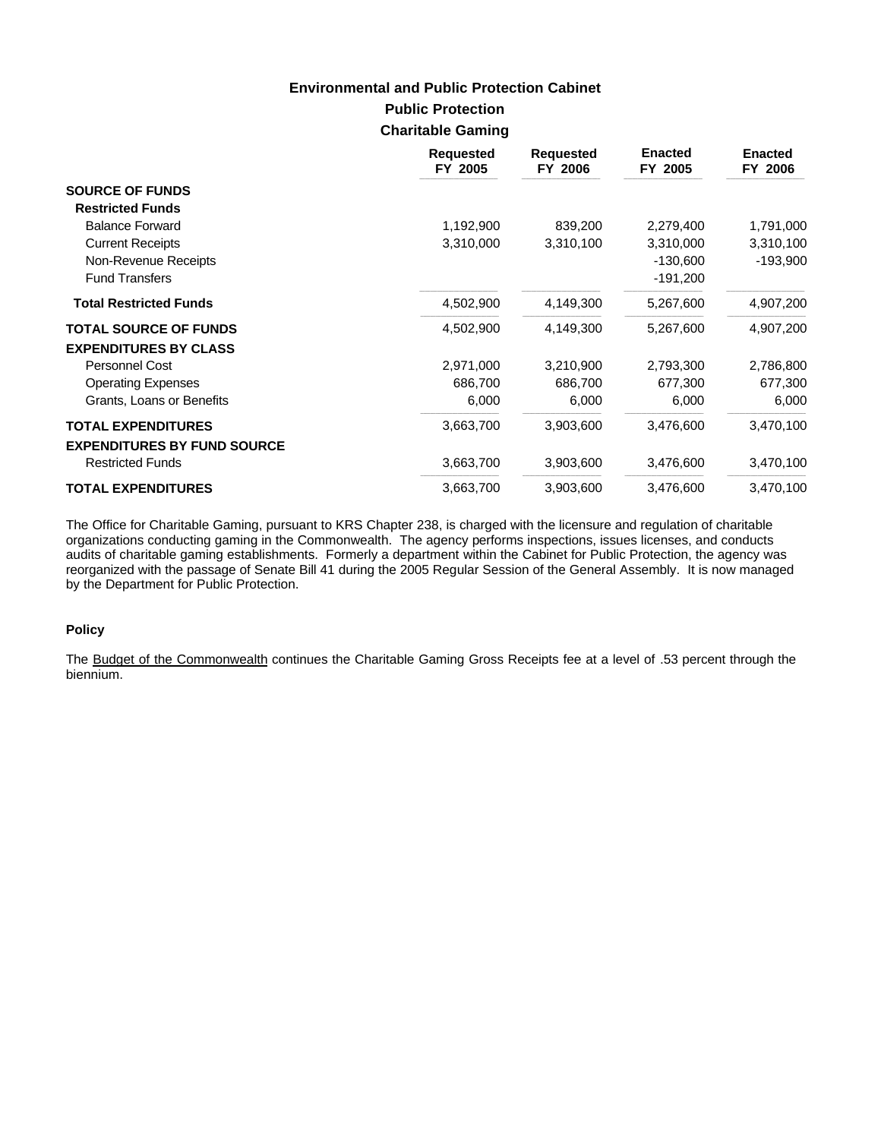# **Public Protection Environmental and Public Protection Cabinet**

## **Charitable Gaming**

|                                    | <b>Requested</b><br>FY 2005 | <b>Requested</b><br>FY 2006 | <b>Enacted</b><br>FY 2005 | <b>Enacted</b><br>FY 2006 |
|------------------------------------|-----------------------------|-----------------------------|---------------------------|---------------------------|
| <b>SOURCE OF FUNDS</b>             |                             |                             |                           |                           |
| <b>Restricted Funds</b>            |                             |                             |                           |                           |
| <b>Balance Forward</b>             | 1,192,900                   | 839,200                     | 2,279,400                 | 1,791,000                 |
| <b>Current Receipts</b>            | 3,310,000                   | 3,310,100                   | 3,310,000                 | 3,310,100                 |
| Non-Revenue Receipts               |                             |                             | $-130,600$                | $-193,900$                |
| <b>Fund Transfers</b>              |                             |                             | $-191,200$                |                           |
| <b>Total Restricted Funds</b>      | 4,502,900                   | 4,149,300                   | 5,267,600                 | 4,907,200                 |
| <b>TOTAL SOURCE OF FUNDS</b>       | 4,502,900                   | 4,149,300                   | 5,267,600                 | 4,907,200                 |
| <b>EXPENDITURES BY CLASS</b>       |                             |                             |                           |                           |
| Personnel Cost                     | 2,971,000                   | 3,210,900                   | 2,793,300                 | 2,786,800                 |
| <b>Operating Expenses</b>          | 686,700                     | 686,700                     | 677,300                   | 677,300                   |
| Grants, Loans or Benefits          | 6,000                       | 6,000                       | 6,000                     | 6,000                     |
| <b>TOTAL EXPENDITURES</b>          | 3,663,700                   | 3,903,600                   | 3,476,600                 | 3,470,100                 |
| <b>EXPENDITURES BY FUND SOURCE</b> |                             |                             |                           |                           |
| <b>Restricted Funds</b>            | 3,663,700                   | 3,903,600                   | 3,476,600                 | 3,470,100                 |
| <b>TOTAL EXPENDITURES</b>          | 3,663,700                   | 3,903,600                   | 3,476,600                 | 3,470,100                 |

The Office for Charitable Gaming, pursuant to KRS Chapter 238, is charged with the licensure and regulation of charitable organizations conducting gaming in the Commonwealth. The agency performs inspections, issues licenses, and conducts audits of charitable gaming establishments. Formerly a department within the Cabinet for Public Protection, the agency was reorganized with the passage of Senate Bill 41 during the 2005 Regular Session of the General Assembly. It is now managed by the Department for Public Protection.

#### **Policy**

The Budget of the Commonwealth continues the Charitable Gaming Gross Receipts fee at a level of .53 percent through the biennium.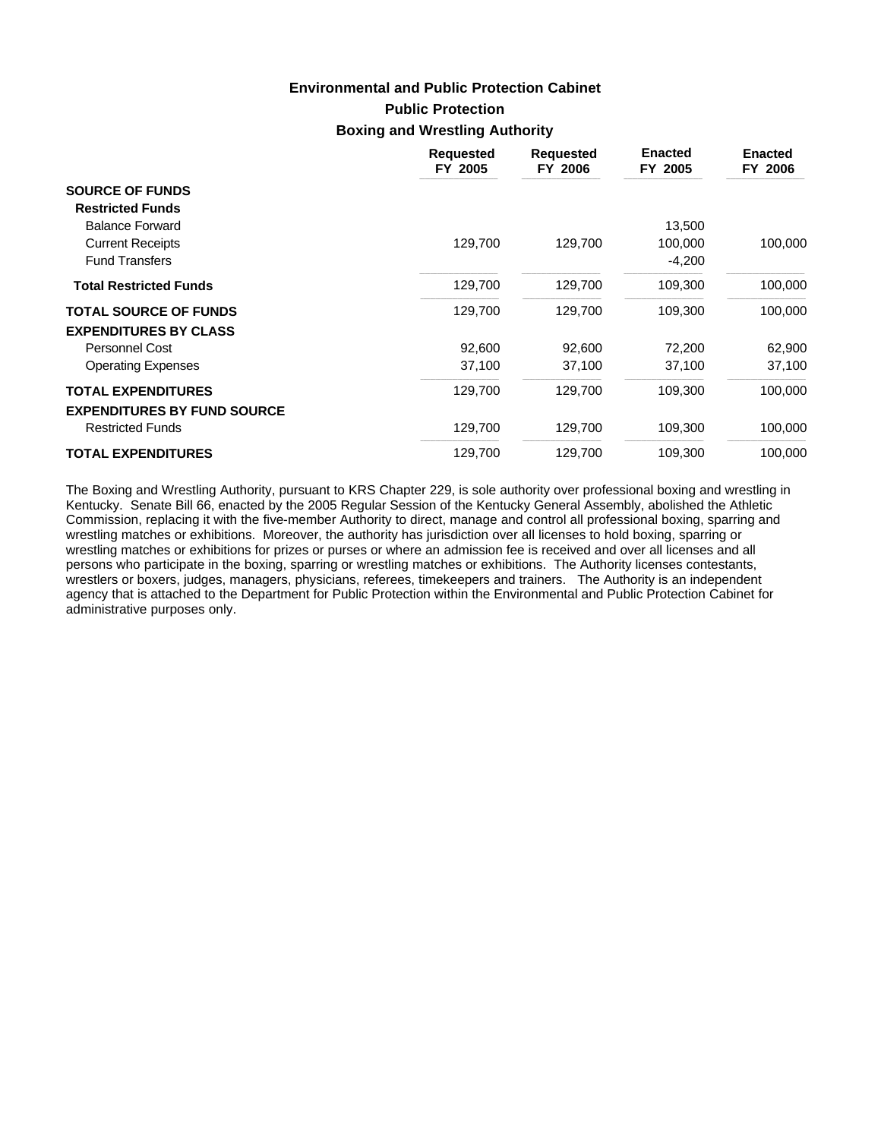# **Public Protection Boxing and Wrestling Authority Environmental and Public Protection Cabinet**

|                                    | <b>Requested</b><br>FY 2005 | <b>Requested</b><br>FY 2006 | <b>Enacted</b><br>FY 2005 | <b>Enacted</b><br>FY 2006 |
|------------------------------------|-----------------------------|-----------------------------|---------------------------|---------------------------|
| <b>SOURCE OF FUNDS</b>             |                             |                             |                           |                           |
| <b>Restricted Funds</b>            |                             |                             |                           |                           |
| <b>Balance Forward</b>             |                             |                             | 13,500                    |                           |
| <b>Current Receipts</b>            | 129,700                     | 129,700                     | 100,000                   | 100,000                   |
| <b>Fund Transfers</b>              |                             |                             | $-4,200$                  |                           |
| <b>Total Restricted Funds</b>      | 129,700                     | 129,700                     | 109,300                   | 100,000                   |
| <b>TOTAL SOURCE OF FUNDS</b>       | 129,700                     | 129,700                     | 109,300                   | 100,000                   |
| <b>EXPENDITURES BY CLASS</b>       |                             |                             |                           |                           |
| <b>Personnel Cost</b>              | 92,600                      | 92,600                      | 72,200                    | 62,900                    |
| <b>Operating Expenses</b>          | 37,100                      | 37,100                      | 37,100                    | 37,100                    |
| <b>TOTAL EXPENDITURES</b>          | 129,700                     | 129,700                     | 109,300                   | 100,000                   |
| <b>EXPENDITURES BY FUND SOURCE</b> |                             |                             |                           |                           |
| <b>Restricted Funds</b>            | 129,700                     | 129,700                     | 109,300                   | 100,000                   |
| <b>TOTAL EXPENDITURES</b>          | 129,700                     | 129,700                     | 109,300                   | 100,000                   |

The Boxing and Wrestling Authority, pursuant to KRS Chapter 229, is sole authority over professional boxing and wrestling in Kentucky. Senate Bill 66, enacted by the 2005 Regular Session of the Kentucky General Assembly, abolished the Athletic Commission, replacing it with the five-member Authority to direct, manage and control all professional boxing, sparring and wrestling matches or exhibitions. Moreover, the authority has jurisdiction over all licenses to hold boxing, sparring or wrestling matches or exhibitions for prizes or purses or where an admission fee is received and over all licenses and all persons who participate in the boxing, sparring or wrestling matches or exhibitions. The Authority licenses contestants, wrestlers or boxers, judges, managers, physicians, referees, timekeepers and trainers. The Authority is an independent agency that is attached to the Department for Public Protection within the Environmental and Public Protection Cabinet for administrative purposes only.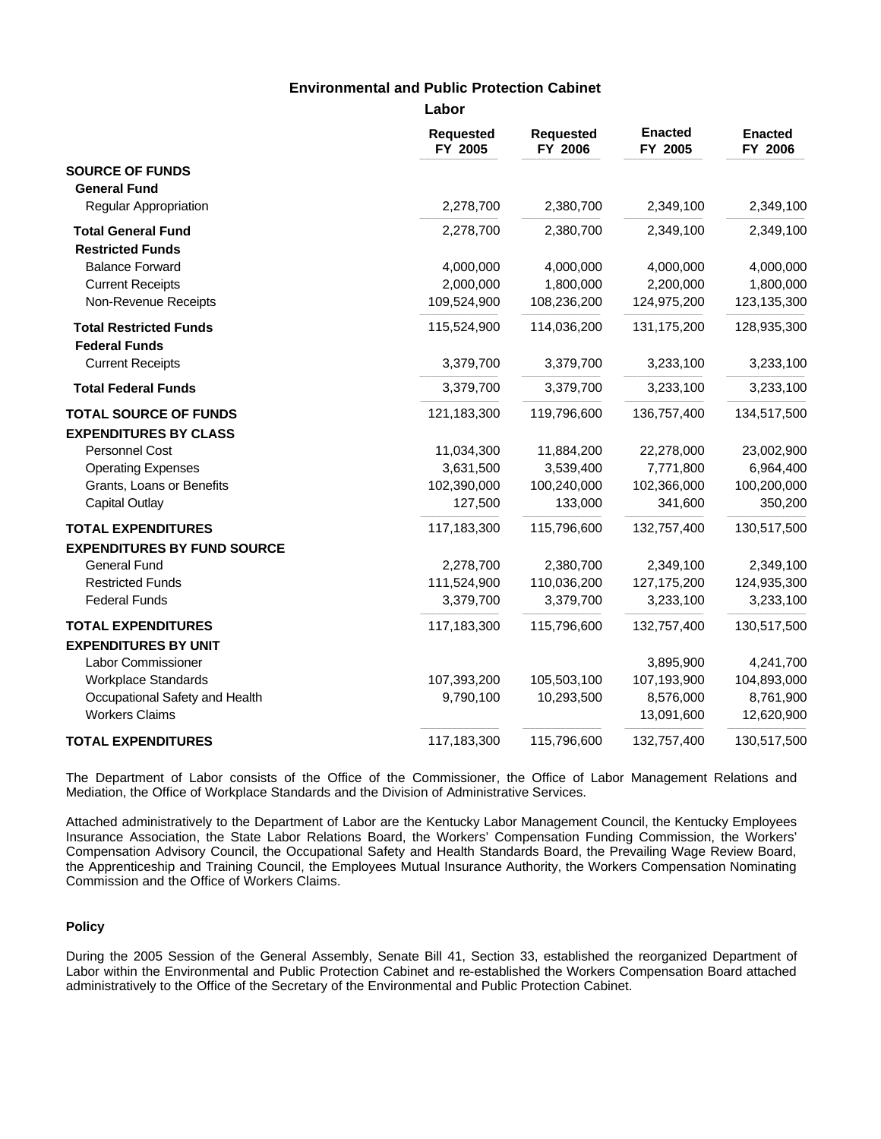|                                                 | Labor                       |                             |                           |                           |
|-------------------------------------------------|-----------------------------|-----------------------------|---------------------------|---------------------------|
|                                                 | <b>Requested</b><br>FY 2005 | <b>Requested</b><br>FY 2006 | <b>Enacted</b><br>FY 2005 | <b>Enacted</b><br>FY 2006 |
| <b>SOURCE OF FUNDS</b>                          |                             |                             |                           |                           |
| <b>General Fund</b>                             |                             |                             |                           |                           |
| Regular Appropriation                           | 2,278,700                   | 2,380,700                   | 2,349,100                 | 2,349,100                 |
| <b>Total General Fund</b>                       | 2,278,700                   | 2,380,700                   | 2,349,100                 | 2,349,100                 |
| <b>Restricted Funds</b>                         |                             |                             |                           |                           |
| <b>Balance Forward</b>                          | 4,000,000                   | 4,000,000                   | 4,000,000                 | 4,000,000                 |
| <b>Current Receipts</b>                         | 2,000,000                   | 1,800,000                   | 2,200,000                 | 1,800,000                 |
| Non-Revenue Receipts                            | 109,524,900                 | 108,236,200                 | 124,975,200               | 123,135,300               |
| <b>Total Restricted Funds</b>                   | 115,524,900                 | 114,036,200                 | 131, 175, 200             | 128,935,300               |
| <b>Federal Funds</b><br><b>Current Receipts</b> | 3,379,700                   | 3,379,700                   | 3,233,100                 | 3,233,100                 |
| <b>Total Federal Funds</b>                      | 3,379,700                   | 3,379,700                   | 3,233,100                 | 3,233,100                 |
| <b>TOTAL SOURCE OF FUNDS</b>                    | 121,183,300                 | 119,796,600                 | 136,757,400               | 134,517,500               |
| <b>EXPENDITURES BY CLASS</b>                    |                             |                             |                           |                           |
| Personnel Cost                                  | 11,034,300                  | 11,884,200                  | 22,278,000                | 23,002,900                |
| <b>Operating Expenses</b>                       | 3,631,500                   | 3,539,400                   | 7,771,800                 | 6,964,400                 |
| Grants, Loans or Benefits                       | 102,390,000                 | 100,240,000                 | 102,366,000               | 100,200,000               |
| <b>Capital Outlay</b>                           | 127,500                     | 133,000                     | 341,600                   | 350,200                   |
| <b>TOTAL EXPENDITURES</b>                       | 117,183,300                 | 115,796,600                 | 132,757,400               | 130,517,500               |
| <b>EXPENDITURES BY FUND SOURCE</b>              |                             |                             |                           |                           |
| <b>General Fund</b>                             | 2,278,700                   | 2,380,700                   | 2,349,100                 | 2,349,100                 |
| <b>Restricted Funds</b>                         | 111,524,900                 | 110,036,200                 | 127, 175, 200             | 124,935,300               |
| <b>Federal Funds</b>                            | 3,379,700                   | 3,379,700                   | 3,233,100                 | 3,233,100                 |
| <b>TOTAL EXPENDITURES</b>                       | 117,183,300                 | 115,796,600                 | 132,757,400               | 130,517,500               |
| <b>EXPENDITURES BY UNIT</b>                     |                             |                             |                           |                           |
| Labor Commissioner                              |                             |                             | 3,895,900                 | 4,241,700                 |
| <b>Workplace Standards</b>                      | 107,393,200                 | 105,503,100                 | 107,193,900               | 104,893,000               |
| Occupational Safety and Health                  | 9,790,100                   | 10,293,500                  | 8,576,000                 | 8,761,900                 |
| <b>Workers Claims</b>                           |                             |                             | 13,091,600                | 12,620,900                |
| <b>TOTAL EXPENDITURES</b>                       | 117,183,300                 | 115,796,600                 | 132,757,400               | 130,517,500               |

The Department of Labor consists of the Office of the Commissioner, the Office of Labor Management Relations and Mediation, the Office of Workplace Standards and the Division of Administrative Services.

Attached administratively to the Department of Labor are the Kentucky Labor Management Council, the Kentucky Employees Insurance Association, the State Labor Relations Board, the Workers' Compensation Funding Commission, the Workers' Compensation Advisory Council, the Occupational Safety and Health Standards Board, the Prevailing Wage Review Board, the Apprenticeship and Training Council, the Employees Mutual Insurance Authority, the Workers Compensation Nominating Commission and the Office of Workers Claims.

#### **Policy**

During the 2005 Session of the General Assembly, Senate Bill 41, Section 33, established the reorganized Department of Labor within the Environmental and Public Protection Cabinet and re-established the Workers Compensation Board attached administratively to the Office of the Secretary of the Environmental and Public Protection Cabinet.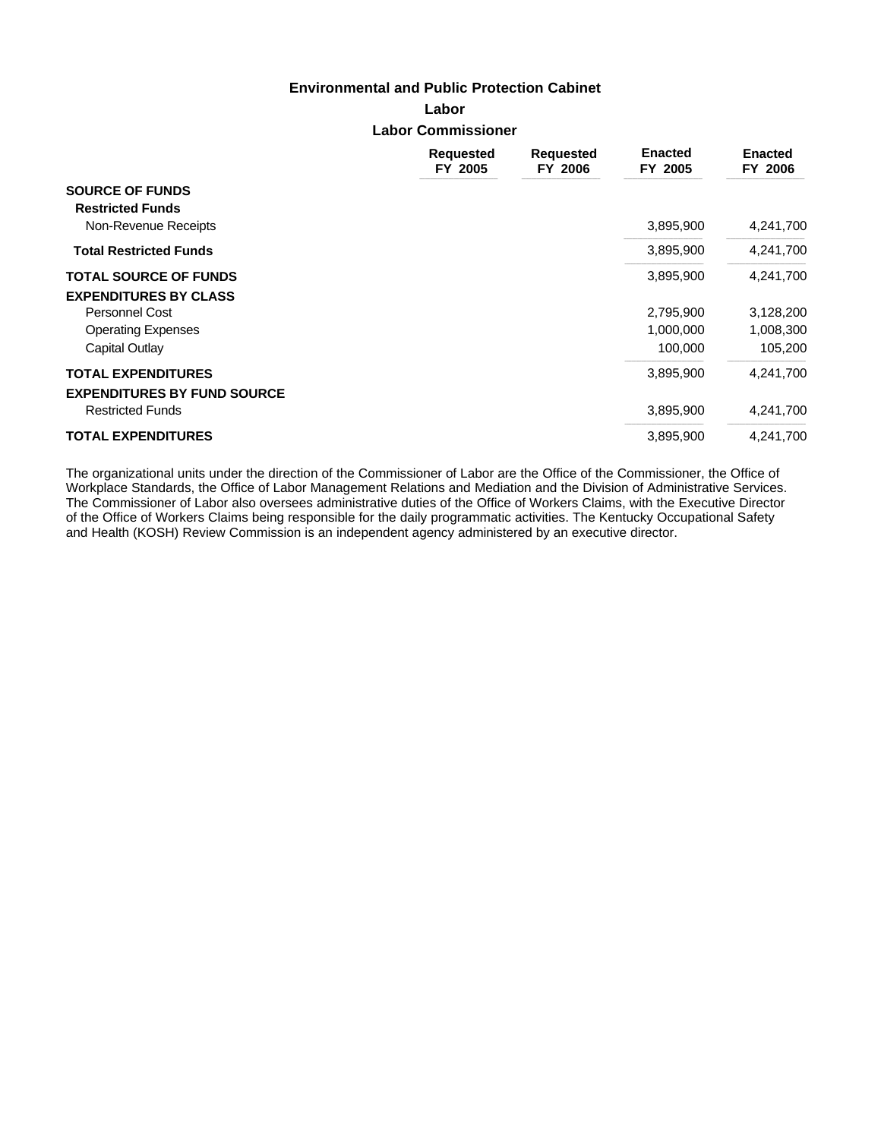**Labor Labor Commissioner**

|                                                   | <b>Requested</b><br>FY 2005 | <b>Requested</b><br>FY 2006 | <b>Enacted</b><br>FY 2005 | <b>Enacted</b><br>FY 2006 |
|---------------------------------------------------|-----------------------------|-----------------------------|---------------------------|---------------------------|
| <b>SOURCE OF FUNDS</b><br><b>Restricted Funds</b> |                             |                             |                           |                           |
| Non-Revenue Receipts                              |                             |                             | 3,895,900                 | 4,241,700                 |
| <b>Total Restricted Funds</b>                     |                             |                             | 3,895,900                 | 4,241,700                 |
| <b>TOTAL SOURCE OF FUNDS</b>                      |                             |                             | 3,895,900                 | 4,241,700                 |
| <b>EXPENDITURES BY CLASS</b>                      |                             |                             |                           |                           |
| <b>Personnel Cost</b>                             |                             |                             | 2,795,900                 | 3,128,200                 |
| <b>Operating Expenses</b>                         |                             |                             | 1,000,000                 | 1,008,300                 |
| Capital Outlay                                    |                             |                             | 100,000                   | 105,200                   |
| <b>TOTAL EXPENDITURES</b>                         |                             |                             | 3,895,900                 | 4,241,700                 |
| <b>EXPENDITURES BY FUND SOURCE</b>                |                             |                             |                           |                           |
| <b>Restricted Funds</b>                           |                             |                             | 3,895,900                 | 4,241,700                 |
| <b>TOTAL EXPENDITURES</b>                         |                             |                             | 3,895,900                 | 4,241,700                 |

The organizational units under the direction of the Commissioner of Labor are the Office of the Commissioner, the Office of Workplace Standards, the Office of Labor Management Relations and Mediation and the Division of Administrative Services. The Commissioner of Labor also oversees administrative duties of the Office of Workers Claims, with the Executive Director of the Office of Workers Claims being responsible for the daily programmatic activities. The Kentucky Occupational Safety and Health (KOSH) Review Commission is an independent agency administered by an executive director.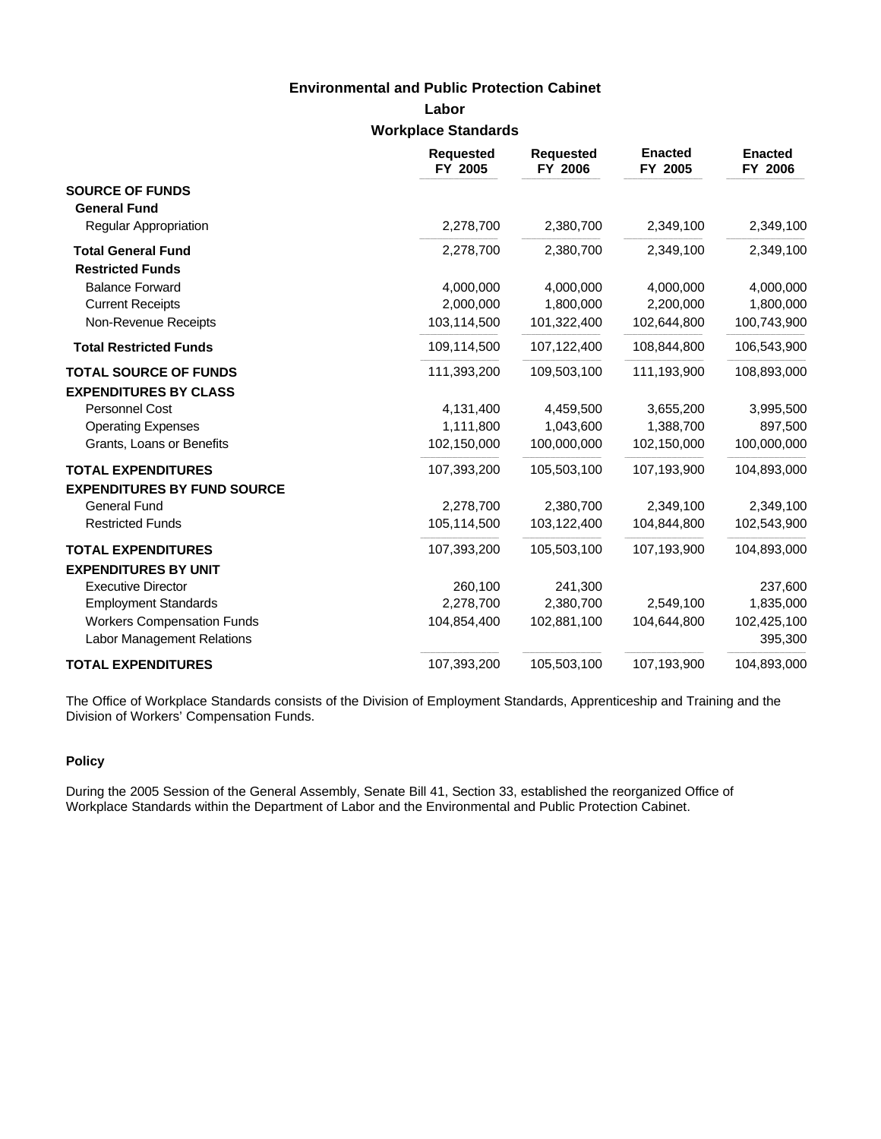# **Labor Workplace Standards**

|                                    | <b>Requested</b><br>FY 2005 | <b>Requested</b><br>FY 2006 | <b>Enacted</b><br>FY 2005 | <b>Enacted</b><br>FY 2006 |
|------------------------------------|-----------------------------|-----------------------------|---------------------------|---------------------------|
| <b>SOURCE OF FUNDS</b>             |                             |                             |                           |                           |
| <b>General Fund</b>                |                             |                             |                           |                           |
| Regular Appropriation              | 2,278,700                   | 2,380,700                   | 2,349,100                 | 2,349,100                 |
| <b>Total General Fund</b>          | 2,278,700                   | 2,380,700                   | 2,349,100                 | 2,349,100                 |
| <b>Restricted Funds</b>            |                             |                             |                           |                           |
| <b>Balance Forward</b>             | 4,000,000                   | 4,000,000                   | 4,000,000                 | 4,000,000                 |
| <b>Current Receipts</b>            | 2,000,000                   | 1,800,000                   | 2,200,000                 | 1,800,000                 |
| Non-Revenue Receipts               | 103,114,500                 | 101,322,400                 | 102,644,800               | 100,743,900               |
| <b>Total Restricted Funds</b>      | 109,114,500                 | 107,122,400                 | 108,844,800               | 106,543,900               |
| <b>TOTAL SOURCE OF FUNDS</b>       | 111,393,200                 | 109,503,100                 | 111,193,900               | 108,893,000               |
| <b>EXPENDITURES BY CLASS</b>       |                             |                             |                           |                           |
| Personnel Cost                     | 4,131,400                   | 4,459,500                   | 3,655,200                 | 3,995,500                 |
| <b>Operating Expenses</b>          | 1,111,800                   | 1,043,600                   | 1,388,700                 | 897,500                   |
| Grants, Loans or Benefits          | 102,150,000                 | 100,000,000                 | 102,150,000               | 100,000,000               |
| <b>TOTAL EXPENDITURES</b>          | 107,393,200                 | 105,503,100                 | 107,193,900               | 104,893,000               |
| <b>EXPENDITURES BY FUND SOURCE</b> |                             |                             |                           |                           |
| <b>General Fund</b>                | 2,278,700                   | 2,380,700                   | 2,349,100                 | 2,349,100                 |
| <b>Restricted Funds</b>            | 105,114,500                 | 103,122,400                 | 104,844,800               | 102,543,900               |
| <b>TOTAL EXPENDITURES</b>          | 107,393,200                 | 105,503,100                 | 107,193,900               | 104,893,000               |
| <b>EXPENDITURES BY UNIT</b>        |                             |                             |                           |                           |
| <b>Executive Director</b>          | 260,100                     | 241,300                     |                           | 237,600                   |
| <b>Employment Standards</b>        | 2,278,700                   | 2,380,700                   | 2,549,100                 | 1,835,000                 |
| <b>Workers Compensation Funds</b>  | 104,854,400                 | 102,881,100                 | 104,644,800               | 102,425,100               |
| <b>Labor Management Relations</b>  |                             |                             |                           | 395,300                   |
| <b>TOTAL EXPENDITURES</b>          | 107,393,200                 | 105,503,100                 | 107,193,900               | 104,893,000               |

The Office of Workplace Standards consists of the Division of Employment Standards, Apprenticeship and Training and the Division of Workers' Compensation Funds.

## **Policy**

During the 2005 Session of the General Assembly, Senate Bill 41, Section 33, established the reorganized Office of Workplace Standards within the Department of Labor and the Environmental and Public Protection Cabinet.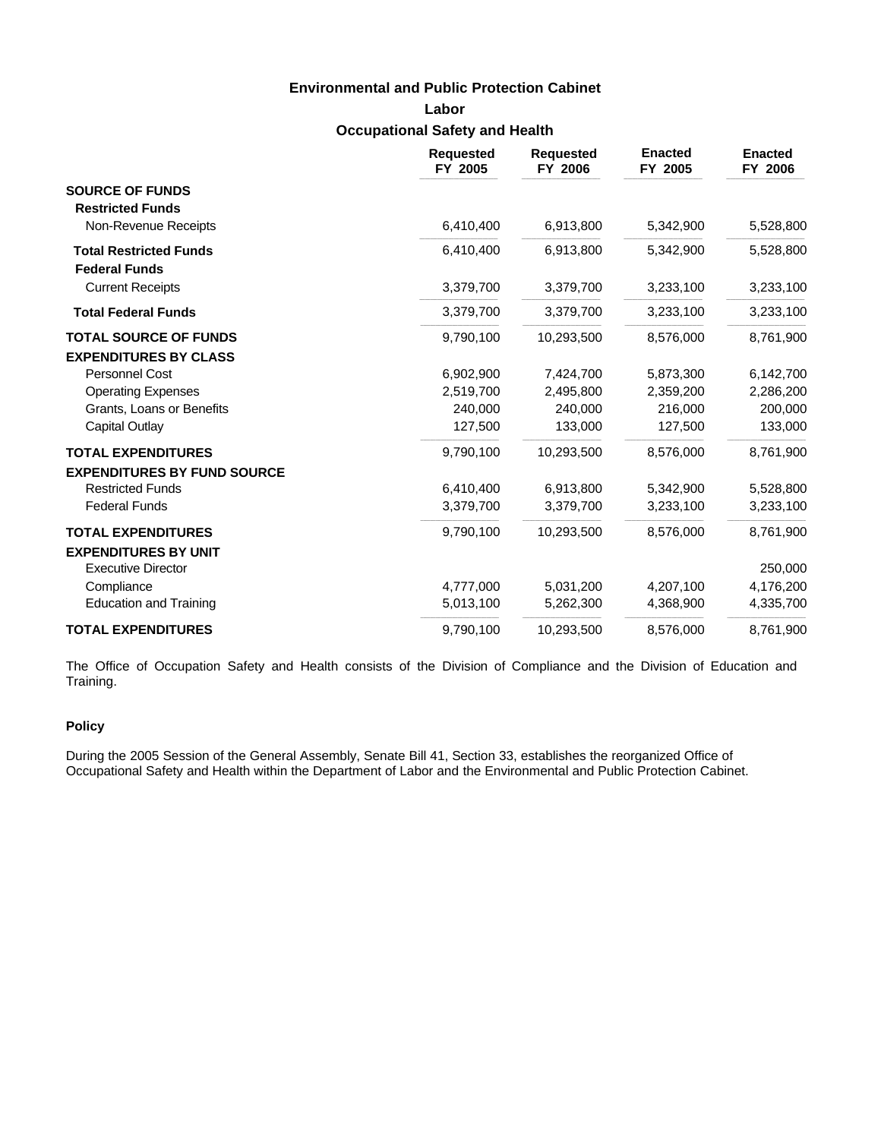# **Labor Occupational Safety and Health**

|                                                                 | <b>Requested</b><br>FY 2005 | <b>Requested</b><br>FY 2006 | <b>Enacted</b><br>FY 2005 | <b>Enacted</b><br>FY 2006 |
|-----------------------------------------------------------------|-----------------------------|-----------------------------|---------------------------|---------------------------|
| <b>SOURCE OF FUNDS</b><br><b>Restricted Funds</b>               |                             |                             |                           |                           |
| Non-Revenue Receipts                                            | 6,410,400                   | 6,913,800                   | 5,342,900                 | 5,528,800                 |
| <b>Total Restricted Funds</b><br><b>Federal Funds</b>           | 6,410,400                   | 6,913,800                   | 5,342,900                 | 5,528,800                 |
| <b>Current Receipts</b>                                         | 3,379,700                   | 3,379,700                   | 3,233,100                 | 3,233,100                 |
| <b>Total Federal Funds</b>                                      | 3,379,700                   | 3,379,700                   | 3,233,100                 | 3,233,100                 |
| <b>TOTAL SOURCE OF FUNDS</b><br><b>EXPENDITURES BY CLASS</b>    | 9,790,100                   | 10,293,500                  | 8,576,000                 | 8,761,900                 |
| Personnel Cost                                                  | 6,902,900                   | 7,424,700                   | 5,873,300                 | 6,142,700                 |
| <b>Operating Expenses</b>                                       | 2,519,700                   | 2,495,800                   | 2,359,200                 | 2,286,200                 |
| Grants, Loans or Benefits                                       | 240,000                     | 240,000                     | 216,000                   | 200,000                   |
| Capital Outlay                                                  | 127,500                     | 133,000                     | 127,500                   | 133,000                   |
| <b>TOTAL EXPENDITURES</b><br><b>EXPENDITURES BY FUND SOURCE</b> | 9,790,100                   | 10,293,500                  | 8,576,000                 | 8,761,900                 |
| <b>Restricted Funds</b>                                         | 6,410,400                   | 6,913,800                   | 5,342,900                 | 5,528,800                 |
| <b>Federal Funds</b>                                            | 3,379,700                   | 3,379,700                   | 3,233,100                 | 3,233,100                 |
| <b>TOTAL EXPENDITURES</b><br><b>EXPENDITURES BY UNIT</b>        | 9,790,100                   | 10,293,500                  | 8,576,000                 | 8,761,900                 |
| <b>Executive Director</b>                                       |                             |                             |                           | 250,000                   |
| Compliance                                                      | 4,777,000                   | 5,031,200                   | 4,207,100                 | 4,176,200                 |
| <b>Education and Training</b>                                   | 5,013,100                   | 5,262,300                   | 4,368,900                 | 4,335,700                 |
| <b>TOTAL EXPENDITURES</b>                                       | 9,790,100                   | 10,293,500                  | 8,576,000                 | 8,761,900                 |

The Office of Occupation Safety and Health consists of the Division of Compliance and the Division of Education and Training.

### **Policy**

During the 2005 Session of the General Assembly, Senate Bill 41, Section 33, establishes the reorganized Office of Occupational Safety and Health within the Department of Labor and the Environmental and Public Protection Cabinet.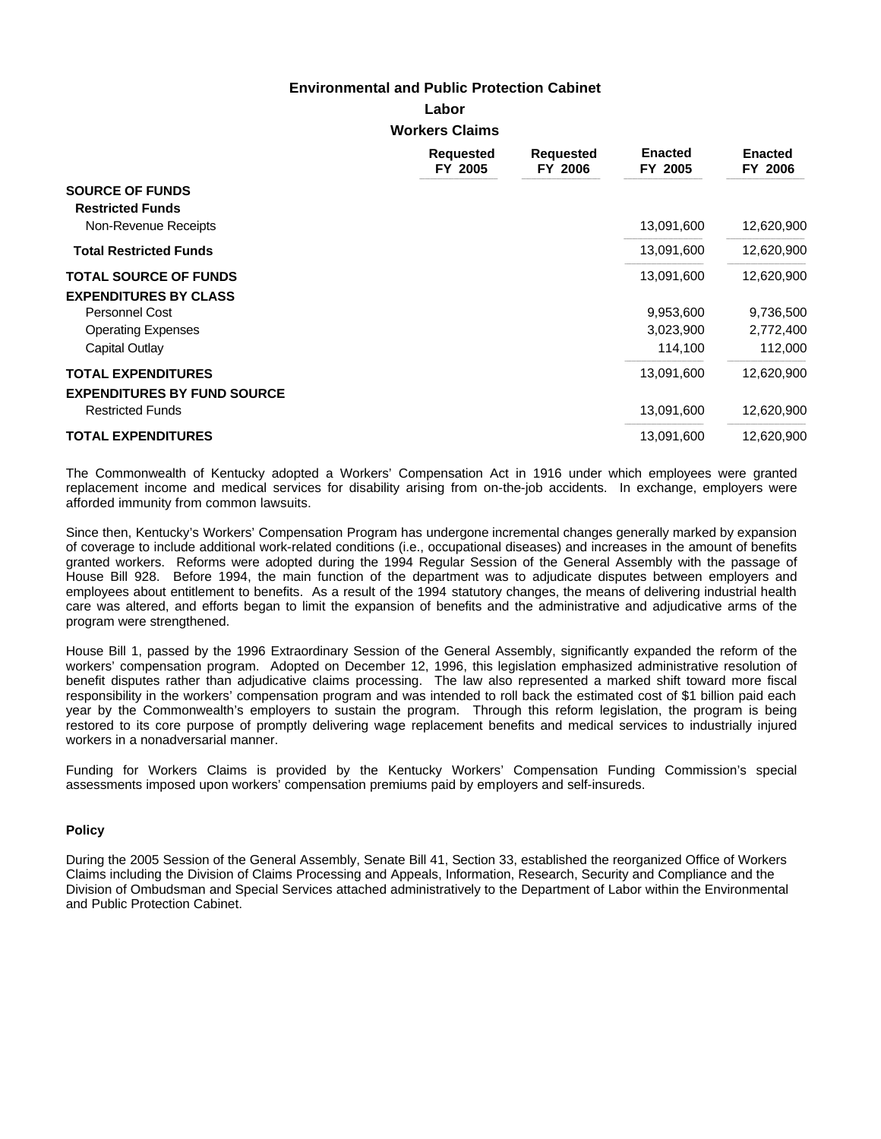**Labor**

**Workers Claims**

|                                                   | <b>Requested</b><br>FY 2005 | <b>Requested</b><br>FY 2006 | <b>Enacted</b><br>FY 2005 | <b>Enacted</b><br>FY 2006 |
|---------------------------------------------------|-----------------------------|-----------------------------|---------------------------|---------------------------|
| <b>SOURCE OF FUNDS</b><br><b>Restricted Funds</b> |                             |                             |                           |                           |
| Non-Revenue Receipts                              |                             |                             | 13,091,600                | 12,620,900                |
| <b>Total Restricted Funds</b>                     |                             |                             | 13,091,600                | 12,620,900                |
| <b>TOTAL SOURCE OF FUNDS</b>                      |                             |                             | 13,091,600                | 12,620,900                |
| <b>EXPENDITURES BY CLASS</b>                      |                             |                             |                           |                           |
| Personnel Cost                                    |                             |                             | 9,953,600                 | 9,736,500                 |
| <b>Operating Expenses</b>                         |                             |                             | 3,023,900                 | 2,772,400                 |
| Capital Outlay                                    |                             |                             | 114,100                   | 112,000                   |
| <b>TOTAL EXPENDITURES</b>                         |                             |                             | 13,091,600                | 12,620,900                |
| <b>EXPENDITURES BY FUND SOURCE</b>                |                             |                             |                           |                           |
| <b>Restricted Funds</b>                           |                             |                             | 13,091,600                | 12,620,900                |
| <b>TOTAL EXPENDITURES</b>                         |                             |                             | 13,091,600                | 12,620,900                |

The Commonwealth of Kentucky adopted a Workers' Compensation Act in 1916 under which employees were granted replacement income and medical services for disability arising from on-the-job accidents. In exchange, employers were afforded immunity from common lawsuits.

Since then, Kentucky's Workers' Compensation Program has undergone incremental changes generally marked by expansion of coverage to include additional work-related conditions (i.e., occupational diseases) and increases in the amount of benefits granted workers. Reforms were adopted during the 1994 Regular Session of the General Assembly with the passage of House Bill 928. Before 1994, the main function of the department was to adjudicate disputes between employers and employees about entitlement to benefits. As a result of the 1994 statutory changes, the means of delivering industrial health care was altered, and efforts began to limit the expansion of benefits and the administrative and adjudicative arms of the program were strengthened.

House Bill 1, passed by the 1996 Extraordinary Session of the General Assembly, significantly expanded the reform of the workers' compensation program. Adopted on December 12, 1996, this legislation emphasized administrative resolution of benefit disputes rather than adjudicative claims processing. The law also represented a marked shift toward more fiscal responsibility in the workers' compensation program and was intended to roll back the estimated cost of \$1 billion paid each year by the Commonwealth's employers to sustain the program. Through this reform legislation, the program is being restored to its core purpose of promptly delivering wage replacement benefits and medical services to industrially injured workers in a nonadversarial manner.

Funding for Workers Claims is provided by the Kentucky Workers' Compensation Funding Commission's special assessments imposed upon workers' compensation premiums paid by employers and self-insureds.

### **Policy**

During the 2005 Session of the General Assembly, Senate Bill 41, Section 33, established the reorganized Office of Workers Claims including the Division of Claims Processing and Appeals, Information, Research, Security and Compliance and the Division of Ombudsman and Special Services attached administratively to the Department of Labor within the Environmental and Public Protection Cabinet.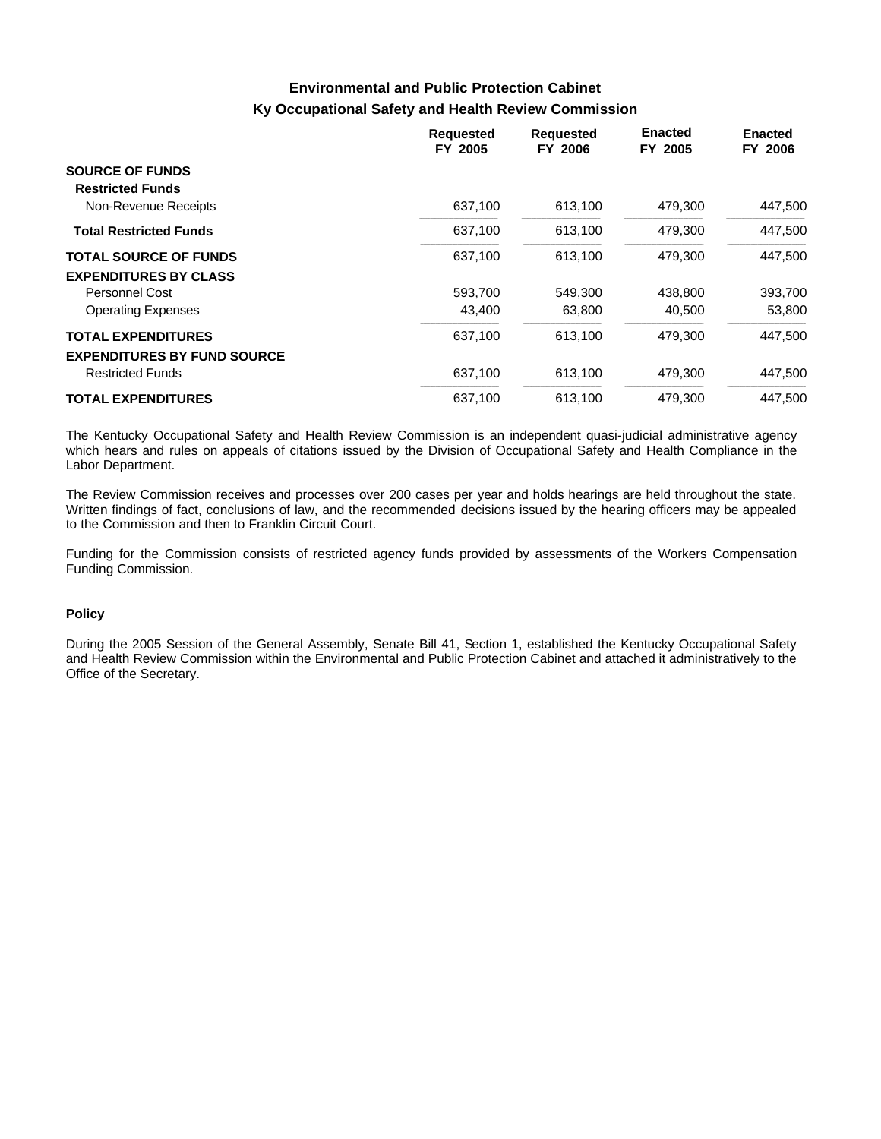# **Ky Occupational Safety and Health Review Commission Environmental and Public Protection Cabinet**

|                                    | <b>Requested</b><br>FY 2005 | <b>Requested</b><br>FY 2006 | <b>Enacted</b><br>FY 2005 | <b>Enacted</b><br>FY 2006 |
|------------------------------------|-----------------------------|-----------------------------|---------------------------|---------------------------|
| <b>SOURCE OF FUNDS</b>             |                             |                             |                           |                           |
| <b>Restricted Funds</b>            |                             |                             |                           |                           |
| Non-Revenue Receipts               | 637.100                     | 613,100                     | 479,300                   | 447,500                   |
| <b>Total Restricted Funds</b>      | 637,100                     | 613,100                     | 479,300                   | 447,500                   |
| <b>TOTAL SOURCE OF FUNDS</b>       | 637.100                     | 613,100                     | 479.300                   | 447.500                   |
| <b>EXPENDITURES BY CLASS</b>       |                             |                             |                           |                           |
| Personnel Cost                     | 593,700                     | 549,300                     | 438,800                   | 393,700                   |
| <b>Operating Expenses</b>          | 43,400                      | 63,800                      | 40,500                    | 53,800                    |
| <b>TOTAL EXPENDITURES</b>          | 637,100                     | 613,100                     | 479,300                   | 447.500                   |
| <b>EXPENDITURES BY FUND SOURCE</b> |                             |                             |                           |                           |
| <b>Restricted Funds</b>            | 637,100                     | 613,100                     | 479,300                   | 447.500                   |
| <b>TOTAL EXPENDITURES</b>          | 637,100                     | 613,100                     | 479,300                   | 447,500                   |

The Kentucky Occupational Safety and Health Review Commission is an independent quasi-judicial administrative agency which hears and rules on appeals of citations issued by the Division of Occupational Safety and Health Compliance in the Labor Department.

The Review Commission receives and processes over 200 cases per year and holds hearings are held throughout the state. Written findings of fact, conclusions of law, and the recommended decisions issued by the hearing officers may be appealed to the Commission and then to Franklin Circuit Court.

Funding for the Commission consists of restricted agency funds provided by assessments of the Workers Compensation Funding Commission.

#### **Policy**

During the 2005 Session of the General Assembly, Senate Bill 41, Section 1, established the Kentucky Occupational Safety and Health Review Commission within the Environmental and Public Protection Cabinet and attached it administratively to the Office of the Secretary.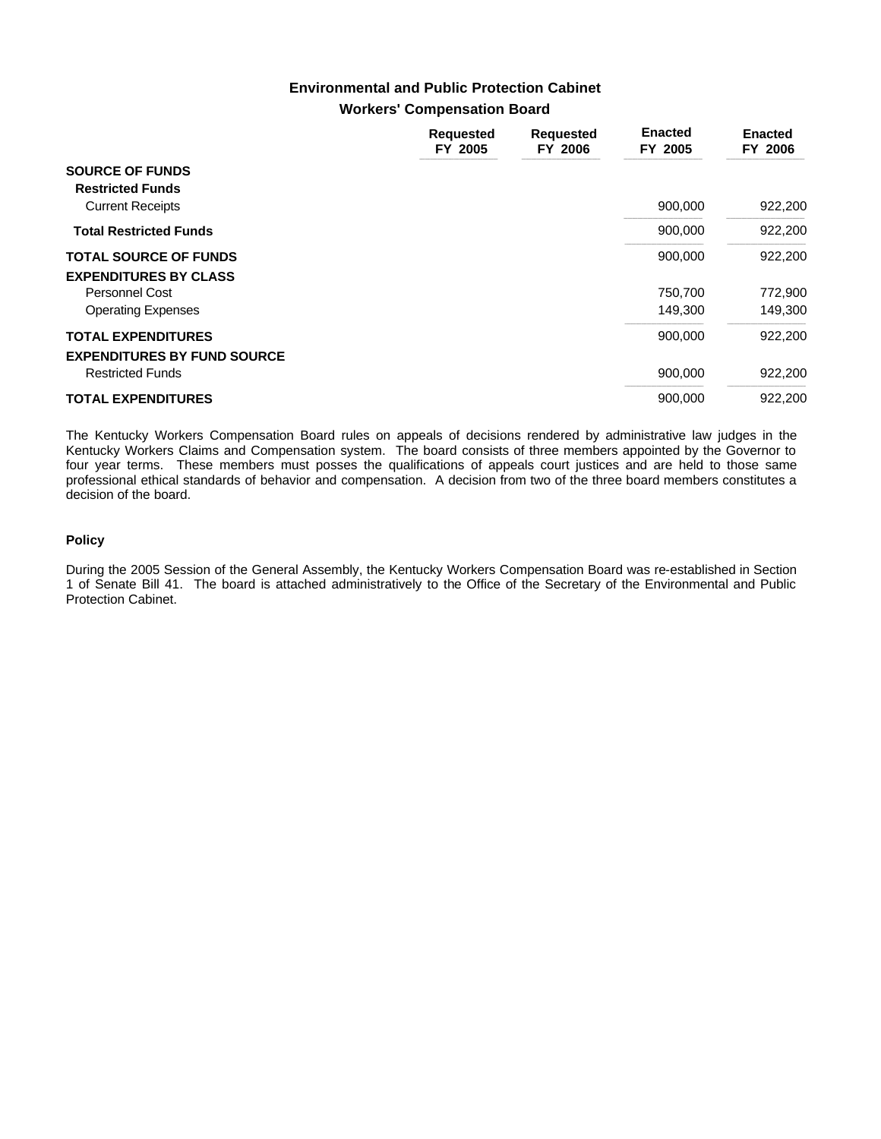## **Workers' Compensation Board Environmental and Public Protection Cabinet**

|                                                                 | <b>Requested</b><br>FY 2005 | <b>Requested</b><br>FY 2006 | <b>Enacted</b><br>FY 2005 | <b>Enacted</b><br>FY 2006 |
|-----------------------------------------------------------------|-----------------------------|-----------------------------|---------------------------|---------------------------|
| <b>SOURCE OF FUNDS</b><br><b>Restricted Funds</b>               |                             |                             |                           |                           |
| <b>Current Receipts</b>                                         |                             |                             | 900,000                   | 922,200                   |
| <b>Total Restricted Funds</b>                                   |                             |                             | 900,000                   | 922,200                   |
| <b>TOTAL SOURCE OF FUNDS</b>                                    |                             |                             | 900,000                   | 922,200                   |
| <b>EXPENDITURES BY CLASS</b>                                    |                             |                             |                           |                           |
| Personnel Cost                                                  |                             |                             | 750,700                   | 772,900                   |
| <b>Operating Expenses</b>                                       |                             |                             | 149,300                   | 149,300                   |
| <b>TOTAL EXPENDITURES</b><br><b>EXPENDITURES BY FUND SOURCE</b> |                             |                             | 900,000                   | 922,200                   |
| <b>Restricted Funds</b>                                         |                             |                             | 900,000                   | 922,200                   |
| <b>TOTAL EXPENDITURES</b>                                       |                             |                             | 900,000                   | 922,200                   |

The Kentucky Workers Compensation Board rules on appeals of decisions rendered by administrative law judges in the Kentucky Workers Claims and Compensation system. The board consists of three members appointed by the Governor to four year terms. These members must posses the qualifications of appeals court justices and are held to those same professional ethical standards of behavior and compensation. A decision from two of the three board members constitutes a decision of the board.

### **Policy**

During the 2005 Session of the General Assembly, the Kentucky Workers Compensation Board was re-established in Section 1 of Senate Bill 41. The board is attached administratively to the Office of the Secretary of the Environmental and Public Protection Cabinet.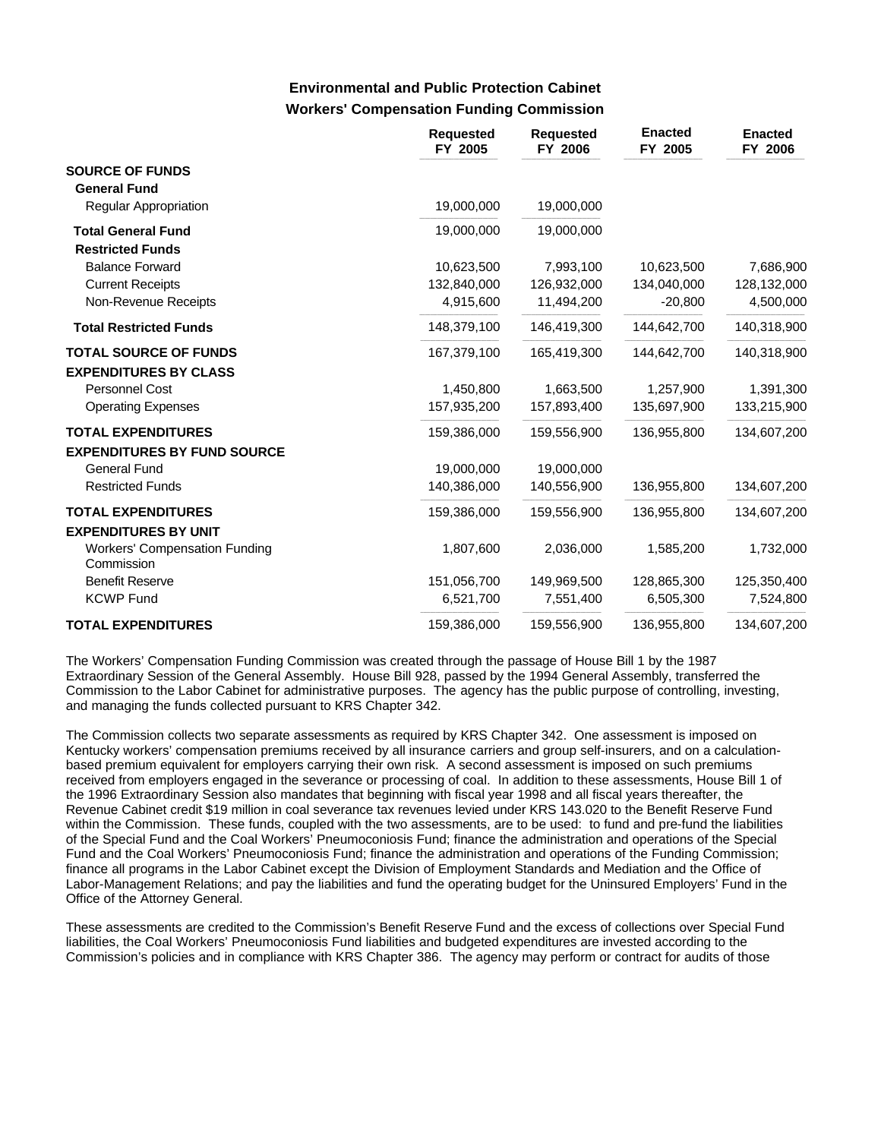## **Workers' Compensation Funding Commission Environmental and Public Protection Cabinet**

|                                                    | <b>Requested</b><br>FY 2005 | <b>Requested</b><br>FY 2006 | <b>Enacted</b><br>FY 2005 | <b>Enacted</b><br>FY 2006 |
|----------------------------------------------------|-----------------------------|-----------------------------|---------------------------|---------------------------|
| <b>SOURCE OF FUNDS</b>                             |                             |                             |                           |                           |
| <b>General Fund</b>                                |                             |                             |                           |                           |
| Regular Appropriation                              | 19,000,000                  | 19,000,000                  |                           |                           |
| <b>Total General Fund</b>                          | 19,000,000                  | 19,000,000                  |                           |                           |
| <b>Restricted Funds</b>                            |                             |                             |                           |                           |
| <b>Balance Forward</b>                             | 10,623,500                  | 7,993,100                   | 10,623,500                | 7,686,900                 |
| <b>Current Receipts</b>                            | 132,840,000                 | 126,932,000                 | 134,040,000               | 128,132,000               |
| Non-Revenue Receipts                               | 4,915,600                   | 11,494,200                  | $-20,800$                 | 4,500,000                 |
| <b>Total Restricted Funds</b>                      | 148,379,100                 | 146,419,300                 | 144,642,700               | 140,318,900               |
| <b>TOTAL SOURCE OF FUNDS</b>                       | 167,379,100                 | 165,419,300                 | 144,642,700               | 140,318,900               |
| <b>EXPENDITURES BY CLASS</b>                       |                             |                             |                           |                           |
| Personnel Cost                                     | 1,450,800                   | 1,663,500                   | 1,257,900                 | 1,391,300                 |
| <b>Operating Expenses</b>                          | 157,935,200                 | 157,893,400                 | 135,697,900               | 133,215,900               |
| <b>TOTAL EXPENDITURES</b>                          | 159,386,000                 | 159,556,900                 | 136,955,800               | 134,607,200               |
| <b>EXPENDITURES BY FUND SOURCE</b>                 |                             |                             |                           |                           |
| General Fund                                       | 19,000,000                  | 19,000,000                  |                           |                           |
| <b>Restricted Funds</b>                            | 140,386,000                 | 140,556,900                 | 136,955,800               | 134,607,200               |
| <b>TOTAL EXPENDITURES</b>                          | 159,386,000                 | 159,556,900                 | 136,955,800               | 134,607,200               |
| <b>EXPENDITURES BY UNIT</b>                        |                             |                             |                           |                           |
| <b>Workers' Compensation Funding</b><br>Commission | 1,807,600                   | 2,036,000                   | 1,585,200                 | 1,732,000                 |
| <b>Benefit Reserve</b>                             | 151,056,700                 | 149,969,500                 | 128,865,300               | 125,350,400               |
| <b>KCWP Fund</b>                                   | 6,521,700                   | 7,551,400                   | 6,505,300                 | 7,524,800                 |
| <b>TOTAL EXPENDITURES</b>                          | 159,386,000                 | 159,556,900                 | 136,955,800               | 134,607,200               |

The Workers' Compensation Funding Commission was created through the passage of House Bill 1 by the 1987 Extraordinary Session of the General Assembly. House Bill 928, passed by the 1994 General Assembly, transferred the Commission to the Labor Cabinet for administrative purposes. The agency has the public purpose of controlling, investing, and managing the funds collected pursuant to KRS Chapter 342.

The Commission collects two separate assessments as required by KRS Chapter 342. One assessment is imposed on Kentucky workers' compensation premiums received by all insurance carriers and group self-insurers, and on a calculationbased premium equivalent for employers carrying their own risk. A second assessment is imposed on such premiums received from employers engaged in the severance or processing of coal. In addition to these assessments, House Bill 1 of the 1996 Extraordinary Session also mandates that beginning with fiscal year 1998 and all fiscal years thereafter, the Revenue Cabinet credit \$19 million in coal severance tax revenues levied under KRS 143.020 to the Benefit Reserve Fund within the Commission. These funds, coupled with the two assessments, are to be used: to fund and pre-fund the liabilities of the Special Fund and the Coal Workers' Pneumoconiosis Fund; finance the administration and operations of the Special Fund and the Coal Workers' Pneumoconiosis Fund; finance the administration and operations of the Funding Commission; finance all programs in the Labor Cabinet except the Division of Employment Standards and Mediation and the Office of Labor-Management Relations; and pay the liabilities and fund the operating budget for the Uninsured Employers' Fund in the Office of the Attorney General.

These assessments are credited to the Commission's Benefit Reserve Fund and the excess of collections over Special Fund liabilities, the Coal Workers' Pneumoconiosis Fund liabilities and budgeted expenditures are invested according to the Commission's policies and in compliance with KRS Chapter 386. The agency may perform or contract for audits of those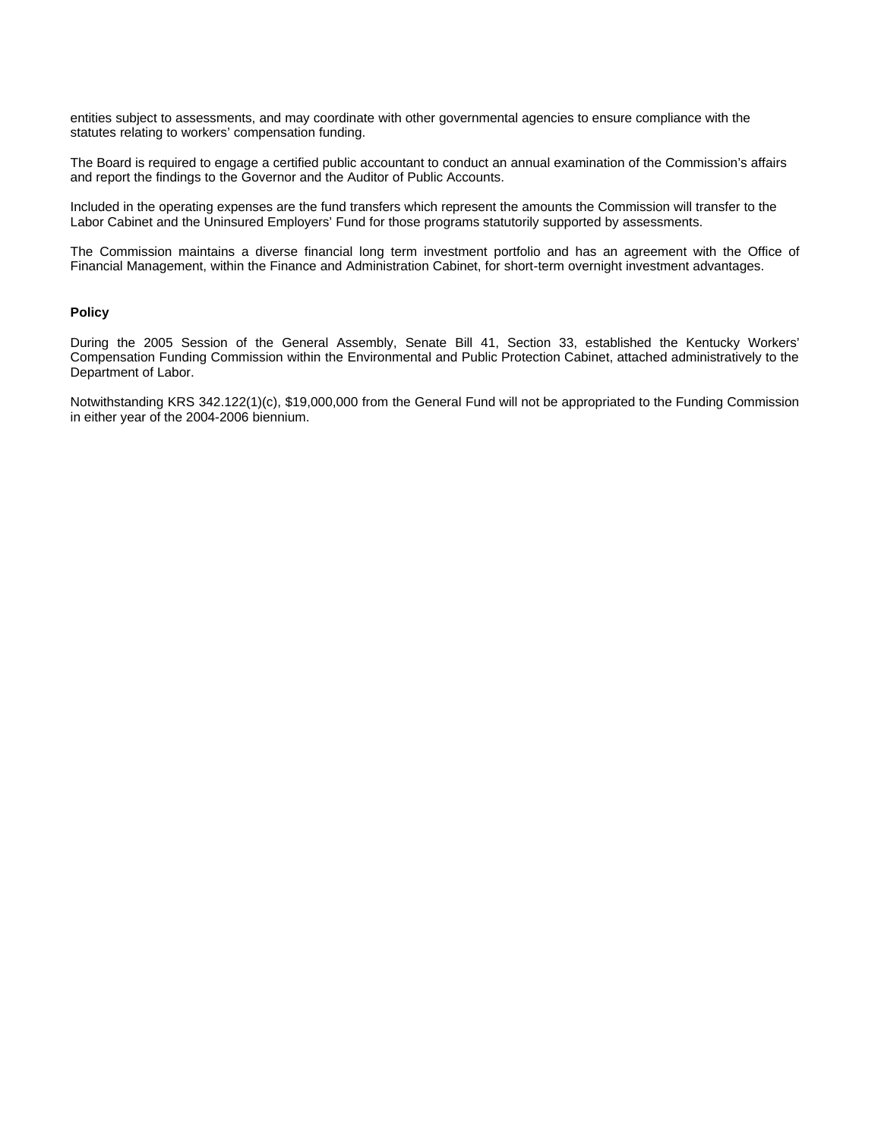entities subject to assessments, and may coordinate with other governmental agencies to ensure compliance with the statutes relating to workers' compensation funding.

The Board is required to engage a certified public accountant to conduct an annual examination of the Commission's affairs and report the findings to the Governor and the Auditor of Public Accounts.

Included in the operating expenses are the fund transfers which represent the amounts the Commission will transfer to the Labor Cabinet and the Uninsured Employers' Fund for those programs statutorily supported by assessments.

The Commission maintains a diverse financial long term investment portfolio and has an agreement with the Office of Financial Management, within the Finance and Administration Cabinet, for short-term overnight investment advantages.

#### **Policy**

During the 2005 Session of the General Assembly, Senate Bill 41, Section 33, established the Kentucky Workers' Compensation Funding Commission within the Environmental and Public Protection Cabinet, attached administratively to the Department of Labor.

Notwithstanding KRS 342.122(1)(c), \$19,000,000 from the General Fund will not be appropriated to the Funding Commission in either year of the 2004-2006 biennium.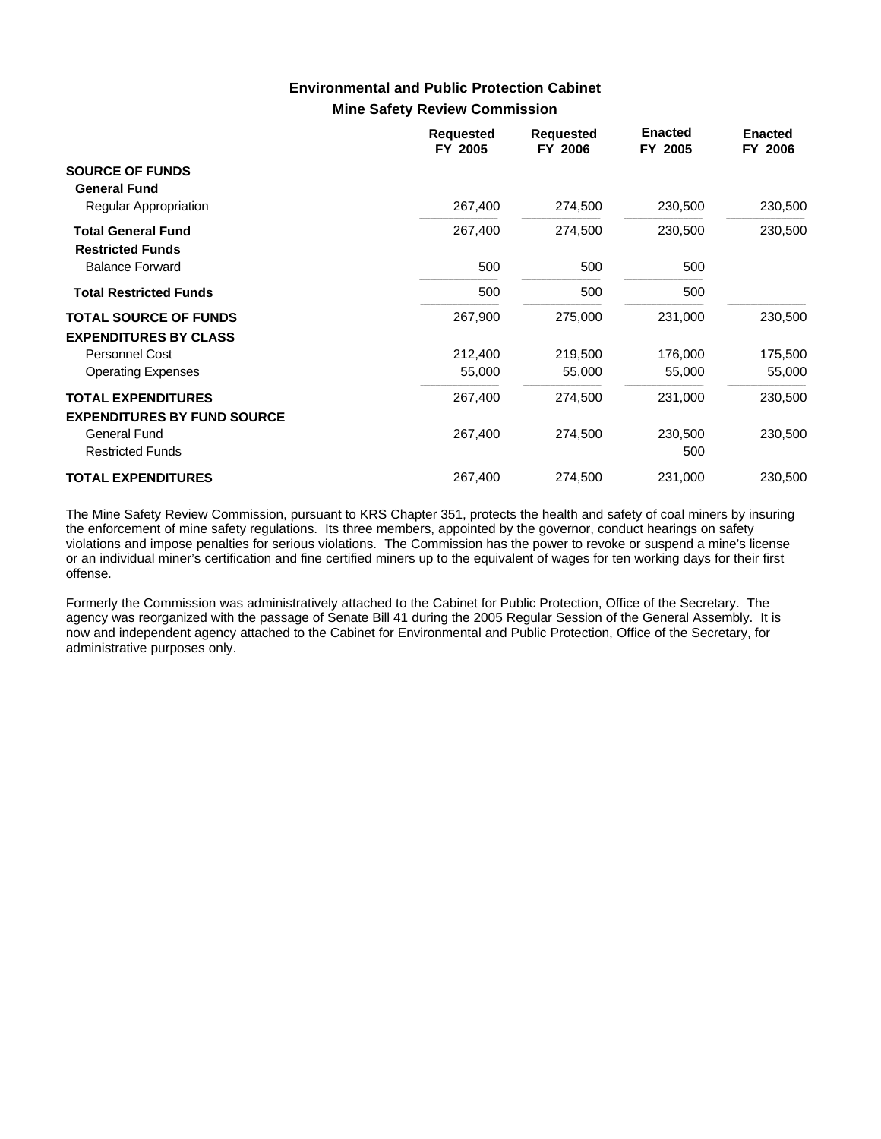## **Mine Safety Review Commission Environmental and Public Protection Cabinet**

|                                                      | <b>Requested</b><br>FY 2005 | <b>Requested</b><br>FY 2006 | <b>Enacted</b><br>FY 2005 | <b>Enacted</b><br>FY 2006 |
|------------------------------------------------------|-----------------------------|-----------------------------|---------------------------|---------------------------|
| <b>SOURCE OF FUNDS</b><br><b>General Fund</b>        |                             |                             |                           |                           |
| Regular Appropriation                                | 267,400                     | 274,500                     | 230,500                   | 230,500                   |
| <b>Total General Fund</b><br><b>Restricted Funds</b> | 267,400                     | 274,500                     | 230,500                   | 230,500                   |
| <b>Balance Forward</b>                               | 500                         | 500                         | 500                       |                           |
| <b>Total Restricted Funds</b>                        | 500                         | 500                         | 500                       |                           |
| <b>TOTAL SOURCE OF FUNDS</b>                         | 267,900                     | 275,000                     | 231,000                   | 230,500                   |
| <b>EXPENDITURES BY CLASS</b>                         |                             |                             |                           |                           |
| <b>Personnel Cost</b>                                | 212,400                     | 219,500                     | 176,000                   | 175,500                   |
| <b>Operating Expenses</b>                            | 55,000                      | 55,000                      | 55,000                    | 55,000                    |
| <b>TOTAL EXPENDITURES</b>                            | 267,400                     | 274,500                     | 231,000                   | 230,500                   |
| <b>EXPENDITURES BY FUND SOURCE</b>                   |                             |                             |                           |                           |
| General Fund<br><b>Restricted Funds</b>              | 267,400                     | 274,500                     | 230,500<br>500            | 230,500                   |
| <b>TOTAL EXPENDITURES</b>                            | 267,400                     | 274,500                     | 231,000                   | 230,500                   |

The Mine Safety Review Commission, pursuant to KRS Chapter 351, protects the health and safety of coal miners by insuring the enforcement of mine safety regulations. Its three members, appointed by the governor, conduct hearings on safety violations and impose penalties for serious violations. The Commission has the power to revoke or suspend a mine's license or an individual miner's certification and fine certified miners up to the equivalent of wages for ten working days for their first offense.

Formerly the Commission was administratively attached to the Cabinet for Public Protection, Office of the Secretary. The agency was reorganized with the passage of Senate Bill 41 during the 2005 Regular Session of the General Assembly. It is now and independent agency attached to the Cabinet for Environmental and Public Protection, Office of the Secretary, for administrative purposes only.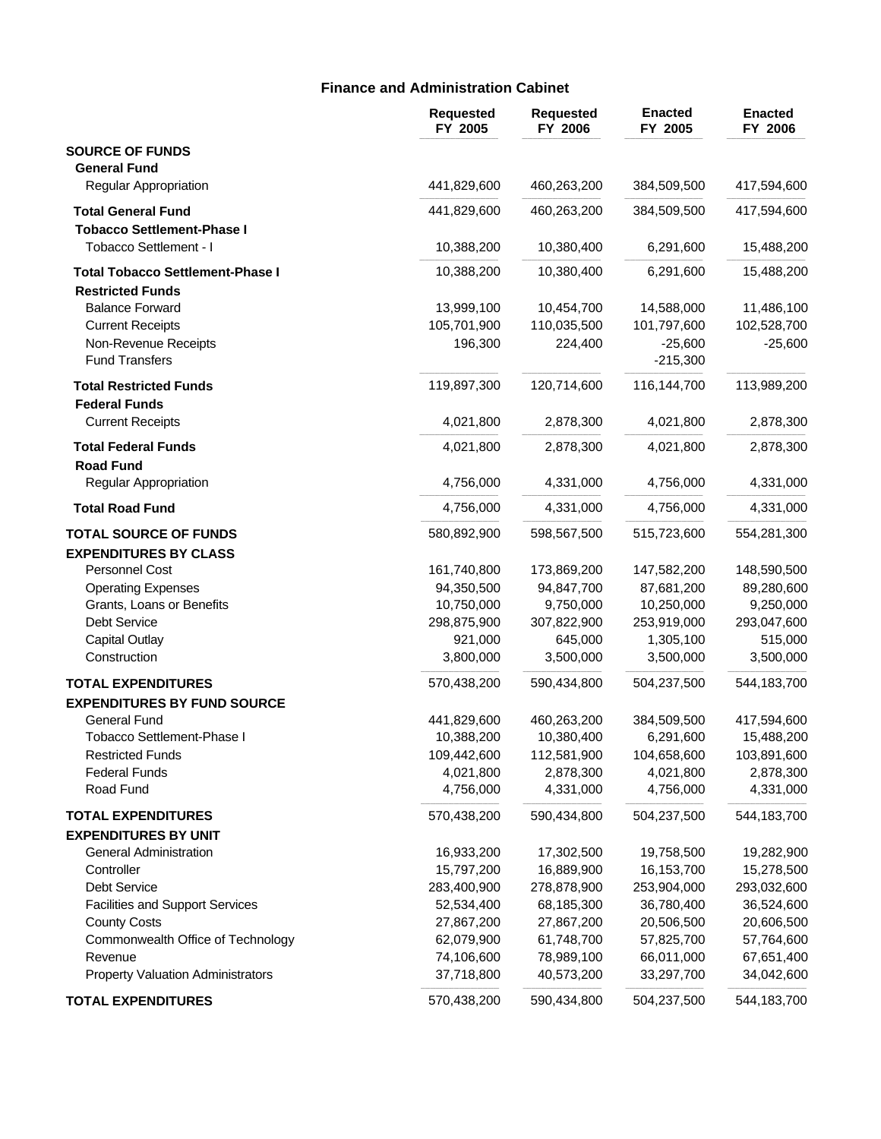# **Finance and Administration Cabinet**

|                                                     | <b>Requested</b><br>FY 2005 | <b>Requested</b><br>FY 2006 | <b>Enacted</b><br>FY 2005 | <b>Enacted</b><br>FY 2006 |
|-----------------------------------------------------|-----------------------------|-----------------------------|---------------------------|---------------------------|
| <b>SOURCE OF FUNDS</b><br><b>General Fund</b>       |                             |                             |                           |                           |
| Regular Appropriation                               | 441,829,600                 | 460,263,200                 | 384,509,500               | 417,594,600               |
| <b>Total General Fund</b>                           | 441,829,600                 | 460,263,200                 | 384,509,500               | 417,594,600               |
| <b>Tobacco Settlement-Phase I</b>                   |                             |                             |                           |                           |
| Tobacco Settlement - I                              | 10,388,200                  | 10,380,400                  | 6,291,600                 | 15,488,200                |
| <b>Total Tobacco Settlement-Phase I</b>             | 10,388,200                  | 10,380,400                  | 6,291,600                 | 15,488,200                |
| <b>Restricted Funds</b>                             |                             |                             |                           |                           |
| <b>Balance Forward</b>                              | 13,999,100                  | 10,454,700                  | 14,588,000                | 11,486,100                |
| <b>Current Receipts</b>                             | 105,701,900                 | 110,035,500                 | 101,797,600               | 102,528,700               |
| Non-Revenue Receipts                                | 196,300                     | 224,400                     | $-25,600$                 | $-25,600$                 |
| <b>Fund Transfers</b>                               |                             |                             | $-215,300$                |                           |
| <b>Total Restricted Funds</b>                       | 119,897,300                 | 120,714,600                 | 116,144,700               | 113,989,200               |
| <b>Federal Funds</b>                                |                             |                             |                           |                           |
| <b>Current Receipts</b>                             | 4,021,800                   | 2,878,300                   | 4,021,800                 | 2,878,300                 |
| <b>Total Federal Funds</b><br><b>Road Fund</b>      | 4,021,800                   | 2,878,300                   | 4,021,800                 | 2,878,300                 |
| Regular Appropriation                               | 4,756,000                   | 4,331,000                   | 4,756,000                 | 4,331,000                 |
| <b>Total Road Fund</b>                              | 4,756,000                   | 4,331,000                   | 4,756,000                 | 4,331,000                 |
| <b>TOTAL SOURCE OF FUNDS</b>                        | 580,892,900                 | 598,567,500                 | 515,723,600               | 554,281,300               |
| <b>EXPENDITURES BY CLASS</b>                        |                             |                             |                           |                           |
| Personnel Cost                                      | 161,740,800                 | 173,869,200                 | 147,582,200               | 148,590,500               |
| <b>Operating Expenses</b>                           | 94,350,500                  | 94,847,700                  | 87,681,200                | 89,280,600                |
| Grants, Loans or Benefits                           | 10,750,000                  | 9,750,000                   | 10,250,000                | 9,250,000                 |
| Debt Service                                        | 298,875,900                 | 307,822,900                 | 253,919,000               | 293,047,600               |
| <b>Capital Outlay</b>                               | 921,000                     | 645,000                     | 1,305,100                 | 515,000                   |
| Construction                                        | 3,800,000                   | 3,500,000                   | 3,500,000                 | 3,500,000                 |
| <b>TOTAL EXPENDITURES</b>                           | 570,438,200                 | 590,434,800                 | 504,237,500               | 544,183,700               |
| <b>EXPENDITURES BY FUND SOURCE</b>                  |                             |                             |                           |                           |
| General Fund                                        | 441,829,600                 | 460,263,200                 | 384,509,500               | 417,594,600               |
| Tobacco Settlement-Phase I                          | 10,388,200                  | 10,380,400                  | 6,291,600                 | 15,488,200                |
| <b>Restricted Funds</b>                             | 109,442,600                 | 112,581,900                 | 104,658,600               | 103,891,600               |
| <b>Federal Funds</b>                                | 4,021,800                   | 2,878,300                   | 4,021,800                 | 2,878,300                 |
| Road Fund                                           | 4,756,000                   | 4,331,000                   | 4,756,000                 | 4,331,000                 |
| <b>TOTAL EXPENDITURES</b>                           | 570,438,200                 | 590,434,800                 | 504,237,500               | 544,183,700               |
| <b>EXPENDITURES BY UNIT</b>                         |                             |                             |                           |                           |
| General Administration                              | 16,933,200                  | 17,302,500                  | 19,758,500                | 19,282,900                |
| Controller                                          | 15,797,200                  | 16,889,900                  | 16,153,700                | 15,278,500                |
| <b>Debt Service</b>                                 | 283,400,900                 | 278,878,900                 | 253,904,000               | 293,032,600               |
| <b>Facilities and Support Services</b>              | 52,534,400                  | 68,185,300                  | 36,780,400                | 36,524,600                |
| <b>County Costs</b>                                 | 27,867,200                  | 27,867,200                  | 20,506,500                | 20,606,500                |
| Commonwealth Office of Technology                   | 62,079,900                  | 61,748,700                  | 57,825,700                | 57,764,600                |
| Revenue<br><b>Property Valuation Administrators</b> | 74,106,600<br>37,718,800    | 78,989,100<br>40,573,200    | 66,011,000<br>33,297,700  | 67,651,400<br>34,042,600  |
|                                                     |                             |                             |                           |                           |
| <b>TOTAL EXPENDITURES</b>                           | 570,438,200                 | 590,434,800                 | 504,237,500               | 544,183,700               |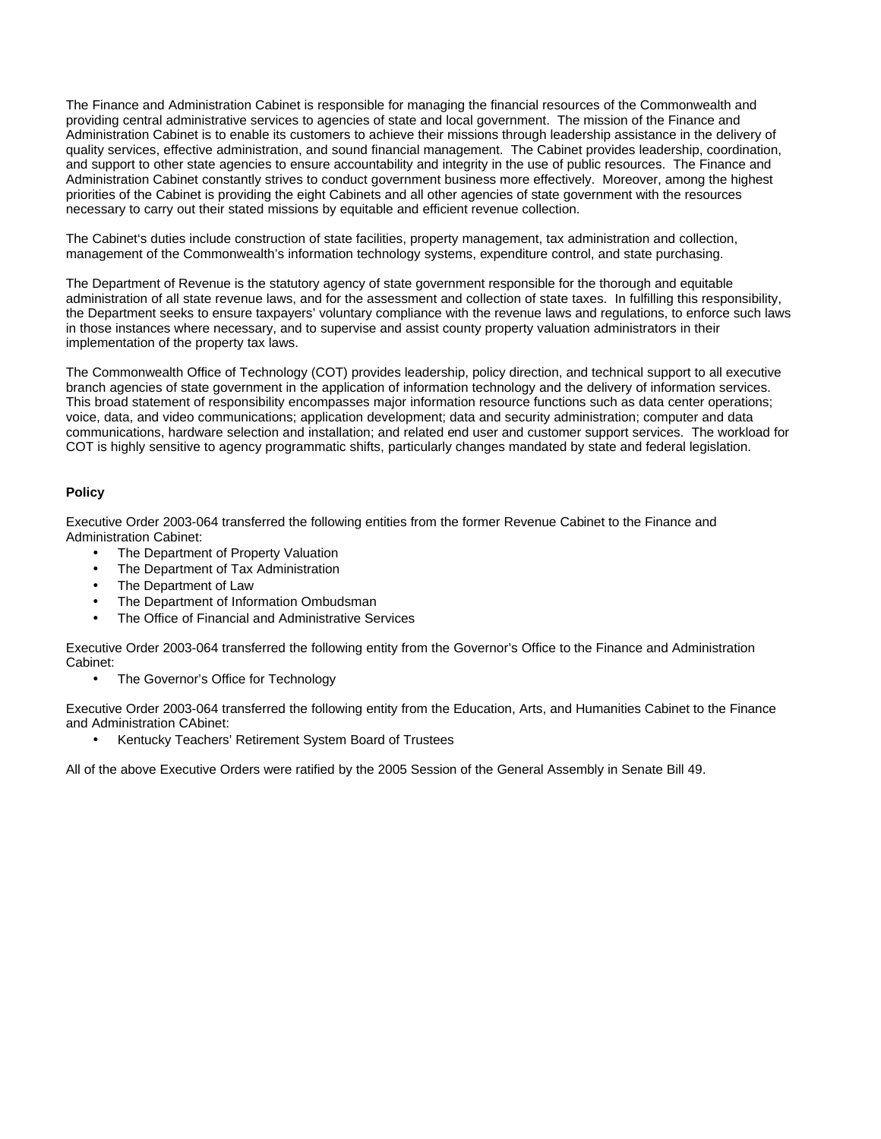The Finance and Administration Cabinet is responsible for managing the financial resources of the Commonwealth and providing central administrative services to agencies of state and local government. The mission of the Finance and Administration Cabinet is to enable its customers to achieve their missions through leadership assistance in the delivery of quality services, effective administration, and sound financial management. The Cabinet provides leadership, coordination, and support to other state agencies to ensure accountability and integrity in the use of public resources. The Finance and Administration Cabinet constantly strives to conduct government business more effectively. Moreover, among the highest priorities of the Cabinet is providing the eight Cabinets and all other agencies of state government with the resources necessary to carry out their stated missions by equitable and efficient revenue collection.

The Cabinet's duties include construction of state facilities, property management, tax administration and collection, management of the Commonwealth's information technology systems, expenditure control, and state purchasing.

The Department of Revenue is the statutory agency of state government responsible for the thorough and equitable administration of all state revenue laws, and for the assessment and collection of state taxes. In fulfilling this responsibility, the Department seeks to ensure taxpayers' voluntary compliance with the revenue laws and regulations, to enforce such laws in those instances where necessary, and to supervise and assist county property valuation administrators in their implementation of the property tax laws.

The Commonwealth Office of Technology (COT) provides leadership, policy direction, and technical support to all executive branch agencies of state government in the application of information technology and the delivery of information services. This broad statement of responsibility encompasses major information resource functions such as data center operations; voice, data, and video communications; application development; data and security administration; computer and data communications, hardware selection and installation; and related end user and customer support services. The workload for COT is highly sensitive to agency programmatic shifts, particularly changes mandated by state and federal legislation.

### **Policy**

Executive Order 2003-064 transferred the following entities from the former Revenue Cabinet to the Finance and Administration Cabinet:

- The Department of Property Valuation
- The Department of Tax Administration
- The Department of Law
- The Department of Information Ombudsman
- The Office of Financial and Administrative Services

Executive Order 2003-064 transferred the following entity from the Governor's Office to the Finance and Administration Cabinet:

• The Governor's Office for Technology

Executive Order 2003-064 transferred the following entity from the Education, Arts, and Humanities Cabinet to the Finance and Administration CAbinet:

• Kentucky Teachers' Retirement System Board of Trustees

All of the above Executive Orders were ratified by the 2005 Session of the General Assembly in Senate Bill 49.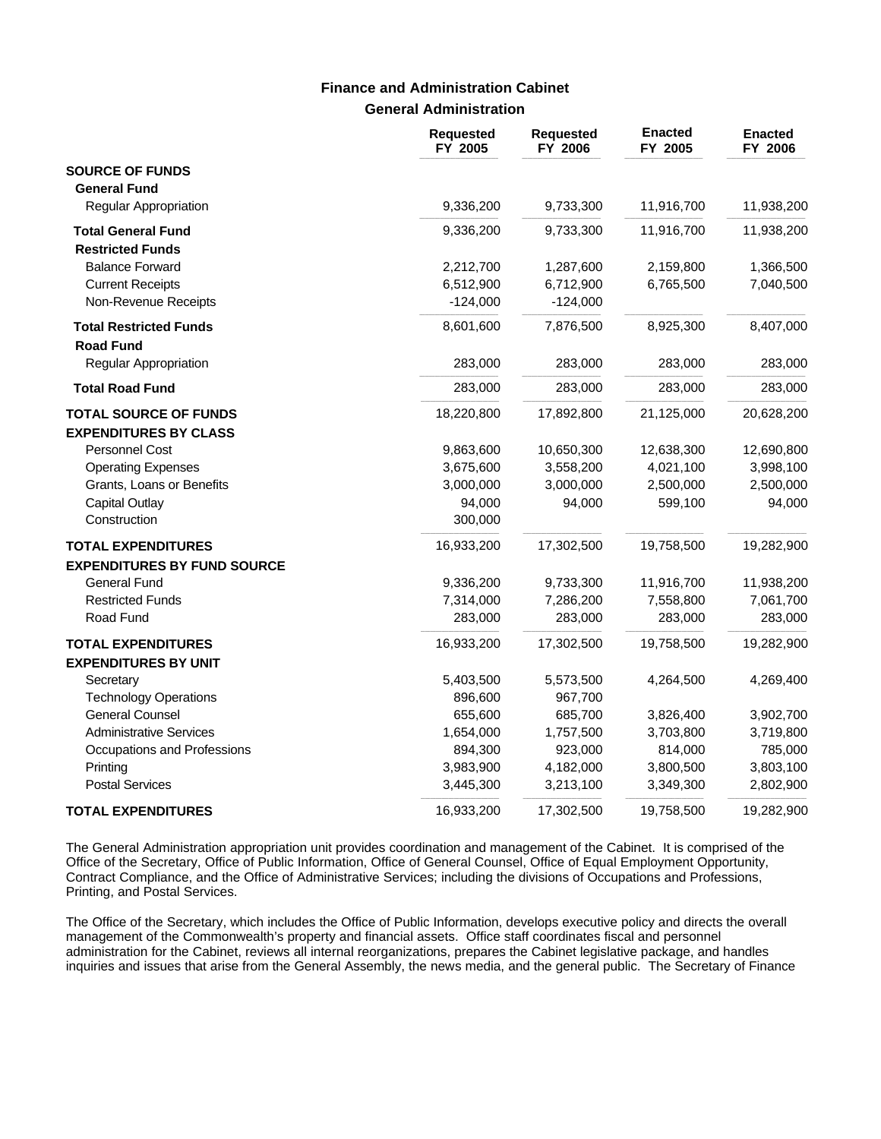# **General Administration Finance and Administration Cabinet**

|                                                   | <b>Requested</b><br>FY 2005 | <b>Requested</b><br>FY 2006 | <b>Enacted</b><br>FY 2005 | <b>Enacted</b><br>FY 2006 |
|---------------------------------------------------|-----------------------------|-----------------------------|---------------------------|---------------------------|
| <b>SOURCE OF FUNDS</b>                            |                             |                             |                           |                           |
| <b>General Fund</b>                               |                             |                             |                           |                           |
| Regular Appropriation                             | 9,336,200                   | 9,733,300                   | 11,916,700                | 11,938,200                |
| <b>Total General Fund</b>                         | 9,336,200                   | 9,733,300                   | 11,916,700                | 11,938,200                |
| <b>Restricted Funds</b>                           |                             |                             |                           |                           |
| <b>Balance Forward</b>                            | 2,212,700                   | 1,287,600                   | 2,159,800                 | 1,366,500                 |
| <b>Current Receipts</b>                           | 6,512,900                   | 6,712,900                   | 6,765,500                 | 7,040,500                 |
| Non-Revenue Receipts                              | $-124,000$                  | $-124,000$                  |                           |                           |
| <b>Total Restricted Funds</b><br><b>Road Fund</b> | 8,601,600                   | 7,876,500                   | 8,925,300                 | 8,407,000                 |
| Regular Appropriation                             | 283,000                     | 283,000                     | 283,000                   | 283,000                   |
| <b>Total Road Fund</b>                            | 283,000                     | 283,000                     | 283,000                   | 283,000                   |
| <b>TOTAL SOURCE OF FUNDS</b>                      | 18,220,800                  | 17,892,800                  | 21,125,000                | 20,628,200                |
| <b>EXPENDITURES BY CLASS</b>                      |                             |                             |                           |                           |
| Personnel Cost                                    | 9,863,600                   | 10,650,300                  | 12,638,300                | 12,690,800                |
| <b>Operating Expenses</b>                         | 3,675,600                   | 3,558,200                   | 4,021,100                 | 3,998,100                 |
| Grants, Loans or Benefits                         | 3,000,000                   | 3,000,000                   | 2,500,000                 | 2,500,000                 |
| <b>Capital Outlay</b>                             | 94,000                      | 94,000                      | 599,100                   | 94,000                    |
| Construction                                      | 300,000                     |                             |                           |                           |
| <b>TOTAL EXPENDITURES</b>                         | 16,933,200                  | 17,302,500                  | 19,758,500                | 19,282,900                |
| <b>EXPENDITURES BY FUND SOURCE</b>                |                             |                             |                           |                           |
| General Fund                                      | 9,336,200                   | 9,733,300                   | 11,916,700                | 11,938,200                |
| <b>Restricted Funds</b>                           | 7,314,000                   | 7,286,200                   | 7,558,800                 | 7,061,700                 |
| Road Fund                                         | 283,000                     | 283,000                     | 283,000                   | 283,000                   |
| <b>TOTAL EXPENDITURES</b>                         | 16,933,200                  | 17,302,500                  | 19,758,500                | 19,282,900                |
| <b>EXPENDITURES BY UNIT</b>                       |                             |                             |                           |                           |
| Secretary                                         | 5,403,500                   | 5,573,500                   | 4,264,500                 | 4,269,400                 |
| <b>Technology Operations</b>                      | 896,600                     | 967,700                     |                           |                           |
| <b>General Counsel</b>                            | 655,600                     | 685,700                     | 3,826,400                 | 3,902,700                 |
| <b>Administrative Services</b>                    | 1,654,000                   | 1,757,500                   | 3,703,800                 | 3,719,800                 |
| Occupations and Professions                       | 894,300                     | 923,000                     | 814,000                   | 785,000                   |
| Printing                                          | 3,983,900                   | 4,182,000                   | 3,800,500                 | 3,803,100                 |
| <b>Postal Services</b>                            | 3,445,300                   | 3,213,100                   | 3,349,300                 | 2,802,900                 |
| <b>TOTAL EXPENDITURES</b>                         | 16,933,200                  | 17,302,500                  | 19,758,500                | 19,282,900                |

The General Administration appropriation unit provides coordination and management of the Cabinet. It is comprised of the Office of the Secretary, Office of Public Information, Office of General Counsel, Office of Equal Employment Opportunity, Contract Compliance, and the Office of Administrative Services; including the divisions of Occupations and Professions, Printing, and Postal Services.

The Office of the Secretary, which includes the Office of Public Information, develops executive policy and directs the overall management of the Commonwealth's property and financial assets. Office staff coordinates fiscal and personnel administration for the Cabinet, reviews all internal reorganizations, prepares the Cabinet legislative package, and handles inquiries and issues that arise from the General Assembly, the news media, and the general public. The Secretary of Finance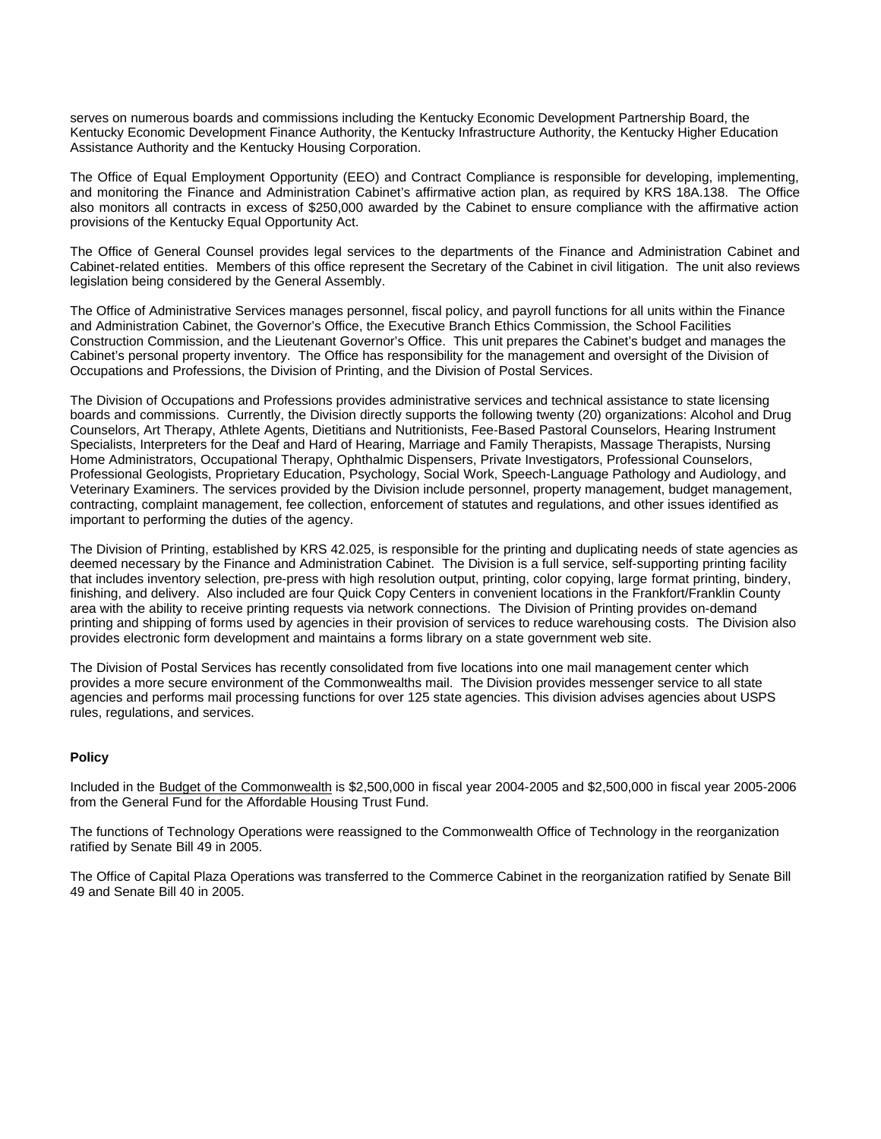serves on numerous boards and commissions including the Kentucky Economic Development Partnership Board, the Kentucky Economic Development Finance Authority, the Kentucky Infrastructure Authority, the Kentucky Higher Education Assistance Authority and the Kentucky Housing Corporation.

The Office of Equal Employment Opportunity (EEO) and Contract Compliance is responsible for developing, implementing, and monitoring the Finance and Administration Cabinet's affirmative action plan, as required by KRS 18A.138. The Office also monitors all contracts in excess of \$250,000 awarded by the Cabinet to ensure compliance with the affirmative action provisions of the Kentucky Equal Opportunity Act.

The Office of General Counsel provides legal services to the departments of the Finance and Administration Cabinet and Cabinet-related entities. Members of this office represent the Secretary of the Cabinet in civil litigation. The unit also reviews legislation being considered by the General Assembly.

The Office of Administrative Services manages personnel, fiscal policy, and payroll functions for all units within the Finance and Administration Cabinet, the Governor's Office, the Executive Branch Ethics Commission, the School Facilities Construction Commission, and the Lieutenant Governor's Office. This unit prepares the Cabinet's budget and manages the Cabinet's personal property inventory. The Office has responsibility for the management and oversight of the Division of Occupations and Professions, the Division of Printing, and the Division of Postal Services.

The Division of Occupations and Professions provides administrative services and technical assistance to state licensing boards and commissions. Currently, the Division directly supports the following twenty (20) organizations: Alcohol and Drug Counselors, Art Therapy, Athlete Agents, Dietitians and Nutritionists, Fee-Based Pastoral Counselors, Hearing Instrument Specialists, Interpreters for the Deaf and Hard of Hearing, Marriage and Family Therapists, Massage Therapists, Nursing Home Administrators, Occupational Therapy, Ophthalmic Dispensers, Private Investigators, Professional Counselors, Professional Geologists, Proprietary Education, Psychology, Social Work, Speech-Language Pathology and Audiology, and Veterinary Examiners. The services provided by the Division include personnel, property management, budget management, contracting, complaint management, fee collection, enforcement of statutes and regulations, and other issues identified as important to performing the duties of the agency.

The Division of Printing, established by KRS 42.025, is responsible for the printing and duplicating needs of state agencies as deemed necessary by the Finance and Administration Cabinet. The Division is a full service, self-supporting printing facility that includes inventory selection, pre-press with high resolution output, printing, color copying, large format printing, bindery, finishing, and delivery. Also included are four Quick Copy Centers in convenient locations in the Frankfort/Franklin County area with the ability to receive printing requests via network connections. The Division of Printing provides on-demand printing and shipping of forms used by agencies in their provision of services to reduce warehousing costs. The Division also provides electronic form development and maintains a forms library on a state government web site.

The Division of Postal Services has recently consolidated from five locations into one mail management center which provides a more secure environment of the Commonwealths mail. The Division provides messenger service to all state agencies and performs mail processing functions for over 125 state agencies. This division advises agencies about USPS rules, regulations, and services.

#### **Policy**

Included in the Budget of the Commonwealth is \$2,500,000 in fiscal year 2004-2005 and \$2,500,000 in fiscal year 2005-2006 from the General Fund for the Affordable Housing Trust Fund.

The functions of Technology Operations were reassigned to the Commonwealth Office of Technology in the reorganization ratified by Senate Bill 49 in 2005.

The Office of Capital Plaza Operations was transferred to the Commerce Cabinet in the reorganization ratified by Senate Bill 49 and Senate Bill 40 in 2005.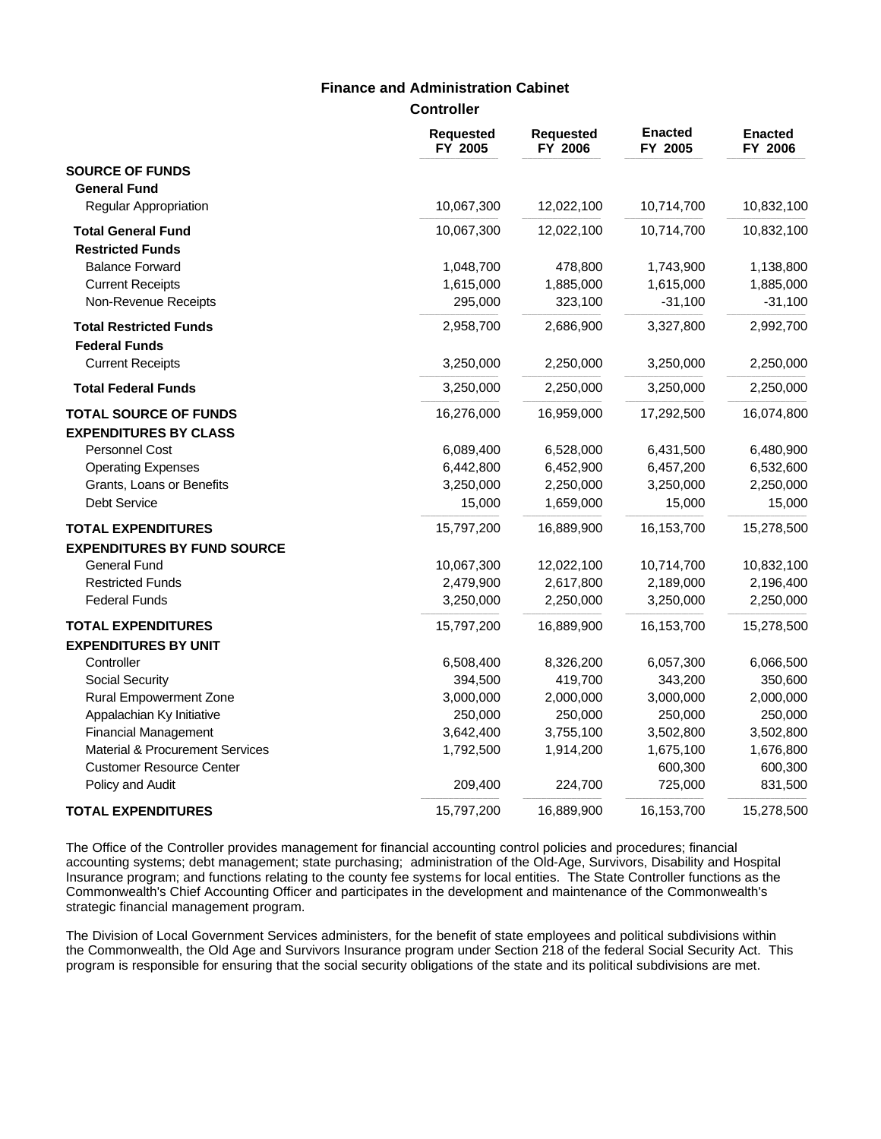### **Finance and Administration Cabinet**

**Controller**

|                                                | <b>Requested</b><br>FY 2005 | <b>Requested</b><br>FY 2006 | <b>Enacted</b><br>FY 2005 | <b>Enacted</b><br>FY 2006 |
|------------------------------------------------|-----------------------------|-----------------------------|---------------------------|---------------------------|
| <b>SOURCE OF FUNDS</b>                         |                             |                             |                           |                           |
| <b>General Fund</b>                            |                             |                             |                           |                           |
| <b>Regular Appropriation</b>                   | 10,067,300                  | 12,022,100                  | 10,714,700                | 10,832,100                |
| <b>Total General Fund</b>                      | 10,067,300                  | 12,022,100                  | 10,714,700                | 10,832,100                |
| <b>Restricted Funds</b>                        |                             |                             |                           |                           |
| <b>Balance Forward</b>                         | 1,048,700                   | 478,800                     | 1,743,900                 | 1,138,800                 |
| <b>Current Receipts</b>                        | 1,615,000                   | 1,885,000                   | 1,615,000                 | 1,885,000                 |
| Non-Revenue Receipts                           | 295,000                     | 323,100                     | $-31,100$                 | $-31,100$                 |
| <b>Total Restricted Funds</b>                  | 2,958,700                   | 2,686,900                   | 3,327,800                 | 2,992,700                 |
| <b>Federal Funds</b>                           |                             |                             |                           |                           |
| <b>Current Receipts</b>                        | 3,250,000                   | 2,250,000                   | 3,250,000                 | 2,250,000                 |
| <b>Total Federal Funds</b>                     | 3,250,000                   | 2,250,000                   | 3,250,000                 | 2,250,000                 |
| <b>TOTAL SOURCE OF FUNDS</b>                   | 16,276,000                  | 16,959,000                  | 17,292,500                | 16,074,800                |
| <b>EXPENDITURES BY CLASS</b><br>Personnel Cost | 6,089,400                   | 6,528,000                   | 6,431,500                 | 6,480,900                 |
| <b>Operating Expenses</b>                      | 6,442,800                   | 6,452,900                   | 6,457,200                 | 6,532,600                 |
| Grants, Loans or Benefits                      | 3,250,000                   | 2,250,000                   | 3,250,000                 | 2,250,000                 |
| <b>Debt Service</b>                            | 15,000                      | 1,659,000                   | 15,000                    | 15,000                    |
| <b>TOTAL EXPENDITURES</b>                      | 15,797,200                  | 16,889,900                  | 16,153,700                | 15,278,500                |
| <b>EXPENDITURES BY FUND SOURCE</b>             |                             |                             |                           |                           |
| <b>General Fund</b>                            | 10,067,300                  | 12,022,100                  | 10,714,700                | 10,832,100                |
| <b>Restricted Funds</b>                        | 2,479,900                   | 2,617,800                   | 2,189,000                 | 2,196,400                 |
| <b>Federal Funds</b>                           | 3,250,000                   | 2,250,000                   | 3,250,000                 | 2,250,000                 |
| <b>TOTAL EXPENDITURES</b>                      | 15,797,200                  | 16,889,900                  | 16,153,700                | 15,278,500                |
| <b>EXPENDITURES BY UNIT</b>                    |                             |                             |                           |                           |
| Controller                                     | 6,508,400                   | 8,326,200                   | 6,057,300                 | 6,066,500                 |
| Social Security                                | 394,500                     | 419,700                     | 343,200                   | 350,600                   |
| <b>Rural Empowerment Zone</b>                  | 3,000,000                   | 2,000,000                   | 3,000,000                 | 2,000,000                 |
| Appalachian Ky Initiative                      | 250,000                     | 250,000                     | 250,000                   | 250,000                   |
| <b>Financial Management</b>                    | 3,642,400                   | 3,755,100                   | 3,502,800                 | 3,502,800                 |
| Material & Procurement Services                | 1,792,500                   | 1,914,200                   | 1,675,100                 | 1,676,800                 |
| <b>Customer Resource Center</b>                |                             |                             | 600,300                   | 600,300                   |
| Policy and Audit                               | 209,400                     | 224,700                     | 725,000                   | 831,500                   |
| <b>TOTAL EXPENDITURES</b>                      | 15,797,200                  | 16,889,900                  | 16,153,700                | 15,278,500                |

The Office of the Controller provides management for financial accounting control policies and procedures; financial accounting systems; debt management; state purchasing; administration of the Old-Age, Survivors, Disability and Hospital Insurance program; and functions relating to the county fee systems for local entities. The State Controller functions as the Commonwealth's Chief Accounting Officer and participates in the development and maintenance of the Commonwealth's strategic financial management program.

The Division of Local Government Services administers, for the benefit of state employees and political subdivisions within the Commonwealth, the Old Age and Survivors Insurance program under Section 218 of the federal Social Security Act. This program is responsible for ensuring that the social security obligations of the state and its political subdivisions are met.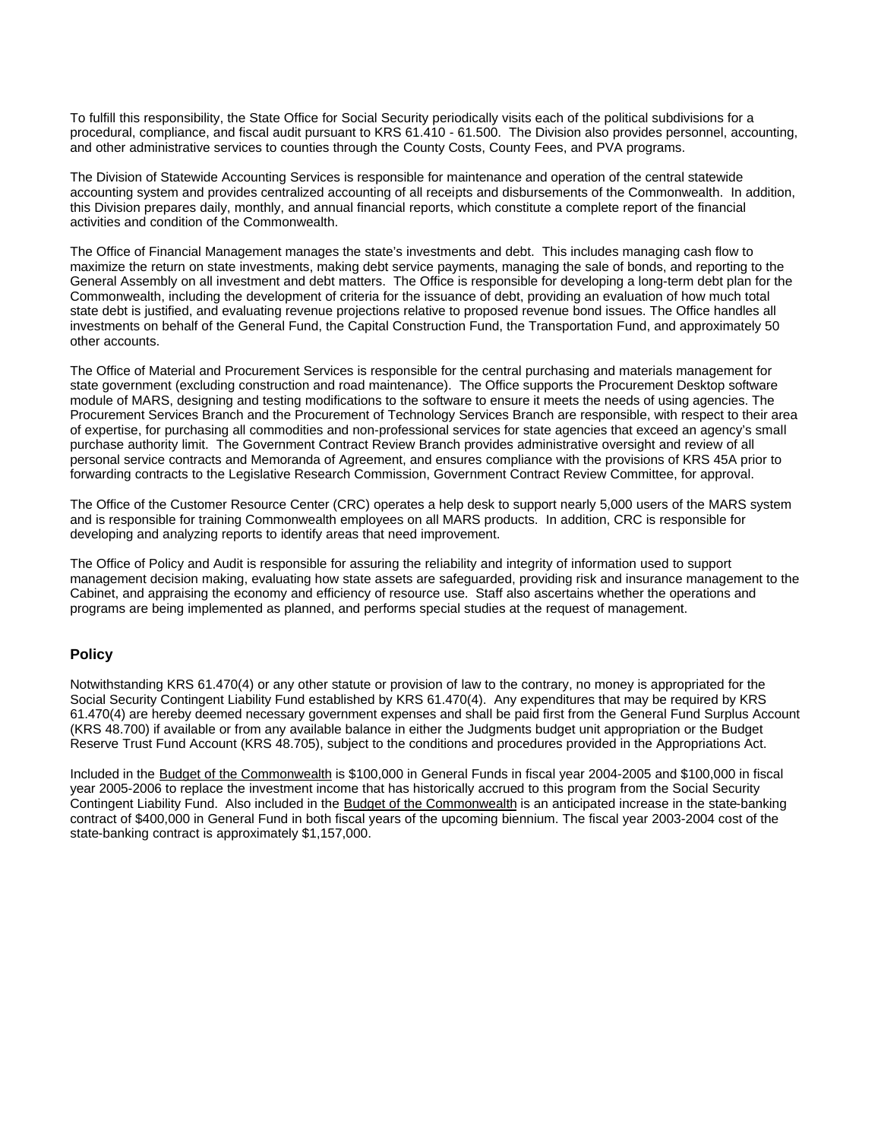To fulfill this responsibility, the State Office for Social Security periodically visits each of the political subdivisions for a procedural, compliance, and fiscal audit pursuant to KRS 61.410 - 61.500. The Division also provides personnel, accounting, and other administrative services to counties through the County Costs, County Fees, and PVA programs.

The Division of Statewide Accounting Services is responsible for maintenance and operation of the central statewide accounting system and provides centralized accounting of all receipts and disbursements of the Commonwealth. In addition, this Division prepares daily, monthly, and annual financial reports, which constitute a complete report of the financial activities and condition of the Commonwealth.

The Office of Financial Management manages the state's investments and debt. This includes managing cash flow to maximize the return on state investments, making debt service payments, managing the sale of bonds, and reporting to the General Assembly on all investment and debt matters. The Office is responsible for developing a long-term debt plan for the Commonwealth, including the development of criteria for the issuance of debt, providing an evaluation of how much total state debt is justified, and evaluating revenue projections relative to proposed revenue bond issues. The Office handles all investments on behalf of the General Fund, the Capital Construction Fund, the Transportation Fund, and approximately 50 other accounts.

The Office of Material and Procurement Services is responsible for the central purchasing and materials management for state government (excluding construction and road maintenance). The Office supports the Procurement Desktop software module of MARS, designing and testing modifications to the software to ensure it meets the needs of using agencies. The Procurement Services Branch and the Procurement of Technology Services Branch are responsible, with respect to their area of expertise, for purchasing all commodities and non-professional services for state agencies that exceed an agency's small purchase authority limit. The Government Contract Review Branch provides administrative oversight and review of all personal service contracts and Memoranda of Agreement, and ensures compliance with the provisions of KRS 45A prior to forwarding contracts to the Legislative Research Commission, Government Contract Review Committee, for approval.

The Office of the Customer Resource Center (CRC) operates a help desk to support nearly 5,000 users of the MARS system and is responsible for training Commonwealth employees on all MARS products. In addition, CRC is responsible for developing and analyzing reports to identify areas that need improvement.

The Office of Policy and Audit is responsible for assuring the reliability and integrity of information used to support management decision making, evaluating how state assets are safeguarded, providing risk and insurance management to the Cabinet, and appraising the economy and efficiency of resource use. Staff also ascertains whether the operations and programs are being implemented as planned, and performs special studies at the request of management.

### **Policy**

Notwithstanding KRS 61.470(4) or any other statute or provision of law to the contrary, no money is appropriated for the Social Security Contingent Liability Fund established by KRS 61.470(4). Any expenditures that may be required by KRS 61.470(4) are hereby deemed necessary government expenses and shall be paid first from the General Fund Surplus Account (KRS 48.700) if available or from any available balance in either the Judgments budget unit appropriation or the Budget Reserve Trust Fund Account (KRS 48.705), subject to the conditions and procedures provided in the Appropriations Act.

Included in the Budget of the Commonwealth is \$100,000 in General Funds in fiscal year 2004-2005 and \$100,000 in fiscal year 2005-2006 to replace the investment income that has historically accrued to this program from the Social Security Contingent Liability Fund. Also included in the **Budget of the Commonwealth** is an anticipated increase in the state-banking contract of \$400,000 in General Fund in both fiscal years of the upcoming biennium. The fiscal year 2003-2004 cost of the state-banking contract is approximately \$1,157,000.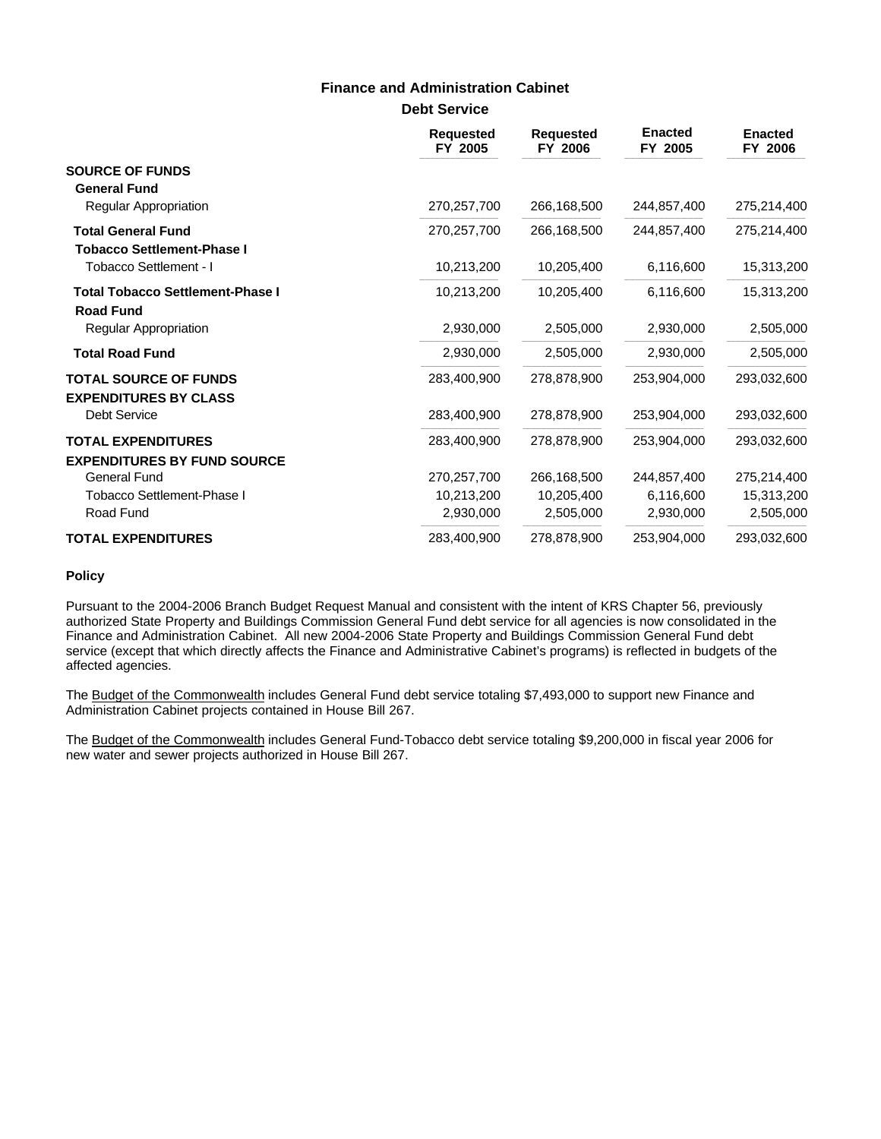### **Finance and Administration Cabinet**

**Debt Service**

|                                                                 | <b>Requested</b><br>FY 2005 | <b>Requested</b><br>FY 2006 | <b>Enacted</b><br>FY 2005 | <b>Enacted</b><br>FY 2006 |
|-----------------------------------------------------------------|-----------------------------|-----------------------------|---------------------------|---------------------------|
| <b>SOURCE OF FUNDS</b><br><b>General Fund</b>                   |                             |                             |                           |                           |
| Regular Appropriation                                           | 270,257,700                 | 266,168,500                 | 244,857,400               | 275,214,400               |
| <b>Total General Fund</b><br><b>Tobacco Settlement-Phase I</b>  | 270,257,700                 | 266,168,500                 | 244,857,400               | 275,214,400               |
| Tobacco Settlement - I                                          | 10,213,200                  | 10,205,400                  | 6,116,600                 | 15,313,200                |
| <b>Total Tobacco Settlement-Phase I</b><br><b>Road Fund</b>     | 10,213,200                  | 10,205,400                  | 6,116,600                 | 15,313,200                |
| <b>Regular Appropriation</b>                                    | 2,930,000                   | 2,505,000                   | 2,930,000                 | 2,505,000                 |
| <b>Total Road Fund</b>                                          | 2,930,000                   | 2,505,000                   | 2,930,000                 | 2,505,000                 |
| <b>TOTAL SOURCE OF FUNDS</b><br><b>EXPENDITURES BY CLASS</b>    | 283,400,900                 | 278.878.900                 | 253.904.000               | 293,032,600               |
| <b>Debt Service</b>                                             | 283,400,900                 | 278,878,900                 | 253,904,000               | 293,032,600               |
| <b>TOTAL EXPENDITURES</b><br><b>EXPENDITURES BY FUND SOURCE</b> | 283,400,900                 | 278,878,900                 | 253,904,000               | 293,032,600               |
| General Fund                                                    | 270,257,700                 | 266.168.500                 | 244,857,400               | 275,214,400               |
| <b>Tobacco Settlement-Phase I</b>                               | 10,213,200                  | 10,205,400                  | 6,116,600                 | 15,313,200                |
| Road Fund                                                       | 2,930,000                   | 2,505,000                   | 2,930,000                 | 2,505,000                 |
| <b>TOTAL EXPENDITURES</b>                                       | 283,400,900                 | 278,878,900                 | 253,904,000               | 293,032,600               |

#### **Policy**

Pursuant to the 2004-2006 Branch Budget Request Manual and consistent with the intent of KRS Chapter 56, previously authorized State Property and Buildings Commission General Fund debt service for all agencies is now consolidated in the Finance and Administration Cabinet. All new 2004-2006 State Property and Buildings Commission General Fund debt service (except that which directly affects the Finance and Administrative Cabinet's programs) is reflected in budgets of the affected agencies.

The Budget of the Commonwealth includes General Fund debt service totaling \$7,493,000 to support new Finance and Administration Cabinet projects contained in House Bill 267.

The Budget of the Commonwealth includes General Fund-Tobacco debt service totaling \$9,200,000 in fiscal year 2006 for new water and sewer projects authorized in House Bill 267.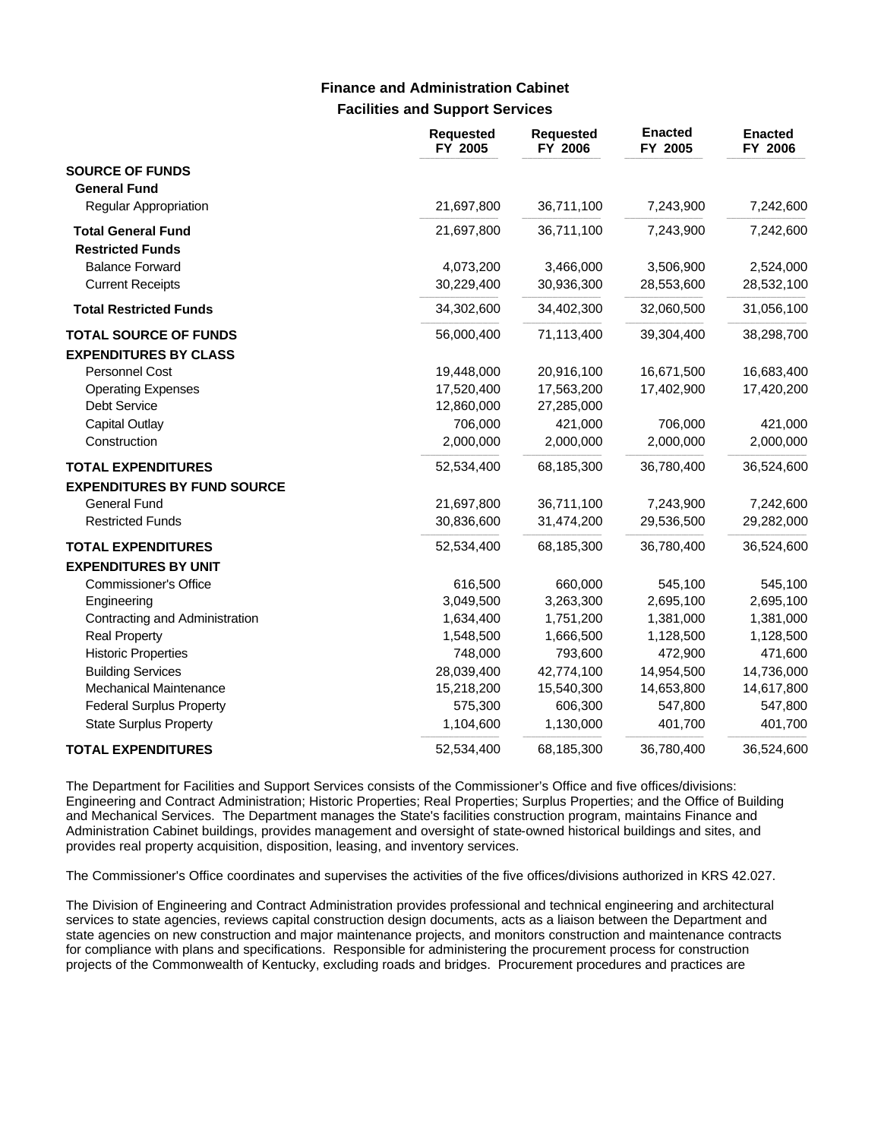### **Facilities and Support Services Finance and Administration Cabinet**

|                                    | <b>Requested</b><br>FY 2005 | <b>Requested</b><br>FY 2006 | <b>Enacted</b><br>FY 2005 | <b>Enacted</b><br>FY 2006 |
|------------------------------------|-----------------------------|-----------------------------|---------------------------|---------------------------|
| <b>SOURCE OF FUNDS</b>             |                             |                             |                           |                           |
| <b>General Fund</b>                |                             |                             |                           |                           |
| <b>Regular Appropriation</b>       | 21,697,800                  | 36,711,100                  | 7,243,900                 | 7,242,600                 |
| <b>Total General Fund</b>          | 21,697,800                  | 36,711,100                  | 7,243,900                 | 7,242,600                 |
| <b>Restricted Funds</b>            |                             |                             |                           |                           |
| <b>Balance Forward</b>             | 4,073,200                   | 3,466,000                   | 3,506,900                 | 2,524,000                 |
| <b>Current Receipts</b>            | 30,229,400                  | 30,936,300                  | 28,553,600                | 28,532,100                |
| <b>Total Restricted Funds</b>      | 34,302,600                  | 34,402,300                  | 32,060,500                | 31,056,100                |
| <b>TOTAL SOURCE OF FUNDS</b>       | 56,000,400                  | 71,113,400                  | 39,304,400                | 38,298,700                |
| <b>EXPENDITURES BY CLASS</b>       |                             |                             |                           |                           |
| <b>Personnel Cost</b>              | 19,448,000                  | 20,916,100                  | 16,671,500                | 16,683,400                |
| <b>Operating Expenses</b>          | 17,520,400                  | 17,563,200                  | 17,402,900                | 17,420,200                |
| <b>Debt Service</b>                | 12,860,000                  | 27,285,000                  |                           |                           |
| <b>Capital Outlay</b>              | 706,000                     | 421,000                     | 706,000                   | 421,000                   |
| Construction                       | 2,000,000                   | 2,000,000                   | 2,000,000                 | 2,000,000                 |
| <b>TOTAL EXPENDITURES</b>          | 52,534,400                  | 68,185,300                  | 36,780,400                | 36,524,600                |
| <b>EXPENDITURES BY FUND SOURCE</b> |                             |                             |                           |                           |
| <b>General Fund</b>                | 21,697,800                  | 36,711,100                  | 7,243,900                 | 7,242,600                 |
| <b>Restricted Funds</b>            | 30,836,600                  | 31,474,200                  | 29,536,500                | 29,282,000                |
| <b>TOTAL EXPENDITURES</b>          | 52,534,400                  | 68,185,300                  | 36,780,400                | 36,524,600                |
| <b>EXPENDITURES BY UNIT</b>        |                             |                             |                           |                           |
| <b>Commissioner's Office</b>       | 616,500                     | 660,000                     | 545,100                   | 545,100                   |
| Engineering                        | 3,049,500                   | 3,263,300                   | 2,695,100                 | 2,695,100                 |
| Contracting and Administration     | 1,634,400                   | 1,751,200                   | 1,381,000                 | 1,381,000                 |
| <b>Real Property</b>               | 1,548,500                   | 1,666,500                   | 1,128,500                 | 1,128,500                 |
| <b>Historic Properties</b>         | 748,000                     | 793,600                     | 472,900                   | 471,600                   |
| <b>Building Services</b>           | 28,039,400                  | 42,774,100                  | 14,954,500                | 14,736,000                |
| <b>Mechanical Maintenance</b>      | 15,218,200                  | 15,540,300                  | 14,653,800                | 14,617,800                |
| <b>Federal Surplus Property</b>    | 575,300                     | 606,300                     | 547,800                   | 547,800                   |
| <b>State Surplus Property</b>      | 1,104,600                   | 1,130,000                   | 401,700                   | 401,700                   |
| <b>TOTAL EXPENDITURES</b>          | 52,534,400                  | 68,185,300                  | 36,780,400                | 36,524,600                |

The Department for Facilities and Support Services consists of the Commissioner's Office and five offices/divisions: Engineering and Contract Administration; Historic Properties; Real Properties; Surplus Properties; and the Office of Building and Mechanical Services. The Department manages the State's facilities construction program, maintains Finance and Administration Cabinet buildings, provides management and oversight of state-owned historical buildings and sites, and provides real property acquisition, disposition, leasing, and inventory services.

The Commissioner's Office coordinates and supervises the activities of the five offices/divisions authorized in KRS 42.027.

The Division of Engineering and Contract Administration provides professional and technical engineering and architectural services to state agencies, reviews capital construction design documents, acts as a liaison between the Department and state agencies on new construction and major maintenance projects, and monitors construction and maintenance contracts for compliance with plans and specifications. Responsible for administering the procurement process for construction projects of the Commonwealth of Kentucky, excluding roads and bridges. Procurement procedures and practices are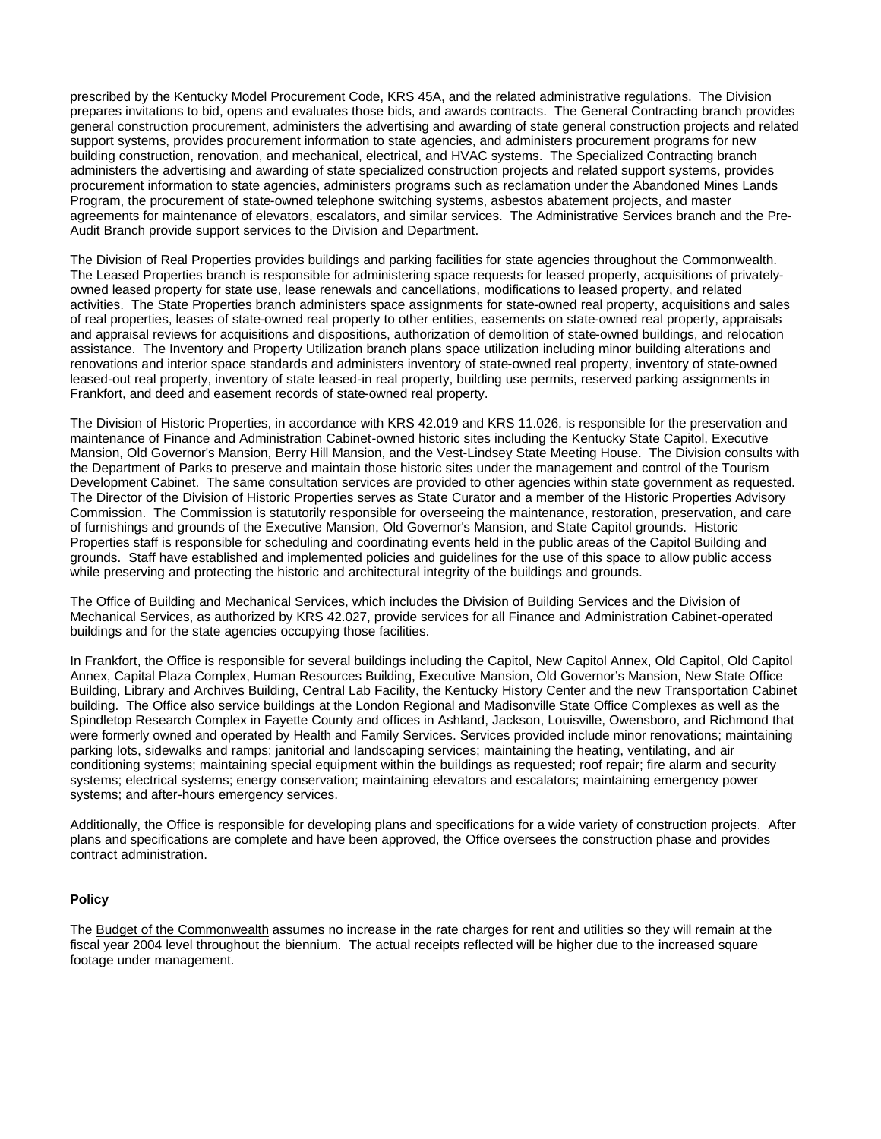prescribed by the Kentucky Model Procurement Code, KRS 45A, and the related administrative regulations. The Division prepares invitations to bid, opens and evaluates those bids, and awards contracts. The General Contracting branch provides general construction procurement, administers the advertising and awarding of state general construction projects and related support systems, provides procurement information to state agencies, and administers procurement programs for new building construction, renovation, and mechanical, electrical, and HVAC systems. The Specialized Contracting branch administers the advertising and awarding of state specialized construction projects and related support systems, provides procurement information to state agencies, administers programs such as reclamation under the Abandoned Mines Lands Program, the procurement of state-owned telephone switching systems, asbestos abatement projects, and master agreements for maintenance of elevators, escalators, and similar services. The Administrative Services branch and the Pre-Audit Branch provide support services to the Division and Department.

The Division of Real Properties provides buildings and parking facilities for state agencies throughout the Commonwealth. The Leased Properties branch is responsible for administering space requests for leased property, acquisitions of privatelyowned leased property for state use, lease renewals and cancellations, modifications to leased property, and related activities. The State Properties branch administers space assignments for state-owned real property, acquisitions and sales of real properties, leases of state-owned real property to other entities, easements on state-owned real property, appraisals and appraisal reviews for acquisitions and dispositions, authorization of demolition of state-owned buildings, and relocation assistance. The Inventory and Property Utilization branch plans space utilization including minor building alterations and renovations and interior space standards and administers inventory of state-owned real property, inventory of state-owned leased-out real property, inventory of state leased-in real property, building use permits, reserved parking assignments in Frankfort, and deed and easement records of state-owned real property.

The Division of Historic Properties, in accordance with KRS 42.019 and KRS 11.026, is responsible for the preservation and maintenance of Finance and Administration Cabinet-owned historic sites including the Kentucky State Capitol, Executive Mansion, Old Governor's Mansion, Berry Hill Mansion, and the Vest-Lindsey State Meeting House. The Division consults with the Department of Parks to preserve and maintain those historic sites under the management and control of the Tourism Development Cabinet. The same consultation services are provided to other agencies within state government as requested. The Director of the Division of Historic Properties serves as State Curator and a member of the Historic Properties Advisory Commission. The Commission is statutorily responsible for overseeing the maintenance, restoration, preservation, and care of furnishings and grounds of the Executive Mansion, Old Governor's Mansion, and State Capitol grounds. Historic Properties staff is responsible for scheduling and coordinating events held in the public areas of the Capitol Building and grounds. Staff have established and implemented policies and guidelines for the use of this space to allow public access while preserving and protecting the historic and architectural integrity of the buildings and grounds.

The Office of Building and Mechanical Services, which includes the Division of Building Services and the Division of Mechanical Services, as authorized by KRS 42.027, provide services for all Finance and Administration Cabinet-operated buildings and for the state agencies occupying those facilities.

In Frankfort, the Office is responsible for several buildings including the Capitol, New Capitol Annex, Old Capitol, Old Capitol Annex, Capital Plaza Complex, Human Resources Building, Executive Mansion, Old Governor's Mansion, New State Office Building, Library and Archives Building, Central Lab Facility, the Kentucky History Center and the new Transportation Cabinet building. The Office also service buildings at the London Regional and Madisonville State Office Complexes as well as the Spindletop Research Complex in Fayette County and offices in Ashland, Jackson, Louisville, Owensboro, and Richmond that were formerly owned and operated by Health and Family Services. Services provided include minor renovations; maintaining parking lots, sidewalks and ramps; janitorial and landscaping services; maintaining the heating, ventilating, and air conditioning systems; maintaining special equipment within the buildings as requested; roof repair; fire alarm and security systems; electrical systems; energy conservation; maintaining elevators and escalators; maintaining emergency power systems; and after-hours emergency services.

Additionally, the Office is responsible for developing plans and specifications for a wide variety of construction projects. After plans and specifications are complete and have been approved, the Office oversees the construction phase and provides contract administration.

#### **Policy**

The Budget of the Commonwealth assumes no increase in the rate charges for rent and utilities so they will remain at the fiscal year 2004 level throughout the biennium. The actual receipts reflected will be higher due to the increased square footage under management.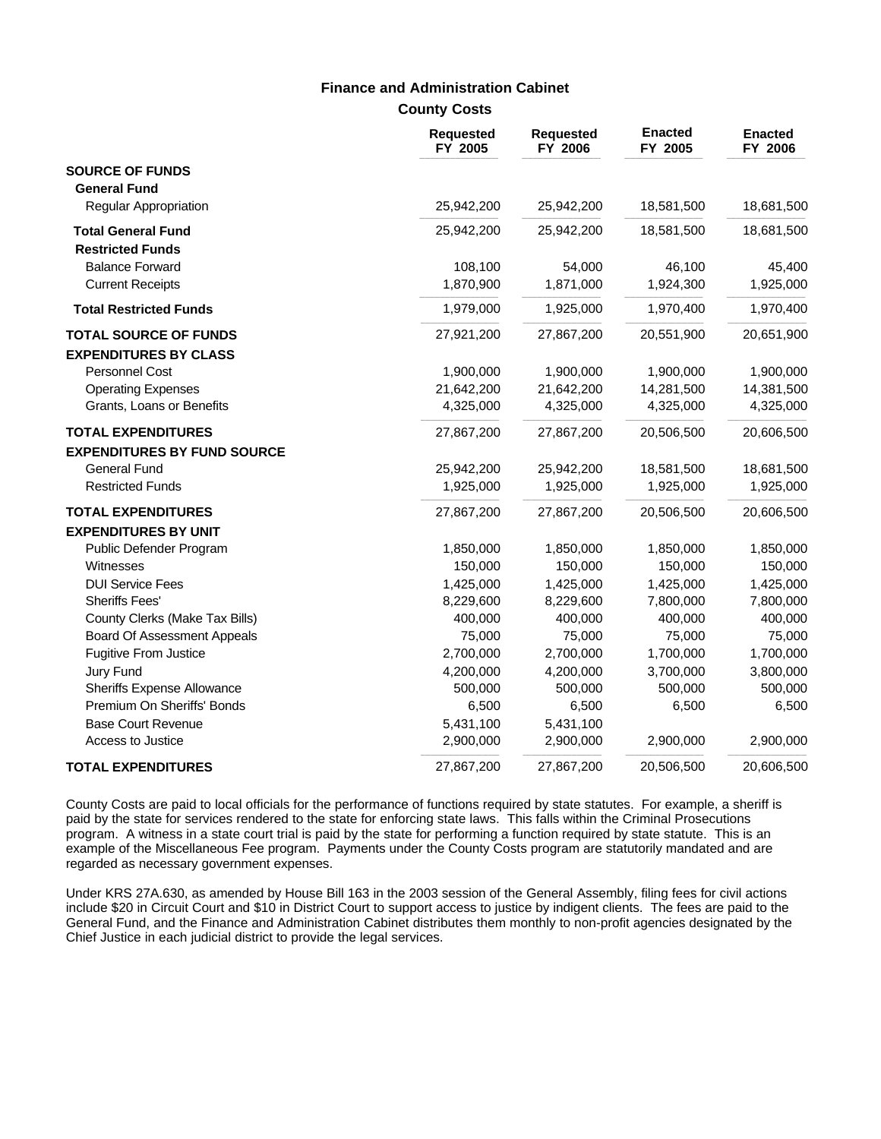### **Finance and Administration Cabinet**

**County Costs**

|                                    | <b>Requested</b><br>FY 2005 | <b>Requested</b><br>FY 2006 | <b>Enacted</b><br>FY 2005 | <b>Enacted</b><br>FY 2006 |
|------------------------------------|-----------------------------|-----------------------------|---------------------------|---------------------------|
| <b>SOURCE OF FUNDS</b>             |                             |                             |                           |                           |
| <b>General Fund</b>                |                             |                             |                           |                           |
| Regular Appropriation              | 25,942,200                  | 25,942,200                  | 18,581,500                | 18,681,500                |
| <b>Total General Fund</b>          | 25,942,200                  | 25,942,200                  | 18,581,500                | 18,681,500                |
| <b>Restricted Funds</b>            |                             |                             |                           |                           |
| <b>Balance Forward</b>             | 108,100                     | 54,000                      | 46,100                    | 45,400                    |
| <b>Current Receipts</b>            | 1,870,900                   | 1,871,000                   | 1,924,300                 | 1,925,000                 |
| <b>Total Restricted Funds</b>      | 1,979,000                   | 1,925,000                   | 1,970,400                 | 1,970,400                 |
| <b>TOTAL SOURCE OF FUNDS</b>       | 27,921,200                  | 27,867,200                  | 20,551,900                | 20,651,900                |
| <b>EXPENDITURES BY CLASS</b>       |                             |                             |                           |                           |
| Personnel Cost                     | 1,900,000                   | 1,900,000                   | 1,900,000                 | 1,900,000                 |
| <b>Operating Expenses</b>          | 21,642,200                  | 21,642,200                  | 14,281,500                | 14,381,500                |
| Grants, Loans or Benefits          | 4,325,000                   | 4,325,000                   | 4,325,000                 | 4,325,000                 |
| <b>TOTAL EXPENDITURES</b>          | 27,867,200                  | 27,867,200                  | 20,506,500                | 20,606,500                |
| <b>EXPENDITURES BY FUND SOURCE</b> |                             |                             |                           |                           |
| <b>General Fund</b>                | 25,942,200                  | 25,942,200                  | 18,581,500                | 18,681,500                |
| <b>Restricted Funds</b>            | 1,925,000                   | 1,925,000                   | 1,925,000                 | 1,925,000                 |
| <b>TOTAL EXPENDITURES</b>          | 27,867,200                  | 27,867,200                  | 20,506,500                | 20,606,500                |
| <b>EXPENDITURES BY UNIT</b>        |                             |                             |                           |                           |
| Public Defender Program            | 1,850,000                   | 1,850,000                   | 1,850,000                 | 1,850,000                 |
| Witnesses                          | 150,000                     | 150,000                     | 150,000                   | 150,000                   |
| <b>DUI Service Fees</b>            | 1,425,000                   | 1,425,000                   | 1,425,000                 | 1,425,000                 |
| <b>Sheriffs Fees'</b>              | 8,229,600                   | 8,229,600                   | 7,800,000                 | 7,800,000                 |
| County Clerks (Make Tax Bills)     | 400,000                     | 400,000                     | 400,000                   | 400,000                   |
| <b>Board Of Assessment Appeals</b> | 75,000                      | 75,000                      | 75,000                    | 75,000                    |
| Fugitive From Justice              | 2,700,000                   | 2,700,000                   | 1,700,000                 | 1,700,000                 |
| Jury Fund                          | 4,200,000                   | 4,200,000                   | 3,700,000                 | 3,800,000                 |
| <b>Sheriffs Expense Allowance</b>  | 500,000                     | 500,000                     | 500,000                   | 500,000                   |
| Premium On Sheriffs' Bonds         | 6,500                       | 6,500                       | 6,500                     | 6,500                     |
| <b>Base Court Revenue</b>          | 5,431,100                   | 5,431,100                   |                           |                           |
| Access to Justice                  | 2,900,000                   | 2,900,000                   | 2,900,000                 | 2,900,000                 |
| <b>TOTAL EXPENDITURES</b>          | 27,867,200                  | 27,867,200                  | 20,506,500                | 20,606,500                |

County Costs are paid to local officials for the performance of functions required by state statutes. For example, a sheriff is paid by the state for services rendered to the state for enforcing state laws. This falls within the Criminal Prosecutions program. A witness in a state court trial is paid by the state for performing a function required by state statute. This is an example of the Miscellaneous Fee program. Payments under the County Costs program are statutorily mandated and are regarded as necessary government expenses.

Under KRS 27A.630, as amended by House Bill 163 in the 2003 session of the General Assembly, filing fees for civil actions include \$20 in Circuit Court and \$10 in District Court to support access to justice by indigent clients. The fees are paid to the General Fund, and the Finance and Administration Cabinet distributes them monthly to non-profit agencies designated by the Chief Justice in each judicial district to provide the legal services.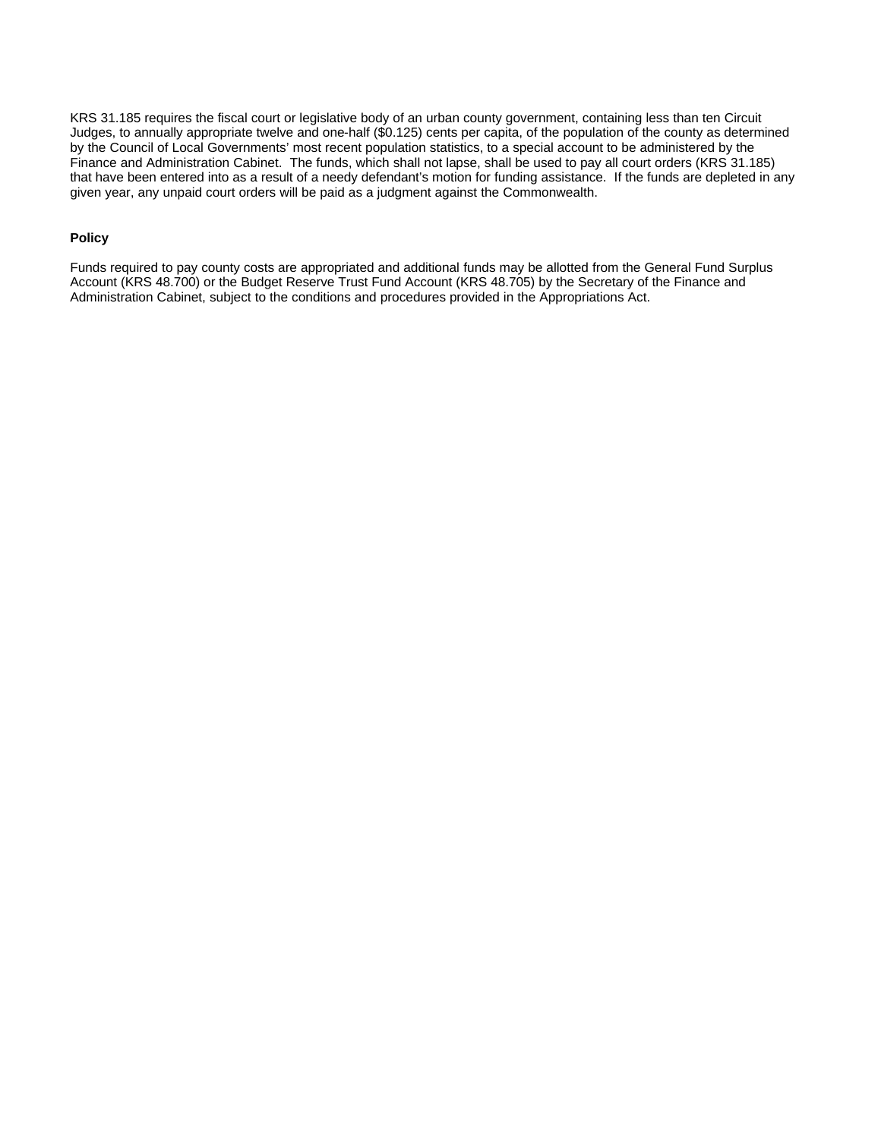KRS 31.185 requires the fiscal court or legislative body of an urban county government, containing less than ten Circuit Judges, to annually appropriate twelve and one-half (\$0.125) cents per capita, of the population of the county as determined by the Council of Local Governments' most recent population statistics, to a special account to be administered by the Finance and Administration Cabinet. The funds, which shall not lapse, shall be used to pay all court orders (KRS 31.185) that have been entered into as a result of a needy defendant's motion for funding assistance. If the funds are depleted in any given year, any unpaid court orders will be paid as a judgment against the Commonwealth.

#### **Policy**

Funds required to pay county costs are appropriated and additional funds may be allotted from the General Fund Surplus Account (KRS 48.700) or the Budget Reserve Trust Fund Account (KRS 48.705) by the Secretary of the Finance and Administration Cabinet, subject to the conditions and procedures provided in the Appropriations Act.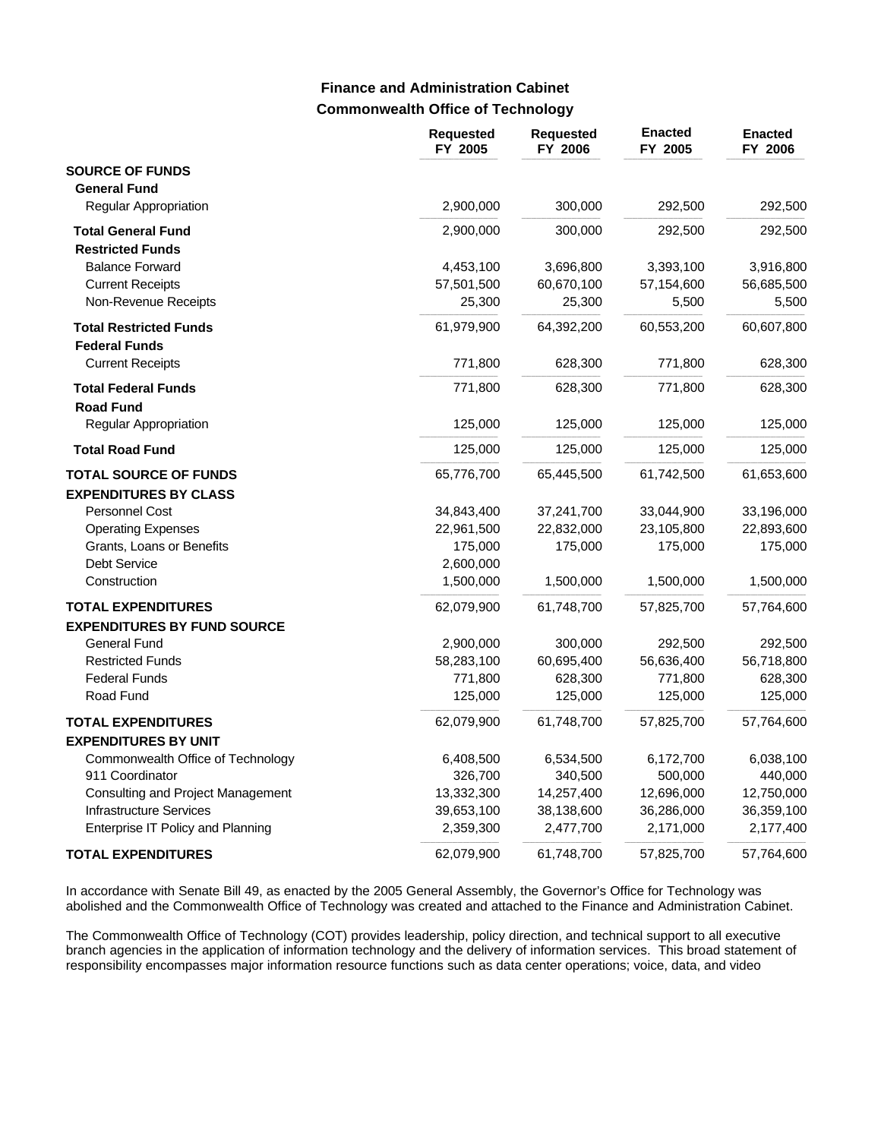## **Commonwealth Office of Technology Finance and Administration Cabinet**

|                                           | <b>Requested</b><br>FY 2005 | <b>Requested</b><br>FY 2006 | <b>Enacted</b><br>FY 2005 | <b>Enacted</b><br>FY 2006 |
|-------------------------------------------|-----------------------------|-----------------------------|---------------------------|---------------------------|
| <b>SOURCE OF FUNDS</b>                    |                             |                             |                           |                           |
| <b>General Fund</b>                       |                             |                             |                           |                           |
| Regular Appropriation                     | 2,900,000                   | 300,000                     | 292,500                   | 292,500                   |
| <b>Total General Fund</b>                 | 2,900,000                   | 300,000                     | 292,500                   | 292,500                   |
| <b>Restricted Funds</b>                   |                             |                             |                           |                           |
| <b>Balance Forward</b>                    | 4,453,100                   | 3,696,800                   | 3,393,100                 | 3,916,800                 |
| <b>Current Receipts</b>                   | 57,501,500                  | 60,670,100                  | 57,154,600                | 56,685,500                |
| Non-Revenue Receipts                      | 25,300                      | 25,300                      | 5,500                     | 5,500                     |
| <b>Total Restricted Funds</b>             | 61,979,900                  | 64,392,200                  | 60,553,200                | 60,607,800                |
| <b>Federal Funds</b>                      |                             |                             |                           |                           |
| <b>Current Receipts</b>                   | 771,800                     | 628,300                     | 771,800                   | 628,300                   |
| <b>Total Federal Funds</b>                | 771,800                     | 628,300                     | 771,800                   | 628,300                   |
| <b>Road Fund</b><br>Regular Appropriation | 125,000                     | 125,000                     | 125,000                   | 125,000                   |
| <b>Total Road Fund</b>                    | 125,000                     | 125,000                     | 125,000                   | 125,000                   |
| <b>TOTAL SOURCE OF FUNDS</b>              | 65,776,700                  | 65,445,500                  | 61,742,500                | 61,653,600                |
| <b>EXPENDITURES BY CLASS</b>              |                             |                             |                           |                           |
| <b>Personnel Cost</b>                     | 34,843,400                  | 37,241,700                  | 33,044,900                | 33,196,000                |
| <b>Operating Expenses</b>                 | 22,961,500                  | 22,832,000                  | 23,105,800                | 22,893,600                |
| Grants, Loans or Benefits                 | 175,000                     | 175,000                     | 175,000                   | 175,000                   |
| <b>Debt Service</b>                       | 2,600,000                   |                             |                           |                           |
| Construction                              | 1,500,000                   | 1,500,000                   | 1,500,000                 | 1,500,000                 |
| <b>TOTAL EXPENDITURES</b>                 | 62,079,900                  | 61,748,700                  | 57,825,700                | 57,764,600                |
| <b>EXPENDITURES BY FUND SOURCE</b>        |                             |                             |                           |                           |
| <b>General Fund</b>                       | 2,900,000                   | 300,000                     | 292,500                   | 292,500                   |
| <b>Restricted Funds</b>                   | 58,283,100                  | 60,695,400                  | 56,636,400                | 56,718,800                |
| <b>Federal Funds</b>                      | 771,800                     | 628,300                     | 771,800                   | 628,300                   |
| Road Fund                                 | 125,000                     | 125,000                     | 125,000                   | 125,000                   |
| <b>TOTAL EXPENDITURES</b>                 | 62,079,900                  | 61,748,700                  | 57,825,700                | 57,764,600                |
| <b>EXPENDITURES BY UNIT</b>               |                             |                             |                           |                           |
| Commonwealth Office of Technology         | 6,408,500                   | 6,534,500                   | 6,172,700                 | 6,038,100                 |
| 911 Coordinator                           | 326,700                     | 340,500                     | 500,000                   | 440,000                   |
| <b>Consulting and Project Management</b>  | 13,332,300                  | 14,257,400                  | 12,696,000                | 12,750,000                |
| <b>Infrastructure Services</b>            | 39,653,100                  | 38,138,600                  | 36,286,000                | 36,359,100                |
| <b>Enterprise IT Policy and Planning</b>  | 2,359,300                   | 2,477,700                   | 2,171,000                 | 2,177,400                 |
| <b>TOTAL EXPENDITURES</b>                 | 62,079,900                  | 61,748,700                  | 57,825,700                | 57,764,600                |

In accordance with Senate Bill 49, as enacted by the 2005 General Assembly, the Governor's Office for Technology was abolished and the Commonwealth Office of Technology was created and attached to the Finance and Administration Cabinet.

The Commonwealth Office of Technology (COT) provides leadership, policy direction, and technical support to all executive branch agencies in the application of information technology and the delivery of information services. This broad statement of responsibility encompasses major information resource functions such as data center operations; voice, data, and video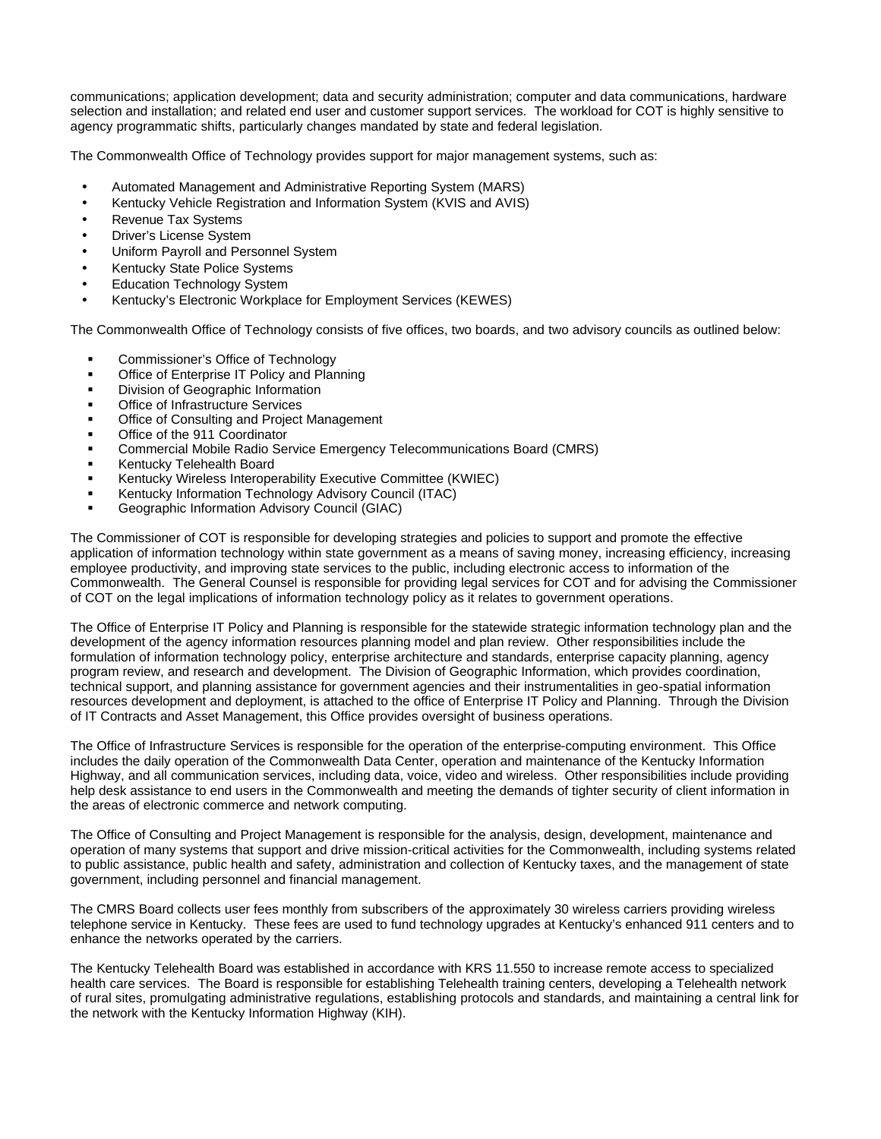communications; application development; data and security administration; computer and data communications, hardware selection and installation; and related end user and customer support services. The workload for COT is highly sensitive to agency programmatic shifts, particularly changes mandated by state and federal legislation.

The Commonwealth Office of Technology provides support for major management systems, such as:

- Automated Management and Administrative Reporting System (MARS)
- Kentucky Vehicle Registration and Information System (KVIS and AVIS)
- Revenue Tax Systems
- Driver's License System
- Uniform Payroll and Personnel System
- Kentucky State Police Systems
- **Education Technology System**
- Kentucky's Electronic Workplace for Employment Services (KEWES)

The Commonwealth Office of Technology consists of five offices, two boards, and two advisory councils as outlined below:

- ß Commissioner's Office of Technology
- ß Office of Enterprise IT Policy and Planning
- ß Division of Geographic Information
- **Office of Infrastructure Services**
- ß Office of Consulting and Project Management
- Office of the 911 Coordinator
- ß Commercial Mobile Radio Service Emergency Telecommunications Board (CMRS)
- ß Kentucky Telehealth Board
- ß Kentucky Wireless Interoperability Executive Committee (KWIEC)
- ß Kentucky Information Technology Advisory Council (ITAC)
- ß Geographic Information Advisory Council (GIAC)

The Commissioner of COT is responsible for developing strategies and policies to support and promote the effective application of information technology within state government as a means of saving money, increasing efficiency, increasing employee productivity, and improving state services to the public, including electronic access to information of the Commonwealth. The General Counsel is responsible for providing legal services for COT and for advising the Commissioner of COT on the legal implications of information technology policy as it relates to government operations.

The Office of Enterprise IT Policy and Planning is responsible for the statewide strategic information technology plan and the development of the agency information resources planning model and plan review. Other responsibilities include the formulation of information technology policy, enterprise architecture and standards, enterprise capacity planning, agency program review, and research and development. The Division of Geographic Information, which provides coordination, technical support, and planning assistance for government agencies and their instrumentalities in geo-spatial information resources development and deployment, is attached to the office of Enterprise IT Policy and Planning. Through the Division of IT Contracts and Asset Management, this Office provides oversight of business operations.

The Office of Infrastructure Services is responsible for the operation of the enterprise-computing environment. This Office includes the daily operation of the Commonwealth Data Center, operation and maintenance of the Kentucky Information Highway, and all communication services, including data, voice, video and wireless. Other responsibilities include providing help desk assistance to end users in the Commonwealth and meeting the demands of tighter security of client information in the areas of electronic commerce and network computing.

The Office of Consulting and Project Management is responsible for the analysis, design, development, maintenance and operation of many systems that support and drive mission-critical activities for the Commonwealth, including systems related to public assistance, public health and safety, administration and collection of Kentucky taxes, and the management of state government, including personnel and financial management.

The CMRS Board collects user fees monthly from subscribers of the approximately 30 wireless carriers providing wireless telephone service in Kentucky. These fees are used to fund technology upgrades at Kentucky's enhanced 911 centers and to enhance the networks operated by the carriers.

The Kentucky Telehealth Board was established in accordance with KRS 11.550 to increase remote access to specialized health care services. The Board is responsible for establishing Telehealth training centers, developing a Telehealth network of rural sites, promulgating administrative regulations, establishing protocols and standards, and maintaining a central link for the network with the Kentucky Information Highway (KIH).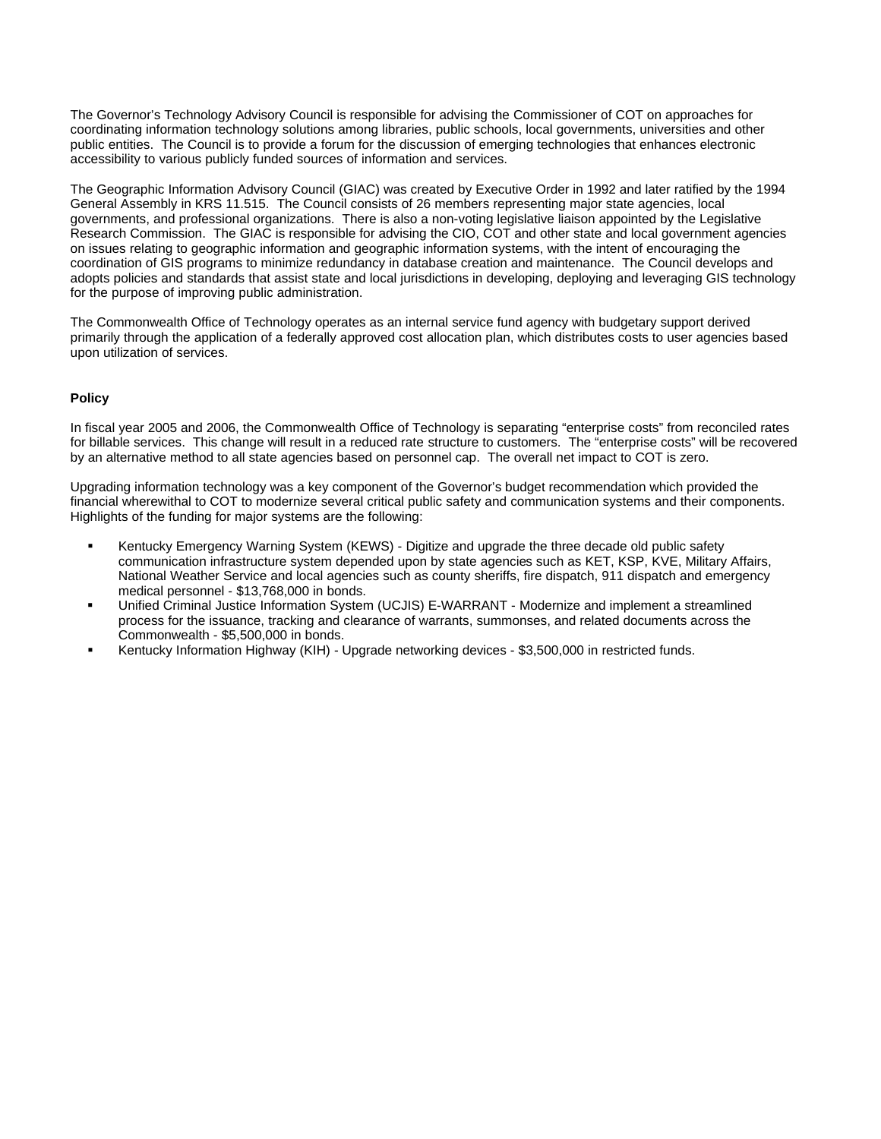The Governor's Technology Advisory Council is responsible for advising the Commissioner of COT on approaches for coordinating information technology solutions among libraries, public schools, local governments, universities and other public entities. The Council is to provide a forum for the discussion of emerging technologies that enhances electronic accessibility to various publicly funded sources of information and services.

The Geographic Information Advisory Council (GIAC) was created by Executive Order in 1992 and later ratified by the 1994 General Assembly in KRS 11.515. The Council consists of 26 members representing major state agencies, local governments, and professional organizations. There is also a non-voting legislative liaison appointed by the Legislative Research Commission. The GIAC is responsible for advising the CIO, COT and other state and local government agencies on issues relating to geographic information and geographic information systems, with the intent of encouraging the coordination of GIS programs to minimize redundancy in database creation and maintenance. The Council develops and adopts policies and standards that assist state and local jurisdictions in developing, deploying and leveraging GIS technology for the purpose of improving public administration.

The Commonwealth Office of Technology operates as an internal service fund agency with budgetary support derived primarily through the application of a federally approved cost allocation plan, which distributes costs to user agencies based upon utilization of services.

#### **Policy**

In fiscal year 2005 and 2006, the Commonwealth Office of Technology is separating "enterprise costs" from reconciled rates for billable services. This change will result in a reduced rate structure to customers. The "enterprise costs" will be recovered by an alternative method to all state agencies based on personnel cap. The overall net impact to COT is zero.

Upgrading information technology was a key component of the Governor's budget recommendation which provided the financial wherewithal to COT to modernize several critical public safety and communication systems and their components. Highlights of the funding for major systems are the following:

- ß Kentucky Emergency Warning System (KEWS) Digitize and upgrade the three decade old public safety communication infrastructure system depended upon by state agencies such as KET, KSP, KVE, Military Affairs, National Weather Service and local agencies such as county sheriffs, fire dispatch, 911 dispatch and emergency medical personnel - \$13,768,000 in bonds.
- ß Unified Criminal Justice Information System (UCJIS) E-WARRANT Modernize and implement a streamlined process for the issuance, tracking and clearance of warrants, summonses, and related documents across the Commonwealth - \$5,500,000 in bonds.
- ß Kentucky Information Highway (KIH) Upgrade networking devices \$3,500,000 in restricted funds.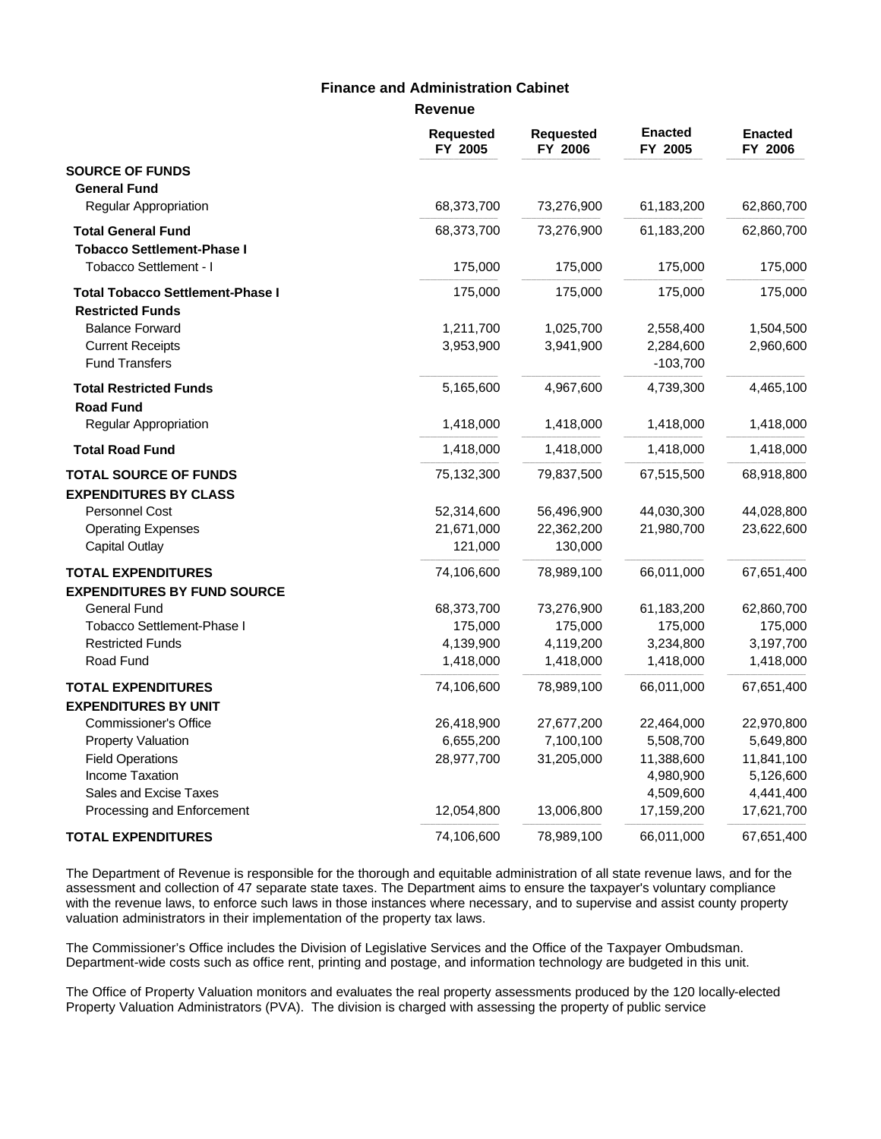#### **Revenue Finance and Administration Cabinet**

|                                         | Revenue                     |                             |                           |                           |
|-----------------------------------------|-----------------------------|-----------------------------|---------------------------|---------------------------|
|                                         | <b>Requested</b><br>FY 2005 | <b>Requested</b><br>FY 2006 | <b>Enacted</b><br>FY 2005 | <b>Enacted</b><br>FY 2006 |
| <b>SOURCE OF FUNDS</b>                  |                             |                             |                           |                           |
| <b>General Fund</b>                     |                             |                             |                           |                           |
| Regular Appropriation                   | 68,373,700                  | 73,276,900                  | 61,183,200                | 62,860,700                |
| <b>Total General Fund</b>               | 68,373,700                  | 73,276,900                  | 61,183,200                | 62,860,700                |
| <b>Tobacco Settlement-Phase I</b>       |                             |                             |                           |                           |
| Tobacco Settlement - I                  | 175,000                     | 175,000                     | 175,000                   | 175,000                   |
| <b>Total Tobacco Settlement-Phase I</b> | 175,000                     | 175,000                     | 175,000                   | 175,000                   |
| <b>Restricted Funds</b>                 |                             |                             |                           |                           |
| <b>Balance Forward</b>                  | 1,211,700                   | 1,025,700                   | 2,558,400                 | 1,504,500                 |
| <b>Current Receipts</b>                 | 3,953,900                   | 3,941,900                   | 2,284,600                 | 2,960,600                 |
| <b>Fund Transfers</b>                   |                             |                             | $-103,700$                |                           |
| <b>Total Restricted Funds</b>           | 5,165,600                   | 4,967,600                   | 4,739,300                 | 4,465,100                 |
| <b>Road Fund</b>                        |                             |                             |                           |                           |
| Regular Appropriation                   | 1,418,000                   | 1,418,000                   | 1,418,000                 | 1,418,000                 |
| <b>Total Road Fund</b>                  | 1,418,000                   | 1,418,000                   | 1,418,000                 | 1,418,000                 |
| <b>TOTAL SOURCE OF FUNDS</b>            | 75,132,300                  | 79,837,500                  | 67,515,500                | 68,918,800                |
| <b>EXPENDITURES BY CLASS</b>            |                             |                             |                           |                           |
| <b>Personnel Cost</b>                   | 52,314,600                  | 56,496,900                  | 44,030,300                | 44,028,800                |
| <b>Operating Expenses</b>               | 21,671,000                  | 22,362,200                  | 21,980,700                | 23,622,600                |
| <b>Capital Outlay</b>                   | 121,000                     | 130,000                     |                           |                           |
| <b>TOTAL EXPENDITURES</b>               | 74,106,600                  | 78,989,100                  | 66,011,000                | 67,651,400                |
| <b>EXPENDITURES BY FUND SOURCE</b>      |                             |                             |                           |                           |
| <b>General Fund</b>                     | 68,373,700                  | 73,276,900                  | 61,183,200                | 62,860,700                |
| <b>Tobacco Settlement-Phase I</b>       | 175,000                     | 175,000                     | 175,000                   | 175,000                   |
| <b>Restricted Funds</b>                 | 4,139,900                   | 4,119,200                   | 3,234,800                 | 3,197,700                 |
| Road Fund                               | 1,418,000                   | 1,418,000                   | 1,418,000                 | 1,418,000                 |
| <b>TOTAL EXPENDITURES</b>               | 74,106,600                  | 78,989,100                  | 66,011,000                | 67,651,400                |
| <b>EXPENDITURES BY UNIT</b>             |                             |                             |                           |                           |
| <b>Commissioner's Office</b>            | 26,418,900                  | 27,677,200                  | 22,464,000                | 22,970,800                |
| <b>Property Valuation</b>               | 6,655,200                   | 7,100,100                   | 5,508,700                 | 5,649,800                 |
| <b>Field Operations</b>                 | 28,977,700                  | 31,205,000                  | 11,388,600                | 11,841,100                |
| <b>Income Taxation</b>                  |                             |                             | 4,980,900                 | 5,126,600                 |
| Sales and Excise Taxes                  |                             |                             | 4,509,600                 | 4,441,400                 |
| Processing and Enforcement              | 12,054,800                  | 13,006,800                  | 17,159,200                | 17,621,700                |
| <b>TOTAL EXPENDITURES</b>               | 74,106,600                  | 78,989,100                  | 66,011,000                | 67,651,400                |

The Department of Revenue is responsible for the thorough and equitable administration of all state revenue laws, and for the assessment and collection of 47 separate state taxes. The Department aims to ensure the taxpayer's voluntary compliance with the revenue laws, to enforce such laws in those instances where necessary, and to supervise and assist county property valuation administrators in their implementation of the property tax laws.

The Commissioner's Office includes the Division of Legislative Services and the Office of the Taxpayer Ombudsman. Department-wide costs such as office rent, printing and postage, and information technology are budgeted in this unit.

The Office of Property Valuation monitors and evaluates the real property assessments produced by the 120 locally-elected Property Valuation Administrators (PVA). The division is charged with assessing the property of public service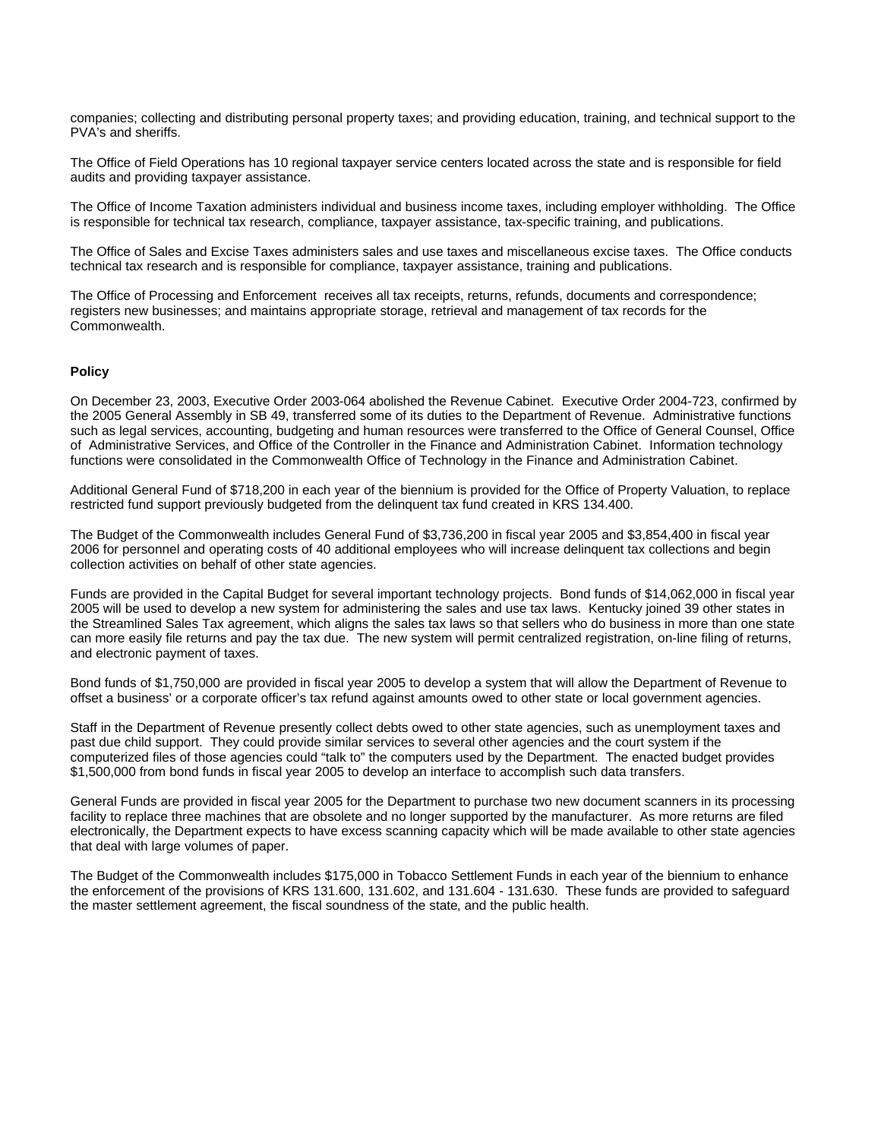companies; collecting and distributing personal property taxes; and providing education, training, and technical support to the PVA's and sheriffs.

The Office of Field Operations has 10 regional taxpayer service centers located across the state and is responsible for field audits and providing taxpayer assistance.

The Office of Income Taxation administers individual and business income taxes, including employer withholding. The Office is responsible for technical tax research, compliance, taxpayer assistance, tax-specific training, and publications.

The Office of Sales and Excise Taxes administers sales and use taxes and miscellaneous excise taxes. The Office conducts technical tax research and is responsible for compliance, taxpayer assistance, training and publications.

The Office of Processing and Enforcement receives all tax receipts, returns, refunds, documents and correspondence; registers new businesses; and maintains appropriate storage, retrieval and management of tax records for the Commonwealth.

#### **Policy**

On December 23, 2003, Executive Order 2003-064 abolished the Revenue Cabinet. Executive Order 2004-723, confirmed by the 2005 General Assembly in SB 49, transferred some of its duties to the Department of Revenue. Administrative functions such as legal services, accounting, budgeting and human resources were transferred to the Office of General Counsel, Office of Administrative Services, and Office of the Controller in the Finance and Administration Cabinet. Information technology functions were consolidated in the Commonwealth Office of Technology in the Finance and Administration Cabinet.

Additional General Fund of \$718,200 in each year of the biennium is provided for the Office of Property Valuation, to replace restricted fund support previously budgeted from the delinquent tax fund created in KRS 134.400.

The Budget of the Commonwealth includes General Fund of \$3,736,200 in fiscal year 2005 and \$3,854,400 in fiscal year 2006 for personnel and operating costs of 40 additional employees who will increase delinquent tax collections and begin collection activities on behalf of other state agencies.

Funds are provided in the Capital Budget for several important technology projects. Bond funds of \$14,062,000 in fiscal year 2005 will be used to develop a new system for administering the sales and use tax laws. Kentucky joined 39 other states in the Streamlined Sales Tax agreement, which aligns the sales tax laws so that sellers who do business in more than one state can more easily file returns and pay the tax due. The new system will permit centralized registration, on-line filing of returns, and electronic payment of taxes.

Bond funds of \$1,750,000 are provided in fiscal year 2005 to develop a system that will allow the Department of Revenue to offset a business' or a corporate officer's tax refund against amounts owed to other state or local government agencies.

Staff in the Department of Revenue presently collect debts owed to other state agencies, such as unemployment taxes and past due child support. They could provide similar services to several other agencies and the court system if the computerized files of those agencies could "talk to" the computers used by the Department. The enacted budget provides \$1,500,000 from bond funds in fiscal year 2005 to develop an interface to accomplish such data transfers.

General Funds are provided in fiscal year 2005 for the Department to purchase two new document scanners in its processing facility to replace three machines that are obsolete and no longer supported by the manufacturer. As more returns are filed electronically, the Department expects to have excess scanning capacity which will be made available to other state agencies that deal with large volumes of paper.

The Budget of the Commonwealth includes \$175,000 in Tobacco Settlement Funds in each year of the biennium to enhance the enforcement of the provisions of KRS 131.600, 131.602, and 131.604 - 131.630. These funds are provided to safeguard the master settlement agreement, the fiscal soundness of the state, and the public health.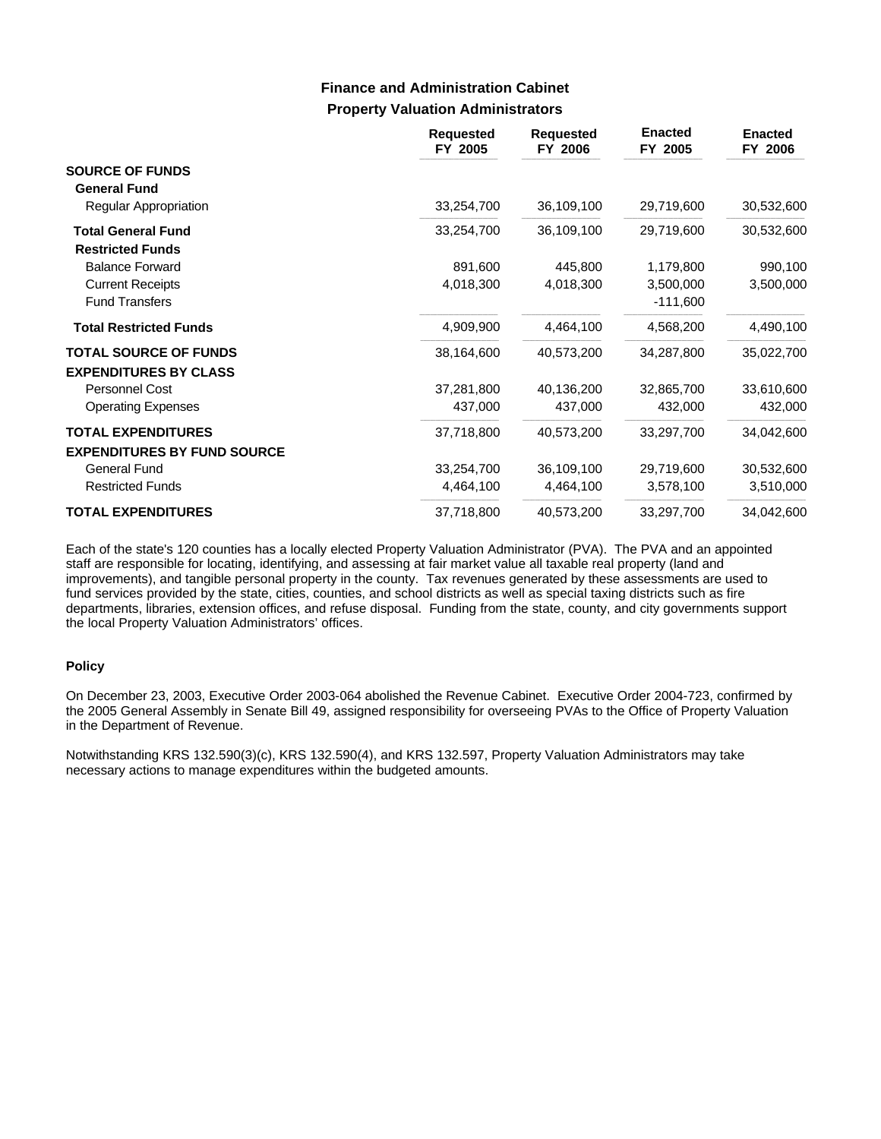### **Property Valuation Administrators Finance and Administration Cabinet**

|                                    | <b>Requested</b><br>FY 2005 | <b>Requested</b><br>FY 2006 | <b>Enacted</b><br>FY 2005 | <b>Enacted</b><br>FY 2006 |
|------------------------------------|-----------------------------|-----------------------------|---------------------------|---------------------------|
| <b>SOURCE OF FUNDS</b>             |                             |                             |                           |                           |
| <b>General Fund</b>                |                             |                             |                           |                           |
| Regular Appropriation              | 33,254,700                  | 36,109,100                  | 29,719,600                | 30,532,600                |
| <b>Total General Fund</b>          | 33,254,700                  | 36,109,100                  | 29,719,600                | 30,532,600                |
| <b>Restricted Funds</b>            |                             |                             |                           |                           |
| <b>Balance Forward</b>             | 891,600                     | 445,800                     | 1,179,800                 | 990,100                   |
| <b>Current Receipts</b>            | 4,018,300                   | 4,018,300                   | 3,500,000                 | 3,500,000                 |
| <b>Fund Transfers</b>              |                             |                             | $-111,600$                |                           |
| <b>Total Restricted Funds</b>      | 4,909,900                   | 4,464,100                   | 4,568,200                 | 4,490,100                 |
| <b>TOTAL SOURCE OF FUNDS</b>       | 38,164,600                  | 40,573,200                  | 34,287,800                | 35,022,700                |
| <b>EXPENDITURES BY CLASS</b>       |                             |                             |                           |                           |
| Personnel Cost                     | 37,281,800                  | 40,136,200                  | 32,865,700                | 33,610,600                |
| <b>Operating Expenses</b>          | 437,000                     | 437,000                     | 432,000                   | 432,000                   |
| <b>TOTAL EXPENDITURES</b>          | 37,718,800                  | 40,573,200                  | 33,297,700                | 34,042,600                |
| <b>EXPENDITURES BY FUND SOURCE</b> |                             |                             |                           |                           |
| General Fund                       | 33,254,700                  | 36,109,100                  | 29,719,600                | 30,532,600                |
| <b>Restricted Funds</b>            | 4,464,100                   | 4,464,100                   | 3,578,100                 | 3,510,000                 |
| <b>TOTAL EXPENDITURES</b>          | 37,718,800                  | 40,573,200                  | 33,297,700                | 34,042,600                |

Each of the state's 120 counties has a locally elected Property Valuation Administrator (PVA). The PVA and an appointed staff are responsible for locating, identifying, and assessing at fair market value all taxable real property (land and improvements), and tangible personal property in the county. Tax revenues generated by these assessments are used to fund services provided by the state, cities, counties, and school districts as well as special taxing districts such as fire departments, libraries, extension offices, and refuse disposal. Funding from the state, county, and city governments support the local Property Valuation Administrators' offices.

#### **Policy**

On December 23, 2003, Executive Order 2003-064 abolished the Revenue Cabinet. Executive Order 2004-723, confirmed by the 2005 General Assembly in Senate Bill 49, assigned responsibility for overseeing PVAs to the Office of Property Valuation in the Department of Revenue.

Notwithstanding KRS 132.590(3)(c), KRS 132.590(4), and KRS 132.597, Property Valuation Administrators may take necessary actions to manage expenditures within the budgeted amounts.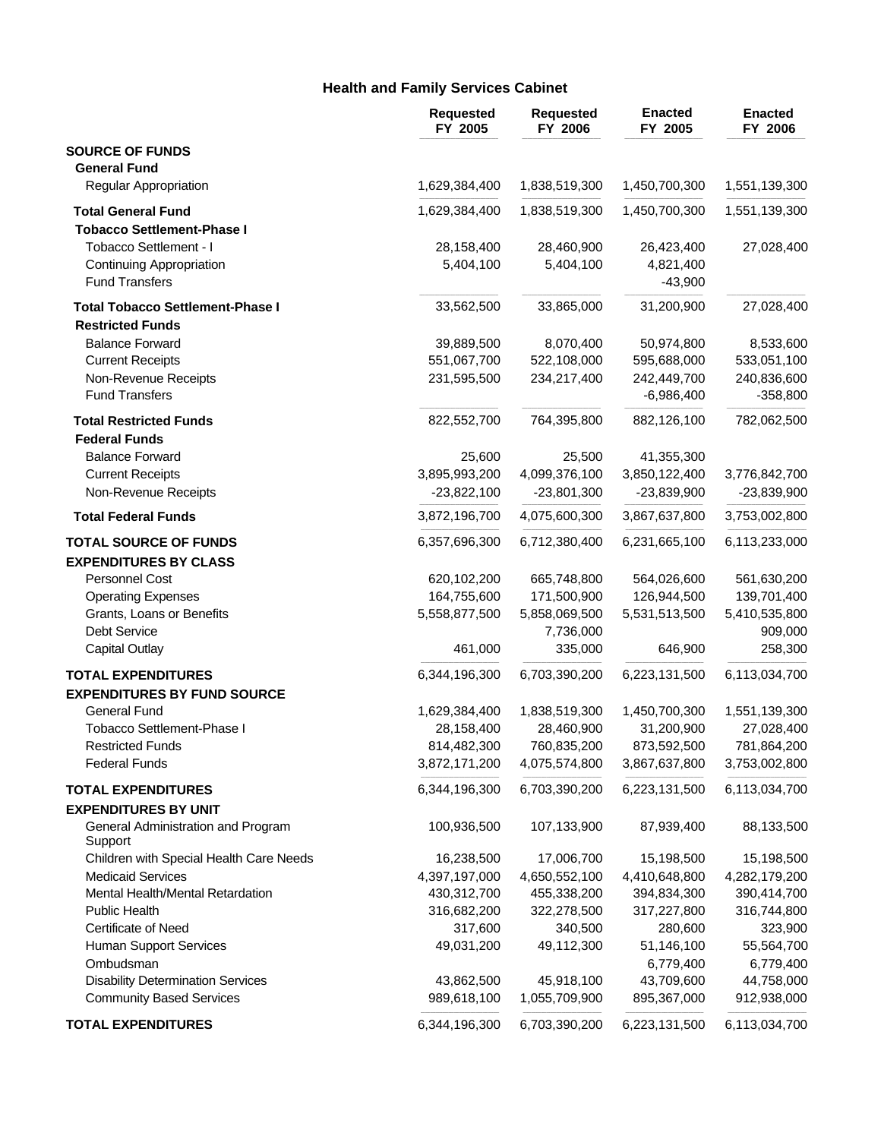### **Health and Family Services Cabinet**

|                                               | <b>Requested</b><br>FY 2005 | <b>Requested</b><br>FY 2006 | <b>Enacted</b><br>FY 2005 | <b>Enacted</b><br>FY 2006 |
|-----------------------------------------------|-----------------------------|-----------------------------|---------------------------|---------------------------|
| <b>SOURCE OF FUNDS</b>                        |                             |                             |                           |                           |
| <b>General Fund</b>                           |                             |                             |                           |                           |
| Regular Appropriation                         | 1,629,384,400               | 1,838,519,300               | 1,450,700,300             | 1,551,139,300             |
| <b>Total General Fund</b>                     | 1,629,384,400               | 1,838,519,300               | 1,450,700,300             | 1,551,139,300             |
| <b>Tobacco Settlement-Phase I</b>             |                             |                             |                           |                           |
| Tobacco Settlement - I                        | 28,158,400                  | 28,460,900                  | 26,423,400                | 27,028,400                |
| <b>Continuing Appropriation</b>               | 5,404,100                   | 5,404,100                   | 4,821,400                 |                           |
| <b>Fund Transfers</b>                         |                             |                             | $-43,900$                 |                           |
| <b>Total Tobacco Settlement-Phase I</b>       | 33,562,500                  | 33,865,000                  | 31,200,900                | 27,028,400                |
| <b>Restricted Funds</b>                       |                             |                             |                           |                           |
| <b>Balance Forward</b>                        | 39,889,500                  | 8,070,400                   | 50,974,800                | 8,533,600                 |
| <b>Current Receipts</b>                       | 551,067,700                 | 522,108,000                 | 595,688,000               | 533,051,100               |
| Non-Revenue Receipts                          | 231,595,500                 | 234,217,400                 | 242,449,700               | 240,836,600               |
| <b>Fund Transfers</b>                         |                             |                             | $-6,986,400$              | $-358,800$                |
| <b>Total Restricted Funds</b>                 | 822,552,700                 | 764,395,800                 | 882,126,100               | 782,062,500               |
| <b>Federal Funds</b>                          |                             |                             |                           |                           |
| <b>Balance Forward</b>                        | 25,600                      | 25,500                      | 41,355,300                |                           |
| <b>Current Receipts</b>                       | 3,895,993,200               | 4,099,376,100               | 3,850,122,400             | 3,776,842,700             |
| Non-Revenue Receipts                          | $-23,822,100$               | $-23,801,300$               | $-23,839,900$             | $-23,839,900$             |
| <b>Total Federal Funds</b>                    | 3,872,196,700               | 4,075,600,300               | 3,867,637,800             | 3,753,002,800             |
| <b>TOTAL SOURCE OF FUNDS</b>                  | 6,357,696,300               | 6,712,380,400               | 6,231,665,100             | 6,113,233,000             |
| <b>EXPENDITURES BY CLASS</b>                  |                             |                             |                           |                           |
| Personnel Cost                                | 620,102,200                 | 665,748,800                 | 564,026,600               | 561,630,200               |
| <b>Operating Expenses</b>                     | 164,755,600                 | 171,500,900                 | 126,944,500               | 139,701,400               |
| Grants, Loans or Benefits                     | 5,558,877,500               | 5,858,069,500               | 5,531,513,500             | 5,410,535,800             |
| Debt Service                                  |                             | 7,736,000                   |                           | 909,000                   |
| <b>Capital Outlay</b>                         | 461,000                     | 335,000                     | 646,900                   | 258,300                   |
| <b>TOTAL EXPENDITURES</b>                     | 6,344,196,300               | 6,703,390,200               | 6,223,131,500             | 6,113,034,700             |
| <b>EXPENDITURES BY FUND SOURCE</b>            |                             |                             |                           |                           |
| <b>General Fund</b>                           | 1,629,384,400               | 1,838,519,300               | 1,450,700,300             | 1,551,139,300             |
| Tobacco Settlement-Phase I                    | 28,158,400                  | 28,460,900                  | 31,200,900                | 27,028,400                |
| Restricted Funds                              | 814,482,300                 | 760,835,200                 | 873,592,500               | 781,864,200               |
| <b>Federal Funds</b>                          | 3,872,171,200               | 4,075,574,800               | 3,867,637,800             | 3,753,002,800             |
| <b>TOTAL EXPENDITURES</b>                     | 6,344,196,300               | 6,703,390,200               | 6,223,131,500             | 6,113,034,700             |
| <b>EXPENDITURES BY UNIT</b>                   |                             |                             |                           |                           |
| General Administration and Program<br>Support | 100,936,500                 | 107,133,900                 | 87,939,400                | 88,133,500                |
| Children with Special Health Care Needs       | 16,238,500                  | 17,006,700                  | 15,198,500                | 15,198,500                |
| <b>Medicaid Services</b>                      | 4,397,197,000               | 4,650,552,100               | 4,410,648,800             | 4,282,179,200             |
| Mental Health/Mental Retardation              | 430,312,700                 | 455,338,200                 | 394,834,300               | 390,414,700               |
| <b>Public Health</b>                          | 316,682,200                 | 322,278,500                 | 317,227,800               | 316,744,800               |
| Certificate of Need                           | 317,600                     | 340,500                     | 280,600                   | 323,900                   |
| <b>Human Support Services</b>                 | 49,031,200                  | 49,112,300                  | 51,146,100                | 55,564,700                |
| Ombudsman                                     |                             |                             | 6,779,400                 | 6,779,400                 |
| <b>Disability Determination Services</b>      | 43,862,500                  | 45,918,100                  | 43,709,600                | 44,758,000                |
| <b>Community Based Services</b>               | 989,618,100                 | 1,055,709,900               | 895,367,000               | 912,938,000               |
| <b>TOTAL EXPENDITURES</b>                     | 6,344,196,300               | 6,703,390,200               | 6,223,131,500             | 6,113,034,700             |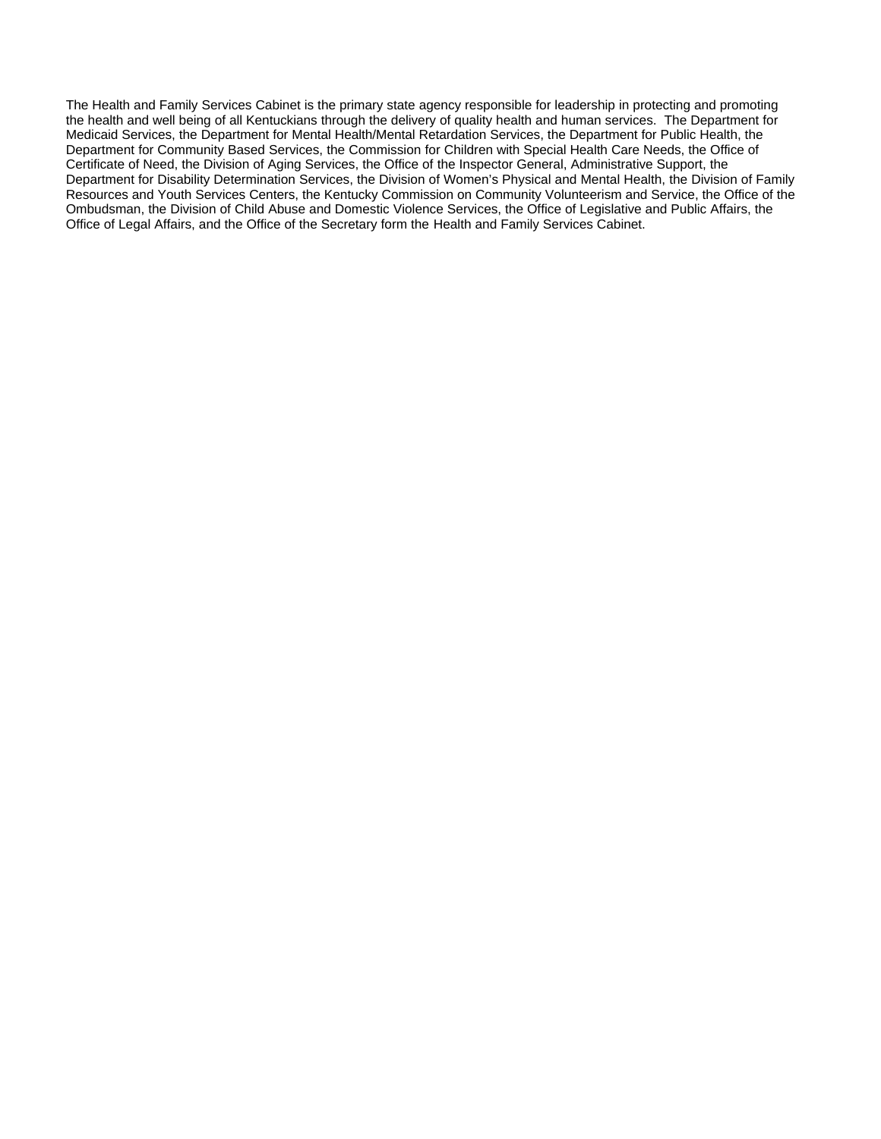The Health and Family Services Cabinet is the primary state agency responsible for leadership in protecting and promoting the health and well being of all Kentuckians through the delivery of quality health and human services. The Department for Medicaid Services, the Department for Mental Health/Mental Retardation Services, the Department for Public Health, the Department for Community Based Services, the Commission for Children with Special Health Care Needs, the Office of Certificate of Need, the Division of Aging Services, the Office of the Inspector General, Administrative Support, the Department for Disability Determination Services, the Division of Women's Physical and Mental Health, the Division of Family Resources and Youth Services Centers, the Kentucky Commission on Community Volunteerism and Service, the Office of the Ombudsman, the Division of Child Abuse and Domestic Violence Services, the Office of Legislative and Public Affairs, the Office of Legal Affairs, and the Office of the Secretary form the Health and Family Services Cabinet.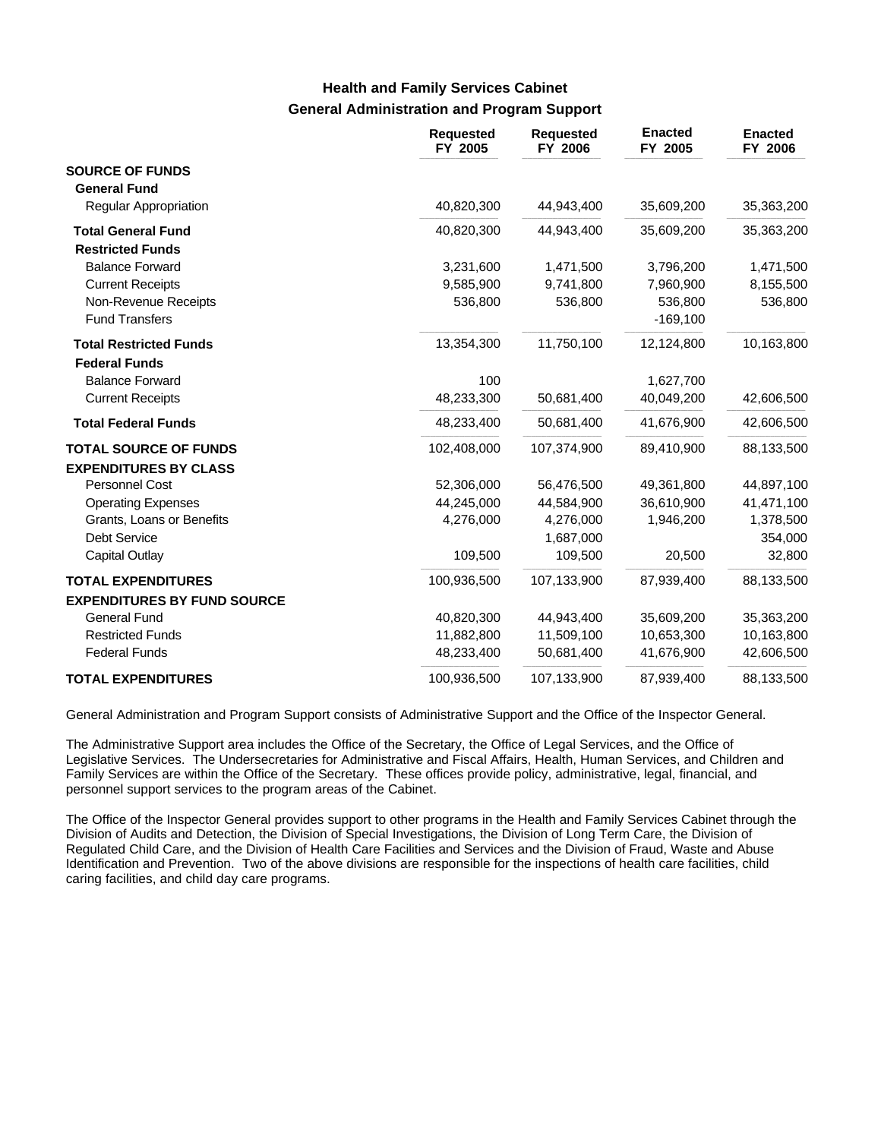### **General Administration and Program Support Health and Family Services Cabinet**

|                                                       | <b>Requested</b><br>FY 2005 | <b>Requested</b><br>FY 2006 | <b>Enacted</b><br>FY 2005 | <b>Enacted</b><br>FY 2006 |
|-------------------------------------------------------|-----------------------------|-----------------------------|---------------------------|---------------------------|
| <b>SOURCE OF FUNDS</b>                                |                             |                             |                           |                           |
| <b>General Fund</b>                                   |                             |                             |                           |                           |
| Regular Appropriation                                 | 40,820,300                  | 44,943,400                  | 35,609,200                | 35,363,200                |
| <b>Total General Fund</b>                             | 40,820,300                  | 44,943,400                  | 35,609,200                | 35,363,200                |
| <b>Restricted Funds</b>                               |                             |                             |                           |                           |
| <b>Balance Forward</b>                                | 3,231,600                   | 1,471,500                   | 3,796,200                 | 1,471,500                 |
| <b>Current Receipts</b>                               | 9,585,900                   | 9,741,800                   | 7,960,900                 | 8,155,500                 |
| Non-Revenue Receipts                                  | 536,800                     | 536,800                     | 536,800                   | 536,800                   |
| <b>Fund Transfers</b>                                 |                             |                             | $-169, 100$               |                           |
| <b>Total Restricted Funds</b><br><b>Federal Funds</b> | 13,354,300                  | 11,750,100                  | 12,124,800                | 10,163,800                |
| <b>Balance Forward</b>                                | 100                         |                             | 1,627,700                 |                           |
| <b>Current Receipts</b>                               | 48,233,300                  | 50,681,400                  | 40,049,200                | 42,606,500                |
| <b>Total Federal Funds</b>                            | 48,233,400                  | 50,681,400                  | 41,676,900                | 42,606,500                |
| <b>TOTAL SOURCE OF FUNDS</b>                          | 102,408,000                 | 107,374,900                 | 89,410,900                | 88,133,500                |
| <b>EXPENDITURES BY CLASS</b>                          |                             |                             |                           |                           |
| Personnel Cost                                        | 52,306,000                  | 56,476,500                  | 49,361,800                | 44,897,100                |
| <b>Operating Expenses</b>                             | 44,245,000                  | 44,584,900                  | 36,610,900                | 41,471,100                |
| Grants, Loans or Benefits                             | 4,276,000                   | 4,276,000                   | 1,946,200                 | 1,378,500                 |
| <b>Debt Service</b>                                   |                             | 1,687,000                   |                           | 354,000                   |
| <b>Capital Outlay</b>                                 | 109,500                     | 109,500                     | 20,500                    | 32,800                    |
| <b>TOTAL EXPENDITURES</b>                             | 100,936,500                 | 107,133,900                 | 87,939,400                | 88,133,500                |
| <b>EXPENDITURES BY FUND SOURCE</b>                    |                             |                             |                           |                           |
| <b>General Fund</b>                                   | 40,820,300                  | 44,943,400                  | 35,609,200                | 35,363,200                |
| <b>Restricted Funds</b>                               | 11,882,800                  | 11,509,100                  | 10,653,300                | 10,163,800                |
| <b>Federal Funds</b>                                  | 48,233,400                  | 50,681,400                  | 41,676,900                | 42,606,500                |
| <b>TOTAL EXPENDITURES</b>                             | 100,936,500                 | 107,133,900                 | 87,939,400                | 88,133,500                |

General Administration and Program Support consists of Administrative Support and the Office of the Inspector General.

The Administrative Support area includes the Office of the Secretary, the Office of Legal Services, and the Office of Legislative Services. The Undersecretaries for Administrative and Fiscal Affairs, Health, Human Services, and Children and Family Services are within the Office of the Secretary. These offices provide policy, administrative, legal, financial, and personnel support services to the program areas of the Cabinet.

The Office of the Inspector General provides support to other programs in the Health and Family Services Cabinet through the Division of Audits and Detection, the Division of Special Investigations, the Division of Long Term Care, the Division of Regulated Child Care, and the Division of Health Care Facilities and Services and the Division of Fraud, Waste and Abuse Identification and Prevention. Two of the above divisions are responsible for the inspections of health care facilities, child caring facilities, and child day care programs.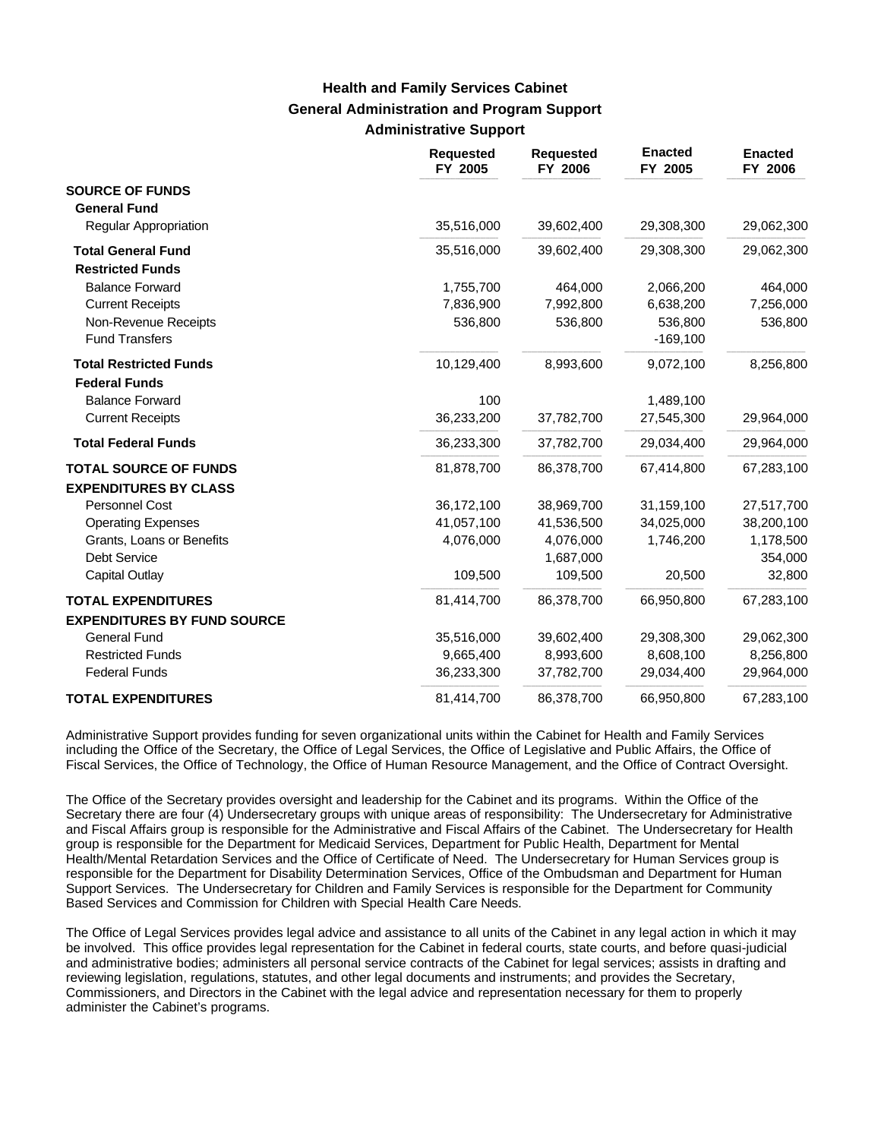# **General Administration and Program Support Administrative Support Health and Family Services Cabinet**

|                                    | <b>Requested</b><br>FY 2005 | <b>Requested</b><br>FY 2006 | <b>Enacted</b><br>FY 2005 | <b>Enacted</b><br>FY 2006 |
|------------------------------------|-----------------------------|-----------------------------|---------------------------|---------------------------|
| <b>SOURCE OF FUNDS</b>             |                             |                             |                           |                           |
| <b>General Fund</b>                |                             |                             |                           |                           |
| <b>Regular Appropriation</b>       | 35,516,000                  | 39,602,400                  | 29,308,300                | 29,062,300                |
| <b>Total General Fund</b>          | 35,516,000                  | 39,602,400                  | 29,308,300                | 29,062,300                |
| <b>Restricted Funds</b>            |                             |                             |                           |                           |
| <b>Balance Forward</b>             | 1,755,700                   | 464,000                     | 2,066,200                 | 464,000                   |
| <b>Current Receipts</b>            | 7,836,900                   | 7,992,800                   | 6,638,200                 | 7,256,000                 |
| Non-Revenue Receipts               | 536,800                     | 536,800                     | 536,800                   | 536,800                   |
| <b>Fund Transfers</b>              |                             |                             | $-169,100$                |                           |
| <b>Total Restricted Funds</b>      | 10,129,400                  | 8,993,600                   | 9,072,100                 | 8,256,800                 |
| <b>Federal Funds</b>               |                             |                             |                           |                           |
| <b>Balance Forward</b>             | 100                         |                             | 1,489,100                 |                           |
| <b>Current Receipts</b>            | 36,233,200                  | 37,782,700                  | 27,545,300                | 29,964,000                |
| <b>Total Federal Funds</b>         | 36,233,300                  | 37,782,700                  | 29,034,400                | 29,964,000                |
| <b>TOTAL SOURCE OF FUNDS</b>       | 81,878,700                  | 86,378,700                  | 67,414,800                | 67,283,100                |
| <b>EXPENDITURES BY CLASS</b>       |                             |                             |                           |                           |
| Personnel Cost                     | 36,172,100                  | 38,969,700                  | 31,159,100                | 27,517,700                |
| <b>Operating Expenses</b>          | 41,057,100                  | 41,536,500                  | 34,025,000                | 38,200,100                |
| Grants, Loans or Benefits          | 4,076,000                   | 4,076,000                   | 1,746,200                 | 1,178,500                 |
| <b>Debt Service</b>                |                             | 1,687,000                   |                           | 354,000                   |
| Capital Outlay                     | 109,500                     | 109,500                     | 20,500                    | 32,800                    |
| <b>TOTAL EXPENDITURES</b>          | 81,414,700                  | 86,378,700                  | 66,950,800                | 67,283,100                |
| <b>EXPENDITURES BY FUND SOURCE</b> |                             |                             |                           |                           |
| <b>General Fund</b>                | 35,516,000                  | 39,602,400                  | 29,308,300                | 29,062,300                |
| <b>Restricted Funds</b>            | 9,665,400                   | 8,993,600                   | 8,608,100                 | 8,256,800                 |
| <b>Federal Funds</b>               | 36,233,300                  | 37,782,700                  | 29,034,400                | 29,964,000                |
| <b>TOTAL EXPENDITURES</b>          | 81,414,700                  | 86,378,700                  | 66,950,800                | 67,283,100                |

Administrative Support provides funding for seven organizational units within the Cabinet for Health and Family Services including the Office of the Secretary, the Office of Legal Services, the Office of Legislative and Public Affairs, the Office of Fiscal Services, the Office of Technology, the Office of Human Resource Management, and the Office of Contract Oversight.

The Office of the Secretary provides oversight and leadership for the Cabinet and its programs. Within the Office of the Secretary there are four (4) Undersecretary groups with unique areas of responsibility: The Undersecretary for Administrative and Fiscal Affairs group is responsible for the Administrative and Fiscal Affairs of the Cabinet. The Undersecretary for Health group is responsible for the Department for Medicaid Services, Department for Public Health, Department for Mental Health/Mental Retardation Services and the Office of Certificate of Need. The Undersecretary for Human Services group is responsible for the Department for Disability Determination Services, Office of the Ombudsman and Department for Human Support Services. The Undersecretary for Children and Family Services is responsible for the Department for Community Based Services and Commission for Children with Special Health Care Needs.

The Office of Legal Services provides legal advice and assistance to all units of the Cabinet in any legal action in which it may be involved. This office provides legal representation for the Cabinet in federal courts, state courts, and before quasi-judicial and administrative bodies; administers all personal service contracts of the Cabinet for legal services; assists in drafting and reviewing legislation, regulations, statutes, and other legal documents and instruments; and provides the Secretary, Commissioners, and Directors in the Cabinet with the legal advice and representation necessary for them to properly administer the Cabinet's programs.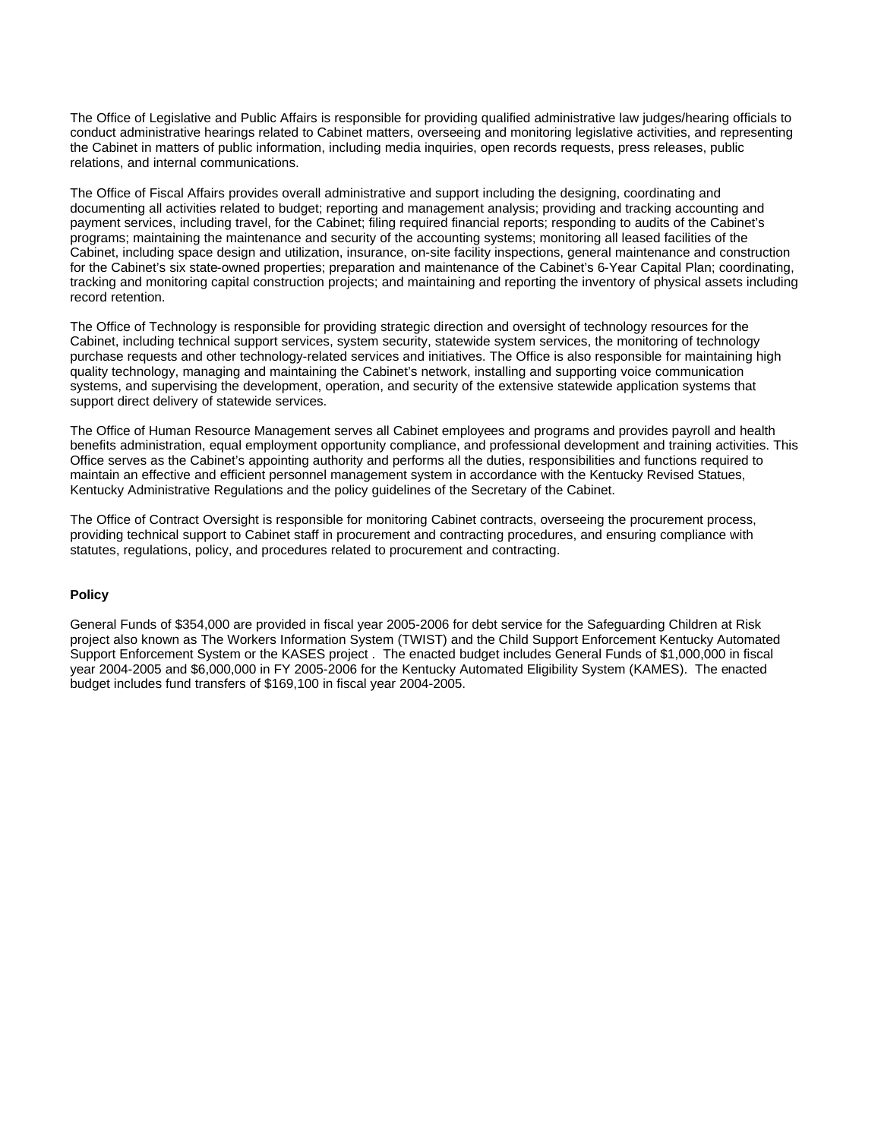The Office of Legislative and Public Affairs is responsible for providing qualified administrative law judges/hearing officials to conduct administrative hearings related to Cabinet matters, overseeing and monitoring legislative activities, and representing the Cabinet in matters of public information, including media inquiries, open records requests, press releases, public relations, and internal communications.

The Office of Fiscal Affairs provides overall administrative and support including the designing, coordinating and documenting all activities related to budget; reporting and management analysis; providing and tracking accounting and payment services, including travel, for the Cabinet; filing required financial reports; responding to audits of the Cabinet's programs; maintaining the maintenance and security of the accounting systems; monitoring all leased facilities of the Cabinet, including space design and utilization, insurance, on-site facility inspections, general maintenance and construction for the Cabinet's six state-owned properties; preparation and maintenance of the Cabinet's 6-Year Capital Plan; coordinating, tracking and monitoring capital construction projects; and maintaining and reporting the inventory of physical assets including record retention.

The Office of Technology is responsible for providing strategic direction and oversight of technology resources for the Cabinet, including technical support services, system security, statewide system services, the monitoring of technology purchase requests and other technology-related services and initiatives. The Office is also responsible for maintaining high quality technology, managing and maintaining the Cabinet's network, installing and supporting voice communication systems, and supervising the development, operation, and security of the extensive statewide application systems that support direct delivery of statewide services.

The Office of Human Resource Management serves all Cabinet employees and programs and provides payroll and health benefits administration, equal employment opportunity compliance, and professional development and training activities. This Office serves as the Cabinet's appointing authority and performs all the duties, responsibilities and functions required to maintain an effective and efficient personnel management system in accordance with the Kentucky Revised Statues, Kentucky Administrative Regulations and the policy guidelines of the Secretary of the Cabinet.

The Office of Contract Oversight is responsible for monitoring Cabinet contracts, overseeing the procurement process, providing technical support to Cabinet staff in procurement and contracting procedures, and ensuring compliance with statutes, regulations, policy, and procedures related to procurement and contracting.

#### **Policy**

General Funds of \$354,000 are provided in fiscal year 2005-2006 for debt service for the Safeguarding Children at Risk project also known as The Workers Information System (TWIST) and the Child Support Enforcement Kentucky Automated Support Enforcement System or the KASES project . The enacted budget includes General Funds of \$1,000,000 in fiscal year 2004-2005 and \$6,000,000 in FY 2005-2006 for the Kentucky Automated Eligibility System (KAMES). The enacted budget includes fund transfers of \$169,100 in fiscal year 2004-2005.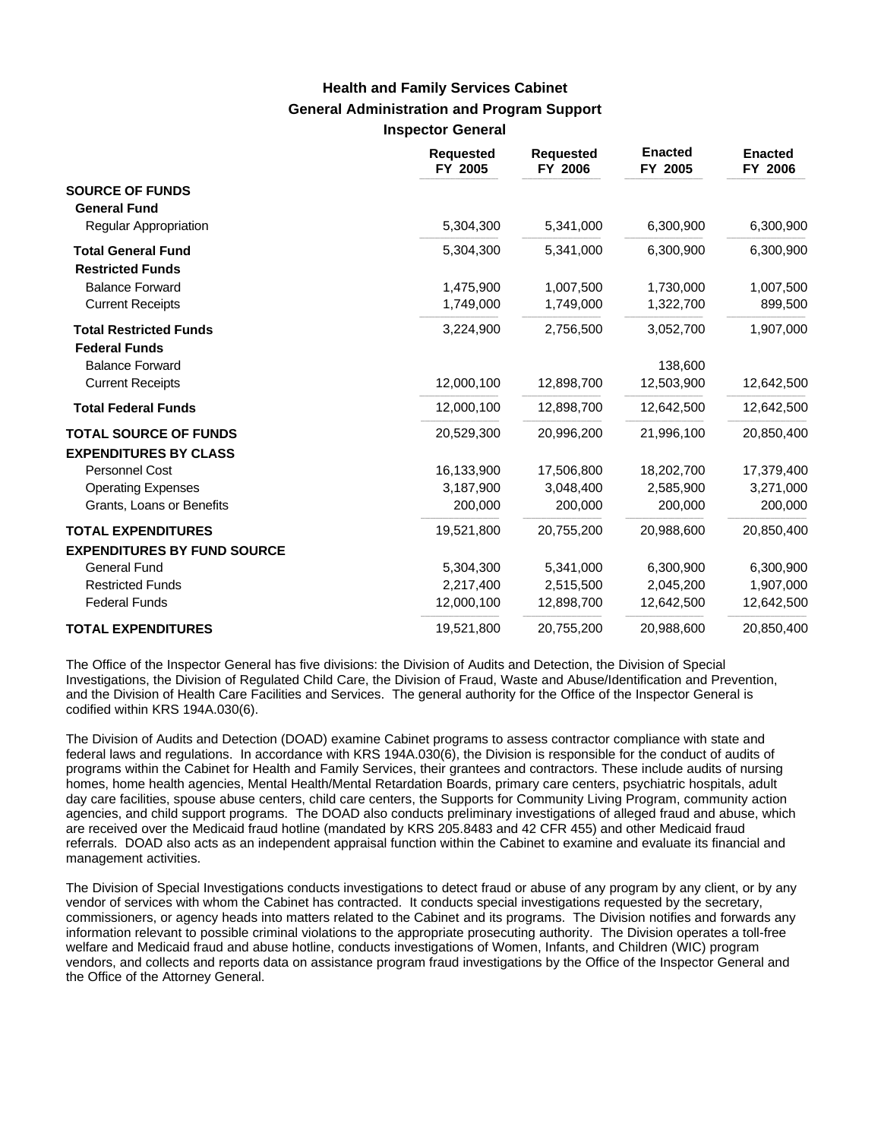### **General Administration and Program Support Inspector General Health and Family Services Cabinet**

|                                                       | <b>Requested</b><br>FY 2005 | <b>Requested</b><br>FY 2006 | <b>Enacted</b><br>FY 2005 | <b>Enacted</b><br>FY 2006 |
|-------------------------------------------------------|-----------------------------|-----------------------------|---------------------------|---------------------------|
| <b>SOURCE OF FUNDS</b><br><b>General Fund</b>         |                             |                             |                           |                           |
| <b>Regular Appropriation</b>                          | 5,304,300                   | 5,341,000                   | 6,300,900                 | 6,300,900                 |
| <b>Total General Fund</b><br><b>Restricted Funds</b>  | 5,304,300                   | 5,341,000                   | 6,300,900                 | 6,300,900                 |
| <b>Balance Forward</b>                                | 1,475,900                   | 1,007,500                   | 1,730,000                 | 1,007,500                 |
| <b>Current Receipts</b>                               | 1,749,000                   | 1,749,000                   | 1,322,700                 | 899,500                   |
| <b>Total Restricted Funds</b><br><b>Federal Funds</b> | 3,224,900                   | 2,756,500                   | 3,052,700                 | 1,907,000                 |
| <b>Balance Forward</b>                                |                             |                             | 138,600                   |                           |
| <b>Current Receipts</b>                               | 12,000,100                  | 12,898,700                  | 12,503,900                | 12,642,500                |
| <b>Total Federal Funds</b>                            | 12,000,100                  | 12,898,700                  | 12,642,500                | 12,642,500                |
| <b>TOTAL SOURCE OF FUNDS</b>                          | 20,529,300                  | 20,996,200                  | 21,996,100                | 20,850,400                |
| <b>EXPENDITURES BY CLASS</b>                          |                             |                             |                           |                           |
| Personnel Cost                                        | 16,133,900                  | 17,506,800                  | 18,202,700                | 17,379,400                |
| <b>Operating Expenses</b>                             | 3,187,900                   | 3,048,400                   | 2,585,900                 | 3,271,000                 |
| Grants, Loans or Benefits                             | 200,000                     | 200,000                     | 200,000                   | 200,000                   |
| <b>TOTAL EXPENDITURES</b>                             | 19,521,800                  | 20,755,200                  | 20,988,600                | 20,850,400                |
| <b>EXPENDITURES BY FUND SOURCE</b>                    |                             |                             |                           |                           |
| <b>General Fund</b>                                   | 5,304,300                   | 5,341,000                   | 6,300,900                 | 6,300,900                 |
| <b>Restricted Funds</b>                               | 2,217,400                   | 2,515,500                   | 2,045,200                 | 1,907,000                 |
| <b>Federal Funds</b>                                  | 12,000,100                  | 12,898,700                  | 12,642,500                | 12,642,500                |
| <b>TOTAL EXPENDITURES</b>                             | 19,521,800                  | 20,755,200                  | 20,988,600                | 20,850,400                |

The Office of the Inspector General has five divisions: the Division of Audits and Detection, the Division of Special Investigations, the Division of Regulated Child Care, the Division of Fraud, Waste and Abuse/Identification and Prevention, and the Division of Health Care Facilities and Services. The general authority for the Office of the Inspector General is codified within KRS 194A.030(6).

The Division of Audits and Detection (DOAD) examine Cabinet programs to assess contractor compliance with state and federal laws and regulations. In accordance with KRS 194A.030(6), the Division is responsible for the conduct of audits of programs within the Cabinet for Health and Family Services, their grantees and contractors. These include audits of nursing homes, home health agencies, Mental Health/Mental Retardation Boards, primary care centers, psychiatric hospitals, adult day care facilities, spouse abuse centers, child care centers, the Supports for Community Living Program, community action agencies, and child support programs. The DOAD also conducts preliminary investigations of alleged fraud and abuse, which are received over the Medicaid fraud hotline (mandated by KRS 205.8483 and 42 CFR 455) and other Medicaid fraud referrals. DOAD also acts as an independent appraisal function within the Cabinet to examine and evaluate its financial and management activities.

The Division of Special Investigations conducts investigations to detect fraud or abuse of any program by any client, or by any vendor of services with whom the Cabinet has contracted. It conducts special investigations requested by the secretary, commissioners, or agency heads into matters related to the Cabinet and its programs. The Division notifies and forwards any information relevant to possible criminal violations to the appropriate prosecuting authority. The Division operates a toll-free welfare and Medicaid fraud and abuse hotline, conducts investigations of Women, Infants, and Children (WIC) program vendors, and collects and reports data on assistance program fraud investigations by the Office of the Inspector General and the Office of the Attorney General.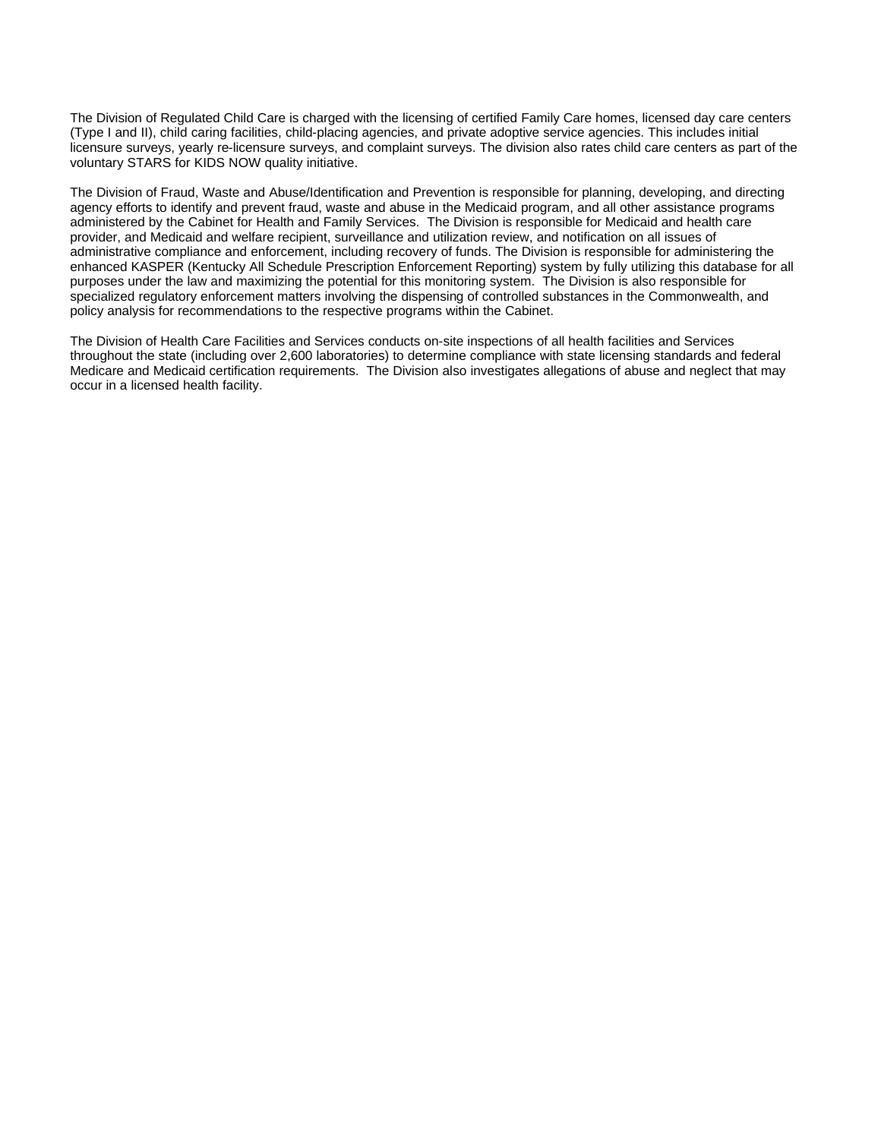The Division of Regulated Child Care is charged with the licensing of certified Family Care homes, licensed day care centers (Type I and II), child caring facilities, child-placing agencies, and private adoptive service agencies. This includes initial licensure surveys, yearly re-licensure surveys, and complaint surveys. The division also rates child care centers as part of the voluntary STARS for KIDS NOW quality initiative.

The Division of Fraud, Waste and Abuse/Identification and Prevention is responsible for planning, developing, and directing agency efforts to identify and prevent fraud, waste and abuse in the Medicaid program, and all other assistance programs administered by the Cabinet for Health and Family Services. The Division is responsible for Medicaid and health care provider, and Medicaid and welfare recipient, surveillance and utilization review, and notification on all issues of administrative compliance and enforcement, including recovery of funds. The Division is responsible for administering the enhanced KASPER (Kentucky All Schedule Prescription Enforcement Reporting) system by fully utilizing this database for all purposes under the law and maximizing the potential for this monitoring system. The Division is also responsible for specialized regulatory enforcement matters involving the dispensing of controlled substances in the Commonwealth, and policy analysis for recommendations to the respective programs within the Cabinet.

The Division of Health Care Facilities and Services conducts on-site inspections of all health facilities and Services throughout the state (including over 2,600 laboratories) to determine compliance with state licensing standards and federal Medicare and Medicaid certification requirements. The Division also investigates allegations of abuse and neglect that may occur in a licensed health facility.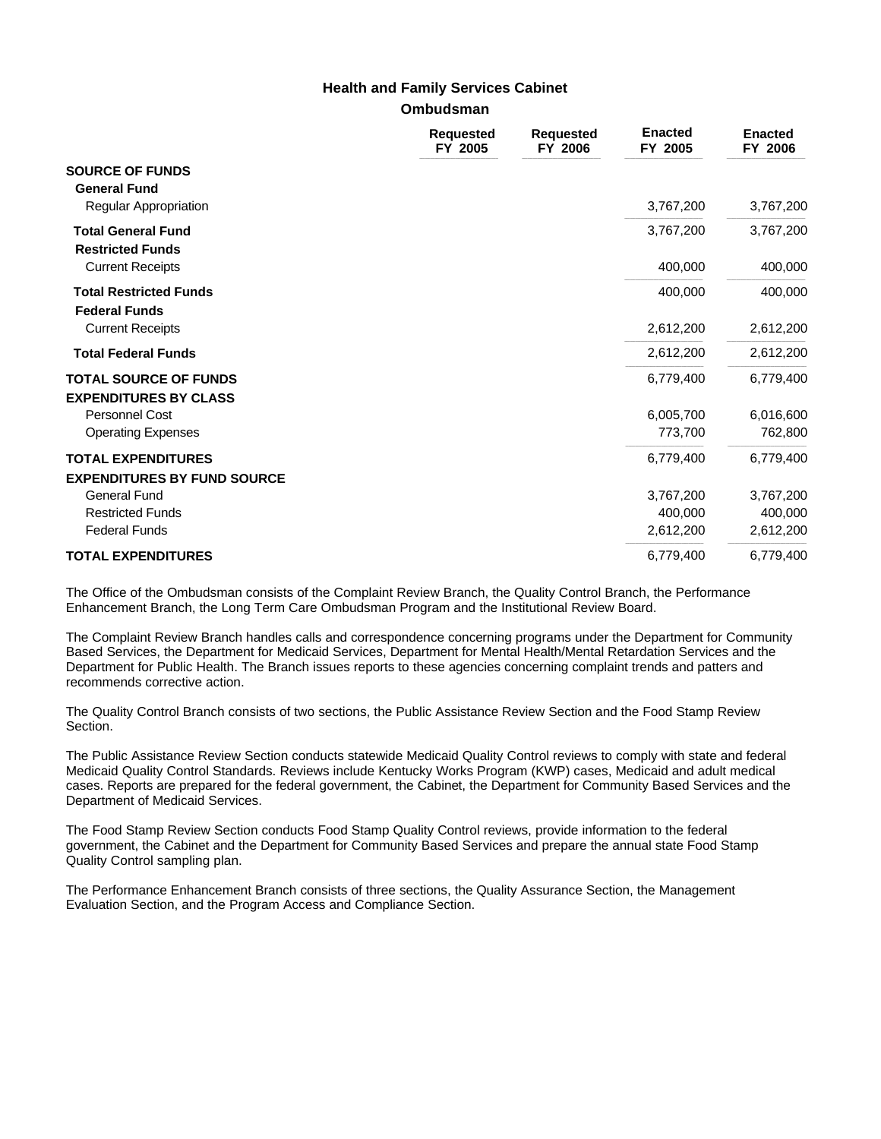### **Health and Family Services Cabinet**

#### **Ombudsman**

|                                                                        | <b>Requested</b><br>FY 2005 | <b>Requested</b><br>FY 2006 | <b>Enacted</b><br>FY 2005 | <b>Enacted</b><br>FY 2006 |
|------------------------------------------------------------------------|-----------------------------|-----------------------------|---------------------------|---------------------------|
| <b>SOURCE OF FUNDS</b><br><b>General Fund</b><br>Regular Appropriation |                             |                             | 3,767,200                 | 3,767,200                 |
|                                                                        |                             |                             |                           |                           |
| <b>Total General Fund</b><br><b>Restricted Funds</b>                   |                             |                             | 3,767,200                 | 3,767,200                 |
| <b>Current Receipts</b>                                                |                             |                             | 400,000                   | 400,000                   |
| <b>Total Restricted Funds</b><br><b>Federal Funds</b>                  |                             |                             | 400,000                   | 400,000                   |
| <b>Current Receipts</b>                                                |                             |                             | 2,612,200                 | 2,612,200                 |
| <b>Total Federal Funds</b>                                             |                             |                             | 2,612,200                 | 2,612,200                 |
| <b>TOTAL SOURCE OF FUNDS</b><br><b>EXPENDITURES BY CLASS</b>           |                             |                             | 6,779,400                 | 6,779,400                 |
| Personnel Cost                                                         |                             |                             | 6,005,700                 | 6,016,600                 |
| <b>Operating Expenses</b>                                              |                             |                             | 773,700                   | 762,800                   |
| <b>TOTAL EXPENDITURES</b><br><b>EXPENDITURES BY FUND SOURCE</b>        |                             |                             | 6,779,400                 | 6,779,400                 |
| <b>General Fund</b>                                                    |                             |                             | 3,767,200                 | 3,767,200                 |
| <b>Restricted Funds</b>                                                |                             |                             | 400,000                   | 400,000                   |
| <b>Federal Funds</b>                                                   |                             |                             | 2,612,200                 | 2,612,200                 |
| <b>TOTAL EXPENDITURES</b>                                              |                             |                             | 6,779,400                 | 6,779,400                 |

The Office of the Ombudsman consists of the Complaint Review Branch, the Quality Control Branch, the Performance Enhancement Branch, the Long Term Care Ombudsman Program and the Institutional Review Board.

The Complaint Review Branch handles calls and correspondence concerning programs under the Department for Community Based Services, the Department for Medicaid Services, Department for Mental Health/Mental Retardation Services and the Department for Public Health. The Branch issues reports to these agencies concerning complaint trends and patters and recommends corrective action.

The Quality Control Branch consists of two sections, the Public Assistance Review Section and the Food Stamp Review Section.

The Public Assistance Review Section conducts statewide Medicaid Quality Control reviews to comply with state and federal Medicaid Quality Control Standards. Reviews include Kentucky Works Program (KWP) cases, Medicaid and adult medical cases. Reports are prepared for the federal government, the Cabinet, the Department for Community Based Services and the Department of Medicaid Services.

The Food Stamp Review Section conducts Food Stamp Quality Control reviews, provide information to the federal government, the Cabinet and the Department for Community Based Services and prepare the annual state Food Stamp Quality Control sampling plan.

The Performance Enhancement Branch consists of three sections, the Quality Assurance Section, the Management Evaluation Section, and the Program Access and Compliance Section.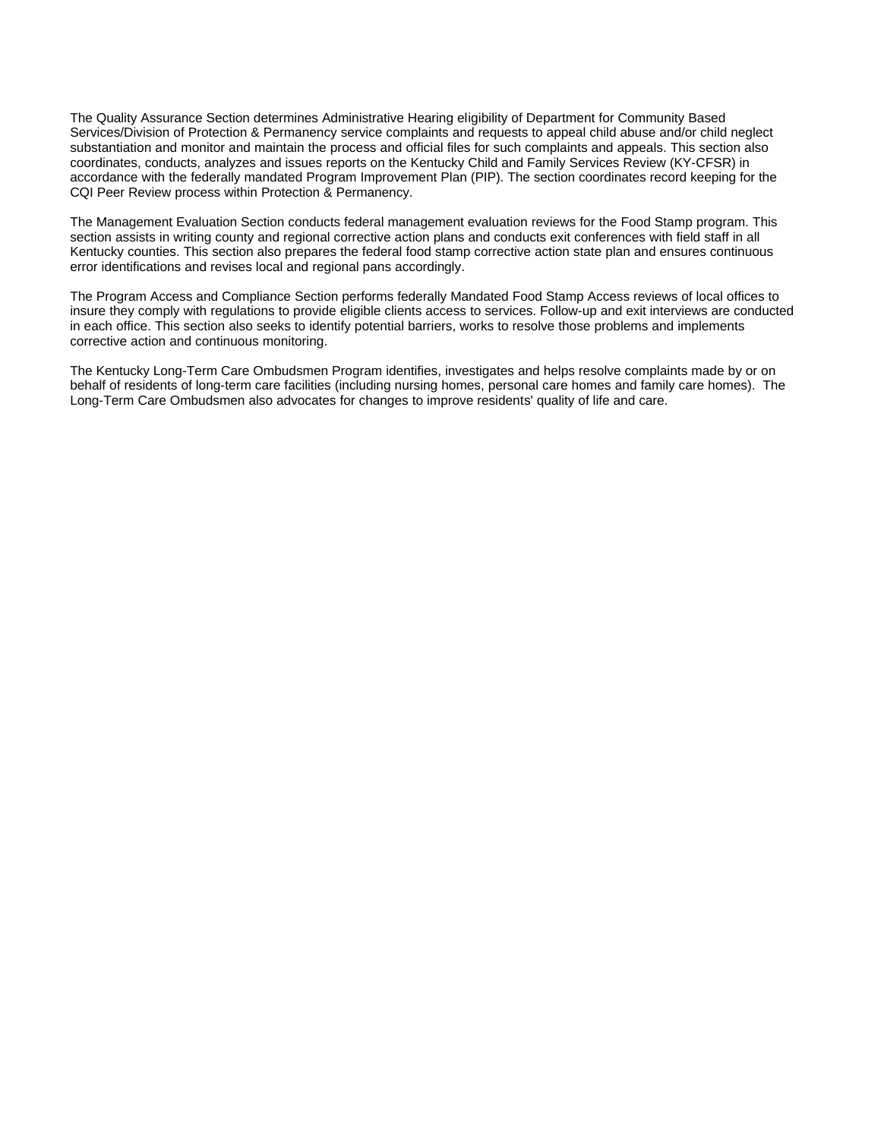The Quality Assurance Section determines Administrative Hearing eligibility of Department for Community Based Services/Division of Protection & Permanency service complaints and requests to appeal child abuse and/or child neglect substantiation and monitor and maintain the process and official files for such complaints and appeals. This section also coordinates, conducts, analyzes and issues reports on the Kentucky Child and Family Services Review (KY-CFSR) in accordance with the federally mandated Program Improvement Plan (PIP). The section coordinates record keeping for the CQI Peer Review process within Protection & Permanency.

The Management Evaluation Section conducts federal management evaluation reviews for the Food Stamp program. This section assists in writing county and regional corrective action plans and conducts exit conferences with field staff in all Kentucky counties. This section also prepares the federal food stamp corrective action state plan and ensures continuous error identifications and revises local and regional pans accordingly.

The Program Access and Compliance Section performs federally Mandated Food Stamp Access reviews of local offices to insure they comply with regulations to provide eligible clients access to services. Follow-up and exit interviews are conducted in each office. This section also seeks to identify potential barriers, works to resolve those problems and implements corrective action and continuous monitoring.

The Kentucky Long-Term Care Ombudsmen Program identifies, investigates and helps resolve complaints made by or on behalf of residents of long-term care facilities (including nursing homes, personal care homes and family care homes). The Long-Term Care Ombudsmen also advocates for changes to improve residents' quality of life and care.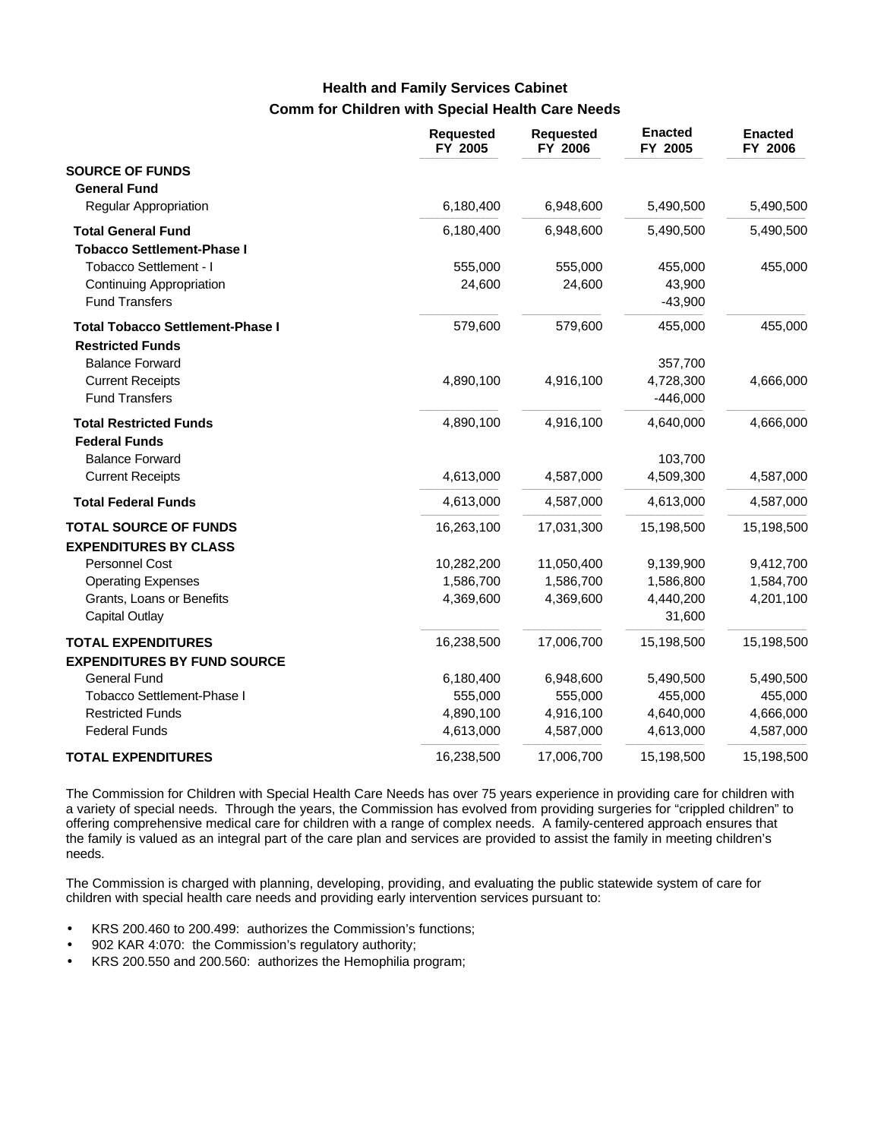# **Comm for Children with Special Health Care Needs Health and Family Services Cabinet**

|                                         | <b>Requested</b><br>FY 2005 | <b>Requested</b><br>FY 2006 | <b>Enacted</b><br>FY 2005 | <b>Enacted</b><br>FY 2006 |
|-----------------------------------------|-----------------------------|-----------------------------|---------------------------|---------------------------|
| <b>SOURCE OF FUNDS</b>                  |                             |                             |                           |                           |
| <b>General Fund</b>                     |                             |                             |                           |                           |
| <b>Regular Appropriation</b>            | 6,180,400                   | 6,948,600                   | 5,490,500                 | 5,490,500                 |
| <b>Total General Fund</b>               | 6,180,400                   | 6,948,600                   | 5,490,500                 | 5,490,500                 |
| <b>Tobacco Settlement-Phase I</b>       |                             |                             |                           |                           |
| Tobacco Settlement - I                  | 555,000                     | 555,000                     | 455,000                   | 455,000                   |
| Continuing Appropriation                | 24,600                      | 24,600                      | 43,900                    |                           |
| <b>Fund Transfers</b>                   |                             |                             | $-43,900$                 |                           |
| <b>Total Tobacco Settlement-Phase I</b> | 579,600                     | 579,600                     | 455,000                   | 455,000                   |
| <b>Restricted Funds</b>                 |                             |                             |                           |                           |
| <b>Balance Forward</b>                  |                             |                             | 357,700                   |                           |
| <b>Current Receipts</b>                 | 4,890,100                   | 4,916,100                   | 4,728,300                 | 4,666,000                 |
| <b>Fund Transfers</b>                   |                             |                             | $-446,000$                |                           |
| <b>Total Restricted Funds</b>           | 4,890,100                   | 4,916,100                   | 4,640,000                 | 4,666,000                 |
| <b>Federal Funds</b>                    |                             |                             |                           |                           |
| <b>Balance Forward</b>                  |                             |                             | 103,700                   |                           |
| <b>Current Receipts</b>                 | 4,613,000                   | 4,587,000                   | 4,509,300                 | 4,587,000                 |
| <b>Total Federal Funds</b>              | 4,613,000                   | 4,587,000                   | 4,613,000                 | 4,587,000                 |
| <b>TOTAL SOURCE OF FUNDS</b>            | 16,263,100                  | 17,031,300                  | 15,198,500                | 15,198,500                |
| <b>EXPENDITURES BY CLASS</b>            |                             |                             |                           |                           |
| Personnel Cost                          | 10,282,200                  | 11,050,400                  | 9,139,900                 | 9,412,700                 |
| <b>Operating Expenses</b>               | 1,586,700                   | 1,586,700                   | 1,586,800                 | 1,584,700                 |
| Grants, Loans or Benefits               | 4,369,600                   | 4,369,600                   | 4,440,200                 | 4,201,100                 |
| Capital Outlay                          |                             |                             | 31,600                    |                           |
| <b>TOTAL EXPENDITURES</b>               | 16,238,500                  | 17,006,700                  | 15,198,500                | 15,198,500                |
| <b>EXPENDITURES BY FUND SOURCE</b>      |                             |                             |                           |                           |
| <b>General Fund</b>                     | 6,180,400                   | 6,948,600                   | 5,490,500                 | 5,490,500                 |
| Tobacco Settlement-Phase I              | 555,000                     | 555,000                     | 455,000                   | 455,000                   |
| <b>Restricted Funds</b>                 | 4,890,100                   | 4,916,100                   | 4,640,000                 | 4,666,000                 |
| <b>Federal Funds</b>                    | 4,613,000                   | 4,587,000                   | 4,613,000                 | 4,587,000                 |
| <b>TOTAL EXPENDITURES</b>               | 16,238,500                  | 17,006,700                  | 15,198,500                | 15,198,500                |

The Commission for Children with Special Health Care Needs has over 75 years experience in providing care for children with a variety of special needs. Through the years, the Commission has evolved from providing surgeries for "crippled children" to offering comprehensive medical care for children with a range of complex needs. A family-centered approach ensures that the family is valued as an integral part of the care plan and services are provided to assist the family in meeting children's needs.

The Commission is charged with planning, developing, providing, and evaluating the public statewide system of care for children with special health care needs and providing early intervention services pursuant to:

- KRS 200.460 to 200.499: authorizes the Commission's functions;
- 902 KAR 4:070: the Commission's regulatory authority;
- KRS 200.550 and 200.560: authorizes the Hemophilia program;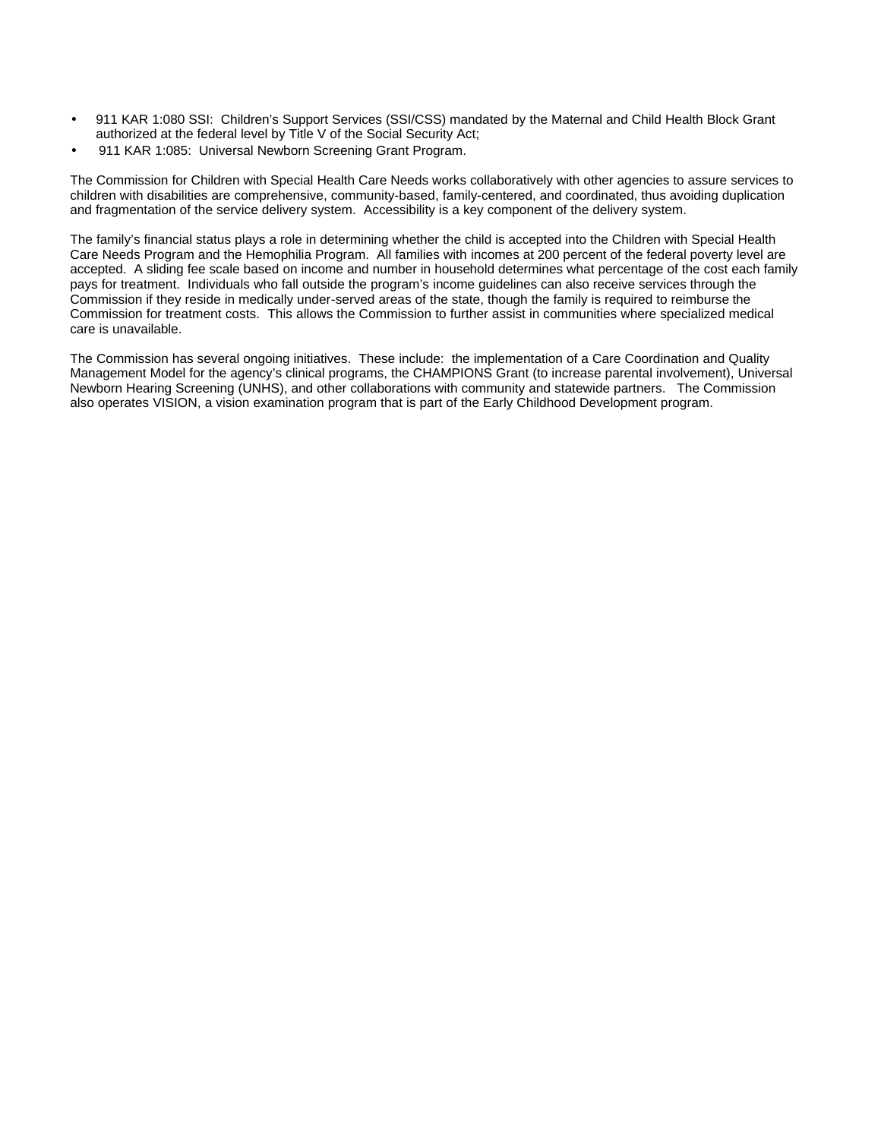- 911 KAR 1:080 SSI: Children's Support Services (SSI/CSS) mandated by the Maternal and Child Health Block Grant authorized at the federal level by Title V of the Social Security Act;
- 911 KAR 1:085: Universal Newborn Screening Grant Program.

The Commission for Children with Special Health Care Needs works collaboratively with other agencies to assure services to children with disabilities are comprehensive, community-based, family-centered, and coordinated, thus avoiding duplication and fragmentation of the service delivery system. Accessibility is a key component of the delivery system.

The family's financial status plays a role in determining whether the child is accepted into the Children with Special Health Care Needs Program and the Hemophilia Program. All families with incomes at 200 percent of the federal poverty level are accepted. A sliding fee scale based on income and number in household determines what percentage of the cost each family pays for treatment. Individuals who fall outside the program's income guidelines can also receive services through the Commission if they reside in medically under-served areas of the state, though the family is required to reimburse the Commission for treatment costs. This allows the Commission to further assist in communities where specialized medical care is unavailable.

The Commission has several ongoing initiatives. These include: the implementation of a Care Coordination and Quality Management Model for the agency's clinical programs, the CHAMPIONS Grant (to increase parental involvement), Universal Newborn Hearing Screening (UNHS), and other collaborations with community and statewide partners. The Commission also operates VISION, a vision examination program that is part of the Early Childhood Development program.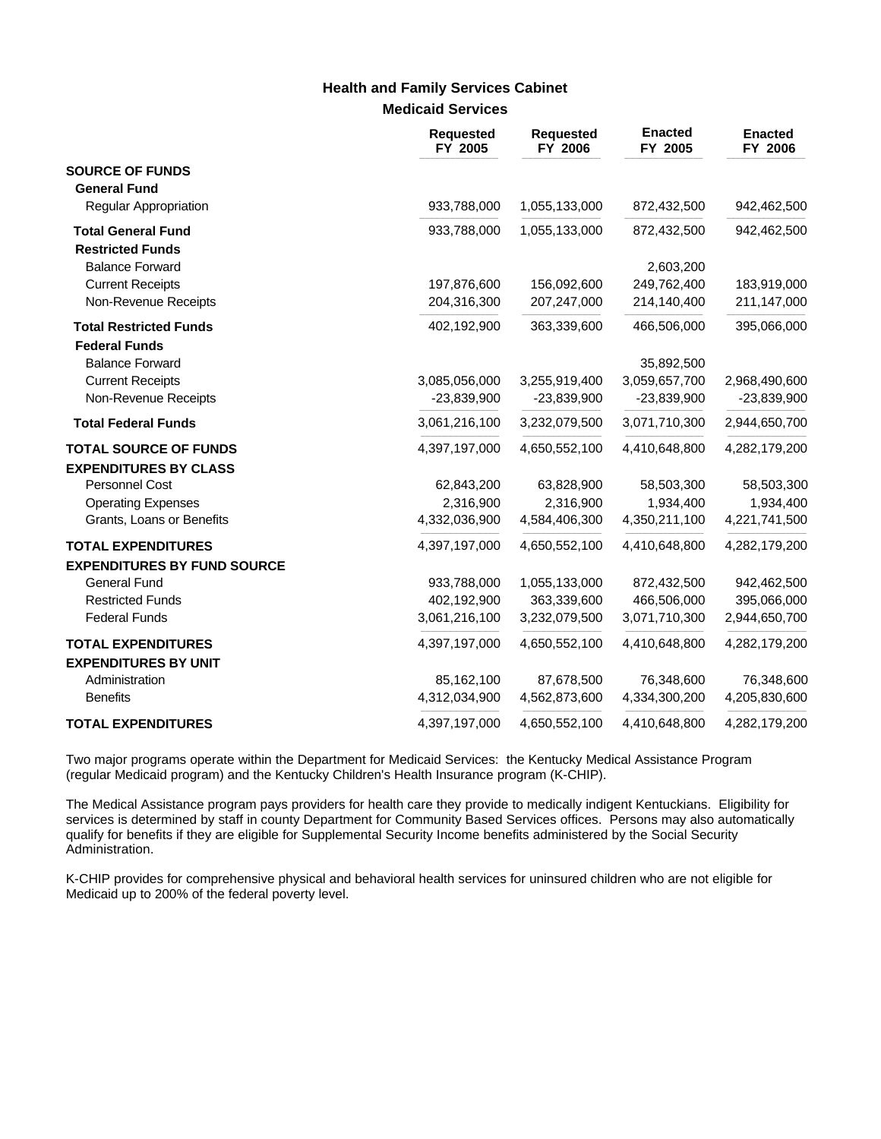### **Medicaid Services Health and Family Services Cabinet**

|                                    | <b>Requested</b><br>FY 2005 | <b>Requested</b><br>FY 2006 | <b>Enacted</b><br>FY 2005 | <b>Enacted</b><br>FY 2006 |
|------------------------------------|-----------------------------|-----------------------------|---------------------------|---------------------------|
| <b>SOURCE OF FUNDS</b>             |                             |                             |                           |                           |
| <b>General Fund</b>                |                             |                             |                           |                           |
| Regular Appropriation              | 933,788,000                 | 1,055,133,000               | 872,432,500               | 942,462,500               |
| <b>Total General Fund</b>          | 933,788,000                 | 1,055,133,000               | 872,432,500               | 942,462,500               |
| <b>Restricted Funds</b>            |                             |                             |                           |                           |
| <b>Balance Forward</b>             |                             |                             | 2,603,200                 |                           |
| <b>Current Receipts</b>            | 197,876,600                 | 156,092,600                 | 249,762,400               | 183,919,000               |
| Non-Revenue Receipts               | 204,316,300                 | 207,247,000                 | 214,140,400               | 211,147,000               |
| <b>Total Restricted Funds</b>      | 402,192,900                 | 363,339,600                 | 466,506,000               | 395,066,000               |
| <b>Federal Funds</b>               |                             |                             |                           |                           |
| <b>Balance Forward</b>             |                             |                             | 35,892,500                |                           |
| <b>Current Receipts</b>            | 3,085,056,000               | 3,255,919,400               | 3,059,657,700             | 2,968,490,600             |
| Non-Revenue Receipts               | $-23,839,900$               | $-23,839,900$               | $-23,839,900$             | $-23,839,900$             |
| <b>Total Federal Funds</b>         | 3,061,216,100               | 3,232,079,500               | 3,071,710,300             | 2,944,650,700             |
| <b>TOTAL SOURCE OF FUNDS</b>       | 4,397,197,000               | 4,650,552,100               | 4,410,648,800             | 4,282,179,200             |
| <b>EXPENDITURES BY CLASS</b>       |                             |                             |                           |                           |
| Personnel Cost                     | 62,843,200                  | 63,828,900                  | 58,503,300                | 58,503,300                |
| <b>Operating Expenses</b>          | 2,316,900                   | 2,316,900                   | 1,934,400                 | 1,934,400                 |
| Grants, Loans or Benefits          | 4,332,036,900               | 4,584,406,300               | 4,350,211,100             | 4,221,741,500             |
| <b>TOTAL EXPENDITURES</b>          | 4,397,197,000               | 4,650,552,100               | 4,410,648,800             | 4,282,179,200             |
| <b>EXPENDITURES BY FUND SOURCE</b> |                             |                             |                           |                           |
| <b>General Fund</b>                | 933,788,000                 | 1,055,133,000               | 872,432,500               | 942,462,500               |
| <b>Restricted Funds</b>            | 402,192,900                 | 363,339,600                 | 466,506,000               | 395,066,000               |
| <b>Federal Funds</b>               | 3,061,216,100               | 3,232,079,500               | 3,071,710,300             | 2,944,650,700             |
| <b>TOTAL EXPENDITURES</b>          | 4,397,197,000               | 4,650,552,100               | 4,410,648,800             | 4,282,179,200             |
| <b>EXPENDITURES BY UNIT</b>        |                             |                             |                           |                           |
| Administration                     | 85,162,100                  | 87,678,500                  | 76,348,600                | 76,348,600                |
| <b>Benefits</b>                    | 4,312,034,900               | 4,562,873,600               | 4,334,300,200             | 4,205,830,600             |
| <b>TOTAL EXPENDITURES</b>          | 4,397,197,000               | 4,650,552,100               | 4,410,648,800             | 4,282,179,200             |

Two major programs operate within the Department for Medicaid Services: the Kentucky Medical Assistance Program (regular Medicaid program) and the Kentucky Children's Health Insurance program (K-CHIP).

The Medical Assistance program pays providers for health care they provide to medically indigent Kentuckians. Eligibility for services is determined by staff in county Department for Community Based Services offices. Persons may also automatically qualify for benefits if they are eligible for Supplemental Security Income benefits administered by the Social Security Administration.

K-CHIP provides for comprehensive physical and behavioral health services for uninsured children who are not eligible for Medicaid up to 200% of the federal poverty level.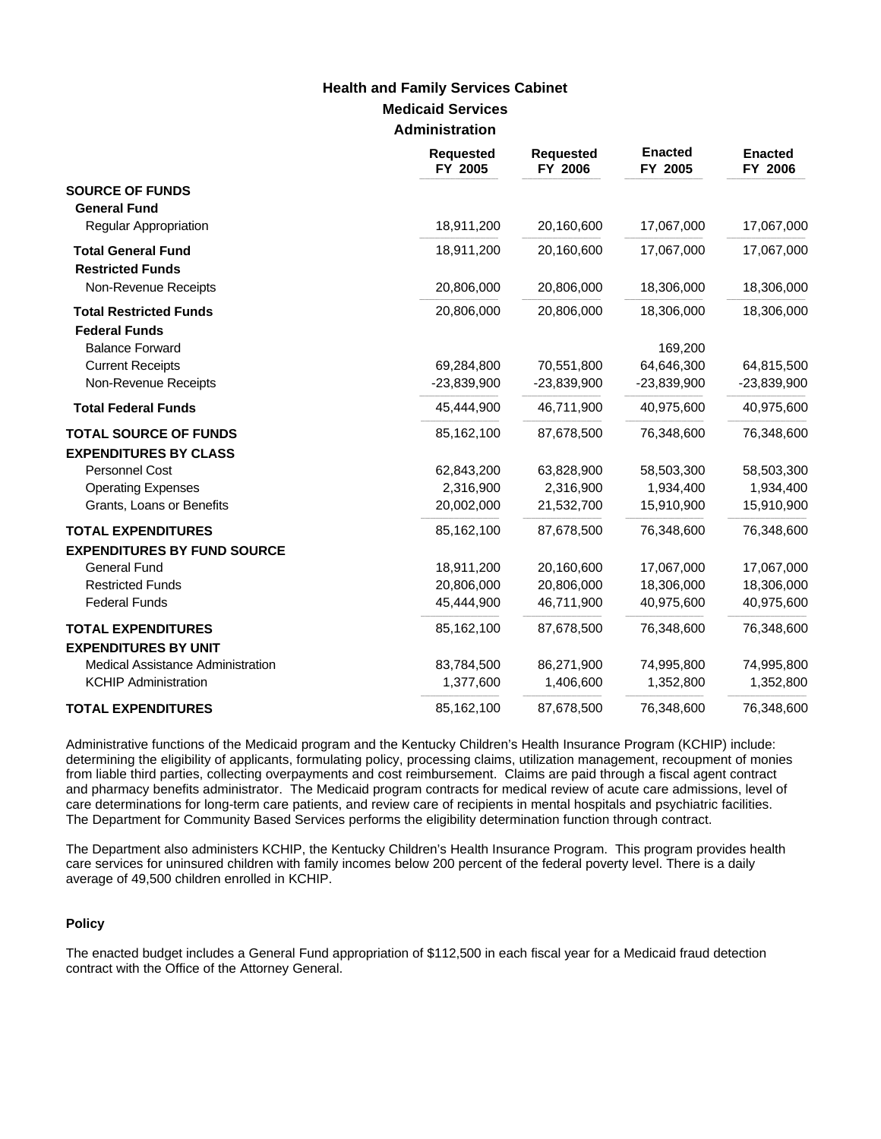### **Medicaid Services Administration Health and Family Services Cabinet**

|                                                              | <b>Requested</b><br>FY 2005 | <b>Requested</b><br>FY 2006 | <b>Enacted</b><br>FY 2005 | <b>Enacted</b><br>FY 2006 |
|--------------------------------------------------------------|-----------------------------|-----------------------------|---------------------------|---------------------------|
| <b>SOURCE OF FUNDS</b><br><b>General Fund</b>                |                             |                             |                           |                           |
| <b>Regular Appropriation</b>                                 | 18,911,200                  | 20,160,600                  | 17,067,000                | 17,067,000                |
| <b>Total General Fund</b><br><b>Restricted Funds</b>         | 18,911,200                  | 20,160,600                  | 17,067,000                | 17,067,000                |
| Non-Revenue Receipts                                         | 20,806,000                  | 20,806,000                  | 18,306,000                | 18,306,000                |
| <b>Total Restricted Funds</b><br><b>Federal Funds</b>        | 20,806,000                  | 20,806,000                  | 18,306,000                | 18,306,000                |
| <b>Balance Forward</b>                                       |                             |                             | 169,200                   |                           |
| <b>Current Receipts</b>                                      | 69,284,800                  | 70,551,800                  | 64,646,300                | 64,815,500                |
| Non-Revenue Receipts                                         | $-23,839,900$               | $-23,839,900$               | $-23,839,900$             | $-23,839,900$             |
| <b>Total Federal Funds</b>                                   | 45,444,900                  | 46,711,900                  | 40,975,600                | 40,975,600                |
| <b>TOTAL SOURCE OF FUNDS</b><br><b>EXPENDITURES BY CLASS</b> | 85,162,100                  | 87,678,500                  | 76,348,600                | 76,348,600                |
| Personnel Cost                                               | 62,843,200                  | 63,828,900                  | 58,503,300                | 58,503,300                |
| <b>Operating Expenses</b>                                    | 2,316,900                   | 2,316,900                   | 1,934,400                 | 1,934,400                 |
| Grants, Loans or Benefits                                    | 20,002,000                  | 21,532,700                  | 15,910,900                | 15,910,900                |
| <b>TOTAL EXPENDITURES</b>                                    | 85,162,100                  | 87,678,500                  | 76,348,600                | 76,348,600                |
| <b>EXPENDITURES BY FUND SOURCE</b>                           |                             |                             |                           |                           |
| <b>General Fund</b><br><b>Restricted Funds</b>               | 18,911,200<br>20,806,000    | 20,160,600<br>20,806,000    | 17,067,000<br>18,306,000  | 17,067,000<br>18,306,000  |
| <b>Federal Funds</b>                                         | 45,444,900                  | 46,711,900                  | 40,975,600                | 40,975,600                |
| <b>TOTAL EXPENDITURES</b><br><b>EXPENDITURES BY UNIT</b>     | 85,162,100                  | 87,678,500                  | 76,348,600                | 76,348,600                |
| Medical Assistance Administration                            | 83,784,500                  | 86,271,900                  | 74,995,800                | 74,995,800                |
| <b>KCHIP Administration</b>                                  | 1,377,600                   | 1,406,600                   | 1,352,800                 | 1,352,800                 |
| <b>TOTAL EXPENDITURES</b>                                    | 85,162,100                  | 87,678,500                  | 76,348,600                | 76,348,600                |

Administrative functions of the Medicaid program and the Kentucky Children's Health Insurance Program (KCHIP) include: determining the eligibility of applicants, formulating policy, processing claims, utilization management, recoupment of monies from liable third parties, collecting overpayments and cost reimbursement. Claims are paid through a fiscal agent contract and pharmacy benefits administrator. The Medicaid program contracts for medical review of acute care admissions, level of care determinations for long-term care patients, and review care of recipients in mental hospitals and psychiatric facilities. The Department for Community Based Services performs the eligibility determination function through contract.

The Department also administers KCHIP, the Kentucky Children's Health Insurance Program. This program provides health care services for uninsured children with family incomes below 200 percent of the federal poverty level. There is a daily average of 49,500 children enrolled in KCHIP.

#### **Policy**

The enacted budget includes a General Fund appropriation of \$112,500 in each fiscal year for a Medicaid fraud detection contract with the Office of the Attorney General.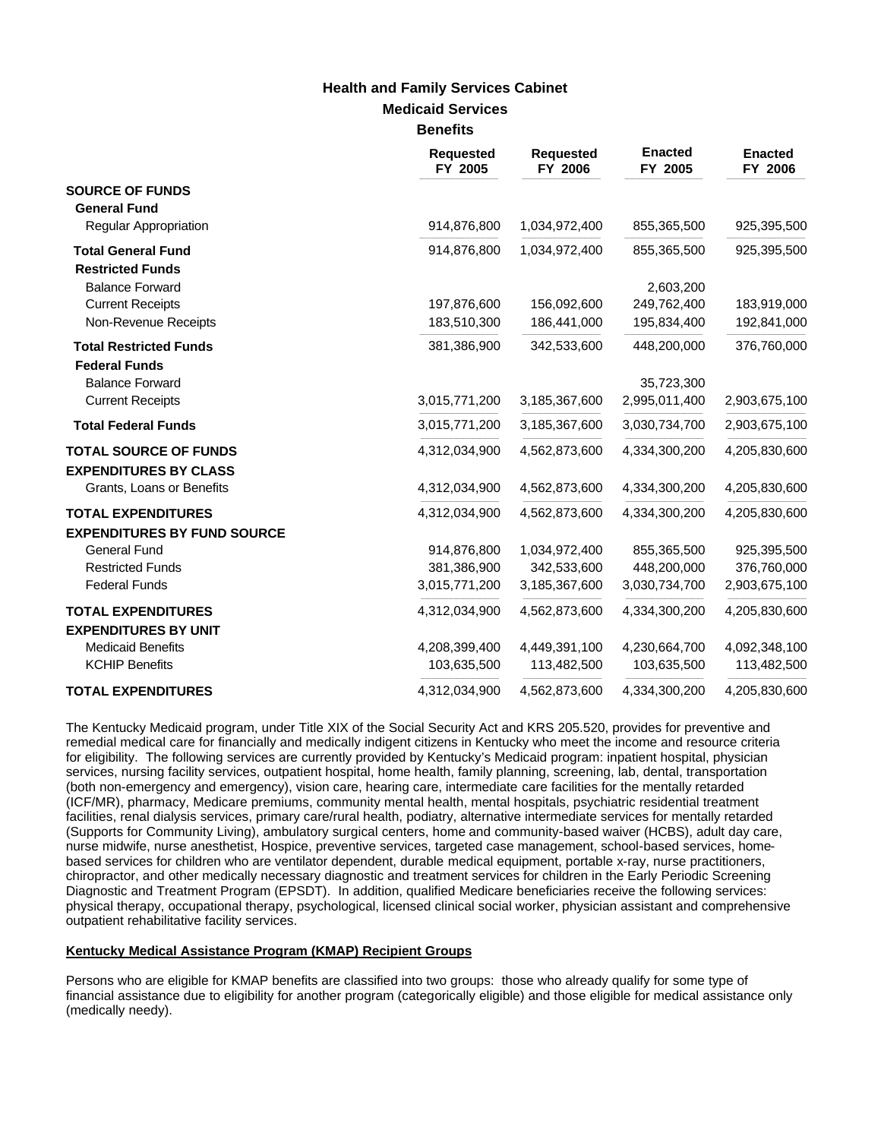### **Medicaid Services Benefits Health and Family Services Cabinet**

|                                                           | <b>Requested</b><br>FY 2005 | <b>Requested</b><br>FY 2006 | <b>Enacted</b><br>FY 2005 | <b>Enacted</b><br>FY 2006 |
|-----------------------------------------------------------|-----------------------------|-----------------------------|---------------------------|---------------------------|
| <b>SOURCE OF FUNDS</b><br><b>General Fund</b>             |                             |                             |                           |                           |
| <b>Regular Appropriation</b>                              | 914,876,800                 | 1,034,972,400               | 855,365,500               | 925,395,500               |
| <b>Total General Fund</b><br><b>Restricted Funds</b>      | 914,876,800                 | 1,034,972,400               | 855,365,500               | 925,395,500               |
| <b>Balance Forward</b>                                    |                             |                             | 2,603,200                 |                           |
| <b>Current Receipts</b>                                   | 197,876,600                 | 156,092,600                 | 249,762,400               | 183,919,000               |
| Non-Revenue Receipts                                      | 183,510,300                 | 186,441,000                 | 195,834,400               | 192,841,000               |
| <b>Total Restricted Funds</b><br><b>Federal Funds</b>     | 381,386,900                 | 342,533,600                 | 448,200,000               | 376,760,000               |
| <b>Balance Forward</b>                                    |                             |                             | 35,723,300                |                           |
| <b>Current Receipts</b>                                   | 3,015,771,200               | 3,185,367,600               | 2,995,011,400             | 2,903,675,100             |
| <b>Total Federal Funds</b>                                | 3,015,771,200               | 3,185,367,600               | 3,030,734,700             | 2,903,675,100             |
| <b>TOTAL SOURCE OF FUNDS</b>                              | 4,312,034,900               | 4,562,873,600               | 4,334,300,200             | 4,205,830,600             |
| <b>EXPENDITURES BY CLASS</b><br>Grants, Loans or Benefits | 4,312,034,900               | 4,562,873,600               | 4,334,300,200             | 4,205,830,600             |
| <b>TOTAL EXPENDITURES</b>                                 | 4,312,034,900               | 4,562,873,600               | 4,334,300,200             | 4,205,830,600             |
| <b>EXPENDITURES BY FUND SOURCE</b>                        |                             |                             |                           |                           |
| <b>General Fund</b>                                       | 914,876,800                 | 1,034,972,400               | 855,365,500               | 925,395,500               |
| <b>Restricted Funds</b>                                   | 381,386,900                 | 342,533,600                 | 448,200,000               | 376,760,000               |
| <b>Federal Funds</b>                                      | 3,015,771,200               | 3,185,367,600               | 3,030,734,700             | 2,903,675,100             |
| <b>TOTAL EXPENDITURES</b>                                 | 4,312,034,900               | 4,562,873,600               | 4,334,300,200             | 4,205,830,600             |
| <b>EXPENDITURES BY UNIT</b>                               |                             |                             |                           |                           |
| <b>Medicaid Benefits</b>                                  | 4,208,399,400               | 4,449,391,100               | 4,230,664,700             | 4,092,348,100             |
| <b>KCHIP Benefits</b>                                     | 103,635,500                 | 113,482,500                 | 103,635,500               | 113,482,500               |
| <b>TOTAL EXPENDITURES</b>                                 | 4,312,034,900               | 4,562,873,600               | 4,334,300,200             | 4,205,830,600             |

The Kentucky Medicaid program, under Title XIX of the Social Security Act and KRS 205.520, provides for preventive and remedial medical care for financially and medically indigent citizens in Kentucky who meet the income and resource criteria for eligibility. The following services are currently provided by Kentucky's Medicaid program: inpatient hospital, physician services, nursing facility services, outpatient hospital, home health, family planning, screening, lab, dental, transportation (both non-emergency and emergency), vision care, hearing care, intermediate care facilities for the mentally retarded (ICF/MR), pharmacy, Medicare premiums, community mental health, mental hospitals, psychiatric residential treatment facilities, renal dialysis services, primary care/rural health, podiatry, alternative intermediate services for mentally retarded (Supports for Community Living), ambulatory surgical centers, home and community-based waiver (HCBS), adult day care, nurse midwife, nurse anesthetist, Hospice, preventive services, targeted case management, school-based services, homebased services for children who are ventilator dependent, durable medical equipment, portable x-ray, nurse practitioners, chiropractor, and other medically necessary diagnostic and treatment services for children in the Early Periodic Screening Diagnostic and Treatment Program (EPSDT). In addition, qualified Medicare beneficiaries receive the following services: physical therapy, occupational therapy, psychological, licensed clinical social worker, physician assistant and comprehensive outpatient rehabilitative facility services.

#### **Kentucky Medical Assistance Program (KMAP) Recipient Groups**

Persons who are eligible for KMAP benefits are classified into two groups: those who already qualify for some type of financial assistance due to eligibility for another program (categorically eligible) and those eligible for medical assistance only (medically needy).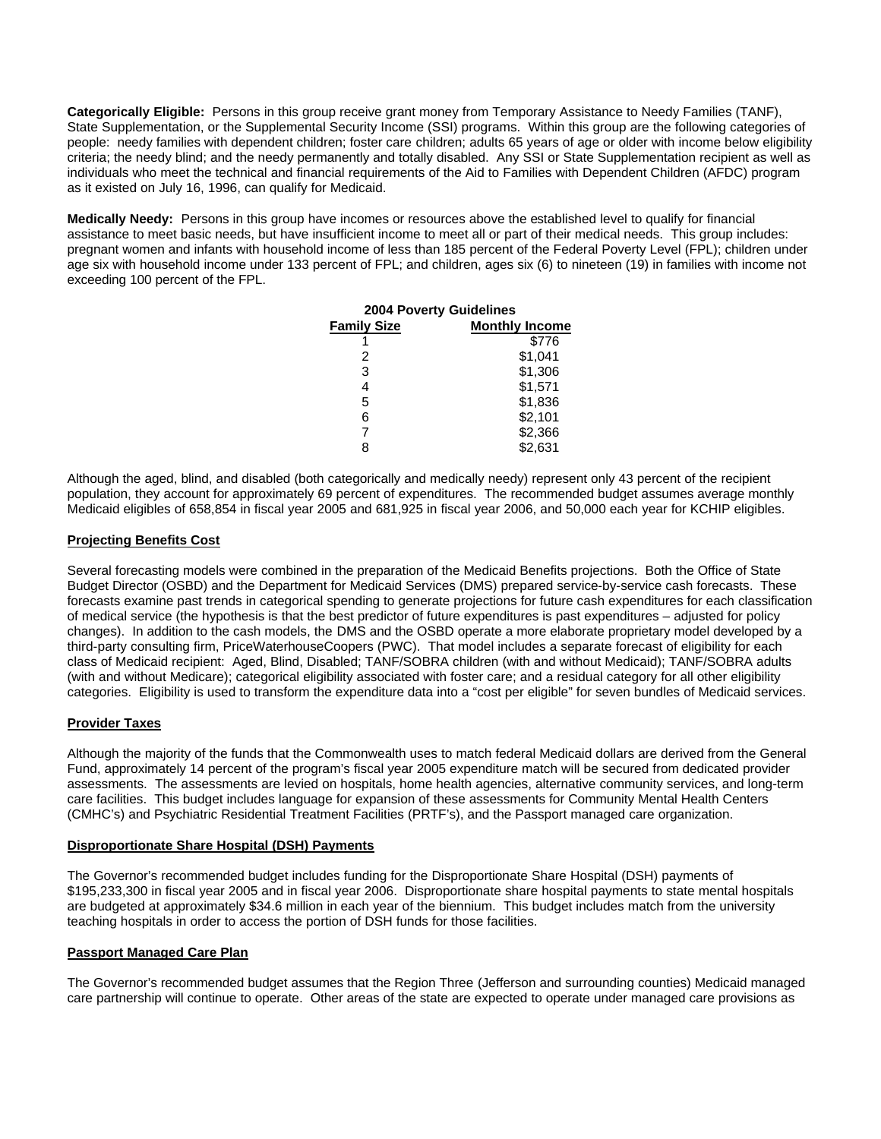**Categorically Eligible:** Persons in this group receive grant money from Temporary Assistance to Needy Families (TANF), State Supplementation, or the Supplemental Security Income (SSI) programs. Within this group are the following categories of people: needy families with dependent children; foster care children; adults 65 years of age or older with income below eligibility criteria; the needy blind; and the needy permanently and totally disabled. Any SSI or State Supplementation recipient as well as individuals who meet the technical and financial requirements of the Aid to Families with Dependent Children (AFDC) program as it existed on July 16, 1996, can qualify for Medicaid.

**Medically Needy:** Persons in this group have incomes or resources above the established level to qualify for financial assistance to meet basic needs, but have insufficient income to meet all or part of their medical needs. This group includes: pregnant women and infants with household income of less than 185 percent of the Federal Poverty Level (FPL); children under age six with household income under 133 percent of FPL; and children, ages six (6) to nineteen (19) in families with income not exceeding 100 percent of the FPL.

| <b>2004 Poverty Guidelines</b> |                       |  |  |
|--------------------------------|-----------------------|--|--|
| <b>Family Size</b>             | <b>Monthly Income</b> |  |  |
|                                | \$776                 |  |  |
| 2                              | \$1,041               |  |  |
| 3                              | \$1,306               |  |  |
| 4                              | \$1,571               |  |  |
| 5                              | \$1,836               |  |  |
| 6                              | \$2,101               |  |  |
| 7                              | \$2,366               |  |  |
| 8                              | \$2,631               |  |  |

Although the aged, blind, and disabled (both categorically and medically needy) represent only 43 percent of the recipient population, they account for approximately 69 percent of expenditures. The recommended budget assumes average monthly Medicaid eligibles of 658,854 in fiscal year 2005 and 681,925 in fiscal year 2006, and 50,000 each year for KCHIP eligibles.

#### **Projecting Benefits Cost**

Several forecasting models were combined in the preparation of the Medicaid Benefits projections. Both the Office of State Budget Director (OSBD) and the Department for Medicaid Services (DMS) prepared service-by-service cash forecasts. These forecasts examine past trends in categorical spending to generate projections for future cash expenditures for each classification of medical service (the hypothesis is that the best predictor of future expenditures is past expenditures – adjusted for policy changes). In addition to the cash models, the DMS and the OSBD operate a more elaborate proprietary model developed by a third-party consulting firm, PriceWaterhouseCoopers (PWC). That model includes a separate forecast of eligibility for each class of Medicaid recipient: Aged, Blind, Disabled; TANF/SOBRA children (with and without Medicaid); TANF/SOBRA adults (with and without Medicare); categorical eligibility associated with foster care; and a residual category for all other eligibility categories. Eligibility is used to transform the expenditure data into a "cost per eligible" for seven bundles of Medicaid services.

#### **Provider Taxes**

Although the majority of the funds that the Commonwealth uses to match federal Medicaid dollars are derived from the General Fund, approximately 14 percent of the program's fiscal year 2005 expenditure match will be secured from dedicated provider assessments. The assessments are levied on hospitals, home health agencies, alternative community services, and long-term care facilities. This budget includes language for expansion of these assessments for Community Mental Health Centers (CMHC's) and Psychiatric Residential Treatment Facilities (PRTF's), and the Passport managed care organization.

#### **Disproportionate Share Hospital (DSH) Payments**

The Governor's recommended budget includes funding for the Disproportionate Share Hospital (DSH) payments of \$195,233,300 in fiscal year 2005 and in fiscal year 2006. Disproportionate share hospital payments to state mental hospitals are budgeted at approximately \$34.6 million in each year of the biennium. This budget includes match from the university teaching hospitals in order to access the portion of DSH funds for those facilities.

#### **Passport Managed Care Plan**

The Governor's recommended budget assumes that the Region Three (Jefferson and surrounding counties) Medicaid managed care partnership will continue to operate. Other areas of the state are expected to operate under managed care provisions as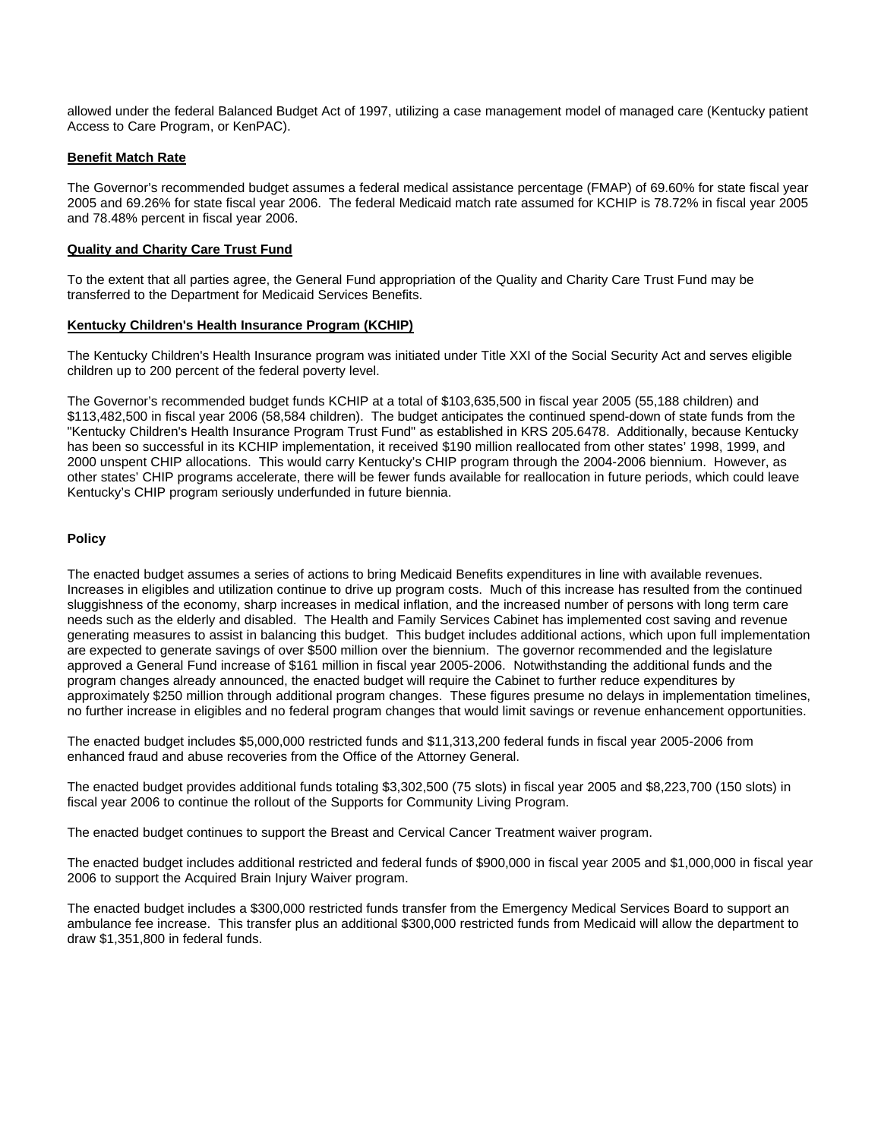allowed under the federal Balanced Budget Act of 1997, utilizing a case management model of managed care (Kentucky patient Access to Care Program, or KenPAC).

#### **Benefit Match Rate**

The Governor's recommended budget assumes a federal medical assistance percentage (FMAP) of 69.60% for state fiscal year 2005 and 69.26% for state fiscal year 2006. The federal Medicaid match rate assumed for KCHIP is 78.72% in fiscal year 2005 and 78.48% percent in fiscal year 2006.

#### **Quality and Charity Care Trust Fund**

To the extent that all parties agree, the General Fund appropriation of the Quality and Charity Care Trust Fund may be transferred to the Department for Medicaid Services Benefits.

#### **Kentucky Children's Health Insurance Program (KCHIP)**

The Kentucky Children's Health Insurance program was initiated under Title XXI of the Social Security Act and serves eligible children up to 200 percent of the federal poverty level.

The Governor's recommended budget funds KCHIP at a total of \$103,635,500 in fiscal year 2005 (55,188 children) and \$113,482,500 in fiscal year 2006 (58,584 children). The budget anticipates the continued spend-down of state funds from the "Kentucky Children's Health Insurance Program Trust Fund" as established in KRS 205.6478. Additionally, because Kentucky has been so successful in its KCHIP implementation, it received \$190 million reallocated from other states' 1998, 1999, and 2000 unspent CHIP allocations. This would carry Kentucky's CHIP program through the 2004-2006 biennium. However, as other states' CHIP programs accelerate, there will be fewer funds available for reallocation in future periods, which could leave Kentucky's CHIP program seriously underfunded in future biennia.

#### **Policy**

The enacted budget assumes a series of actions to bring Medicaid Benefits expenditures in line with available revenues. Increases in eligibles and utilization continue to drive up program costs. Much of this increase has resulted from the continued sluggishness of the economy, sharp increases in medical inflation, and the increased number of persons with long term care needs such as the elderly and disabled. The Health and Family Services Cabinet has implemented cost saving and revenue generating measures to assist in balancing this budget. This budget includes additional actions, which upon full implementation are expected to generate savings of over \$500 million over the biennium. The governor recommended and the legislature approved a General Fund increase of \$161 million in fiscal year 2005-2006. Notwithstanding the additional funds and the program changes already announced, the enacted budget will require the Cabinet to further reduce expenditures by approximately \$250 million through additional program changes. These figures presume no delays in implementation timelines, no further increase in eligibles and no federal program changes that would limit savings or revenue enhancement opportunities.

The enacted budget includes \$5,000,000 restricted funds and \$11,313,200 federal funds in fiscal year 2005-2006 from enhanced fraud and abuse recoveries from the Office of the Attorney General.

The enacted budget provides additional funds totaling \$3,302,500 (75 slots) in fiscal year 2005 and \$8,223,700 (150 slots) in fiscal year 2006 to continue the rollout of the Supports for Community Living Program.

The enacted budget continues to support the Breast and Cervical Cancer Treatment waiver program.

The enacted budget includes additional restricted and federal funds of \$900,000 in fiscal year 2005 and \$1,000,000 in fiscal year 2006 to support the Acquired Brain Injury Waiver program.

The enacted budget includes a \$300,000 restricted funds transfer from the Emergency Medical Services Board to support an ambulance fee increase. This transfer plus an additional \$300,000 restricted funds from Medicaid will allow the department to draw \$1,351,800 in federal funds.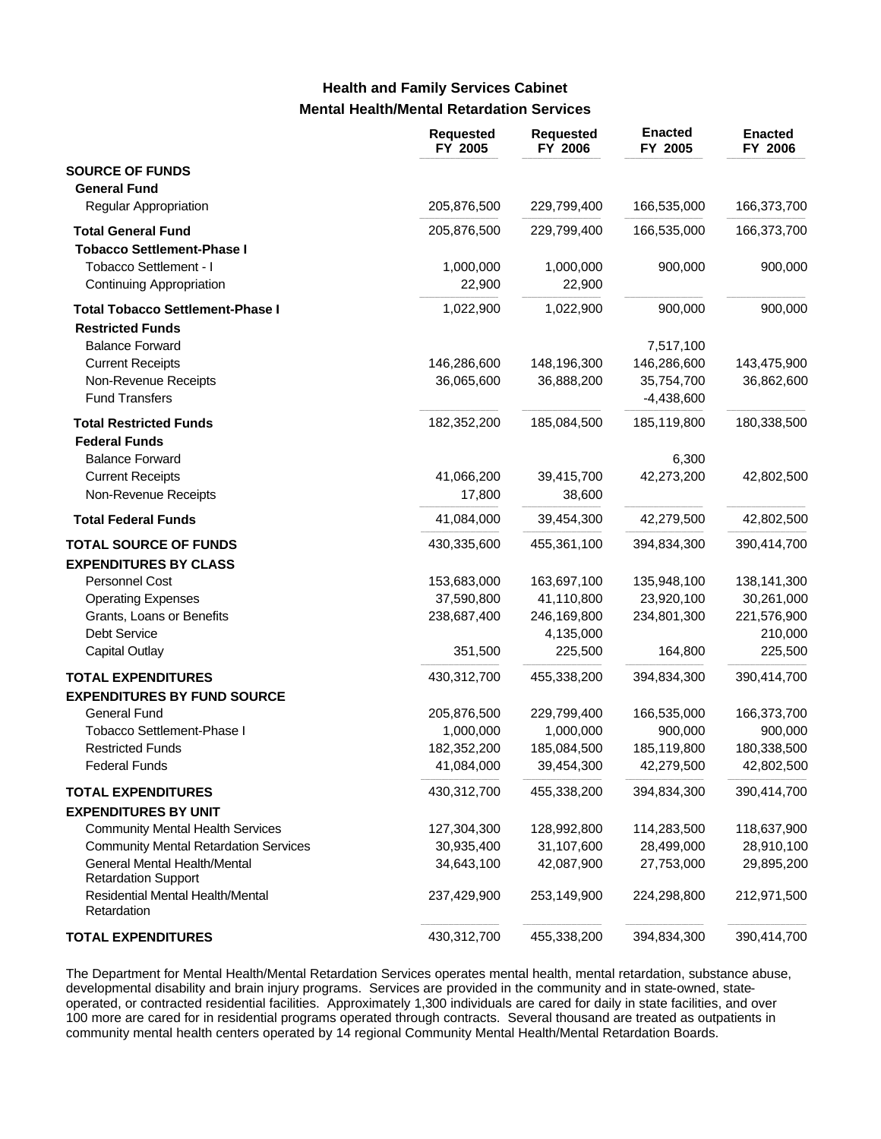# **Mental Health/Mental Retardation Services Health and Family Services Cabinet**

|                                                                    | <b>Requested</b><br>FY 2005 | <b>Requested</b><br>FY 2006 | <b>Enacted</b><br>FY 2005  | <b>Enacted</b><br>FY 2006 |
|--------------------------------------------------------------------|-----------------------------|-----------------------------|----------------------------|---------------------------|
| <b>SOURCE OF FUNDS</b><br><b>General Fund</b>                      |                             |                             |                            |                           |
| Regular Appropriation                                              | 205,876,500                 | 229,799,400                 | 166,535,000                | 166,373,700               |
| <b>Total General Fund</b><br><b>Tobacco Settlement-Phase I</b>     | 205,876,500                 | 229,799,400                 | 166,535,000                | 166,373,700               |
| Tobacco Settlement - I<br><b>Continuing Appropriation</b>          | 1,000,000<br>22,900         | 1,000,000<br>22,900         | 900,000                    | 900,000                   |
| <b>Total Tobacco Settlement-Phase I</b><br><b>Restricted Funds</b> | 1,022,900                   | 1,022,900                   | 900,000                    | 900,000                   |
| <b>Balance Forward</b><br><b>Current Receipts</b>                  | 146,286,600                 | 148,196,300                 | 7,517,100<br>146,286,600   | 143,475,900               |
| Non-Revenue Receipts<br><b>Fund Transfers</b>                      | 36,065,600                  | 36,888,200                  | 35,754,700<br>$-4,438,600$ | 36,862,600                |
| <b>Total Restricted Funds</b><br><b>Federal Funds</b>              | 182,352,200                 | 185,084,500                 | 185,119,800                | 180,338,500               |
| <b>Balance Forward</b>                                             |                             |                             | 6,300                      |                           |
| <b>Current Receipts</b><br>Non-Revenue Receipts                    | 41,066,200<br>17,800        | 39,415,700<br>38,600        | 42,273,200                 | 42,802,500                |
| <b>Total Federal Funds</b>                                         | 41,084,000                  | 39,454,300                  | 42,279,500                 | 42,802,500                |
| <b>TOTAL SOURCE OF FUNDS</b><br><b>EXPENDITURES BY CLASS</b>       | 430,335,600                 | 455,361,100                 | 394,834,300                | 390,414,700               |
| Personnel Cost                                                     | 153,683,000                 | 163,697,100                 | 135,948,100                | 138,141,300               |
| <b>Operating Expenses</b>                                          | 37,590,800                  | 41,110,800                  | 23,920,100                 | 30,261,000                |
| Grants, Loans or Benefits                                          | 238,687,400                 | 246,169,800                 | 234,801,300                | 221,576,900               |
| <b>Debt Service</b><br><b>Capital Outlay</b>                       | 351,500                     | 4,135,000<br>225,500        | 164,800                    | 210,000<br>225,500        |
|                                                                    |                             |                             |                            |                           |
| <b>TOTAL EXPENDITURES</b><br><b>EXPENDITURES BY FUND SOURCE</b>    | 430,312,700                 | 455,338,200                 | 394,834,300                | 390,414,700               |
| <b>General Fund</b>                                                | 205,876,500                 | 229,799,400                 | 166,535,000                | 166,373,700               |
| Tobacco Settlement-Phase I                                         | 1,000,000                   | 1,000,000                   | 900,000                    | 900,000                   |
| <b>Restricted Funds</b>                                            | 182,352,200                 | 185,084,500                 | 185,119,800                | 180,338,500               |
| <b>Federal Funds</b>                                               | 41,084,000                  | 39,454,300                  | 42,279,500                 | 42,802,500                |
| <b>TOTAL EXPENDITURES</b><br><b>EXPENDITURES BY UNIT</b>           | 430,312,700                 | 455,338,200                 | 394,834,300                | 390,414,700               |
| <b>Community Mental Health Services</b>                            | 127,304,300                 | 128,992,800                 | 114,283,500                | 118,637,900               |
| <b>Community Mental Retardation Services</b>                       | 30,935,400                  | 31,107,600                  | 28,499,000                 | 28,910,100                |
| General Mental Health/Mental<br><b>Retardation Support</b>         | 34,643,100                  | 42,087,900                  | 27,753,000                 | 29,895,200                |
| Residential Mental Health/Mental<br>Retardation                    | 237,429,900                 | 253,149,900                 | 224,298,800                | 212,971,500               |
| <b>TOTAL EXPENDITURES</b>                                          | 430,312,700                 | 455,338,200                 | 394,834,300                | 390,414,700               |

The Department for Mental Health/Mental Retardation Services operates mental health, mental retardation, substance abuse, developmental disability and brain injury programs. Services are provided in the community and in state-owned, stateoperated, or contracted residential facilities. Approximately 1,300 individuals are cared for daily in state facilities, and over 100 more are cared for in residential programs operated through contracts. Several thousand are treated as outpatients in community mental health centers operated by 14 regional Community Mental Health/Mental Retardation Boards.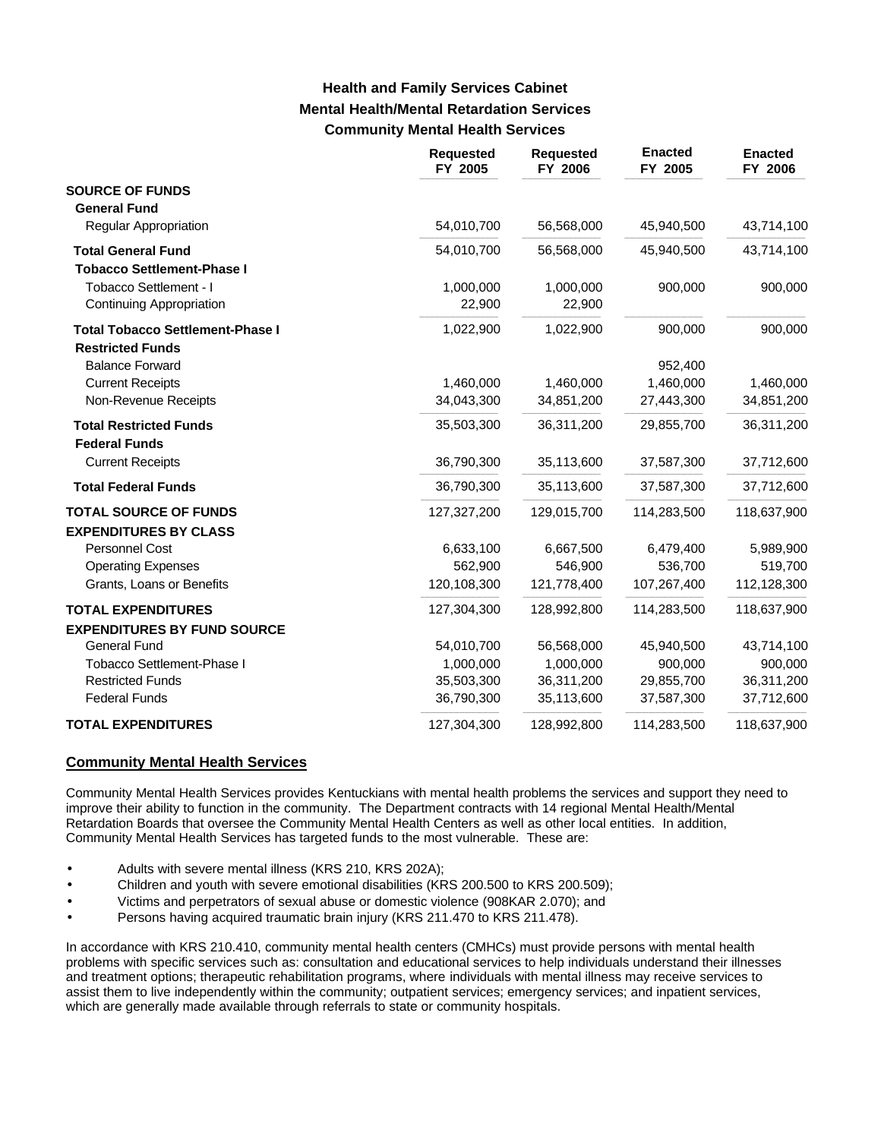# **Mental Health/Mental Retardation Services Community Mental Health Services Health and Family Services Cabinet**

|                                         | <b>Requested</b><br>FY 2005 | <b>Requested</b><br>FY 2006 | <b>Enacted</b><br>FY 2005 | <b>Enacted</b><br>FY 2006 |
|-----------------------------------------|-----------------------------|-----------------------------|---------------------------|---------------------------|
| <b>SOURCE OF FUNDS</b>                  |                             |                             |                           |                           |
| <b>General Fund</b>                     |                             |                             |                           |                           |
| <b>Regular Appropriation</b>            | 54,010,700                  | 56,568,000                  | 45,940,500                | 43,714,100                |
| <b>Total General Fund</b>               | 54,010,700                  | 56,568,000                  | 45,940,500                | 43,714,100                |
| <b>Tobacco Settlement-Phase I</b>       |                             |                             |                           |                           |
| Tobacco Settlement - I                  | 1,000,000                   | 1,000,000                   | 900,000                   | 900,000                   |
| <b>Continuing Appropriation</b>         | 22,900                      | 22,900                      |                           |                           |
| <b>Total Tobacco Settlement-Phase I</b> | 1,022,900                   | 1,022,900                   | 900,000                   | 900,000                   |
| <b>Restricted Funds</b>                 |                             |                             |                           |                           |
| <b>Balance Forward</b>                  |                             |                             | 952,400                   |                           |
| <b>Current Receipts</b>                 | 1,460,000                   | 1,460,000                   | 1,460,000                 | 1,460,000                 |
| Non-Revenue Receipts                    | 34,043,300                  | 34,851,200                  | 27,443,300                | 34,851,200                |
| <b>Total Restricted Funds</b>           | 35,503,300                  | 36,311,200                  | 29,855,700                | 36,311,200                |
| <b>Federal Funds</b>                    |                             |                             |                           |                           |
| <b>Current Receipts</b>                 | 36,790,300                  | 35,113,600                  | 37,587,300                | 37,712,600                |
| <b>Total Federal Funds</b>              | 36,790,300                  | 35,113,600                  | 37,587,300                | 37,712,600                |
| <b>TOTAL SOURCE OF FUNDS</b>            | 127,327,200                 | 129,015,700                 | 114,283,500               | 118,637,900               |
| <b>EXPENDITURES BY CLASS</b>            |                             |                             |                           |                           |
| Personnel Cost                          | 6,633,100                   | 6,667,500                   | 6,479,400                 | 5,989,900                 |
| <b>Operating Expenses</b>               | 562,900                     | 546.900                     | 536,700                   | 519,700                   |
| Grants, Loans or Benefits               | 120,108,300                 | 121,778,400                 | 107,267,400               | 112,128,300               |
| <b>TOTAL EXPENDITURES</b>               | 127,304,300                 | 128,992,800                 | 114,283,500               | 118,637,900               |
| <b>EXPENDITURES BY FUND SOURCE</b>      |                             |                             |                           |                           |
| <b>General Fund</b>                     | 54,010,700                  | 56,568,000                  | 45,940,500                | 43,714,100                |
| <b>Tobacco Settlement-Phase I</b>       | 1,000,000                   | 1,000,000                   | 900,000                   | 900,000                   |
| <b>Restricted Funds</b>                 | 35,503,300                  | 36,311,200                  | 29,855,700                | 36,311,200                |
| <b>Federal Funds</b>                    | 36,790,300                  | 35,113,600                  | 37,587,300                | 37,712,600                |
| <b>TOTAL EXPENDITURES</b>               | 127,304,300                 | 128,992,800                 | 114,283,500               | 118,637,900               |

#### **Community Mental Health Services**

Community Mental Health Services provides Kentuckians with mental health problems the services and support they need to improve their ability to function in the community. The Department contracts with 14 regional Mental Health/Mental Retardation Boards that oversee the Community Mental Health Centers as well as other local entities. In addition, Community Mental Health Services has targeted funds to the most vulnerable. These are:

- Adults with severe mental illness (KRS 210, KRS 202A);
- Children and youth with severe emotional disabilities (KRS 200.500 to KRS 200.509);
- Victims and perpetrators of sexual abuse or domestic violence (908KAR 2.070); and
- Persons having acquired traumatic brain injury (KRS 211.470 to KRS 211.478).

In accordance with KRS 210.410, community mental health centers (CMHCs) must provide persons with mental health problems with specific services such as: consultation and educational services to help individuals understand their illnesses and treatment options; therapeutic rehabilitation programs, where individuals with mental illness may receive services to assist them to live independently within the community; outpatient services; emergency services; and inpatient services, which are generally made available through referrals to state or community hospitals.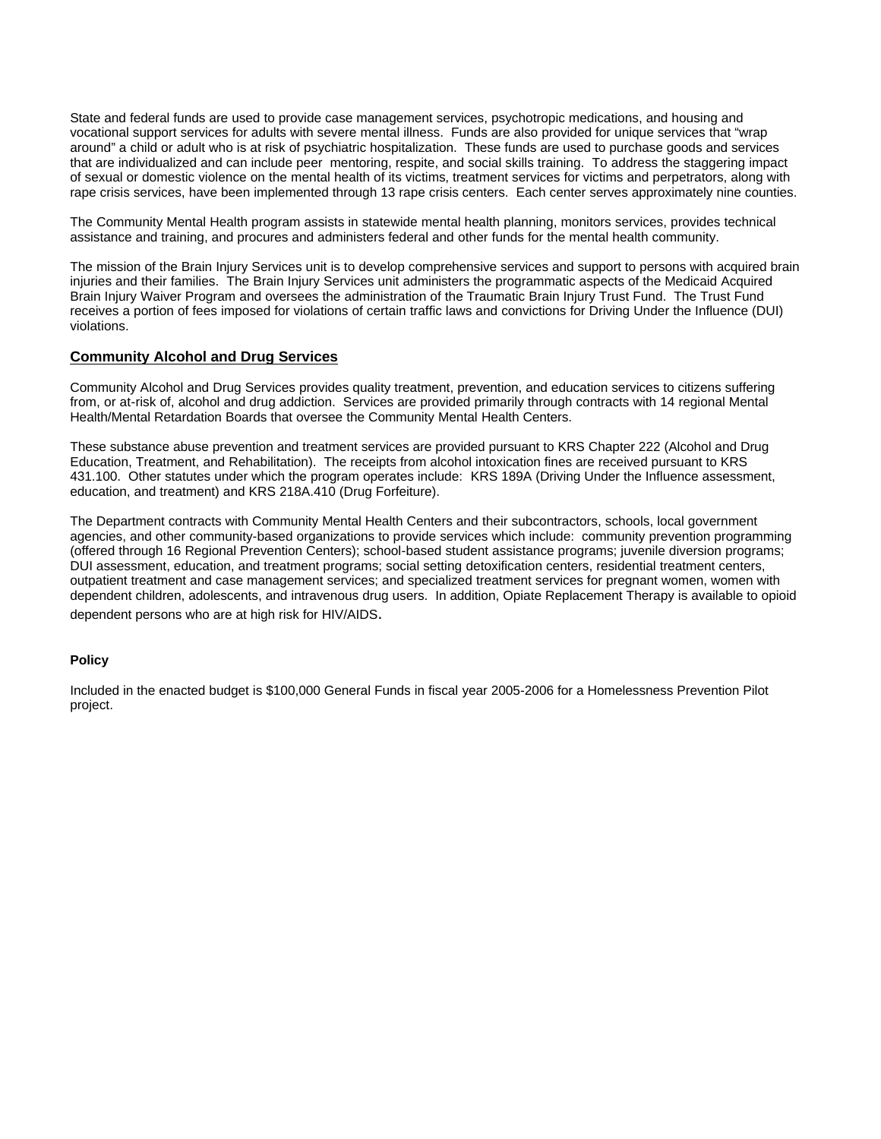State and federal funds are used to provide case management services, psychotropic medications, and housing and vocational support services for adults with severe mental illness. Funds are also provided for unique services that "wrap around" a child or adult who is at risk of psychiatric hospitalization. These funds are used to purchase goods and services that are individualized and can include peer mentoring, respite, and social skills training. To address the staggering impact of sexual or domestic violence on the mental health of its victims, treatment services for victims and perpetrators, along with rape crisis services, have been implemented through 13 rape crisis centers. Each center serves approximately nine counties.

The Community Mental Health program assists in statewide mental health planning, monitors services, provides technical assistance and training, and procures and administers federal and other funds for the mental health community.

The mission of the Brain Injury Services unit is to develop comprehensive services and support to persons with acquired brain injuries and their families. The Brain Injury Services unit administers the programmatic aspects of the Medicaid Acquired Brain Injury Waiver Program and oversees the administration of the Traumatic Brain Injury Trust Fund. The Trust Fund receives a portion of fees imposed for violations of certain traffic laws and convictions for Driving Under the Influence (DUI) violations.

#### **Community Alcohol and Drug Services**

Community Alcohol and Drug Services provides quality treatment, prevention, and education services to citizens suffering from, or at-risk of, alcohol and drug addiction. Services are provided primarily through contracts with 14 regional Mental Health/Mental Retardation Boards that oversee the Community Mental Health Centers.

These substance abuse prevention and treatment services are provided pursuant to KRS Chapter 222 (Alcohol and Drug Education, Treatment, and Rehabilitation). The receipts from alcohol intoxication fines are received pursuant to KRS 431.100. Other statutes under which the program operates include: KRS 189A (Driving Under the Influence assessment, education, and treatment) and KRS 218A.410 (Drug Forfeiture).

The Department contracts with Community Mental Health Centers and their subcontractors, schools, local government agencies, and other community-based organizations to provide services which include: community prevention programming (offered through 16 Regional Prevention Centers); school-based student assistance programs; juvenile diversion programs; DUI assessment, education, and treatment programs; social setting detoxification centers, residential treatment centers, outpatient treatment and case management services; and specialized treatment services for pregnant women, women with dependent children, adolescents, and intravenous drug users. In addition, Opiate Replacement Therapy is available to opioid

dependent persons who are at high risk for HIV/AIDS.

#### **Policy**

Included in the enacted budget is \$100,000 General Funds in fiscal year 2005-2006 for a Homelessness Prevention Pilot project.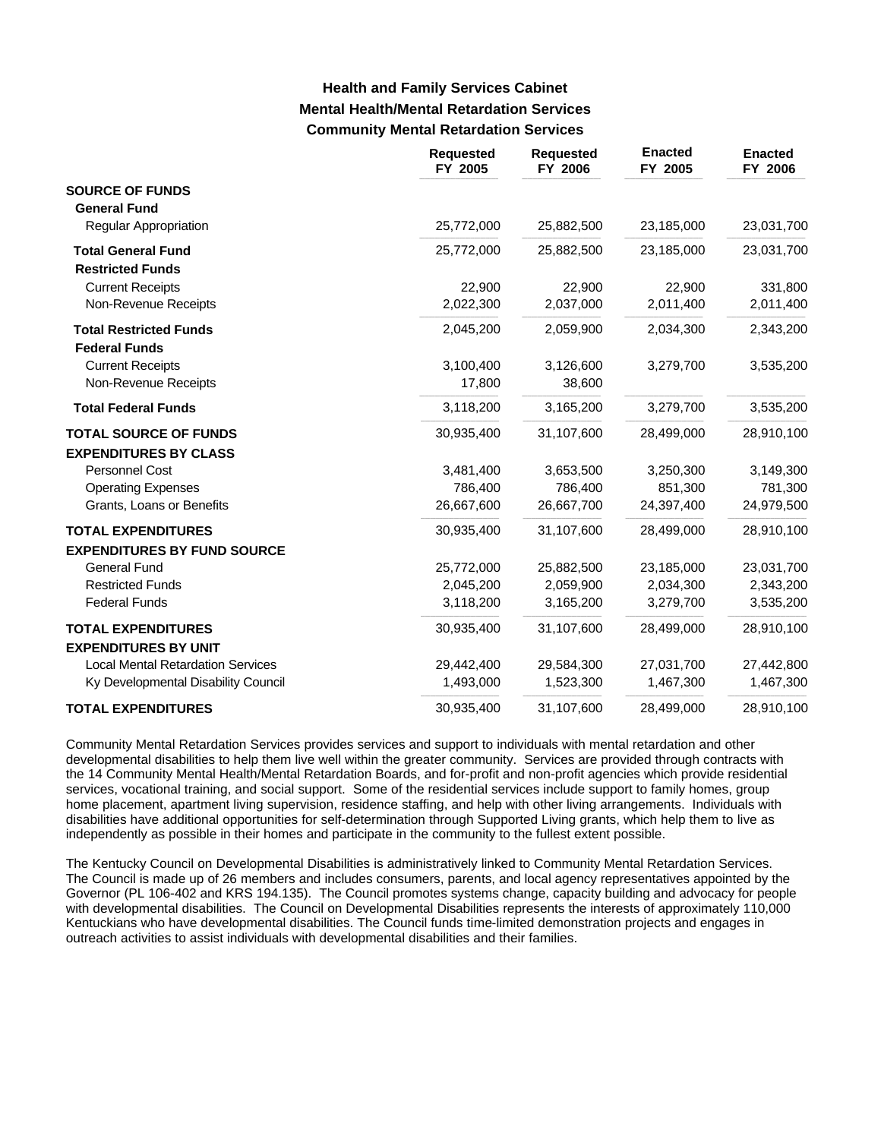# **Mental Health/Mental Retardation Services Community Mental Retardation Services Health and Family Services Cabinet**

|                                          | <b>Requested</b><br>FY 2005 | <b>Requested</b><br>FY 2006 | <b>Enacted</b><br>FY 2005 | <b>Enacted</b><br>FY 2006 |
|------------------------------------------|-----------------------------|-----------------------------|---------------------------|---------------------------|
| <b>SOURCE OF FUNDS</b>                   |                             |                             |                           |                           |
| <b>General Fund</b>                      |                             |                             |                           |                           |
| Regular Appropriation                    | 25,772,000                  | 25,882,500                  | 23,185,000                | 23,031,700                |
| <b>Total General Fund</b>                | 25,772,000                  | 25,882,500                  | 23,185,000                | 23,031,700                |
| <b>Restricted Funds</b>                  |                             |                             |                           |                           |
| <b>Current Receipts</b>                  | 22,900                      | 22,900                      | 22,900                    | 331,800                   |
| Non-Revenue Receipts                     | 2,022,300                   | 2,037,000                   | 2,011,400                 | 2,011,400                 |
| <b>Total Restricted Funds</b>            | 2,045,200                   | 2,059,900                   | 2,034,300                 | 2,343,200                 |
| <b>Federal Funds</b>                     |                             |                             |                           |                           |
| <b>Current Receipts</b>                  | 3,100,400                   | 3,126,600                   | 3,279,700                 | 3,535,200                 |
| Non-Revenue Receipts                     | 17,800                      | 38,600                      |                           |                           |
| <b>Total Federal Funds</b>               | 3,118,200                   | 3,165,200                   | 3,279,700                 | 3,535,200                 |
| <b>TOTAL SOURCE OF FUNDS</b>             | 30,935,400                  | 31,107,600                  | 28,499,000                | 28,910,100                |
| <b>EXPENDITURES BY CLASS</b>             |                             |                             |                           |                           |
| Personnel Cost                           | 3,481,400                   | 3,653,500                   | 3,250,300                 | 3,149,300                 |
| <b>Operating Expenses</b>                | 786,400                     | 786,400                     | 851,300                   | 781,300                   |
| Grants, Loans or Benefits                | 26,667,600                  | 26,667,700                  | 24,397,400                | 24,979,500                |
| <b>TOTAL EXPENDITURES</b>                | 30,935,400                  | 31,107,600                  | 28,499,000                | 28,910,100                |
| <b>EXPENDITURES BY FUND SOURCE</b>       |                             |                             |                           |                           |
| <b>General Fund</b>                      | 25,772,000                  | 25,882,500                  | 23,185,000                | 23,031,700                |
| <b>Restricted Funds</b>                  | 2,045,200                   | 2,059,900                   | 2,034,300                 | 2,343,200                 |
| <b>Federal Funds</b>                     | 3,118,200                   | 3,165,200                   | 3,279,700                 | 3,535,200                 |
| <b>TOTAL EXPENDITURES</b>                | 30,935,400                  | 31,107,600                  | 28,499,000                | 28,910,100                |
| <b>EXPENDITURES BY UNIT</b>              |                             |                             |                           |                           |
| <b>Local Mental Retardation Services</b> | 29,442,400                  | 29,584,300                  | 27,031,700                | 27,442,800                |
| Ky Developmental Disability Council      | 1,493,000                   | 1,523,300                   | 1,467,300                 | 1,467,300                 |
| <b>TOTAL EXPENDITURES</b>                | 30,935,400                  | 31,107,600                  | 28,499,000                | 28,910,100                |

Community Mental Retardation Services provides services and support to individuals with mental retardation and other developmental disabilities to help them live well within the greater community. Services are provided through contracts with the 14 Community Mental Health/Mental Retardation Boards, and for-profit and non-profit agencies which provide residential services, vocational training, and social support. Some of the residential services include support to family homes, group home placement, apartment living supervision, residence staffing, and help with other living arrangements. Individuals with disabilities have additional opportunities for self-determination through Supported Living grants, which help them to live as independently as possible in their homes and participate in the community to the fullest extent possible.

The Kentucky Council on Developmental Disabilities is administratively linked to Community Mental Retardation Services. The Council is made up of 26 members and includes consumers, parents, and local agency representatives appointed by the Governor (PL 106-402 and KRS 194.135). The Council promotes systems change, capacity building and advocacy for people with developmental disabilities. The Council on Developmental Disabilities represents the interests of approximately 110,000 Kentuckians who have developmental disabilities. The Council funds time-limited demonstration projects and engages in outreach activities to assist individuals with developmental disabilities and their families.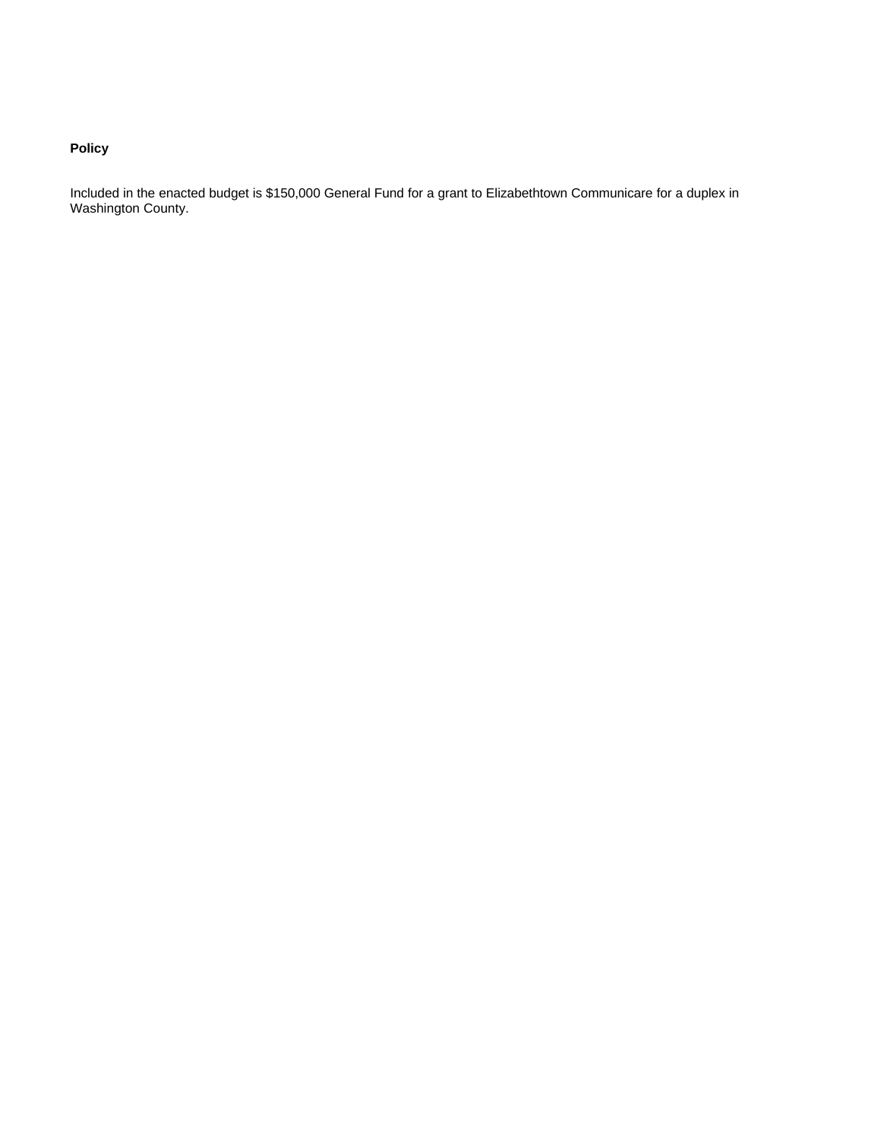# **Policy**

Included in the enacted budget is \$150,000 General Fund for a grant to Elizabethtown Communicare for a duplex in Washington County.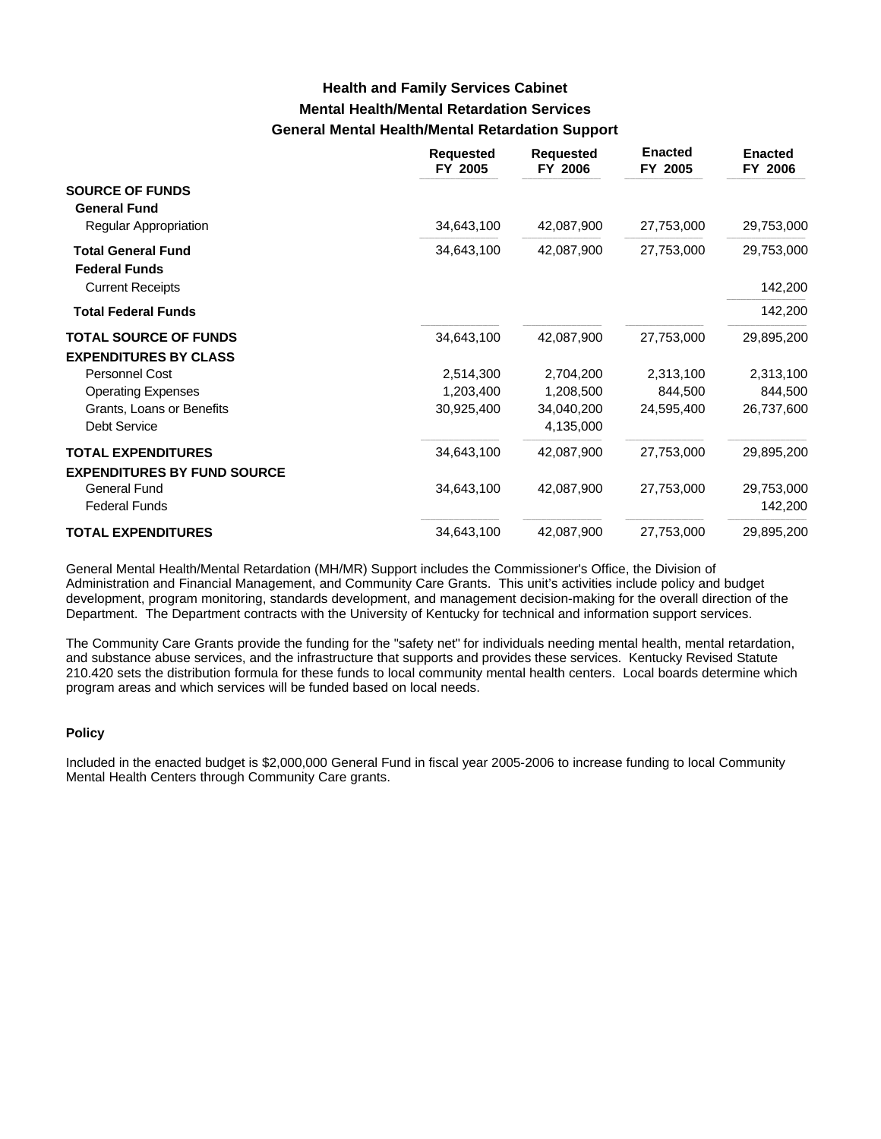# **Mental Health/Mental Retardation Services General Mental Health/Mental Retardation Support Health and Family Services Cabinet**

|                                                   | <b>Requested</b><br>FY 2005 | <b>Requested</b><br>FY 2006 | <b>Enacted</b><br>FY 2005 | <b>Enacted</b><br>FY 2006 |
|---------------------------------------------------|-----------------------------|-----------------------------|---------------------------|---------------------------|
| <b>SOURCE OF FUNDS</b><br><b>General Fund</b>     |                             |                             |                           |                           |
| <b>Regular Appropriation</b>                      | 34,643,100                  | 42,087,900                  | 27,753,000                | 29,753,000                |
| <b>Total General Fund</b><br><b>Federal Funds</b> | 34,643,100                  | 42,087,900                  | 27,753,000                | 29,753,000                |
| <b>Current Receipts</b>                           |                             |                             |                           | 142,200                   |
| <b>Total Federal Funds</b>                        |                             |                             |                           | 142,200                   |
| <b>TOTAL SOURCE OF FUNDS</b>                      | 34,643,100                  | 42,087,900                  | 27,753,000                | 29,895,200                |
| <b>EXPENDITURES BY CLASS</b>                      |                             |                             |                           |                           |
| Personnel Cost                                    | 2,514,300                   | 2,704,200                   | 2,313,100                 | 2,313,100                 |
| <b>Operating Expenses</b>                         | 1,203,400                   | 1,208,500                   | 844,500                   | 844,500                   |
| Grants, Loans or Benefits                         | 30,925,400                  | 34,040,200                  | 24,595,400                | 26,737,600                |
| <b>Debt Service</b>                               |                             | 4,135,000                   |                           |                           |
| <b>TOTAL EXPENDITURES</b>                         | 34,643,100                  | 42,087,900                  | 27,753,000                | 29,895,200                |
| <b>EXPENDITURES BY FUND SOURCE</b>                |                             |                             |                           |                           |
| <b>General Fund</b>                               | 34,643,100                  | 42,087,900                  | 27,753,000                | 29,753,000                |
| <b>Federal Funds</b>                              |                             |                             |                           | 142,200                   |
| <b>TOTAL EXPENDITURES</b>                         | 34,643,100                  | 42,087,900                  | 27,753,000                | 29,895,200                |

General Mental Health/Mental Retardation (MH/MR) Support includes the Commissioner's Office, the Division of Administration and Financial Management, and Community Care Grants. This unit's activities include policy and budget development, program monitoring, standards development, and management decision-making for the overall direction of the Department. The Department contracts with the University of Kentucky for technical and information support services.

The Community Care Grants provide the funding for the "safety net" for individuals needing mental health, mental retardation, and substance abuse services, and the infrastructure that supports and provides these services. Kentucky Revised Statute 210.420 sets the distribution formula for these funds to local community mental health centers. Local boards determine which program areas and which services will be funded based on local needs.

#### **Policy**

Included in the enacted budget is \$2,000,000 General Fund in fiscal year 2005-2006 to increase funding to local Community Mental Health Centers through Community Care grants.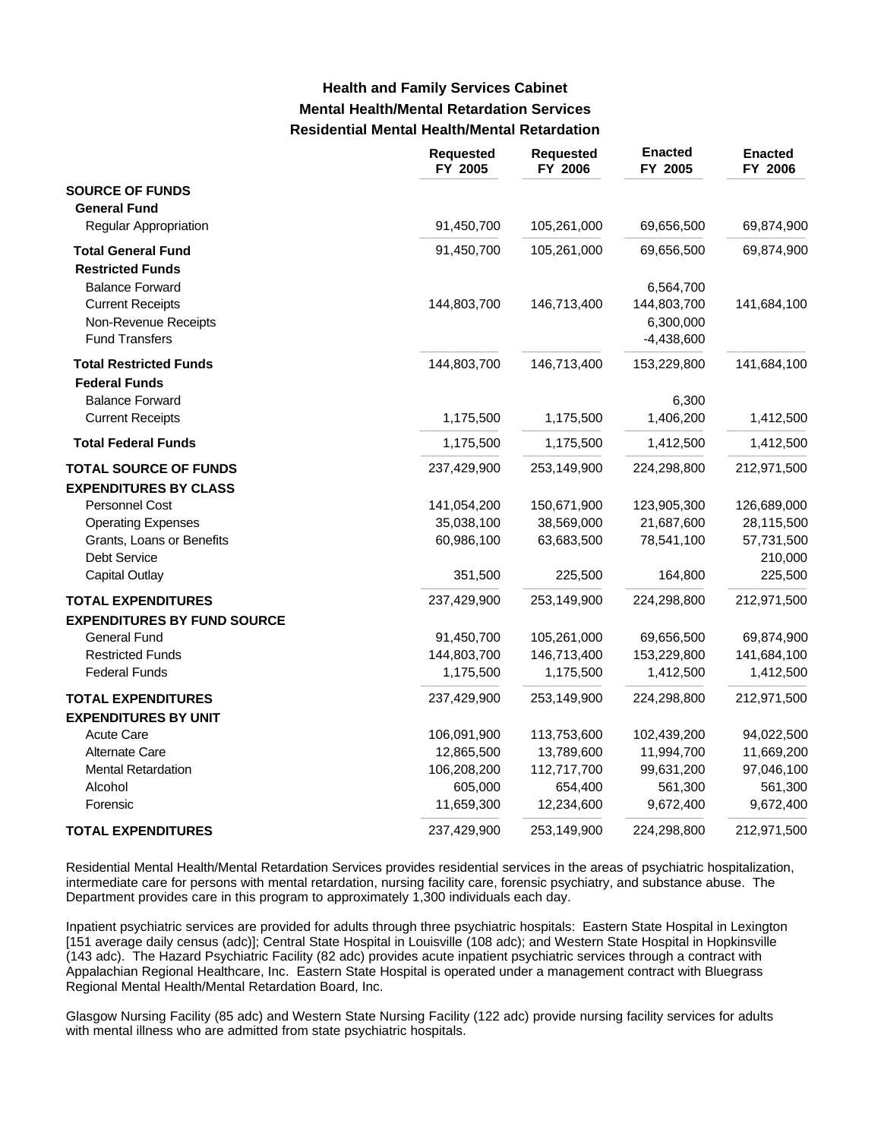# **Mental Health/Mental Retardation Services Residential Mental Health/Mental Retardation Health and Family Services Cabinet**

|                                                | Requested<br>FY 2005 | <b>Requested</b><br>FY 2006 | <b>Enacted</b><br>FY 2005 | <b>Enacted</b><br>FY 2006 |
|------------------------------------------------|----------------------|-----------------------------|---------------------------|---------------------------|
| <b>SOURCE OF FUNDS</b>                         |                      |                             |                           |                           |
| <b>General Fund</b>                            |                      |                             |                           |                           |
| <b>Regular Appropriation</b>                   | 91,450,700           | 105,261,000                 | 69,656,500                | 69,874,900                |
| <b>Total General Fund</b>                      | 91,450,700           | 105,261,000                 | 69,656,500                | 69,874,900                |
| <b>Restricted Funds</b>                        |                      |                             |                           |                           |
| <b>Balance Forward</b>                         |                      |                             | 6,564,700                 |                           |
| <b>Current Receipts</b>                        | 144,803,700          | 146,713,400                 | 144,803,700               | 141,684,100               |
| Non-Revenue Receipts                           |                      |                             | 6,300,000                 |                           |
| <b>Fund Transfers</b>                          |                      |                             | $-4,438,600$              |                           |
| <b>Total Restricted Funds</b>                  | 144,803,700          | 146,713,400                 | 153,229,800               | 141,684,100               |
| <b>Federal Funds</b><br><b>Balance Forward</b> |                      |                             | 6,300                     |                           |
| <b>Current Receipts</b>                        | 1,175,500            | 1,175,500                   | 1,406,200                 | 1,412,500                 |
|                                                |                      |                             |                           |                           |
| <b>Total Federal Funds</b>                     | 1,175,500            | 1,175,500                   | 1,412,500                 | 1,412,500                 |
| <b>TOTAL SOURCE OF FUNDS</b>                   | 237,429,900          | 253,149,900                 | 224,298,800               | 212,971,500               |
| <b>EXPENDITURES BY CLASS</b>                   |                      |                             |                           |                           |
| Personnel Cost                                 | 141,054,200          | 150,671,900                 | 123,905,300               | 126,689,000               |
| <b>Operating Expenses</b>                      | 35,038,100           | 38,569,000                  | 21,687,600                | 28,115,500                |
| Grants, Loans or Benefits                      | 60,986,100           | 63,683,500                  | 78,541,100                | 57,731,500                |
| Debt Service                                   |                      |                             |                           | 210,000                   |
| <b>Capital Outlay</b>                          | 351,500              | 225,500                     | 164,800                   | 225,500                   |
| <b>TOTAL EXPENDITURES</b>                      | 237,429,900          | 253,149,900                 | 224,298,800               | 212,971,500               |
| <b>EXPENDITURES BY FUND SOURCE</b>             |                      |                             |                           |                           |
| <b>General Fund</b>                            | 91,450,700           | 105,261,000                 | 69,656,500                | 69,874,900                |
| <b>Restricted Funds</b>                        | 144,803,700          | 146,713,400                 | 153,229,800               | 141,684,100               |
| <b>Federal Funds</b>                           | 1,175,500            | 1,175,500                   | 1,412,500                 | 1,412,500                 |
| <b>TOTAL EXPENDITURES</b>                      | 237,429,900          | 253,149,900                 | 224,298,800               | 212,971,500               |
| <b>EXPENDITURES BY UNIT</b>                    |                      |                             |                           |                           |
| <b>Acute Care</b>                              | 106,091,900          | 113,753,600                 | 102,439,200               | 94,022,500                |
| Alternate Care                                 | 12,865,500           | 13,789,600                  | 11,994,700                | 11,669,200                |
| <b>Mental Retardation</b>                      | 106,208,200          | 112,717,700                 | 99,631,200                | 97,046,100                |
| Alcohol                                        | 605,000              | 654,400<br>12,234,600       | 561,300<br>9,672,400      | 561,300<br>9,672,400      |
| Forensic                                       | 11,659,300           |                             |                           |                           |
| <b>TOTAL EXPENDITURES</b>                      | 237,429,900          | 253,149,900                 | 224,298,800               | 212,971,500               |

Residential Mental Health/Mental Retardation Services provides residential services in the areas of psychiatric hospitalization, intermediate care for persons with mental retardation, nursing facility care, forensic psychiatry, and substance abuse. The Department provides care in this program to approximately 1,300 individuals each day.

Inpatient psychiatric services are provided for adults through three psychiatric hospitals: Eastern State Hospital in Lexington [151 average daily census (adc)]; Central State Hospital in Louisville (108 adc); and Western State Hospital in Hopkinsville (143 adc). The Hazard Psychiatric Facility (82 adc) provides acute inpatient psychiatric services through a contract with Appalachian Regional Healthcare, Inc. Eastern State Hospital is operated under a management contract with Bluegrass Regional Mental Health/Mental Retardation Board, Inc.

Glasgow Nursing Facility (85 adc) and Western State Nursing Facility (122 adc) provide nursing facility services for adults with mental illness who are admitted from state psychiatric hospitals.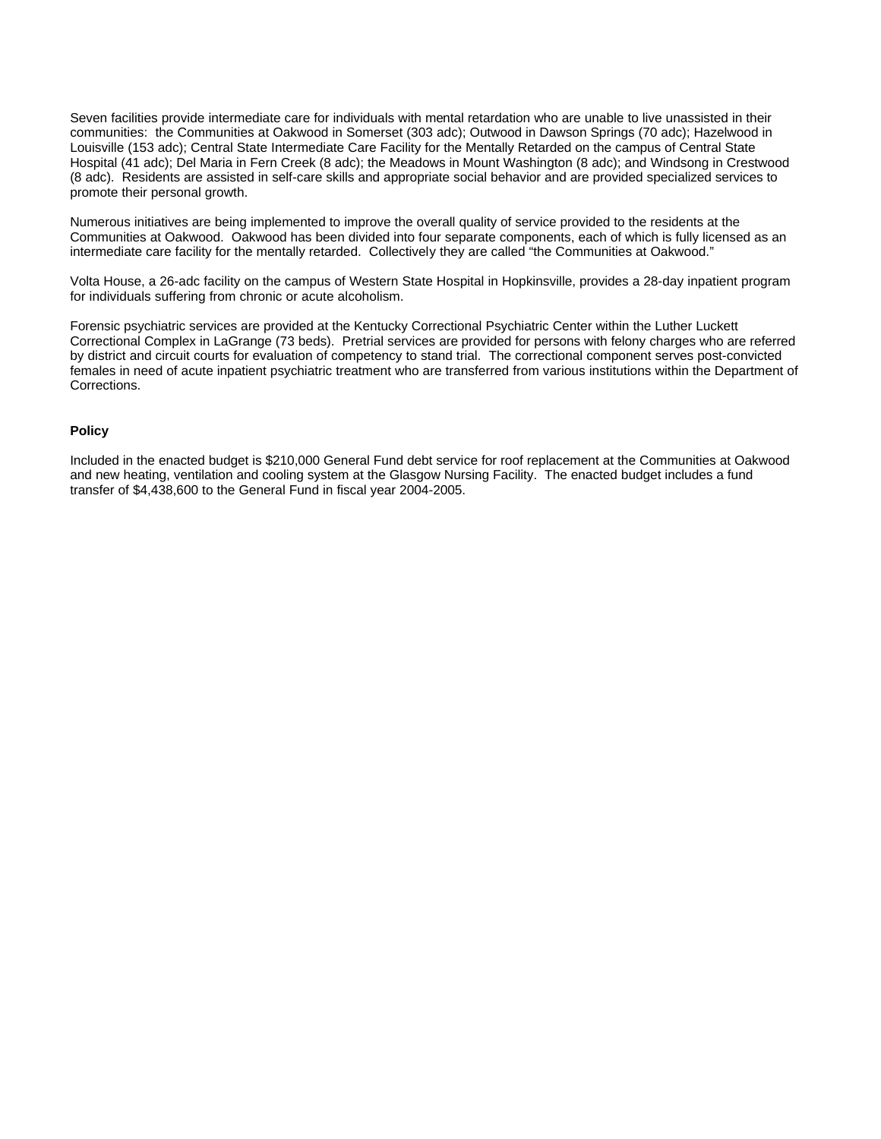Seven facilities provide intermediate care for individuals with mental retardation who are unable to live unassisted in their communities: the Communities at Oakwood in Somerset (303 adc); Outwood in Dawson Springs (70 adc); Hazelwood in Louisville (153 adc); Central State Intermediate Care Facility for the Mentally Retarded on the campus of Central State Hospital (41 adc); Del Maria in Fern Creek (8 adc); the Meadows in Mount Washington (8 adc); and Windsong in Crestwood (8 adc). Residents are assisted in self-care skills and appropriate social behavior and are provided specialized services to promote their personal growth.

Numerous initiatives are being implemented to improve the overall quality of service provided to the residents at the Communities at Oakwood. Oakwood has been divided into four separate components, each of which is fully licensed as an intermediate care facility for the mentally retarded. Collectively they are called "the Communities at Oakwood."

Volta House, a 26-adc facility on the campus of Western State Hospital in Hopkinsville, provides a 28-day inpatient program for individuals suffering from chronic or acute alcoholism.

Forensic psychiatric services are provided at the Kentucky Correctional Psychiatric Center within the Luther Luckett Correctional Complex in LaGrange (73 beds). Pretrial services are provided for persons with felony charges who are referred by district and circuit courts for evaluation of competency to stand trial. The correctional component serves post-convicted females in need of acute inpatient psychiatric treatment who are transferred from various institutions within the Department of Corrections.

#### **Policy**

Included in the enacted budget is \$210,000 General Fund debt service for roof replacement at the Communities at Oakwood and new heating, ventilation and cooling system at the Glasgow Nursing Facility. The enacted budget includes a fund transfer of \$4,438,600 to the General Fund in fiscal year 2004-2005.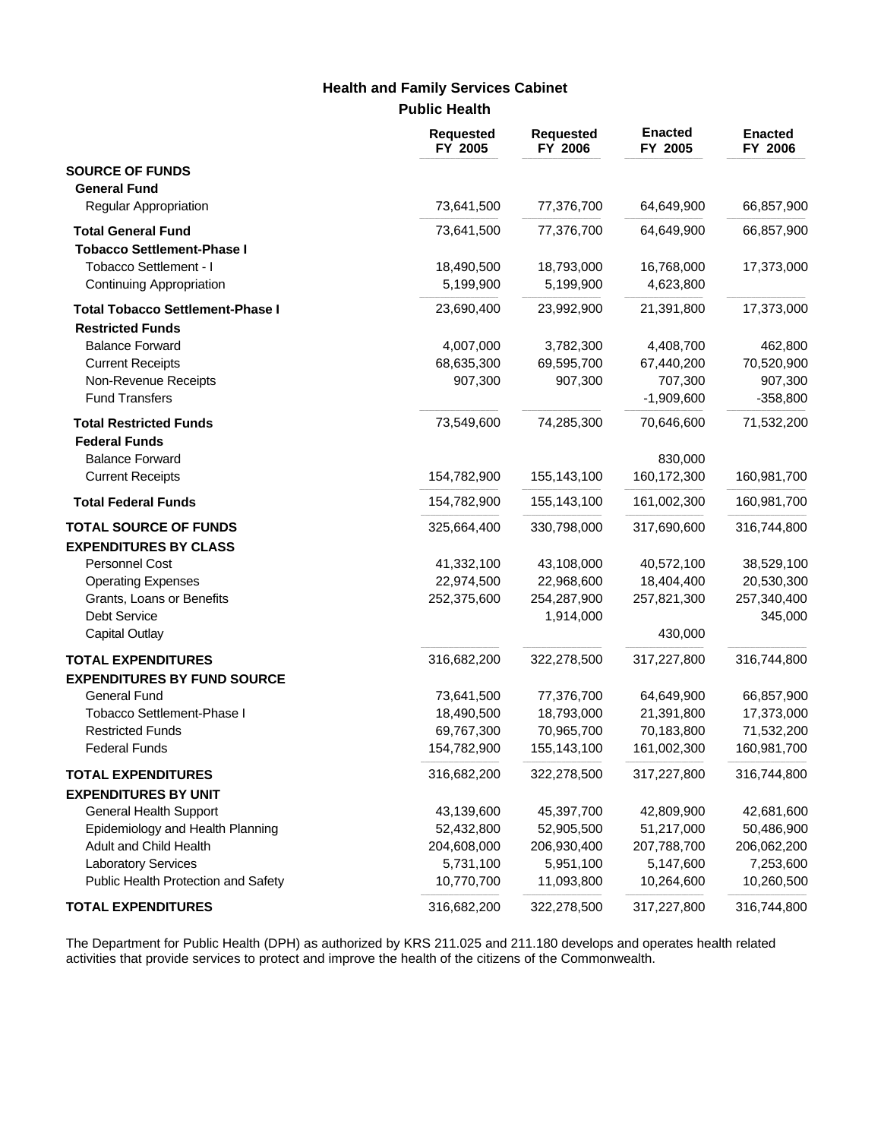# **Health and Family Services Cabinet**

**Public Health**

|                                                                | <b>Requested</b><br>FY 2005 | <b>Requested</b><br>FY 2006 | <b>Enacted</b><br>FY 2005 | <b>Enacted</b><br>FY 2006 |
|----------------------------------------------------------------|-----------------------------|-----------------------------|---------------------------|---------------------------|
| <b>SOURCE OF FUNDS</b>                                         |                             |                             |                           |                           |
| <b>General Fund</b><br><b>Regular Appropriation</b>            | 73,641,500                  | 77,376,700                  | 64,649,900                | 66,857,900                |
| <b>Total General Fund</b><br><b>Tobacco Settlement-Phase I</b> | 73,641,500                  | 77,376,700                  | 64,649,900                | 66,857,900                |
| Tobacco Settlement - I<br>Continuing Appropriation             | 18,490,500<br>5,199,900     | 18,793,000<br>5,199,900     | 16,768,000<br>4,623,800   | 17,373,000                |
| <b>Total Tobacco Settlement-Phase I</b>                        | 23,690,400                  | 23,992,900                  | 21,391,800                | 17,373,000                |
| <b>Restricted Funds</b>                                        |                             |                             |                           |                           |
| <b>Balance Forward</b>                                         | 4,007,000                   | 3,782,300                   | 4,408,700                 | 462,800                   |
| <b>Current Receipts</b>                                        | 68,635,300                  | 69,595,700                  | 67,440,200                | 70,520,900                |
| Non-Revenue Receipts                                           | 907,300                     | 907,300                     | 707,300                   | 907,300                   |
| <b>Fund Transfers</b>                                          |                             |                             | $-1,909,600$              | $-358,800$                |
| <b>Total Restricted Funds</b><br><b>Federal Funds</b>          | 73,549,600                  | 74,285,300                  | 70,646,600                | 71,532,200                |
| <b>Balance Forward</b>                                         |                             |                             | 830,000                   |                           |
| <b>Current Receipts</b>                                        | 154,782,900                 | 155,143,100                 | 160,172,300               | 160,981,700               |
| <b>Total Federal Funds</b>                                     | 154,782,900                 | 155,143,100                 | 161,002,300               | 160,981,700               |
| <b>TOTAL SOURCE OF FUNDS</b>                                   | 325,664,400                 | 330,798,000                 | 317,690,600               | 316,744,800               |
| <b>EXPENDITURES BY CLASS</b>                                   |                             |                             |                           |                           |
| <b>Personnel Cost</b>                                          | 41,332,100                  | 43,108,000                  | 40,572,100                | 38,529,100                |
| <b>Operating Expenses</b>                                      | 22,974,500                  | 22,968,600                  | 18,404,400                | 20,530,300                |
| Grants, Loans or Benefits                                      | 252,375,600                 | 254,287,900                 | 257,821,300               | 257,340,400               |
| Debt Service                                                   |                             | 1,914,000                   |                           | 345,000                   |
| <b>Capital Outlay</b>                                          |                             |                             | 430,000                   |                           |
| <b>TOTAL EXPENDITURES</b>                                      | 316,682,200                 | 322,278,500                 | 317,227,800               | 316,744,800               |
| <b>EXPENDITURES BY FUND SOURCE</b><br><b>General Fund</b>      | 73,641,500                  | 77,376,700                  | 64,649,900                | 66,857,900                |
| Tobacco Settlement-Phase I                                     | 18,490,500                  | 18,793,000                  | 21,391,800                | 17,373,000                |
| <b>Restricted Funds</b>                                        | 69,767,300                  | 70,965,700                  | 70,183,800                | 71,532,200                |
| <b>Federal Funds</b>                                           | 154,782,900                 | 155,143,100                 | 161,002,300               | 160,981,700               |
| <b>TOTAL EXPENDITURES</b>                                      | 316,682,200                 | 322,278,500                 | 317,227,800               | 316,744,800               |
| <b>EXPENDITURES BY UNIT</b>                                    |                             |                             |                           |                           |
| <b>General Health Support</b>                                  | 43,139,600                  | 45,397,700                  | 42,809,900                | 42,681,600                |
| Epidemiology and Health Planning                               | 52,432,800                  | 52,905,500                  | 51,217,000                | 50,486,900                |
| Adult and Child Health                                         | 204,608,000                 | 206,930,400                 | 207,788,700               | 206,062,200               |
| <b>Laboratory Services</b>                                     | 5,731,100                   | 5,951,100                   | 5,147,600                 | 7,253,600                 |
| Public Health Protection and Safety                            | 10,770,700                  | 11,093,800                  | 10,264,600                | 10,260,500                |
| <b>TOTAL EXPENDITURES</b>                                      | 316,682,200                 | 322,278,500                 | 317,227,800               | 316,744,800               |

The Department for Public Health (DPH) as authorized by KRS 211.025 and 211.180 develops and operates health related activities that provide services to protect and improve the health of the citizens of the Commonwealth.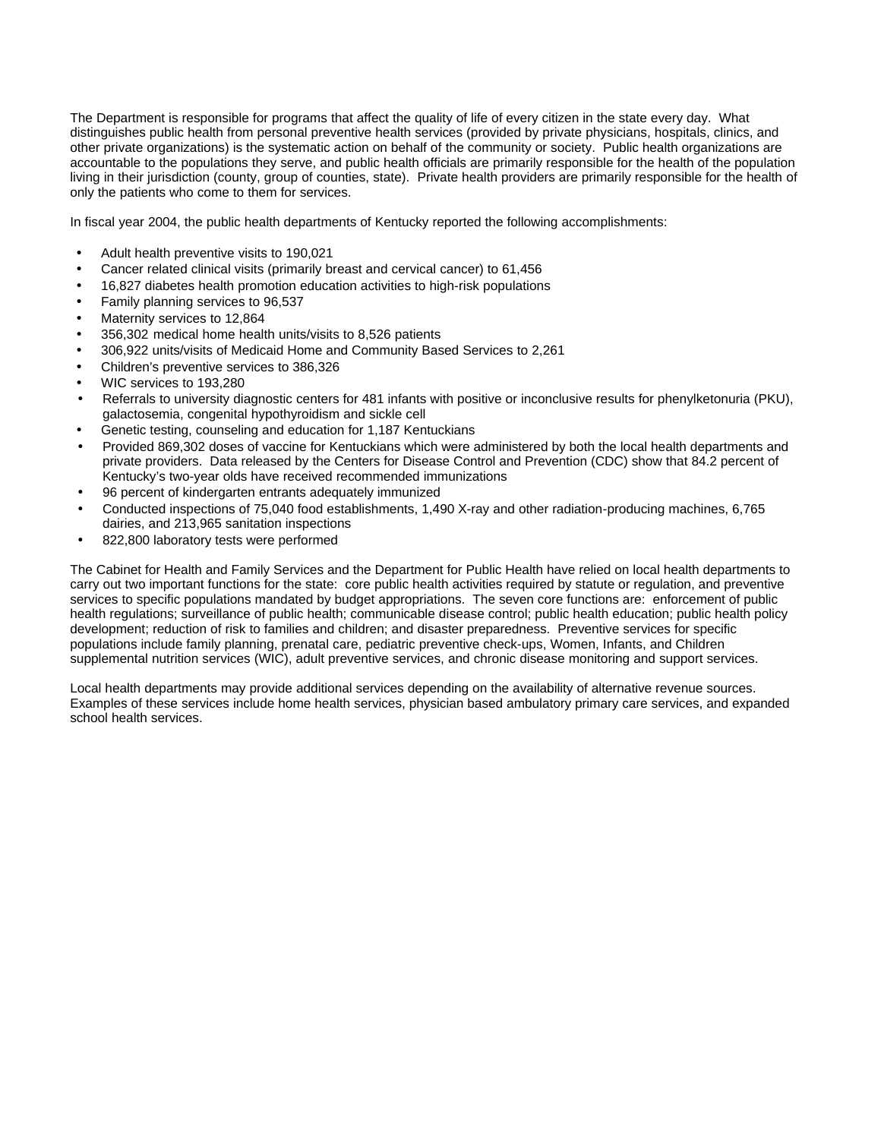The Department is responsible for programs that affect the quality of life of every citizen in the state every day. What distinguishes public health from personal preventive health services (provided by private physicians, hospitals, clinics, and other private organizations) is the systematic action on behalf of the community or society.Public health organizations are accountable to the populations they serve, and public health officials are primarily responsible for the health of the population living in their jurisdiction (county, group of counties, state). Private health providers are primarily responsible for the health of only the patients who come to them for services.

In fiscal year 2004, the public health departments of Kentucky reported the following accomplishments:

- Adult health preventive visits to 190,021
- Cancer related clinical visits (primarily breast and cervical cancer) to 61,456
- 16,827 diabetes health promotion education activities to high-risk populations
- Family planning services to 96,537
- Maternity services to 12,864
- 356,302 medical home health units/visits to 8,526 patients
- 306,922 units/visits of Medicaid Home and Community Based Services to 2,261
- Children's preventive services to 386,326
- WIC services to 193,280
- Referrals to university diagnostic centers for 481 infants with positive or inconclusive results for phenylketonuria (PKU), galactosemia, congenital hypothyroidism and sickle cell
- Genetic testing, counseling and education for 1,187 Kentuckians
- Provided 869,302 doses of vaccine for Kentuckians which were administered by both the local health departments and private providers. Data released by the Centers for Disease Control and Prevention (CDC) show that 84.2 percent of Kentucky's two-year olds have received recommended immunizations
- 96 percent of kindergarten entrants adequately immunized
- Conducted inspections of 75,040 food establishments, 1,490 X-ray and other radiation-producing machines, 6,765 dairies, and 213,965 sanitation inspections
- 822,800 laboratory tests were performed

The Cabinet for Health and Family Services and the Department for Public Health have relied on local health departments to carry out two important functions for the state: core public health activities required by statute or regulation, and preventive services to specific populations mandated by budget appropriations. The seven core functions are: enforcement of public health regulations; surveillance of public health; communicable disease control; public health education; public health policy development; reduction of risk to families and children; and disaster preparedness. Preventive services for specific populations include family planning, prenatal care, pediatric preventive check-ups, Women, Infants, and Children supplemental nutrition services (WIC), adult preventive services, and chronic disease monitoring and support services.

Local health departments may provide additional services depending on the availability of alternative revenue sources. Examples of these services include home health services, physician based ambulatory primary care services, and expanded school health services.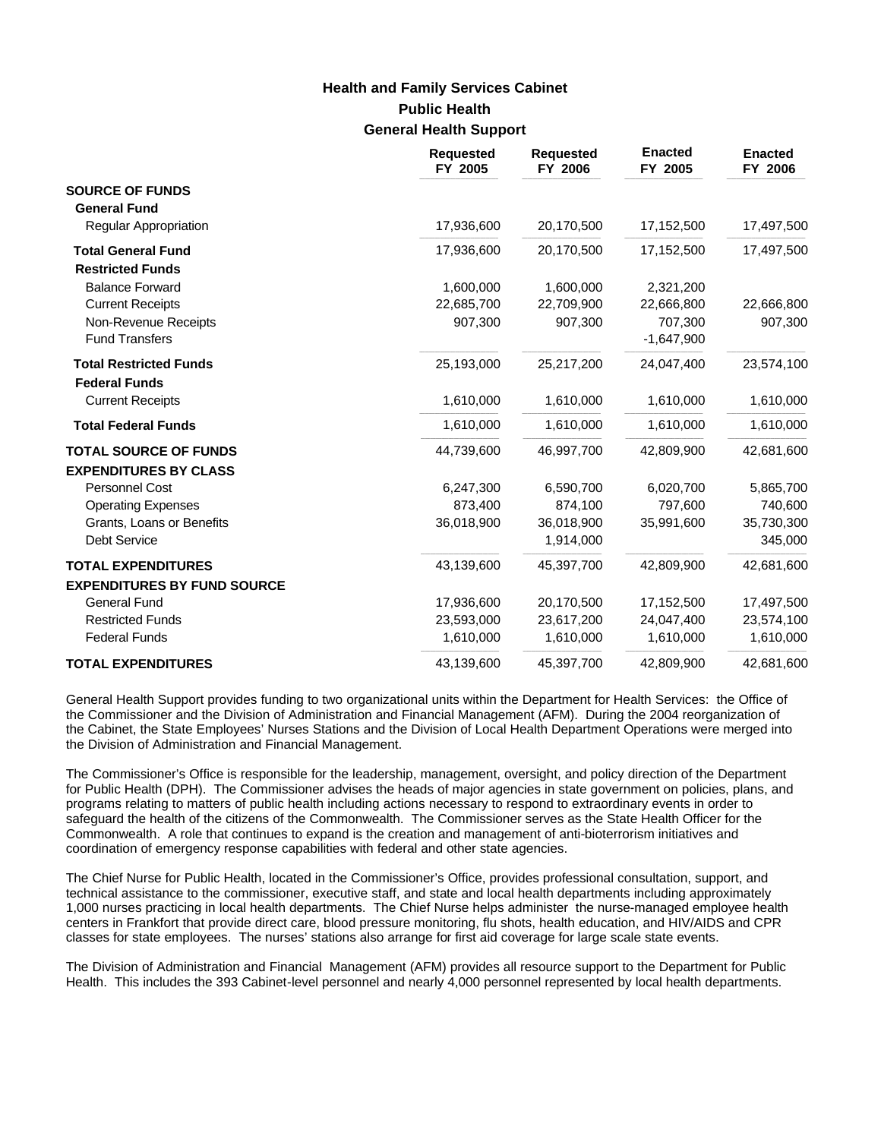# **Public Health General Health Support Health and Family Services Cabinet**

|                                                                 | <b>Requested</b><br>FY 2005 | <b>Requested</b><br>FY 2006 | <b>Enacted</b><br>FY 2005 | <b>Enacted</b><br>FY 2006 |
|-----------------------------------------------------------------|-----------------------------|-----------------------------|---------------------------|---------------------------|
| <b>SOURCE OF FUNDS</b><br><b>General Fund</b>                   |                             |                             |                           |                           |
| Regular Appropriation                                           | 17,936,600                  | 20,170,500                  | 17,152,500                | 17,497,500                |
| <b>Total General Fund</b><br><b>Restricted Funds</b>            | 17,936,600                  | 20,170,500                  | 17,152,500                | 17,497,500                |
| <b>Balance Forward</b>                                          | 1,600,000                   | 1,600,000                   | 2,321,200                 |                           |
| <b>Current Receipts</b>                                         | 22,685,700                  | 22,709,900                  | 22,666,800                | 22,666,800                |
| Non-Revenue Receipts<br><b>Fund Transfers</b>                   | 907,300                     | 907,300                     | 707,300<br>$-1,647,900$   | 907,300                   |
| <b>Total Restricted Funds</b><br><b>Federal Funds</b>           | 25,193,000                  | 25,217,200                  | 24,047,400                | 23,574,100                |
| <b>Current Receipts</b>                                         | 1,610,000                   | 1,610,000                   | 1,610,000                 | 1,610,000                 |
| <b>Total Federal Funds</b>                                      | 1,610,000                   | 1,610,000                   | 1,610,000                 | 1,610,000                 |
| <b>TOTAL SOURCE OF FUNDS</b><br><b>EXPENDITURES BY CLASS</b>    | 44,739,600                  | 46,997,700                  | 42,809,900                | 42,681,600                |
| Personnel Cost                                                  | 6,247,300                   | 6,590,700                   | 6,020,700                 | 5,865,700                 |
| <b>Operating Expenses</b>                                       | 873,400                     | 874,100                     | 797,600                   | 740,600                   |
| Grants, Loans or Benefits                                       | 36,018,900                  | 36,018,900                  | 35,991,600                | 35,730,300                |
| <b>Debt Service</b>                                             |                             | 1,914,000                   |                           | 345,000                   |
| <b>TOTAL EXPENDITURES</b><br><b>EXPENDITURES BY FUND SOURCE</b> | 43,139,600                  | 45,397,700                  | 42,809,900                | 42,681,600                |
| <b>General Fund</b>                                             | 17,936,600                  | 20,170,500                  | 17,152,500                | 17,497,500                |
| <b>Restricted Funds</b>                                         | 23,593,000                  | 23,617,200                  | 24,047,400                | 23,574,100                |
| <b>Federal Funds</b>                                            | 1,610,000                   | 1,610,000                   | 1,610,000                 | 1,610,000                 |
| <b>TOTAL EXPENDITURES</b>                                       | 43,139,600                  | 45,397,700                  | 42,809,900                | 42,681,600                |

General Health Support provides funding to two organizational units within the Department for Health Services: the Office of the Commissioner and the Division of Administration and Financial Management (AFM). During the 2004 reorganization of the Cabinet, the State Employees' Nurses Stations and the Division of Local Health Department Operations were merged into the Division of Administration and Financial Management.

The Commissioner's Office is responsible for the leadership, management, oversight, and policy direction of the Department for Public Health (DPH). The Commissioner advises the heads of major agencies in state government on policies, plans, and programs relating to matters of public health including actions necessary to respond to extraordinary events in order to safeguard the health of the citizens of the Commonwealth. The Commissioner serves as the State Health Officer for the Commonwealth. A role that continues to expand is the creation and management of anti-bioterrorism initiatives and coordination of emergency response capabilities with federal and other state agencies.

The Chief Nurse for Public Health, located in the Commissioner's Office, provides professional consultation, support, and technical assistance to the commissioner, executive staff, and state and local health departments including approximately 1,000 nurses practicing in local health departments. The Chief Nurse helps administer the nurse-managed employee health centers in Frankfort that provide direct care, blood pressure monitoring, flu shots, health education, and HIV/AIDS and CPR classes for state employees. The nurses' stations also arrange for first aid coverage for large scale state events.

The Division of Administration and Financial Management (AFM) provides all resource support to the Department for Public Health. This includes the 393 Cabinet-level personnel and nearly 4,000 personnel represented by local health departments.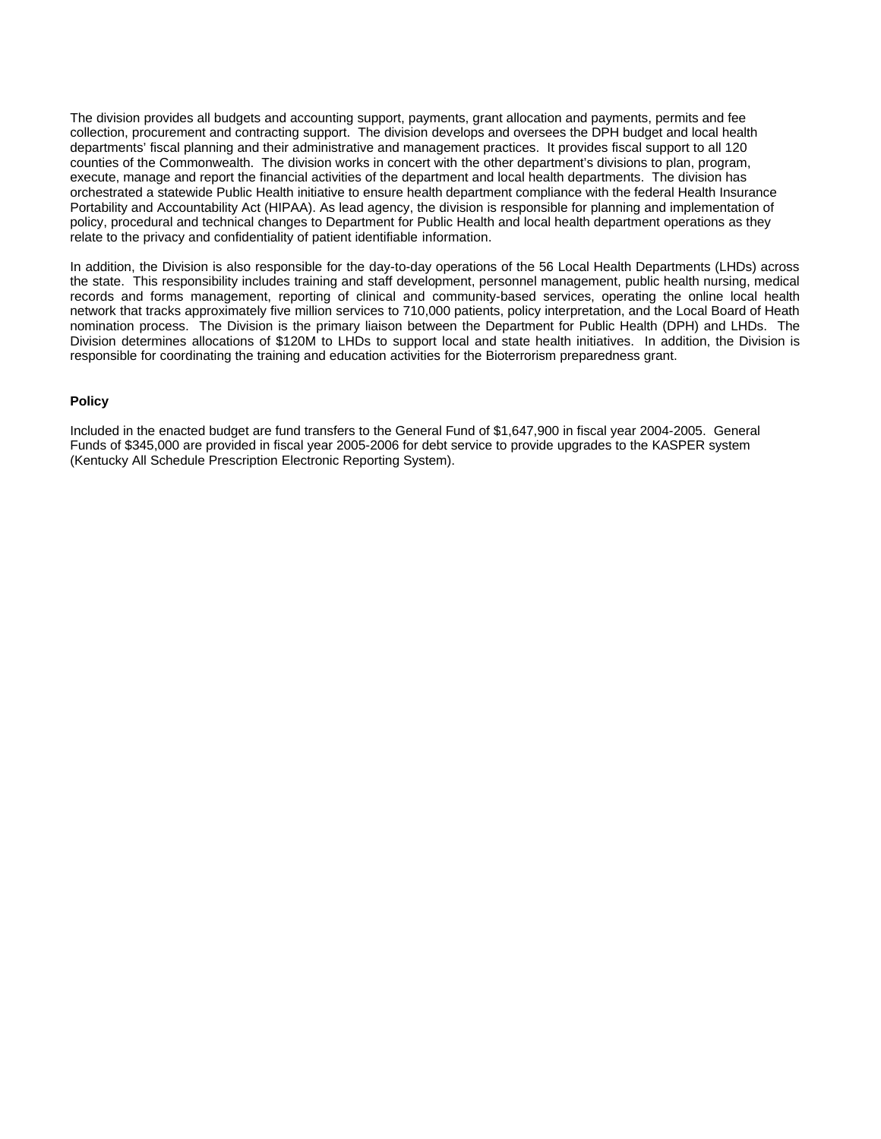The division provides all budgets and accounting support, payments, grant allocation and payments, permits and fee collection, procurement and contracting support. The division develops and oversees the DPH budget and local health departments' fiscal planning and their administrative and management practices. It provides fiscal support to all 120 counties of the Commonwealth. The division works in concert with the other department's divisions to plan, program, execute, manage and report the financial activities of the department and local health departments. The division has orchestrated a statewide Public Health initiative to ensure health department compliance with the federal Health Insurance Portability and Accountability Act (HIPAA). As lead agency, the division is responsible for planning and implementation of policy, procedural and technical changes to Department for Public Health and local health department operations as they relate to the privacy and confidentiality of patient identifiable information.

In addition, the Division is also responsible for the day-to-day operations of the 56 Local Health Departments (LHDs) across the state. This responsibility includes training and staff development, personnel management, public health nursing, medical records and forms management, reporting of clinical and community-based services, operating the online local health network that tracks approximately five million services to 710,000 patients, policy interpretation, and the Local Board of Heath nomination process. The Division is the primary liaison between the Department for Public Health (DPH) and LHDs. The Division determines allocations of \$120M to LHDs to support local and state health initiatives. In addition, the Division is responsible for coordinating the training and education activities for the Bioterrorism preparedness grant.

## **Policy**

Included in the enacted budget are fund transfers to the General Fund of \$1,647,900 in fiscal year 2004-2005. General Funds of \$345,000 are provided in fiscal year 2005-2006 for debt service to provide upgrades to the KASPER system (Kentucky All Schedule Prescription Electronic Reporting System).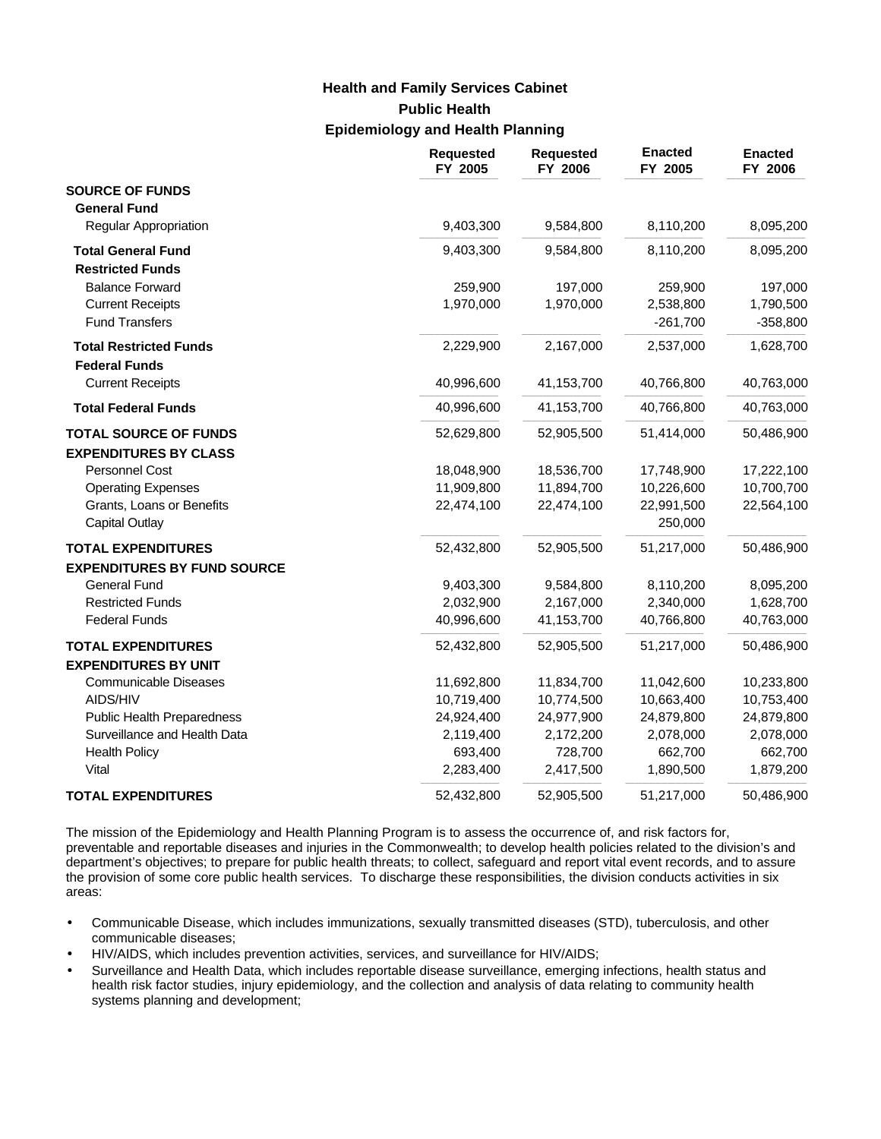# **Public Health Epidemiology and Health Planning Health and Family Services Cabinet**

|                                                        | <b>Requested</b><br>FY 2005 | <b>Requested</b><br>FY 2006 | <b>Enacted</b><br>FY 2005 | <b>Enacted</b><br>FY 2006 |
|--------------------------------------------------------|-----------------------------|-----------------------------|---------------------------|---------------------------|
| <b>SOURCE OF FUNDS</b>                                 |                             |                             |                           |                           |
| <b>General Fund</b>                                    |                             |                             |                           |                           |
| Regular Appropriation                                  | 9,403,300                   | 9,584,800                   | 8,110,200                 | 8,095,200                 |
| <b>Total General Fund</b><br><b>Restricted Funds</b>   | 9,403,300                   | 9,584,800                   | 8,110,200                 | 8,095,200                 |
| <b>Balance Forward</b>                                 | 259,900                     | 197,000                     | 259,900                   | 197,000                   |
| <b>Current Receipts</b><br><b>Fund Transfers</b>       | 1,970,000                   | 1,970,000                   | 2,538,800<br>$-261,700$   | 1,790,500<br>$-358,800$   |
| <b>Total Restricted Funds</b><br><b>Federal Funds</b>  | 2,229,900                   | 2,167,000                   | 2,537,000                 | 1,628,700                 |
| <b>Current Receipts</b>                                | 40,996,600                  | 41,153,700                  | 40,766,800                | 40,763,000                |
| <b>Total Federal Funds</b>                             | 40,996,600                  | 41,153,700                  | 40,766,800                | 40,763,000                |
| <b>TOTAL SOURCE OF FUNDS</b>                           | 52,629,800                  | 52,905,500                  | 51,414,000                | 50,486,900                |
| <b>EXPENDITURES BY CLASS</b><br>Personnel Cost         |                             |                             |                           |                           |
|                                                        | 18,048,900<br>11,909,800    | 18,536,700<br>11,894,700    | 17,748,900<br>10,226,600  | 17,222,100<br>10,700,700  |
| <b>Operating Expenses</b><br>Grants, Loans or Benefits | 22,474,100                  | 22,474,100                  | 22,991,500                | 22,564,100                |
| <b>Capital Outlay</b>                                  |                             |                             | 250,000                   |                           |
| <b>TOTAL EXPENDITURES</b>                              | 52,432,800                  | 52,905,500                  | 51,217,000                | 50,486,900                |
| <b>EXPENDITURES BY FUND SOURCE</b>                     |                             |                             |                           |                           |
| <b>General Fund</b>                                    | 9,403,300                   | 9,584,800                   | 8,110,200                 | 8,095,200                 |
| <b>Restricted Funds</b>                                | 2,032,900                   | 2,167,000                   | 2,340,000                 | 1,628,700                 |
| <b>Federal Funds</b>                                   | 40,996,600                  | 41,153,700                  | 40,766,800                | 40,763,000                |
| <b>TOTAL EXPENDITURES</b>                              | 52,432,800                  | 52,905,500                  | 51,217,000                | 50,486,900                |
| <b>EXPENDITURES BY UNIT</b>                            |                             |                             |                           |                           |
| <b>Communicable Diseases</b>                           | 11,692,800                  | 11,834,700                  | 11,042,600                | 10,233,800                |
| AIDS/HIV                                               | 10,719,400                  | 10,774,500                  | 10,663,400                | 10,753,400                |
| <b>Public Health Preparedness</b>                      | 24,924,400                  | 24,977,900                  | 24,879,800                | 24,879,800                |
| Surveillance and Health Data                           | 2,119,400                   | 2,172,200                   | 2,078,000                 | 2,078,000                 |
| <b>Health Policy</b>                                   | 693,400                     | 728,700                     | 662,700                   | 662,700                   |
| Vital                                                  | 2,283,400                   | 2,417,500                   | 1,890,500                 | 1,879,200                 |
| <b>TOTAL EXPENDITURES</b>                              | 52,432,800                  | 52,905,500                  | 51,217,000                | 50,486,900                |

The mission of the Epidemiology and Health Planning Program is to assess the occurrence of, and risk factors for, preventable and reportable diseases and injuries in the Commonwealth; to develop health policies related to the division's and department's objectives; to prepare for public health threats; to collect, safeguard and report vital event records, and to assure the provision of some core public health services. To discharge these responsibilities, the division conducts activities in six areas:

- Communicable Disease, which includes immunizations, sexually transmitted diseases (STD), tuberculosis, and other communicable diseases;
- HIV/AIDS, which includes prevention activities, services, and surveillance for HIV/AIDS;
- Surveillance and Health Data, which includes reportable disease surveillance, emerging infections, health status and health risk factor studies, injury epidemiology, and the collection and analysis of data relating to community health systems planning and development;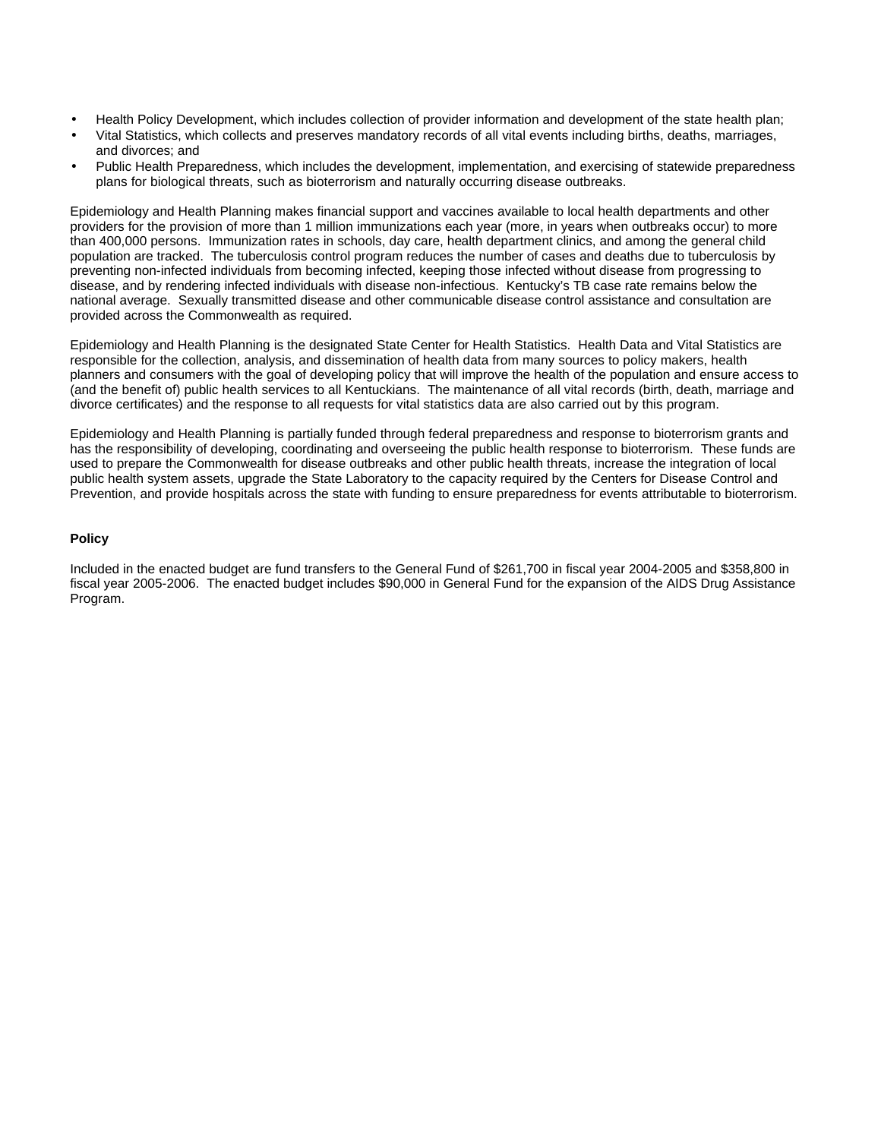- Health Policy Development, which includes collection of provider information and development of the state health plan;
- Vital Statistics, which collects and preserves mandatory records of all vital events including births, deaths, marriages, and divorces; and
- Public Health Preparedness, which includes the development, implementation, and exercising of statewide preparedness plans for biological threats, such as bioterrorism and naturally occurring disease outbreaks.

Epidemiology and Health Planning makes financial support and vaccines available to local health departments and other providers for the provision of more than 1 million immunizations each year (more, in years when outbreaks occur) to more than 400,000 persons. Immunization rates in schools, day care, health department clinics, and among the general child population are tracked. The tuberculosis control program reduces the number of cases and deaths due to tuberculosis by preventing non-infected individuals from becoming infected, keeping those infected without disease from progressing to disease, and by rendering infected individuals with disease non-infectious. Kentucky's TB case rate remains below the national average. Sexually transmitted disease and other communicable disease control assistance and consultation are provided across the Commonwealth as required.

Epidemiology and Health Planning is the designated State Center for Health Statistics. Health Data and Vital Statistics are responsible for the collection, analysis, and dissemination of health data from many sources to policy makers, health planners and consumers with the goal of developing policy that will improve the health of the population and ensure access to (and the benefit of) public health services to all Kentuckians. The maintenance of all vital records (birth, death, marriage and divorce certificates) and the response to all requests for vital statistics data are also carried out by this program.

Epidemiology and Health Planning is partially funded through federal preparedness and response to bioterrorism grants and has the responsibility of developing, coordinating and overseeing the public health response to bioterrorism. These funds are used to prepare the Commonwealth for disease outbreaks and other public health threats, increase the integration of local public health system assets, upgrade the State Laboratory to the capacity required by the Centers for Disease Control and Prevention, and provide hospitals across the state with funding to ensure preparedness for events attributable to bioterrorism.

## **Policy**

Included in the enacted budget are fund transfers to the General Fund of \$261,700 in fiscal year 2004-2005 and \$358,800 in fiscal year 2005-2006. The enacted budget includes \$90,000 in General Fund for the expansion of the AIDS Drug Assistance Program.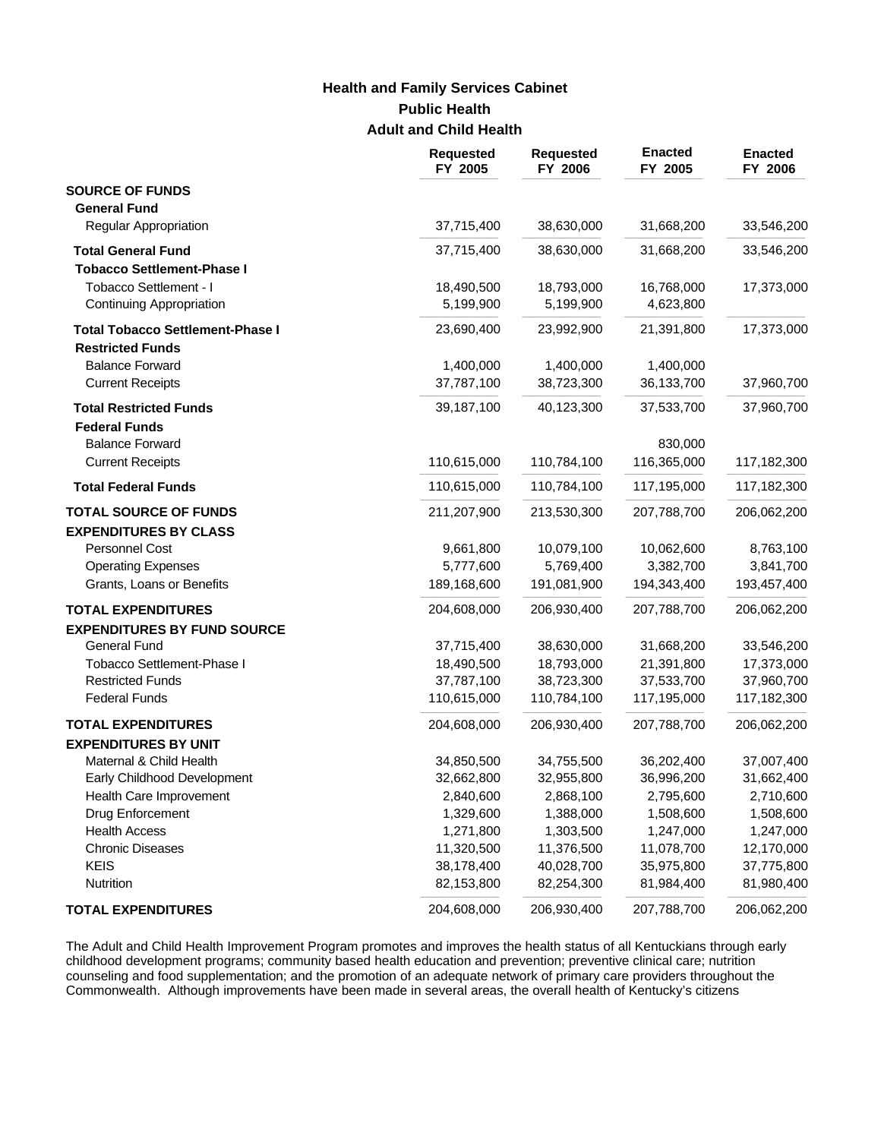# **Public Health Adult and Child Health Health and Family Services Cabinet**

|                                         | <b>Requested</b><br>FY 2005 | <b>Requested</b><br>FY 2006 | <b>Enacted</b><br>FY 2005 | <b>Enacted</b><br>FY 2006 |
|-----------------------------------------|-----------------------------|-----------------------------|---------------------------|---------------------------|
| <b>SOURCE OF FUNDS</b>                  |                             |                             |                           |                           |
| <b>General Fund</b>                     |                             |                             |                           |                           |
| <b>Regular Appropriation</b>            | 37,715,400                  | 38,630,000                  | 31,668,200                | 33,546,200                |
| <b>Total General Fund</b>               | 37,715,400                  | 38,630,000                  | 31,668,200                | 33,546,200                |
| <b>Tobacco Settlement-Phase I</b>       |                             |                             |                           |                           |
| Tobacco Settlement - I                  | 18,490,500                  | 18,793,000                  | 16,768,000                | 17,373,000                |
| Continuing Appropriation                | 5,199,900                   | 5,199,900                   | 4,623,800                 |                           |
| <b>Total Tobacco Settlement-Phase I</b> | 23,690,400                  | 23,992,900                  | 21,391,800                | 17,373,000                |
| <b>Restricted Funds</b>                 |                             |                             |                           |                           |
| <b>Balance Forward</b>                  | 1,400,000                   | 1,400,000                   | 1,400,000                 |                           |
| <b>Current Receipts</b>                 | 37,787,100                  | 38,723,300                  | 36,133,700                | 37,960,700                |
| <b>Total Restricted Funds</b>           | 39,187,100                  | 40,123,300                  | 37,533,700                | 37,960,700                |
| <b>Federal Funds</b>                    |                             |                             |                           |                           |
| <b>Balance Forward</b>                  |                             |                             | 830,000                   |                           |
| <b>Current Receipts</b>                 | 110,615,000                 | 110,784,100                 | 116,365,000               | 117,182,300               |
| <b>Total Federal Funds</b>              | 110,615,000                 | 110,784,100                 | 117,195,000               | 117,182,300               |
| <b>TOTAL SOURCE OF FUNDS</b>            | 211,207,900                 | 213,530,300                 | 207,788,700               | 206,062,200               |
| <b>EXPENDITURES BY CLASS</b>            |                             |                             |                           |                           |
| Personnel Cost                          | 9,661,800                   | 10,079,100                  | 10,062,600                | 8,763,100                 |
| <b>Operating Expenses</b>               | 5,777,600                   | 5,769,400                   | 3,382,700                 | 3,841,700                 |
| Grants, Loans or Benefits               | 189,168,600                 | 191,081,900                 | 194,343,400               | 193,457,400               |
| <b>TOTAL EXPENDITURES</b>               | 204,608,000                 | 206,930,400                 | 207,788,700               | 206,062,200               |
| <b>EXPENDITURES BY FUND SOURCE</b>      |                             |                             |                           |                           |
| <b>General Fund</b>                     | 37,715,400                  | 38,630,000                  | 31,668,200                | 33,546,200                |
| Tobacco Settlement-Phase I              | 18,490,500                  | 18,793,000                  | 21,391,800                | 17,373,000                |
| <b>Restricted Funds</b>                 | 37,787,100                  | 38,723,300                  | 37,533,700                | 37,960,700                |
| <b>Federal Funds</b>                    | 110,615,000                 | 110,784,100                 | 117,195,000               | 117,182,300               |
| <b>TOTAL EXPENDITURES</b>               | 204,608,000                 | 206,930,400                 | 207,788,700               | 206,062,200               |
| <b>EXPENDITURES BY UNIT</b>             |                             |                             |                           |                           |
| Maternal & Child Health                 | 34,850,500                  | 34,755,500                  | 36,202,400                | 37,007,400                |
| Early Childhood Development             | 32,662,800                  | 32,955,800                  | 36,996,200                | 31,662,400                |
| Health Care Improvement                 | 2,840,600                   | 2,868,100                   | 2,795,600                 | 2,710,600                 |
| Drug Enforcement                        | 1,329,600                   | 1,388,000                   | 1,508,600                 | 1,508,600                 |
| <b>Health Access</b>                    | 1,271,800                   | 1,303,500                   | 1,247,000                 | 1,247,000                 |
| <b>Chronic Diseases</b>                 | 11,320,500                  | 11,376,500                  | 11,078,700                | 12,170,000                |
| <b>KEIS</b>                             | 38,178,400                  | 40,028,700                  | 35,975,800                | 37,775,800                |
| Nutrition                               | 82,153,800                  | 82,254,300                  | 81,984,400                | 81,980,400                |
| <b>TOTAL EXPENDITURES</b>               | 204,608,000                 | 206,930,400                 | 207,788,700               | 206,062,200               |

The Adult and Child Health Improvement Program promotes and improves the health status of all Kentuckians through early childhood development programs; community based health education and prevention; preventive clinical care; nutrition counseling and food supplementation; and the promotion of an adequate network of primary care providers throughout the Commonwealth. Although improvements have been made in several areas, the overall health of Kentucky's citizens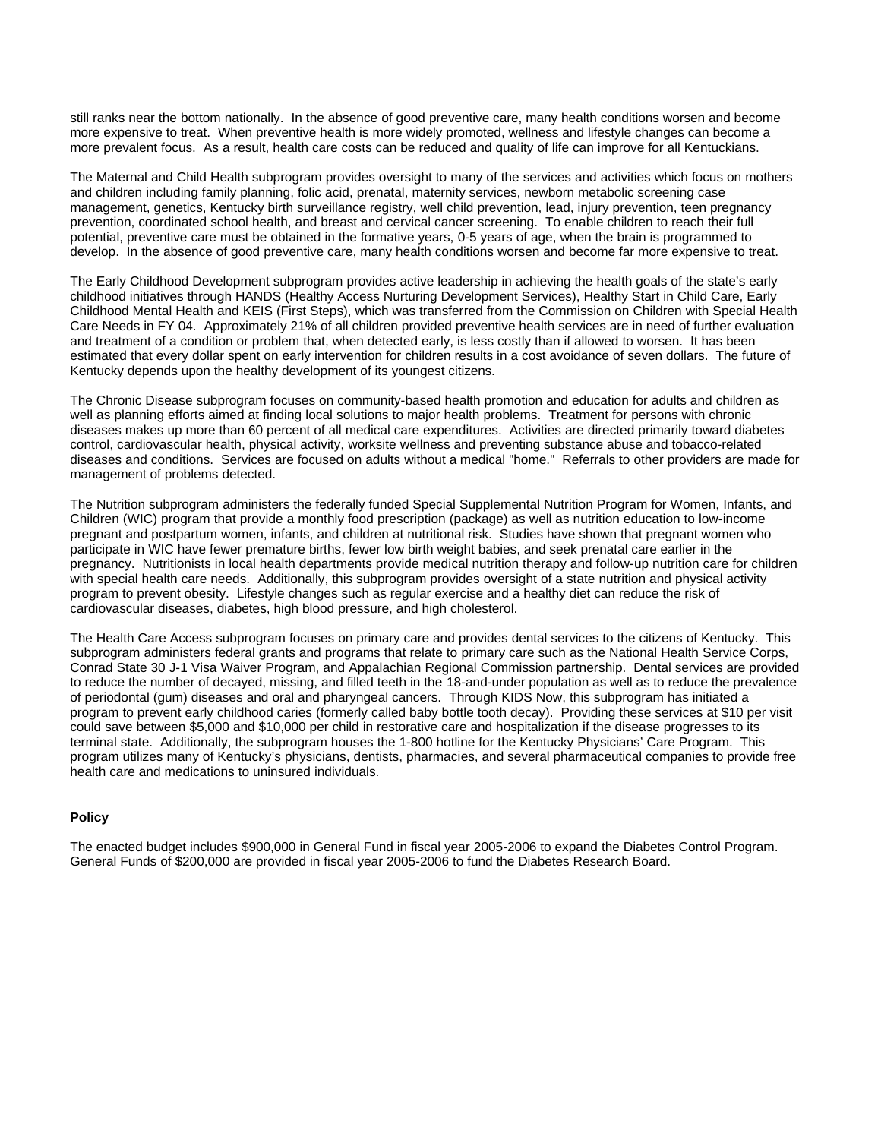still ranks near the bottom nationally. In the absence of good preventive care, many health conditions worsen and become more expensive to treat. When preventive health is more widely promoted, wellness and lifestyle changes can become a more prevalent focus. As a result, health care costs can be reduced and quality of life can improve for all Kentuckians.

The Maternal and Child Health subprogram provides oversight to many of the services and activities which focus on mothers and children including family planning, folic acid, prenatal, maternity services, newborn metabolic screening case management, genetics, Kentucky birth surveillance registry, well child prevention, lead, injury prevention, teen pregnancy prevention, coordinated school health, and breast and cervical cancer screening. To enable children to reach their full potential, preventive care must be obtained in the formative years, 0-5 years of age, when the brain is programmed to develop. In the absence of good preventive care, many health conditions worsen and become far more expensive to treat.

The Early Childhood Development subprogram provides active leadership in achieving the health goals of the state's early childhood initiatives through HANDS (Healthy Access Nurturing Development Services), Healthy Start in Child Care, Early Childhood Mental Health and KEIS (First Steps), which was transferred from the Commission on Children with Special Health Care Needs in FY 04. Approximately 21% of all children provided preventive health services are in need of further evaluation and treatment of a condition or problem that, when detected early, is less costly than if allowed to worsen. It has been estimated that every dollar spent on early intervention for children results in a cost avoidance of seven dollars. The future of Kentucky depends upon the healthy development of its youngest citizens.

The Chronic Disease subprogram focuses on community-based health promotion and education for adults and children as well as planning efforts aimed at finding local solutions to major health problems. Treatment for persons with chronic diseases makes up more than 60 percent of all medical care expenditures. Activities are directed primarily toward diabetes control, cardiovascular health, physical activity, worksite wellness and preventing substance abuse and tobacco-related diseases and conditions. Services are focused on adults without a medical "home." Referrals to other providers are made for management of problems detected.

The Nutrition subprogram administers the federally funded Special Supplemental Nutrition Program for Women, Infants, and Children (WIC) program that provide a monthly food prescription (package) as well as nutrition education to low-income pregnant and postpartum women, infants, and children at nutritional risk. Studies have shown that pregnant women who participate in WIC have fewer premature births, fewer low birth weight babies, and seek prenatal care earlier in the pregnancy. Nutritionists in local health departments provide medical nutrition therapy and follow-up nutrition care for children with special health care needs. Additionally, this subprogram provides oversight of a state nutrition and physical activity program to prevent obesity. Lifestyle changes such as regular exercise and a healthy diet can reduce the risk of cardiovascular diseases, diabetes, high blood pressure, and high cholesterol.

The Health Care Access subprogram focuses on primary care and provides dental services to the citizens of Kentucky. This subprogram administers federal grants and programs that relate to primary care such as the National Health Service Corps, Conrad State 30 J-1 Visa Waiver Program, and Appalachian Regional Commission partnership. Dental services are provided to reduce the number of decayed, missing, and filled teeth in the 18-and-under population as well as to reduce the prevalence of periodontal (gum) diseases and oral and pharyngeal cancers. Through KIDS Now, this subprogram has initiated a program to prevent early childhood caries (formerly called baby bottle tooth decay). Providing these services at \$10 per visit could save between \$5,000 and \$10,000 per child in restorative care and hospitalization if the disease progresses to its terminal state. Additionally, the subprogram houses the 1-800 hotline for the Kentucky Physicians' Care Program. This program utilizes many of Kentucky's physicians, dentists, pharmacies, and several pharmaceutical companies to provide free health care and medications to uninsured individuals.

## **Policy**

The enacted budget includes \$900,000 in General Fund in fiscal year 2005-2006 to expand the Diabetes Control Program. General Funds of \$200,000 are provided in fiscal year 2005-2006 to fund the Diabetes Research Board.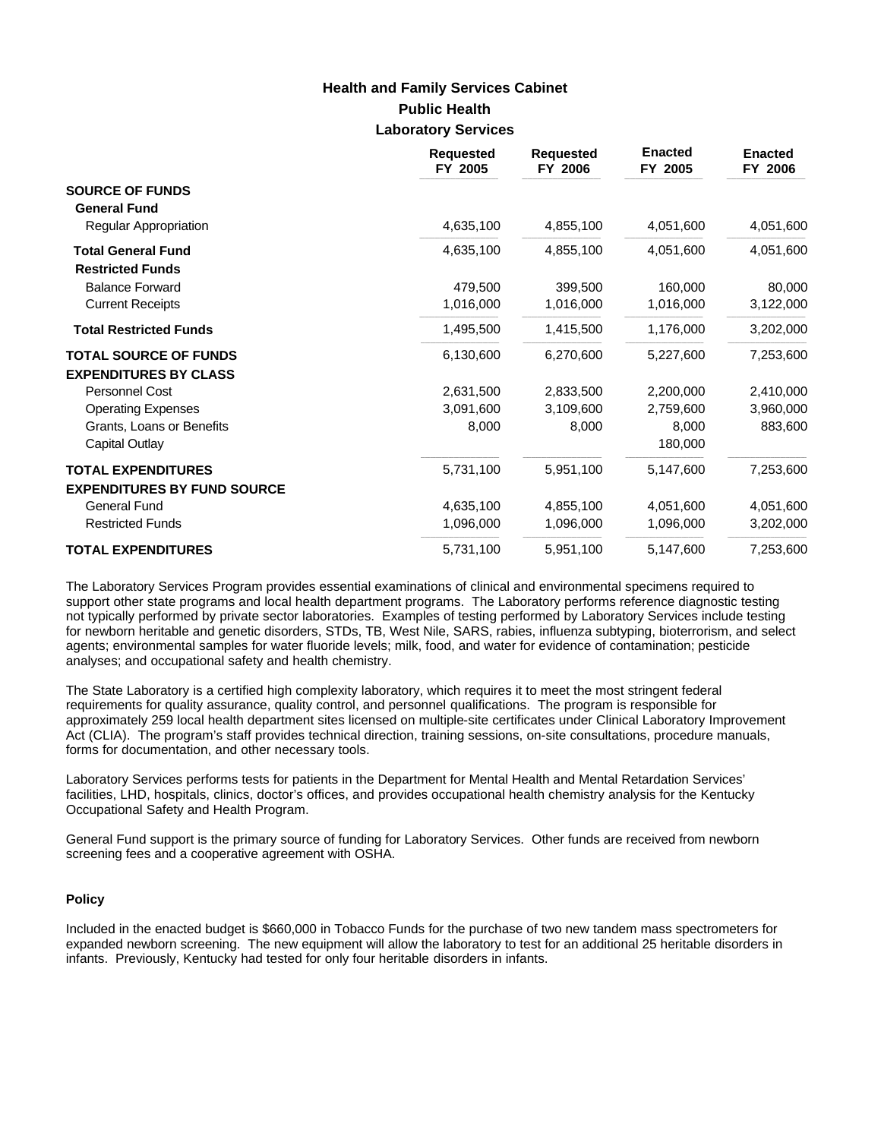# **Public Health Laboratory Services Health and Family Services Cabinet**

|                                                      | <b>Requested</b><br>FY 2005 | <b>Requested</b><br>FY 2006 | <b>Enacted</b><br>FY 2005 | <b>Enacted</b><br>FY 2006 |
|------------------------------------------------------|-----------------------------|-----------------------------|---------------------------|---------------------------|
| <b>SOURCE OF FUNDS</b><br><b>General Fund</b>        |                             |                             |                           |                           |
| <b>Regular Appropriation</b>                         | 4,635,100                   | 4,855,100                   | 4,051,600                 | 4,051,600                 |
| <b>Total General Fund</b><br><b>Restricted Funds</b> | 4,635,100                   | 4,855,100                   | 4,051,600                 | 4,051,600                 |
| <b>Balance Forward</b>                               | 479,500                     | 399,500                     | 160,000                   | 80,000                    |
| <b>Current Receipts</b>                              | 1,016,000                   | 1,016,000                   | 1,016,000                 | 3,122,000                 |
| <b>Total Restricted Funds</b>                        | 1,495,500                   | 1,415,500                   | 1,176,000                 | 3,202,000                 |
| <b>TOTAL SOURCE OF FUNDS</b>                         | 6,130,600                   | 6,270,600                   | 5,227,600                 | 7,253,600                 |
| <b>EXPENDITURES BY CLASS</b>                         |                             |                             |                           |                           |
| Personnel Cost                                       | 2,631,500                   | 2,833,500                   | 2,200,000                 | 2,410,000                 |
| <b>Operating Expenses</b>                            | 3,091,600                   | 3,109,600                   | 2,759,600                 | 3,960,000                 |
| Grants, Loans or Benefits<br>Capital Outlay          | 8,000                       | 8,000                       | 8,000<br>180,000          | 883,600                   |
| <b>TOTAL EXPENDITURES</b>                            | 5,731,100                   | 5,951,100                   | 5,147,600                 | 7,253,600                 |
| <b>EXPENDITURES BY FUND SOURCE</b>                   |                             |                             |                           |                           |
| <b>General Fund</b>                                  | 4,635,100                   | 4,855,100                   | 4,051,600                 | 4,051,600                 |
| <b>Restricted Funds</b>                              | 1,096,000                   | 1,096,000                   | 1,096,000                 | 3,202,000                 |
| <b>TOTAL EXPENDITURES</b>                            | 5,731,100                   | 5,951,100                   | 5,147,600                 | 7,253,600                 |

The Laboratory Services Program provides essential examinations of clinical and environmental specimens required to support other state programs and local health department programs. The Laboratory performs reference diagnostic testing not typically performed by private sector laboratories. Examples of testing performed by Laboratory Services include testing for newborn heritable and genetic disorders, STDs, TB, West Nile, SARS, rabies, influenza subtyping, bioterrorism, and select agents; environmental samples for water fluoride levels; milk, food, and water for evidence of contamination; pesticide analyses; and occupational safety and health chemistry.

The State Laboratory is a certified high complexity laboratory, which requires it to meet the most stringent federal requirements for quality assurance, quality control, and personnel qualifications. The program is responsible for approximately 259 local health department sites licensed on multiple-site certificates under Clinical Laboratory Improvement Act (CLIA). The program's staff provides technical direction, training sessions, on-site consultations, procedure manuals, forms for documentation, and other necessary tools.

Laboratory Services performs tests for patients in the Department for Mental Health and Mental Retardation Services' facilities, LHD, hospitals, clinics, doctor's offices, and provides occupational health chemistry analysis for the Kentucky Occupational Safety and Health Program.

General Fund support is the primary source of funding for Laboratory Services. Other funds are received from newborn screening fees and a cooperative agreement with OSHA.

### **Policy**

Included in the enacted budget is \$660,000 in Tobacco Funds for the purchase of two new tandem mass spectrometers for expanded newborn screening. The new equipment will allow the laboratory to test for an additional 25 heritable disorders in infants. Previously, Kentucky had tested for only four heritable disorders in infants.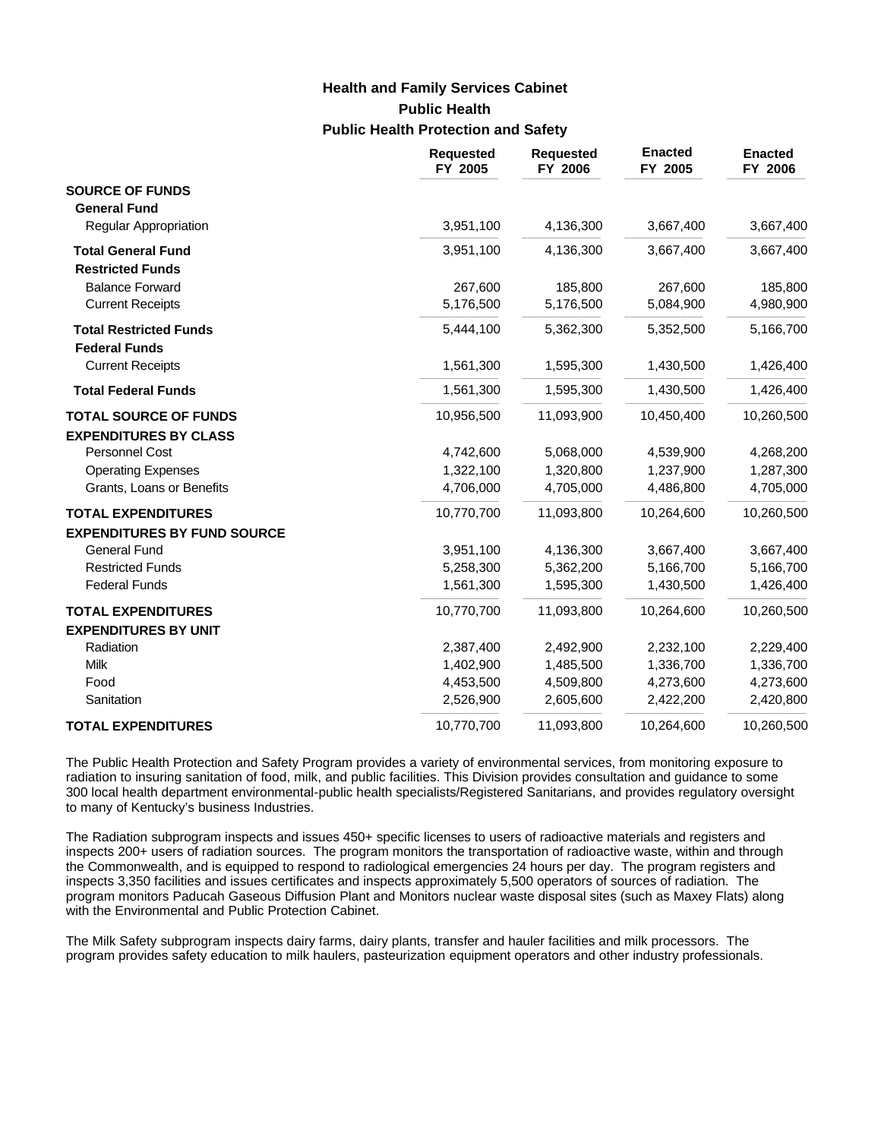# **Public Health Public Health Protection and Safety Health and Family Services Cabinet**

|                                    | <b>Requested</b><br>FY 2005 | <b>Requested</b><br>FY 2006 | <b>Enacted</b><br>FY 2005 | <b>Enacted</b><br>FY 2006 |
|------------------------------------|-----------------------------|-----------------------------|---------------------------|---------------------------|
| <b>SOURCE OF FUNDS</b>             |                             |                             |                           |                           |
| <b>General Fund</b>                |                             |                             |                           |                           |
| <b>Regular Appropriation</b>       | 3,951,100                   | 4,136,300                   | 3,667,400                 | 3,667,400                 |
| <b>Total General Fund</b>          | 3,951,100                   | 4,136,300                   | 3,667,400                 | 3,667,400                 |
| <b>Restricted Funds</b>            |                             |                             |                           |                           |
| <b>Balance Forward</b>             | 267,600                     | 185,800                     | 267,600                   | 185,800                   |
| <b>Current Receipts</b>            | 5,176,500                   | 5,176,500                   | 5,084,900                 | 4,980,900                 |
| <b>Total Restricted Funds</b>      | 5,444,100                   | 5,362,300                   | 5,352,500                 | 5,166,700                 |
| <b>Federal Funds</b>               |                             |                             |                           |                           |
| <b>Current Receipts</b>            | 1,561,300                   | 1,595,300                   | 1,430,500                 | 1,426,400                 |
| <b>Total Federal Funds</b>         | 1,561,300                   | 1,595,300                   | 1,430,500                 | 1,426,400                 |
| <b>TOTAL SOURCE OF FUNDS</b>       | 10,956,500                  | 11,093,900                  | 10,450,400                | 10,260,500                |
| <b>EXPENDITURES BY CLASS</b>       |                             |                             |                           |                           |
| <b>Personnel Cost</b>              | 4,742,600                   | 5,068,000                   | 4,539,900                 | 4,268,200                 |
| <b>Operating Expenses</b>          | 1,322,100                   | 1,320,800                   | 1,237,900                 | 1,287,300                 |
| Grants, Loans or Benefits          | 4,706,000                   | 4,705,000                   | 4,486,800                 | 4,705,000                 |
| <b>TOTAL EXPENDITURES</b>          | 10,770,700                  | 11,093,800                  | 10,264,600                | 10,260,500                |
| <b>EXPENDITURES BY FUND SOURCE</b> |                             |                             |                           |                           |
| <b>General Fund</b>                | 3,951,100                   | 4,136,300                   | 3,667,400                 | 3,667,400                 |
| <b>Restricted Funds</b>            | 5,258,300                   | 5,362,200                   | 5,166,700                 | 5,166,700                 |
| <b>Federal Funds</b>               | 1,561,300                   | 1,595,300                   | 1,430,500                 | 1,426,400                 |
| <b>TOTAL EXPENDITURES</b>          | 10,770,700                  | 11,093,800                  | 10,264,600                | 10,260,500                |
| <b>EXPENDITURES BY UNIT</b>        |                             |                             |                           |                           |
| Radiation                          | 2,387,400                   | 2,492,900                   | 2,232,100                 | 2,229,400                 |
| Milk                               | 1,402,900                   | 1,485,500                   | 1,336,700                 | 1,336,700                 |
| Food                               | 4,453,500                   | 4,509,800                   | 4,273,600                 | 4,273,600                 |
| Sanitation                         | 2,526,900                   | 2,605,600                   | 2,422,200                 | 2,420,800                 |
| <b>TOTAL EXPENDITURES</b>          | 10,770,700                  | 11,093,800                  | 10,264,600                | 10,260,500                |

The Public Health Protection and Safety Program provides a variety of environmental services, from monitoring exposure to radiation to insuring sanitation of food, milk, and public facilities. This Division provides consultation and guidance to some 300 local health department environmental-public health specialists/Registered Sanitarians, and provides regulatory oversight to many of Kentucky's business Industries.

The Radiation subprogram inspects and issues 450+ specific licenses to users of radioactive materials and registers and inspects 200+ users of radiation sources. The program monitors the transportation of radioactive waste, within and through the Commonwealth, and is equipped to respond to radiological emergencies 24 hours per day. The program registers and inspects 3,350 facilities and issues certificates and inspects approximately 5,500 operators of sources of radiation. The program monitors Paducah Gaseous Diffusion Plant and Monitors nuclear waste disposal sites (such as Maxey Flats) along with the Environmental and Public Protection Cabinet.

The Milk Safety subprogram inspects dairy farms, dairy plants, transfer and hauler facilities and milk processors. The program provides safety education to milk haulers, pasteurization equipment operators and other industry professionals.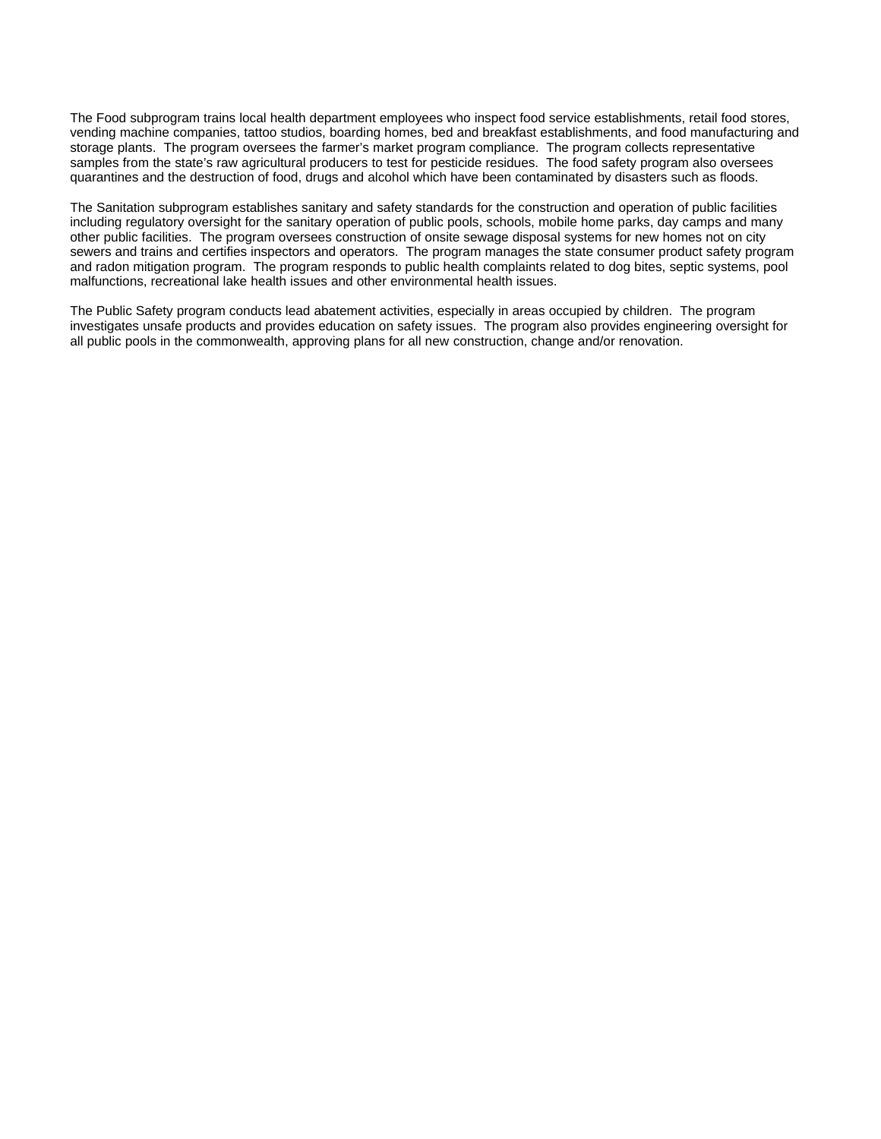The Food subprogram trains local health department employees who inspect food service establishments, retail food stores, vending machine companies, tattoo studios, boarding homes, bed and breakfast establishments, and food manufacturing and storage plants. The program oversees the farmer's market program compliance. The program collects representative samples from the state's raw agricultural producers to test for pesticide residues. The food safety program also oversees quarantines and the destruction of food, drugs and alcohol which have been contaminated by disasters such as floods.

The Sanitation subprogram establishes sanitary and safety standards for the construction and operation of public facilities including regulatory oversight for the sanitary operation of public pools, schools, mobile home parks, day camps and many other public facilities. The program oversees construction of onsite sewage disposal systems for new homes not on city sewers and trains and certifies inspectors and operators. The program manages the state consumer product safety program and radon mitigation program. The program responds to public health complaints related to dog bites, septic systems, pool malfunctions, recreational lake health issues and other environmental health issues.

The Public Safety program conducts lead abatement activities, especially in areas occupied by children. The program investigates unsafe products and provides education on safety issues. The program also provides engineering oversight for all public pools in the commonwealth, approving plans for all new construction, change and/or renovation.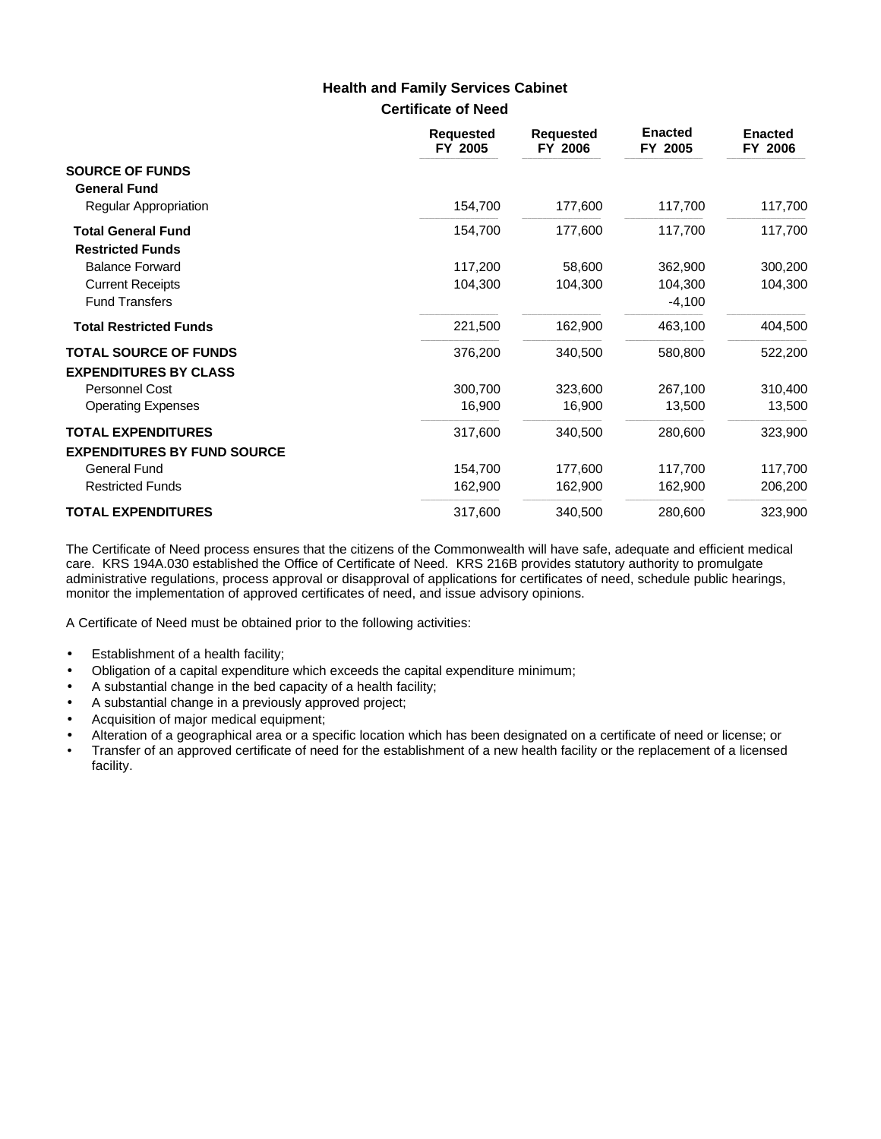## **Certificate of Need Health and Family Services Cabinet**

|                                                                 | <b>Requested</b><br>FY 2005 | <b>Requested</b><br>FY 2006 | <b>Enacted</b><br>FY 2005 | <b>Enacted</b><br>FY 2006 |
|-----------------------------------------------------------------|-----------------------------|-----------------------------|---------------------------|---------------------------|
| <b>SOURCE OF FUNDS</b><br><b>General Fund</b>                   |                             |                             |                           |                           |
| <b>Regular Appropriation</b>                                    | 154,700                     | 177,600                     | 117,700                   | 117,700                   |
| <b>Total General Fund</b><br><b>Restricted Funds</b>            | 154,700                     | 177,600                     | 117,700                   | 117,700                   |
| <b>Balance Forward</b>                                          | 117,200                     | 58,600                      | 362,900                   | 300,200                   |
| <b>Current Receipts</b><br><b>Fund Transfers</b>                | 104,300                     | 104,300                     | 104,300<br>$-4,100$       | 104,300                   |
| <b>Total Restricted Funds</b>                                   | 221,500                     | 162,900                     | 463,100                   | 404,500                   |
| <b>TOTAL SOURCE OF FUNDS</b><br><b>EXPENDITURES BY CLASS</b>    | 376,200                     | 340,500                     | 580,800                   | 522,200                   |
| Personnel Cost                                                  | 300,700                     | 323,600                     | 267,100                   | 310,400                   |
| <b>Operating Expenses</b>                                       | 16,900                      | 16,900                      | 13,500                    | 13,500                    |
| <b>TOTAL EXPENDITURES</b><br><b>EXPENDITURES BY FUND SOURCE</b> | 317,600                     | 340,500                     | 280,600                   | 323,900                   |
| <b>General Fund</b>                                             | 154,700                     | 177,600                     | 117,700                   | 117,700                   |
| <b>Restricted Funds</b>                                         | 162,900                     | 162,900                     | 162,900                   | 206,200                   |
| <b>TOTAL EXPENDITURES</b>                                       | 317,600                     | 340,500                     | 280,600                   | 323,900                   |

The Certificate of Need process ensures that the citizens of the Commonwealth will have safe, adequate and efficient medical care. KRS 194A.030 established the Office of Certificate of Need. KRS 216B provides statutory authority to promulgate administrative regulations, process approval or disapproval of applications for certificates of need, schedule public hearings, monitor the implementation of approved certificates of need, and issue advisory opinions.

A Certificate of Need must be obtained prior to the following activities:

- Establishment of a health facility;
- Obligation of a capital expenditure which exceeds the capital expenditure minimum;
- A substantial change in the bed capacity of a health facility;
- A substantial change in a previously approved project;
- Acquisition of major medical equipment;
- Alteration of a geographical area or a specific location which has been designated on a certificate of need or license; or
- Transfer of an approved certificate of need for the establishment of a new health facility or the replacement of a licensed facility.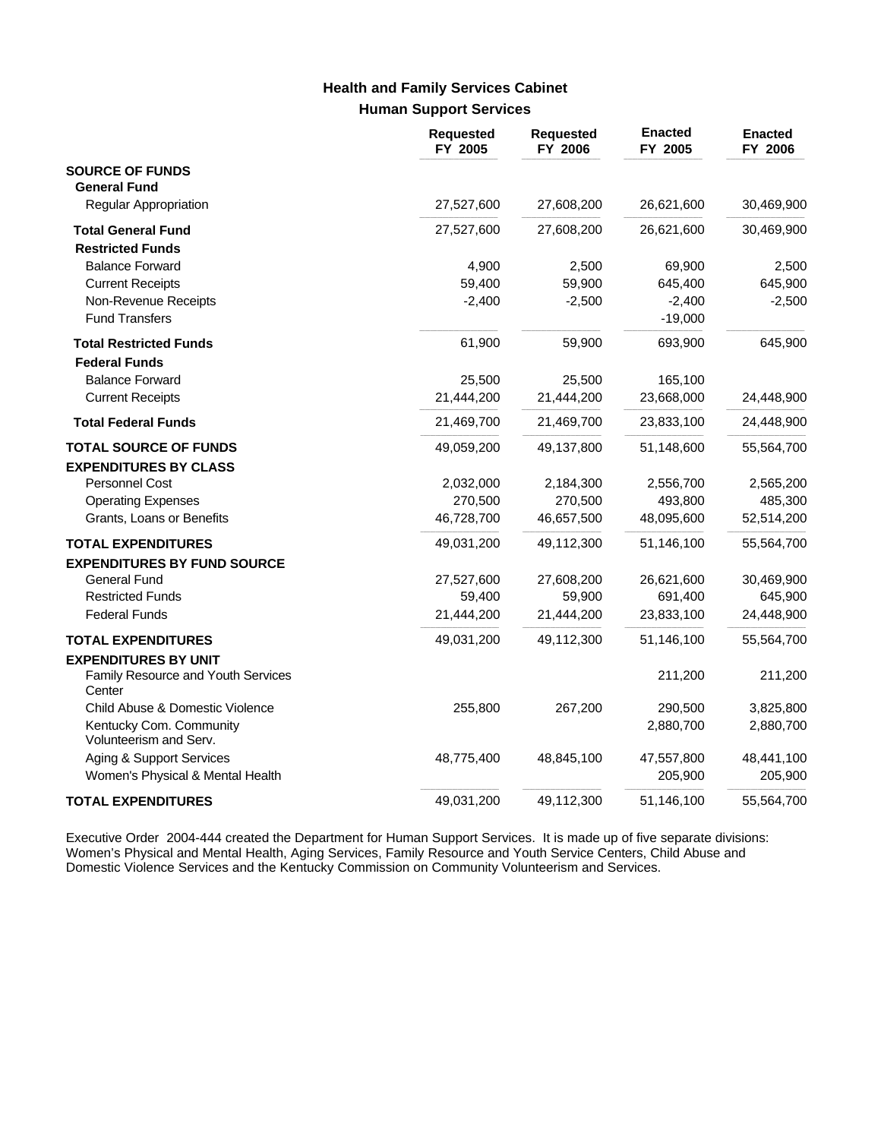# **Human Support Services Health and Family Services Cabinet**

|                                                   | <b>Requested</b><br>FY 2005 | <b>Requested</b><br>FY 2006 | <b>Enacted</b><br>FY 2005 | <b>Enacted</b><br>FY 2006 |
|---------------------------------------------------|-----------------------------|-----------------------------|---------------------------|---------------------------|
| <b>SOURCE OF FUNDS</b>                            |                             |                             |                           |                           |
| <b>General Fund</b>                               |                             |                             |                           |                           |
| <b>Regular Appropriation</b>                      | 27,527,600                  | 27,608,200                  | 26,621,600                | 30,469,900                |
| <b>Total General Fund</b>                         | 27,527,600                  | 27,608,200                  | 26,621,600                | 30,469,900                |
| <b>Restricted Funds</b>                           |                             |                             |                           |                           |
| <b>Balance Forward</b>                            | 4,900                       | 2,500                       | 69,900                    | 2,500                     |
| <b>Current Receipts</b>                           | 59,400                      | 59,900                      | 645,400                   | 645,900                   |
| Non-Revenue Receipts                              | $-2,400$                    | $-2,500$                    | $-2,400$                  | $-2,500$                  |
| <b>Fund Transfers</b>                             |                             |                             | $-19,000$                 |                           |
| <b>Total Restricted Funds</b>                     | 61,900                      | 59,900                      | 693,900                   | 645,900                   |
| <b>Federal Funds</b>                              |                             |                             |                           |                           |
| <b>Balance Forward</b>                            | 25,500                      | 25,500                      | 165,100                   |                           |
| <b>Current Receipts</b>                           | 21,444,200                  | 21,444,200                  | 23,668,000                | 24,448,900                |
| <b>Total Federal Funds</b>                        | 21,469,700                  | 21,469,700                  | 23,833,100                | 24,448,900                |
| <b>TOTAL SOURCE OF FUNDS</b>                      | 49,059,200                  | 49,137,800                  | 51,148,600                | 55,564,700                |
| <b>EXPENDITURES BY CLASS</b>                      |                             |                             |                           |                           |
| <b>Personnel Cost</b>                             | 2,032,000                   | 2,184,300                   | 2,556,700                 | 2,565,200                 |
| <b>Operating Expenses</b>                         | 270,500                     | 270,500                     | 493,800                   | 485,300                   |
| Grants, Loans or Benefits                         | 46,728,700                  | 46,657,500                  | 48,095,600                | 52,514,200                |
| <b>TOTAL EXPENDITURES</b>                         | 49,031,200                  | 49,112,300                  | 51,146,100                | 55,564,700                |
| <b>EXPENDITURES BY FUND SOURCE</b>                |                             |                             |                           |                           |
| <b>General Fund</b>                               | 27,527,600                  | 27,608,200                  | 26,621,600                | 30,469,900                |
| <b>Restricted Funds</b>                           | 59,400                      | 59,900                      | 691,400                   | 645,900                   |
| <b>Federal Funds</b>                              | 21,444,200                  | 21,444,200                  | 23,833,100                | 24,448,900                |
| <b>TOTAL EXPENDITURES</b>                         | 49,031,200                  | 49,112,300                  | 51,146,100                | 55,564,700                |
| <b>EXPENDITURES BY UNIT</b>                       |                             |                             |                           |                           |
| Family Resource and Youth Services<br>Center      |                             |                             | 211,200                   | 211,200                   |
| Child Abuse & Domestic Violence                   | 255,800                     | 267,200                     | 290,500                   | 3,825,800                 |
| Kentucky Com. Community<br>Volunteerism and Serv. |                             |                             | 2,880,700                 | 2,880,700                 |
| Aging & Support Services                          | 48,775,400                  | 48,845,100                  | 47,557,800                | 48,441,100                |
| Women's Physical & Mental Health                  |                             |                             | 205,900                   | 205,900                   |
| <b>TOTAL EXPENDITURES</b>                         | 49,031,200                  | 49,112,300                  | 51,146,100                | 55,564,700                |

Executive Order 2004-444 created the Department for Human Support Services. It is made up of five separate divisions: Women's Physical and Mental Health, Aging Services, Family Resource and Youth Service Centers, Child Abuse and Domestic Violence Services and the Kentucky Commission on Community Volunteerism and Services.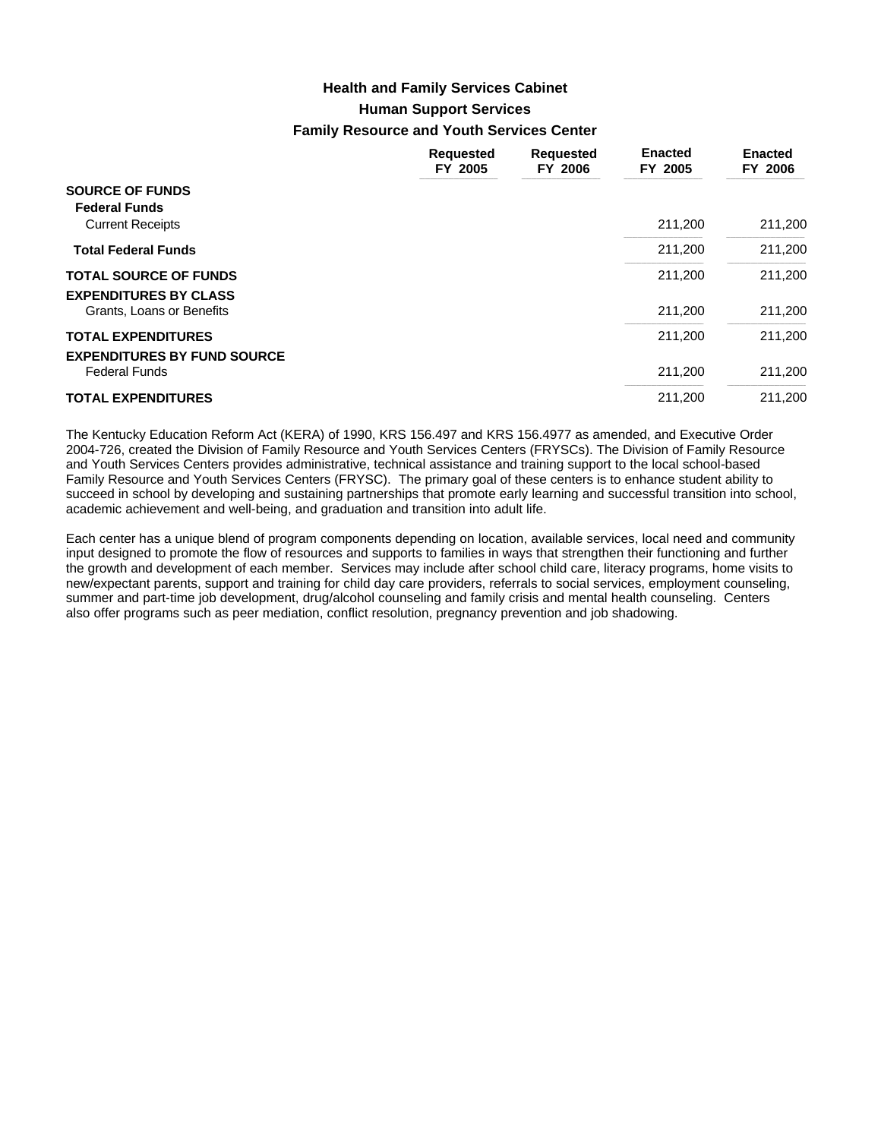# **Human Support Services Family Resource and Youth Services Center Health and Family Services Cabinet**

|                                                                 | <b>Requested</b><br>FY 2005 | <b>Requested</b><br>FY 2006 | <b>Enacted</b><br>FY 2005 | <b>Enacted</b><br>FY 2006 |
|-----------------------------------------------------------------|-----------------------------|-----------------------------|---------------------------|---------------------------|
| <b>SOURCE OF FUNDS</b><br><b>Federal Funds</b>                  |                             |                             |                           |                           |
| <b>Current Receipts</b>                                         |                             |                             | 211,200                   | 211,200                   |
| <b>Total Federal Funds</b>                                      |                             |                             | 211,200                   | 211,200                   |
| <b>TOTAL SOURCE OF FUNDS</b><br><b>EXPENDITURES BY CLASS</b>    |                             |                             | 211,200                   | 211,200                   |
| Grants, Loans or Benefits                                       |                             |                             | 211,200                   | 211,200                   |
| <b>TOTAL EXPENDITURES</b><br><b>EXPENDITURES BY FUND SOURCE</b> |                             |                             | 211,200                   | 211,200                   |
| <b>Federal Funds</b>                                            |                             |                             | 211,200                   | 211,200                   |
| <b>TOTAL EXPENDITURES</b>                                       |                             |                             | 211.200                   | 211.200                   |

The Kentucky Education Reform Act (KERA) of 1990, KRS 156.497 and KRS 156.4977 as amended, and Executive Order 2004-726, created the Division of Family Resource and Youth Services Centers (FRYSCs). The Division of Family Resource and Youth Services Centers provides administrative, technical assistance and training support to the local school-based Family Resource and Youth Services Centers (FRYSC). The primary goal of these centers is to enhance student ability to succeed in school by developing and sustaining partnerships that promote early learning and successful transition into school, academic achievement and well-being, and graduation and transition into adult life.

Each center has a unique blend of program components depending on location, available services, local need and community input designed to promote the flow of resources and supports to families in ways that strengthen their functioning and further the growth and development of each member. Services may include after school child care, literacy programs, home visits to new/expectant parents, support and training for child day care providers, referrals to social services, employment counseling, summer and part-time job development, drug/alcohol counseling and family crisis and mental health counseling. Centers also offer programs such as peer mediation, conflict resolution, pregnancy prevention and job shadowing.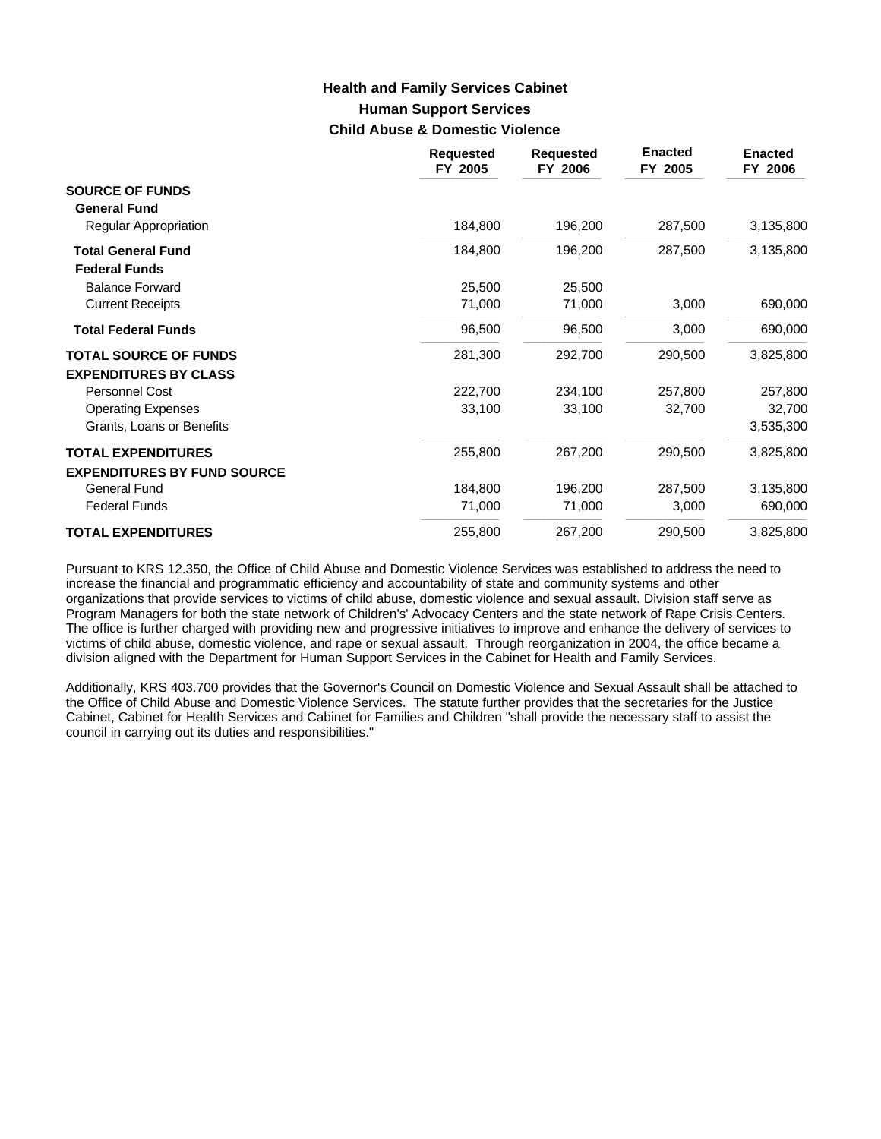# **Human Support Services Child Abuse & Domestic Violence Health and Family Services Cabinet**

|                                                   | <b>Requested</b><br>FY 2005 | <b>Requested</b><br>FY 2006 | <b>Enacted</b><br>FY 2005 | <b>Enacted</b><br>FY 2006 |
|---------------------------------------------------|-----------------------------|-----------------------------|---------------------------|---------------------------|
| <b>SOURCE OF FUNDS</b><br><b>General Fund</b>     |                             |                             |                           |                           |
| <b>Regular Appropriation</b>                      | 184,800                     | 196,200                     | 287,500                   | 3,135,800                 |
| <b>Total General Fund</b><br><b>Federal Funds</b> | 184,800                     | 196,200                     | 287,500                   | 3,135,800                 |
| <b>Balance Forward</b>                            | 25,500                      | 25,500                      |                           |                           |
| <b>Current Receipts</b>                           | 71,000                      | 71,000                      | 3,000                     | 690,000                   |
| <b>Total Federal Funds</b>                        | 96,500                      | 96,500                      | 3,000                     | 690,000                   |
| <b>TOTAL SOURCE OF FUNDS</b>                      | 281,300                     | 292,700                     | 290,500                   | 3,825,800                 |
| <b>EXPENDITURES BY CLASS</b>                      |                             |                             |                           |                           |
| Personnel Cost                                    | 222,700                     | 234,100                     | 257,800                   | 257,800                   |
| <b>Operating Expenses</b>                         | 33,100                      | 33,100                      | 32,700                    | 32,700                    |
| Grants, Loans or Benefits                         |                             |                             |                           | 3,535,300                 |
| <b>TOTAL EXPENDITURES</b>                         | 255,800                     | 267,200                     | 290,500                   | 3,825,800                 |
| <b>EXPENDITURES BY FUND SOURCE</b>                |                             |                             |                           |                           |
| <b>General Fund</b>                               | 184,800                     | 196,200                     | 287,500                   | 3,135,800                 |
| <b>Federal Funds</b>                              | 71,000                      | 71,000                      | 3,000                     | 690,000                   |
| <b>TOTAL EXPENDITURES</b>                         | 255,800                     | 267,200                     | 290,500                   | 3,825,800                 |

Pursuant to KRS 12.350, the Office of Child Abuse and Domestic Violence Services was established to address the need to increase the financial and programmatic efficiency and accountability of state and community systems and other organizations that provide services to victims of child abuse, domestic violence and sexual assault. Division staff serve as Program Managers for both the state network of Children's' Advocacy Centers and the state network of Rape Crisis Centers. The office is further charged with providing new and progressive initiatives to improve and enhance the delivery of services to victims of child abuse, domestic violence, and rape or sexual assault. Through reorganization in 2004, the office became a division aligned with the Department for Human Support Services in the Cabinet for Health and Family Services.

Additionally, KRS 403.700 provides that the Governor's Council on Domestic Violence and Sexual Assault shall be attached to the Office of Child Abuse and Domestic Violence Services. The statute further provides that the secretaries for the Justice Cabinet, Cabinet for Health Services and Cabinet for Families and Children "shall provide the necessary staff to assist the council in carrying out its duties and responsibilities."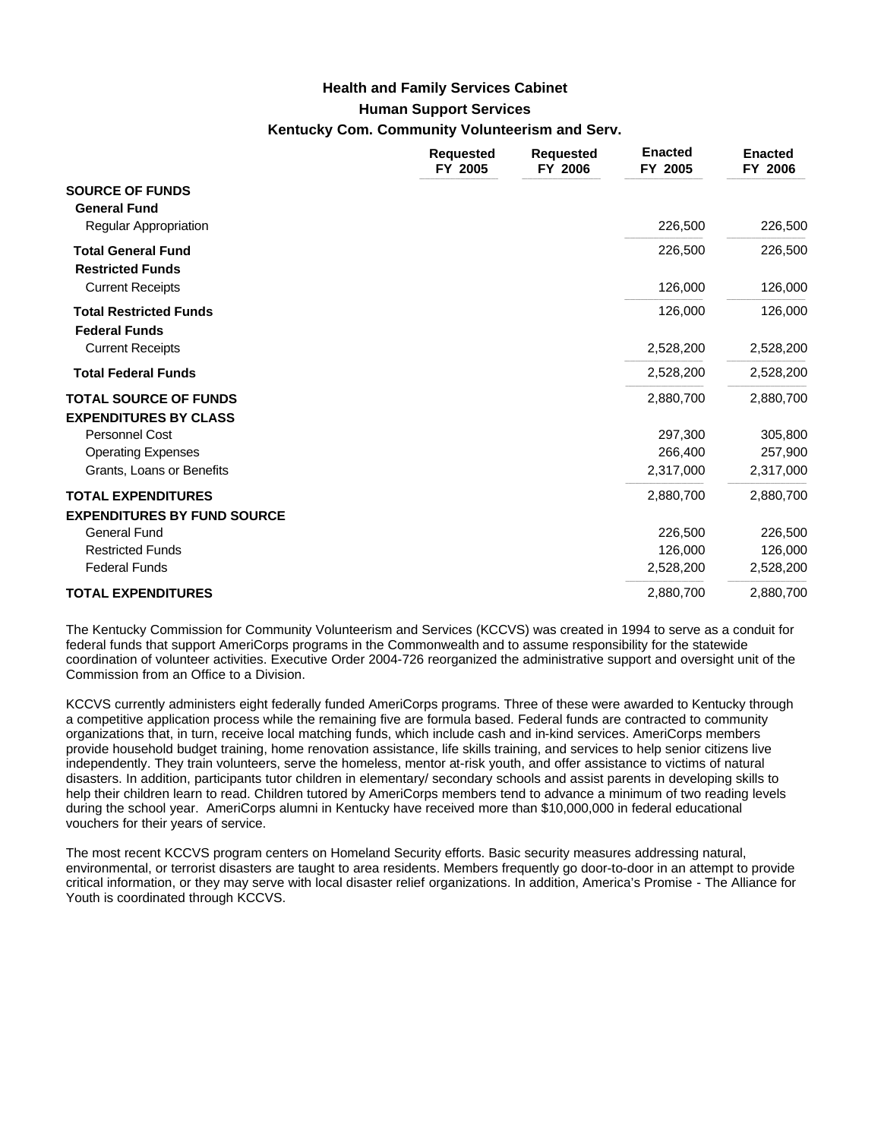## **Health and Family Services Cabinet**

## **Human Support Services**

## **Kentucky Com. Community Volunteerism and Serv.**

|                                                              | <b>Requested</b><br>FY 2005 | <b>Requested</b><br>FY 2006 | <b>Enacted</b><br>FY 2005 | <b>Enacted</b><br>FY 2006 |
|--------------------------------------------------------------|-----------------------------|-----------------------------|---------------------------|---------------------------|
| <b>SOURCE OF FUNDS</b><br><b>General Fund</b>                |                             |                             |                           |                           |
| Regular Appropriation                                        |                             |                             | 226,500                   | 226,500                   |
| <b>Total General Fund</b><br><b>Restricted Funds</b>         |                             |                             | 226,500                   | 226,500                   |
| <b>Current Receipts</b>                                      |                             |                             | 126,000                   | 126,000                   |
| <b>Total Restricted Funds</b><br><b>Federal Funds</b>        |                             |                             | 126,000                   | 126,000                   |
| <b>Current Receipts</b>                                      |                             |                             | 2,528,200                 | 2,528,200                 |
| <b>Total Federal Funds</b>                                   |                             |                             | 2,528,200                 | 2,528,200                 |
| <b>TOTAL SOURCE OF FUNDS</b><br><b>EXPENDITURES BY CLASS</b> |                             |                             | 2,880,700                 | 2,880,700                 |
| Personnel Cost                                               |                             |                             | 297,300                   | 305,800                   |
| <b>Operating Expenses</b>                                    |                             |                             | 266,400                   | 257,900                   |
| Grants, Loans or Benefits                                    |                             |                             | 2,317,000                 | 2,317,000                 |
| <b>TOTAL EXPENDITURES</b>                                    |                             |                             | 2,880,700                 | 2,880,700                 |
| <b>EXPENDITURES BY FUND SOURCE</b>                           |                             |                             |                           |                           |
| <b>General Fund</b>                                          |                             |                             | 226,500                   | 226,500                   |
| <b>Restricted Funds</b>                                      |                             |                             | 126,000                   | 126,000                   |
| <b>Federal Funds</b>                                         |                             |                             | 2,528,200                 | 2,528,200                 |
| <b>TOTAL EXPENDITURES</b>                                    |                             |                             | 2,880,700                 | 2,880,700                 |

The Kentucky Commission for Community Volunteerism and Services (KCCVS) was created in 1994 to serve as a conduit for federal funds that support AmeriCorps programs in the Commonwealth and to assume responsibility for the statewide coordination of volunteer activities. Executive Order 2004-726 reorganized the administrative support and oversight unit of the Commission from an Office to a Division.

KCCVS currently administers eight federally funded AmeriCorps programs. Three of these were awarded to Kentucky through a competitive application process while the remaining five are formula based. Federal funds are contracted to community organizations that, in turn, receive local matching funds, which include cash and in-kind services. AmeriCorps members provide household budget training, home renovation assistance, life skills training, and services to help senior citizens live independently. They train volunteers, serve the homeless, mentor at-risk youth, and offer assistance to victims of natural disasters. In addition, participants tutor children in elementary/ secondary schools and assist parents in developing skills to help their children learn to read. Children tutored by AmeriCorps members tend to advance a minimum of two reading levels during the school year. AmeriCorps alumni in Kentucky have received more than \$10,000,000 in federal educational vouchers for their years of service.

The most recent KCCVS program centers on Homeland Security efforts. Basic security measures addressing natural, environmental, or terrorist disasters are taught to area residents. Members frequently go door-to-door in an attempt to provide critical information, or they may serve with local disaster relief organizations. In addition, America's Promise - The Alliance for Youth is coordinated through KCCVS.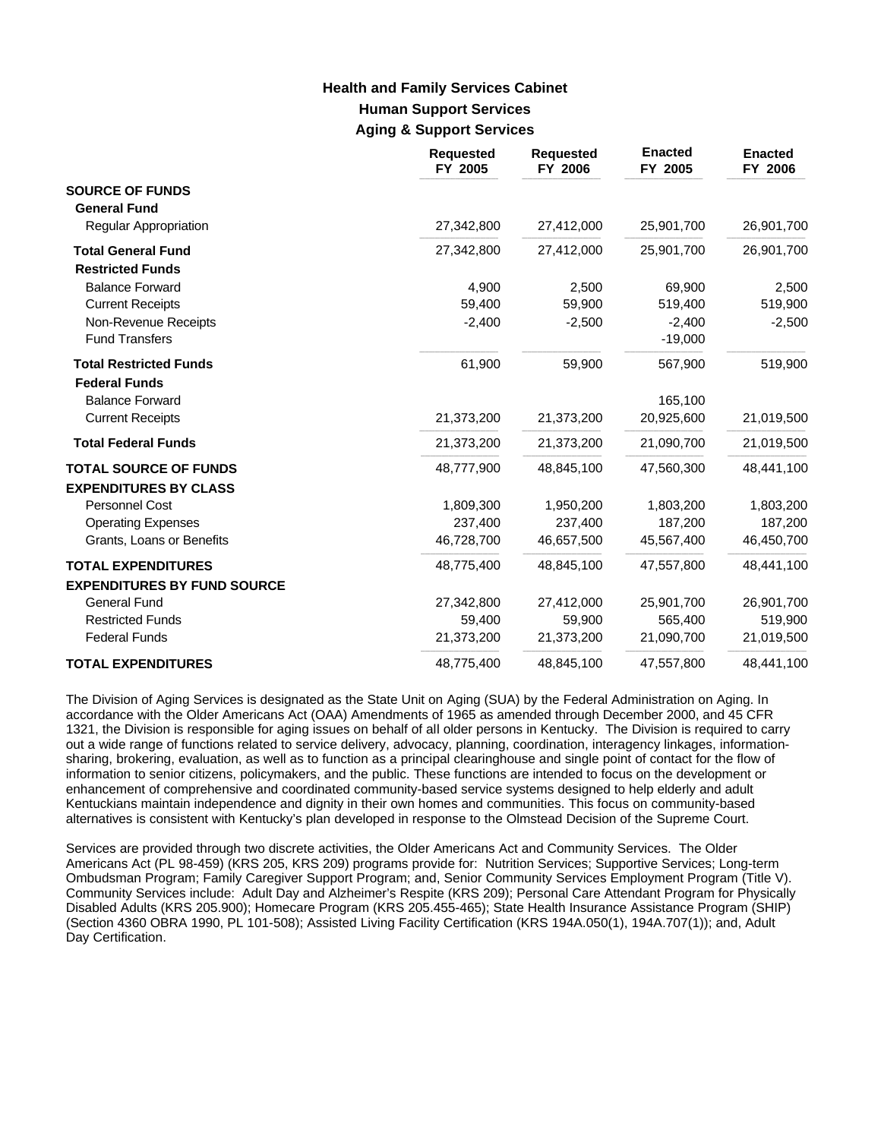# **Human Support Services Aging & Support Services Health and Family Services Cabinet**

|                                                                 | <b>Requested</b><br>FY 2005 | <b>Requested</b><br>FY 2006 | <b>Enacted</b><br>FY 2005 | <b>Enacted</b><br>FY 2006 |
|-----------------------------------------------------------------|-----------------------------|-----------------------------|---------------------------|---------------------------|
| <b>SOURCE OF FUNDS</b><br><b>General Fund</b>                   |                             |                             |                           |                           |
| Regular Appropriation                                           | 27,342,800                  | 27,412,000                  | 25,901,700                | 26,901,700                |
| <b>Total General Fund</b><br><b>Restricted Funds</b>            | 27,342,800                  | 27,412,000                  | 25,901,700                | 26,901,700                |
| <b>Balance Forward</b>                                          | 4,900                       | 2,500                       | 69,900                    | 2,500                     |
| <b>Current Receipts</b>                                         | 59,400                      | 59,900                      | 519,400                   | 519,900                   |
| Non-Revenue Receipts<br><b>Fund Transfers</b>                   | $-2,400$                    | $-2,500$                    | $-2,400$<br>$-19,000$     | $-2,500$                  |
| <b>Total Restricted Funds</b><br><b>Federal Funds</b>           | 61,900                      | 59,900                      | 567,900                   | 519,900                   |
| <b>Balance Forward</b>                                          |                             |                             | 165,100                   |                           |
| <b>Current Receipts</b>                                         | 21,373,200                  | 21,373,200                  | 20,925,600                | 21,019,500                |
| <b>Total Federal Funds</b>                                      | 21,373,200                  | 21,373,200                  | 21,090,700                | 21,019,500                |
| <b>TOTAL SOURCE OF FUNDS</b><br><b>EXPENDITURES BY CLASS</b>    | 48,777,900                  | 48,845,100                  | 47,560,300                | 48,441,100                |
| <b>Personnel Cost</b>                                           | 1,809,300                   | 1,950,200                   | 1,803,200                 | 1,803,200                 |
| <b>Operating Expenses</b>                                       | 237,400                     | 237,400                     | 187,200                   | 187,200                   |
| Grants, Loans or Benefits                                       | 46,728,700                  | 46,657,500                  | 45,567,400                | 46,450,700                |
| <b>TOTAL EXPENDITURES</b><br><b>EXPENDITURES BY FUND SOURCE</b> | 48,775,400                  | 48,845,100                  | 47,557,800                | 48,441,100                |
| <b>General Fund</b>                                             | 27,342,800                  | 27,412,000                  | 25,901,700                | 26,901,700                |
| <b>Restricted Funds</b>                                         | 59,400                      | 59,900                      | 565,400                   | 519,900                   |
| <b>Federal Funds</b>                                            | 21,373,200                  | 21,373,200                  | 21,090,700                | 21,019,500                |
| <b>TOTAL EXPENDITURES</b>                                       | 48,775,400                  | 48,845,100                  | 47,557,800                | 48,441,100                |

The Division of Aging Services is designated as the State Unit on Aging (SUA) by the Federal Administration on Aging. In accordance with the Older Americans Act (OAA) Amendments of 1965 as amended through December 2000, and 45 CFR 1321, the Division is responsible for aging issues on behalf of all older persons in Kentucky. The Division is required to carry out a wide range of functions related to service delivery, advocacy, planning, coordination, interagency linkages, informationsharing, brokering, evaluation, as well as to function as a principal clearinghouse and single point of contact for the flow of information to senior citizens, policymakers, and the public. These functions are intended to focus on the development or enhancement of comprehensive and coordinated community-based service systems designed to help elderly and adult Kentuckians maintain independence and dignity in their own homes and communities. This focus on community-based alternatives is consistent with Kentucky's plan developed in response to the Olmstead Decision of the Supreme Court.

Services are provided through two discrete activities, the Older Americans Act and Community Services. The Older Americans Act (PL 98-459) (KRS 205, KRS 209) programs provide for: Nutrition Services; Supportive Services; Long-term Ombudsman Program; Family Caregiver Support Program; and, Senior Community Services Employment Program (Title V). Community Services include: Adult Day and Alzheimer's Respite (KRS 209); Personal Care Attendant Program for Physically Disabled Adults (KRS 205.900); Homecare Program (KRS 205.455-465); State Health Insurance Assistance Program (SHIP) (Section 4360 OBRA 1990, PL 101-508); Assisted Living Facility Certification (KRS 194A.050(1), 194A.707(1)); and, Adult Day Certification.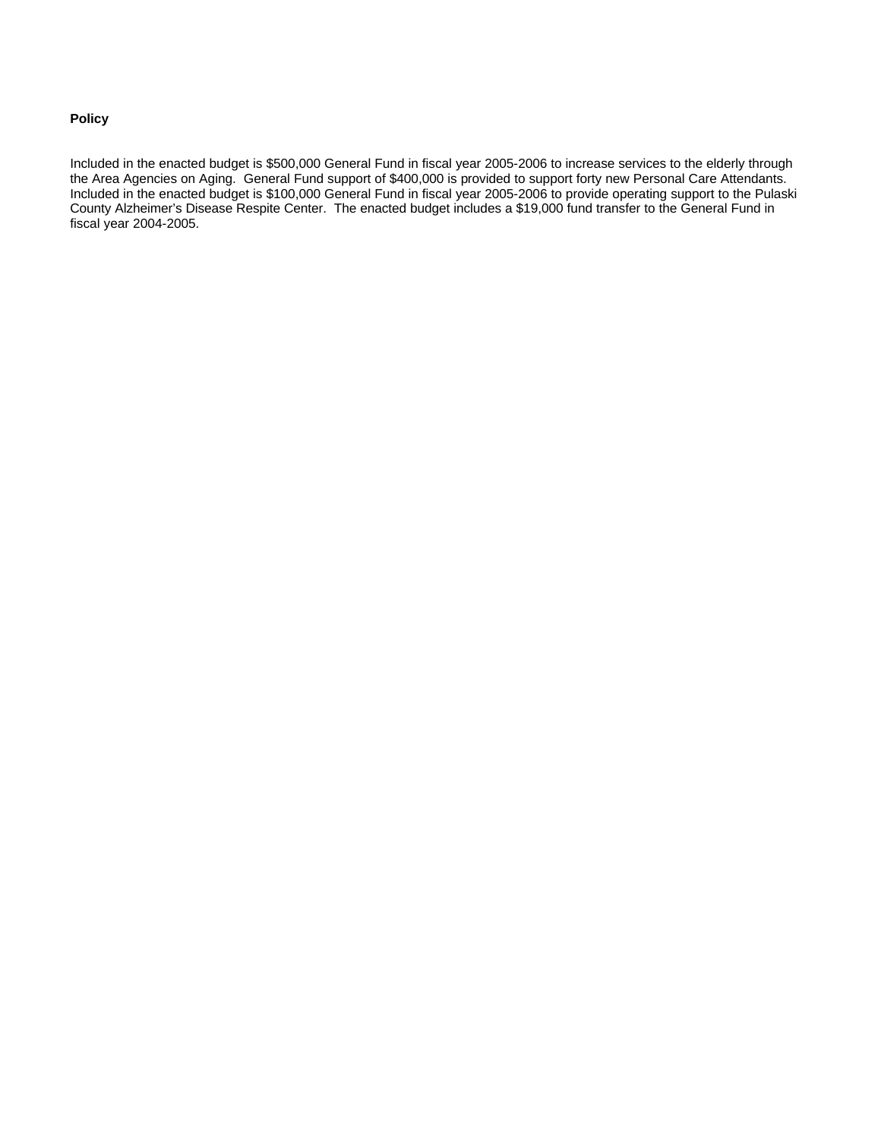## **Policy**

Included in the enacted budget is \$500,000 General Fund in fiscal year 2005-2006 to increase services to the elderly through the Area Agencies on Aging. General Fund support of \$400,000 is provided to support forty new Personal Care Attendants. Included in the enacted budget is \$100,000 General Fund in fiscal year 2005-2006 to provide operating support to the Pulaski County Alzheimer's Disease Respite Center. The enacted budget includes a \$19,000 fund transfer to the General Fund in fiscal year 2004-2005.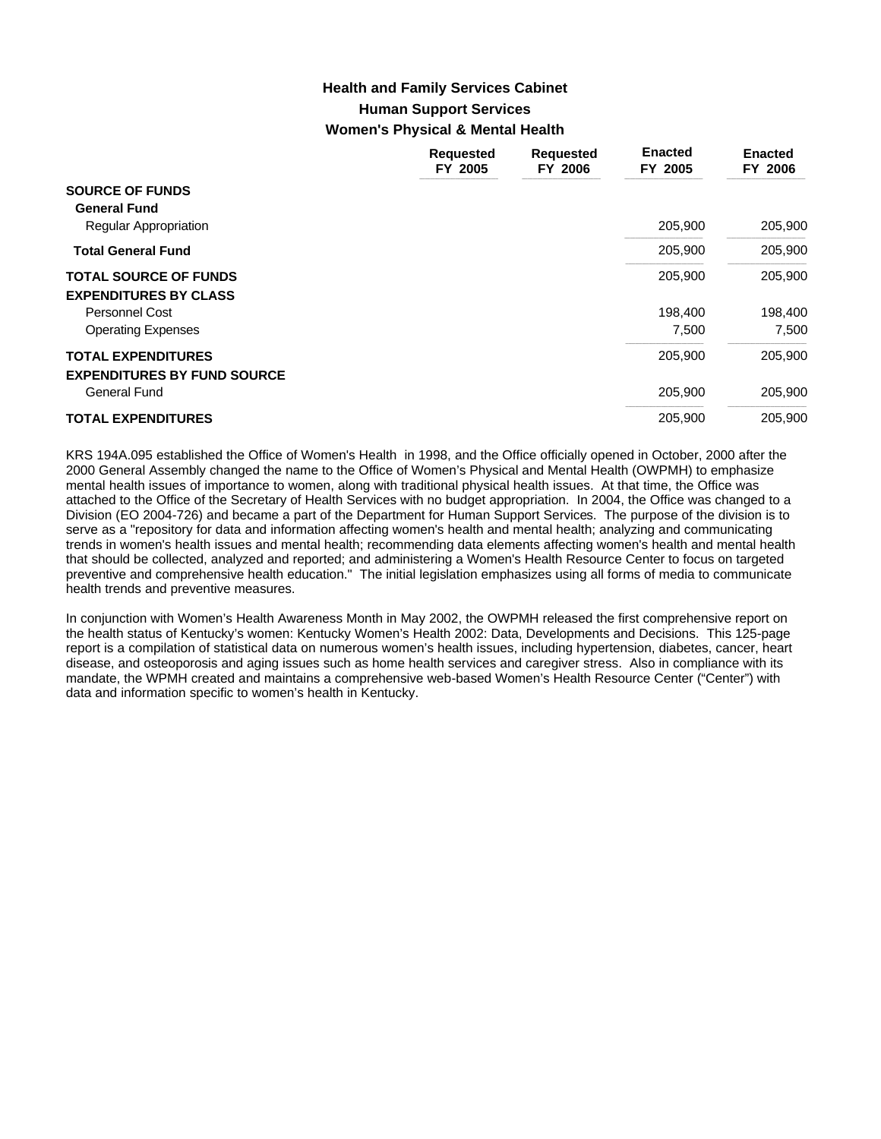# **Human Support Services Women's Physical & Mental Health Health and Family Services Cabinet**

|                                    | <b>Requested</b><br>FY 2005 | <b>Requested</b><br>FY 2006 | <b>Enacted</b><br>FY 2005 | <b>Enacted</b><br>FY 2006 |
|------------------------------------|-----------------------------|-----------------------------|---------------------------|---------------------------|
| <b>SOURCE OF FUNDS</b>             |                             |                             |                           |                           |
| <b>General Fund</b>                |                             |                             |                           |                           |
| <b>Regular Appropriation</b>       |                             |                             | 205,900                   | 205,900                   |
| <b>Total General Fund</b>          |                             |                             | 205,900                   | 205,900                   |
| <b>TOTAL SOURCE OF FUNDS</b>       |                             |                             | 205,900                   | 205,900                   |
| <b>EXPENDITURES BY CLASS</b>       |                             |                             |                           |                           |
| <b>Personnel Cost</b>              |                             |                             | 198,400                   | 198,400                   |
| <b>Operating Expenses</b>          |                             |                             | 7,500                     | 7,500                     |
| <b>TOTAL EXPENDITURES</b>          |                             |                             | 205,900                   | 205,900                   |
| <b>EXPENDITURES BY FUND SOURCE</b> |                             |                             |                           |                           |
| General Fund                       |                             |                             | 205,900                   | 205,900                   |
| <b>TOTAL EXPENDITURES</b>          |                             |                             | 205.900                   | 205.900                   |

KRS 194A.095 established the Office of Women's Health in 1998, and the Office officially opened in October, 2000 after the 2000 General Assembly changed the name to the Office of Women's Physical and Mental Health (OWPMH) to emphasize mental health issues of importance to women, along with traditional physical health issues. At that time, the Office was attached to the Office of the Secretary of Health Services with no budget appropriation. In 2004, the Office was changed to a Division (EO 2004-726) and became a part of the Department for Human Support Services. The purpose of the division is to serve as a "repository for data and information affecting women's health and mental health; analyzing and communicating trends in women's health issues and mental health; recommending data elements affecting women's health and mental health that should be collected, analyzed and reported; and administering a Women's Health Resource Center to focus on targeted preventive and comprehensive health education." The initial legislation emphasizes using all forms of media to communicate health trends and preventive measures.

In conjunction with Women's Health Awareness Month in May 2002, the OWPMH released the first comprehensive report on the health status of Kentucky's women: Kentucky Women's Health 2002: Data, Developments and Decisions. This 125-page report is a compilation of statistical data on numerous women's health issues, including hypertension, diabetes, cancer, heart disease, and osteoporosis and aging issues such as home health services and caregiver stress. Also in compliance with its mandate, the WPMH created and maintains a comprehensive web-based Women's Health Resource Center ("Center") with data and information specific to women's health in Kentucky.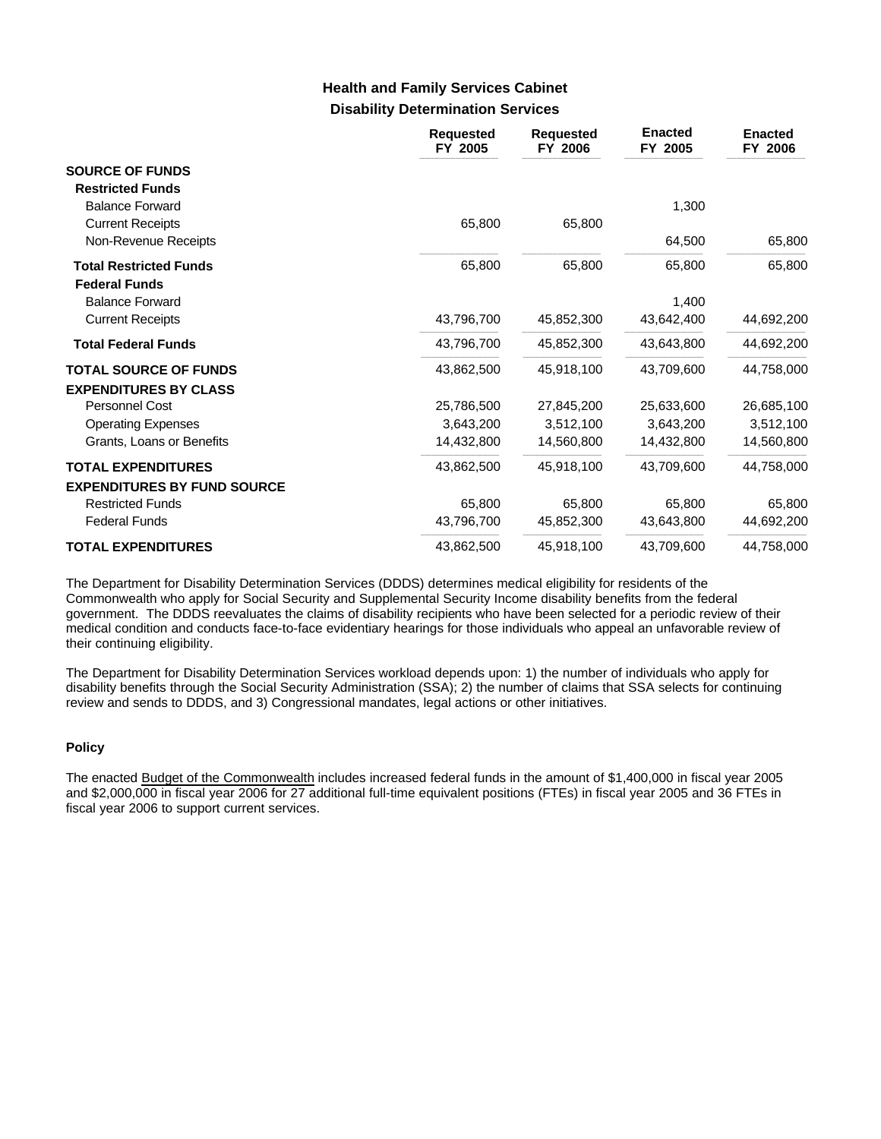# **Disability Determination Services Health and Family Services Cabinet**

|                                                 | <b>Requested</b><br>FY 2005 | <b>Requested</b><br>FY 2006 | <b>Enacted</b><br>FY 2005 | <b>Enacted</b><br>FY 2006 |
|-------------------------------------------------|-----------------------------|-----------------------------|---------------------------|---------------------------|
| <b>SOURCE OF FUNDS</b>                          |                             |                             |                           |                           |
| <b>Restricted Funds</b>                         |                             |                             |                           |                           |
| <b>Balance Forward</b>                          |                             |                             | 1,300                     |                           |
| <b>Current Receipts</b><br>Non-Revenue Receipts | 65,800                      | 65,800                      | 64,500                    | 65,800                    |
|                                                 |                             |                             |                           |                           |
| <b>Total Restricted Funds</b>                   | 65,800                      | 65,800                      | 65,800                    | 65,800                    |
| <b>Federal Funds</b>                            |                             |                             |                           |                           |
| <b>Balance Forward</b>                          |                             |                             | 1,400                     |                           |
| <b>Current Receipts</b>                         | 43,796,700                  | 45,852,300                  | 43,642,400                | 44,692,200                |
| <b>Total Federal Funds</b>                      | 43,796,700                  | 45,852,300                  | 43,643,800                | 44,692,200                |
| <b>TOTAL SOURCE OF FUNDS</b>                    | 43,862,500                  | 45,918,100                  | 43,709,600                | 44,758,000                |
| <b>EXPENDITURES BY CLASS</b>                    |                             |                             |                           |                           |
| Personnel Cost                                  | 25,786,500                  | 27,845,200                  | 25,633,600                | 26,685,100                |
| <b>Operating Expenses</b>                       | 3,643,200                   | 3,512,100                   | 3,643,200                 | 3,512,100                 |
| Grants, Loans or Benefits                       | 14,432,800                  | 14,560,800                  | 14,432,800                | 14,560,800                |
| <b>TOTAL EXPENDITURES</b>                       | 43,862,500                  | 45,918,100                  | 43,709,600                | 44,758,000                |
| <b>EXPENDITURES BY FUND SOURCE</b>              |                             |                             |                           |                           |
| <b>Restricted Funds</b>                         | 65,800                      | 65,800                      | 65,800                    | 65,800                    |
| <b>Federal Funds</b>                            | 43,796,700                  | 45,852,300                  | 43.643.800                | 44,692,200                |
| <b>TOTAL EXPENDITURES</b>                       | 43,862,500                  | 45,918,100                  | 43,709,600                | 44,758,000                |

The Department for Disability Determination Services (DDDS) determines medical eligibility for residents of the Commonwealth who apply for Social Security and Supplemental Security Income disability benefits from the federal government. The DDDS reevaluates the claims of disability recipients who have been selected for a periodic review of their medical condition and conducts face-to-face evidentiary hearings for those individuals who appeal an unfavorable review of their continuing eligibility.

The Department for Disability Determination Services workload depends upon: 1) the number of individuals who apply for disability benefits through the Social Security Administration (SSA); 2) the number of claims that SSA selects for continuing review and sends to DDDS, and 3) Congressional mandates, legal actions or other initiatives.

## **Policy**

The enacted Budget of the Commonwealth includes increased federal funds in the amount of \$1,400,000 in fiscal year 2005 and \$2,000,000 in fiscal year 2006 for 27 additional full-time equivalent positions (FTEs) in fiscal year 2005 and 36 FTEs in fiscal year 2006 to support current services.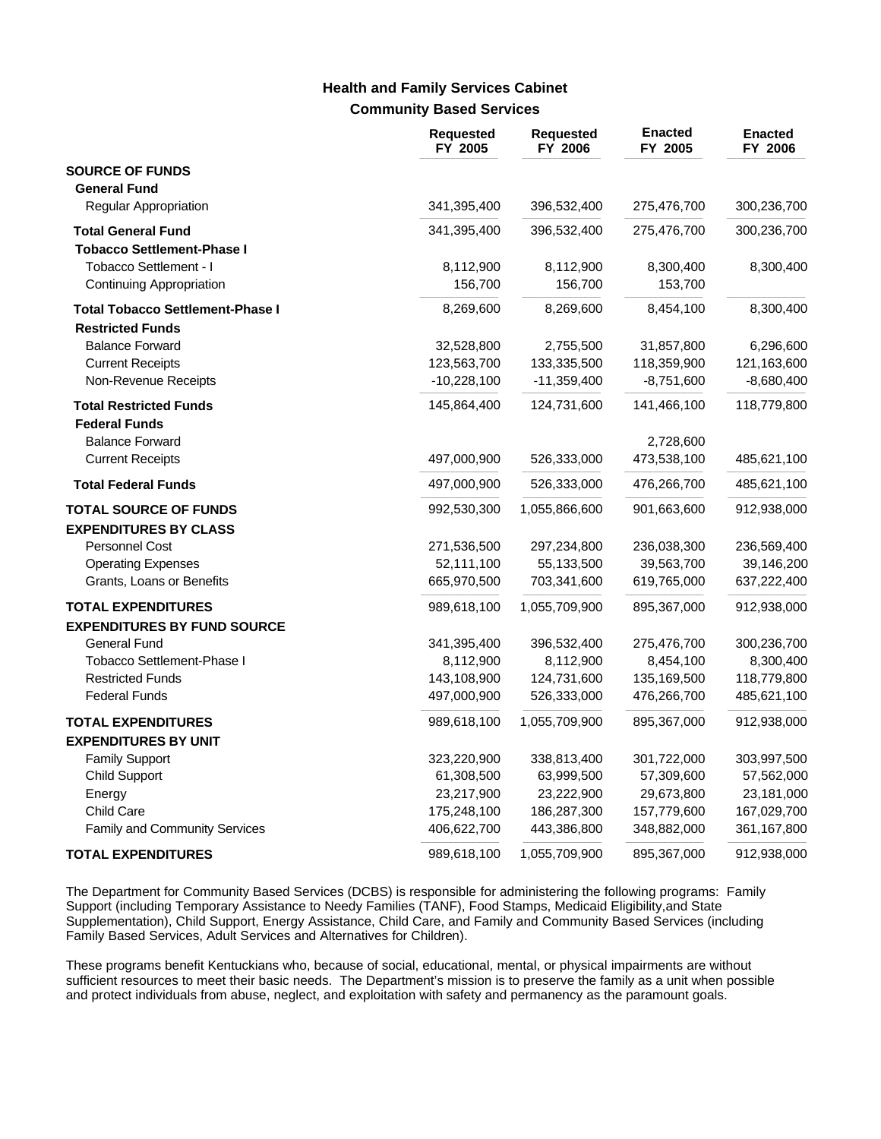## **Community Based Services Health and Family Services Cabinet**

|                                         | <b>Requested</b><br>FY 2005 | <b>Requested</b><br>FY 2006 | <b>Enacted</b><br>FY 2005 | <b>Enacted</b><br>FY 2006 |
|-----------------------------------------|-----------------------------|-----------------------------|---------------------------|---------------------------|
| <b>SOURCE OF FUNDS</b>                  |                             |                             |                           |                           |
| <b>General Fund</b>                     |                             |                             |                           |                           |
| Regular Appropriation                   | 341,395,400                 | 396,532,400                 | 275,476,700               | 300,236,700               |
| <b>Total General Fund</b>               | 341,395,400                 | 396,532,400                 | 275,476,700               | 300,236,700               |
| <b>Tobacco Settlement-Phase I</b>       |                             |                             |                           |                           |
| Tobacco Settlement - I                  | 8,112,900                   | 8,112,900                   | 8,300,400                 | 8,300,400                 |
| Continuing Appropriation                | 156,700                     | 156,700                     | 153,700                   |                           |
| <b>Total Tobacco Settlement-Phase I</b> | 8,269,600                   | 8,269,600                   | 8,454,100                 | 8,300,400                 |
| <b>Restricted Funds</b>                 |                             |                             |                           |                           |
| <b>Balance Forward</b>                  | 32,528,800                  | 2,755,500                   | 31,857,800                | 6,296,600                 |
| <b>Current Receipts</b>                 | 123,563,700                 | 133,335,500                 | 118,359,900               | 121,163,600               |
| Non-Revenue Receipts                    | $-10,228,100$               | $-11,359,400$               | $-8,751,600$              | $-8,680,400$              |
| <b>Total Restricted Funds</b>           | 145,864,400                 | 124,731,600                 | 141,466,100               | 118,779,800               |
| <b>Federal Funds</b>                    |                             |                             |                           |                           |
| <b>Balance Forward</b>                  |                             |                             | 2,728,600                 |                           |
| <b>Current Receipts</b>                 | 497,000,900                 | 526,333,000                 | 473,538,100               | 485,621,100               |
| <b>Total Federal Funds</b>              | 497,000,900                 | 526,333,000                 | 476,266,700               | 485,621,100               |
| <b>TOTAL SOURCE OF FUNDS</b>            | 992,530,300                 | 1,055,866,600               | 901,663,600               | 912,938,000               |
| <b>EXPENDITURES BY CLASS</b>            |                             |                             |                           |                           |
| Personnel Cost                          | 271,536,500                 | 297,234,800                 | 236,038,300               | 236,569,400               |
| <b>Operating Expenses</b>               | 52,111,100                  | 55,133,500                  | 39,563,700                | 39,146,200                |
| Grants, Loans or Benefits               | 665,970,500                 | 703,341,600                 | 619,765,000               | 637,222,400               |
| <b>TOTAL EXPENDITURES</b>               | 989,618,100                 | 1,055,709,900               | 895,367,000               | 912,938,000               |
| <b>EXPENDITURES BY FUND SOURCE</b>      |                             |                             |                           |                           |
| General Fund                            | 341,395,400                 | 396,532,400                 | 275,476,700               | 300,236,700               |
| Tobacco Settlement-Phase I              | 8,112,900                   | 8,112,900                   | 8,454,100                 | 8,300,400                 |
| <b>Restricted Funds</b>                 | 143,108,900                 | 124,731,600                 | 135,169,500               | 118,779,800               |
| <b>Federal Funds</b>                    | 497,000,900                 | 526,333,000                 | 476,266,700               | 485,621,100               |
| <b>TOTAL EXPENDITURES</b>               | 989,618,100                 | 1,055,709,900               | 895,367,000               | 912,938,000               |
| <b>EXPENDITURES BY UNIT</b>             |                             |                             |                           |                           |
| <b>Family Support</b>                   | 323,220,900                 | 338,813,400                 | 301,722,000               | 303,997,500               |
| <b>Child Support</b>                    | 61,308,500                  | 63,999,500                  | 57,309,600                | 57,562,000                |
| Energy                                  | 23,217,900                  | 23,222,900                  | 29,673,800                | 23,181,000                |
| <b>Child Care</b>                       | 175,248,100                 | 186,287,300                 | 157,779,600               | 167,029,700               |
| <b>Family and Community Services</b>    | 406,622,700                 | 443,386,800                 | 348,882,000               | 361,167,800               |
| <b>TOTAL EXPENDITURES</b>               | 989,618,100                 | 1,055,709,900               | 895,367,000               | 912,938,000               |

The Department for Community Based Services (DCBS) is responsible for administering the following programs: Family Support (including Temporary Assistance to Needy Families (TANF), Food Stamps, Medicaid Eligibility,and State Supplementation), Child Support, Energy Assistance, Child Care, and Family and Community Based Services (including Family Based Services, Adult Services and Alternatives for Children).

These programs benefit Kentuckians who, because of social, educational, mental, or physical impairments are without sufficient resources to meet their basic needs. The Department's mission is to preserve the family as a unit when possible and protect individuals from abuse, neglect, and exploitation with safety and permanency as the paramount goals.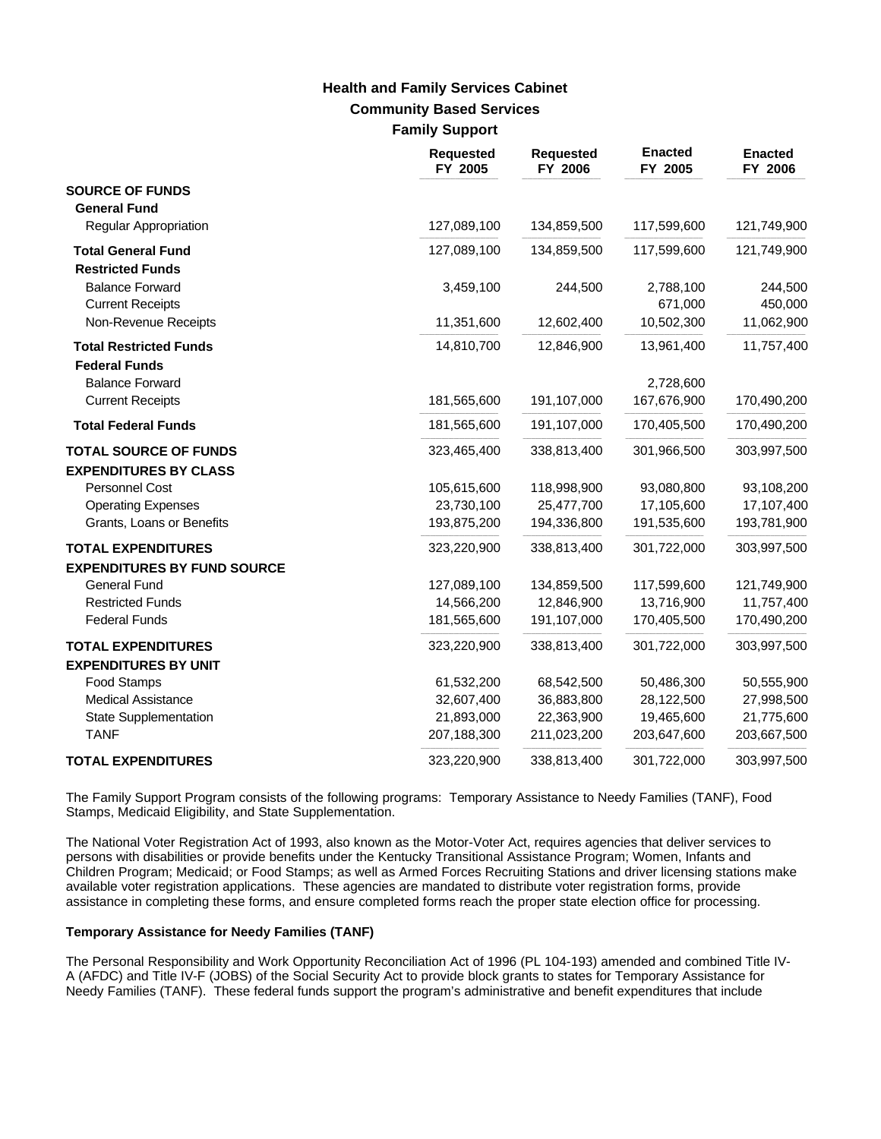# **Community Based Services Family Support Health and Family Services Cabinet**

|                                                                 | <b>Requested</b><br>FY 2005 | <b>Requested</b><br>FY 2006 | <b>Enacted</b><br>FY 2005 | <b>Enacted</b><br>FY 2006 |
|-----------------------------------------------------------------|-----------------------------|-----------------------------|---------------------------|---------------------------|
| <b>SOURCE OF FUNDS</b><br><b>General Fund</b>                   |                             |                             |                           |                           |
| Regular Appropriation                                           | 127,089,100                 | 134,859,500                 | 117,599,600               | 121,749,900               |
| <b>Total General Fund</b><br><b>Restricted Funds</b>            | 127,089,100                 | 134,859,500                 | 117,599,600               | 121,749,900               |
| <b>Balance Forward</b><br><b>Current Receipts</b>               | 3,459,100                   | 244,500                     | 2,788,100<br>671,000      | 244,500<br>450,000        |
| Non-Revenue Receipts                                            | 11,351,600                  | 12,602,400                  | 10,502,300                | 11,062,900                |
| <b>Total Restricted Funds</b><br><b>Federal Funds</b>           | 14,810,700                  | 12,846,900                  | 13,961,400                | 11,757,400                |
| <b>Balance Forward</b>                                          |                             |                             | 2,728,600                 |                           |
| <b>Current Receipts</b>                                         | 181,565,600                 | 191,107,000                 | 167,676,900               | 170,490,200               |
| <b>Total Federal Funds</b>                                      | 181,565,600                 | 191,107,000                 | 170,405,500               | 170,490,200               |
| <b>TOTAL SOURCE OF FUNDS</b><br><b>EXPENDITURES BY CLASS</b>    | 323,465,400                 | 338,813,400                 | 301,966,500               | 303,997,500               |
| Personnel Cost                                                  | 105,615,600                 | 118,998,900                 | 93,080,800                | 93,108,200                |
| <b>Operating Expenses</b><br>Grants, Loans or Benefits          | 23,730,100<br>193,875,200   | 25,477,700<br>194,336,800   | 17,105,600<br>191,535,600 | 17,107,400<br>193,781,900 |
| <b>TOTAL EXPENDITURES</b><br><b>EXPENDITURES BY FUND SOURCE</b> | 323,220,900                 | 338,813,400                 | 301,722,000               | 303,997,500               |
| <b>General Fund</b>                                             | 127,089,100                 | 134,859,500                 | 117,599,600               | 121,749,900               |
| <b>Restricted Funds</b>                                         | 14,566,200                  | 12,846,900                  | 13,716,900                | 11,757,400                |
| <b>Federal Funds</b>                                            | 181,565,600                 | 191,107,000                 | 170,405,500               | 170,490,200               |
| <b>TOTAL EXPENDITURES</b><br><b>EXPENDITURES BY UNIT</b>        | 323,220,900                 | 338,813,400                 | 301,722,000               | 303,997,500               |
| Food Stamps                                                     | 61,532,200                  | 68,542,500                  | 50,486,300                | 50,555,900                |
| <b>Medical Assistance</b>                                       | 32,607,400                  | 36,883,800                  | 28,122,500                | 27,998,500                |
| State Supplementation                                           | 21,893,000                  | 22,363,900                  | 19,465,600                | 21,775,600                |
| <b>TANF</b>                                                     | 207,188,300                 | 211,023,200                 | 203,647,600               | 203,667,500               |
| <b>TOTAL EXPENDITURES</b>                                       | 323,220,900                 | 338,813,400                 | 301,722,000               | 303,997,500               |

The Family Support Program consists of the following programs: Temporary Assistance to Needy Families (TANF), Food Stamps, Medicaid Eligibility, and State Supplementation.

The National Voter Registration Act of 1993, also known as the Motor-Voter Act, requires agencies that deliver services to persons with disabilities or provide benefits under the Kentucky Transitional Assistance Program; Women, Infants and Children Program; Medicaid; or Food Stamps; as well as Armed Forces Recruiting Stations and driver licensing stations make available voter registration applications. These agencies are mandated to distribute voter registration forms, provide assistance in completing these forms, and ensure completed forms reach the proper state election office for processing.

### **Temporary Assistance for Needy Families (TANF)**

The Personal Responsibility and Work Opportunity Reconciliation Act of 1996 (PL 104-193) amended and combined Title IV-A (AFDC) and Title IV-F (JOBS) of the Social Security Act to provide block grants to states for Temporary Assistance for Needy Families (TANF). These federal funds support the program's administrative and benefit expenditures that include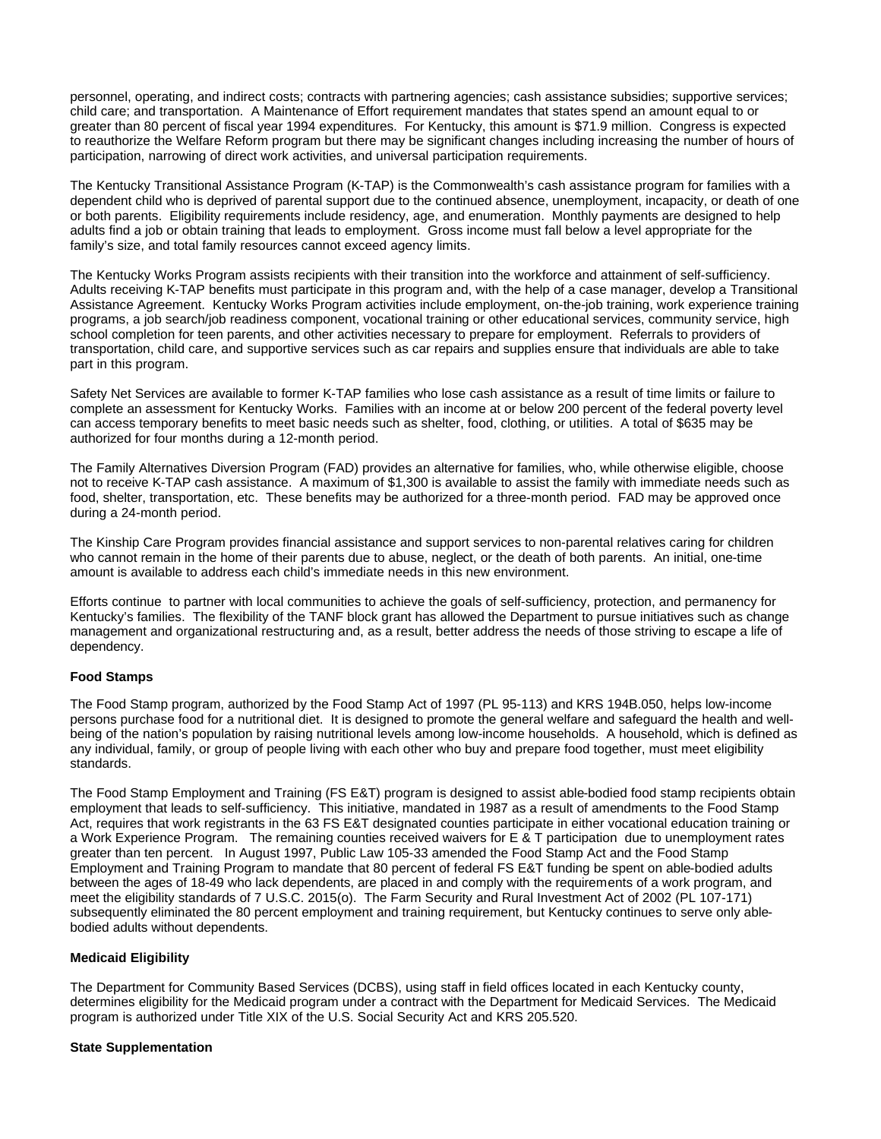personnel, operating, and indirect costs; contracts with partnering agencies; cash assistance subsidies; supportive services; child care; and transportation. A Maintenance of Effort requirement mandates that states spend an amount equal to or greater than 80 percent of fiscal year 1994 expenditures. For Kentucky, this amount is \$71.9 million. Congress is expected to reauthorize the Welfare Reform program but there may be significant changes including increasing the number of hours of participation, narrowing of direct work activities, and universal participation requirements.

The Kentucky Transitional Assistance Program (K-TAP) is the Commonwealth's cash assistance program for families with a dependent child who is deprived of parental support due to the continued absence, unemployment, incapacity, or death of one or both parents. Eligibility requirements include residency, age, and enumeration. Monthly payments are designed to help adults find a job or obtain training that leads to employment. Gross income must fall below a level appropriate for the family's size, and total family resources cannot exceed agency limits.

The Kentucky Works Program assists recipients with their transition into the workforce and attainment of self-sufficiency. Adults receiving K-TAP benefits must participate in this program and, with the help of a case manager, develop a Transitional Assistance Agreement. Kentucky Works Program activities include employment, on-the-job training, work experience training programs, a job search/job readiness component, vocational training or other educational services, community service, high school completion for teen parents, and other activities necessary to prepare for employment. Referrals to providers of transportation, child care, and supportive services such as car repairs and supplies ensure that individuals are able to take part in this program.

Safety Net Services are available to former K-TAP families who lose cash assistance as a result of time limits or failure to complete an assessment for Kentucky Works. Families with an income at or below 200 percent of the federal poverty level can access temporary benefits to meet basic needs such as shelter, food, clothing, or utilities. A total of \$635 may be authorized for four months during a 12-month period.

The Family Alternatives Diversion Program (FAD) provides an alternative for families, who, while otherwise eligible, choose not to receive K-TAP cash assistance. A maximum of \$1,300 is available to assist the family with immediate needs such as food, shelter, transportation, etc. These benefits may be authorized for a three-month period. FAD may be approved once during a 24-month period.

The Kinship Care Program provides financial assistance and support services to non-parental relatives caring for children who cannot remain in the home of their parents due to abuse, neglect, or the death of both parents. An initial, one-time amount is available to address each child's immediate needs in this new environment.

Efforts continue to partner with local communities to achieve the goals of self-sufficiency, protection, and permanency for Kentucky's families. The flexibility of the TANF block grant has allowed the Department to pursue initiatives such as change management and organizational restructuring and, as a result, better address the needs of those striving to escape a life of dependency.

## **Food Stamps**

The Food Stamp program, authorized by the Food Stamp Act of 1997 (PL 95-113) and KRS 194B.050, helps low-income persons purchase food for a nutritional diet. It is designed to promote the general welfare and safeguard the health and wellbeing of the nation's population by raising nutritional levels among low-income households. A household, which is defined as any individual, family, or group of people living with each other who buy and prepare food together, must meet eligibility standards.

The Food Stamp Employment and Training (FS E&T) program is designed to assist able-bodied food stamp recipients obtain employment that leads to self-sufficiency. This initiative, mandated in 1987 as a result of amendments to the Food Stamp Act, requires that work registrants in the 63 FS E&T designated counties participate in either vocational education training or a Work Experience Program. The remaining counties received waivers for E & T participation due to unemployment rates greater than ten percent. In August 1997, Public Law 105-33 amended the Food Stamp Act and the Food Stamp Employment and Training Program to mandate that 80 percent of federal FS E&T funding be spent on able-bodied adults between the ages of 18-49 who lack dependents, are placed in and comply with the requirements of a work program, and meet the eligibility standards of 7 U.S.C. 2015(o). The Farm Security and Rural Investment Act of 2002 (PL 107-171) subsequently eliminated the 80 percent employment and training requirement, but Kentucky continues to serve only ablebodied adults without dependents.

### **Medicaid Eligibility**

The Department for Community Based Services (DCBS), using staff in field offices located in each Kentucky county, determines eligibility for the Medicaid program under a contract with the Department for Medicaid Services. The Medicaid program is authorized under Title XIX of the U.S. Social Security Act and KRS 205.520.

### **State Supplementation**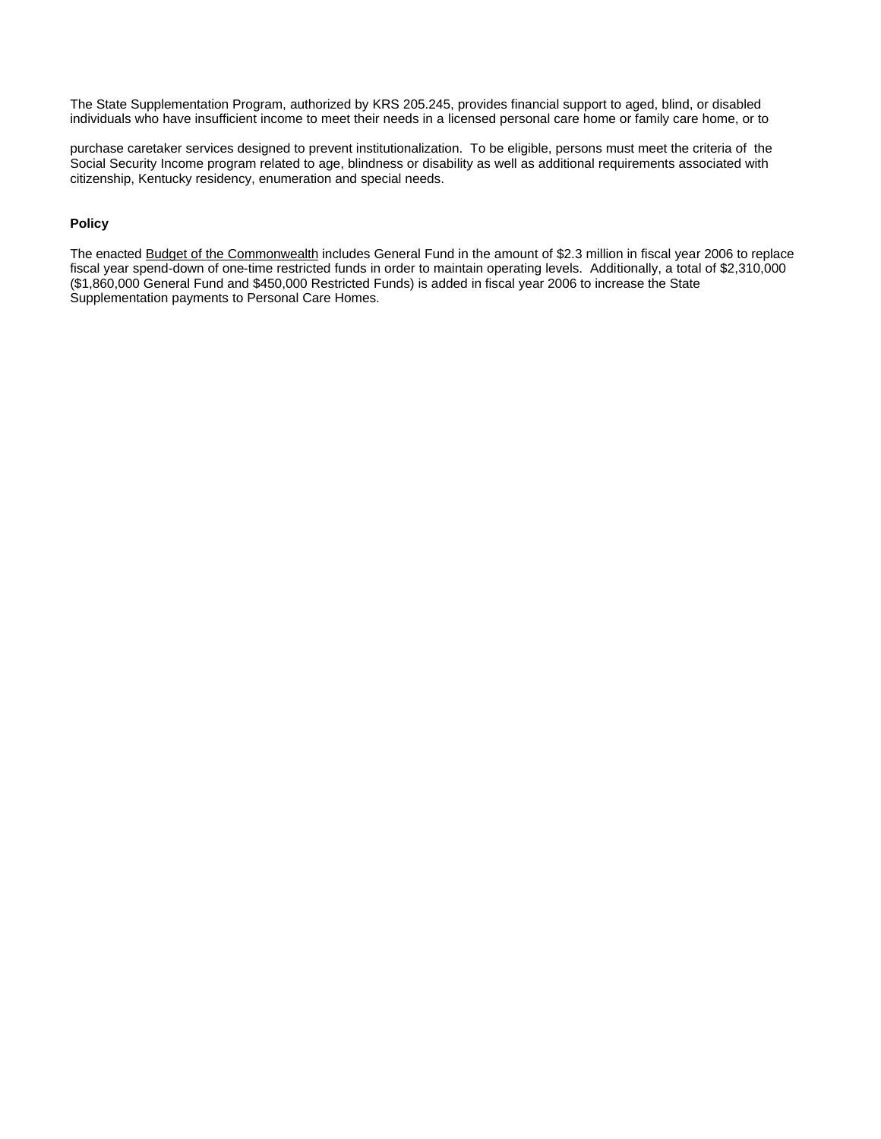The State Supplementation Program, authorized by KRS 205.245, provides financial support to aged, blind, or disabled individuals who have insufficient income to meet their needs in a licensed personal care home or family care home, or to

purchase caretaker services designed to prevent institutionalization. To be eligible, persons must meet the criteria of the Social Security Income program related to age, blindness or disability as well as additional requirements associated with citizenship, Kentucky residency, enumeration and special needs.

### **Policy**

The enacted Budget of the Commonwealth includes General Fund in the amount of \$2.3 million in fiscal year 2006 to replace fiscal year spend-down of one-time restricted funds in order to maintain operating levels. Additionally, a total of \$2,310,000 (\$1,860,000 General Fund and \$450,000 Restricted Funds) is added in fiscal year 2006 to increase the State Supplementation payments to Personal Care Homes.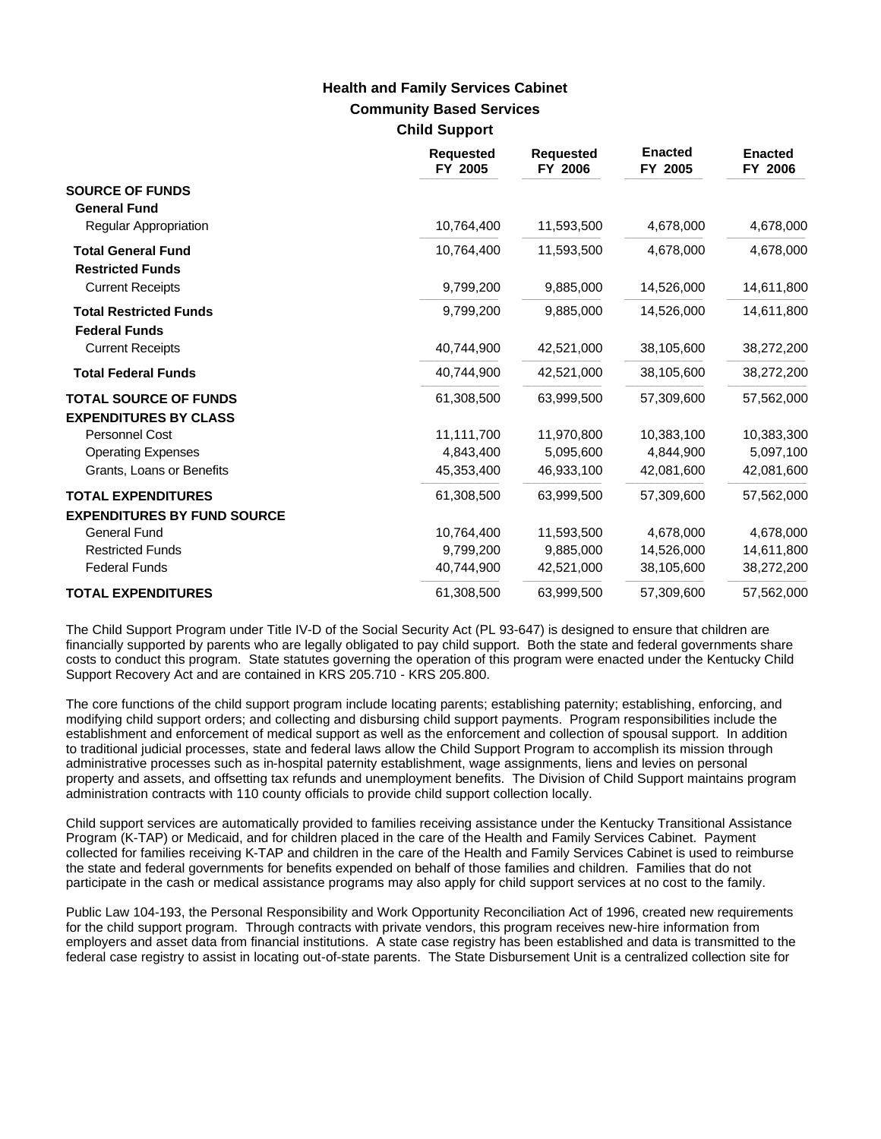# **Community Based Services Child Support Health and Family Services Cabinet**

|                                                              | <b>Requested</b><br>FY 2005 | <b>Requested</b><br>FY 2006 | <b>Enacted</b><br>FY 2005 | <b>Enacted</b><br>FY 2006 |
|--------------------------------------------------------------|-----------------------------|-----------------------------|---------------------------|---------------------------|
| <b>SOURCE OF FUNDS</b><br><b>General Fund</b>                |                             |                             |                           |                           |
| Regular Appropriation                                        | 10,764,400                  | 11,593,500                  | 4,678,000                 | 4,678,000                 |
| <b>Total General Fund</b><br><b>Restricted Funds</b>         | 10,764,400                  | 11,593,500                  | 4,678,000                 | 4,678,000                 |
| <b>Current Receipts</b>                                      | 9,799,200                   | 9,885,000                   | 14,526,000                | 14,611,800                |
| <b>Total Restricted Funds</b><br><b>Federal Funds</b>        | 9.799.200                   | 9.885.000                   | 14,526,000                | 14,611,800                |
| <b>Current Receipts</b>                                      | 40,744,900                  | 42,521,000                  | 38,105,600                | 38,272,200                |
| <b>Total Federal Funds</b>                                   | 40,744,900                  | 42,521,000                  | 38,105,600                | 38,272,200                |
| <b>TOTAL SOURCE OF FUNDS</b><br><b>EXPENDITURES BY CLASS</b> | 61,308,500                  | 63,999,500                  | 57,309,600                | 57,562,000                |
| Personnel Cost                                               | 11,111,700                  | 11.970.800                  | 10.383.100                | 10,383,300                |
| <b>Operating Expenses</b>                                    | 4,843,400                   | 5,095,600                   | 4,844,900                 | 5,097,100                 |
| Grants, Loans or Benefits                                    | 45,353,400                  | 46,933,100                  | 42,081,600                | 42,081,600                |
| <b>TOTAL EXPENDITURES</b>                                    | 61,308,500                  | 63,999,500                  | 57,309,600                | 57,562,000                |
| <b>EXPENDITURES BY FUND SOURCE</b>                           |                             |                             |                           |                           |
| <b>General Fund</b>                                          | 10,764,400                  | 11,593,500                  | 4,678,000                 | 4,678,000                 |
| <b>Restricted Funds</b>                                      | 9,799,200                   | 9,885,000                   | 14,526,000                | 14,611,800                |
| <b>Federal Funds</b>                                         | 40,744,900                  | 42,521,000                  | 38,105,600                | 38,272,200                |
| <b>TOTAL EXPENDITURES</b>                                    | 61,308,500                  | 63,999,500                  | 57,309,600                | 57,562,000                |

The Child Support Program under Title IV-D of the Social Security Act (PL 93-647) is designed to ensure that children are financially supported by parents who are legally obligated to pay child support. Both the state and federal governments share costs to conduct this program. State statutes governing the operation of this program were enacted under the Kentucky Child Support Recovery Act and are contained in KRS 205.710 - KRS 205.800.

The core functions of the child support program include locating parents; establishing paternity; establishing, enforcing, and modifying child support orders; and collecting and disbursing child support payments. Program responsibilities include the establishment and enforcement of medical support as well as the enforcement and collection of spousal support. In addition to traditional judicial processes, state and federal laws allow the Child Support Program to accomplish its mission through administrative processes such as in-hospital paternity establishment, wage assignments, liens and levies on personal property and assets, and offsetting tax refunds and unemployment benefits. The Division of Child Support maintains program administration contracts with 110 county officials to provide child support collection locally.

Child support services are automatically provided to families receiving assistance under the Kentucky Transitional Assistance Program (K-TAP) or Medicaid, and for children placed in the care of the Health and Family Services Cabinet. Payment collected for families receiving K-TAP and children in the care of the Health and Family Services Cabinet is used to reimburse the state and federal governments for benefits expended on behalf of those families and children. Families that do not participate in the cash or medical assistance programs may also apply for child support services at no cost to the family.

Public Law 104-193, the Personal Responsibility and Work Opportunity Reconciliation Act of 1996, created new requirements for the child support program. Through contracts with private vendors, this program receives new-hire information from employers and asset data from financial institutions. A state case registry has been established and data is transmitted to the federal case registry to assist in locating out-of-state parents. The State Disbursement Unit is a centralized collection site for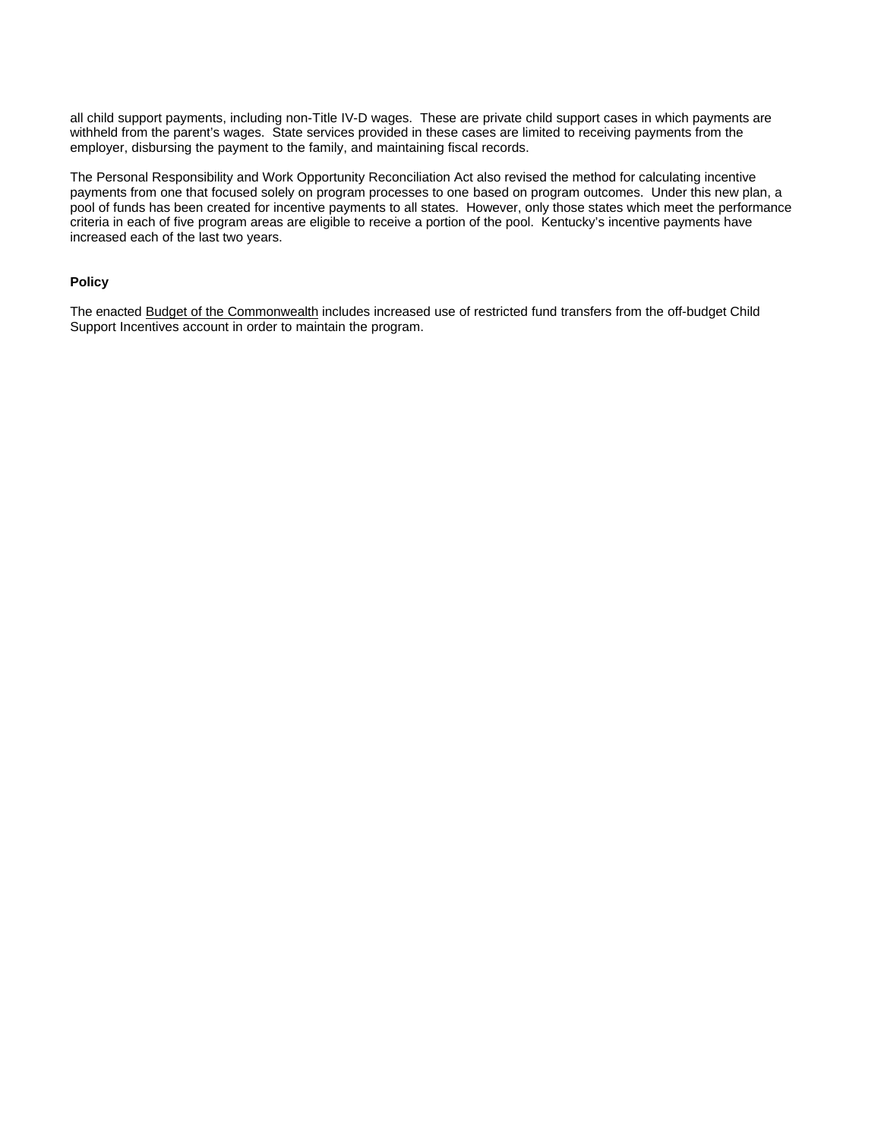all child support payments, including non-Title IV-D wages. These are private child support cases in which payments are withheld from the parent's wages. State services provided in these cases are limited to receiving payments from the employer, disbursing the payment to the family, and maintaining fiscal records.

The Personal Responsibility and Work Opportunity Reconciliation Act also revised the method for calculating incentive payments from one that focused solely on program processes to one based on program outcomes. Under this new plan, a pool of funds has been created for incentive payments to all states. However, only those states which meet the performance criteria in each of five program areas are eligible to receive a portion of the pool. Kentucky's incentive payments have increased each of the last two years.

#### **Policy**

The enacted Budget of the Commonwealth includes increased use of restricted fund transfers from the off-budget Child Support Incentives account in order to maintain the program.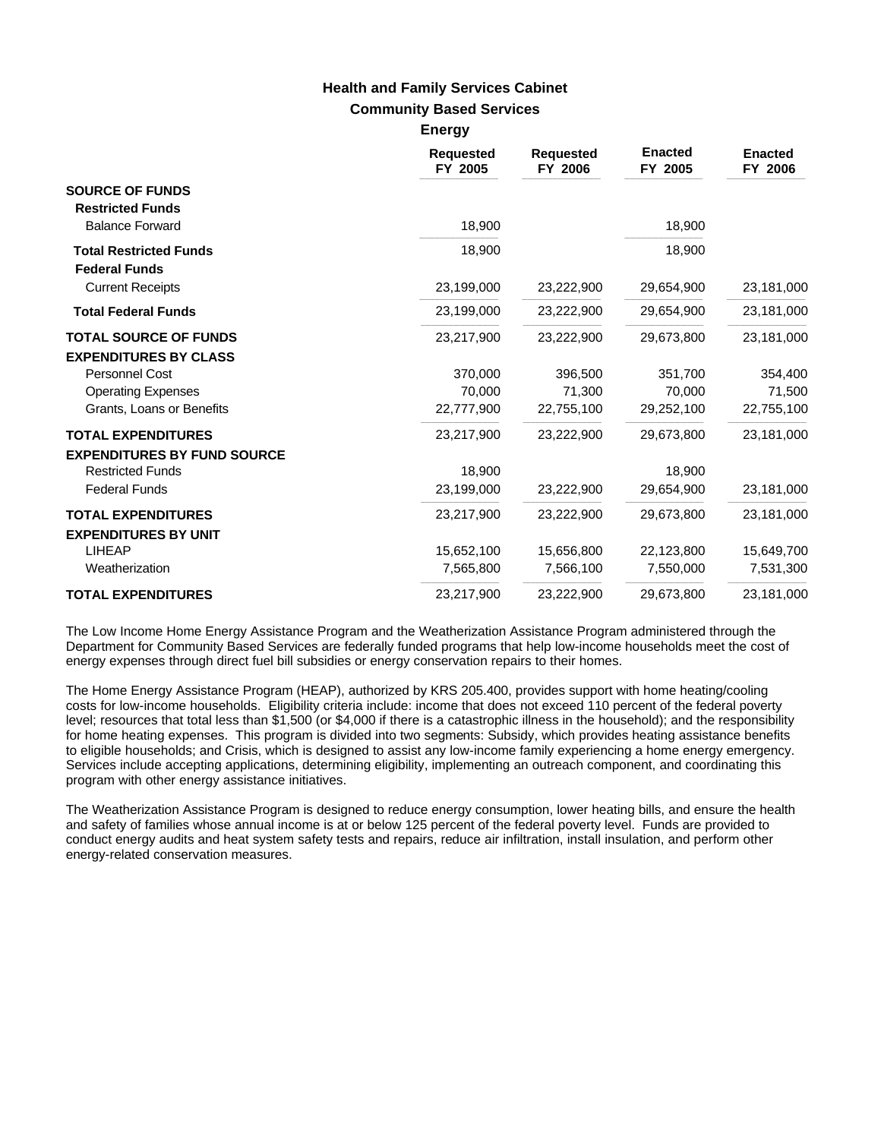## **Community Based Services Health and Family Services Cabinet**

**Energy**

|                                    | <b>Requested</b><br>FY 2005 | <b>Requested</b><br>FY 2006 | <b>Enacted</b><br>FY 2005 | <b>Enacted</b><br>FY 2006 |
|------------------------------------|-----------------------------|-----------------------------|---------------------------|---------------------------|
| <b>SOURCE OF FUNDS</b>             |                             |                             |                           |                           |
| <b>Restricted Funds</b>            |                             |                             |                           |                           |
| <b>Balance Forward</b>             | 18,900                      |                             | 18,900                    |                           |
| <b>Total Restricted Funds</b>      | 18,900                      |                             | 18,900                    |                           |
| <b>Federal Funds</b>               |                             |                             |                           |                           |
| <b>Current Receipts</b>            | 23,199,000                  | 23,222,900                  | 29,654,900                | 23,181,000                |
| <b>Total Federal Funds</b>         | 23,199,000                  | 23,222,900                  | 29,654,900                | 23,181,000                |
| <b>TOTAL SOURCE OF FUNDS</b>       | 23,217,900                  | 23,222,900                  | 29,673,800                | 23,181,000                |
| <b>EXPENDITURES BY CLASS</b>       |                             |                             |                           |                           |
| Personnel Cost                     | 370,000                     | 396,500                     | 351,700                   | 354,400                   |
| <b>Operating Expenses</b>          | 70,000                      | 71,300                      | 70,000                    | 71,500                    |
| Grants, Loans or Benefits          | 22,777,900                  | 22,755,100                  | 29,252,100                | 22,755,100                |
| <b>TOTAL EXPENDITURES</b>          | 23,217,900                  | 23,222,900                  | 29,673,800                | 23,181,000                |
| <b>EXPENDITURES BY FUND SOURCE</b> |                             |                             |                           |                           |
| <b>Restricted Funds</b>            | 18,900                      |                             | 18,900                    |                           |
| <b>Federal Funds</b>               | 23,199,000                  | 23,222,900                  | 29,654,900                | 23,181,000                |
| <b>TOTAL EXPENDITURES</b>          | 23,217,900                  | 23,222,900                  | 29.673.800                | 23,181,000                |
| <b>EXPENDITURES BY UNIT</b>        |                             |                             |                           |                           |
| <b>LIHEAP</b>                      | 15,652,100                  | 15,656,800                  | 22,123,800                | 15,649,700                |
| Weatherization                     | 7,565,800                   | 7,566,100                   | 7,550,000                 | 7,531,300                 |
| <b>TOTAL EXPENDITURES</b>          | 23,217,900                  | 23,222,900                  | 29,673,800                | 23,181,000                |

The Low Income Home Energy Assistance Program and the Weatherization Assistance Program administered through the Department for Community Based Services are federally funded programs that help low-income households meet the cost of energy expenses through direct fuel bill subsidies or energy conservation repairs to their homes.

The Home Energy Assistance Program (HEAP), authorized by KRS 205.400, provides support with home heating/cooling costs for low-income households. Eligibility criteria include: income that does not exceed 110 percent of the federal poverty level; resources that total less than \$1,500 (or \$4,000 if there is a catastrophic illness in the household); and the responsibility for home heating expenses. This program is divided into two segments: Subsidy, which provides heating assistance benefits to eligible households; and Crisis, which is designed to assist any low-income family experiencing a home energy emergency. Services include accepting applications, determining eligibility, implementing an outreach component, and coordinating this program with other energy assistance initiatives.

The Weatherization Assistance Program is designed to reduce energy consumption, lower heating bills, and ensure the health and safety of families whose annual income is at or below 125 percent of the federal poverty level. Funds are provided to conduct energy audits and heat system safety tests and repairs, reduce air infiltration, install insulation, and perform other energy-related conservation measures.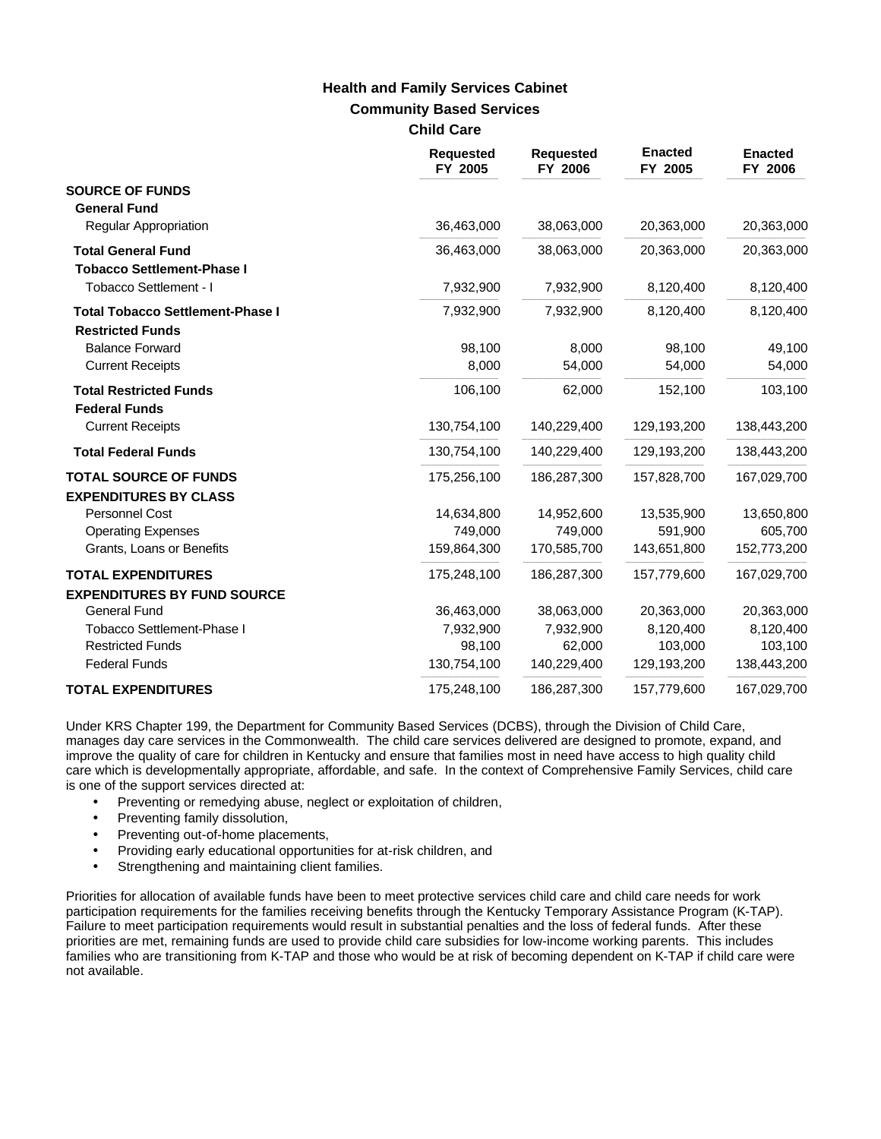## **Community Based Services Child Care Health and Family Services Cabinet**

|                                                                    | <b>Requested</b><br>FY 2005 | <b>Requested</b><br>FY 2006 | <b>Enacted</b><br>FY 2005 | <b>Enacted</b><br>FY 2006 |
|--------------------------------------------------------------------|-----------------------------|-----------------------------|---------------------------|---------------------------|
| <b>SOURCE OF FUNDS</b><br><b>General Fund</b>                      |                             |                             |                           |                           |
| <b>Regular Appropriation</b>                                       | 36,463,000                  | 38,063,000                  | 20,363,000                | 20,363,000                |
| <b>Total General Fund</b><br><b>Tobacco Settlement-Phase I</b>     | 36,463,000                  | 38,063,000                  | 20,363,000                | 20,363,000                |
| Tobacco Settlement - I                                             | 7,932,900                   | 7,932,900                   | 8,120,400                 | 8,120,400                 |
| <b>Total Tobacco Settlement-Phase I</b><br><b>Restricted Funds</b> | 7,932,900                   | 7,932,900                   | 8,120,400                 | 8,120,400                 |
| <b>Balance Forward</b>                                             | 98,100                      | 8,000                       | 98,100                    | 49,100                    |
| <b>Current Receipts</b>                                            | 8,000                       | 54,000                      | 54,000                    | 54,000                    |
| <b>Total Restricted Funds</b><br><b>Federal Funds</b>              | 106,100                     | 62,000                      | 152,100                   | 103,100                   |
| <b>Current Receipts</b>                                            | 130,754,100                 | 140,229,400                 | 129,193,200               | 138,443,200               |
| <b>Total Federal Funds</b>                                         | 130,754,100                 | 140,229,400                 | 129,193,200               | 138,443,200               |
| <b>TOTAL SOURCE OF FUNDS</b><br><b>EXPENDITURES BY CLASS</b>       | 175,256,100                 | 186,287,300                 | 157,828,700               | 167,029,700               |
| <b>Personnel Cost</b>                                              | 14,634,800                  | 14,952,600                  | 13,535,900                | 13,650,800                |
| <b>Operating Expenses</b>                                          | 749,000                     | 749,000                     | 591,900                   | 605,700                   |
| Grants, Loans or Benefits                                          | 159,864,300                 | 170,585,700                 | 143,651,800               | 152,773,200               |
| <b>TOTAL EXPENDITURES</b><br><b>EXPENDITURES BY FUND SOURCE</b>    | 175,248,100                 | 186,287,300                 | 157,779,600               | 167,029,700               |
| <b>General Fund</b>                                                | 36,463,000                  | 38,063,000                  | 20,363,000                | 20,363,000                |
| <b>Tobacco Settlement-Phase I</b>                                  | 7,932,900                   | 7,932,900                   | 8,120,400                 | 8,120,400                 |
| <b>Restricted Funds</b>                                            | 98,100                      | 62,000                      | 103,000                   | 103,100                   |
| <b>Federal Funds</b>                                               | 130,754,100                 | 140,229,400                 | 129,193,200               | 138,443,200               |
| <b>TOTAL EXPENDITURES</b>                                          | 175,248,100                 | 186,287,300                 | 157,779,600               | 167,029,700               |

Under KRS Chapter 199, the Department for Community Based Services (DCBS), through the Division of Child Care, manages day care services in the Commonwealth. The child care services delivered are designed to promote, expand, and improve the quality of care for children in Kentucky and ensure that families most in need have access to high quality child care which is developmentally appropriate, affordable, and safe. In the context of Comprehensive Family Services, child care is one of the support services directed at:

- Preventing or remedying abuse, neglect or exploitation of children,
- Preventing family dissolution,
- Preventing out-of-home placements,
- Providing early educational opportunities for at-risk children, and
- Strengthening and maintaining client families.

Priorities for allocation of available funds have been to meet protective services child care and child care needs for work participation requirements for the families receiving benefits through the Kentucky Temporary Assistance Program (K-TAP). Failure to meet participation requirements would result in substantial penalties and the loss of federal funds. After these priorities are met, remaining funds are used to provide child care subsidies for low-income working parents. This includes families who are transitioning from K-TAP and those who would be at risk of becoming dependent on K-TAP if child care were not available.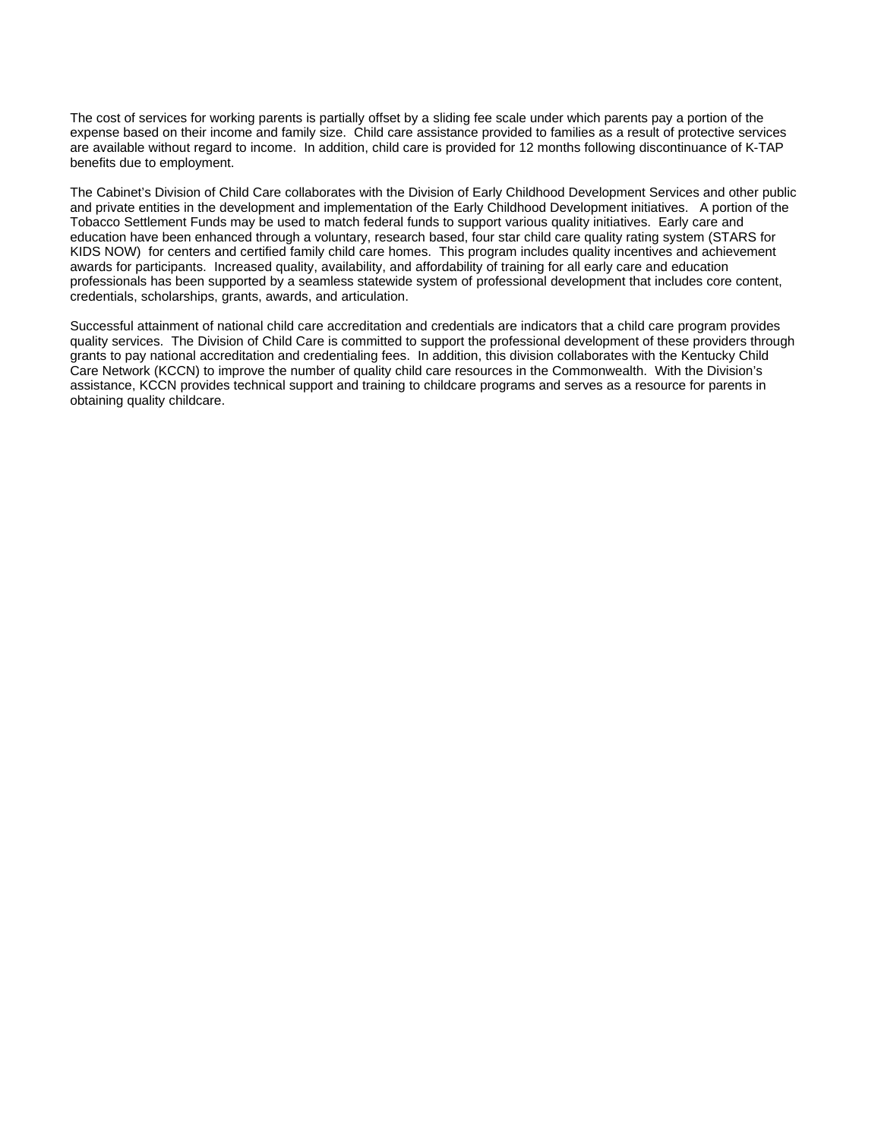The cost of services for working parents is partially offset by a sliding fee scale under which parents pay a portion of the expense based on their income and family size. Child care assistance provided to families as a result of protective services are available without regard to income. In addition, child care is provided for 12 months following discontinuance of K-TAP benefits due to employment.

The Cabinet's Division of Child Care collaborates with the Division of Early Childhood Development Services and other public and private entities in the development and implementation of the Early Childhood Development initiatives. A portion of the Tobacco Settlement Funds may be used to match federal funds to support various quality initiatives. Early care and education have been enhanced through a voluntary, research based, four star child care quality rating system (STARS for KIDS NOW) for centers and certified family child care homes. This program includes quality incentives and achievement awards for participants. Increased quality, availability, and affordability of training for all early care and education professionals has been supported by a seamless statewide system of professional development that includes core content, credentials, scholarships, grants, awards, and articulation.

Successful attainment of national child care accreditation and credentials are indicators that a child care program provides quality services. The Division of Child Care is committed to support the professional development of these providers through grants to pay national accreditation and credentialing fees. In addition, this division collaborates with the Kentucky Child Care Network (KCCN) to improve the number of quality child care resources in the Commonwealth. With the Division's assistance, KCCN provides technical support and training to childcare programs and serves as a resource for parents in obtaining quality childcare.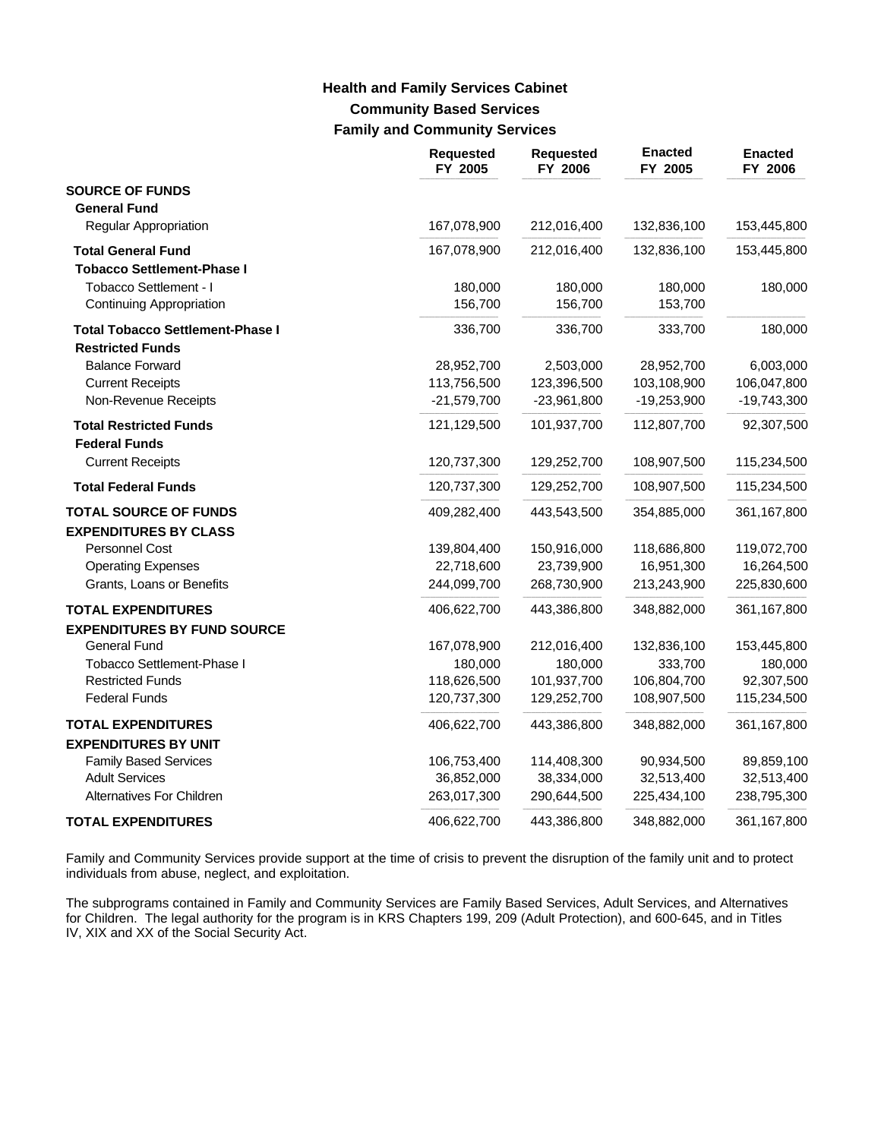# **Community Based Services Family and Community Services Health and Family Services Cabinet**

|                                         | Requested<br>FY 2005 | <b>Requested</b><br>FY 2006 | <b>Enacted</b><br>FY 2005 | <b>Enacted</b><br>FY 2006 |
|-----------------------------------------|----------------------|-----------------------------|---------------------------|---------------------------|
| <b>SOURCE OF FUNDS</b>                  |                      |                             |                           |                           |
| <b>General Fund</b>                     |                      |                             |                           |                           |
| Regular Appropriation                   | 167,078,900          | 212,016,400                 | 132,836,100               | 153,445,800               |
| <b>Total General Fund</b>               | 167,078,900          | 212,016,400                 | 132,836,100               | 153,445,800               |
| <b>Tobacco Settlement-Phase I</b>       |                      |                             |                           |                           |
| Tobacco Settlement - I                  | 180,000              | 180,000                     | 180,000                   | 180,000                   |
| <b>Continuing Appropriation</b>         | 156,700              | 156,700                     | 153,700                   |                           |
| <b>Total Tobacco Settlement-Phase I</b> | 336,700              | 336,700                     | 333,700                   | 180,000                   |
| <b>Restricted Funds</b>                 |                      |                             |                           |                           |
| <b>Balance Forward</b>                  | 28,952,700           | 2,503,000                   | 28,952,700                | 6,003,000                 |
| <b>Current Receipts</b>                 | 113,756,500          | 123,396,500                 | 103,108,900               | 106,047,800               |
| Non-Revenue Receipts                    | $-21,579,700$        | $-23,961,800$               | $-19,253,900$             | $-19,743,300$             |
| <b>Total Restricted Funds</b>           | 121,129,500          | 101,937,700                 | 112,807,700               | 92,307,500                |
| <b>Federal Funds</b>                    |                      |                             |                           |                           |
| <b>Current Receipts</b>                 | 120,737,300          | 129,252,700                 | 108,907,500               | 115,234,500               |
| <b>Total Federal Funds</b>              | 120,737,300          | 129,252,700                 | 108,907,500               | 115,234,500               |
| <b>TOTAL SOURCE OF FUNDS</b>            | 409,282,400          | 443,543,500                 | 354,885,000               | 361,167,800               |
| <b>EXPENDITURES BY CLASS</b>            |                      |                             |                           |                           |
| Personnel Cost                          | 139,804,400          | 150,916,000                 | 118,686,800               | 119,072,700               |
| <b>Operating Expenses</b>               | 22,718,600           | 23,739,900                  | 16,951,300                | 16,264,500                |
| Grants, Loans or Benefits               | 244,099,700          | 268,730,900                 | 213,243,900               | 225,830,600               |
| <b>TOTAL EXPENDITURES</b>               | 406,622,700          | 443,386,800                 | 348,882,000               | 361,167,800               |
| <b>EXPENDITURES BY FUND SOURCE</b>      |                      |                             |                           |                           |
| <b>General Fund</b>                     | 167,078,900          | 212,016,400                 | 132,836,100               | 153,445,800               |
| Tobacco Settlement-Phase I              | 180,000              | 180,000                     | 333,700                   | 180,000                   |
| <b>Restricted Funds</b>                 | 118,626,500          | 101,937,700                 | 106,804,700               | 92,307,500                |
| <b>Federal Funds</b>                    | 120,737,300          | 129,252,700                 | 108,907,500               | 115,234,500               |
| <b>TOTAL EXPENDITURES</b>               | 406,622,700          | 443,386,800                 | 348,882,000               | 361,167,800               |
| <b>EXPENDITURES BY UNIT</b>             |                      |                             |                           |                           |
| <b>Family Based Services</b>            | 106,753,400          | 114,408,300                 | 90,934,500                | 89,859,100                |
| <b>Adult Services</b>                   | 36,852,000           | 38,334,000                  | 32,513,400                | 32,513,400                |
| Alternatives For Children               | 263,017,300          | 290,644,500                 | 225,434,100               | 238,795,300               |
| <b>TOTAL EXPENDITURES</b>               | 406,622,700          | 443,386,800                 | 348,882,000               | 361,167,800               |

Family and Community Services provide support at the time of crisis to prevent the disruption of the family unit and to protect individuals from abuse, neglect, and exploitation.

The subprograms contained in Family and Community Services are Family Based Services, Adult Services, and Alternatives for Children. The legal authority for the program is in KRS Chapters 199, 209 (Adult Protection), and 600-645, and in Titles IV, XIX and XX of the Social Security Act.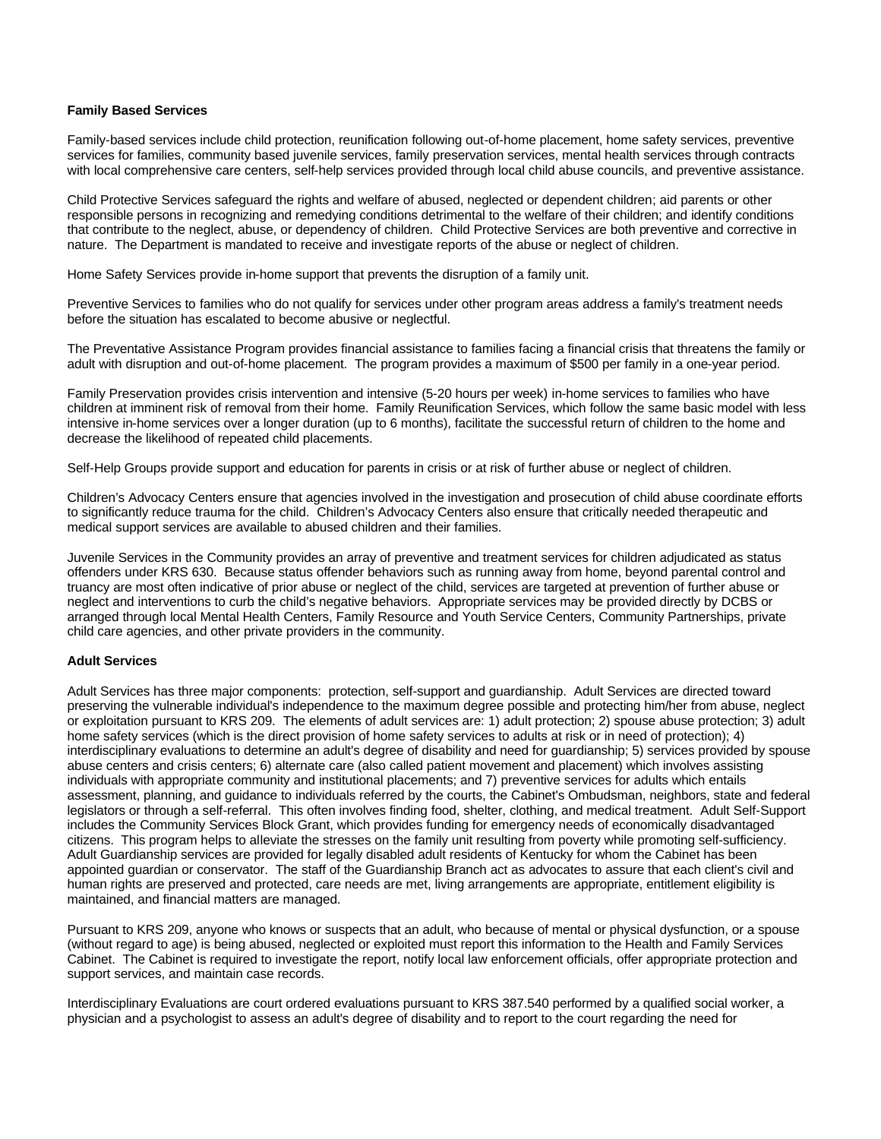### **Family Based Services**

Family-based services include child protection, reunification following out-of-home placement, home safety services, preventive services for families, community based juvenile services, family preservation services, mental health services through contracts with local comprehensive care centers, self-help services provided through local child abuse councils, and preventive assistance.

Child Protective Services safeguard the rights and welfare of abused, neglected or dependent children; aid parents or other responsible persons in recognizing and remedying conditions detrimental to the welfare of their children; and identify conditions that contribute to the neglect, abuse, or dependency of children. Child Protective Services are both preventive and corrective in nature. The Department is mandated to receive and investigate reports of the abuse or neglect of children.

Home Safety Services provide in-home support that prevents the disruption of a family unit.

Preventive Services to families who do not qualify for services under other program areas address a family's treatment needs before the situation has escalated to become abusive or neglectful.

The Preventative Assistance Program provides financial assistance to families facing a financial crisis that threatens the family or adult with disruption and out-of-home placement. The program provides a maximum of \$500 per family in a one-year period.

Family Preservation provides crisis intervention and intensive (5-20 hours per week) in-home services to families who have children at imminent risk of removal from their home. Family Reunification Services, which follow the same basic model with less intensive in-home services over a longer duration (up to 6 months), facilitate the successful return of children to the home and decrease the likelihood of repeated child placements.

Self-Help Groups provide support and education for parents in crisis or at risk of further abuse or neglect of children.

Children's Advocacy Centers ensure that agencies involved in the investigation and prosecution of child abuse coordinate efforts to significantly reduce trauma for the child. Children's Advocacy Centers also ensure that critically needed therapeutic and medical support services are available to abused children and their families.

Juvenile Services in the Community provides an array of preventive and treatment services for children adjudicated as status offenders under KRS 630. Because status offender behaviors such as running away from home, beyond parental control and truancy are most often indicative of prior abuse or neglect of the child, services are targeted at prevention of further abuse or neglect and interventions to curb the child's negative behaviors. Appropriate services may be provided directly by DCBS or arranged through local Mental Health Centers, Family Resource and Youth Service Centers, Community Partnerships, private child care agencies, and other private providers in the community.

#### **Adult Services**

Adult Services has three major components: protection, self-support and guardianship. Adult Services are directed toward preserving the vulnerable individual's independence to the maximum degree possible and protecting him/her from abuse, neglect or exploitation pursuant to KRS 209. The elements of adult services are: 1) adult protection; 2) spouse abuse protection; 3) adult home safety services (which is the direct provision of home safety services to adults at risk or in need of protection); 4) interdisciplinary evaluations to determine an adult's degree of disability and need for guardianship; 5) services provided by spouse abuse centers and crisis centers; 6) alternate care (also called patient movement and placement) which involves assisting individuals with appropriate community and institutional placements; and 7) preventive services for adults which entails assessment, planning, and guidance to individuals referred by the courts, the Cabinet's Ombudsman, neighbors, state and federal legislators or through a self-referral. This often involves finding food, shelter, clothing, and medical treatment. Adult Self-Support includes the Community Services Block Grant, which provides funding for emergency needs of economically disadvantaged citizens. This program helps to alleviate the stresses on the family unit resulting from poverty while promoting self-sufficiency. Adult Guardianship services are provided for legally disabled adult residents of Kentucky for whom the Cabinet has been appointed guardian or conservator. The staff of the Guardianship Branch act as advocates to assure that each client's civil and human rights are preserved and protected, care needs are met, living arrangements are appropriate, entitlement eligibility is maintained, and financial matters are managed.

Pursuant to KRS 209, anyone who knows or suspects that an adult, who because of mental or physical dysfunction, or a spouse (without regard to age) is being abused, neglected or exploited must report this information to the Health and Family Services Cabinet. The Cabinet is required to investigate the report, notify local law enforcement officials, offer appropriate protection and support services, and maintain case records.

Interdisciplinary Evaluations are court ordered evaluations pursuant to KRS 387.540 performed by a qualified social worker, a physician and a psychologist to assess an adult's degree of disability and to report to the court regarding the need for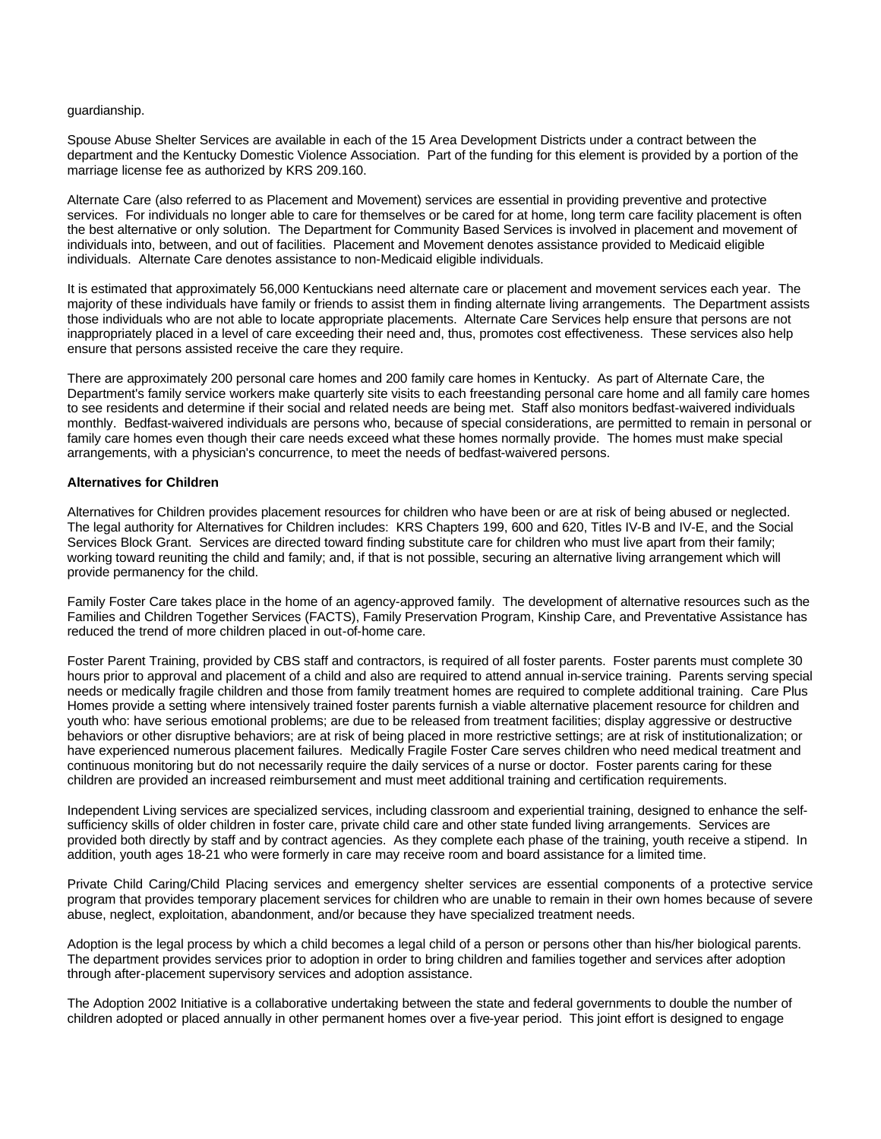#### guardianship.

Spouse Abuse Shelter Services are available in each of the 15 Area Development Districts under a contract between the department and the Kentucky Domestic Violence Association. Part of the funding for this element is provided by a portion of the marriage license fee as authorized by KRS 209.160.

Alternate Care (also referred to as Placement and Movement) services are essential in providing preventive and protective services. For individuals no longer able to care for themselves or be cared for at home, long term care facility placement is often the best alternative or only solution. The Department for Community Based Services is involved in placement and movement of individuals into, between, and out of facilities. Placement and Movement denotes assistance provided to Medicaid eligible individuals. Alternate Care denotes assistance to non-Medicaid eligible individuals.

It is estimated that approximately 56,000 Kentuckians need alternate care or placement and movement services each year. The majority of these individuals have family or friends to assist them in finding alternate living arrangements. The Department assists those individuals who are not able to locate appropriate placements. Alternate Care Services help ensure that persons are not inappropriately placed in a level of care exceeding their need and, thus, promotes cost effectiveness. These services also help ensure that persons assisted receive the care they require.

There are approximately 200 personal care homes and 200 family care homes in Kentucky. As part of Alternate Care, the Department's family service workers make quarterly site visits to each freestanding personal care home and all family care homes to see residents and determine if their social and related needs are being met. Staff also monitors bedfast-waivered individuals monthly. Bedfast-waivered individuals are persons who, because of special considerations, are permitted to remain in personal or family care homes even though their care needs exceed what these homes normally provide. The homes must make special arrangements, with a physician's concurrence, to meet the needs of bedfast-waivered persons.

## **Alternatives for Children**

Alternatives for Children provides placement resources for children who have been or are at risk of being abused or neglected. The legal authority for Alternatives for Children includes: KRS Chapters 199, 600 and 620, Titles IV-B and IV-E, and the Social Services Block Grant. Services are directed toward finding substitute care for children who must live apart from their family; working toward reuniting the child and family; and, if that is not possible, securing an alternative living arrangement which will provide permanency for the child.

Family Foster Care takes place in the home of an agency-approved family. The development of alternative resources such as the Families and Children Together Services (FACTS), Family Preservation Program, Kinship Care, and Preventative Assistance has reduced the trend of more children placed in out-of-home care.

Foster Parent Training, provided by CBS staff and contractors, is required of all foster parents. Foster parents must complete 30 hours prior to approval and placement of a child and also are required to attend annual in-service training. Parents serving special needs or medically fragile children and those from family treatment homes are required to complete additional training. Care Plus Homes provide a setting where intensively trained foster parents furnish a viable alternative placement resource for children and youth who: have serious emotional problems; are due to be released from treatment facilities; display aggressive or destructive behaviors or other disruptive behaviors; are at risk of being placed in more restrictive settings; are at risk of institutionalization; or have experienced numerous placement failures. Medically Fragile Foster Care serves children who need medical treatment and continuous monitoring but do not necessarily require the daily services of a nurse or doctor. Foster parents caring for these children are provided an increased reimbursement and must meet additional training and certification requirements.

Independent Living services are specialized services, including classroom and experiential training, designed to enhance the selfsufficiency skills of older children in foster care, private child care and other state funded living arrangements. Services are provided both directly by staff and by contract agencies. As they complete each phase of the training, youth receive a stipend. In addition, youth ages 18-21 who were formerly in care may receive room and board assistance for a limited time.

Private Child Caring/Child Placing services and emergency shelter services are essential components of a protective service program that provides temporary placement services for children who are unable to remain in their own homes because of severe abuse, neglect, exploitation, abandonment, and/or because they have specialized treatment needs.

Adoption is the legal process by which a child becomes a legal child of a person or persons other than his/her biological parents. The department provides services prior to adoption in order to bring children and families together and services after adoption through after-placement supervisory services and adoption assistance.

The Adoption 2002 Initiative is a collaborative undertaking between the state and federal governments to double the number of children adopted or placed annually in other permanent homes over a five-year period. This joint effort is designed to engage